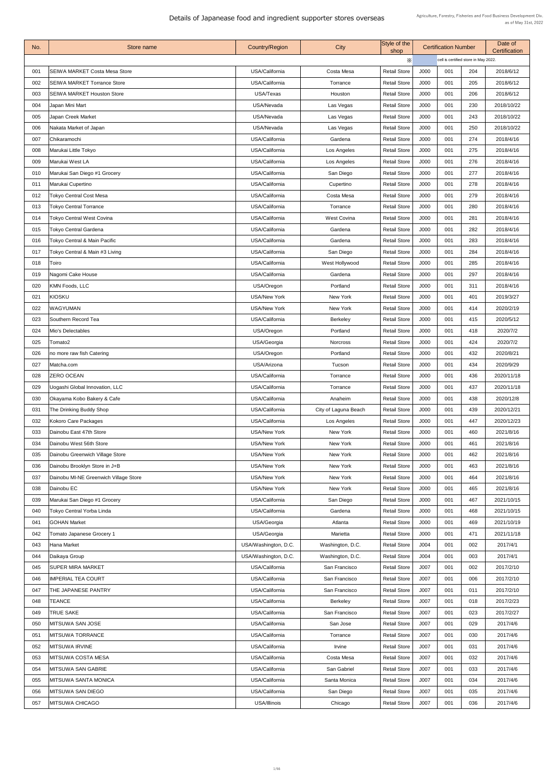| No.        | <b>Store name</b>                       | <b>Country/Region</b>         | City                 | Style of the<br>shop                       |              | <b>Certification Number</b>          |            | Date of<br>Certification |  |
|------------|-----------------------------------------|-------------------------------|----------------------|--------------------------------------------|--------------|--------------------------------------|------------|--------------------------|--|
|            |                                         |                               |                      | X                                          |              | cell is certified store in May 2022. |            |                          |  |
| 001        | SEIWA MARKET Costa Mesa Store           | USA/California                | Costa Mesa           | <b>Retail Store</b>                        | J000         | 001                                  | 204        | 2018/6/12                |  |
| 002        | <b>SEIWA MARKET Torrance Store</b>      | USA/California                | Torrance             | <b>Retail Store</b>                        | J000         | 001                                  | 205        | 2018/6/12                |  |
| 003        | <b>SEIWA MARKET Houston Store</b>       | USA/Texas                     | Houston              | <b>Retail Store</b>                        | J000         | 001                                  | 206        | 2018/6/12                |  |
| 004        | Japan Mini Mart                         | USA/Nevada                    | Las Vegas            | <b>Retail Store</b>                        | J000         | 001                                  | 230        | 2018/10/22               |  |
| 005        | Japan Creek Market                      | USA/Nevada                    | Las Vegas            | <b>Retail Store</b>                        | J000         | 001                                  | 243        | 2018/10/22               |  |
| 006        | Nakata Market of Japan                  | USA/Nevada                    | Las Vegas            | <b>Retail Store</b>                        | J000         | 001                                  | 250        | 2018/10/22               |  |
| 007        | Chikaramochi                            | USA/California                | Gardena              | <b>Retail Store</b>                        | J000         | 001                                  | 274        | 2018/4/16                |  |
| 008        | Marukai Little Tokyo                    | USA/California                | Los Angeles          | <b>Retail Store</b>                        | J000         | 001                                  | 275        | 2018/4/16                |  |
| 009        | Marukai West LA                         | USA/California                | Los Angeles          | <b>Retail Store</b>                        | J000         | 001                                  | 276        | 2018/4/16                |  |
| 010        | Marukai San Diego #1 Grocery            | USA/California                | San Diego            | <b>Retail Store</b>                        | J000         | 001                                  | 277        | 2018/4/16                |  |
| 011        | Marukai Cupertino                       | USA/California                | Cupertino            | <b>Retail Store</b>                        | J000         | 001                                  | 278        | 2018/4/16                |  |
| 012        | <b>Tokyo Central Cost Mesa</b>          | USA/California                | <b>Costa Mesa</b>    | <b>Retail Store</b>                        | J000         | 001                                  | 279        | 2018/4/16                |  |
| 013        | <b>Tokyo Central Torrance</b>           | USA/California                | Torrance             | <b>Retail Store</b>                        | J000         | 001                                  | 280        | 2018/4/16                |  |
| 014        | <b>Tokyo Central West Covina</b>        | USA/California                | <b>West Covina</b>   | <b>Retail Store</b>                        | J000         | 001                                  | 281        | 2018/4/16                |  |
| 015        | <b>Tokyo Central Gardena</b>            | USA/California                | Gardena              | <b>Retail Store</b>                        | J000         | 001                                  | 282        | 2018/4/16                |  |
| 016        | <b>Tokyo Central &amp; Main Pacific</b> | USA/California                | Gardena              | <b>Retail Store</b>                        | J000         | 001                                  | 283        | 2018/4/16                |  |
| 017        | Tokyo Central & Main #3 Living          | USA/California                | San Diego            | <b>Retail Store</b>                        | J000         | 001                                  | 284        | 2018/4/16                |  |
| 018        | Toiro                                   | USA/California                | West Hollywood       | <b>Retail Store</b>                        | J000         | 001                                  | 285        | 2018/4/16                |  |
| 019        | Nagomi Cake House                       | USA/California                | Gardena              | <b>Retail Store</b>                        | J000         | 001                                  | 297        | 2018/4/16                |  |
| 020        | KMN Foods, LLC                          | USA/Oregon                    | Portland             | <b>Retail Store</b>                        | J000         | 001                                  | 311        | 2018/4/16                |  |
| 021        | KIOSKU                                  | <b>USA/New York</b>           | New York             | <b>Retail Store</b>                        | J000         | 001                                  | 401        | 2019/3/27                |  |
| 022        | <b>WAGYUMAN</b>                         | <b>USA/New York</b>           | New York             | <b>Retail Store</b>                        | J000         | 001                                  | 414        | 2020/2/19                |  |
| 023        | Southern Record Tea                     | USA/California                | <b>Berkeley</b>      | <b>Retail Store</b>                        | J000         | 001                                  | 415        | 2020/5/12                |  |
| 024        | Mio's Delectables                       | USA/Oregon                    | Portland             | <b>Retail Store</b>                        | J000         | 001                                  | 418        | 2020/7/2                 |  |
| 025        | Tomato <sub>2</sub>                     | USA/Georgia                   | <b>Norcross</b>      | <b>Retail Store</b>                        | J000         | 001                                  | 424        | 2020/7/2                 |  |
| 026        |                                         | USA/Oregon                    | Portland             | <b>Retail Store</b>                        | J000         | 001                                  | 432        |                          |  |
|            | no more raw fish Catering               |                               |                      |                                            |              |                                      |            | 2020/8/21                |  |
| 027<br>028 | Matcha.com<br><b>ZERO OCEAN</b>         | USA/Arizona<br>USA/California | Tucson<br>Torrance   | <b>Retail Store</b><br><b>Retail Store</b> | J000<br>J000 | 001<br>001                           | 434<br>436 | 2020/9/29<br>2020/11/18  |  |
| 029        | Uogashi Global Innovation, LLC          | USA/California                | Torrance             | <b>Retail Store</b>                        | J000         | 001                                  | 437        | 2020/11/18               |  |
| 030        | Okayama Kobo Bakery & Cafe              | USA/California                | Anaheim              | <b>Retail Store</b>                        | J000         | 001                                  | 438        | 2020/12/8                |  |
| 031        | The Drinking Buddy Shop                 | USA/California                | City of Laguna Beach | <b>Retail Store</b>                        | J000         | 001                                  | 439        | 2020/12/21               |  |
| 032        | Kokoro Care Packages                    | USA/California                | Los Angeles          | <b>Retail Store</b>                        | J000         | 001                                  | 447        | 2020/12/23               |  |
| 033        | Dainobu East 47th Store                 | <b>USA/New York</b>           | New York             | <b>Retail Store</b>                        | J000         | 001                                  | 460        | 2021/8/16                |  |
| 034        | Dainobu West 56th Store                 | <b>USA/New York</b>           | New York             | <b>Retail Store</b>                        | J000         | 001                                  | 461        | 2021/8/16                |  |
| 035        |                                         | <b>USA/New York</b>           | New York             | <b>Retail Store</b>                        | J000         | 001                                  | 462        | 2021/8/16                |  |
|            | Dainobu Greenwich Village Store         | <b>USA/New York</b>           |                      |                                            |              | 001                                  |            |                          |  |
| 036        | Dainobu Brooklyn Store in J+B           |                               | New York             | <b>Retail Store</b>                        | J000         |                                      | 463        | 2021/8/16                |  |
| 037        | Dainobu MI-NE Greenwich Village Store   | <b>USA/New York</b>           | New York             | <b>Retail Store</b>                        | J000         | 001                                  | 464        | 2021/8/16                |  |
| 038        | Dainobu EC                              | <b>USA/New York</b>           | New York             | <b>Retail Store</b>                        | J000         | 001                                  | 465        | 2021/8/16                |  |
| 039        | Marukai San Diego #1 Grocery            | USA/California                | San Diego            | <b>Retail Store</b>                        | J000         | 001                                  | 467        | 2021/10/15               |  |
| 040        | <b>Tokyo Central Yorba Linda</b>        | USA/California                | Gardena              | <b>Retail Store</b>                        | J000         | 001                                  | 468        | 2021/10/15               |  |
| 041        | <b>GOHAN Market</b>                     | USA/Georgia                   | Atlanta              | <b>Retail Store</b>                        | J000         | 001                                  | 469        | 2021/10/19               |  |
| 042        | <b>Tomato Japanese Grocery 1</b>        | USA/Georgia                   | Marietta             | <b>Retail Store</b>                        | J000         | 001                                  | 471        | 2021/11/18               |  |
| 043        | Hana Market                             | USA/Washington, D.C.          | Washington, D.C.     | <b>Retail Store</b>                        | J004         | 001                                  | 002        | 2017/4/1                 |  |
| 044        | Daikaya Group                           | USA/Washington, D.C.          | Washington, D.C.     | <b>Retail Store</b>                        | J004         | 001                                  | 003        | 2017/4/1                 |  |
| 045        | <b>SUPER MIRA MARKET</b>                | USA/California                | San Francisco        | <b>Retail Store</b>                        | J007         | 001                                  | 002        | 2017/2/10                |  |
| 046        | <b>IMPERIAL TEA COURT</b>               | USA/California                | San Francisco        | <b>Retail Store</b>                        | J007         | 001                                  | 006        | 2017/2/10                |  |
| 047        | THE JAPANESE PANTRY                     | USA/California                | San Francisco        | <b>Retail Store</b>                        | J007         | 001                                  | 011        | 2017/2/10                |  |
| 048        | TEANCE                                  | USA/California                | <b>Berkeley</b>      | <b>Retail Store</b>                        | J007         | 001                                  | 018        | 2017/2/23                |  |
| 049        | <b>TRUE SAKE</b>                        | USA/California                | San Francisco        | <b>Retail Store</b>                        | J007         | 001                                  | 023        | 2017/2/27                |  |
| 050        | MITSUWA SAN JOSE                        | USA/California                | San Jose             | <b>Retail Store</b>                        | JO07         | 001                                  | 029        | 2017/4/6                 |  |
| 051        | <b>IMITSUWA TORRANCE</b>                | USA/California                | Torrance             | <b>Retail Store</b>                        | J007         | 001                                  | 030        | 2017/4/6                 |  |
| 052        | <b>MITSUWA IRVINE</b>                   | USA/California                | Irvine               | <b>Retail Store</b>                        | J007         | 001                                  | 031        | 2017/4/6                 |  |
| 053        | <b>MITSUWA COSTA MESA</b>               | USA/California                | Costa Mesa           | <b>Retail Store</b>                        | J007         | 001                                  | 032        | 2017/4/6                 |  |
| 054        | MITSUWA SAN GABRIE                      | USA/California                | San Gabriel          | <b>Retail Store</b>                        | J007         | 001                                  | 033        | 2017/4/6                 |  |
| 055        | <b>IMITSUWA SANTA MONICA</b>            | USA/California                | Santa Monica         | <b>Retail Store</b>                        | J007         | 001                                  | 034        | 2017/4/6                 |  |
| 056        | MITSUWA SAN DIEGO                       | USA/California                | San Diego            | <b>Retail Store</b>                        | J007         | 001                                  | 035        | 2017/4/6                 |  |
| 057        | MITSUWA CHICAGO                         | USA/Illinois                  | Chicago              | <b>Retail Store</b>                        | J007         | 001                                  | 036        | 2017/4/6                 |  |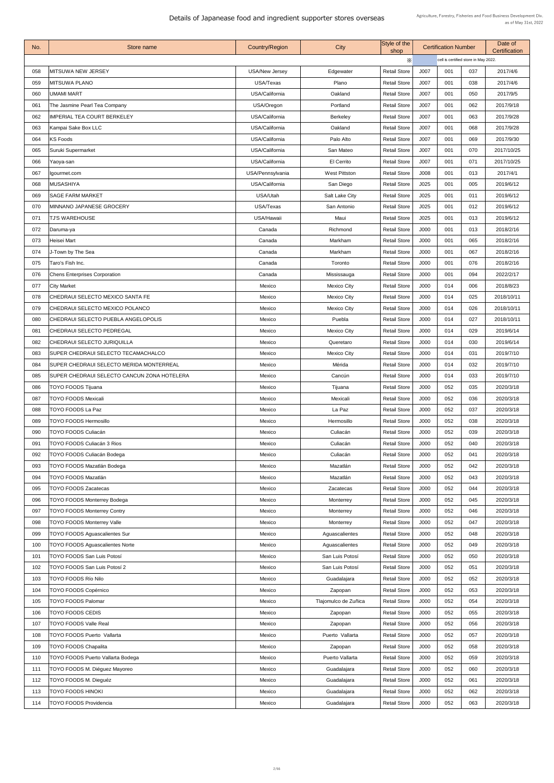| No. | Store name                                  | <b>Country/Region</b> | <b>City</b>           | Style of the<br>shop |      | <b>Certification Number</b>          | Date of<br>Certification |            |
|-----|---------------------------------------------|-----------------------|-----------------------|----------------------|------|--------------------------------------|--------------------------|------------|
|     |                                             |                       |                       | $\times$             |      | cell is certified store in May 2022. |                          |            |
| 058 | MITSUWA NEW JERSEY                          | <b>USA/New Jersey</b> | Edgewater             | <b>Retail Store</b>  | J007 | 001                                  | 037                      | 2017/4/6   |
| 059 | <b>MITSUWA PLANO</b>                        | USA/Texas             | Plano                 | <b>Retail Store</b>  | J007 | 001                                  | 038                      | 2017/4/6   |
| 060 | <b>UMAMI MART</b>                           | USA/California        | Oakland               | <b>Retail Store</b>  | J007 | 001                                  | 050                      | 2017/9/5   |
| 061 | The Jasmine Pearl Tea Company               | USA/Oregon            | Portland              | <b>Retail Store</b>  | J007 | 001                                  | 062                      | 2017/9/18  |
| 062 | <b>IMPERIAL TEA COURT BERKELEY</b>          | USA/California        | <b>Berkeley</b>       | <b>Retail Store</b>  | J007 | 001                                  | 063                      | 2017/9/28  |
| 063 | Kampai Sake Box LLC                         | USA/California        | Oakland               | <b>Retail Store</b>  | J007 | 001                                  | 068                      | 2017/9/28  |
| 064 | <b>KS Foods</b>                             | USA/California        | Palo Alto             | <b>Retail Store</b>  | J007 | 001                                  | 069                      | 2017/9/30  |
| 065 | Suruki Supermarket                          | USA/California        | San Mateo             | <b>Retail Store</b>  | J007 | 001                                  | 070                      | 2017/10/25 |
| 066 | Yaoya-san                                   | USA/California        | El Cerrito            | <b>Retail Store</b>  | J007 | 001                                  | 071                      | 2017/10/25 |
| 067 | Igourmet.com                                | USA/Pennsylvania      | <b>West Pittston</b>  | <b>Retail Store</b>  | J008 | 001                                  | 013                      | 2017/4/1   |
| 068 | <b>MUSASHIYA</b>                            | USA/California        | San Diego             | <b>Retail Store</b>  | J025 | 001                                  | 005                      | 2019/6/12  |
| 069 | <b>SAGE FARM MARKET</b>                     | USA/Utah              | <b>Salt Lake City</b> | <b>Retail Store</b>  | J025 | 001                                  | 011                      | 2019/6/12  |
| 070 | MINNANO JAPANESE GROCERY                    | USA/Texas             | San Antonio           | <b>Retail Store</b>  | J025 | 001                                  | 012                      | 2019/6/12  |
| 071 | <b>TJ'S WAREHOUSE</b>                       | USA/Hawaii            | Maui                  | <b>Retail Store</b>  | J025 | 001                                  | 013                      | 2019/6/12  |
| 072 | Daruma-ya                                   | Canada                | Richmond              | <b>Retail Store</b>  | J000 | 001                                  | 013                      | 2018/2/16  |
| 073 | Heisei Mart                                 | Canada                | Markham               | <b>Retail Store</b>  | J000 | 001                                  | 065                      | 2018/2/16  |
| 074 | J-Town by The Sea                           | Canada                | Markham               | <b>Retail Store</b>  | J000 | 001                                  | 067                      | 2018/2/16  |
| 075 | Taro's Fish Inc.                            | Canada                | Toronto               | <b>Retail Store</b>  | J000 | 001                                  | 076                      | 2018/2/16  |
| 076 | <b>Chens Enterprises Corporation</b>        | Canada                | Mississauga           | <b>Retail Store</b>  | J000 | 001                                  | 094                      | 2022/2/17  |
| 077 | <b>City Market</b>                          | Mexico                | <b>Mexico City</b>    | <b>Retail Store</b>  | J000 | 014                                  | 006                      | 2018/8/23  |
| 078 | CHEDRAUI SELECTO MEXICO SANTA FE            | Mexico                | <b>Mexico City</b>    | <b>Retail Store</b>  | J000 | 014                                  | 025                      | 2018/10/11 |
| 079 | CHEDRAUI SELECTO MEXICO POLANCO             | Mexico                | <b>Mexico City</b>    | <b>Retail Store</b>  | J000 | 014                                  | 026                      | 2018/10/11 |
| 080 | CHEDRAUI SELECTO PUEBLA ANGELOPOLIS         | Mexico                | Puebla                | <b>Retail Store</b>  | J000 | 014                                  | 027                      | 2018/10/11 |
| 081 | <b>CHEDRAUI SELECTO PEDREGAL</b>            | Mexico                | <b>Mexico City</b>    | <b>Retail Store</b>  | J000 | 014                                  | 029                      | 2019/6/14  |
| 082 | CHEDRAUI SELECTO JURIQUILLA                 | Mexico                | Queretaro             | <b>Retail Store</b>  | J000 | 014                                  | 030                      | 2019/6/14  |
| 083 | <b>SUPER CHEDRAUI SELECTO TECAMACHALCO</b>  | Mexico                | <b>Mexico City</b>    | <b>Retail Store</b>  | J000 | 014                                  | 031                      | 2019/7/10  |
| 084 | SUPER CHEDRAUI SELECTO MERIDA MONTERREAL    | Mexico                | Mérida                | <b>Retail Store</b>  | J000 | 014                                  | 032                      | 2019/7/10  |
| 085 | SUPER CHEDRAUI SELECTO CANCUN ZONA HOTELERA | Mexico                | Cancún                | <b>Retail Store</b>  | J000 | 014                                  | 033                      | 2019/7/10  |
| 086 | <b>TOYO FOODS Tijuana</b>                   | Mexico                | Tijuana               | <b>Retail Store</b>  | J000 | 052                                  | 035                      | 2020/3/18  |
| 087 | <b>TOYO FOODS Mexicali</b>                  | Mexico                | Mexicali              | <b>Retail Store</b>  | J000 | 052                                  | 036                      | 2020/3/18  |
| 088 | <b>TOYO FOODS La Paz</b>                    | Mexico                | La Paz                | <b>Retail Store</b>  | J000 | 052                                  | 037                      | 2020/3/18  |
| 089 | <b>TOYO FOODS Hermosillo</b>                | Mexico                | Hermosillo            | <b>Retail Store</b>  | J000 | 052                                  | 038                      | 2020/3/18  |
| 090 | <b>TOYO FOODS Culiacán</b>                  | Mexico                | Culiacán              | <b>Retail Store</b>  | J000 | 052                                  | 039                      | 2020/3/18  |
| 091 | <b>TOYO FOODS Culiacán 3 Rios</b>           | Mexico                | Culiacán              | <b>Retail Store</b>  | J000 | 052                                  | 040                      | 2020/3/18  |
| 092 | <b>TOYO FOODS Culiacán Bodega</b>           | <b>Mexico</b>         | Culiacán              | <b>Retail Store</b>  | J000 | 052                                  | 041                      | 2020/3/18  |
| 093 | <b>TOYO FOODS Mazatlán Bodega</b>           | Mexico                | Mazatlán              | <b>Retail Store</b>  | J000 | 052                                  | 042                      | 2020/3/18  |
| 094 | <b>TOYO FOODS Mazatlán</b>                  | Mexico                | Mazatlán              | <b>Retail Store</b>  | J000 | 052                                  | 043                      | 2020/3/18  |
| 095 | <b>TOYO FOODS Zacatecas</b>                 | <b>Mexico</b>         | Zacatecas             | <b>Retail Store</b>  | J000 | 052                                  | 044                      | 2020/3/18  |
| 096 | <b>TOYO FOODS Monterrey Bodega</b>          | Mexico                | Monterrey             | <b>Retail Store</b>  | J000 | 052                                  | 045                      | 2020/3/18  |
| 097 | <b>TOYO FOODS Monterrey Contry</b>          | Mexico                | Monterrey             | <b>Retail Store</b>  | J000 | 052                                  | 046                      | 2020/3/18  |
| 098 | <b>TOYO FOODS Monterrey Valle</b>           | Mexico                | Monterrey             | <b>Retail Store</b>  | J000 | 052                                  | 047                      | 2020/3/18  |
| 099 | <b>TOYO FOODS Aguascalientes Sur</b>        | Mexico                | Aguascalientes        | <b>Retail Store</b>  | J000 | 052                                  | 048                      | 2020/3/18  |
| 100 | <b>TOYO FOODS Aguascalientes Norte</b>      | Mexico                | Aguascalientes        | <b>Retail Store</b>  | J000 | 052                                  | 049                      | 2020/3/18  |
| 101 | <b>TOYO FOODS San Luis Potosí</b>           | Mexico                | San Luis Potosí       | <b>Retail Store</b>  | J000 | 052                                  | 050                      | 2020/3/18  |
| 102 | TOYO FOODS San Luis Potosí 2                | Mexico                | San Luis Potosí       | <b>Retail Store</b>  | J000 | 052                                  | 051                      | 2020/3/18  |
| 103 | TOYO FOODS Río Nilo                         | Mexico                | Guadalajara           | <b>Retail Store</b>  | J000 | 052                                  | 052                      | 2020/3/18  |
| 104 | <b>TOYO FOODS Copérnico</b>                 | Mexico                | Zapopan               | <b>Retail Store</b>  | J000 | 052                                  | 053                      | 2020/3/18  |
| 105 | <b>TOYO FOODS Palomar</b>                   | Mexico                | Tlajomulco de Zuñica  | <b>Retail Store</b>  | J000 | 052                                  | 054                      | 2020/3/18  |
| 106 | <b>TOYO FOODS CEDIS</b>                     | <b>Mexico</b>         | Zapopan               | <b>Retail Store</b>  | J000 | 052                                  | 055                      | 2020/3/18  |
| 107 | <b>TOYO FOODS Valle Real</b>                | Mexico                | Zapopan               | <b>Retail Store</b>  | J000 | 052                                  | 056                      | 2020/3/18  |
| 108 | <b>TOYO FOODS Puerto Vallarta</b>           | Mexico                | Puerto Vallarta       | <b>Retail Store</b>  | J000 | 052                                  | 057                      | 2020/3/18  |
| 109 | <b>TOYO FOODS Chapalita</b>                 | Mexico                | Zapopan               | <b>Retail Store</b>  | J000 | 052                                  | 058                      | 2020/3/18  |
| 110 | <b>TOYO FOODS Puerto Vallarta Bodega</b>    | <b>Mexico</b>         | Puerto Vallarta       | <b>Retail Store</b>  | J000 | 052                                  | 059                      | 2020/3/18  |
| 111 | TOYO FOODS M. Diéguez Mayoreo               | Mexico                | Guadalajara           | <b>Retail Store</b>  | J000 | 052                                  | 060                      | 2020/3/18  |
| 112 | TOYO FOODS M. Dieguéz                       | Mexico                | Guadalajara           | <b>Retail Store</b>  | J000 | 052                                  | 061                      | 2020/3/18  |
|     |                                             |                       |                       |                      |      |                                      |                          |            |
| 113 | <b>TOYO FOODS HINOKI</b>                    | Mexico                | Guadalajara           | <b>Retail Store</b>  | J000 | 052                                  | 062                      | 2020/3/18  |
| 114 | <b>TOYO FOODS Providencia</b>               | Mexico                | Guadalajara           | <b>Retail Store</b>  | J000 | 052                                  | 063                      | 2020/3/18  |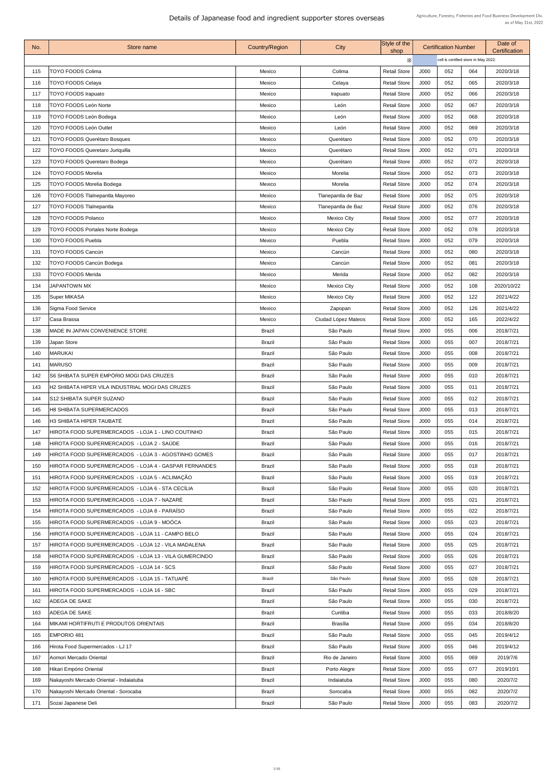| No. | <b>Store name</b>                                     | <b>Country/Region</b> | City                | Style of the<br>shop |      | <b>Certification Number</b>          |     | Date of<br>Certification |  |
|-----|-------------------------------------------------------|-----------------------|---------------------|----------------------|------|--------------------------------------|-----|--------------------------|--|
|     |                                                       |                       |                     | Х                    |      | cell is certified store in May 2022. |     |                          |  |
| 115 | <b>TOYO FOODS Colima</b>                              | Mexico                | Colima              | <b>Retail Store</b>  | J000 | 052                                  | 064 | 2020/3/18                |  |
| 116 | <b>TOYO FOODS Celaya</b>                              | Mexico                | Celaya              | <b>Retail Store</b>  | J000 | 052                                  | 065 | 2020/3/18                |  |
| 117 | <b>TOYO FOODS Irapuato</b>                            | Mexico                | Irapuato            | <b>Retail Store</b>  | J000 | 052                                  | 066 | 2020/3/18                |  |
| 118 | <b>TOYO FOODS León Norte</b>                          | Mexico                | León                | <b>Retail Store</b>  | J000 | 052                                  | 067 | 2020/3/18                |  |
| 119 | <b>TOYO FOODS León Bodega</b>                         | <b>Mexico</b>         | León                | <b>Retail Store</b>  | J000 | 052                                  | 068 | 2020/3/18                |  |
| 120 | <b>TOYO FOODS León Outlet</b>                         | <b>Mexico</b>         | León                | <b>Retail Store</b>  | J000 | 052                                  | 069 | 2020/3/18                |  |
| 121 | <b>TOYO FOODS Querétaro Bosques</b>                   | Mexico                | Querétaro           | <b>Retail Store</b>  | J000 | 052                                  | 070 | 2020/3/18                |  |
| 122 | <b>TOYO FOODS Queretaro Juriquilla</b>                | Mexico                | Querétaro           | <b>Retail Store</b>  | J000 | 052                                  | 071 | 2020/3/18                |  |
| 123 | <b>TOYO FOODS Queretaro Bodega</b>                    | Mexico                | Querétaro           | <b>Retail Store</b>  | J000 | 052                                  | 072 | 2020/3/18                |  |
| 124 | <b>TOYO FOODS Morelia</b>                             | <b>Mexico</b>         | Morelia             | <b>Retail Store</b>  | J000 | 052                                  | 073 | 2020/3/18                |  |
| 125 | <b>TOYO FOODS Morelia Bodega</b>                      | <b>Mexico</b>         | Morelia             | <b>Retail Store</b>  | J000 | 052                                  | 074 | 2020/3/18                |  |
| 126 | <b>TOYO FOODS Tlalnepantla Mayoreo</b>                | Mexico                | Tlanepantla de Baz  | <b>Retail Store</b>  | J000 | 052                                  | 075 | 2020/3/18                |  |
| 127 | <b>TOYO FOODS Tlalnepantla</b>                        | <b>Mexico</b>         | Tlanepantla de Baz  | <b>Retail Store</b>  | J000 | 052                                  | 076 | 2020/3/18                |  |
| 128 | <b>TOYO FOODS Polanco</b>                             | Mexico                | <b>Mexico City</b>  | <b>Retail Store</b>  | J000 | 052                                  | 077 | 2020/3/18                |  |
| 129 | <b>TOYO FOODS Portales Norte Bodega</b>               | Mexico                | <b>Mexico City</b>  | <b>Retail Store</b>  | J000 | 052                                  | 078 | 2020/3/18                |  |
| 130 | <b>TOYO FOODS Puebla</b>                              | <b>Mexico</b>         | Puebla              | <b>Retail Store</b>  | J000 | 052                                  | 079 | 2020/3/18                |  |
| 131 | <b>TOYO FOODS Cancún</b>                              | Mexico                | Cancún              | <b>Retail Store</b>  | J000 | 052                                  | 080 | 2020/3/18                |  |
| 132 | <b>TOYO FOODS Cancún Bodega</b>                       | Mexico                | Cancún              | <b>Retail Store</b>  | J000 | 052                                  | 081 | 2020/3/18                |  |
| 133 | <b>TOYO FOODS Merida</b>                              | Mexico                | Merida              | <b>Retail Store</b>  | J000 | 052                                  | 082 | 2020/3/18                |  |
| 134 | <b>JAPANTOWN MX</b>                                   | Mexico                | <b>Mexico City</b>  | <b>Retail Store</b>  | J000 | 052                                  | 108 | 2020/10/22               |  |
| 135 | <b>Super MIKASA</b>                                   | <b>Mexico</b>         | <b>Mexico City</b>  | <b>Retail Store</b>  | J000 | 052                                  | 122 | 2021/4/22                |  |
| 136 | Sigma Food Service                                    | <b>Mexico</b>         | Zapopan             | <b>Retail Store</b>  | J000 | 052                                  | 126 | 2021/4/22                |  |
| 137 | Casa Brassa                                           | Mexico                | Ciudad López Mateos | <b>Retail Store</b>  | J000 | 052                                  | 165 | 2022/4/22                |  |
| 138 | <b>IMADE IN JAPAN CONVENIENCE STORE</b>               | <b>Brazil</b>         | São Paulo           | <b>Retail Store</b>  | J000 | 055                                  | 006 | 2018/7/21                |  |
| 139 | Japan Store                                           | <b>Brazil</b>         | São Paulo           | <b>Retail Store</b>  | J000 | 055                                  | 007 | 2018/7/21                |  |
| 140 | <b>MARUKAI</b>                                        | <b>Brazil</b>         | São Paulo           | <b>Retail Store</b>  | J000 | 055                                  | 008 | 2018/7/21                |  |
| 141 | <b>MARUSO</b>                                         | <b>Brazil</b>         | São Paulo           | <b>Retail Store</b>  | J000 | 055                                  | 009 | 2018/7/21                |  |
| 142 | S6 SHIBATA SUPER EMPÓRIO MOGI DAS CRUZES              | <b>Brazil</b>         | São Paulo           | <b>Retail Store</b>  | J000 | 055                                  | 010 | 2018/7/21                |  |
| 143 | H2 SHIBATA HIPER VILA INDUSTRIAL MOGI DAS CRUZES      | <b>Brazil</b>         | São Paulo           | <b>Retail Store</b>  | J000 | 055                                  | 011 | 2018/7/21                |  |
| 144 | <b>S12 SHIBATA SUPER SUZANO</b>                       | <b>Brazil</b>         | São Paulo           | <b>Retail Store</b>  | J000 | 055                                  | 012 | 2018/7/21                |  |
| 145 | <b>H8 SHIBATA SUPERMERCADOS</b>                       | <b>Brazil</b>         | São Paulo           | <b>Retail Store</b>  | J000 | 055                                  | 013 | 2018/7/21                |  |
| 146 | H3 SHIBATA HIPER TAUBATÉ                              | <b>Brazil</b>         | São Paulo           | <b>Retail Store</b>  | J000 | 055                                  | 014 | 2018/7/21                |  |
| 147 | HIROTA FOOD SUPERMERCADOS - LOJA 1 - LINO COUTINHO    | <b>Brazil</b>         | São Paulo           | <b>Retail Store</b>  | J000 | 055                                  | 015 | 2018/7/21                |  |
| 148 | HIROTA FOOD SUPERMERCADOS - LOJA 2 - SAÚDE            | <b>Brazil</b>         | São Paulo           | <b>Retail Store</b>  | J000 | 055                                  | 016 | 2018/7/21                |  |
| 149 | HIROTA FOOD SUPERMERCADOS - LOJA 3 - AGOSTINHO GOMES  | <b>Brazil</b>         | São Paulo           | <b>Retail Store</b>  | J000 | 055                                  | 017 | 2018/7/21                |  |
| 150 | HIROTA FOOD SUPERMERCADOS - LOJA 4 - GASPAR FERNANDES | <b>Brazil</b>         | São Paulo           | <b>Retail Store</b>  | J000 | 055                                  | 018 | 2018/7/21                |  |
| 151 | HIROTA FOOD SUPERMERCADOS - LOJA 5 - ACLIMAÇÃO        | <b>Brazil</b>         | São Paulo           | <b>Retail Store</b>  | J000 | 055                                  | 019 | 2018/7/21                |  |
| 152 | HIROTA FOOD SUPERMERCADOS - LOJA 6 - STA CECÍLIA      | <b>Brazil</b>         | São Paulo           | <b>Retail Store</b>  | J000 | 055                                  | 020 | 2018/7/21                |  |
| 153 | HIROTA FOOD SUPERMERCADOS - LOJA 7 - NAZARÉ           | <b>Brazil</b>         | São Paulo           | <b>Retail Store</b>  | J000 | 055                                  | 021 | 2018/7/21                |  |
| 154 | HIROTA FOOD SUPERMERCADOS - LOJA 8 - PARAÍSO          | <b>Brazil</b>         | São Paulo           | <b>Retail Store</b>  | J000 | 055                                  | 022 | 2018/7/21                |  |
| 155 | HIROTA FOOD SUPERMERCADOS - LOJA 9 - MOÓCA            | <b>Brazil</b>         | São Paulo           | <b>Retail Store</b>  | J000 | 055                                  | 023 | 2018/7/21                |  |
| 156 | HIROTA FOOD SUPERMERCADOS - LOJA 11 - CAMPO BELO      | <b>Brazil</b>         | São Paulo           | <b>Retail Store</b>  | J000 | 055                                  | 024 | 2018/7/21                |  |
| 157 | HIROTA FOOD SUPERMERCADOS - LOJA 12 - VILA MADALENA   | <b>Brazil</b>         | São Paulo           | <b>Retail Store</b>  | J000 | 055                                  | 025 | 2018/7/21                |  |
| 158 | HIROTA FOOD SUPERMERCADOS - LOJA 13 - VILA GUMERCINDO | <b>Brazil</b>         | São Paulo           | <b>Retail Store</b>  | J000 | 055                                  | 026 | 2018/7/21                |  |
| 159 | HIROTA FOOD SUPERMERCADOS - LOJA 14 - SCS             | <b>Brazil</b>         | São Paulo           | <b>Retail Store</b>  | J000 | 055                                  | 027 | 2018/7/21                |  |
| 160 | HIROTA FOOD SUPERMERCADOS - LOJA 15 - TATUAPÉ         | <b>Brazil</b>         | São Paulo           | <b>Retail Store</b>  | J000 | 055                                  | 028 | 2018/7/21                |  |
| 161 | HIROTA FOOD SUPERMERCADOS - LOJA 16 - SBC             | <b>Brazil</b>         | São Paulo           | <b>Retail Store</b>  | J000 | 055                                  | 029 | 2018/7/21                |  |
| 162 | <b>ADEGA DE SAKE</b>                                  | <b>Brazil</b>         | São Paulo           | <b>Retail Store</b>  | J000 | 055                                  | 030 | 2018/7/21                |  |
| 163 | <b>ADEGA DE SAKE</b>                                  | <b>Brazil</b>         | Curitiba            | <b>Retail Store</b>  | J000 | 055                                  | 033 | 2018/8/20                |  |
| 164 | MIKAMI HORTIFRUTI E PRODUTOS ORIENTAIS                | <b>Brazil</b>         | <b>Brasília</b>     | <b>Retail Store</b>  | J000 | 055                                  | 034 | 2018/8/20                |  |
| 165 | <b>EMPORIO 481</b>                                    | <b>Brazil</b>         | São Paulo           | <b>Retail Store</b>  | J000 | 055                                  | 045 | 2019/4/12                |  |
| 166 | Hirota Food Supermercados - LJ 17                     | <b>Brazil</b>         | São Paulo           | <b>Retail Store</b>  | J000 | 055                                  | 046 | 2019/4/12                |  |
| 167 | Aomori Mercado Oriental                               | <b>Brazil</b>         | Rio de Janeiro      | <b>Retail Store</b>  | J000 | 055                                  | 069 | 2019/7/6                 |  |
| 168 | Hikari Empório Oriental                               | <b>Brazil</b>         | Porto Alegre        | <b>Retail Store</b>  | J000 | 055                                  | 077 | 2019/10/1                |  |
| 169 | Nakayoshi Mercado Oriental - Indaiatuba               | <b>Brazil</b>         | Indaiatuba          | <b>Retail Store</b>  | J000 | 055                                  | 080 | 2020/7/2                 |  |
| 170 | Nakayoshi Mercado Oriental - Sorocaba                 | <b>Brazil</b>         | Sorocaba            | <b>Retail Store</b>  | J000 | 055                                  | 082 | 2020/7/2                 |  |
| 171 | Sozai Japanese Deli                                   | <b>Brazil</b>         | São Paulo           | <b>Retail Store</b>  | J000 | 055                                  | 083 | 2020/7/2                 |  |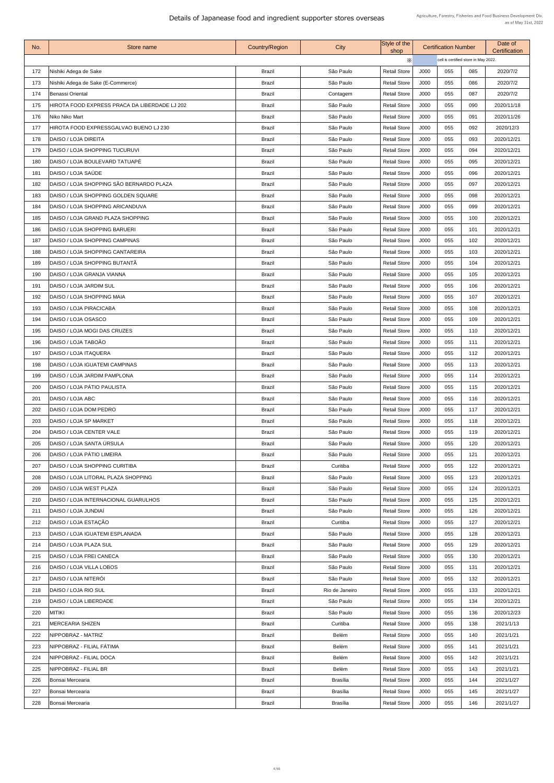| cell is certified store in May 2022.<br>$\times$<br>Nishiki Adega de Sake<br><b>Brazil</b><br>São Paulo<br>172<br><b>Retail Store</b><br>J000<br>055<br>2020/7/2<br>085<br>Nishiki Adega de Sake (E-Commerce)<br>J000<br>055<br>173<br><b>Brazil</b><br>São Paulo<br><b>Retail Store</b><br>086<br>2020/7/2<br>055<br>174<br>Benassi Oriental<br><b>Brazil</b><br><b>Retail Store</b><br>J000<br>087<br>2020/7/2<br>Contagem<br><b>Retail Store</b><br>J000<br>055<br>HIROTA FOOD EXPRESS PRACA DA LIBERDADE LJ 202<br><b>Brazil</b><br>São Paulo<br>090<br>2020/11/18<br>175<br>J000<br>176<br><b>Brazil</b><br>São Paulo<br><b>Retail Store</b><br>055<br>091<br>Niko Niko Mart<br>2020/11/26<br>J000<br>177<br>HIROTA FOOD EXPRESSGALVAO BUENO LJ 230<br><b>Brazil</b><br><b>Retail Store</b><br>055<br>092<br>2020/12/3<br>São Paulo<br><b>Brazil</b><br>178<br>DAISO / LOJA DIREITA<br>São Paulo<br><b>Retail Store</b><br>J000<br>055<br>093<br>2020/12/21<br>179<br><b>Brazil</b><br>J000<br>055<br>DAISO / LOJA SHOPPING TUCURUVI<br>São Paulo<br><b>Retail Store</b><br>094<br>2020/12/21<br>DAISO / LOJA BOULEVARD TATUAPÉ<br><b>Brazil</b><br>São Paulo<br><b>Retail Store</b><br>J000<br>055<br>095<br>2020/12/21<br>180<br>DAISO / LOJA SAÚDE<br>181<br><b>Brazil</b><br>J000<br>055<br>São Paulo<br><b>Retail Store</b><br>096<br>2020/12/21<br>DAISO / LOJA SHOPPING SÃO BERNARDO PLAZA<br>J000<br>097<br>182<br><b>Brazil</b><br><b>Retail Store</b><br>055<br>2020/12/21<br>São Paulo<br>DAISO / LOJA SHOPPING GOLDEN SQUARE<br><b>Brazil</b><br>183<br>São Paulo<br><b>Retail Store</b><br>J000<br>055<br>098<br>2020/12/21<br><b>Brazil</b><br>São Paulo<br>2020/12/21<br>184<br><b>IDAISO / LOJA SHOPPING ARICANDUVA</b><br><b>Retail Store</b><br>J000<br>055<br>099<br>São Paulo<br>DAISO / LOJA GRAND PLAZA SHOPPING<br><b>Brazil</b><br><b>Retail Store</b><br>J000<br>055<br>2020/12/21<br>185<br>100<br>DAISO / LOJA SHOPPING BARUERI<br>J000<br><b>Brazil</b><br>São Paulo<br><b>Retail Store</b><br>055<br>2020/12/21<br>186<br>101<br><b>Brazil</b><br>J000<br>055<br>187<br>DAISO / LOJA SHOPPING CAMPINAS<br>São Paulo<br><b>Retail Store</b><br>102<br>2020/12/21<br>DAISO / LOJA SHOPPING CANTAREIRA<br><b>Brazil</b><br>São Paulo<br><b>Retail Store</b><br>J000<br>055<br>2020/12/21<br>188<br>103<br>DAISO / LOJA SHOPPING BUTANTÃ<br><b>Brazil</b><br>São Paulo<br>189<br><b>Retail Store</b><br>J000<br>055<br>2020/12/21<br>104<br><b>Brazil</b><br>J000<br>055<br>105<br>190<br><b>DAISO / LOJA GRANJA VIANNA</b><br>São Paulo<br><b>Retail Store</b><br>2020/12/21<br>São Paulo<br><b>Retail Store</b><br>DAISO / LOJA JARDIM SUL<br><b>Brazil</b><br>J000<br>055<br>106<br>2020/12/21<br>191<br>DAISO / LOJA SHOPPING MAIA<br><b>Brazil</b><br><b>Retail Store</b><br>J000<br>055<br>107<br>192<br>São Paulo<br>2020/12/21<br>J000<br>193<br>DAISO / LOJA PIRACICABA<br><b>Brazil</b><br>São Paulo<br><b>Retail Store</b><br>055<br>2020/12/21<br>108<br>DAISO / LOJA OSASCO<br><b>Brazil</b><br>São Paulo<br>J000<br>055<br>194<br><b>Retail Store</b><br>109<br>2020/12/21<br><b>Brazil</b><br>São Paulo<br>J000<br>195<br>DAISO / LOJA MOGI DAS CRUZES<br><b>Retail Store</b><br>055<br>110<br>2020/12/21<br>DAISO / LOJA TABOÃO<br>196<br>São Paulo<br>J000<br>055<br>111<br>2020/12/21<br><b>Brazil</b><br><b>Retail Store</b><br>DAISO / LOJA ITAQUERA<br>São Paulo<br><b>Retail Store</b><br>J000<br>055<br>112<br>197<br><b>Brazil</b><br>2020/12/21<br>J000<br>055<br>113<br>2020/12/21<br>198<br><b>DAISO / LOJA IGUATEMI CAMPINAS</b><br><b>Brazil</b><br>São Paulo<br><b>Retail Store</b><br>DAISO / LOJA JARDIM PAMPLONA<br>São Paulo<br><b>Retail Store</b><br>199<br><b>Brazil</b><br>J000<br>055<br>114<br>2020/12/21<br>DAISO / LOJA PÁTIO PAULISTA<br><b>Brazil</b><br>São Paulo<br>J000<br>200<br><b>Retail Store</b><br>055<br>115<br>2020/12/21<br>DAISO / LOJA ABC<br><b>Brazil</b><br>São Paulo<br>J000<br>055<br>116<br>2020/12/21<br>201<br><b>Retail Store</b><br>DAISO / LOJA DOM PEDRO<br><b>Brazil</b><br>São Paulo<br><b>Retail Store</b><br>J000<br>055<br>202<br>117<br>2020/12/21<br>DAISO / LOJA SP MARKET<br><b>Brazil</b><br>São Paulo<br><b>Retail Store</b><br>J000<br>055<br>203<br>118<br>2020/12/21<br>DAISO / LOJA CENTER VALE<br><b>Brazil</b><br>São Paulo<br><b>Retail Store</b><br>J000<br>055<br>119<br>2020/12/21<br>204<br>DAISO / LOJA SANTA ÚRSULA<br>São Paulo<br><b>Retail Store</b><br>205<br><b>Brazil</b><br>J000<br>055<br>120<br>2020/12/21<br>DAISO / LOJA PÁTIO LIMEIRA<br><b>Brazil</b><br>206<br>São Paulo<br><b>Retail Store</b><br>J000<br>055<br>2020/12/21<br>121<br>DAISO / LOJA SHOPPING CURITIBA<br><b>Retail Store</b><br>J000<br>055<br>122<br>2020/12/21<br>207<br><b>Brazil</b><br>Curitiba<br>J000<br>DAISO / LOJA LITORAL PLAZA SHOPPING<br><b>Brazil</b><br>São Paulo<br><b>Retail Store</b><br>055<br>123<br>2020/12/21<br>208<br>DAISO / LOJA WEST PLAZA<br><b>Brazil</b><br>São Paulo<br><b>Retail Store</b><br>J000<br>055<br>124<br>2020/12/21<br>209<br>DAISO / LOJA INTERNACIONAL GUARULHOS<br><b>Brazil</b><br>São Paulo<br><b>Retail Store</b><br>J000<br>055<br>125<br>2020/12/21<br>210<br>DAISO / LOJA JUNDIAÍ<br>J000<br>211<br><b>Brazil</b><br>São Paulo<br><b>Retail Store</b><br>055<br>126<br>2020/12/21<br>DAISO / LOJA ESTAÇÃO<br>212<br>J000<br>055<br>127<br>2020/12/21<br><b>Brazil</b><br>Curitiba<br><b>Retail Store</b><br><b>Brazil</b><br>São Paulo<br><b>DAISO / LOJA IGUATEMI ESPLANADA</b><br><b>Retail Store</b><br>J000<br>055<br>128<br>2020/12/21<br>213<br>DAISO / LOJA PLAZA SUL<br><b>Brazil</b><br>São Paulo<br><b>Retail Store</b><br>J000<br>055<br>129<br>2020/12/21<br>214<br>DAISO / LOJA FREI CANECA<br>São Paulo<br>J000<br><b>Brazil</b><br><b>Retail Store</b><br>055<br>130<br>2020/12/21<br>215<br>São Paulo<br>DAISO / LOJA VILLA LOBOS<br><b>Brazil</b><br><b>Retail Store</b><br>J000<br>055<br>2020/12/21<br>216<br>131<br>DAISO / LOJA NITERÓI<br>217<br><b>Brazil</b><br>São Paulo<br>J000<br>055<br><b>Retail Store</b><br>132<br>2020/12/21<br>DAISO / LOJA RIO SUL<br><b>Brazil</b><br><b>Retail Store</b><br>J000<br>055<br>2020/12/21<br>Rio de Janeiro<br>133<br>218<br>055<br>DAISO / LOJA LIBERDADE<br><b>Brazil</b><br>São Paulo<br><b>Retail Store</b><br>J000<br>134<br>2020/12/21<br>219<br>São Paulo<br>220<br> MITIKI<br><b>Brazil</b><br><b>Retail Store</b><br>J000<br>055<br>136<br>2020/12/23<br>J000<br>055<br><b>MERCEARIA SHIZEN</b><br><b>Brazil</b><br>Curitiba<br><b>Retail Store</b><br>138<br>2021/1/13<br>221<br><b>Brazil</b><br>222<br>NIPPOBRAZ - MATRIZ<br><b>Belém</b><br><b>Retail Store</b><br>J000<br>055<br>140<br>2021/1/21<br>NIPPOBRAZ - FILIAL FÁTIMA<br><b>Brazil</b><br><b>Belém</b><br>J000<br>055<br>223<br><b>Retail Store</b><br>141<br>2021/1/21<br>055<br><b>NIPPOBRAZ - FILIAL DOCA</b><br><b>Brazil</b><br><b>Belém</b><br><b>Retail Store</b><br>J000<br>142<br>2021/1/21<br>224<br>NIPPOBRAZ - FILIAL BR<br><b>Brazil</b><br><b>Retail Store</b><br>J000<br>055<br>143<br><b>Belém</b><br>2021/1/21<br>225<br>J000<br>144<br>Bonsai Mercearia<br><b>Brazil</b><br><b>Brasília</b><br><b>Retail Store</b><br>055<br>2021/1/27<br>226<br><b>Retail Store</b><br>J000<br>055<br>2021/1/27<br>227<br>Bonsai Mercearia<br><b>Brazil</b><br><b>Brasília</b><br>145<br><b>Brazil</b><br>J000<br>055<br>146<br>2021/1/27<br>228<br>Bonsai Mercearia<br><b>Brasília</b><br><b>Retail Store</b> | No. | <b>Store name</b> | <b>Country/Region</b> | <b>City</b> | Style of the<br>shop | <b>Certification Number</b> |  | Date of<br>Certification |  |
|-------------------------------------------------------------------------------------------------------------------------------------------------------------------------------------------------------------------------------------------------------------------------------------------------------------------------------------------------------------------------------------------------------------------------------------------------------------------------------------------------------------------------------------------------------------------------------------------------------------------------------------------------------------------------------------------------------------------------------------------------------------------------------------------------------------------------------------------------------------------------------------------------------------------------------------------------------------------------------------------------------------------------------------------------------------------------------------------------------------------------------------------------------------------------------------------------------------------------------------------------------------------------------------------------------------------------------------------------------------------------------------------------------------------------------------------------------------------------------------------------------------------------------------------------------------------------------------------------------------------------------------------------------------------------------------------------------------------------------------------------------------------------------------------------------------------------------------------------------------------------------------------------------------------------------------------------------------------------------------------------------------------------------------------------------------------------------------------------------------------------------------------------------------------------------------------------------------------------------------------------------------------------------------------------------------------------------------------------------------------------------------------------------------------------------------------------------------------------------------------------------------------------------------------------------------------------------------------------------------------------------------------------------------------------------------------------------------------------------------------------------------------------------------------------------------------------------------------------------------------------------------------------------------------------------------------------------------------------------------------------------------------------------------------------------------------------------------------------------------------------------------------------------------------------------------------------------------------------------------------------------------------------------------------------------------------------------------------------------------------------------------------------------------------------------------------------------------------------------------------------------------------------------------------------------------------------------------------------------------------------------------------------------------------------------------------------------------------------------------------------------------------------------------------------------------------------------------------------------------------------------------------------------------------------------------------------------------------------------------------------------------------------------------------------------------------------------------------------------------------------------------------------------------------------------------------------------------------------------------------------------------------------------------------------------------------------------------------------------------------------------------------------------------------------------------------------------------------------------------------------------------------------------------------------------------------------------------------------------------------------------------------------------------------------------------------------------------------------------------------------------------------------------------------------------------------------------------------------------------------------------------------------------------------------------------------------------------------------------------------------------------------------------------------------------------------------------------------------------------------------------------------------------------------------------------------------------------------------------------------------------------------------------------------------------------------------------------------------------------------------------------------------------------------------------------------------------------------------------------------------------------------------------------------------------------------------------------------------------------------------------------------------------------------------------------------------------------------------------------------------------------------------------------------------------------------------------------------------------------------------------------------------------------------------------------------------------------------------------------------------------------------------------------------------------------------------------------------------------------------------------------------------------------------------------------------------------------------------------------------------------------------------------------------------------------------------------------------------------------------------------------------------------------------------------------------------------------------------------------------------------------------------------------------------------------------------------------------------------------------------------------------------------------------------------------------------------------------------------------------------------------------------------------------------------------------------------------------------------------------------------------------------------------------------------------------------------------------------------------------------------------------------------------------------------------------------------------------------------------------------------------------------------------------------------------------------------------------------------------------------------------------------------------------------------------------------------------------------------------------------------------------------------------------------------------------------------------------------------------------------------------------------|-----|-------------------|-----------------------|-------------|----------------------|-----------------------------|--|--------------------------|--|
|                                                                                                                                                                                                                                                                                                                                                                                                                                                                                                                                                                                                                                                                                                                                                                                                                                                                                                                                                                                                                                                                                                                                                                                                                                                                                                                                                                                                                                                                                                                                                                                                                                                                                                                                                                                                                                                                                                                                                                                                                                                                                                                                                                                                                                                                                                                                                                                                                                                                                                                                                                                                                                                                                                                                                                                                                                                                                                                                                                                                                                                                                                                                                                                                                                                                                                                                                                                                                                                                                                                                                                                                                                                                                                                                                                                                                                                                                                                                                                                                                                                                                                                                                                                                                                                                                                                                                                                                                                                                                                                                                                                                                                                                                                                                                                                                                                                                                                                                                                                                                                                                                                                                                                                                                                                                                                                                                                                                                                                                                                                                                                                                                                                                                                                                                                                                                                                                                                                                                                                                                                                                                                                                                                                                                                                                                                                                                                                                                                                                                                                                                                                                                                                                                                                                                                                                                                                                                                                                                                                                                                                                                                                                                                                                                                                                                                                                                                                                                                                                                                                         |     |                   |                       |             |                      |                             |  |                          |  |
|                                                                                                                                                                                                                                                                                                                                                                                                                                                                                                                                                                                                                                                                                                                                                                                                                                                                                                                                                                                                                                                                                                                                                                                                                                                                                                                                                                                                                                                                                                                                                                                                                                                                                                                                                                                                                                                                                                                                                                                                                                                                                                                                                                                                                                                                                                                                                                                                                                                                                                                                                                                                                                                                                                                                                                                                                                                                                                                                                                                                                                                                                                                                                                                                                                                                                                                                                                                                                                                                                                                                                                                                                                                                                                                                                                                                                                                                                                                                                                                                                                                                                                                                                                                                                                                                                                                                                                                                                                                                                                                                                                                                                                                                                                                                                                                                                                                                                                                                                                                                                                                                                                                                                                                                                                                                                                                                                                                                                                                                                                                                                                                                                                                                                                                                                                                                                                                                                                                                                                                                                                                                                                                                                                                                                                                                                                                                                                                                                                                                                                                                                                                                                                                                                                                                                                                                                                                                                                                                                                                                                                                                                                                                                                                                                                                                                                                                                                                                                                                                                                                         |     |                   |                       |             |                      |                             |  |                          |  |
|                                                                                                                                                                                                                                                                                                                                                                                                                                                                                                                                                                                                                                                                                                                                                                                                                                                                                                                                                                                                                                                                                                                                                                                                                                                                                                                                                                                                                                                                                                                                                                                                                                                                                                                                                                                                                                                                                                                                                                                                                                                                                                                                                                                                                                                                                                                                                                                                                                                                                                                                                                                                                                                                                                                                                                                                                                                                                                                                                                                                                                                                                                                                                                                                                                                                                                                                                                                                                                                                                                                                                                                                                                                                                                                                                                                                                                                                                                                                                                                                                                                                                                                                                                                                                                                                                                                                                                                                                                                                                                                                                                                                                                                                                                                                                                                                                                                                                                                                                                                                                                                                                                                                                                                                                                                                                                                                                                                                                                                                                                                                                                                                                                                                                                                                                                                                                                                                                                                                                                                                                                                                                                                                                                                                                                                                                                                                                                                                                                                                                                                                                                                                                                                                                                                                                                                                                                                                                                                                                                                                                                                                                                                                                                                                                                                                                                                                                                                                                                                                                                                         |     |                   |                       |             |                      |                             |  |                          |  |
|                                                                                                                                                                                                                                                                                                                                                                                                                                                                                                                                                                                                                                                                                                                                                                                                                                                                                                                                                                                                                                                                                                                                                                                                                                                                                                                                                                                                                                                                                                                                                                                                                                                                                                                                                                                                                                                                                                                                                                                                                                                                                                                                                                                                                                                                                                                                                                                                                                                                                                                                                                                                                                                                                                                                                                                                                                                                                                                                                                                                                                                                                                                                                                                                                                                                                                                                                                                                                                                                                                                                                                                                                                                                                                                                                                                                                                                                                                                                                                                                                                                                                                                                                                                                                                                                                                                                                                                                                                                                                                                                                                                                                                                                                                                                                                                                                                                                                                                                                                                                                                                                                                                                                                                                                                                                                                                                                                                                                                                                                                                                                                                                                                                                                                                                                                                                                                                                                                                                                                                                                                                                                                                                                                                                                                                                                                                                                                                                                                                                                                                                                                                                                                                                                                                                                                                                                                                                                                                                                                                                                                                                                                                                                                                                                                                                                                                                                                                                                                                                                                                         |     |                   |                       |             |                      |                             |  |                          |  |
|                                                                                                                                                                                                                                                                                                                                                                                                                                                                                                                                                                                                                                                                                                                                                                                                                                                                                                                                                                                                                                                                                                                                                                                                                                                                                                                                                                                                                                                                                                                                                                                                                                                                                                                                                                                                                                                                                                                                                                                                                                                                                                                                                                                                                                                                                                                                                                                                                                                                                                                                                                                                                                                                                                                                                                                                                                                                                                                                                                                                                                                                                                                                                                                                                                                                                                                                                                                                                                                                                                                                                                                                                                                                                                                                                                                                                                                                                                                                                                                                                                                                                                                                                                                                                                                                                                                                                                                                                                                                                                                                                                                                                                                                                                                                                                                                                                                                                                                                                                                                                                                                                                                                                                                                                                                                                                                                                                                                                                                                                                                                                                                                                                                                                                                                                                                                                                                                                                                                                                                                                                                                                                                                                                                                                                                                                                                                                                                                                                                                                                                                                                                                                                                                                                                                                                                                                                                                                                                                                                                                                                                                                                                                                                                                                                                                                                                                                                                                                                                                                                                         |     |                   |                       |             |                      |                             |  |                          |  |
|                                                                                                                                                                                                                                                                                                                                                                                                                                                                                                                                                                                                                                                                                                                                                                                                                                                                                                                                                                                                                                                                                                                                                                                                                                                                                                                                                                                                                                                                                                                                                                                                                                                                                                                                                                                                                                                                                                                                                                                                                                                                                                                                                                                                                                                                                                                                                                                                                                                                                                                                                                                                                                                                                                                                                                                                                                                                                                                                                                                                                                                                                                                                                                                                                                                                                                                                                                                                                                                                                                                                                                                                                                                                                                                                                                                                                                                                                                                                                                                                                                                                                                                                                                                                                                                                                                                                                                                                                                                                                                                                                                                                                                                                                                                                                                                                                                                                                                                                                                                                                                                                                                                                                                                                                                                                                                                                                                                                                                                                                                                                                                                                                                                                                                                                                                                                                                                                                                                                                                                                                                                                                                                                                                                                                                                                                                                                                                                                                                                                                                                                                                                                                                                                                                                                                                                                                                                                                                                                                                                                                                                                                                                                                                                                                                                                                                                                                                                                                                                                                                                         |     |                   |                       |             |                      |                             |  |                          |  |
|                                                                                                                                                                                                                                                                                                                                                                                                                                                                                                                                                                                                                                                                                                                                                                                                                                                                                                                                                                                                                                                                                                                                                                                                                                                                                                                                                                                                                                                                                                                                                                                                                                                                                                                                                                                                                                                                                                                                                                                                                                                                                                                                                                                                                                                                                                                                                                                                                                                                                                                                                                                                                                                                                                                                                                                                                                                                                                                                                                                                                                                                                                                                                                                                                                                                                                                                                                                                                                                                                                                                                                                                                                                                                                                                                                                                                                                                                                                                                                                                                                                                                                                                                                                                                                                                                                                                                                                                                                                                                                                                                                                                                                                                                                                                                                                                                                                                                                                                                                                                                                                                                                                                                                                                                                                                                                                                                                                                                                                                                                                                                                                                                                                                                                                                                                                                                                                                                                                                                                                                                                                                                                                                                                                                                                                                                                                                                                                                                                                                                                                                                                                                                                                                                                                                                                                                                                                                                                                                                                                                                                                                                                                                                                                                                                                                                                                                                                                                                                                                                                                         |     |                   |                       |             |                      |                             |  |                          |  |
|                                                                                                                                                                                                                                                                                                                                                                                                                                                                                                                                                                                                                                                                                                                                                                                                                                                                                                                                                                                                                                                                                                                                                                                                                                                                                                                                                                                                                                                                                                                                                                                                                                                                                                                                                                                                                                                                                                                                                                                                                                                                                                                                                                                                                                                                                                                                                                                                                                                                                                                                                                                                                                                                                                                                                                                                                                                                                                                                                                                                                                                                                                                                                                                                                                                                                                                                                                                                                                                                                                                                                                                                                                                                                                                                                                                                                                                                                                                                                                                                                                                                                                                                                                                                                                                                                                                                                                                                                                                                                                                                                                                                                                                                                                                                                                                                                                                                                                                                                                                                                                                                                                                                                                                                                                                                                                                                                                                                                                                                                                                                                                                                                                                                                                                                                                                                                                                                                                                                                                                                                                                                                                                                                                                                                                                                                                                                                                                                                                                                                                                                                                                                                                                                                                                                                                                                                                                                                                                                                                                                                                                                                                                                                                                                                                                                                                                                                                                                                                                                                                                         |     |                   |                       |             |                      |                             |  |                          |  |
|                                                                                                                                                                                                                                                                                                                                                                                                                                                                                                                                                                                                                                                                                                                                                                                                                                                                                                                                                                                                                                                                                                                                                                                                                                                                                                                                                                                                                                                                                                                                                                                                                                                                                                                                                                                                                                                                                                                                                                                                                                                                                                                                                                                                                                                                                                                                                                                                                                                                                                                                                                                                                                                                                                                                                                                                                                                                                                                                                                                                                                                                                                                                                                                                                                                                                                                                                                                                                                                                                                                                                                                                                                                                                                                                                                                                                                                                                                                                                                                                                                                                                                                                                                                                                                                                                                                                                                                                                                                                                                                                                                                                                                                                                                                                                                                                                                                                                                                                                                                                                                                                                                                                                                                                                                                                                                                                                                                                                                                                                                                                                                                                                                                                                                                                                                                                                                                                                                                                                                                                                                                                                                                                                                                                                                                                                                                                                                                                                                                                                                                                                                                                                                                                                                                                                                                                                                                                                                                                                                                                                                                                                                                                                                                                                                                                                                                                                                                                                                                                                                                         |     |                   |                       |             |                      |                             |  |                          |  |
|                                                                                                                                                                                                                                                                                                                                                                                                                                                                                                                                                                                                                                                                                                                                                                                                                                                                                                                                                                                                                                                                                                                                                                                                                                                                                                                                                                                                                                                                                                                                                                                                                                                                                                                                                                                                                                                                                                                                                                                                                                                                                                                                                                                                                                                                                                                                                                                                                                                                                                                                                                                                                                                                                                                                                                                                                                                                                                                                                                                                                                                                                                                                                                                                                                                                                                                                                                                                                                                                                                                                                                                                                                                                                                                                                                                                                                                                                                                                                                                                                                                                                                                                                                                                                                                                                                                                                                                                                                                                                                                                                                                                                                                                                                                                                                                                                                                                                                                                                                                                                                                                                                                                                                                                                                                                                                                                                                                                                                                                                                                                                                                                                                                                                                                                                                                                                                                                                                                                                                                                                                                                                                                                                                                                                                                                                                                                                                                                                                                                                                                                                                                                                                                                                                                                                                                                                                                                                                                                                                                                                                                                                                                                                                                                                                                                                                                                                                                                                                                                                                                         |     |                   |                       |             |                      |                             |  |                          |  |
|                                                                                                                                                                                                                                                                                                                                                                                                                                                                                                                                                                                                                                                                                                                                                                                                                                                                                                                                                                                                                                                                                                                                                                                                                                                                                                                                                                                                                                                                                                                                                                                                                                                                                                                                                                                                                                                                                                                                                                                                                                                                                                                                                                                                                                                                                                                                                                                                                                                                                                                                                                                                                                                                                                                                                                                                                                                                                                                                                                                                                                                                                                                                                                                                                                                                                                                                                                                                                                                                                                                                                                                                                                                                                                                                                                                                                                                                                                                                                                                                                                                                                                                                                                                                                                                                                                                                                                                                                                                                                                                                                                                                                                                                                                                                                                                                                                                                                                                                                                                                                                                                                                                                                                                                                                                                                                                                                                                                                                                                                                                                                                                                                                                                                                                                                                                                                                                                                                                                                                                                                                                                                                                                                                                                                                                                                                                                                                                                                                                                                                                                                                                                                                                                                                                                                                                                                                                                                                                                                                                                                                                                                                                                                                                                                                                                                                                                                                                                                                                                                                                         |     |                   |                       |             |                      |                             |  |                          |  |
|                                                                                                                                                                                                                                                                                                                                                                                                                                                                                                                                                                                                                                                                                                                                                                                                                                                                                                                                                                                                                                                                                                                                                                                                                                                                                                                                                                                                                                                                                                                                                                                                                                                                                                                                                                                                                                                                                                                                                                                                                                                                                                                                                                                                                                                                                                                                                                                                                                                                                                                                                                                                                                                                                                                                                                                                                                                                                                                                                                                                                                                                                                                                                                                                                                                                                                                                                                                                                                                                                                                                                                                                                                                                                                                                                                                                                                                                                                                                                                                                                                                                                                                                                                                                                                                                                                                                                                                                                                                                                                                                                                                                                                                                                                                                                                                                                                                                                                                                                                                                                                                                                                                                                                                                                                                                                                                                                                                                                                                                                                                                                                                                                                                                                                                                                                                                                                                                                                                                                                                                                                                                                                                                                                                                                                                                                                                                                                                                                                                                                                                                                                                                                                                                                                                                                                                                                                                                                                                                                                                                                                                                                                                                                                                                                                                                                                                                                                                                                                                                                                                         |     |                   |                       |             |                      |                             |  |                          |  |
|                                                                                                                                                                                                                                                                                                                                                                                                                                                                                                                                                                                                                                                                                                                                                                                                                                                                                                                                                                                                                                                                                                                                                                                                                                                                                                                                                                                                                                                                                                                                                                                                                                                                                                                                                                                                                                                                                                                                                                                                                                                                                                                                                                                                                                                                                                                                                                                                                                                                                                                                                                                                                                                                                                                                                                                                                                                                                                                                                                                                                                                                                                                                                                                                                                                                                                                                                                                                                                                                                                                                                                                                                                                                                                                                                                                                                                                                                                                                                                                                                                                                                                                                                                                                                                                                                                                                                                                                                                                                                                                                                                                                                                                                                                                                                                                                                                                                                                                                                                                                                                                                                                                                                                                                                                                                                                                                                                                                                                                                                                                                                                                                                                                                                                                                                                                                                                                                                                                                                                                                                                                                                                                                                                                                                                                                                                                                                                                                                                                                                                                                                                                                                                                                                                                                                                                                                                                                                                                                                                                                                                                                                                                                                                                                                                                                                                                                                                                                                                                                                                                         |     |                   |                       |             |                      |                             |  |                          |  |
|                                                                                                                                                                                                                                                                                                                                                                                                                                                                                                                                                                                                                                                                                                                                                                                                                                                                                                                                                                                                                                                                                                                                                                                                                                                                                                                                                                                                                                                                                                                                                                                                                                                                                                                                                                                                                                                                                                                                                                                                                                                                                                                                                                                                                                                                                                                                                                                                                                                                                                                                                                                                                                                                                                                                                                                                                                                                                                                                                                                                                                                                                                                                                                                                                                                                                                                                                                                                                                                                                                                                                                                                                                                                                                                                                                                                                                                                                                                                                                                                                                                                                                                                                                                                                                                                                                                                                                                                                                                                                                                                                                                                                                                                                                                                                                                                                                                                                                                                                                                                                                                                                                                                                                                                                                                                                                                                                                                                                                                                                                                                                                                                                                                                                                                                                                                                                                                                                                                                                                                                                                                                                                                                                                                                                                                                                                                                                                                                                                                                                                                                                                                                                                                                                                                                                                                                                                                                                                                                                                                                                                                                                                                                                                                                                                                                                                                                                                                                                                                                                                                         |     |                   |                       |             |                      |                             |  |                          |  |
|                                                                                                                                                                                                                                                                                                                                                                                                                                                                                                                                                                                                                                                                                                                                                                                                                                                                                                                                                                                                                                                                                                                                                                                                                                                                                                                                                                                                                                                                                                                                                                                                                                                                                                                                                                                                                                                                                                                                                                                                                                                                                                                                                                                                                                                                                                                                                                                                                                                                                                                                                                                                                                                                                                                                                                                                                                                                                                                                                                                                                                                                                                                                                                                                                                                                                                                                                                                                                                                                                                                                                                                                                                                                                                                                                                                                                                                                                                                                                                                                                                                                                                                                                                                                                                                                                                                                                                                                                                                                                                                                                                                                                                                                                                                                                                                                                                                                                                                                                                                                                                                                                                                                                                                                                                                                                                                                                                                                                                                                                                                                                                                                                                                                                                                                                                                                                                                                                                                                                                                                                                                                                                                                                                                                                                                                                                                                                                                                                                                                                                                                                                                                                                                                                                                                                                                                                                                                                                                                                                                                                                                                                                                                                                                                                                                                                                                                                                                                                                                                                                                         |     |                   |                       |             |                      |                             |  |                          |  |
|                                                                                                                                                                                                                                                                                                                                                                                                                                                                                                                                                                                                                                                                                                                                                                                                                                                                                                                                                                                                                                                                                                                                                                                                                                                                                                                                                                                                                                                                                                                                                                                                                                                                                                                                                                                                                                                                                                                                                                                                                                                                                                                                                                                                                                                                                                                                                                                                                                                                                                                                                                                                                                                                                                                                                                                                                                                                                                                                                                                                                                                                                                                                                                                                                                                                                                                                                                                                                                                                                                                                                                                                                                                                                                                                                                                                                                                                                                                                                                                                                                                                                                                                                                                                                                                                                                                                                                                                                                                                                                                                                                                                                                                                                                                                                                                                                                                                                                                                                                                                                                                                                                                                                                                                                                                                                                                                                                                                                                                                                                                                                                                                                                                                                                                                                                                                                                                                                                                                                                                                                                                                                                                                                                                                                                                                                                                                                                                                                                                                                                                                                                                                                                                                                                                                                                                                                                                                                                                                                                                                                                                                                                                                                                                                                                                                                                                                                                                                                                                                                                                         |     |                   |                       |             |                      |                             |  |                          |  |
|                                                                                                                                                                                                                                                                                                                                                                                                                                                                                                                                                                                                                                                                                                                                                                                                                                                                                                                                                                                                                                                                                                                                                                                                                                                                                                                                                                                                                                                                                                                                                                                                                                                                                                                                                                                                                                                                                                                                                                                                                                                                                                                                                                                                                                                                                                                                                                                                                                                                                                                                                                                                                                                                                                                                                                                                                                                                                                                                                                                                                                                                                                                                                                                                                                                                                                                                                                                                                                                                                                                                                                                                                                                                                                                                                                                                                                                                                                                                                                                                                                                                                                                                                                                                                                                                                                                                                                                                                                                                                                                                                                                                                                                                                                                                                                                                                                                                                                                                                                                                                                                                                                                                                                                                                                                                                                                                                                                                                                                                                                                                                                                                                                                                                                                                                                                                                                                                                                                                                                                                                                                                                                                                                                                                                                                                                                                                                                                                                                                                                                                                                                                                                                                                                                                                                                                                                                                                                                                                                                                                                                                                                                                                                                                                                                                                                                                                                                                                                                                                                                                         |     |                   |                       |             |                      |                             |  |                          |  |
|                                                                                                                                                                                                                                                                                                                                                                                                                                                                                                                                                                                                                                                                                                                                                                                                                                                                                                                                                                                                                                                                                                                                                                                                                                                                                                                                                                                                                                                                                                                                                                                                                                                                                                                                                                                                                                                                                                                                                                                                                                                                                                                                                                                                                                                                                                                                                                                                                                                                                                                                                                                                                                                                                                                                                                                                                                                                                                                                                                                                                                                                                                                                                                                                                                                                                                                                                                                                                                                                                                                                                                                                                                                                                                                                                                                                                                                                                                                                                                                                                                                                                                                                                                                                                                                                                                                                                                                                                                                                                                                                                                                                                                                                                                                                                                                                                                                                                                                                                                                                                                                                                                                                                                                                                                                                                                                                                                                                                                                                                                                                                                                                                                                                                                                                                                                                                                                                                                                                                                                                                                                                                                                                                                                                                                                                                                                                                                                                                                                                                                                                                                                                                                                                                                                                                                                                                                                                                                                                                                                                                                                                                                                                                                                                                                                                                                                                                                                                                                                                                                                         |     |                   |                       |             |                      |                             |  |                          |  |
|                                                                                                                                                                                                                                                                                                                                                                                                                                                                                                                                                                                                                                                                                                                                                                                                                                                                                                                                                                                                                                                                                                                                                                                                                                                                                                                                                                                                                                                                                                                                                                                                                                                                                                                                                                                                                                                                                                                                                                                                                                                                                                                                                                                                                                                                                                                                                                                                                                                                                                                                                                                                                                                                                                                                                                                                                                                                                                                                                                                                                                                                                                                                                                                                                                                                                                                                                                                                                                                                                                                                                                                                                                                                                                                                                                                                                                                                                                                                                                                                                                                                                                                                                                                                                                                                                                                                                                                                                                                                                                                                                                                                                                                                                                                                                                                                                                                                                                                                                                                                                                                                                                                                                                                                                                                                                                                                                                                                                                                                                                                                                                                                                                                                                                                                                                                                                                                                                                                                                                                                                                                                                                                                                                                                                                                                                                                                                                                                                                                                                                                                                                                                                                                                                                                                                                                                                                                                                                                                                                                                                                                                                                                                                                                                                                                                                                                                                                                                                                                                                                                         |     |                   |                       |             |                      |                             |  |                          |  |
|                                                                                                                                                                                                                                                                                                                                                                                                                                                                                                                                                                                                                                                                                                                                                                                                                                                                                                                                                                                                                                                                                                                                                                                                                                                                                                                                                                                                                                                                                                                                                                                                                                                                                                                                                                                                                                                                                                                                                                                                                                                                                                                                                                                                                                                                                                                                                                                                                                                                                                                                                                                                                                                                                                                                                                                                                                                                                                                                                                                                                                                                                                                                                                                                                                                                                                                                                                                                                                                                                                                                                                                                                                                                                                                                                                                                                                                                                                                                                                                                                                                                                                                                                                                                                                                                                                                                                                                                                                                                                                                                                                                                                                                                                                                                                                                                                                                                                                                                                                                                                                                                                                                                                                                                                                                                                                                                                                                                                                                                                                                                                                                                                                                                                                                                                                                                                                                                                                                                                                                                                                                                                                                                                                                                                                                                                                                                                                                                                                                                                                                                                                                                                                                                                                                                                                                                                                                                                                                                                                                                                                                                                                                                                                                                                                                                                                                                                                                                                                                                                                                         |     |                   |                       |             |                      |                             |  |                          |  |
|                                                                                                                                                                                                                                                                                                                                                                                                                                                                                                                                                                                                                                                                                                                                                                                                                                                                                                                                                                                                                                                                                                                                                                                                                                                                                                                                                                                                                                                                                                                                                                                                                                                                                                                                                                                                                                                                                                                                                                                                                                                                                                                                                                                                                                                                                                                                                                                                                                                                                                                                                                                                                                                                                                                                                                                                                                                                                                                                                                                                                                                                                                                                                                                                                                                                                                                                                                                                                                                                                                                                                                                                                                                                                                                                                                                                                                                                                                                                                                                                                                                                                                                                                                                                                                                                                                                                                                                                                                                                                                                                                                                                                                                                                                                                                                                                                                                                                                                                                                                                                                                                                                                                                                                                                                                                                                                                                                                                                                                                                                                                                                                                                                                                                                                                                                                                                                                                                                                                                                                                                                                                                                                                                                                                                                                                                                                                                                                                                                                                                                                                                                                                                                                                                                                                                                                                                                                                                                                                                                                                                                                                                                                                                                                                                                                                                                                                                                                                                                                                                                                         |     |                   |                       |             |                      |                             |  |                          |  |
|                                                                                                                                                                                                                                                                                                                                                                                                                                                                                                                                                                                                                                                                                                                                                                                                                                                                                                                                                                                                                                                                                                                                                                                                                                                                                                                                                                                                                                                                                                                                                                                                                                                                                                                                                                                                                                                                                                                                                                                                                                                                                                                                                                                                                                                                                                                                                                                                                                                                                                                                                                                                                                                                                                                                                                                                                                                                                                                                                                                                                                                                                                                                                                                                                                                                                                                                                                                                                                                                                                                                                                                                                                                                                                                                                                                                                                                                                                                                                                                                                                                                                                                                                                                                                                                                                                                                                                                                                                                                                                                                                                                                                                                                                                                                                                                                                                                                                                                                                                                                                                                                                                                                                                                                                                                                                                                                                                                                                                                                                                                                                                                                                                                                                                                                                                                                                                                                                                                                                                                                                                                                                                                                                                                                                                                                                                                                                                                                                                                                                                                                                                                                                                                                                                                                                                                                                                                                                                                                                                                                                                                                                                                                                                                                                                                                                                                                                                                                                                                                                                                         |     |                   |                       |             |                      |                             |  |                          |  |
|                                                                                                                                                                                                                                                                                                                                                                                                                                                                                                                                                                                                                                                                                                                                                                                                                                                                                                                                                                                                                                                                                                                                                                                                                                                                                                                                                                                                                                                                                                                                                                                                                                                                                                                                                                                                                                                                                                                                                                                                                                                                                                                                                                                                                                                                                                                                                                                                                                                                                                                                                                                                                                                                                                                                                                                                                                                                                                                                                                                                                                                                                                                                                                                                                                                                                                                                                                                                                                                                                                                                                                                                                                                                                                                                                                                                                                                                                                                                                                                                                                                                                                                                                                                                                                                                                                                                                                                                                                                                                                                                                                                                                                                                                                                                                                                                                                                                                                                                                                                                                                                                                                                                                                                                                                                                                                                                                                                                                                                                                                                                                                                                                                                                                                                                                                                                                                                                                                                                                                                                                                                                                                                                                                                                                                                                                                                                                                                                                                                                                                                                                                                                                                                                                                                                                                                                                                                                                                                                                                                                                                                                                                                                                                                                                                                                                                                                                                                                                                                                                                                         |     |                   |                       |             |                      |                             |  |                          |  |
|                                                                                                                                                                                                                                                                                                                                                                                                                                                                                                                                                                                                                                                                                                                                                                                                                                                                                                                                                                                                                                                                                                                                                                                                                                                                                                                                                                                                                                                                                                                                                                                                                                                                                                                                                                                                                                                                                                                                                                                                                                                                                                                                                                                                                                                                                                                                                                                                                                                                                                                                                                                                                                                                                                                                                                                                                                                                                                                                                                                                                                                                                                                                                                                                                                                                                                                                                                                                                                                                                                                                                                                                                                                                                                                                                                                                                                                                                                                                                                                                                                                                                                                                                                                                                                                                                                                                                                                                                                                                                                                                                                                                                                                                                                                                                                                                                                                                                                                                                                                                                                                                                                                                                                                                                                                                                                                                                                                                                                                                                                                                                                                                                                                                                                                                                                                                                                                                                                                                                                                                                                                                                                                                                                                                                                                                                                                                                                                                                                                                                                                                                                                                                                                                                                                                                                                                                                                                                                                                                                                                                                                                                                                                                                                                                                                                                                                                                                                                                                                                                                                         |     |                   |                       |             |                      |                             |  |                          |  |
|                                                                                                                                                                                                                                                                                                                                                                                                                                                                                                                                                                                                                                                                                                                                                                                                                                                                                                                                                                                                                                                                                                                                                                                                                                                                                                                                                                                                                                                                                                                                                                                                                                                                                                                                                                                                                                                                                                                                                                                                                                                                                                                                                                                                                                                                                                                                                                                                                                                                                                                                                                                                                                                                                                                                                                                                                                                                                                                                                                                                                                                                                                                                                                                                                                                                                                                                                                                                                                                                                                                                                                                                                                                                                                                                                                                                                                                                                                                                                                                                                                                                                                                                                                                                                                                                                                                                                                                                                                                                                                                                                                                                                                                                                                                                                                                                                                                                                                                                                                                                                                                                                                                                                                                                                                                                                                                                                                                                                                                                                                                                                                                                                                                                                                                                                                                                                                                                                                                                                                                                                                                                                                                                                                                                                                                                                                                                                                                                                                                                                                                                                                                                                                                                                                                                                                                                                                                                                                                                                                                                                                                                                                                                                                                                                                                                                                                                                                                                                                                                                                                         |     |                   |                       |             |                      |                             |  |                          |  |
|                                                                                                                                                                                                                                                                                                                                                                                                                                                                                                                                                                                                                                                                                                                                                                                                                                                                                                                                                                                                                                                                                                                                                                                                                                                                                                                                                                                                                                                                                                                                                                                                                                                                                                                                                                                                                                                                                                                                                                                                                                                                                                                                                                                                                                                                                                                                                                                                                                                                                                                                                                                                                                                                                                                                                                                                                                                                                                                                                                                                                                                                                                                                                                                                                                                                                                                                                                                                                                                                                                                                                                                                                                                                                                                                                                                                                                                                                                                                                                                                                                                                                                                                                                                                                                                                                                                                                                                                                                                                                                                                                                                                                                                                                                                                                                                                                                                                                                                                                                                                                                                                                                                                                                                                                                                                                                                                                                                                                                                                                                                                                                                                                                                                                                                                                                                                                                                                                                                                                                                                                                                                                                                                                                                                                                                                                                                                                                                                                                                                                                                                                                                                                                                                                                                                                                                                                                                                                                                                                                                                                                                                                                                                                                                                                                                                                                                                                                                                                                                                                                                         |     |                   |                       |             |                      |                             |  |                          |  |
|                                                                                                                                                                                                                                                                                                                                                                                                                                                                                                                                                                                                                                                                                                                                                                                                                                                                                                                                                                                                                                                                                                                                                                                                                                                                                                                                                                                                                                                                                                                                                                                                                                                                                                                                                                                                                                                                                                                                                                                                                                                                                                                                                                                                                                                                                                                                                                                                                                                                                                                                                                                                                                                                                                                                                                                                                                                                                                                                                                                                                                                                                                                                                                                                                                                                                                                                                                                                                                                                                                                                                                                                                                                                                                                                                                                                                                                                                                                                                                                                                                                                                                                                                                                                                                                                                                                                                                                                                                                                                                                                                                                                                                                                                                                                                                                                                                                                                                                                                                                                                                                                                                                                                                                                                                                                                                                                                                                                                                                                                                                                                                                                                                                                                                                                                                                                                                                                                                                                                                                                                                                                                                                                                                                                                                                                                                                                                                                                                                                                                                                                                                                                                                                                                                                                                                                                                                                                                                                                                                                                                                                                                                                                                                                                                                                                                                                                                                                                                                                                                                                         |     |                   |                       |             |                      |                             |  |                          |  |
|                                                                                                                                                                                                                                                                                                                                                                                                                                                                                                                                                                                                                                                                                                                                                                                                                                                                                                                                                                                                                                                                                                                                                                                                                                                                                                                                                                                                                                                                                                                                                                                                                                                                                                                                                                                                                                                                                                                                                                                                                                                                                                                                                                                                                                                                                                                                                                                                                                                                                                                                                                                                                                                                                                                                                                                                                                                                                                                                                                                                                                                                                                                                                                                                                                                                                                                                                                                                                                                                                                                                                                                                                                                                                                                                                                                                                                                                                                                                                                                                                                                                                                                                                                                                                                                                                                                                                                                                                                                                                                                                                                                                                                                                                                                                                                                                                                                                                                                                                                                                                                                                                                                                                                                                                                                                                                                                                                                                                                                                                                                                                                                                                                                                                                                                                                                                                                                                                                                                                                                                                                                                                                                                                                                                                                                                                                                                                                                                                                                                                                                                                                                                                                                                                                                                                                                                                                                                                                                                                                                                                                                                                                                                                                                                                                                                                                                                                                                                                                                                                                                         |     |                   |                       |             |                      |                             |  |                          |  |
|                                                                                                                                                                                                                                                                                                                                                                                                                                                                                                                                                                                                                                                                                                                                                                                                                                                                                                                                                                                                                                                                                                                                                                                                                                                                                                                                                                                                                                                                                                                                                                                                                                                                                                                                                                                                                                                                                                                                                                                                                                                                                                                                                                                                                                                                                                                                                                                                                                                                                                                                                                                                                                                                                                                                                                                                                                                                                                                                                                                                                                                                                                                                                                                                                                                                                                                                                                                                                                                                                                                                                                                                                                                                                                                                                                                                                                                                                                                                                                                                                                                                                                                                                                                                                                                                                                                                                                                                                                                                                                                                                                                                                                                                                                                                                                                                                                                                                                                                                                                                                                                                                                                                                                                                                                                                                                                                                                                                                                                                                                                                                                                                                                                                                                                                                                                                                                                                                                                                                                                                                                                                                                                                                                                                                                                                                                                                                                                                                                                                                                                                                                                                                                                                                                                                                                                                                                                                                                                                                                                                                                                                                                                                                                                                                                                                                                                                                                                                                                                                                                                         |     |                   |                       |             |                      |                             |  |                          |  |
|                                                                                                                                                                                                                                                                                                                                                                                                                                                                                                                                                                                                                                                                                                                                                                                                                                                                                                                                                                                                                                                                                                                                                                                                                                                                                                                                                                                                                                                                                                                                                                                                                                                                                                                                                                                                                                                                                                                                                                                                                                                                                                                                                                                                                                                                                                                                                                                                                                                                                                                                                                                                                                                                                                                                                                                                                                                                                                                                                                                                                                                                                                                                                                                                                                                                                                                                                                                                                                                                                                                                                                                                                                                                                                                                                                                                                                                                                                                                                                                                                                                                                                                                                                                                                                                                                                                                                                                                                                                                                                                                                                                                                                                                                                                                                                                                                                                                                                                                                                                                                                                                                                                                                                                                                                                                                                                                                                                                                                                                                                                                                                                                                                                                                                                                                                                                                                                                                                                                                                                                                                                                                                                                                                                                                                                                                                                                                                                                                                                                                                                                                                                                                                                                                                                                                                                                                                                                                                                                                                                                                                                                                                                                                                                                                                                                                                                                                                                                                                                                                                                         |     |                   |                       |             |                      |                             |  |                          |  |
|                                                                                                                                                                                                                                                                                                                                                                                                                                                                                                                                                                                                                                                                                                                                                                                                                                                                                                                                                                                                                                                                                                                                                                                                                                                                                                                                                                                                                                                                                                                                                                                                                                                                                                                                                                                                                                                                                                                                                                                                                                                                                                                                                                                                                                                                                                                                                                                                                                                                                                                                                                                                                                                                                                                                                                                                                                                                                                                                                                                                                                                                                                                                                                                                                                                                                                                                                                                                                                                                                                                                                                                                                                                                                                                                                                                                                                                                                                                                                                                                                                                                                                                                                                                                                                                                                                                                                                                                                                                                                                                                                                                                                                                                                                                                                                                                                                                                                                                                                                                                                                                                                                                                                                                                                                                                                                                                                                                                                                                                                                                                                                                                                                                                                                                                                                                                                                                                                                                                                                                                                                                                                                                                                                                                                                                                                                                                                                                                                                                                                                                                                                                                                                                                                                                                                                                                                                                                                                                                                                                                                                                                                                                                                                                                                                                                                                                                                                                                                                                                                                                         |     |                   |                       |             |                      |                             |  |                          |  |
|                                                                                                                                                                                                                                                                                                                                                                                                                                                                                                                                                                                                                                                                                                                                                                                                                                                                                                                                                                                                                                                                                                                                                                                                                                                                                                                                                                                                                                                                                                                                                                                                                                                                                                                                                                                                                                                                                                                                                                                                                                                                                                                                                                                                                                                                                                                                                                                                                                                                                                                                                                                                                                                                                                                                                                                                                                                                                                                                                                                                                                                                                                                                                                                                                                                                                                                                                                                                                                                                                                                                                                                                                                                                                                                                                                                                                                                                                                                                                                                                                                                                                                                                                                                                                                                                                                                                                                                                                                                                                                                                                                                                                                                                                                                                                                                                                                                                                                                                                                                                                                                                                                                                                                                                                                                                                                                                                                                                                                                                                                                                                                                                                                                                                                                                                                                                                                                                                                                                                                                                                                                                                                                                                                                                                                                                                                                                                                                                                                                                                                                                                                                                                                                                                                                                                                                                                                                                                                                                                                                                                                                                                                                                                                                                                                                                                                                                                                                                                                                                                                                         |     |                   |                       |             |                      |                             |  |                          |  |
|                                                                                                                                                                                                                                                                                                                                                                                                                                                                                                                                                                                                                                                                                                                                                                                                                                                                                                                                                                                                                                                                                                                                                                                                                                                                                                                                                                                                                                                                                                                                                                                                                                                                                                                                                                                                                                                                                                                                                                                                                                                                                                                                                                                                                                                                                                                                                                                                                                                                                                                                                                                                                                                                                                                                                                                                                                                                                                                                                                                                                                                                                                                                                                                                                                                                                                                                                                                                                                                                                                                                                                                                                                                                                                                                                                                                                                                                                                                                                                                                                                                                                                                                                                                                                                                                                                                                                                                                                                                                                                                                                                                                                                                                                                                                                                                                                                                                                                                                                                                                                                                                                                                                                                                                                                                                                                                                                                                                                                                                                                                                                                                                                                                                                                                                                                                                                                                                                                                                                                                                                                                                                                                                                                                                                                                                                                                                                                                                                                                                                                                                                                                                                                                                                                                                                                                                                                                                                                                                                                                                                                                                                                                                                                                                                                                                                                                                                                                                                                                                                                                         |     |                   |                       |             |                      |                             |  |                          |  |
|                                                                                                                                                                                                                                                                                                                                                                                                                                                                                                                                                                                                                                                                                                                                                                                                                                                                                                                                                                                                                                                                                                                                                                                                                                                                                                                                                                                                                                                                                                                                                                                                                                                                                                                                                                                                                                                                                                                                                                                                                                                                                                                                                                                                                                                                                                                                                                                                                                                                                                                                                                                                                                                                                                                                                                                                                                                                                                                                                                                                                                                                                                                                                                                                                                                                                                                                                                                                                                                                                                                                                                                                                                                                                                                                                                                                                                                                                                                                                                                                                                                                                                                                                                                                                                                                                                                                                                                                                                                                                                                                                                                                                                                                                                                                                                                                                                                                                                                                                                                                                                                                                                                                                                                                                                                                                                                                                                                                                                                                                                                                                                                                                                                                                                                                                                                                                                                                                                                                                                                                                                                                                                                                                                                                                                                                                                                                                                                                                                                                                                                                                                                                                                                                                                                                                                                                                                                                                                                                                                                                                                                                                                                                                                                                                                                                                                                                                                                                                                                                                                                         |     |                   |                       |             |                      |                             |  |                          |  |
|                                                                                                                                                                                                                                                                                                                                                                                                                                                                                                                                                                                                                                                                                                                                                                                                                                                                                                                                                                                                                                                                                                                                                                                                                                                                                                                                                                                                                                                                                                                                                                                                                                                                                                                                                                                                                                                                                                                                                                                                                                                                                                                                                                                                                                                                                                                                                                                                                                                                                                                                                                                                                                                                                                                                                                                                                                                                                                                                                                                                                                                                                                                                                                                                                                                                                                                                                                                                                                                                                                                                                                                                                                                                                                                                                                                                                                                                                                                                                                                                                                                                                                                                                                                                                                                                                                                                                                                                                                                                                                                                                                                                                                                                                                                                                                                                                                                                                                                                                                                                                                                                                                                                                                                                                                                                                                                                                                                                                                                                                                                                                                                                                                                                                                                                                                                                                                                                                                                                                                                                                                                                                                                                                                                                                                                                                                                                                                                                                                                                                                                                                                                                                                                                                                                                                                                                                                                                                                                                                                                                                                                                                                                                                                                                                                                                                                                                                                                                                                                                                                                         |     |                   |                       |             |                      |                             |  |                          |  |
|                                                                                                                                                                                                                                                                                                                                                                                                                                                                                                                                                                                                                                                                                                                                                                                                                                                                                                                                                                                                                                                                                                                                                                                                                                                                                                                                                                                                                                                                                                                                                                                                                                                                                                                                                                                                                                                                                                                                                                                                                                                                                                                                                                                                                                                                                                                                                                                                                                                                                                                                                                                                                                                                                                                                                                                                                                                                                                                                                                                                                                                                                                                                                                                                                                                                                                                                                                                                                                                                                                                                                                                                                                                                                                                                                                                                                                                                                                                                                                                                                                                                                                                                                                                                                                                                                                                                                                                                                                                                                                                                                                                                                                                                                                                                                                                                                                                                                                                                                                                                                                                                                                                                                                                                                                                                                                                                                                                                                                                                                                                                                                                                                                                                                                                                                                                                                                                                                                                                                                                                                                                                                                                                                                                                                                                                                                                                                                                                                                                                                                                                                                                                                                                                                                                                                                                                                                                                                                                                                                                                                                                                                                                                                                                                                                                                                                                                                                                                                                                                                                                         |     |                   |                       |             |                      |                             |  |                          |  |
|                                                                                                                                                                                                                                                                                                                                                                                                                                                                                                                                                                                                                                                                                                                                                                                                                                                                                                                                                                                                                                                                                                                                                                                                                                                                                                                                                                                                                                                                                                                                                                                                                                                                                                                                                                                                                                                                                                                                                                                                                                                                                                                                                                                                                                                                                                                                                                                                                                                                                                                                                                                                                                                                                                                                                                                                                                                                                                                                                                                                                                                                                                                                                                                                                                                                                                                                                                                                                                                                                                                                                                                                                                                                                                                                                                                                                                                                                                                                                                                                                                                                                                                                                                                                                                                                                                                                                                                                                                                                                                                                                                                                                                                                                                                                                                                                                                                                                                                                                                                                                                                                                                                                                                                                                                                                                                                                                                                                                                                                                                                                                                                                                                                                                                                                                                                                                                                                                                                                                                                                                                                                                                                                                                                                                                                                                                                                                                                                                                                                                                                                                                                                                                                                                                                                                                                                                                                                                                                                                                                                                                                                                                                                                                                                                                                                                                                                                                                                                                                                                                                         |     |                   |                       |             |                      |                             |  |                          |  |
|                                                                                                                                                                                                                                                                                                                                                                                                                                                                                                                                                                                                                                                                                                                                                                                                                                                                                                                                                                                                                                                                                                                                                                                                                                                                                                                                                                                                                                                                                                                                                                                                                                                                                                                                                                                                                                                                                                                                                                                                                                                                                                                                                                                                                                                                                                                                                                                                                                                                                                                                                                                                                                                                                                                                                                                                                                                                                                                                                                                                                                                                                                                                                                                                                                                                                                                                                                                                                                                                                                                                                                                                                                                                                                                                                                                                                                                                                                                                                                                                                                                                                                                                                                                                                                                                                                                                                                                                                                                                                                                                                                                                                                                                                                                                                                                                                                                                                                                                                                                                                                                                                                                                                                                                                                                                                                                                                                                                                                                                                                                                                                                                                                                                                                                                                                                                                                                                                                                                                                                                                                                                                                                                                                                                                                                                                                                                                                                                                                                                                                                                                                                                                                                                                                                                                                                                                                                                                                                                                                                                                                                                                                                                                                                                                                                                                                                                                                                                                                                                                                                         |     |                   |                       |             |                      |                             |  |                          |  |
|                                                                                                                                                                                                                                                                                                                                                                                                                                                                                                                                                                                                                                                                                                                                                                                                                                                                                                                                                                                                                                                                                                                                                                                                                                                                                                                                                                                                                                                                                                                                                                                                                                                                                                                                                                                                                                                                                                                                                                                                                                                                                                                                                                                                                                                                                                                                                                                                                                                                                                                                                                                                                                                                                                                                                                                                                                                                                                                                                                                                                                                                                                                                                                                                                                                                                                                                                                                                                                                                                                                                                                                                                                                                                                                                                                                                                                                                                                                                                                                                                                                                                                                                                                                                                                                                                                                                                                                                                                                                                                                                                                                                                                                                                                                                                                                                                                                                                                                                                                                                                                                                                                                                                                                                                                                                                                                                                                                                                                                                                                                                                                                                                                                                                                                                                                                                                                                                                                                                                                                                                                                                                                                                                                                                                                                                                                                                                                                                                                                                                                                                                                                                                                                                                                                                                                                                                                                                                                                                                                                                                                                                                                                                                                                                                                                                                                                                                                                                                                                                                                                         |     |                   |                       |             |                      |                             |  |                          |  |
|                                                                                                                                                                                                                                                                                                                                                                                                                                                                                                                                                                                                                                                                                                                                                                                                                                                                                                                                                                                                                                                                                                                                                                                                                                                                                                                                                                                                                                                                                                                                                                                                                                                                                                                                                                                                                                                                                                                                                                                                                                                                                                                                                                                                                                                                                                                                                                                                                                                                                                                                                                                                                                                                                                                                                                                                                                                                                                                                                                                                                                                                                                                                                                                                                                                                                                                                                                                                                                                                                                                                                                                                                                                                                                                                                                                                                                                                                                                                                                                                                                                                                                                                                                                                                                                                                                                                                                                                                                                                                                                                                                                                                                                                                                                                                                                                                                                                                                                                                                                                                                                                                                                                                                                                                                                                                                                                                                                                                                                                                                                                                                                                                                                                                                                                                                                                                                                                                                                                                                                                                                                                                                                                                                                                                                                                                                                                                                                                                                                                                                                                                                                                                                                                                                                                                                                                                                                                                                                                                                                                                                                                                                                                                                                                                                                                                                                                                                                                                                                                                                                         |     |                   |                       |             |                      |                             |  |                          |  |
|                                                                                                                                                                                                                                                                                                                                                                                                                                                                                                                                                                                                                                                                                                                                                                                                                                                                                                                                                                                                                                                                                                                                                                                                                                                                                                                                                                                                                                                                                                                                                                                                                                                                                                                                                                                                                                                                                                                                                                                                                                                                                                                                                                                                                                                                                                                                                                                                                                                                                                                                                                                                                                                                                                                                                                                                                                                                                                                                                                                                                                                                                                                                                                                                                                                                                                                                                                                                                                                                                                                                                                                                                                                                                                                                                                                                                                                                                                                                                                                                                                                                                                                                                                                                                                                                                                                                                                                                                                                                                                                                                                                                                                                                                                                                                                                                                                                                                                                                                                                                                                                                                                                                                                                                                                                                                                                                                                                                                                                                                                                                                                                                                                                                                                                                                                                                                                                                                                                                                                                                                                                                                                                                                                                                                                                                                                                                                                                                                                                                                                                                                                                                                                                                                                                                                                                                                                                                                                                                                                                                                                                                                                                                                                                                                                                                                                                                                                                                                                                                                                                         |     |                   |                       |             |                      |                             |  |                          |  |
|                                                                                                                                                                                                                                                                                                                                                                                                                                                                                                                                                                                                                                                                                                                                                                                                                                                                                                                                                                                                                                                                                                                                                                                                                                                                                                                                                                                                                                                                                                                                                                                                                                                                                                                                                                                                                                                                                                                                                                                                                                                                                                                                                                                                                                                                                                                                                                                                                                                                                                                                                                                                                                                                                                                                                                                                                                                                                                                                                                                                                                                                                                                                                                                                                                                                                                                                                                                                                                                                                                                                                                                                                                                                                                                                                                                                                                                                                                                                                                                                                                                                                                                                                                                                                                                                                                                                                                                                                                                                                                                                                                                                                                                                                                                                                                                                                                                                                                                                                                                                                                                                                                                                                                                                                                                                                                                                                                                                                                                                                                                                                                                                                                                                                                                                                                                                                                                                                                                                                                                                                                                                                                                                                                                                                                                                                                                                                                                                                                                                                                                                                                                                                                                                                                                                                                                                                                                                                                                                                                                                                                                                                                                                                                                                                                                                                                                                                                                                                                                                                                                         |     |                   |                       |             |                      |                             |  |                          |  |
|                                                                                                                                                                                                                                                                                                                                                                                                                                                                                                                                                                                                                                                                                                                                                                                                                                                                                                                                                                                                                                                                                                                                                                                                                                                                                                                                                                                                                                                                                                                                                                                                                                                                                                                                                                                                                                                                                                                                                                                                                                                                                                                                                                                                                                                                                                                                                                                                                                                                                                                                                                                                                                                                                                                                                                                                                                                                                                                                                                                                                                                                                                                                                                                                                                                                                                                                                                                                                                                                                                                                                                                                                                                                                                                                                                                                                                                                                                                                                                                                                                                                                                                                                                                                                                                                                                                                                                                                                                                                                                                                                                                                                                                                                                                                                                                                                                                                                                                                                                                                                                                                                                                                                                                                                                                                                                                                                                                                                                                                                                                                                                                                                                                                                                                                                                                                                                                                                                                                                                                                                                                                                                                                                                                                                                                                                                                                                                                                                                                                                                                                                                                                                                                                                                                                                                                                                                                                                                                                                                                                                                                                                                                                                                                                                                                                                                                                                                                                                                                                                                                         |     |                   |                       |             |                      |                             |  |                          |  |
|                                                                                                                                                                                                                                                                                                                                                                                                                                                                                                                                                                                                                                                                                                                                                                                                                                                                                                                                                                                                                                                                                                                                                                                                                                                                                                                                                                                                                                                                                                                                                                                                                                                                                                                                                                                                                                                                                                                                                                                                                                                                                                                                                                                                                                                                                                                                                                                                                                                                                                                                                                                                                                                                                                                                                                                                                                                                                                                                                                                                                                                                                                                                                                                                                                                                                                                                                                                                                                                                                                                                                                                                                                                                                                                                                                                                                                                                                                                                                                                                                                                                                                                                                                                                                                                                                                                                                                                                                                                                                                                                                                                                                                                                                                                                                                                                                                                                                                                                                                                                                                                                                                                                                                                                                                                                                                                                                                                                                                                                                                                                                                                                                                                                                                                                                                                                                                                                                                                                                                                                                                                                                                                                                                                                                                                                                                                                                                                                                                                                                                                                                                                                                                                                                                                                                                                                                                                                                                                                                                                                                                                                                                                                                                                                                                                                                                                                                                                                                                                                                                                         |     |                   |                       |             |                      |                             |  |                          |  |
|                                                                                                                                                                                                                                                                                                                                                                                                                                                                                                                                                                                                                                                                                                                                                                                                                                                                                                                                                                                                                                                                                                                                                                                                                                                                                                                                                                                                                                                                                                                                                                                                                                                                                                                                                                                                                                                                                                                                                                                                                                                                                                                                                                                                                                                                                                                                                                                                                                                                                                                                                                                                                                                                                                                                                                                                                                                                                                                                                                                                                                                                                                                                                                                                                                                                                                                                                                                                                                                                                                                                                                                                                                                                                                                                                                                                                                                                                                                                                                                                                                                                                                                                                                                                                                                                                                                                                                                                                                                                                                                                                                                                                                                                                                                                                                                                                                                                                                                                                                                                                                                                                                                                                                                                                                                                                                                                                                                                                                                                                                                                                                                                                                                                                                                                                                                                                                                                                                                                                                                                                                                                                                                                                                                                                                                                                                                                                                                                                                                                                                                                                                                                                                                                                                                                                                                                                                                                                                                                                                                                                                                                                                                                                                                                                                                                                                                                                                                                                                                                                                                         |     |                   |                       |             |                      |                             |  |                          |  |
|                                                                                                                                                                                                                                                                                                                                                                                                                                                                                                                                                                                                                                                                                                                                                                                                                                                                                                                                                                                                                                                                                                                                                                                                                                                                                                                                                                                                                                                                                                                                                                                                                                                                                                                                                                                                                                                                                                                                                                                                                                                                                                                                                                                                                                                                                                                                                                                                                                                                                                                                                                                                                                                                                                                                                                                                                                                                                                                                                                                                                                                                                                                                                                                                                                                                                                                                                                                                                                                                                                                                                                                                                                                                                                                                                                                                                                                                                                                                                                                                                                                                                                                                                                                                                                                                                                                                                                                                                                                                                                                                                                                                                                                                                                                                                                                                                                                                                                                                                                                                                                                                                                                                                                                                                                                                                                                                                                                                                                                                                                                                                                                                                                                                                                                                                                                                                                                                                                                                                                                                                                                                                                                                                                                                                                                                                                                                                                                                                                                                                                                                                                                                                                                                                                                                                                                                                                                                                                                                                                                                                                                                                                                                                                                                                                                                                                                                                                                                                                                                                                                         |     |                   |                       |             |                      |                             |  |                          |  |
|                                                                                                                                                                                                                                                                                                                                                                                                                                                                                                                                                                                                                                                                                                                                                                                                                                                                                                                                                                                                                                                                                                                                                                                                                                                                                                                                                                                                                                                                                                                                                                                                                                                                                                                                                                                                                                                                                                                                                                                                                                                                                                                                                                                                                                                                                                                                                                                                                                                                                                                                                                                                                                                                                                                                                                                                                                                                                                                                                                                                                                                                                                                                                                                                                                                                                                                                                                                                                                                                                                                                                                                                                                                                                                                                                                                                                                                                                                                                                                                                                                                                                                                                                                                                                                                                                                                                                                                                                                                                                                                                                                                                                                                                                                                                                                                                                                                                                                                                                                                                                                                                                                                                                                                                                                                                                                                                                                                                                                                                                                                                                                                                                                                                                                                                                                                                                                                                                                                                                                                                                                                                                                                                                                                                                                                                                                                                                                                                                                                                                                                                                                                                                                                                                                                                                                                                                                                                                                                                                                                                                                                                                                                                                                                                                                                                                                                                                                                                                                                                                                                         |     |                   |                       |             |                      |                             |  |                          |  |
|                                                                                                                                                                                                                                                                                                                                                                                                                                                                                                                                                                                                                                                                                                                                                                                                                                                                                                                                                                                                                                                                                                                                                                                                                                                                                                                                                                                                                                                                                                                                                                                                                                                                                                                                                                                                                                                                                                                                                                                                                                                                                                                                                                                                                                                                                                                                                                                                                                                                                                                                                                                                                                                                                                                                                                                                                                                                                                                                                                                                                                                                                                                                                                                                                                                                                                                                                                                                                                                                                                                                                                                                                                                                                                                                                                                                                                                                                                                                                                                                                                                                                                                                                                                                                                                                                                                                                                                                                                                                                                                                                                                                                                                                                                                                                                                                                                                                                                                                                                                                                                                                                                                                                                                                                                                                                                                                                                                                                                                                                                                                                                                                                                                                                                                                                                                                                                                                                                                                                                                                                                                                                                                                                                                                                                                                                                                                                                                                                                                                                                                                                                                                                                                                                                                                                                                                                                                                                                                                                                                                                                                                                                                                                                                                                                                                                                                                                                                                                                                                                                                         |     |                   |                       |             |                      |                             |  |                          |  |
|                                                                                                                                                                                                                                                                                                                                                                                                                                                                                                                                                                                                                                                                                                                                                                                                                                                                                                                                                                                                                                                                                                                                                                                                                                                                                                                                                                                                                                                                                                                                                                                                                                                                                                                                                                                                                                                                                                                                                                                                                                                                                                                                                                                                                                                                                                                                                                                                                                                                                                                                                                                                                                                                                                                                                                                                                                                                                                                                                                                                                                                                                                                                                                                                                                                                                                                                                                                                                                                                                                                                                                                                                                                                                                                                                                                                                                                                                                                                                                                                                                                                                                                                                                                                                                                                                                                                                                                                                                                                                                                                                                                                                                                                                                                                                                                                                                                                                                                                                                                                                                                                                                                                                                                                                                                                                                                                                                                                                                                                                                                                                                                                                                                                                                                                                                                                                                                                                                                                                                                                                                                                                                                                                                                                                                                                                                                                                                                                                                                                                                                                                                                                                                                                                                                                                                                                                                                                                                                                                                                                                                                                                                                                                                                                                                                                                                                                                                                                                                                                                                                         |     |                   |                       |             |                      |                             |  |                          |  |
|                                                                                                                                                                                                                                                                                                                                                                                                                                                                                                                                                                                                                                                                                                                                                                                                                                                                                                                                                                                                                                                                                                                                                                                                                                                                                                                                                                                                                                                                                                                                                                                                                                                                                                                                                                                                                                                                                                                                                                                                                                                                                                                                                                                                                                                                                                                                                                                                                                                                                                                                                                                                                                                                                                                                                                                                                                                                                                                                                                                                                                                                                                                                                                                                                                                                                                                                                                                                                                                                                                                                                                                                                                                                                                                                                                                                                                                                                                                                                                                                                                                                                                                                                                                                                                                                                                                                                                                                                                                                                                                                                                                                                                                                                                                                                                                                                                                                                                                                                                                                                                                                                                                                                                                                                                                                                                                                                                                                                                                                                                                                                                                                                                                                                                                                                                                                                                                                                                                                                                                                                                                                                                                                                                                                                                                                                                                                                                                                                                                                                                                                                                                                                                                                                                                                                                                                                                                                                                                                                                                                                                                                                                                                                                                                                                                                                                                                                                                                                                                                                                                         |     |                   |                       |             |                      |                             |  |                          |  |
|                                                                                                                                                                                                                                                                                                                                                                                                                                                                                                                                                                                                                                                                                                                                                                                                                                                                                                                                                                                                                                                                                                                                                                                                                                                                                                                                                                                                                                                                                                                                                                                                                                                                                                                                                                                                                                                                                                                                                                                                                                                                                                                                                                                                                                                                                                                                                                                                                                                                                                                                                                                                                                                                                                                                                                                                                                                                                                                                                                                                                                                                                                                                                                                                                                                                                                                                                                                                                                                                                                                                                                                                                                                                                                                                                                                                                                                                                                                                                                                                                                                                                                                                                                                                                                                                                                                                                                                                                                                                                                                                                                                                                                                                                                                                                                                                                                                                                                                                                                                                                                                                                                                                                                                                                                                                                                                                                                                                                                                                                                                                                                                                                                                                                                                                                                                                                                                                                                                                                                                                                                                                                                                                                                                                                                                                                                                                                                                                                                                                                                                                                                                                                                                                                                                                                                                                                                                                                                                                                                                                                                                                                                                                                                                                                                                                                                                                                                                                                                                                                                                         |     |                   |                       |             |                      |                             |  |                          |  |
|                                                                                                                                                                                                                                                                                                                                                                                                                                                                                                                                                                                                                                                                                                                                                                                                                                                                                                                                                                                                                                                                                                                                                                                                                                                                                                                                                                                                                                                                                                                                                                                                                                                                                                                                                                                                                                                                                                                                                                                                                                                                                                                                                                                                                                                                                                                                                                                                                                                                                                                                                                                                                                                                                                                                                                                                                                                                                                                                                                                                                                                                                                                                                                                                                                                                                                                                                                                                                                                                                                                                                                                                                                                                                                                                                                                                                                                                                                                                                                                                                                                                                                                                                                                                                                                                                                                                                                                                                                                                                                                                                                                                                                                                                                                                                                                                                                                                                                                                                                                                                                                                                                                                                                                                                                                                                                                                                                                                                                                                                                                                                                                                                                                                                                                                                                                                                                                                                                                                                                                                                                                                                                                                                                                                                                                                                                                                                                                                                                                                                                                                                                                                                                                                                                                                                                                                                                                                                                                                                                                                                                                                                                                                                                                                                                                                                                                                                                                                                                                                                                                         |     |                   |                       |             |                      |                             |  |                          |  |
|                                                                                                                                                                                                                                                                                                                                                                                                                                                                                                                                                                                                                                                                                                                                                                                                                                                                                                                                                                                                                                                                                                                                                                                                                                                                                                                                                                                                                                                                                                                                                                                                                                                                                                                                                                                                                                                                                                                                                                                                                                                                                                                                                                                                                                                                                                                                                                                                                                                                                                                                                                                                                                                                                                                                                                                                                                                                                                                                                                                                                                                                                                                                                                                                                                                                                                                                                                                                                                                                                                                                                                                                                                                                                                                                                                                                                                                                                                                                                                                                                                                                                                                                                                                                                                                                                                                                                                                                                                                                                                                                                                                                                                                                                                                                                                                                                                                                                                                                                                                                                                                                                                                                                                                                                                                                                                                                                                                                                                                                                                                                                                                                                                                                                                                                                                                                                                                                                                                                                                                                                                                                                                                                                                                                                                                                                                                                                                                                                                                                                                                                                                                                                                                                                                                                                                                                                                                                                                                                                                                                                                                                                                                                                                                                                                                                                                                                                                                                                                                                                                                         |     |                   |                       |             |                      |                             |  |                          |  |
|                                                                                                                                                                                                                                                                                                                                                                                                                                                                                                                                                                                                                                                                                                                                                                                                                                                                                                                                                                                                                                                                                                                                                                                                                                                                                                                                                                                                                                                                                                                                                                                                                                                                                                                                                                                                                                                                                                                                                                                                                                                                                                                                                                                                                                                                                                                                                                                                                                                                                                                                                                                                                                                                                                                                                                                                                                                                                                                                                                                                                                                                                                                                                                                                                                                                                                                                                                                                                                                                                                                                                                                                                                                                                                                                                                                                                                                                                                                                                                                                                                                                                                                                                                                                                                                                                                                                                                                                                                                                                                                                                                                                                                                                                                                                                                                                                                                                                                                                                                                                                                                                                                                                                                                                                                                                                                                                                                                                                                                                                                                                                                                                                                                                                                                                                                                                                                                                                                                                                                                                                                                                                                                                                                                                                                                                                                                                                                                                                                                                                                                                                                                                                                                                                                                                                                                                                                                                                                                                                                                                                                                                                                                                                                                                                                                                                                                                                                                                                                                                                                                         |     |                   |                       |             |                      |                             |  |                          |  |
|                                                                                                                                                                                                                                                                                                                                                                                                                                                                                                                                                                                                                                                                                                                                                                                                                                                                                                                                                                                                                                                                                                                                                                                                                                                                                                                                                                                                                                                                                                                                                                                                                                                                                                                                                                                                                                                                                                                                                                                                                                                                                                                                                                                                                                                                                                                                                                                                                                                                                                                                                                                                                                                                                                                                                                                                                                                                                                                                                                                                                                                                                                                                                                                                                                                                                                                                                                                                                                                                                                                                                                                                                                                                                                                                                                                                                                                                                                                                                                                                                                                                                                                                                                                                                                                                                                                                                                                                                                                                                                                                                                                                                                                                                                                                                                                                                                                                                                                                                                                                                                                                                                                                                                                                                                                                                                                                                                                                                                                                                                                                                                                                                                                                                                                                                                                                                                                                                                                                                                                                                                                                                                                                                                                                                                                                                                                                                                                                                                                                                                                                                                                                                                                                                                                                                                                                                                                                                                                                                                                                                                                                                                                                                                                                                                                                                                                                                                                                                                                                                                                         |     |                   |                       |             |                      |                             |  |                          |  |
|                                                                                                                                                                                                                                                                                                                                                                                                                                                                                                                                                                                                                                                                                                                                                                                                                                                                                                                                                                                                                                                                                                                                                                                                                                                                                                                                                                                                                                                                                                                                                                                                                                                                                                                                                                                                                                                                                                                                                                                                                                                                                                                                                                                                                                                                                                                                                                                                                                                                                                                                                                                                                                                                                                                                                                                                                                                                                                                                                                                                                                                                                                                                                                                                                                                                                                                                                                                                                                                                                                                                                                                                                                                                                                                                                                                                                                                                                                                                                                                                                                                                                                                                                                                                                                                                                                                                                                                                                                                                                                                                                                                                                                                                                                                                                                                                                                                                                                                                                                                                                                                                                                                                                                                                                                                                                                                                                                                                                                                                                                                                                                                                                                                                                                                                                                                                                                                                                                                                                                                                                                                                                                                                                                                                                                                                                                                                                                                                                                                                                                                                                                                                                                                                                                                                                                                                                                                                                                                                                                                                                                                                                                                                                                                                                                                                                                                                                                                                                                                                                                                         |     |                   |                       |             |                      |                             |  |                          |  |
|                                                                                                                                                                                                                                                                                                                                                                                                                                                                                                                                                                                                                                                                                                                                                                                                                                                                                                                                                                                                                                                                                                                                                                                                                                                                                                                                                                                                                                                                                                                                                                                                                                                                                                                                                                                                                                                                                                                                                                                                                                                                                                                                                                                                                                                                                                                                                                                                                                                                                                                                                                                                                                                                                                                                                                                                                                                                                                                                                                                                                                                                                                                                                                                                                                                                                                                                                                                                                                                                                                                                                                                                                                                                                                                                                                                                                                                                                                                                                                                                                                                                                                                                                                                                                                                                                                                                                                                                                                                                                                                                                                                                                                                                                                                                                                                                                                                                                                                                                                                                                                                                                                                                                                                                                                                                                                                                                                                                                                                                                                                                                                                                                                                                                                                                                                                                                                                                                                                                                                                                                                                                                                                                                                                                                                                                                                                                                                                                                                                                                                                                                                                                                                                                                                                                                                                                                                                                                                                                                                                                                                                                                                                                                                                                                                                                                                                                                                                                                                                                                                                         |     |                   |                       |             |                      |                             |  |                          |  |
|                                                                                                                                                                                                                                                                                                                                                                                                                                                                                                                                                                                                                                                                                                                                                                                                                                                                                                                                                                                                                                                                                                                                                                                                                                                                                                                                                                                                                                                                                                                                                                                                                                                                                                                                                                                                                                                                                                                                                                                                                                                                                                                                                                                                                                                                                                                                                                                                                                                                                                                                                                                                                                                                                                                                                                                                                                                                                                                                                                                                                                                                                                                                                                                                                                                                                                                                                                                                                                                                                                                                                                                                                                                                                                                                                                                                                                                                                                                                                                                                                                                                                                                                                                                                                                                                                                                                                                                                                                                                                                                                                                                                                                                                                                                                                                                                                                                                                                                                                                                                                                                                                                                                                                                                                                                                                                                                                                                                                                                                                                                                                                                                                                                                                                                                                                                                                                                                                                                                                                                                                                                                                                                                                                                                                                                                                                                                                                                                                                                                                                                                                                                                                                                                                                                                                                                                                                                                                                                                                                                                                                                                                                                                                                                                                                                                                                                                                                                                                                                                                                                         |     |                   |                       |             |                      |                             |  |                          |  |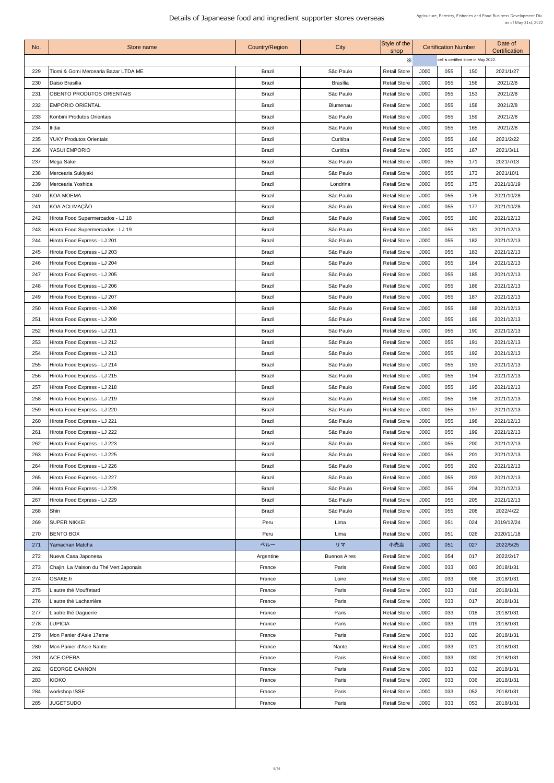| No.        | Store name                                                    | <b>Country/Region</b>          | <b>City</b>                  | Style of the<br>shop                       |              | <b>Certification Number</b>          |            | Date of<br><b>Certification</b> |  |
|------------|---------------------------------------------------------------|--------------------------------|------------------------------|--------------------------------------------|--------------|--------------------------------------|------------|---------------------------------|--|
|            |                                                               |                                |                              | $\times$                                   |              | cell is certified store in May 2022. |            |                                 |  |
| 229        | Tiomi & Gomi Mercearia Bazar LTDA ME                          | <b>Brazil</b>                  | São Paulo                    | <b>Retail Store</b>                        | J000         | 055                                  | 150        | 2021/1/27                       |  |
| 230        | Daiso Brasília                                                | <b>Brazil</b>                  | <b>Brasília</b>              | <b>Retail Store</b>                        | J000         | 055                                  | 156        | 2021/2/8                        |  |
| 231        | <b>OBENTO PRODUTOS ORIENTAIS</b>                              | <b>Brazil</b>                  | São Paulo                    | <b>Retail Store</b>                        | J000         | 055                                  | 153        | 2021/2/8                        |  |
| 232        | EMPÓRIO ORIENTAL                                              | <b>Brazil</b>                  | <b>Blumenau</b>              | <b>Retail Store</b>                        | J000         | 055                                  | 158        | 2021/2/8                        |  |
| 233        | Konbini Produtos Orientais                                    | <b>Brazil</b>                  | São Paulo                    | <b>Retail Store</b>                        | J000         | 055                                  | 159        | 2021/2/8                        |  |
| 234        | Itidai                                                        | <b>Brazil</b>                  | São Paulo                    | <b>Retail Store</b>                        | J000         | 055                                  | 165        | 2021/2/8                        |  |
| 235        | <b>YUKY Produtos Orientais</b>                                | <b>Brazil</b>                  | Curitiba                     | <b>Retail Store</b>                        | J000         | 055                                  | 166        | 2021/2/22                       |  |
| 236        | <b>YASUI EMPORIO</b>                                          | <b>Brazil</b>                  | Curitiba                     | <b>Retail Store</b>                        | J000         | 055                                  | 167        | 2021/3/11                       |  |
| 237        | Mega Sake                                                     | <b>Brazil</b>                  | São Paulo                    | <b>Retail Store</b>                        | J000         | 055                                  | 171        | 2021/7/13                       |  |
| 238        | Mercearia Sukiyaki                                            | <b>Brazil</b>                  | São Paulo                    | <b>Retail Store</b>                        | J000         | 055                                  | 173        | 2021/10/1                       |  |
| 239        | Mercearia Yoshida                                             | <b>Brazil</b>                  | Londrina                     | <b>Retail Store</b>                        | J000         | 055                                  | 175        | 2021/10/19                      |  |
| 240        | KOA MOEMA                                                     | <b>Brazil</b>                  | São Paulo                    | <b>Retail Store</b>                        | J000         | 055                                  | 176        | 2021/10/28                      |  |
| 241        | KOA ACLIMAÇÃO                                                 | <b>Brazil</b>                  | São Paulo                    | <b>Retail Store</b>                        | J000         | 055                                  | 177        | 2021/10/28                      |  |
| 242        | Hirota Food Supermercados - LJ 18                             | <b>Brazil</b>                  | São Paulo                    | <b>Retail Store</b>                        | J000         | 055                                  | 180        | 2021/12/13                      |  |
| 243        | Hirota Food Supermercados - LJ 19                             | <b>Brazil</b>                  | São Paulo                    | <b>Retail Store</b>                        | J000         | 055                                  | 181        | 2021/12/13                      |  |
| 244        | Hirota Food Express - LJ 201                                  | <b>Brazil</b>                  | São Paulo                    | <b>Retail Store</b>                        | J000         | 055                                  | 182        | 2021/12/13                      |  |
| 245        | Hirota Food Express - LJ 203                                  | <b>Brazil</b>                  | São Paulo                    | <b>Retail Store</b>                        | J000         | 055                                  | 183        | 2021/12/13                      |  |
| 246        | Hirota Food Express - LJ 204                                  | <b>Brazil</b>                  | São Paulo                    | <b>Retail Store</b>                        | J000         | 055                                  | 184        | 2021/12/13                      |  |
| 247        | Hirota Food Express - LJ 205                                  | <b>Brazil</b>                  | São Paulo                    | <b>Retail Store</b>                        | J000         | 055                                  | 185        | 2021/12/13                      |  |
| 248        | Hirota Food Express - LJ 206                                  | <b>Brazil</b>                  | São Paulo                    | <b>Retail Store</b>                        | J000         | 055                                  | 186        | 2021/12/13                      |  |
| 249        | Hirota Food Express - LJ 207                                  | <b>Brazil</b>                  | São Paulo                    | <b>Retail Store</b>                        | J000         | 055                                  | 187        | 2021/12/13                      |  |
| 250        | Hirota Food Express - LJ 208                                  | <b>Brazil</b>                  | São Paulo                    | <b>Retail Store</b>                        | J000         | 055                                  | 188        | 2021/12/13                      |  |
| 251        | Hirota Food Express - LJ 209                                  | <b>Brazil</b>                  | São Paulo                    | <b>Retail Store</b>                        | J000         | 055                                  | 189        | 2021/12/13                      |  |
| 252        | Hirota Food Express - LJ 211                                  | <b>Brazil</b>                  | São Paulo                    | <b>Retail Store</b>                        | J000         | 055                                  | 190        | 2021/12/13                      |  |
| 253        | Hirota Food Express - LJ 212                                  | <b>Brazil</b>                  | São Paulo                    | <b>Retail Store</b>                        | J000         | 055                                  | 191        | 2021/12/13                      |  |
| 254        | Hirota Food Express - LJ 213                                  | <b>Brazil</b>                  | São Paulo                    | <b>Retail Store</b>                        | J000         | 055                                  | 192        | 2021/12/13                      |  |
| 255        |                                                               | <b>Brazil</b>                  | São Paulo                    | <b>Retail Store</b>                        | J000         | 055                                  | 193        | 2021/12/13                      |  |
|            | Hirota Food Express - LJ 214                                  |                                | São Paulo                    |                                            |              |                                      |            |                                 |  |
| 256        | Hirota Food Express - LJ 215                                  | <b>Brazil</b>                  |                              | <b>Retail Store</b>                        | J000         | 055                                  | 194        | 2021/12/13                      |  |
| 257        | Hirota Food Express - LJ 218                                  | <b>Brazil</b>                  | São Paulo                    | <b>Retail Store</b>                        | J000         | 055                                  | 195        | 2021/12/13                      |  |
| 258        | Hirota Food Express - LJ 219                                  | <b>Brazil</b>                  | São Paulo                    | <b>Retail Store</b>                        | J000         | 055                                  | 196        | 2021/12/13                      |  |
| 259        | Hirota Food Express - LJ 220                                  | <b>Brazil</b>                  | São Paulo                    | <b>Retail Store</b>                        | J000         | 055                                  | 197        | 2021/12/13                      |  |
| 260        | Hirota Food Express - LJ 221                                  | <b>Brazil</b>                  | São Paulo                    | <b>Retail Store</b>                        | J000         | 055                                  | 198        | 2021/12/13                      |  |
| 261        | Hirota Food Express - LJ 222                                  | <b>Brazil</b>                  | São Paulo                    | <b>Retail Store</b>                        | J000         | 055                                  | 199        | 2021/12/13                      |  |
| 262        | Hirota Food Express - LJ 223                                  | <b>Brazil</b>                  | São Paulo                    | <b>Retail Store</b>                        | J000<br>J000 | 055<br>055                           | 200        | 2021/12/13                      |  |
| 263<br>264 | Hirota Food Express - LJ 225<br>Hirota Food Express - LJ 226  | <b>Brazil</b><br><b>Brazil</b> | São Paulo<br>São Paulo       | <b>Retail Store</b><br><b>Retail Store</b> | J000         | 055                                  | 201<br>202 | 2021/12/13<br>2021/12/13        |  |
| 265        | Hirota Food Express - LJ 227                                  | <b>Brazil</b>                  | São Paulo                    | <b>Retail Store</b>                        | J000         | 055                                  | 203        | 2021/12/13                      |  |
| 266        | Hirota Food Express - LJ 228                                  | <b>Brazil</b>                  | São Paulo                    | <b>Retail Store</b>                        | J000         | 055                                  | 204        | 2021/12/13                      |  |
|            |                                                               |                                |                              |                                            |              |                                      |            |                                 |  |
| 267<br>268 | Hirota Food Express - LJ 229<br>Shin                          | <b>Brazil</b><br><b>Brazil</b> | São Paulo<br>São Paulo       | <b>Retail Store</b><br><b>Retail Store</b> | J000<br>J000 | 055<br>055                           | 205<br>208 | 2021/12/13<br>2022/4/22         |  |
| 269        | <b>SUPER NIKKEI</b>                                           |                                |                              |                                            |              | 051                                  | 024        |                                 |  |
| 270        | <b>BENTO BOX</b>                                              | Peru<br>Peru                   | Lima<br>Lima                 | <b>Retail Store</b><br><b>Retail Store</b> | J000<br>J000 | 051                                  | 026        | 2019/12/24<br>2020/11/18        |  |
|            |                                                               |                                |                              |                                            |              |                                      |            |                                 |  |
| 271        | Yamachan Matcha                                               | ペルー                            | リマ                           | 小売店                                        | J000         | 051<br>054                           | 027<br>017 | 2022/5/25                       |  |
| 272<br>273 | Nueva Casa Japonesa<br>Chajin, La Maison du Thé Vert Japonais | Argentine<br>France            | <b>Buenos Aires</b><br>Paris | <b>Retail Store</b><br><b>Retail Store</b> | J000<br>J000 | 033                                  | 003        | 2022/2/17<br>2018/1/31          |  |
| 274        | OSAKE.fr                                                      | France                         | Loire                        | <b>Retail Store</b>                        | J000         | 033                                  | 006        | 2018/1/31                       |  |
| 275        | L'autre thé Mouffetard                                        | France                         | Paris                        | <b>Retail Store</b>                        | J000         | 033                                  | 016        | 2018/1/31                       |  |
| 276        | L'autre thé Lacharrière                                       | France                         | Paris                        | <b>Retail Store</b>                        | J000         | 033                                  | 017        | 2018/1/31                       |  |
| 277        | L'autre thé Daguerre                                          | France                         | Paris                        | <b>Retail Store</b>                        | J000         | 033                                  | 018        | 2018/1/31                       |  |
| 278        | <b>LUPICIA</b>                                                | France                         | Paris                        | <b>Retail Store</b>                        | J000         | 033                                  | 019        | 2018/1/31                       |  |
| 279        | Mon Panier d'Asie 17eme                                       | France                         | Paris                        | <b>Retail Store</b>                        | J000         | 033                                  | 020        | 2018/1/31                       |  |
| 280        | Mon Panier d'Asie Nante                                       | France                         | Nante                        | <b>Retail Store</b>                        | J000         | 033                                  | 021        | 2018/1/31                       |  |
| 281        | <b>ACE OPERA</b>                                              | France                         | Paris                        | <b>Retail Store</b>                        | J000         | 033                                  | 030        | 2018/1/31                       |  |
| 282        | <b>GEORGE CANNON</b>                                          | France                         | Paris                        | <b>Retail Store</b>                        | J000         | 033                                  | 032        |                                 |  |
| 283        | KIOKO                                                         |                                |                              |                                            |              | 033                                  | 036        | 2018/1/31                       |  |
|            |                                                               | France                         | Paris                        | <b>Retail Store</b>                        | J000         |                                      |            | 2018/1/31                       |  |
| 284        | workshop ISSE                                                 | France                         | Paris                        | <b>Retail Store</b>                        | J000         | 033                                  | 052        | 2018/1/31                       |  |
| 285        | <b>JUGETSUDO</b>                                              | France                         | Paris                        | <b>Retail Store</b>                        | J000         | 033                                  | 053        | 2018/1/31                       |  |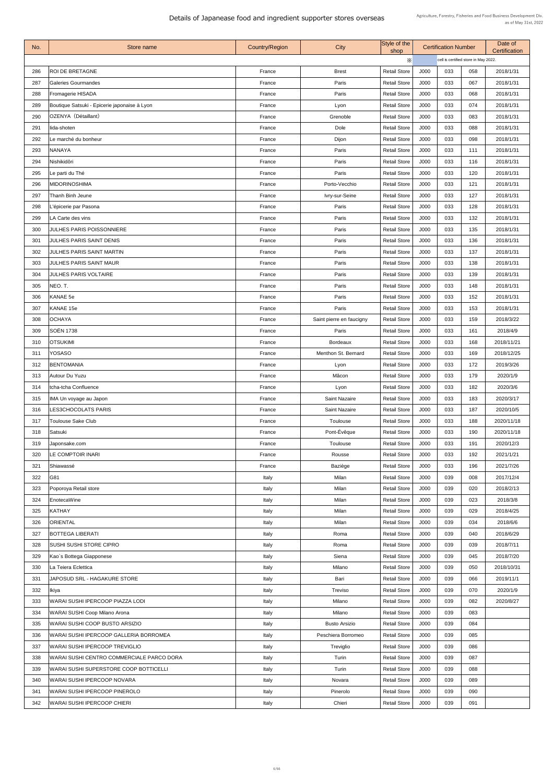| No. | Store name                                   | <b>Country/Region</b> | City                     | Style of the<br>shop |      | <b>Certification Number</b>          |     | Date of<br>Certification |  |
|-----|----------------------------------------------|-----------------------|--------------------------|----------------------|------|--------------------------------------|-----|--------------------------|--|
|     |                                              |                       |                          | $\times$             |      | cell is certified store in May 2022. |     |                          |  |
| 286 | <b>ROI DE BRETAGNE</b>                       | France                | <b>Brest</b>             | <b>Retail Store</b>  | J000 | 033                                  | 058 | 2018/1/31                |  |
| 287 | <b>Galeries Gourmandes</b>                   | France                | Paris                    | <b>Retail Store</b>  | J000 | 033                                  | 067 | 2018/1/31                |  |
| 288 | <b>Fromagerie HISADA</b>                     | France                | Paris                    | <b>Retail Store</b>  | J000 | 033                                  | 068 | 2018/1/31                |  |
| 289 | Boutique Satsuki - Epicerie japonaise à Lyon | France                | Lyon                     | <b>Retail Store</b>  | J000 | 033                                  | 074 | 2018/1/31                |  |
| 290 | OZENYA (Détaillant)                          | France                | Grenoble                 | <b>Retail Store</b>  | J000 | 033                                  | 083 | 2018/1/31                |  |
| 291 | lida-shoten                                  | France                | Dole                     | <b>Retail Store</b>  | J000 | 033                                  | 088 | 2018/1/31                |  |
| 292 | Le marché du bonheur                         | France                | Dijon                    | <b>Retail Store</b>  | J000 | 033                                  | 098 | 2018/1/31                |  |
| 293 | <b>NANAYA</b>                                | France                | Paris                    | <b>Retail Store</b>  | J000 | 033                                  | 111 | 2018/1/31                |  |
| 294 | Nishikidôri                                  | France                | Paris                    | <b>Retail Store</b>  | J000 | 033                                  | 116 | 2018/1/31                |  |
| 295 | Le parti du Thé                              | France                | Paris                    | <b>Retail Store</b>  | J000 | 033                                  | 120 | 2018/1/31                |  |
| 296 | <b>MIDORINOSHIMA</b>                         | France                | Porto-Vecchio            | <b>Retail Store</b>  | J000 | 033                                  | 121 | 2018/1/31                |  |
| 297 | <b>Thanh Binh Jeune</b>                      | France                | Ivry-sur-Seine           | <b>Retail Store</b>  | J000 | 033                                  | 127 | 2018/1/31                |  |
| 298 | L'épicerie par Pasona                        | France                | Paris                    | <b>Retail Store</b>  | J000 | 033                                  | 128 | 2018/1/31                |  |
| 299 | LA Carte des vins                            | France                | Paris                    | <b>Retail Store</b>  | J000 | 033                                  | 132 | 2018/1/31                |  |
| 300 | <b>JULHES PARIS POISSONNIERE</b>             | France                | Paris                    | <b>Retail Store</b>  | J000 | 033                                  | 135 | 2018/1/31                |  |
| 301 | <b>JULHES PARIS SAINT DENIS</b>              | France                | Paris                    | <b>Retail Store</b>  | J000 | 033                                  | 136 | 2018/1/31                |  |
| 302 | <b>JULHES PARIS SAINT MARTIN</b>             | France                | Paris                    | <b>Retail Store</b>  | J000 | 033                                  | 137 | 2018/1/31                |  |
| 303 | <b>JULHES PARIS SAINT MAUR</b>               | France                | Paris                    | <b>Retail Store</b>  | J000 | 033                                  | 138 | 2018/1/31                |  |
| 304 | <b>JULHES PARIS VOLTAIRE</b>                 | France                | Paris                    | <b>Retail Store</b>  | J000 | 033                                  | 139 | 2018/1/31                |  |
| 305 | NEO.T.                                       | France                | Paris                    | <b>Retail Store</b>  | J000 | 033                                  | 148 | 2018/1/31                |  |
| 306 | KANAE 5e                                     | France                | Paris                    | <b>Retail Store</b>  | J000 | 033                                  | 152 | 2018/1/31                |  |
| 307 | KANAE 15e                                    | France                | Paris                    | <b>Retail Store</b>  | J000 | 033                                  | 153 | 2018/1/31                |  |
|     |                                              |                       |                          |                      |      |                                      |     |                          |  |
| 308 | OCHAYA<br> SOËN 1738                         | France                | Saint pierre en faucigny | <b>Retail Store</b>  | J000 | 033<br>033                           | 159 | 2018/3/22                |  |
| 309 |                                              | France                | Paris                    | <b>Retail Store</b>  | J000 |                                      | 161 | 2018/4/9                 |  |
| 310 | <b>OTSUKIMI</b>                              | France                | <b>Bordeaux</b>          | <b>Retail Store</b>  | J000 | 033                                  | 168 | 2018/11/21               |  |
| 311 | <b>YOSASO</b>                                | France                | Menthon St. Bernard      | <b>Retail Store</b>  | J000 | 033                                  | 169 | 2018/12/25               |  |
| 312 | <b>BENTOMANIA</b>                            | France                | Lyon                     | <b>Retail Store</b>  | J000 | 033                                  | 172 | 2019/3/26                |  |
| 313 | Autour Du Yuzu                               | France                | Mâcon                    | <b>Retail Store</b>  | J000 | 033                                  | 179 | 2020/1/9                 |  |
| 314 | tcha-tcha Confluence                         | France                | Lyon                     | <b>Retail Store</b>  | J000 | 033                                  | 182 | 2020/3/6                 |  |
| 315 | IMA Un voyage au Japon                       | France                | <b>Saint Nazaire</b>     | <b>Retail Store</b>  | J000 | 033                                  | 183 | 2020/3/17                |  |
| 316 | <b>LES3CHOCOLATS PARIS</b>                   | France                | <b>Saint Nazaire</b>     | <b>Retail Store</b>  | J000 | 033                                  | 187 | 2020/10/5                |  |
| 317 | <b>Toulouse Sake Club</b>                    | France                | Toulouse                 | <b>Retail Store</b>  | J000 | 033                                  | 188 | 2020/11/18               |  |
| 318 | Satsuki                                      | France                | Pont-Évêque              | <b>Retail Store</b>  | J000 | 033                                  | 190 | 2020/11/18               |  |
| 319 | Japonsake.com                                | France                | Toulouse                 | <b>Retail Store</b>  | J000 | 033                                  | 191 | 2020/12/3                |  |
| 320 | LE COMPTOIR INARI                            | France                | Rousse                   | <b>Retail Store</b>  | J000 | 033                                  | 192 | 2021/1/21                |  |
| 321 | Shiawassé                                    | France                | Baziège                  | <b>Retail Store</b>  | J000 | 033                                  | 196 | 2021/7/26                |  |
| 322 | G81                                          | Italy                 | Milan                    | <b>Retail Store</b>  | J000 | 039                                  | 008 | 2017/12/4                |  |
| 323 | Poporoya Retail store                        | Italy                 | Milan                    | <b>Retail Store</b>  | J000 | 039                                  | 020 | 2018/2/13                |  |
| 324 | EnotecaWine                                  | Italy                 | Milan                    | <b>Retail Store</b>  | J000 | 039                                  | 023 | 2018/3/8                 |  |
| 325 | KATHAY                                       | Italy                 | Milan                    | <b>Retail Store</b>  | J000 | 039                                  | 029 | 2018/4/25                |  |
| 326 | <b>ORIENTAL</b>                              | Italy                 | Milan                    | <b>Retail Store</b>  | J000 | 039                                  | 034 | 2018/6/6                 |  |
| 327 | <b>BOTTEGA LIBERATI</b>                      | Italy                 | Roma                     | <b>Retail Store</b>  | J000 | 039                                  | 040 | 2018/6/29                |  |
| 328 | SUSHI SUSHI STORE CIPRO                      | Italy                 | Roma                     | <b>Retail Store</b>  | J000 | 039                                  | 039 | 2018/7/11                |  |
| 329 | Kao`s Bottega Giapponese                     | Italy                 | Siena                    | <b>Retail Store</b>  | J000 | 039                                  | 045 | 2018/7/20                |  |
| 330 | La Teiera Eclettica                          | Italy                 | Milano                   | <b>Retail Store</b>  | J000 | 039                                  | 050 | 2018/10/31               |  |
| 331 | <b>JAPOSUD SRL - HAGAKURE STORE</b>          | Italy                 | Bari                     | <b>Retail Store</b>  | J000 | 039                                  | 066 | 2019/11/1                |  |
| 332 | Ikiya                                        | Italy                 | <b>Treviso</b>           | <b>Retail Store</b>  | J000 | 039                                  | 070 | 2020/1/9                 |  |
| 333 | WARAI SUSHI IPERCOOP PIAZZA LODI             | Italy                 | Milano                   | <b>Retail Store</b>  | J000 | 039                                  | 082 | 2020/8/27                |  |
| 334 | WARAI SUSHI Coop Milano Arona                | Italy                 | Milano                   | <b>Retail Store</b>  | J000 | 039                                  | 083 |                          |  |
| 335 | WARAI SUSHI COOP BUSTO ARSIZIO               | Italy                 | <b>Busto Arsizio</b>     | <b>Retail Store</b>  | J000 | 039                                  | 084 |                          |  |
| 336 | WARAI SUSHI IPERCOOP GALLERIA BORROMEA       | Italy                 | Peschiera Borromeo       | <b>Retail Store</b>  | J000 | 039                                  | 085 |                          |  |
| 337 | WARAI SUSHI IPERCOOP TREVIGLIO               | Italy                 | Treviglio                | <b>Retail Store</b>  | J000 | 039                                  | 086 |                          |  |
| 338 | WARAI SUSHI CENTRO COMMERCIALE PARCO DORA    | Italy                 | Turin                    | <b>Retail Store</b>  | J000 | 039                                  | 087 |                          |  |
| 339 | WARAI SUSHI SUPERSTORE COOP BOTTICELLI       | Italy                 | Turin                    | <b>Retail Store</b>  | J000 | 039                                  | 088 |                          |  |
| 340 | WARAI SUSHI IPERCOOP NOVARA                  | Italy                 | Novara                   | <b>Retail Store</b>  | J000 | 039                                  | 089 |                          |  |
| 341 | <b>WARAI SUSHI IPERCOOP PINEROLO</b>         | Italy                 | Pinerolo                 | <b>Retail Store</b>  | J000 | 039                                  | 090 |                          |  |
| 342 | <b>WARAI SUSHI IPERCOOP CHIERI</b>           | Italy                 | Chieri                   | <b>Retail Store</b>  | J000 | 039                                  | 091 |                          |  |
|     |                                              |                       |                          |                      |      |                                      |     |                          |  |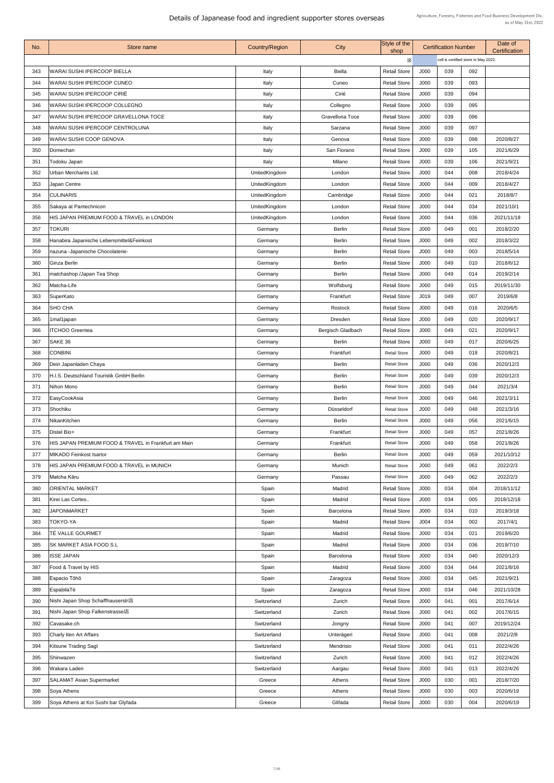| No. | Store name                                           | <b>Country/Region</b> | City                     | Style of the<br>shop |             | <b>Certification Number</b> |                                      | Date of<br>Certification |
|-----|------------------------------------------------------|-----------------------|--------------------------|----------------------|-------------|-----------------------------|--------------------------------------|--------------------------|
|     |                                                      |                       |                          | $\times$             |             |                             | cell is certified store in May 2022. |                          |
| 343 | WARAI SUSHI IPERCOOP BIELLA                          | Italy                 | <b>Biella</b>            | <b>Retail Store</b>  | J000        | 039                         | 092                                  |                          |
| 344 | WARAI SUSHI IPERCOOP CUNEO                           | Italy                 | Cuneo                    | <b>Retail Store</b>  | J000        | 039                         | 093                                  |                          |
| 345 | WARAI SUSHI IPERCOOP CIRIÉ                           | Italy                 | Cirié                    | <b>Retail Store</b>  | J000        | 039                         | 094                                  |                          |
| 346 | WARAI SUSHI IPERCOOP COLLEGNO                        | Italy                 | Collegno                 | <b>Retail Store</b>  | J000        | 039                         | 095                                  |                          |
| 347 | WARAI SUSHI IPERCOOP GRAVELLONA TOCE                 | Italy                 | <b>Gravellona Toce</b>   | <b>Retail Store</b>  | J000        | 039                         | 096                                  |                          |
| 348 | WARAI SUSHI IPERCOOP CENTROLUNA                      | Italy                 | Sarzana                  | <b>Retail Store</b>  | J000        | 039                         | 097                                  |                          |
| 349 | WARAI SUSHI COOP GENOVA                              | Italy                 | Genova                   | <b>Retail Store</b>  | J000        | 039                         | 098                                  | 2020/8/27                |
| 350 | Domechan                                             | Italy                 | San Fiorano              | <b>Retail Store</b>  | <b>J000</b> | 039                         | 105                                  | 2021/6/29                |
| 351 | Todoku Japan                                         | Italy                 | Milano                   | <b>Retail Store</b>  | J000        | 039                         | 106                                  | 2021/9/21                |
| 352 | Urban Merchants Ltd.                                 | UnitedKingdom         | London                   | <b>Retail Store</b>  | J000        | 044                         | 008                                  | 2018/4/24                |
| 353 | Japan Centre                                         | UnitedKingdom         | London                   | <b>Retail Store</b>  | J000        | 044                         | 009                                  | 2018/4/27                |
| 354 | <b>CULINARIS</b>                                     | UnitedKingdom         | Cambridge                | <b>Retail Store</b>  | J000        | 044                         | 021                                  | 2018/8/7                 |
| 355 | Sakaya at Pantechnicon                               | UnitedKingdom         | London                   | <b>Retail Store</b>  | J000        | 044                         | 034                                  | 2021/10/1                |
| 356 | HIS JAPAN PREMIUM FOOD & TRAVEL in LONDON            | UnitedKingdom         | London                   | <b>Retail Store</b>  | J000        | 044                         | 036                                  | 2021/11/18               |
| 357 | <b>TOKURI</b>                                        | Germany               | <b>Berlin</b>            | <b>Retail Store</b>  | J000        | 049                         | 001                                  | 2018/2/20                |
| 358 | Hanabira Japanische Lebensmittel&Feinkost            | Germany               | <b>Berlin</b>            | <b>Retail Store</b>  | J000        | 049                         | 002                                  | 2018/3/22                |
| 359 | nazuna - Japanische Chocolaterie-                    | Germany               | <b>Berlin</b>            | <b>Retail Store</b>  | J000        | 049                         | 003                                  | 2018/5/14                |
| 360 | Ginza Berlin                                         | Germany               | <b>Berlin</b>            | <b>Retail Store</b>  | J000        | 049                         | 010                                  | 2018/6/12                |
| 361 | matchashop /Japan Tea Shop                           | Germany               | <b>Berlin</b>            | <b>Retail Store</b>  | J000        | 049                         | 014                                  | 2019/2/14                |
| 362 | Matcha-Life                                          | Germany               | Wolfsburg                | <b>Retail Store</b>  | J000        | 049                         | 015                                  | 2019/11/30               |
| 363 | SuperKato                                            | Germany               | Frankfurt                | <b>Retail Store</b>  | J019        | 049                         | 007                                  | 2019/6/8                 |
| 364 | <b>SHO CHA</b>                                       | Germany               | Rostock                  | <b>Retail Store</b>  | J000        | 049                         | 016                                  | 2020/6/5                 |
| 365 | 1mal1japan                                           | Germany               | <b>Dresden</b>           | <b>Retail Store</b>  | J000        | 049                         | 020                                  | 2020/9/17                |
| 366 | <b>ITCHOO Greentea</b>                               | Germany               | <b>Bergisch Gladbach</b> | <b>Retail Store</b>  | J000        | 049                         | 021                                  | 2020/9/17                |
| 367 | SAKE 36                                              | Germany               | <b>Berlin</b>            | <b>Retail Store</b>  | J000        | 049                         | 017                                  | 2020/6/25                |
| 368 | <b>CONBINI</b>                                       | Germany               | Frankfurt                | <b>Retail Store</b>  | J000        | 049                         | 018                                  | 2020/8/21                |
| 369 | Dein Japanladen Chaya                                | Germany               | <b>Berlin</b>            | <b>Retail Store</b>  | J000        | 049                         | 036                                  | 2020/12/3                |
| 370 | H.I.S. Deutschland Touristik GmbH Berlin             | Germany               | <b>Berlin</b>            | <b>Retail Store</b>  | J000        | 049                         | 039                                  | 2020/12/3                |
| 371 | Nihon Mono                                           | Germany               | <b>Berlin</b>            | <b>Retail Store</b>  | J000        | 049                         | 044                                  | 2021/3/4                 |
| 372 | EasyCookAsia                                         | Germany               | <b>Berlin</b>            | <b>Retail Store</b>  | J000        | 049                         | 046                                  | 2021/3/11                |
| 373 | Shochiku                                             | Germany               | Düsseldorf               | <b>Retail Store</b>  | J000        | 049                         | 048                                  | 2021/3/16                |
| 374 | NikanKitchen                                         | Germany               | <b>Berlin</b>            | <b>Retail Store</b>  | J000        | 049                         | 056                                  | 2021/6/15                |
| 375 | Distel Bio+                                          | Germany               | Frankfurt                | <b>Retail Store</b>  | J000        | 049                         | 057                                  | 2021/8/26                |
| 376 | HIS JAPAN PREMIUM FOOD & TRAVEL in Frankfurt am Main | Germany               | Frankfurt                | <b>Retail Store</b>  | J000        | 049                         | 058                                  | 2021/8/26                |
| 377 | MIKADO Feinkost Isartor                              | Germany               | <b>Berlin</b>            | <b>Retail Store</b>  | J000        | 049                         | 059                                  | 2021/10/12               |
| 378 | HIS JAPAN PREMIUM FOOD & TRAVEL in MUNICH            | Germany               | Munich                   | <b>Retail Store</b>  | J000        | 049                         | 061                                  | 2022/2/3                 |
| 379 | Matcha Kāru                                          | Germany               | Passau                   | <b>Retail Store</b>  | J000        | 049                         | 062                                  | 2022/2/3                 |
| 380 | ORIENTAL MARKET                                      | Spain                 | Madrid                   | <b>Retail Store</b>  | J000        | 034                         | 004                                  | 2018/11/12               |
| 381 | Kirei Las Cortes                                     | Spain                 | Madrid                   | <b>Retail Store</b>  | J000        | 034                         | 005                                  | 2018/12/18               |
| 382 | <b>JAPONMARKET</b>                                   | Spain                 | <b>Barcelona</b>         | <b>Retail Store</b>  | J000        | 034                         | 010                                  | 2019/3/18                |
| 383 | TOKYO-YA                                             | Spain                 | Madrid                   | <b>Retail Store</b>  | J004        | 034                         | 002                                  | 2017/4/1                 |
| 384 | TÉ VALLE GOURMET                                     | Spain                 | Madrid                   | <b>Retail Store</b>  | J000        | 034                         | 021                                  | 2019/6/20                |
| 385 | SK MARKET ASIA FOOD S.L                              | Spain                 | Madrid                   | <b>Retail Store</b>  | J000        | 034                         | 036                                  | 2019/7/10                |
| 386 | <b>ISSE JAPAN</b>                                    | Spain                 | <b>Barcelona</b>         | <b>Retail Store</b>  | J000        | 034                         | 040                                  | 2020/12/3                |
| 387 | <b>Food &amp; Travel by HIS</b>                      | Spain                 | Madrid                   | <b>Retail Store</b>  | J000        | 034                         | 044                                  | 2021/8/16                |
| 388 | Espacio Tōhō                                         | Spain                 | Zaragoza                 | <b>Retail Store</b>  | J000        | 034                         | 045                                  | 2021/9/21                |
| 389 | EspabilaTé                                           | Spain                 | Zaragoza                 | <b>Retail Store</b>  | J000        | 034                         | 046                                  | 2021/10/28               |
| 390 | Nishi Japan Shop Schaffhauserstr店                    | Switzerland           | Zurich                   | <b>Retail Store</b>  | J000        | 041                         | 001                                  | 2017/6/14                |
| 391 | Nishi Japan Shop Falkenstrasse店                      | Switzerland           | Zurich                   | <b>Retail Store</b>  | J000        | 041                         | 002                                  | 2017/6/15                |
| 392 | Cavasake.ch                                          | Switzerland           |                          | <b>Retail Store</b>  | J000        | 041                         | 007                                  | 2019/12/24               |
|     |                                                      |                       | Jongny                   |                      |             | 041                         |                                      |                          |
| 393 | Charly Iten Art Affairs                              | Switzerland           | Unterägeri               | <b>Retail Store</b>  | J000        |                             | 008                                  | 2021/2/8                 |
| 394 | <b>Kitsune Trading Sagl</b>                          | Switzerland           | Mendrisio                | <b>Retail Store</b>  | J000        | 041                         | 011                                  | 2022/4/26                |
| 395 | Shinwazen                                            | Switzerland           | Zurich                   | <b>Retail Store</b>  | J000        | 041                         | 012                                  | 2022/4/26                |
| 396 | Wakara Laden                                         | Switzerland           | Aargau                   | <b>Retail Store</b>  | J000        | 041                         | 013                                  | 2022/4/26                |
| 397 | <b>SALAMAT Asian Supermarket</b>                     | Greece                | Athens                   | <b>Retail Store</b>  | J000        | 030                         | 001                                  | 2018/7/20                |
| 398 | Soya Athens                                          | Greece                | Athens                   | <b>Retail Store</b>  | J000        | 030                         | 003                                  | 2020/6/19                |
| 399 | Soya Athens at Koi Sushi bar Glyfada                 | Greece                | Glifada                  | <b>Retail Store</b>  | J000        | 030                         | 004                                  | 2020/6/19                |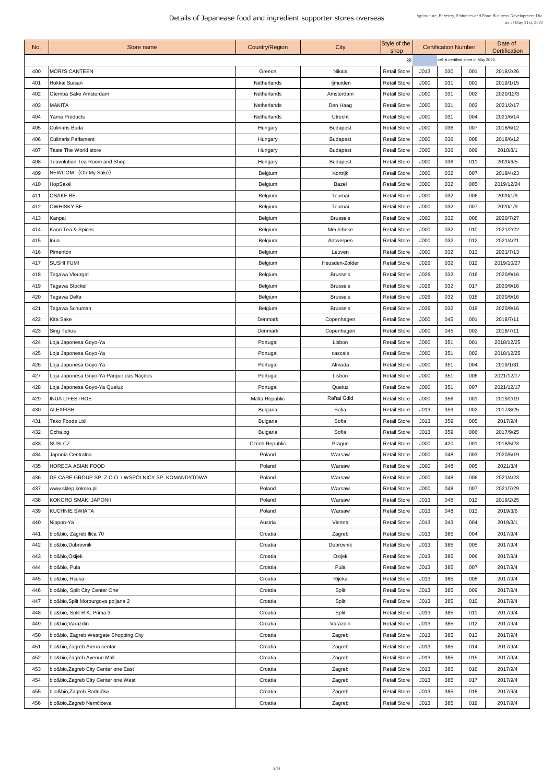| No. | <b>Store name</b>                                    | <b>Country/Region</b> | City            | Style of the<br>shop |      | <b>Certification Number</b>          |     | Date of<br>Certification |
|-----|------------------------------------------------------|-----------------------|-----------------|----------------------|------|--------------------------------------|-----|--------------------------|
|     |                                                      |                       |                 | $\times$             |      | cell is certified store in May 2022. |     |                          |
| 400 | <b>MORI'S CANTEEN</b>                                | Greece                | <b>Nikaia</b>   | <b>Retail Store</b>  | J013 | 030                                  | 001 | 2018/2/26                |
| 401 | Hokkai Suisan                                        | Netherlands           | ljmuiden        | <b>Retail Store</b>  | J000 | 031                                  | 001 | 2019/1/15                |
| 402 | Otemba Sake Amsterdam                                | Netherlands           | Amsterdam       | <b>Retail Store</b>  | J000 | 031                                  | 002 | 2020/12/3                |
| 403 | <b>MAKITA</b>                                        | <b>Netherlands</b>    | Den Haag        | <b>Retail Store</b>  | J000 | 031                                  | 003 | 2021/2/17                |
| 404 | <b>Yama Products</b>                                 | Netherlands           | Utrecht         | <b>Retail Store</b>  | J000 | 031                                  | 004 | 2021/6/14                |
| 405 | <b>Culinaris Buda</b>                                | Hungary               | <b>Budapest</b> | <b>Retail Store</b>  | J000 | 036                                  | 007 | 2018/6/12                |
| 406 | <b>Culinaris Parlament</b>                           | Hungary               | <b>Budapest</b> | <b>Retail Store</b>  | J000 | 036                                  | 008 | 2018/6/12                |
| 407 | Taste The World store                                | Hungary               | <b>Budapest</b> | <b>Retail Store</b>  | J000 | 036                                  | 009 | 2018/8/1                 |
| 408 | <b>Teavolution Tea Room and Shop</b>                 | Hungary               | <b>Budapest</b> | <b>Retail Store</b>  | J000 | 036                                  | 011 | 2020/6/5                 |
| 409 | NEWCOM (Oh!My Saké)                                  | <b>Belgium</b>        | Kortrijk        | <b>Retail Store</b>  | J000 | 032                                  | 007 | 2019/4/23                |
| 410 | HopSaké                                              | <b>Belgium</b>        | <b>Bazel</b>    | <b>Retail Store</b>  | J000 | 032                                  | 005 | 2019/12/24               |
| 411 | <b>OSAKE.BE</b>                                      | <b>Belgium</b>        | Tournai         | <b>Retail Store</b>  | J000 | 032                                  | 006 | 2020/1/9                 |
| 412 | <b>OWHISKY.BE</b>                                    | <b>Belgium</b>        | Tournai         | <b>Retail Store</b>  | J000 | 032                                  | 007 | 2020/1/9                 |
| 413 |                                                      |                       | <b>Brussels</b> | <b>Retail Store</b>  | J000 | 032                                  | 008 | 2020/7/27                |
| 414 | Kanpai<br>Kaori Tea & Spices                         | <b>Belgium</b>        |                 | <b>Retail Store</b>  | J000 | 032                                  | 010 | 2021/2/22                |
|     |                                                      | <b>Belgium</b>        | Meulebeke       |                      |      |                                      |     |                          |
| 415 | Inua                                                 | <b>Belgium</b>        | Antwerpen       | <b>Retail Store</b>  | J000 | 032                                  | 012 | 2021/4/21                |
| 416 | Pimentón                                             | <b>Belgium</b>        | Leuven          | <b>Retail Store</b>  | J000 | 032                                  | 013 | 2021/7/13                |
| 417 | <b>SUSHI FUMI</b>                                    | <b>Belgium</b>        | Heusden-Zolder  | <b>Retail Store</b>  | J026 | 032                                  | 012 | 2019/10/27               |
| 418 | Tagawa Vleurgat                                      | <b>Belgium</b>        | <b>Brussels</b> | <b>Retail Store</b>  | J026 | 032                                  | 016 | 2020/9/16                |
| 419 | Tagawa Stockel                                       | <b>Belgium</b>        | <b>Brussels</b> | <b>Retail Store</b>  | J026 | 032                                  | 017 | 2020/9/16                |
| 420 | Tagawa Delta                                         | <b>Belgium</b>        | <b>Brussels</b> | <b>Retail Store</b>  | J026 | 032                                  | 018 | 2020/9/16                |
| 421 | Tagawa Schuman                                       | <b>Belgium</b>        | <b>Brussels</b> | <b>Retail Store</b>  | J026 | 032                                  | 019 | 2020/9/16                |
| 422 | Kita Sake                                            | Denmark               | Copenhagen      | <b>Retail Store</b>  | J000 | 045                                  | 001 | 2018/7/11                |
| 423 | <b>Sing Tehus</b>                                    | Denmark               | Copenhagen      | <b>Retail Store</b>  | J000 | 045                                  | 002 | 2018/7/11                |
| 424 | Loja Japonesa Goyo-Ya                                | Portugal              | Lisbon          | <b>Retail Store</b>  | J000 | 351                                  | 001 | 2018/12/25               |
| 425 | Loja Japonesa Goyo-Ya                                | Portugal              | cascais         | <b>Retail Store</b>  | J000 | 351                                  | 002 | 2018/12/25               |
| 426 | Loja Japonesa Goyo-Ya                                | Portugal              | Almada          | <b>Retail Store</b>  | J000 | 351                                  | 004 | 2019/1/31                |
| 427 | Loja Japonesa Goyo-Ya Parque das Nações              | Portugal              | Lisbon          | <b>Retail Store</b>  | J000 | 351                                  | 006 | 2021/12/17               |
| 428 | Loja Japonesa Goyo-Ya Queluz                         | Portugal              | Queluz          | <b>Retail Store</b>  | J000 | 351                                  | 007 | 2021/12/17               |
| 429 | <b>INUA LIFESTROE</b>                                | Malta Republic        | Rahal Gdid      | <b>Retail Store</b>  | J000 | 356                                  | 001 | 2019/2/19                |
| 430 | <b>ALEXFISH</b>                                      | <b>Bulgaria</b>       | Sofia           | <b>Retail Store</b>  | J013 | 359                                  | 002 | 2017/8/25                |
| 431 | <b>Tako Foods Ltd</b>                                | <b>Bulgaria</b>       | Sofia           | <b>Retail Store</b>  | J013 | 359                                  | 005 | 2017/9/4                 |
| 432 | Ocha.bg                                              | <b>Bulgaria</b>       | Sofia           | <b>Retail Store</b>  | J013 | 359                                  | 006 | 2017/9/25                |
| 433 | SUSI.CZ                                              | <b>Czech Republic</b> | Prague          | <b>Retail Store</b>  | J000 | 420                                  | 001 | 2018/5/23                |
| 434 | Japonia Centralna                                    | Poland                | Warsaw          | <b>Retail Store</b>  | J000 | 048                                  | 003 | 2020/5/19                |
| 435 | <b>HORECA ASIAN FOOD</b>                             | Poland                | Warsaw          | <b>Retail Store</b>  | J000 | 048                                  | 005 | 2021/3/4                 |
| 436 | DE CARE GROUP SP. Z O.O. I WSPÓLNICY SP. KOMANDYTOWA | Poland                | Warsaw          | <b>Retail Store</b>  | J000 | 048                                  | 006 | 2021/4/23                |
| 437 | www.sklep.kokoro.pl                                  | Poland                | Warsaw          | <b>Retail Store</b>  | J000 | 048                                  | 007 | 2021/7/29                |
| 438 | KOKORO SMAKI JAPONII                                 | Poland                | Warsaw          | <b>Retail Store</b>  | J013 | 048                                  | 012 | 2019/2/25                |
| 439 | <b>KUCHNIE SWIATA</b>                                | Poland                | Warsaw          | <b>Retail Store</b>  | J013 | 048                                  | 013 | 2019/3/6                 |
| 440 | Nippon-Ya                                            | Austria               | Vienna          | <b>Retail Store</b>  | J013 | 043                                  | 004 | 2019/3/1                 |
| 441 | bio&bio, Zagreb Ilica 70                             | Croatia               | Zagreb          | <b>Retail Store</b>  | J013 | 385                                  | 004 | 2017/9/4                 |
| 442 | bio&bio, Dubrovnik                                   | Croatia               | Dubrovnik       | <b>Retail Store</b>  | J013 | 385                                  | 005 | 2017/9/4                 |
| 443 | bio&bio,Osijek                                       | Croatia               | Osijek          | <b>Retail Store</b>  | J013 | 385                                  | 006 | 2017/9/4                 |
| 444 | bio&bio, Pula                                        | Croatia               | Pula            | <b>Retail Store</b>  | J013 | 385                                  | 007 | 2017/9/4                 |
| 445 | bio&bio, Rijeka                                      | Croatia               | Rijeka          | <b>Retail Store</b>  | J013 | 385                                  | 008 | 2017/9/4                 |
| 446 | bio&bio, Split City Center One                       | Croatia               | <b>Split</b>    | <b>Retail Store</b>  | J013 | 385                                  | 009 | 2017/9/4                 |
| 447 | bio&bio, Split Morpurgova poljana 2                  | Croatia               | Split           | <b>Retail Store</b>  | J013 | 385                                  | 010 | 2017/9/4                 |
| 448 | bio&bio, Split R.K. Prima 3                          | Croatia               | Split           | <b>Retail Store</b>  | J013 | 385                                  | 011 | 2017/9/4                 |
| 449 | bio&bio, Varazdin                                    | Croatia               | Varazdin        | <b>Retail Store</b>  | J013 | 385                                  | 012 | 2017/9/4                 |
|     |                                                      |                       |                 |                      |      |                                      |     |                          |
| 450 | bio&bio, Zagreb Westgate Shopping City               | Croatia               | Zagreb          | <b>Retail Store</b>  | J013 | 385                                  | 013 | 2017/9/4                 |
| 451 | bio&bio, Zagreb Arena centar                         | Croatia               | Zagreb          | <b>Retail Store</b>  | J013 | 385                                  | 014 | 2017/9/4                 |
| 452 | bio&bio, Zagreb Avenue Mall                          | Croatia               | Zagreb          | <b>Retail Store</b>  | J013 | 385                                  | 015 | 2017/9/4                 |
| 453 | bio&bio, Zagreb City Center one East                 | Croatia               | Zagreb          | <b>Retail Store</b>  | J013 | 385                                  | 016 | 2017/9/4                 |
| 454 | bio&bio, Zagreb City Center one West                 | Croatia               | Zagreb          | <b>Retail Store</b>  | J013 | 385                                  | 017 | 2017/9/4                 |
| 455 | biio&bio, Zagreb Radnička                            | Croatia               | Zagreb          | <b>Retail Store</b>  | J013 | 385                                  | 018 | 2017/9/4                 |
| 456 | bio&bio, Zagreb Nemčićeva                            | Croatia               | Zagreb          | <b>Retail Store</b>  | J013 | 385                                  | 019 | 2017/9/4                 |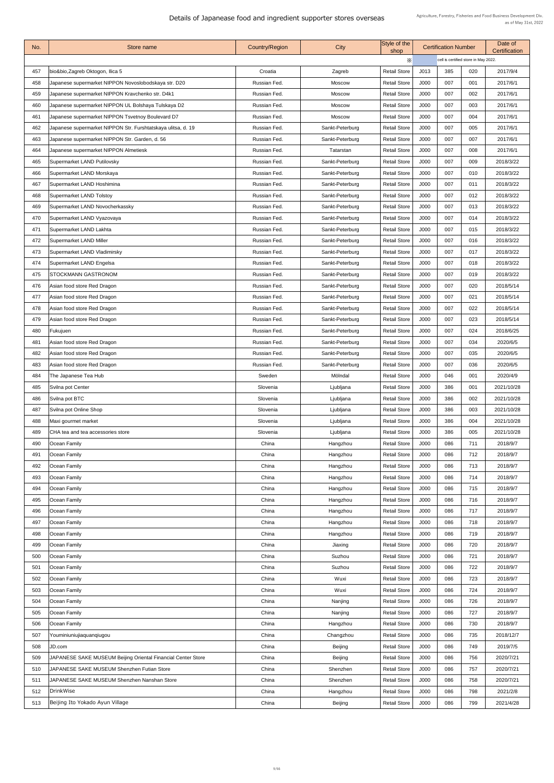| No. | <b>Store name</b>                                            | <b>Country/Region</b> | City            | Style of the<br>shop |             | <b>Certification Number</b>          |     | Date of<br>Certification |
|-----|--------------------------------------------------------------|-----------------------|-----------------|----------------------|-------------|--------------------------------------|-----|--------------------------|
|     |                                                              |                       |                 | $\times$             |             | cell is certified store in May 2022. |     |                          |
| 457 | bio&bio, Zagreb Oktogon, Ilica 5                             | Croatia               | Zagreb          | <b>Retail Store</b>  | J013        | 385                                  | 020 | 2017/9/4                 |
| 458 | Japanese supermarket NIPPON Novoslobodskaya str. D20         | Russian Fed.          | <b>Moscow</b>   | <b>Retail Store</b>  | J000        | 007                                  | 001 | 2017/6/1                 |
| 459 | Japanese supermarket NIPPON Kravchenko str. D4k1             | Russian Fed.          | <b>Moscow</b>   | <b>Retail Store</b>  | J000        | 007                                  | 002 | 2017/6/1                 |
| 460 | Japanese supermarket NIPPON UL Bolshaya Tulskaya D2          | Russian Fed.          | <b>Moscow</b>   | <b>Retail Store</b>  | J000        | 007                                  | 003 | 2017/6/1                 |
| 461 | Japanese supermarket NIPPON Tsvetnoy Boulevard D7            | Russian Fed.          | <b>Moscow</b>   | <b>Retail Store</b>  | J000        | 007                                  | 004 | 2017/6/1                 |
| 462 | Japanese supermarket NIPPON Str. Furshtatskaya ulitsa, d. 19 | Russian Fed.          | Sankt-Peterburg | <b>Retail Store</b>  | J000        | 007                                  | 005 | 2017/6/1                 |
| 463 | Japanese supermarket NIPPON Str. Garden, d. 56               | Russian Fed.          | Sankt-Peterburg | <b>Retail Store</b>  | J000        | 007                                  | 007 | 2017/6/1                 |
| 464 | Japanese supermarket NIPPON Almetiesk                        | Russian Fed.          | Tatarstan       | <b>Retail Store</b>  | J000        | 007                                  | 008 | 2017/6/1                 |
| 465 | Supermarket LAND Putilovsky                                  | Russian Fed.          | Sankt-Peterburg | <b>Retail Store</b>  | J000        | 007                                  | 009 | 2018/3/22                |
| 466 | Supermarket LAND Morskaya                                    | Russian Fed.          | Sankt-Peterburg | <b>Retail Store</b>  | J000        | 007                                  | 010 | 2018/3/22                |
| 467 | Supermarket LAND Hoshimina                                   | Russian Fed.          | Sankt-Peterburg | <b>Retail Store</b>  | J000        | 007                                  | 011 | 2018/3/22                |
| 468 | Supermarket LAND Tolstoy                                     | Russian Fed.          | Sankt-Peterburg | <b>Retail Store</b>  | J000        | 007                                  | 012 | 2018/3/22                |
| 469 | Supermarket LAND Novocherkassky                              | Russian Fed.          | Sankt-Peterburg | <b>Retail Store</b>  | <b>J000</b> | 007                                  | 013 | 2018/3/22                |
| 470 | Supermarket LAND Vyazovaya                                   | Russian Fed.          | Sankt-Peterburg | <b>Retail Store</b>  | J000        | 007                                  | 014 | 2018/3/22                |
| 471 | Supermarket LAND Lakhta                                      | Russian Fed.          | Sankt-Peterburg | <b>Retail Store</b>  | J000        | 007                                  | 015 | 2018/3/22                |
| 472 | Supermarket LAND Miller                                      | Russian Fed.          | Sankt-Peterburg | <b>Retail Store</b>  | J000        | 007                                  | 016 | 2018/3/22                |
| 473 | Supermarket LAND Vladimirsky                                 | Russian Fed.          | Sankt-Peterburg | <b>Retail Store</b>  | J000        | 007                                  | 017 | 2018/3/22                |
| 474 | Supermarket LAND Engelsa                                     | Russian Fed.          | Sankt-Peterburg | <b>Retail Store</b>  | J000        | 007                                  | 018 | 2018/3/22                |
| 475 | <b>STOCKMANN GASTRONOM</b>                                   | Russian Fed.          | Sankt-Peterburg | <b>Retail Store</b>  | J000        | 007                                  | 019 | 2018/3/22                |
| 476 | Asian food store Red Dragon                                  | Russian Fed.          | Sankt-Peterburg | <b>Retail Store</b>  | J000        | 007                                  | 020 | 2018/5/14                |
| 477 | Asian food store Red Dragon                                  | Russian Fed.          | Sankt-Peterburg | <b>Retail Store</b>  | J000        | 007                                  | 021 | 2018/5/14                |
| 478 | Asian food store Red Dragon                                  | Russian Fed.          | Sankt-Peterburg | <b>Retail Store</b>  | J000        | 007                                  | 022 | 2018/5/14                |
| 479 | Asian food store Red Dragon                                  | Russian Fed.          | Sankt-Peterburg | <b>Retail Store</b>  | J000        | 007                                  | 023 | 2018/5/14                |
| 480 | Fukujuen                                                     | Russian Fed.          | Sankt-Peterburg | <b>Retail Store</b>  | J000        | 007                                  | 024 | 2018/6/25                |
| 481 | Asian food store Red Dragon                                  | Russian Fed.          | Sankt-Peterburg | <b>Retail Store</b>  | J000        | 007                                  | 034 | 2020/6/5                 |
| 482 | Asian food store Red Dragon                                  | Russian Fed.          | Sankt-Peterburg | <b>Retail Store</b>  | J000        | 007                                  | 035 | 2020/6/5                 |
| 483 | Asian food store Red Dragon                                  | Russian Fed.          | Sankt-Peterburg | <b>Retail Store</b>  | J000        | 007                                  | 036 | 2020/6/5                 |
| 484 | The Japanese Tea Hub                                         | Sweden                | Mölndal         | <b>Retail Store</b>  | J000        | 046                                  | 001 | 2020/4/9                 |
| 485 | Svilna pot Center                                            | Slovenia              | Ljubljana       | <b>Retail Store</b>  | J000        | 386                                  | 001 | 2021/10/28               |
| 486 | Svilna pot BTC                                               | Slovenia              | Ljubljana       | <b>Retail Store</b>  | J000        | 386                                  | 002 | 2021/10/28               |
| 487 | Svilna pot Online Shop                                       | Slovenia              | Ljubljana       | <b>Retail Store</b>  | J000        | 386                                  | 003 | 2021/10/28               |
| 488 | Maxi gourmet market                                          | Slovenia              | Ljubljana       | <b>Retail Store</b>  | J000        | 386                                  | 004 | 2021/10/28               |
| 489 | CHA tea and tea accessories store                            | Slovenia              | Ljubljana       | <b>Retail Store</b>  | J000        | 386                                  | 005 | 2021/10/28               |
| 490 | <b>Ocean Family</b>                                          | China                 | Hangzhou        | <b>Retail Store</b>  | J000        | 086                                  | 711 | 2018/9/7                 |
| 491 | Ocean Family                                                 | China                 | Hangzhou        | <b>Retail Store</b>  | J000        | 086                                  | 712 | 2018/9/7                 |
| 492 | Ocean Family                                                 | China                 | Hangzhou        | <b>Retail Store</b>  | J000        | 086                                  | 713 | 2018/9/7                 |
| 493 | Ocean Family                                                 | China                 | Hangzhou        | <b>Retail Store</b>  | J000        | 086                                  | 714 | 2018/9/7                 |
| 494 | Ocean Family                                                 | China                 | Hangzhou        | <b>Retail Store</b>  | J000        | 086                                  | 715 | 2018/9/7                 |
| 495 | Ocean Family                                                 | China                 | Hangzhou        | <b>Retail Store</b>  | J000        | 086                                  | 716 | 2018/9/7                 |
| 496 | Ocean Family                                                 | China                 | Hangzhou        | <b>Retail Store</b>  | J000        | 086                                  | 717 | 2018/9/7                 |
| 497 | Ocean Family                                                 | China                 | Hangzhou        | <b>Retail Store</b>  | J000        | 086                                  | 718 | 2018/9/7                 |
| 498 | Ocean Family                                                 | China                 | Hangzhou        | <b>Retail Store</b>  | <b>J000</b> | 086                                  | 719 | 2018/9/7                 |
| 499 | Ocean Family                                                 | China                 | Jiaxing         | <b>Retail Store</b>  | J000        | 086                                  | 720 | 2018/9/7                 |
| 500 | Ocean Family                                                 | China                 | Suzhou          | <b>Retail Store</b>  | J000        | 086                                  | 721 | 2018/9/7                 |
| 501 | Ocean Family                                                 | China                 | Suzhou          | <b>Retail Store</b>  | J000        | 086                                  | 722 | 2018/9/7                 |
| 502 | Ocean Family                                                 | China                 | Wuxi            | <b>Retail Store</b>  | J000        | 086                                  | 723 | 2018/9/7                 |
| 503 | Ocean Family                                                 | China                 | Wuxi            | <b>Retail Store</b>  | J000        | 086                                  | 724 | 2018/9/7                 |
| 504 | Ocean Family                                                 | China                 | Nanjing         | <b>Retail Store</b>  | J000        | 086                                  | 726 | 2018/9/7                 |
| 505 | Ocean Family                                                 | China                 | Nanjing         | <b>Retail Store</b>  | J000        | 086                                  | 727 | 2018/9/7                 |
| 506 | Ocean Family                                                 | China                 | Hangzhou        | <b>Retail Store</b>  | J000        | 086                                  | 730 | 2018/9/7                 |
| 507 | Youminiuniujiaquanqiugou                                     | China                 | Changzhou       | <b>Retail Store</b>  | J000        | 086                                  | 735 | 2018/12/7                |
| 508 | JD.com                                                       | China                 | <b>Beijing</b>  | <b>Retail Store</b>  | J000        | 086                                  | 749 | 2019/7/5                 |
| 509 | JAPANESE SAKE MUSEUM Beijing Oriental Financial Center Store | China                 | <b>Beijing</b>  | <b>Retail Store</b>  | J000        | 086                                  | 756 | 2020/7/21                |
| 510 | JAPANESE SAKE MUSEUM Shenzhen Futian Store                   | China                 | Shenzhen        | <b>Retail Store</b>  | J000        | 086                                  | 757 | 2020/7/21                |
| 511 | JAPANESE SAKE MUSEUM Shenzhen Nanshan Store                  | China                 | Shenzhen        | <b>Retail Store</b>  | J000        | 086                                  | 758 | 2020/7/21                |
| 512 | DrinkWise                                                    | China                 | Hangzhou        | <b>Retail Store</b>  | J000        | 086                                  | 798 | 2021/2/8                 |
| 513 | Beijing Ito Yokado Ayun Village                              | China                 | <b>Beijing</b>  | <b>Retail Store</b>  | J000        | 086                                  | 799 | 2021/4/28                |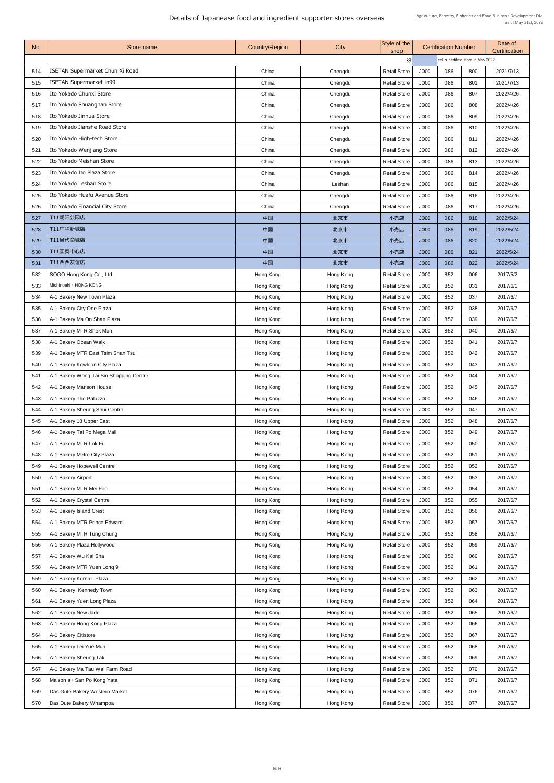| No. | Store name                              | <b>Country/Region</b> | <b>City</b> | Style of the<br>shop |      | <b>Certification Number</b>          |     | Date of<br><b>Certification</b> |  |
|-----|-----------------------------------------|-----------------------|-------------|----------------------|------|--------------------------------------|-----|---------------------------------|--|
|     |                                         |                       |             | X                    |      | cell is certified store in May 2022. |     |                                 |  |
| 514 | ISETAN Supermarket Chun Xi Road         | China                 | Chengdu     | <b>Retail Store</b>  | J000 | 086                                  | 800 | 2021/7/13                       |  |
| 515 | ISETAN Supermarket in99                 | China                 | Chengdu     | <b>Retail Store</b>  | J000 | 086                                  | 801 | 2021/7/13                       |  |
| 516 | Ito Yokado Chunxi Store                 | China                 | Chengdu     | <b>Retail Store</b>  | J000 | 086                                  | 807 | 2022/4/26                       |  |
| 517 | Ito Yokado Shuangnan Store              | China                 | Chengdu     | <b>Retail Store</b>  | J000 | 086                                  | 808 | 2022/4/26                       |  |
| 518 | Ito Yokado Jinhua Store                 | China                 | Chengdu     | <b>Retail Store</b>  | J000 | 086                                  | 809 | 2022/4/26                       |  |
| 519 | Ito Yokado Jianshe Road Store           | China                 | Chengdu     | <b>Retail Store</b>  | J000 | 086                                  | 810 | 2022/4/26                       |  |
| 520 | Ito Yokado High-tech Store              | China                 | Chengdu     | <b>Retail Store</b>  | J000 | 086                                  | 811 | 2022/4/26                       |  |
| 521 | Ito Yokado Wenjiang Store               | China                 | Chengdu     | <b>Retail Store</b>  | J000 | 086                                  | 812 | 2022/4/26                       |  |
| 522 | Ito Yokado Meishan Store                | China                 | Chengdu     | <b>Retail Store</b>  | J000 | 086                                  | 813 | 2022/4/26                       |  |
| 523 | Ito Yokado Ito Plaza Store              | China                 | Chengdu     | <b>Retail Store</b>  | J000 | 086                                  | 814 | 2022/4/26                       |  |
| 524 | Ito Yokado Leshan Store                 | China                 | Leshan      | <b>Retail Store</b>  | J000 | 086                                  | 815 | 2022/4/26                       |  |
| 525 | Ito Yokado Huafu Avenue Store           | China                 | Chengdu     | <b>Retail Store</b>  | J000 | 086                                  | 816 | 2022/4/26                       |  |
| 526 | Ito Yokado Financial City Store         | China                 | Chengdu     | <b>Retail Store</b>  | J000 | 086                                  | 817 | 2022/4/26                       |  |
| 527 | T11朝阳公园店                                | 中国                    | 北京市         | 小売店                  | J000 | 086                                  | 818 | 2022/5/24                       |  |
| 528 | T11广华新城店                                | 中国                    | 北京市         | 小売店                  | J000 | 086                                  | 819 | 2022/5/24                       |  |
| 529 | T11当代商城店                                | 中国                    | 北京市         | 小売店                  | J000 | 086                                  | 820 | 2022/5/24                       |  |
| 530 | T11国奥中心店                                | 中国                    | 北京市         | 小売店                  | J000 | 086                                  | 821 | 2022/5/24                       |  |
| 531 | T11西西友谊店                                | 中国                    | 北京市         | 小売店                  | J000 | 086                                  | 822 | 2022/5/24                       |  |
| 532 | SOGO Hong Kong Co., Ltd.                | Hong Kong             | Hong Kong   | <b>Retail Store</b>  | J000 | 852                                  | 006 | 2017/5/2                        |  |
| 533 | Michinoeki · HONG KONG                  | Hong Kong             | Hong Kong   | <b>Retail Store</b>  | J000 | 852                                  | 031 | 2017/6/1                        |  |
| 534 | A-1 Bakery New Town Plaza               | Hong Kong             | Hong Kong   | <b>Retail Store</b>  | J000 | 852                                  | 037 | 2017/6/7                        |  |
| 535 | A-1 Bakery City One Plaza               | Hong Kong             | Hong Kong   | <b>Retail Store</b>  | J000 | 852                                  | 038 | 2017/6/7                        |  |
| 536 | A-1 Bakery Ma On Shan Plaza             | Hong Kong             | Hong Kong   | <b>Retail Store</b>  | J000 | 852                                  | 039 | 2017/6/7                        |  |
| 537 | A-1 Bakery MTR Shek Mun                 | Hong Kong             | Hong Kong   | <b>Retail Store</b>  | J000 | 852                                  | 040 | 2017/6/7                        |  |
| 538 | A-1 Bakery Ocean Walk                   | Hong Kong             | Hong Kong   | <b>Retail Store</b>  | J000 | 852                                  | 041 | 2017/6/7                        |  |
| 539 | A-1 Bakery MTR East Tsim Shan Tsui      | Hong Kong             | Hong Kong   | <b>Retail Store</b>  | J000 | 852                                  | 042 | 2017/6/7                        |  |
| 540 | A-1 Bakery Kowloon City Plaza           | Hong Kong             | Hong Kong   | <b>Retail Store</b>  | J000 | 852                                  | 043 | 2017/6/7                        |  |
| 541 | A-1 Bakery Wong Tai Sin Shopping Centre | Hong Kong             | Hong Kong   | <b>Retail Store</b>  | J000 | 852                                  | 044 | 2017/6/7                        |  |
| 542 | A-1 Bakery Manson House                 | Hong Kong             | Hong Kong   | <b>Retail Store</b>  | J000 | 852                                  | 045 | 2017/6/7                        |  |
| 543 | A-1 Bakery The Palazzo                  | Hong Kong             | Hong Kong   | <b>Retail Store</b>  | J000 | 852                                  | 046 | 2017/6/7                        |  |
| 544 | A-1 Bakery Sheung Shui Centre           | Hong Kong             | Hong Kong   | <b>Retail Store</b>  | J000 | 852                                  | 047 | 2017/6/7                        |  |
| 545 | A-1 Bakery 18 Upper East                | Hong Kong             | Hong Kong   | <b>Retail Store</b>  | J000 | 852                                  | 048 | 2017/6/7                        |  |
| 546 | A-1 Bakery Tai Po Mega Mall             | Hong Kong             | Hong Kong   | <b>Retail Store</b>  | J000 | 852                                  | 049 | 2017/6/7                        |  |
| 547 | A-1 Bakery MTR Lok Fu                   | Hong Kong             | Hong Kong   | <b>Retail Store</b>  | J000 | 852                                  | 050 | 2017/6/7                        |  |
| 548 | A-1 Bakery Metro City Plaza             | Hong Kong             | Hong Kong   | <b>Retail Store</b>  | J000 | 852                                  | 051 | 2017/6/7                        |  |
| 549 | A-1 Bakery Hopewell Centre              | Hong Kong             | Hong Kong   | <b>Retail Store</b>  | J000 | 852                                  | 052 | 2017/6/7                        |  |
| 550 | A-1 Bakery Airport                      | Hong Kong             | Hong Kong   | <b>Retail Store</b>  | J000 | 852                                  | 053 | 2017/6/7                        |  |
| 551 | A-1 Bakery MTR Mei Foo                  | Hong Kong             | Hong Kong   | <b>Retail Store</b>  | J000 | 852                                  | 054 | 2017/6/7                        |  |
| 552 | A-1 Bakery Crystal Centre               | Hong Kong             | Hong Kong   | <b>Retail Store</b>  | J000 | 852                                  | 055 | 2017/6/7                        |  |
| 553 | A-1 Bakery Island Crest                 | Hong Kong             | Hong Kong   | <b>Retail Store</b>  | J000 | 852                                  | 056 | 2017/6/7                        |  |
| 554 | A-1 Bakery MTR Prince Edward            | Hong Kong             | Hong Kong   | <b>Retail Store</b>  | J000 | 852                                  | 057 | 2017/6/7                        |  |
| 555 | A-1 Bakery MTR Tung Chung               | Hong Kong             | Hong Kong   | <b>Retail Store</b>  | J000 | 852                                  | 058 | 2017/6/7                        |  |
| 556 | A-1 Bakery Plaza Hollywood              | Hong Kong             | Hong Kong   | <b>Retail Store</b>  | J000 | 852                                  | 059 | 2017/6/7                        |  |
| 557 | A-1 Bakery Wu Kai Sha                   | Hong Kong             | Hong Kong   | <b>Retail Store</b>  | J000 | 852                                  | 060 | 2017/6/7                        |  |
| 558 | A-1 Bakery MTR Yuen Long 9              | Hong Kong             | Hong Kong   | <b>Retail Store</b>  | J000 | 852                                  | 061 | 2017/6/7                        |  |
| 559 | A-1 Bakery Kornhill Plaza               | Hong Kong             | Hong Kong   | <b>Retail Store</b>  | J000 | 852                                  | 062 | 2017/6/7                        |  |
| 560 | A-1 Bakery Kennedy Town                 | Hong Kong             | Hong Kong   | <b>Retail Store</b>  | J000 | 852                                  | 063 | 2017/6/7                        |  |
| 561 | A-1 Bakery Yuen Long Plaza              | Hong Kong             | Hong Kong   | <b>Retail Store</b>  | J000 | 852                                  | 064 | 2017/6/7                        |  |
| 562 | A-1 Bakery New Jade                     | Hong Kong             | Hong Kong   | <b>Retail Store</b>  | J000 | 852                                  | 065 | 2017/6/7                        |  |
| 563 | A-1 Bakery Hong Kong Plaza              | Hong Kong             | Hong Kong   | <b>Retail Store</b>  | J000 | 852                                  | 066 | 2017/6/7                        |  |
| 564 | A-1 Bakery Citistore                    | Hong Kong             | Hong Kong   | <b>Retail Store</b>  | J000 | 852                                  | 067 | 2017/6/7                        |  |
| 565 | A-1 Bakery Lei Yue Mun                  | Hong Kong             | Hong Kong   | <b>Retail Store</b>  | J000 | 852                                  | 068 | 2017/6/7                        |  |
| 566 | A-1 Bakery Sheung Tak                   | Hong Kong             | Hong Kong   | <b>Retail Store</b>  | J000 | 852                                  | 069 | 2017/6/7                        |  |
| 567 | A-1 Bakery Ma Tau Wai Farm Road         | Hong Kong             | Hong Kong   | <b>Retail Store</b>  | J000 | 852                                  | 070 | 2017/6/7                        |  |
| 568 | Maison a+ San Po Kong Yata              | Hong Kong             | Hong Kong   | <b>Retail Store</b>  | J000 | 852                                  | 071 | 2017/6/7                        |  |
| 569 | Das Gute Bakery Western Market          | Hong Kong             | Hong Kong   | <b>Retail Store</b>  | J000 | 852                                  | 076 | 2017/6/7                        |  |
| 570 | Das Dute Bakery Whampoa                 | Hong Kong             | Hong Kong   | <b>Retail Store</b>  | J000 | 852                                  | 077 | 2017/6/7                        |  |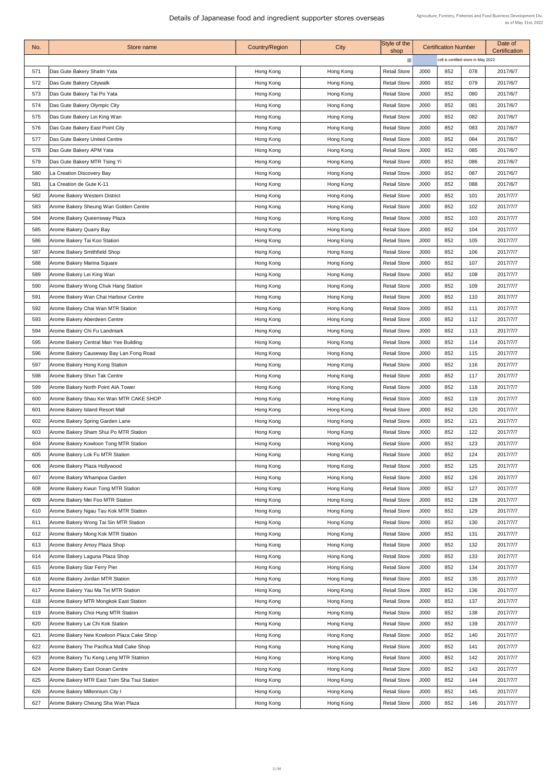| No. | Store name                                  | <b>Country/Region</b> | City      | Style of the<br>shop |      | <b>Certification Number</b>          |     | Date of<br><b>Certification</b> |
|-----|---------------------------------------------|-----------------------|-----------|----------------------|------|--------------------------------------|-----|---------------------------------|
|     |                                             |                       |           | $\times$             |      | cell is certified store in May 2022. |     |                                 |
| 571 | Das Gute Bakery Shatin Yata                 | Hong Kong             | Hong Kong | <b>Retail Store</b>  | J000 | 852                                  | 078 | 2017/6/7                        |
| 572 | Das Gute Bakery Citywalk                    | Hong Kong             | Hong Kong | <b>Retail Store</b>  | J000 | 852                                  | 079 | 2017/6/7                        |
| 573 | Das Gute Bakery Tai Po Yata                 | Hong Kong             | Hong Kong | <b>Retail Store</b>  | J000 | 852                                  | 080 | 2017/6/7                        |
| 574 | Das Gute Bakery Olympic City                | Hong Kong             | Hong Kong | <b>Retail Store</b>  | J000 | 852                                  | 081 | 2017/6/7                        |
| 575 | Das Gute Bakery Lei King Wan                | Hong Kong             | Hong Kong | <b>Retail Store</b>  | J000 | 852                                  | 082 | 2017/6/7                        |
| 576 | Das Gute Bakery East Point City             | Hong Kong             | Hong Kong | <b>Retail Store</b>  | J000 | 852                                  | 083 | 2017/6/7                        |
| 577 | Das Gute Bakery United Centre               | Hong Kong             | Hong Kong | <b>Retail Store</b>  | J000 | 852                                  | 084 | 2017/6/7                        |
| 578 | Das Gute Bakery APM Yata                    | Hong Kong             | Hong Kong | <b>Retail Store</b>  | J000 | 852                                  | 085 | 2017/6/7                        |
| 579 | Das Gute Bakery MTR Tsing Yi                | Hong Kong             | Hong Kong | <b>Retail Store</b>  | J000 | 852                                  | 086 | 2017/6/7                        |
| 580 | La Creation Discovery Bay                   | Hong Kong             | Hong Kong | <b>Retail Store</b>  | J000 | 852                                  | 087 | 2017/6/7                        |
| 581 | La Creation de Gute K-11                    | Hong Kong             | Hong Kong | <b>Retail Store</b>  | J000 | 852                                  | 088 | 2017/6/7                        |
| 582 | <b>Arome Bakery Western District</b>        | Hong Kong             | Hong Kong | <b>Retail Store</b>  | J000 | 852                                  | 101 | 2017/7/7                        |
| 583 | Arome Bakery Sheung Wan Golden Centre       | Hong Kong             | Hong Kong | <b>Retail Store</b>  | J000 | 852                                  | 102 | 2017/7/7                        |
| 584 | Arome Bakery Queensway Plaza                | Hong Kong             | Hong Kong | <b>Retail Store</b>  | J000 | 852                                  | 103 | 2017/7/7                        |
| 585 | <b>Arome Bakery Quarry Bay</b>              | Hong Kong             | Hong Kong | <b>Retail Store</b>  | J000 | 852                                  | 104 | 2017/7/7                        |
| 586 | Arome Bakery Tai Koo Station                | Hong Kong             | Hong Kong | <b>Retail Store</b>  | J000 | 852                                  | 105 | 2017/7/7                        |
| 587 | <b>Arome Bakery Smithfield Shop</b>         | Hong Kong             | Hong Kong | <b>Retail Store</b>  | J000 | 852                                  | 106 | 2017/7/7                        |
| 588 | <b>Arome Bakery Marina Square</b>           | Hong Kong             | Hong Kong | <b>Retail Store</b>  | J000 | 852                                  | 107 | 2017/7/7                        |
| 589 | Arome Bakery Lei King Wan                   | Hong Kong             | Hong Kong | <b>Retail Store</b>  | J000 | 852                                  | 108 | 2017/7/7                        |
| 590 | Arome Bakery Wong Chuk Hang Station         | Hong Kong             | Hong Kong | <b>Retail Store</b>  | J000 | 852                                  | 109 | 2017/7/7                        |
| 591 | Arome Bakery Wan Chai Harbour Centre        | Hong Kong             | Hong Kong | <b>Retail Store</b>  | J000 | 852                                  | 110 | 2017/7/7                        |
| 592 | Arome Bakery Chai Wan MTR Station           | Hong Kong             | Hong Kong | <b>Retail Store</b>  | J000 | 852                                  | 111 | 2017/7/7                        |
| 593 | Arome Bakery Aberdeen Centre                | Hong Kong             | Hong Kong | <b>Retail Store</b>  | J000 | 852                                  | 112 | 2017/7/7                        |
| 594 | Arome Bakery Chi Fu Landmark                | Hong Kong             | Hong Kong | <b>Retail Store</b>  | J000 | 852                                  | 113 | 2017/7/7                        |
| 595 | Arome Bakery Central Man Yee Building       | Hong Kong             | Hong Kong | <b>Retail Store</b>  | J000 | 852                                  | 114 | 2017/7/7                        |
| 596 | Arome Bakery Causeway Bay Lan Fong Road     | Hong Kong             | Hong Kong | <b>Retail Store</b>  | J000 | 852                                  | 115 | 2017/7/7                        |
| 597 | Arome Bakery Hong Kong Station              | Hong Kong             | Hong Kong | <b>Retail Store</b>  | J000 | 852                                  | 116 | 2017/7/7                        |
| 598 | <b>Arome Bakery Shun Tak Centre</b>         | Hong Kong             | Hong Kong | <b>Retail Store</b>  | J000 | 852                                  | 117 | 2017/7/7                        |
| 599 | Arome Bakery North Point AIA Tower          | Hong Kong             | Hong Kong | <b>Retail Store</b>  | J000 | 852                                  | 118 | 2017/7/7                        |
| 600 | Arome Bakery Shau Kei Wan MTR CAKE SHOP     | Hong Kong             | Hong Kong | <b>Retail Store</b>  | J000 | 852                                  | 119 | 2017/7/7                        |
| 601 | Arome Bakery Island Resort Mall             | Hong Kong             | Hong Kong | <b>Retail Store</b>  | J000 | 852                                  | 120 | 2017/7/7                        |
| 602 | Arome Bakery Spring Garden Lane             | Hong Kong             | Hong Kong | <b>Retail Store</b>  | J000 | 852                                  | 121 | 2017/7/7                        |
| 603 | Arome Bakery Sham Shui Po MTR Station       | Hong Kong             | Hong Kong | <b>Retail Store</b>  | J000 | 852                                  | 122 | 2017/7/7                        |
| 604 | Arome Bakery Kowloon Tong MTR Station       | Hong Kong             | Hong Kong | <b>Retail Store</b>  | J000 | 852                                  | 123 | 2017/7/7                        |
| 605 | Arome Bakery Lok Fu MTR Station             | Hong Kong             | Hong Kong | <b>Retail Store</b>  | J000 | 852                                  | 124 | 2017/7/7                        |
| 606 | Arome Bakery Plaza Hollywood                | Hong Kong             | Hong Kong | <b>Retail Store</b>  | J000 | 852                                  | 125 | 2017/7/7                        |
| 607 | Arome Bakery Whampoa Garden                 | Hong Kong             | Hong Kong | <b>Retail Store</b>  | J000 | 852                                  | 126 | 2017/7/7                        |
| 608 | Arome Bakery Kwun Tong MTR Station          | Hong Kong             | Hong Kong | <b>Retail Store</b>  | J000 | 852                                  | 127 | 2017/7/7                        |
| 609 | Arome Bakery Mei Foo MTR Station            | Hong Kong             | Hong Kong | <b>Retail Store</b>  | J000 | 852                                  | 128 | 2017/7/7                        |
| 610 | Arome Bakery Ngau Tau Kok MTR Station       | Hong Kong             | Hong Kong | <b>Retail Store</b>  | J000 | 852                                  | 129 | 2017/7/7                        |
| 611 | Arome Bakery Wong Tai Sin MTR Station       | Hong Kong             | Hong Kong | <b>Retail Store</b>  | J000 | 852                                  | 130 | 2017/7/7                        |
| 612 | Arome Bakery Mong Kok MTR Station           | Hong Kong             | Hong Kong | <b>Retail Store</b>  | J000 | 852                                  | 131 | 2017/7/7                        |
| 613 | Arome Bakery Amoy Plaza Shop                | Hong Kong             | Hong Kong | <b>Retail Store</b>  | J000 | 852                                  | 132 | 2017/7/7                        |
| 614 | Arome Bakery Laguna Plaza Shop              | Hong Kong             | Hong Kong | <b>Retail Store</b>  | J000 | 852                                  | 133 | 2017/7/7                        |
| 615 | Arome Bakery Star Ferry Pier                | Hong Kong             | Hong Kong | <b>Retail Store</b>  | J000 | 852                                  | 134 | 2017/7/7                        |
| 616 | Arome Bakery Jordan MTR Station             | Hong Kong             | Hong Kong | <b>Retail Store</b>  | J000 | 852                                  | 135 | 2017/7/7                        |
| 617 | Arome Bakery Yau Ma Tei MTR Station         | Hong Kong             | Hong Kong | <b>Retail Store</b>  | J000 | 852                                  | 136 | 2017/7/7                        |
| 618 | Arome Bakery MTR Mongkok East Station       | Hong Kong             | Hong Kong | <b>Retail Store</b>  | J000 | 852                                  | 137 | 2017/7/7                        |
| 619 | Arome Bakery Choi Hung MTR Station          | Hong Kong             | Hong Kong | <b>Retail Store</b>  | J000 | 852                                  | 138 | 2017/7/7                        |
| 620 | Arome Bakery Lai Chi Kok Station            | Hong Kong             | Hong Kong | <b>Retail Store</b>  | J000 | 852                                  | 139 | 2017/7/7                        |
| 621 | Arome Bakery New Kowloon Plaza Cake Shop    | Hong Kong             | Hong Kong | <b>Retail Store</b>  | J000 | 852                                  | 140 | 2017/7/7                        |
| 622 | Arome Bakery The Pacifica Mall Cake Shop    | Hong Kong             | Hong Kong | <b>Retail Store</b>  | J000 | 852                                  | 141 | 2017/7/7                        |
| 623 | Arome Bakery Tiu Keng Leng MTR Statrion     | Hong Kong             | Hong Kong | <b>Retail Store</b>  | J000 | 852                                  | 142 | 2017/7/7                        |
| 624 | Arome Bakery East Ocean Centre              | Hong Kong             | Hong Kong | <b>Retail Store</b>  | J000 | 852                                  | 143 | 2017/7/7                        |
| 625 | Arome Bakery MTR East Tsim Sha Tsui Station | Hong Kong             | Hong Kong | <b>Retail Store</b>  | J000 | 852                                  | 144 | 2017/7/7                        |
| 626 | Arome Bakery Millennium City I              | Hong Kong             | Hong Kong | <b>Retail Store</b>  | J000 | 852                                  | 145 | 2017/7/7                        |
| 627 | Arome Bakery Cheung Sha Wan Plaza           | Hong Kong             | Hong Kong | <b>Retail Store</b>  | J000 | 852                                  | 146 | 2017/7/7                        |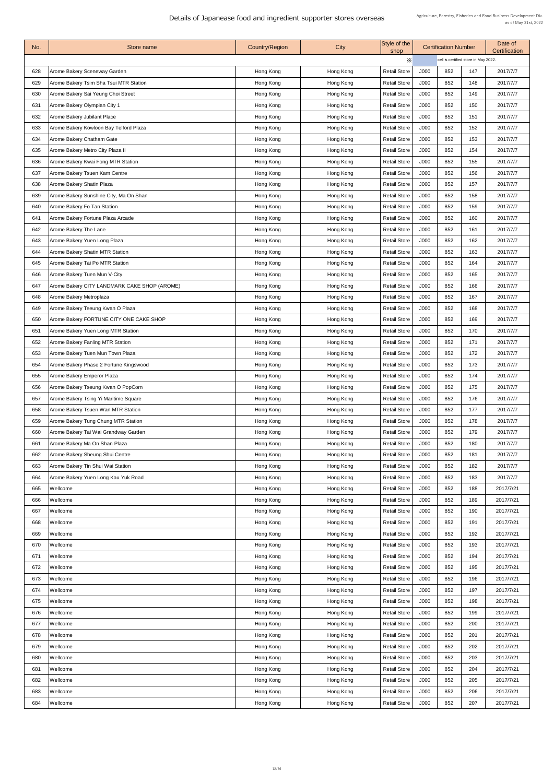| No. | Store name                                   | <b>Country/Region</b> | City      | Style of the<br>shop |      | <b>Certification Number</b>          |     | Date of<br><b>Certification</b> |
|-----|----------------------------------------------|-----------------------|-----------|----------------------|------|--------------------------------------|-----|---------------------------------|
|     |                                              |                       |           | $\times$             |      | cell is certified store in May 2022. |     |                                 |
| 628 | Arome Bakery Sceneway Garden                 | Hong Kong             | Hong Kong | <b>Retail Store</b>  | J000 | 852                                  | 147 | 2017/7/7                        |
| 629 | Arome Bakery Tsim Sha Tsui MTR Station       | Hong Kong             | Hong Kong | <b>Retail Store</b>  | J000 | 852                                  | 148 | 2017/7/7                        |
| 630 | Arome Bakery Sai Yeung Choi Street           | Hong Kong             | Hong Kong | <b>Retail Store</b>  | J000 | 852                                  | 149 | 2017/7/7                        |
| 631 | Arome Bakery Olympian City 1                 | Hong Kong             | Hong Kong | <b>Retail Store</b>  | J000 | 852                                  | 150 | 2017/7/7                        |
| 632 | <b>Arome Bakery Jubilant Place</b>           | Hong Kong             | Hong Kong | <b>Retail Store</b>  | J000 | 852                                  | 151 | 2017/7/7                        |
| 633 | Arome Bakery Kowloon Bay Telford Plaza       | Hong Kong             | Hong Kong | <b>Retail Store</b>  | J000 | 852                                  | 152 | 2017/7/7                        |
| 634 | <b>Arome Bakery Chatham Gate</b>             | Hong Kong             | Hong Kong | <b>Retail Store</b>  | J000 | 852                                  | 153 | 2017/7/7                        |
| 635 | Arome Bakery Metro City Plaza II             | Hong Kong             | Hong Kong | <b>Retail Store</b>  | J000 | 852                                  | 154 | 2017/7/7                        |
| 636 | Arome Bakery Kwai Fong MTR Station           | Hong Kong             | Hong Kong | <b>Retail Store</b>  | J000 | 852                                  | 155 | 2017/7/7                        |
| 637 | Arome Bakery Tsuen Kam Centre                | Hong Kong             | Hong Kong | <b>Retail Store</b>  | J000 | 852                                  | 156 | 2017/7/7                        |
| 638 | <b>Arome Bakery Shatin Plaza</b>             | Hong Kong             | Hong Kong | <b>Retail Store</b>  | J000 | 852                                  | 157 | 2017/7/7                        |
| 639 | Arome Bakery Sunshine City, Ma On Shan       | Hong Kong             | Hong Kong | <b>Retail Store</b>  | J000 | 852                                  | 158 | 2017/7/7                        |
| 640 | <b>Arome Bakery Fo Tan Station</b>           | Hong Kong             | Hong Kong | <b>Retail Store</b>  | J000 | 852                                  | 159 | 2017/7/7                        |
| 641 | Arome Bakery Fortune Plaza Arcade            | Hong Kong             | Hong Kong | <b>Retail Store</b>  | J000 | 852                                  | 160 | 2017/7/7                        |
| 642 | <b>Arome Bakery The Lane</b>                 | Hong Kong             | Hong Kong | <b>Retail Store</b>  | J000 | 852                                  | 161 | 2017/7/7                        |
| 643 | Arome Bakery Yuen Long Plaza                 | Hong Kong             | Hong Kong | <b>Retail Store</b>  | J000 | 852                                  | 162 | 2017/7/7                        |
| 644 | <b>Arome Bakery Shatin MTR Station</b>       | Hong Kong             | Hong Kong | <b>Retail Store</b>  | J000 | 852                                  | 163 | 2017/7/7                        |
| 645 | Arome Bakery Tai Po MTR Station              | Hong Kong             | Hong Kong | <b>Retail Store</b>  | J000 | 852                                  | 164 | 2017/7/7                        |
| 646 | Arome Bakery Tuen Mun V-City                 | Hong Kong             | Hong Kong | <b>Retail Store</b>  | J000 | 852                                  | 165 | 2017/7/7                        |
| 647 | Arome Bakery CITY LANDMARK CAKE SHOP (AROME) | Hong Kong             | Hong Kong | <b>Retail Store</b>  | J000 | 852                                  | 166 | 2017/7/7                        |
| 648 | <b>Arome Bakery Metroplaza</b>               | Hong Kong             | Hong Kong | <b>Retail Store</b>  | J000 | 852                                  | 167 | 2017/7/7                        |
| 649 | Arome Bakery Tseung Kwan O Plaza             | Hong Kong             | Hong Kong | <b>Retail Store</b>  | J000 | 852                                  | 168 | 2017/7/7                        |
| 650 | Arome Bakery FORTUNE CITY ONE CAKE SHOP      | Hong Kong             | Hong Kong | <b>Retail Store</b>  | J000 | 852                                  | 169 | 2017/7/7                        |
| 651 | <b>Arome Bakery Yuen Long MTR Station</b>    | Hong Kong             | Hong Kong | <b>Retail Store</b>  | J000 | 852                                  | 170 | 2017/7/7                        |
| 652 | Arome Bakery Fanling MTR Station             | Hong Kong             | Hong Kong | <b>Retail Store</b>  | J000 | 852                                  | 171 | 2017/7/7                        |
| 653 | Arome Bakery Tuen Mun Town Plaza             | Hong Kong             | Hong Kong | <b>Retail Store</b>  | J000 | 852                                  | 172 | 2017/7/7                        |
| 654 | Arome Bakery Phase 2 Fortune Kingswood       | Hong Kong             | Hong Kong | <b>Retail Store</b>  | J000 | 852                                  | 173 | 2017/7/7                        |
| 655 | Arome Bakery Emperor Plaza                   | Hong Kong             | Hong Kong | <b>Retail Store</b>  | J000 | 852                                  | 174 | 2017/7/7                        |
| 656 | Arome Bakery Tseung Kwan O PopCorn           | Hong Kong             | Hong Kong | <b>Retail Store</b>  | J000 | 852                                  | 175 | 2017/7/7                        |
| 657 | Arome Bakery Tsing Yi Maritime Square        | Hong Kong             | Hong Kong | <b>Retail Store</b>  | J000 | 852                                  | 176 | 2017/7/7                        |
| 658 | Arome Bakery Tsuen Wan MTR Station           | Hong Kong             | Hong Kong | <b>Retail Store</b>  | J000 | 852                                  | 177 | 2017/7/7                        |
| 659 | Arome Bakery Tung Chung MTR Station          | Hong Kong             | Hong Kong | <b>Retail Store</b>  | J000 | 852                                  | 178 | 2017/7/7                        |
| 660 | Arome Bakery Tai Wai Grandway Garden         | Hong Kong             | Hong Kong | <b>Retail Store</b>  | J000 | 852                                  | 179 | 2017/7/7                        |
| 661 | Arome Bakery Ma On Shan Plaza                | Hong Kong             | Hong Kong | <b>Retail Store</b>  | J000 | 852                                  | 180 | 2017/7/7                        |
| 662 | Arome Bakery Sheung Shui Centre              | Hong Kong             | Hong Kong | <b>Retail Store</b>  | J000 | 852                                  | 181 | 2017/7/7                        |
| 663 | Arome Bakery Tin Shui Wai Station            | Hong Kong             | Hong Kong | <b>Retail Store</b>  | J000 | 852                                  | 182 | 2017/7/7                        |
| 664 | Arome Bakery Yuen Long Kau Yuk Road          | Hong Kong             | Hong Kong | <b>Retail Store</b>  | J000 | 852                                  | 183 | 2017/7/7                        |
| 665 | <b>Wellcome</b>                              | Hong Kong             | Hong Kong | <b>Retail Store</b>  | J000 | 852                                  | 188 | 2017/7/21                       |
| 666 | Wellcome                                     | Hong Kong             | Hong Kong | <b>Retail Store</b>  | J000 | 852                                  | 189 | 2017/7/21                       |
| 667 | Wellcome                                     | Hong Kong             | Hong Kong | <b>Retail Store</b>  | J000 | 852                                  | 190 | 2017/7/21                       |
| 668 | Wellcome                                     | Hong Kong             | Hong Kong | <b>Retail Store</b>  | J000 | 852                                  | 191 | 2017/7/21                       |
| 669 | Wellcome                                     | Hong Kong             | Hong Kong | <b>Retail Store</b>  | J000 | 852                                  | 192 | 2017/7/21                       |
| 670 | Wellcome                                     | Hong Kong             | Hong Kong | <b>Retail Store</b>  | J000 | 852                                  | 193 | 2017/7/21                       |
| 671 | <b>Wellcome</b>                              | Hong Kong             | Hong Kong | <b>Retail Store</b>  | J000 | 852                                  | 194 | 2017/7/21                       |
| 672 | Wellcome                                     | Hong Kong             | Hong Kong | <b>Retail Store</b>  | J000 | 852                                  | 195 | 2017/7/21                       |
| 673 | Wellcome                                     | Hong Kong             | Hong Kong | <b>Retail Store</b>  | J000 | 852                                  | 196 | 2017/7/21                       |
| 674 | Wellcome                                     | Hong Kong             | Hong Kong | <b>Retail Store</b>  | J000 | 852                                  | 197 | 2017/7/21                       |
| 675 | Wellcome                                     | Hong Kong             | Hong Kong | <b>Retail Store</b>  | J000 | 852                                  | 198 | 2017/7/21                       |
| 676 | Wellcome                                     | Hong Kong             | Hong Kong | <b>Retail Store</b>  | J000 | 852                                  | 199 | 2017/7/21                       |
| 677 | Wellcome                                     | Hong Kong             | Hong Kong | <b>Retail Store</b>  | J000 | 852                                  | 200 | 2017/7/21                       |
| 678 | Wellcome                                     | Hong Kong             | Hong Kong | <b>Retail Store</b>  | J000 | 852                                  | 201 | 2017/7/21                       |
| 679 | Wellcome                                     | Hong Kong             | Hong Kong | <b>Retail Store</b>  | J000 | 852                                  | 202 | 2017/7/21                       |
| 680 | Wellcome                                     | Hong Kong             | Hong Kong | <b>Retail Store</b>  | J000 | 852                                  | 203 | 2017/7/21                       |
| 681 | <b>Wellcome</b>                              | Hong Kong             | Hong Kong | <b>Retail Store</b>  | J000 | 852                                  | 204 | 2017/7/21                       |
| 682 | Wellcome                                     | Hong Kong             | Hong Kong | <b>Retail Store</b>  | J000 | 852                                  | 205 | 2017/7/21                       |
| 683 | Wellcome                                     | Hong Kong             | Hong Kong | <b>Retail Store</b>  | J000 | 852                                  | 206 | 2017/7/21                       |
| 684 | Wellcome                                     | Hong Kong             | Hong Kong | <b>Retail Store</b>  | J000 | 852                                  | 207 | 2017/7/21                       |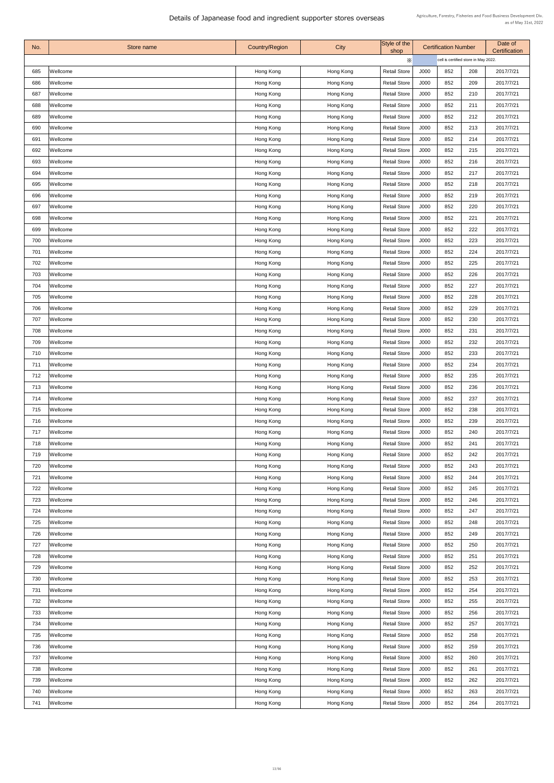| No. | Store name | <b>Country/Region</b> | <b>City</b> | Style of the<br>shop | <b>Certification Number</b> |                                      | Date of<br><b>Certification</b> |           |  |
|-----|------------|-----------------------|-------------|----------------------|-----------------------------|--------------------------------------|---------------------------------|-----------|--|
|     |            |                       |             | $\times$             |                             | cell is certified store in May 2022. |                                 |           |  |
| 685 | Wellcome   | Hong Kong             | Hong Kong   | <b>Retail Store</b>  | J000                        | 852                                  | 208                             | 2017/7/21 |  |
| 686 | Wellcome   | Hong Kong             | Hong Kong   | <b>Retail Store</b>  | J000                        | 852                                  | 209                             | 2017/7/21 |  |
| 687 | Wellcome   | Hong Kong             | Hong Kong   | <b>Retail Store</b>  | J000                        | 852                                  | 210                             | 2017/7/21 |  |
| 688 | Wellcome   | Hong Kong             | Hong Kong   | <b>Retail Store</b>  | J000                        | 852                                  | 211                             | 2017/7/21 |  |
| 689 | Wellcome   | Hong Kong             | Hong Kong   | <b>Retail Store</b>  | J000                        | 852                                  | 212                             | 2017/7/21 |  |
| 690 | Wellcome   | Hong Kong             | Hong Kong   | <b>Retail Store</b>  | J000                        | 852                                  | 213                             | 2017/7/21 |  |
| 691 | Wellcome   | Hong Kong             | Hong Kong   | <b>Retail Store</b>  | J000                        | 852                                  | 214                             | 2017/7/21 |  |
| 692 | Wellcome   | Hong Kong             | Hong Kong   | <b>Retail Store</b>  | J000                        | 852                                  | 215                             | 2017/7/21 |  |
| 693 | Wellcome   | Hong Kong             | Hong Kong   | <b>Retail Store</b>  | J000                        | 852                                  | 216                             | 2017/7/21 |  |
| 694 | Wellcome   | Hong Kong             | Hong Kong   | <b>Retail Store</b>  | J000                        | 852                                  | 217                             | 2017/7/21 |  |
| 695 | Wellcome   | Hong Kong             | Hong Kong   | <b>Retail Store</b>  | J000                        | 852                                  | 218                             | 2017/7/21 |  |
| 696 | Wellcome   | Hong Kong             | Hong Kong   | <b>Retail Store</b>  | J000                        | 852                                  | 219                             | 2017/7/21 |  |
| 697 | Wellcome   | Hong Kong             | Hong Kong   | <b>Retail Store</b>  | J000                        | 852                                  | 220                             | 2017/7/21 |  |
| 698 | Wellcome   | Hong Kong             | Hong Kong   | <b>Retail Store</b>  | J000                        | 852                                  | 221                             | 2017/7/21 |  |
| 699 | Wellcome   | Hong Kong             | Hong Kong   | <b>Retail Store</b>  | J000                        | 852                                  | 222                             | 2017/7/21 |  |
| 700 | Wellcome   | Hong Kong             | Hong Kong   | <b>Retail Store</b>  | J000                        | 852                                  | 223                             | 2017/7/21 |  |
| 701 | Wellcome   | Hong Kong             | Hong Kong   | <b>Retail Store</b>  | J000                        | 852                                  | 224                             | 2017/7/21 |  |
| 702 | Wellcome   | Hong Kong             | Hong Kong   | <b>Retail Store</b>  | J000                        | 852                                  | 225                             | 2017/7/21 |  |
| 703 | Wellcome   | Hong Kong             | Hong Kong   | <b>Retail Store</b>  | J000                        | 852                                  | 226                             | 2017/7/21 |  |
| 704 | Wellcome   | Hong Kong             | Hong Kong   | <b>Retail Store</b>  | J000                        | 852                                  | 227                             | 2017/7/21 |  |
| 705 | Wellcome   |                       |             | <b>Retail Store</b>  | J000                        | 852                                  | 228                             | 2017/7/21 |  |
| 706 |            | Hong Kong             | Hong Kong   |                      |                             | 852                                  | 229                             | 2017/7/21 |  |
|     | Wellcome   | Hong Kong             | Hong Kong   | <b>Retail Store</b>  | J000                        |                                      |                                 |           |  |
| 707 | Wellcome   | Hong Kong             | Hong Kong   | <b>Retail Store</b>  | J000                        | 852                                  | 230                             | 2017/7/21 |  |
| 708 | Wellcome   | Hong Kong             | Hong Kong   | <b>Retail Store</b>  | J000                        | 852                                  | 231                             | 2017/7/21 |  |
| 709 | Wellcome   | Hong Kong             | Hong Kong   | <b>Retail Store</b>  | J000                        | 852                                  | 232                             | 2017/7/21 |  |
| 710 | Wellcome   | Hong Kong             | Hong Kong   | <b>Retail Store</b>  | J000                        | 852                                  | 233                             | 2017/7/21 |  |
| 711 | Wellcome   | Hong Kong             | Hong Kong   | <b>Retail Store</b>  | J000                        | 852                                  | 234                             | 2017/7/21 |  |
| 712 | Wellcome   | Hong Kong             | Hong Kong   | <b>Retail Store</b>  | J000                        | 852                                  | 235                             | 2017/7/21 |  |
| 713 | Wellcome   | Hong Kong             | Hong Kong   | <b>Retail Store</b>  | J000                        | 852                                  | 236                             | 2017/7/21 |  |
| 714 | Wellcome   | Hong Kong             | Hong Kong   | <b>Retail Store</b>  | J000                        | 852                                  | 237                             | 2017/7/21 |  |
| 715 | Wellcome   | Hong Kong             | Hong Kong   | <b>Retail Store</b>  | J000                        | 852                                  | 238                             | 2017/7/21 |  |
| 716 | Wellcome   | Hong Kong             | Hong Kong   | <b>Retail Store</b>  | J000                        | 852                                  | 239                             | 2017/7/21 |  |
| 717 | Wellcome   | Hong Kong             | Hong Kong   | <b>Retail Store</b>  | J000                        | 852                                  | 240                             | 2017/7/21 |  |
| 718 | Wellcome   | Hong Kong             | Hong Kong   | <b>Retail Store</b>  | J000                        | 852                                  | 241                             | 2017/7/21 |  |
| 719 | Wellcome   | Hong Kong             | Hong Kong   | <b>Retail Store</b>  | J000                        | 852                                  | 242                             | 2017/7/21 |  |
| 720 | Wellcome   | Hong Kong             | Hong Kong   | <b>Retail Store</b>  | J000                        | 852                                  | 243                             | 2017/7/21 |  |
| 721 | Wellcome   | Hong Kong             | Hong Kong   | <b>Retail Store</b>  | J000                        | 852                                  | 244                             | 2017/7/21 |  |
| 722 | Wellcome   | Hong Kong             | Hong Kong   | <b>Retail Store</b>  | J000                        | 852                                  | 245                             | 2017/7/21 |  |
| 723 | Wellcome   | Hong Kong             | Hong Kong   | <b>Retail Store</b>  | J000                        | 852                                  | 246                             | 2017/7/21 |  |
| 724 | Wellcome   | Hong Kong             | Hong Kong   | <b>Retail Store</b>  | J000                        | 852                                  | 247                             | 2017/7/21 |  |
| 725 | Wellcome   | Hong Kong             | Hong Kong   | <b>Retail Store</b>  | J000                        | 852                                  | 248                             | 2017/7/21 |  |
| 726 | Wellcome   | Hong Kong             | Hong Kong   | <b>Retail Store</b>  | J000                        | 852                                  | 249                             | 2017/7/21 |  |
| 727 | Wellcome   | Hong Kong             | Hong Kong   | <b>Retail Store</b>  | J000                        | 852                                  | 250                             | 2017/7/21 |  |
| 728 | Wellcome   | Hong Kong             | Hong Kong   | <b>Retail Store</b>  | J000                        | 852                                  | 251                             | 2017/7/21 |  |
| 729 | Wellcome   | Hong Kong             | Hong Kong   | <b>Retail Store</b>  | J000                        | 852                                  | 252                             | 2017/7/21 |  |
| 730 | Wellcome   | Hong Kong             | Hong Kong   | <b>Retail Store</b>  | J000                        | 852                                  | 253                             | 2017/7/21 |  |
| 731 | Wellcome   | Hong Kong             | Hong Kong   | <b>Retail Store</b>  | J000                        | 852                                  | 254                             | 2017/7/21 |  |
| 732 | Wellcome   | Hong Kong             | Hong Kong   | <b>Retail Store</b>  | J000                        | 852                                  | 255                             | 2017/7/21 |  |
| 733 | Wellcome   | Hong Kong             | Hong Kong   | <b>Retail Store</b>  | J000                        | 852                                  | 256                             | 2017/7/21 |  |
| 734 | Wellcome   | Hong Kong             | Hong Kong   | <b>Retail Store</b>  | J000                        | 852                                  | 257                             | 2017/7/21 |  |
| 735 | Wellcome   | Hong Kong             | Hong Kong   | <b>Retail Store</b>  | J000                        | 852                                  | 258                             | 2017/7/21 |  |
| 736 | Wellcome   | Hong Kong             | Hong Kong   | <b>Retail Store</b>  | J000                        | 852                                  | 259                             | 2017/7/21 |  |
| 737 | Wellcome   | Hong Kong             | Hong Kong   | <b>Retail Store</b>  | J000                        | 852                                  | 260                             | 2017/7/21 |  |
| 738 | Wellcome   | Hong Kong             | Hong Kong   | <b>Retail Store</b>  | J000                        | 852                                  | 261                             | 2017/7/21 |  |
| 739 | Wellcome   | Hong Kong             | Hong Kong   | <b>Retail Store</b>  | J000                        | 852                                  | 262                             | 2017/7/21 |  |
| 740 | Wellcome   | Hong Kong             | Hong Kong   | <b>Retail Store</b>  | J000                        | 852                                  | 263                             | 2017/7/21 |  |
| 741 | Wellcome   | Hong Kong             | Hong Kong   | <b>Retail Store</b>  | J000                        | 852                                  | 264                             | 2017/7/21 |  |
|     |            |                       |             |                      |                             |                                      |                                 |           |  |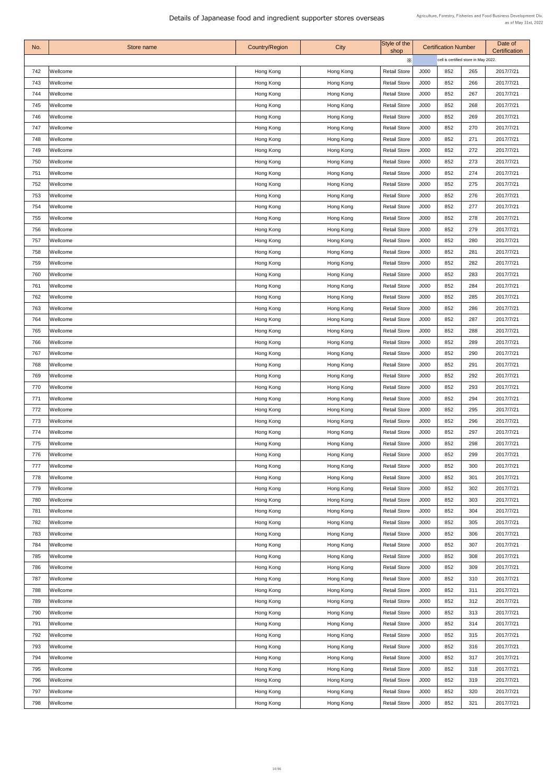| No. | Store name | <b>Country/Region</b> | <b>City</b> | Style of the<br>shop |      | <b>Certification Number</b>          |     | Date of<br><b>Certification</b> |  |  |
|-----|------------|-----------------------|-------------|----------------------|------|--------------------------------------|-----|---------------------------------|--|--|
|     |            |                       |             | $\times$             |      | cell is certified store in May 2022. |     |                                 |  |  |
| 742 | Wellcome   | Hong Kong             | Hong Kong   | <b>Retail Store</b>  | J000 | 852                                  | 265 | 2017/7/21                       |  |  |
| 743 | Wellcome   | Hong Kong             | Hong Kong   | <b>Retail Store</b>  | J000 | 852                                  | 266 | 2017/7/21                       |  |  |
| 744 | Wellcome   | Hong Kong             | Hong Kong   | <b>Retail Store</b>  | J000 | 852                                  | 267 | 2017/7/21                       |  |  |
| 745 | Wellcome   | Hong Kong             | Hong Kong   | <b>Retail Store</b>  | J000 | 852                                  | 268 | 2017/7/21                       |  |  |
| 746 | Wellcome   | Hong Kong             | Hong Kong   | <b>Retail Store</b>  | J000 | 852                                  | 269 | 2017/7/21                       |  |  |
| 747 | Wellcome   | Hong Kong             | Hong Kong   | <b>Retail Store</b>  | J000 | 852                                  | 270 | 2017/7/21                       |  |  |
| 748 | Wellcome   | Hong Kong             | Hong Kong   | <b>Retail Store</b>  | J000 | 852                                  | 271 | 2017/7/21                       |  |  |
| 749 | Wellcome   | Hong Kong             | Hong Kong   | <b>Retail Store</b>  | J000 | 852                                  | 272 | 2017/7/21                       |  |  |
| 750 | Wellcome   | Hong Kong             | Hong Kong   | <b>Retail Store</b>  | J000 | 852                                  | 273 | 2017/7/21                       |  |  |
| 751 | Wellcome   | Hong Kong             | Hong Kong   | <b>Retail Store</b>  | J000 | 852                                  | 274 | 2017/7/21                       |  |  |
| 752 | Wellcome   | Hong Kong             | Hong Kong   | <b>Retail Store</b>  | J000 | 852                                  | 275 | 2017/7/21                       |  |  |
| 753 | Wellcome   | Hong Kong             | Hong Kong   | <b>Retail Store</b>  | J000 | 852                                  | 276 | 2017/7/21                       |  |  |
| 754 | Wellcome   | Hong Kong             | Hong Kong   | <b>Retail Store</b>  | J000 | 852                                  | 277 | 2017/7/21                       |  |  |
| 755 | Wellcome   | Hong Kong             | Hong Kong   | <b>Retail Store</b>  | J000 | 852                                  | 278 | 2017/7/21                       |  |  |
| 756 | Wellcome   | Hong Kong             | Hong Kong   | <b>Retail Store</b>  | J000 | 852                                  | 279 | 2017/7/21                       |  |  |
| 757 | Wellcome   | Hong Kong             | Hong Kong   | <b>Retail Store</b>  | J000 | 852                                  | 280 | 2017/7/21                       |  |  |
| 758 | Wellcome   | Hong Kong             | Hong Kong   | <b>Retail Store</b>  | J000 | 852                                  | 281 | 2017/7/21                       |  |  |
| 759 | Wellcome   | Hong Kong             | Hong Kong   | <b>Retail Store</b>  | J000 | 852                                  | 282 | 2017/7/21                       |  |  |
| 760 | Wellcome   | Hong Kong             | Hong Kong   | <b>Retail Store</b>  | J000 | 852                                  | 283 | 2017/7/21                       |  |  |
| 761 | Wellcome   | Hong Kong             | Hong Kong   | <b>Retail Store</b>  | J000 | 852                                  | 284 | 2017/7/21                       |  |  |
| 762 | Wellcome   | Hong Kong             | Hong Kong   | <b>Retail Store</b>  | J000 | 852                                  | 285 | 2017/7/21                       |  |  |
| 763 | Wellcome   | Hong Kong             | Hong Kong   | <b>Retail Store</b>  | J000 | 852                                  | 286 | 2017/7/21                       |  |  |
| 764 | Wellcome   | Hong Kong             | Hong Kong   | <b>Retail Store</b>  | J000 | 852                                  | 287 | 2017/7/21                       |  |  |
| 765 | Wellcome   | Hong Kong             | Hong Kong   | <b>Retail Store</b>  | J000 | 852                                  | 288 | 2017/7/21                       |  |  |
| 766 | Wellcome   | Hong Kong             | Hong Kong   | <b>Retail Store</b>  | J000 | 852                                  | 289 | 2017/7/21                       |  |  |
| 767 | Wellcome   | Hong Kong             | Hong Kong   | <b>Retail Store</b>  | J000 | 852                                  | 290 | 2017/7/21                       |  |  |
| 768 | Wellcome   | Hong Kong             | Hong Kong   | <b>Retail Store</b>  | J000 | 852                                  | 291 | 2017/7/21                       |  |  |
| 769 | Wellcome   | Hong Kong             | Hong Kong   | <b>Retail Store</b>  | J000 | 852                                  | 292 | 2017/7/21                       |  |  |
| 770 | Wellcome   | Hong Kong             | Hong Kong   | <b>Retail Store</b>  | J000 | 852                                  | 293 | 2017/7/21                       |  |  |
| 771 | Wellcome   | Hong Kong             | Hong Kong   | <b>Retail Store</b>  | J000 | 852                                  | 294 | 2017/7/21                       |  |  |
| 772 | Wellcome   | Hong Kong             | Hong Kong   | <b>Retail Store</b>  | J000 | 852                                  | 295 | 2017/7/21                       |  |  |
| 773 | Wellcome   | Hong Kong             | Hong Kong   | <b>Retail Store</b>  | J000 | 852                                  | 296 | 2017/7/21                       |  |  |
| 774 | Wellcome   | Hong Kong             | Hong Kong   | <b>Retail Store</b>  | J000 | 852                                  | 297 | 2017/7/21                       |  |  |
| 775 | Wellcome   | Hong Kong             | Hong Kong   | <b>Retail Store</b>  | J000 | 852                                  | 298 | 2017/7/21                       |  |  |
| 776 | Wellcome   | Hong Kong             | Hong Kong   | <b>Retail Store</b>  | J000 | 852                                  | 299 | 2017/7/21                       |  |  |
| 777 | Wellcome   | Hong Kong             | Hong Kong   | <b>Retail Store</b>  | J000 | 852                                  | 300 | 2017/7/21                       |  |  |
| 778 | Wellcome   | Hong Kong             | Hong Kong   | <b>Retail Store</b>  | J000 | 852                                  | 301 | 2017/7/21                       |  |  |
| 779 | Wellcome   | Hong Kong             | Hong Kong   | <b>Retail Store</b>  | J000 | 852                                  | 302 | 2017/7/21                       |  |  |
| 780 | Wellcome   | Hong Kong             | Hong Kong   | <b>Retail Store</b>  | J000 | 852                                  | 303 | 2017/7/21                       |  |  |
| 781 | Wellcome   | Hong Kong             | Hong Kong   | <b>Retail Store</b>  | J000 | 852                                  | 304 | 2017/7/21                       |  |  |
| 782 | Wellcome   | Hong Kong             | Hong Kong   | <b>Retail Store</b>  | J000 | 852                                  | 305 | 2017/7/21                       |  |  |
| 783 | Wellcome   | Hong Kong             | Hong Kong   | <b>Retail Store</b>  | J000 | 852                                  | 306 | 2017/7/21                       |  |  |
| 784 | Wellcome   | Hong Kong             | Hong Kong   | <b>Retail Store</b>  | J000 | 852                                  | 307 | 2017/7/21                       |  |  |
| 785 | Wellcome   | Hong Kong             | Hong Kong   | <b>Retail Store</b>  | J000 | 852                                  | 308 | 2017/7/21                       |  |  |
| 786 | Wellcome   | Hong Kong             | Hong Kong   | <b>Retail Store</b>  | J000 | 852                                  | 309 | 2017/7/21                       |  |  |
| 787 | Wellcome   | Hong Kong             | Hong Kong   | <b>Retail Store</b>  | J000 | 852                                  | 310 | 2017/7/21                       |  |  |
| 788 | Wellcome   | Hong Kong             | Hong Kong   | <b>Retail Store</b>  | J000 | 852                                  | 311 | 2017/7/21                       |  |  |
| 789 | Wellcome   | Hong Kong             | Hong Kong   | <b>Retail Store</b>  | J000 | 852                                  | 312 | 2017/7/21                       |  |  |
| 790 | Wellcome   | Hong Kong             | Hong Kong   | <b>Retail Store</b>  | J000 | 852                                  | 313 | 2017/7/21                       |  |  |
| 791 | Wellcome   | Hong Kong             | Hong Kong   | <b>Retail Store</b>  | J000 | 852                                  | 314 | 2017/7/21                       |  |  |
| 792 | Wellcome   | Hong Kong             | Hong Kong   | <b>Retail Store</b>  | J000 | 852                                  | 315 | 2017/7/21                       |  |  |
| 793 | Wellcome   | Hong Kong             | Hong Kong   | <b>Retail Store</b>  | J000 | 852                                  | 316 | 2017/7/21                       |  |  |
| 794 | Wellcome   | Hong Kong             | Hong Kong   | <b>Retail Store</b>  | J000 | 852                                  | 317 | 2017/7/21                       |  |  |
| 795 | Wellcome   | Hong Kong             | Hong Kong   | <b>Retail Store</b>  | J000 | 852                                  | 318 | 2017/7/21                       |  |  |
| 796 | Wellcome   | Hong Kong             | Hong Kong   | <b>Retail Store</b>  | J000 | 852                                  | 319 | 2017/7/21                       |  |  |
| 797 | Wellcome   | Hong Kong             | Hong Kong   | <b>Retail Store</b>  | J000 | 852                                  | 320 | 2017/7/21                       |  |  |
| 798 | Wellcome   | Hong Kong             | Hong Kong   | <b>Retail Store</b>  | J000 | 852                                  | 321 | 2017/7/21                       |  |  |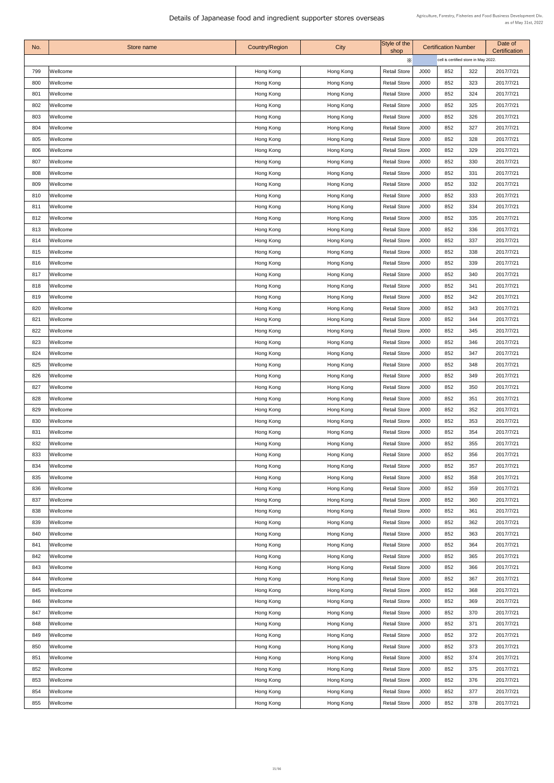| No. | Store name      | <b>Country/Region</b> | City      | Style of the<br>shop |      | <b>Certification Number</b>          |     | Date of<br><b>Certification</b> |
|-----|-----------------|-----------------------|-----------|----------------------|------|--------------------------------------|-----|---------------------------------|
|     |                 |                       |           | Х                    |      | cell is certified store in May 2022. |     |                                 |
| 799 | <b>Wellcome</b> | Hong Kong             | Hong Kong | <b>Retail Store</b>  | J000 | 852                                  | 322 | 2017/7/21                       |
| 800 | <b>Wellcome</b> | Hong Kong             | Hong Kong | <b>Retail Store</b>  | J000 | 852                                  | 323 | 2017/7/21                       |
| 801 | Wellcome        | Hong Kong             | Hong Kong | <b>Retail Store</b>  | J000 | 852                                  | 324 | 2017/7/21                       |
| 802 | <b>Wellcome</b> | Hong Kong             | Hong Kong | <b>Retail Store</b>  | J000 | 852                                  | 325 | 2017/7/21                       |
| 803 | <b>Wellcome</b> | Hong Kong             | Hong Kong | <b>Retail Store</b>  | J000 | 852                                  | 326 | 2017/7/21                       |
| 804 | Wellcome        | Hong Kong             | Hong Kong | <b>Retail Store</b>  | J000 | 852                                  | 327 | 2017/7/21                       |
| 805 | <b>Wellcome</b> | Hong Kong             | Hong Kong | <b>Retail Store</b>  | J000 | 852                                  | 328 | 2017/7/21                       |
| 806 | Wellcome        | Hong Kong             | Hong Kong | <b>Retail Store</b>  | J000 | 852                                  | 329 | 2017/7/21                       |
| 807 | <b>Wellcome</b> | Hong Kong             | Hong Kong | <b>Retail Store</b>  | J000 | 852                                  | 330 | 2017/7/21                       |
| 808 | Wellcome        | Hong Kong             | Hong Kong | <b>Retail Store</b>  | J000 | 852                                  | 331 | 2017/7/21                       |
| 809 | Wellcome        | Hong Kong             | Hong Kong | <b>Retail Store</b>  | J000 | 852                                  | 332 | 2017/7/21                       |
| 810 | <b>Wellcome</b> | Hong Kong             | Hong Kong | <b>Retail Store</b>  | J000 | 852                                  | 333 | 2017/7/21                       |
| 811 | <b>Wellcome</b> | Hong Kong             | Hong Kong | <b>Retail Store</b>  | J000 | 852                                  | 334 | 2017/7/21                       |
| 812 | Wellcome        | Hong Kong             | Hong Kong | <b>Retail Store</b>  | J000 | 852                                  | 335 | 2017/7/21                       |
| 813 | <b>Wellcome</b> | Hong Kong             | Hong Kong | <b>Retail Store</b>  | J000 | 852                                  | 336 | 2017/7/21                       |
| 814 | <b>Wellcome</b> | Hong Kong             | Hong Kong | <b>Retail Store</b>  | J000 | 852                                  | 337 | 2017/7/21                       |
| 815 | <b>Wellcome</b> | Hong Kong             | Hong Kong | <b>Retail Store</b>  | J000 | 852                                  | 338 | 2017/7/21                       |
| 816 | <b>Wellcome</b> | Hong Kong             | Hong Kong | <b>Retail Store</b>  | J000 | 852                                  | 339 | 2017/7/21                       |
| 817 | Wellcome        | Hong Kong             | Hong Kong | <b>Retail Store</b>  | J000 | 852                                  | 340 | 2017/7/21                       |
| 818 | <b>Wellcome</b> | Hong Kong             | Hong Kong | <b>Retail Store</b>  | J000 | 852                                  | 341 | 2017/7/21                       |
| 819 | <b>Wellcome</b> | Hong Kong             | Hong Kong | <b>Retail Store</b>  | J000 | 852                                  | 342 | 2017/7/21                       |
| 820 | <b>Wellcome</b> | Hong Kong             | Hong Kong | <b>Retail Store</b>  | J000 | 852                                  | 343 | 2017/7/21                       |
| 821 | <b>Wellcome</b> | Hong Kong             | Hong Kong | <b>Retail Store</b>  | J000 | 852                                  | 344 | 2017/7/21                       |
| 822 | Wellcome        | Hong Kong             | Hong Kong | <b>Retail Store</b>  | J000 | 852                                  | 345 | 2017/7/21                       |
| 823 | <b>Wellcome</b> | Hong Kong             | Hong Kong | <b>Retail Store</b>  | J000 | 852                                  | 346 | 2017/7/21                       |
| 824 | Wellcome        | Hong Kong             | Hong Kong | <b>Retail Store</b>  | J000 | 852                                  | 347 | 2017/7/21                       |
| 825 | Wellcome        | Hong Kong             | Hong Kong | <b>Retail Store</b>  | J000 | 852                                  | 348 | 2017/7/21                       |
| 826 | Wellcome        | Hong Kong             | Hong Kong | <b>Retail Store</b>  | J000 | 852                                  | 349 | 2017/7/21                       |
| 827 | <b>Wellcome</b> |                       |           | <b>Retail Store</b>  | J000 | 852                                  | 350 | 2017/7/21                       |
|     |                 | Hong Kong             | Hong Kong |                      |      | 852                                  |     |                                 |
| 828 | Wellcome        | Hong Kong             | Hong Kong | <b>Retail Store</b>  | J000 |                                      | 351 | 2017/7/21                       |
| 829 | <b>Wellcome</b> | Hong Kong             | Hong Kong | <b>Retail Store</b>  | J000 | 852                                  | 352 | 2017/7/21                       |
| 830 | <b>Wellcome</b> | Hong Kong             | Hong Kong | <b>Retail Store</b>  | J000 | 852                                  | 353 | 2017/7/21                       |
| 831 | <b>Wellcome</b> | Hong Kong             | Hong Kong | <b>Retail Store</b>  | J000 | 852                                  | 354 | 2017/7/21                       |
| 832 | Wellcome        | Hong Kong             | Hong Kong | <b>Retail Store</b>  | J000 | 852                                  | 355 | 2017/7/21                       |
| 833 | Wellcome        | Hong Kong             | Hong Kong | <b>Retail Store</b>  | J000 | 852                                  | 356 | 2017/7/21                       |
| 834 | <b>Wellcome</b> | Hong Kong             | Hong Kong | <b>Retail Store</b>  | J000 | 852                                  | 357 | 2017/7/21                       |
| 835 | Wellcome        | Hong Kong             | Hong Kong | <b>Retail Store</b>  | J000 | 852                                  | 358 | 2017/7/21                       |
| 836 | <b>Wellcome</b> | Hong Kong             | Hong Kong | <b>Retail Store</b>  | J000 | 852                                  | 359 | 2017/7/21                       |
| 837 | Wellcome        | Hong Kong             | Hong Kong | <b>Retail Store</b>  | J000 | 852                                  | 360 | 2017/7/21                       |
| 838 | <b>Wellcome</b> | Hong Kong             | Hong Kong | <b>Retail Store</b>  | J000 | 852                                  | 361 | 2017/7/21                       |
| 839 | <b>Wellcome</b> | Hong Kong             | Hong Kong | <b>Retail Store</b>  | J000 | 852                                  | 362 | 2017/7/21                       |
| 840 | <b>Wellcome</b> | Hong Kong             | Hong Kong | <b>Retail Store</b>  | J000 | 852                                  | 363 | 2017/7/21                       |
| 841 | <b>Wellcome</b> | Hong Kong             | Hong Kong | <b>Retail Store</b>  | J000 | 852                                  | 364 | 2017/7/21                       |
| 842 | <b>Wellcome</b> | Hong Kong             | Hong Kong | <b>Retail Store</b>  | J000 | 852                                  | 365 | 2017/7/21                       |
| 843 | <b>Wellcome</b> | Hong Kong             | Hong Kong | <b>Retail Store</b>  | J000 | 852                                  | 366 | 2017/7/21                       |
| 844 | Wellcome        | Hong Kong             | Hong Kong | <b>Retail Store</b>  | J000 | 852                                  | 367 | 2017/7/21                       |
| 845 | <b>Wellcome</b> | Hong Kong             | Hong Kong | <b>Retail Store</b>  | J000 | 852                                  | 368 | 2017/7/21                       |
| 846 | <b>Wellcome</b> | Hong Kong             | Hong Kong | <b>Retail Store</b>  | J000 | 852                                  | 369 | 2017/7/21                       |
| 847 | <b>Wellcome</b> | Hong Kong             | Hong Kong | <b>Retail Store</b>  | J000 | 852                                  | 370 | 2017/7/21                       |
| 848 | <b>Wellcome</b> | Hong Kong             | Hong Kong | <b>Retail Store</b>  | J000 | 852                                  | 371 | 2017/7/21                       |
| 849 | <b>Wellcome</b> | Hong Kong             | Hong Kong | <b>Retail Store</b>  | J000 | 852                                  | 372 | 2017/7/21                       |
| 850 | <b>Wellcome</b> | Hong Kong             | Hong Kong | <b>Retail Store</b>  | J000 | 852                                  | 373 | 2017/7/21                       |
| 851 | Wellcome        | Hong Kong             | Hong Kong | <b>Retail Store</b>  | J000 | 852                                  | 374 | 2017/7/21                       |
| 852 | <b>Wellcome</b> | Hong Kong             | Hong Kong | <b>Retail Store</b>  | J000 | 852                                  | 375 | 2017/7/21                       |
| 853 | <b>Wellcome</b> | Hong Kong             | Hong Kong | <b>Retail Store</b>  | J000 | 852                                  | 376 | 2017/7/21                       |
| 854 | Wellcome        | Hong Kong             | Hong Kong | <b>Retail Store</b>  | J000 | 852                                  | 377 | 2017/7/21                       |
| 855 | Wellcome        | Hong Kong             | Hong Kong | <b>Retail Store</b>  | J000 | 852                                  | 378 | 2017/7/21                       |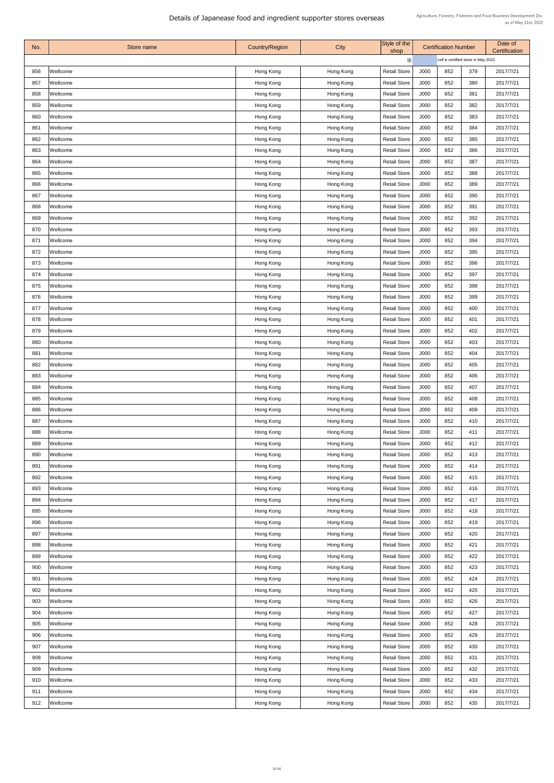| No. | Store name      | <b>Country/Region</b> | City      | Style of the<br>shop | <b>Certification Number</b> |                                      | Date of<br><b>Certification</b> |           |
|-----|-----------------|-----------------------|-----------|----------------------|-----------------------------|--------------------------------------|---------------------------------|-----------|
|     |                 |                       |           | Х                    |                             | cell is certified store in May 2022. |                                 |           |
| 856 | Wellcome        | Hong Kong             | Hong Kong | <b>Retail Store</b>  | J000                        | 852                                  | 379                             | 2017/7/21 |
| 857 | <b>Wellcome</b> | Hong Kong             | Hong Kong | <b>Retail Store</b>  | J000                        | 852                                  | 380                             | 2017/7/21 |
| 858 | Wellcome        | Hong Kong             | Hong Kong | <b>Retail Store</b>  | J000                        | 852                                  | 381                             | 2017/7/21 |
| 859 | <b>Wellcome</b> | Hong Kong             | Hong Kong | <b>Retail Store</b>  | J000                        | 852                                  | 382                             | 2017/7/21 |
| 860 | Wellcome        | Hong Kong             | Hong Kong | <b>Retail Store</b>  | J000                        | 852                                  | 383                             | 2017/7/21 |
| 861 | Wellcome        | Hong Kong             | Hong Kong | <b>Retail Store</b>  | J000                        | 852                                  | 384                             | 2017/7/21 |
| 862 | <b>Wellcome</b> | Hong Kong             | Hong Kong | <b>Retail Store</b>  | J000                        | 852                                  | 385                             | 2017/7/21 |
| 863 | Wellcome        | Hong Kong             | Hong Kong | <b>Retail Store</b>  | J000                        | 852                                  | 386                             | 2017/7/21 |
| 864 | <b>Wellcome</b> | Hong Kong             | Hong Kong | <b>Retail Store</b>  | J000                        | 852                                  | 387                             | 2017/7/21 |
| 865 | Wellcome        | Hong Kong             | Hong Kong | <b>Retail Store</b>  | J000                        | 852                                  | 388                             | 2017/7/21 |
| 866 | Wellcome        | Hong Kong             | Hong Kong | <b>Retail Store</b>  | J000                        | 852                                  | 389                             | 2017/7/21 |
| 867 | <b>Wellcome</b> | Hong Kong             | Hong Kong | <b>Retail Store</b>  | J000                        | 852                                  | 390                             | 2017/7/21 |
| 868 | <b>Wellcome</b> | Hong Kong             | Hong Kong | <b>Retail Store</b>  | J000                        | 852                                  | 391                             | 2017/7/21 |
| 869 | Wellcome        | Hong Kong             | Hong Kong | <b>Retail Store</b>  | J000                        | 852                                  | 392                             | 2017/7/21 |
| 870 | <b>Wellcome</b> | Hong Kong             | Hong Kong | <b>Retail Store</b>  | J000                        | 852                                  | 393                             | 2017/7/21 |
| 871 | <b>Wellcome</b> | Hong Kong             | Hong Kong | <b>Retail Store</b>  | J000                        | 852                                  | 394                             | 2017/7/21 |
| 872 | <b>Wellcome</b> | Hong Kong             | Hong Kong | <b>Retail Store</b>  | J000                        | 852                                  | 395                             | 2017/7/21 |
| 873 | <b>Wellcome</b> | Hong Kong             | Hong Kong | <b>Retail Store</b>  | J000                        | 852                                  | 396                             | 2017/7/21 |
| 874 | Wellcome        | Hong Kong             | Hong Kong | <b>Retail Store</b>  | J000                        | 852                                  | 397                             | 2017/7/21 |
| 875 | <b>Wellcome</b> | Hong Kong             | Hong Kong | <b>Retail Store</b>  | J000                        | 852                                  | 398                             | 2017/7/21 |
| 876 | <b>Wellcome</b> | Hong Kong             | Hong Kong | <b>Retail Store</b>  | J000                        | 852                                  | 399                             | 2017/7/21 |
| 877 | <b>Wellcome</b> | Hong Kong             | Hong Kong | <b>Retail Store</b>  | J000                        | 852                                  | 400                             | 2017/7/21 |
| 878 | <b>Wellcome</b> | Hong Kong             | Hong Kong | <b>Retail Store</b>  | J000                        | 852                                  | 401                             | 2017/7/21 |
| 879 | Wellcome        | Hong Kong             | Hong Kong | <b>Retail Store</b>  | J000                        | 852                                  | 402                             | 2017/7/21 |
| 880 | <b>Wellcome</b> | Hong Kong             | Hong Kong | <b>Retail Store</b>  | J000                        | 852                                  | 403                             | 2017/7/21 |
| 881 | <b>Wellcome</b> | Hong Kong             | Hong Kong | <b>Retail Store</b>  | J000                        | 852                                  | 404                             | 2017/7/21 |
| 882 | Wellcome        | Hong Kong             | Hong Kong | <b>Retail Store</b>  | J000                        | 852                                  | 405                             | 2017/7/21 |
| 883 | Wellcome        | Hong Kong             | Hong Kong | <b>Retail Store</b>  | J000                        | 852                                  | 406                             | 2017/7/21 |
| 884 | <b>Wellcome</b> | Hong Kong             | Hong Kong | <b>Retail Store</b>  | J000                        | 852                                  | 407                             | 2017/7/21 |
| 885 | Wellcome        | Hong Kong             | Hong Kong | <b>Retail Store</b>  | J000                        | 852                                  | 408                             | 2017/7/21 |
| 886 | <b>Wellcome</b> | Hong Kong             | Hong Kong | <b>Retail Store</b>  | J000                        | 852                                  | 409                             | 2017/7/21 |
| 887 | <b>Wellcome</b> | Hong Kong             | Hong Kong | <b>Retail Store</b>  | J000                        | 852                                  | 410                             | 2017/7/21 |
| 888 | <b>Wellcome</b> | Hong Kong             | Hong Kong | <b>Retail Store</b>  | J000                        | 852                                  | 411                             | 2017/7/21 |
| 889 | Wellcome        | Hong Kong             | Hong Kong | <b>Retail Store</b>  | J000                        | 852                                  | 412                             | 2017/7/21 |
| 890 | Wellcome        | Hong Kong             | Hong Kong | <b>Retail Store</b>  | J000                        | 852                                  | 413                             | 2017/7/21 |
| 891 | <b>Wellcome</b> | Hong Kong             | Hong Kong | <b>Retail Store</b>  | J000                        | 852                                  | 414                             | 2017/7/21 |
| 892 | <b>Wellcome</b> | Hong Kong             | Hong Kong | <b>Retail Store</b>  | J000                        | 852                                  | 415                             | 2017/7/21 |
| 893 | <b>Wellcome</b> | Hong Kong             | Hong Kong | <b>Retail Store</b>  | J000                        | 852                                  | 416                             | 2017/7/21 |
| 894 | Wellcome        | Hong Kong             | Hong Kong | <b>Retail Store</b>  | J000                        | 852                                  | 417                             | 2017/7/21 |
| 895 | Wellcome        | Hong Kong             | Hong Kong | <b>Retail Store</b>  | J000                        | 852                                  | 418                             | 2017/7/21 |
| 896 | Wellcome        | Hong Kong             | Hong Kong | <b>Retail Store</b>  | J000                        | 852                                  | 419                             | 2017/7/21 |
| 897 | <b>Wellcome</b> | Hong Kong             | Hong Kong | <b>Retail Store</b>  | J000                        | 852                                  | 420                             | 2017/7/21 |
| 898 | <b>Wellcome</b> | Hong Kong             | Hong Kong | <b>Retail Store</b>  | J000                        | 852                                  | 421                             | 2017/7/21 |
| 899 | <b>Wellcome</b> | Hong Kong             | Hong Kong | <b>Retail Store</b>  | J000                        | 852                                  | 422                             | 2017/7/21 |
| 900 | Wellcome        | Hong Kong             | Hong Kong | <b>Retail Store</b>  | J000                        | 852                                  | 423                             | 2017/7/21 |
| 901 | Wellcome        | Hong Kong             | Hong Kong | <b>Retail Store</b>  | J000                        | 852                                  | 424                             | 2017/7/21 |
| 902 | <b>Wellcome</b> | Hong Kong             | Hong Kong | <b>Retail Store</b>  | J000                        | 852                                  | 425                             | 2017/7/21 |
| 903 | <b>Wellcome</b> | Hong Kong             | Hong Kong | <b>Retail Store</b>  | J000                        | 852                                  | 426                             | 2017/7/21 |
| 904 | <b>Wellcome</b> | Hong Kong             | Hong Kong | <b>Retail Store</b>  | J000                        | 852                                  | 427                             | 2017/7/21 |
| 905 | Wellcome        | Hong Kong             | Hong Kong | <b>Retail Store</b>  | J000                        | 852                                  | 428                             | 2017/7/21 |
| 906 | <b>Wellcome</b> | Hong Kong             | Hong Kong | <b>Retail Store</b>  | J000                        | 852                                  | 429                             | 2017/7/21 |
| 907 | <b>Wellcome</b> | Hong Kong             | Hong Kong | <b>Retail Store</b>  | J000                        | 852                                  | 430                             | 2017/7/21 |
| 908 | Wellcome        | Hong Kong             | Hong Kong | <b>Retail Store</b>  | J000                        | 852                                  | 431                             | 2017/7/21 |
| 909 | <b>Wellcome</b> | Hong Kong             | Hong Kong | <b>Retail Store</b>  | J000                        | 852                                  | 432                             | 2017/7/21 |
| 910 | <b>Wellcome</b> | Hong Kong             | Hong Kong | <b>Retail Store</b>  | J000                        | 852                                  | 433                             | 2017/7/21 |
| 911 | Wellcome        | Hong Kong             | Hong Kong | <b>Retail Store</b>  | J000                        | 852                                  | 434                             | 2017/7/21 |
| 912 | Wellcome        | Hong Kong             | Hong Kong | <b>Retail Store</b>  | J000                        | 852                                  | 435                             | 2017/7/21 |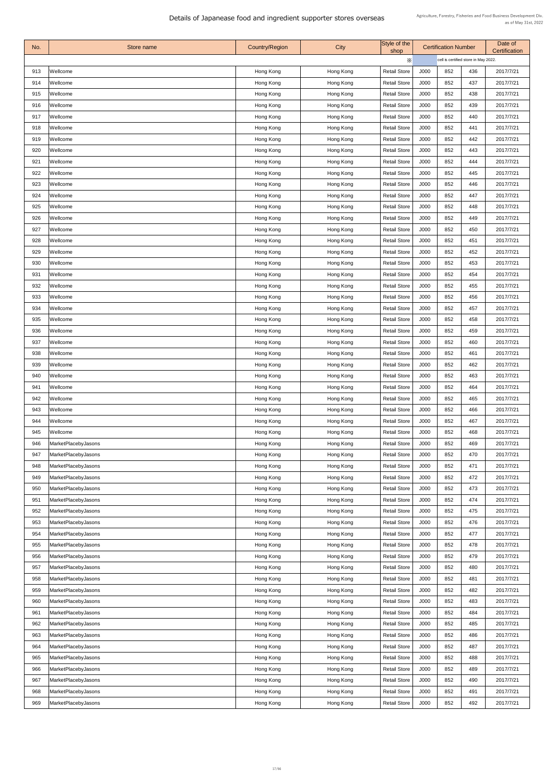| No. | Store name          | <b>Country/Region</b> | City      | Style of the<br>shop | <b>Certification Number</b> |                                      |     | Date of<br><b>Certification</b> |
|-----|---------------------|-----------------------|-----------|----------------------|-----------------------------|--------------------------------------|-----|---------------------------------|
|     |                     |                       |           | $\times$             |                             | cell is certified store in May 2022. |     |                                 |
| 913 | Wellcome            | Hong Kong             | Hong Kong | <b>Retail Store</b>  | J000                        | 852                                  | 436 | 2017/7/21                       |
| 914 | <b>Wellcome</b>     | Hong Kong             | Hong Kong | <b>Retail Store</b>  | J000                        | 852                                  | 437 | 2017/7/21                       |
| 915 | Wellcome            | Hong Kong             | Hong Kong | <b>Retail Store</b>  | J000                        | 852                                  | 438 | 2017/7/21                       |
| 916 | Wellcome            | Hong Kong             | Hong Kong | <b>Retail Store</b>  | J000                        | 852                                  | 439 | 2017/7/21                       |
| 917 | Wellcome            | Hong Kong             | Hong Kong | <b>Retail Store</b>  | J000                        | 852                                  | 440 | 2017/7/21                       |
| 918 | Wellcome            | Hong Kong             | Hong Kong | <b>Retail Store</b>  | J000                        | 852                                  | 441 | 2017/7/21                       |
| 919 | Wellcome            | Hong Kong             | Hong Kong | <b>Retail Store</b>  | J000                        | 852                                  | 442 | 2017/7/21                       |
| 920 | Wellcome            | Hong Kong             | Hong Kong | <b>Retail Store</b>  | J000                        | 852                                  | 443 | 2017/7/21                       |
| 921 | Wellcome            | Hong Kong             | Hong Kong | <b>Retail Store</b>  | J000                        | 852                                  | 444 | 2017/7/21                       |
| 922 | Wellcome            | Hong Kong             | Hong Kong | <b>Retail Store</b>  | J000                        | 852                                  | 445 | 2017/7/21                       |
| 923 | Wellcome            | Hong Kong             | Hong Kong | <b>Retail Store</b>  | J000                        | 852                                  | 446 | 2017/7/21                       |
| 924 | Wellcome            | Hong Kong             | Hong Kong | <b>Retail Store</b>  | J000                        | 852                                  | 447 | 2017/7/21                       |
| 925 | Wellcome            | Hong Kong             | Hong Kong | <b>Retail Store</b>  | J000                        | 852                                  | 448 | 2017/7/21                       |
| 926 | Wellcome            | Hong Kong             | Hong Kong | <b>Retail Store</b>  | J000                        | 852                                  | 449 | 2017/7/21                       |
| 927 | Wellcome            | Hong Kong             | Hong Kong | <b>Retail Store</b>  | J000                        | 852                                  | 450 | 2017/7/21                       |
| 928 | Wellcome            | Hong Kong             | Hong Kong | <b>Retail Store</b>  | J000                        | 852                                  | 451 | 2017/7/21                       |
| 929 | Wellcome            | Hong Kong             | Hong Kong | <b>Retail Store</b>  | J000                        | 852                                  | 452 | 2017/7/21                       |
| 930 | Wellcome            | Hong Kong             | Hong Kong | <b>Retail Store</b>  | J000                        | 852                                  | 453 | 2017/7/21                       |
| 931 | <b>Wellcome</b>     | Hong Kong             | Hong Kong | <b>Retail Store</b>  | J000                        | 852                                  | 454 | 2017/7/21                       |
| 932 | Wellcome            | Hong Kong             | Hong Kong | <b>Retail Store</b>  | J000                        | 852                                  | 455 | 2017/7/21                       |
| 933 | Wellcome            | Hong Kong             | Hong Kong | <b>Retail Store</b>  | J000                        | 852                                  | 456 | 2017/7/21                       |
| 934 | Wellcome            | Hong Kong             | Hong Kong | <b>Retail Store</b>  | J000                        | 852                                  | 457 | 2017/7/21                       |
| 935 | <b>Wellcome</b>     | Hong Kong             | Hong Kong | <b>Retail Store</b>  | J000                        | 852                                  | 458 | 2017/7/21                       |
| 936 | Wellcome            | Hong Kong             | Hong Kong | <b>Retail Store</b>  | J000                        | 852                                  | 459 | 2017/7/21                       |
| 937 | Wellcome            | Hong Kong             | Hong Kong | <b>Retail Store</b>  | J000                        | 852                                  | 460 | 2017/7/21                       |
| 938 | Wellcome            | Hong Kong             | Hong Kong | <b>Retail Store</b>  | J000                        | 852                                  | 461 | 2017/7/21                       |
| 939 | Wellcome            | Hong Kong             | Hong Kong | <b>Retail Store</b>  | J000                        | 852                                  | 462 | 2017/7/21                       |
| 940 | Wellcome            | Hong Kong             | Hong Kong | <b>Retail Store</b>  | J000                        | 852                                  | 463 | 2017/7/21                       |
| 941 | Wellcome            | Hong Kong             | Hong Kong | <b>Retail Store</b>  | J000                        | 852                                  | 464 | 2017/7/21                       |
| 942 | Wellcome            | Hong Kong             | Hong Kong | <b>Retail Store</b>  | J000                        | 852                                  | 465 | 2017/7/21                       |
| 943 | Wellcome            | Hong Kong             | Hong Kong | <b>Retail Store</b>  | J000                        | 852                                  | 466 | 2017/7/21                       |
| 944 | Wellcome            | Hong Kong             | Hong Kong | <b>Retail Store</b>  | J000                        | 852                                  | 467 | 2017/7/21                       |
| 945 | Wellcome            | Hong Kong             | Hong Kong | <b>Retail Store</b>  | J000                        | 852                                  | 468 | 2017/7/21                       |
| 946 | MarketPlacebyJasons | Hong Kong             | Hong Kong | <b>Retail Store</b>  | J000                        | 852                                  | 469 | 2017/7/21                       |
| 947 | MarketPlacebyJasons | Hong Kong             | Hong Kong | <b>Retail Store</b>  | J000                        | 852                                  | 470 | 2017/7/21                       |
| 948 | MarketPlacebyJasons | Hong Kong             | Hong Kong | <b>Retail Store</b>  | J000                        | 852                                  | 471 | 2017/7/21                       |
| 949 | MarketPlacebyJasons | Hong Kong             | Hong Kong | <b>Retail Store</b>  | J000                        | 852                                  | 472 | 2017/7/21                       |
| 950 | MarketPlacebyJasons | Hong Kong             | Hong Kong | <b>Retail Store</b>  | J000                        | 852                                  | 473 | 2017/7/21                       |
| 951 | MarketPlacebyJasons | Hong Kong             | Hong Kong | <b>Retail Store</b>  | J000                        | 852                                  | 474 | 2017/7/21                       |
| 952 | MarketPlacebyJasons | Hong Kong             | Hong Kong | <b>Retail Store</b>  | J000                        | 852                                  | 475 | 2017/7/21                       |
| 953 | MarketPlacebyJasons | Hong Kong             | Hong Kong | <b>Retail Store</b>  | J000                        | 852                                  | 476 | 2017/7/21                       |
| 954 | MarketPlacebyJasons | Hong Kong             | Hong Kong | <b>Retail Store</b>  | J000                        | 852                                  | 477 | 2017/7/21                       |
| 955 | MarketPlacebyJasons | Hong Kong             | Hong Kong | <b>Retail Store</b>  | J000                        | 852                                  | 478 | 2017/7/21                       |
| 956 | MarketPlacebyJasons | Hong Kong             | Hong Kong | <b>Retail Store</b>  | J000                        | 852                                  | 479 | 2017/7/21                       |
| 957 | MarketPlacebyJasons | Hong Kong             | Hong Kong | <b>Retail Store</b>  | J000                        | 852                                  | 480 | 2017/7/21                       |
| 958 | MarketPlacebyJasons | Hong Kong             | Hong Kong | <b>Retail Store</b>  | J000                        | 852                                  | 481 | 2017/7/21                       |
| 959 | MarketPlacebyJasons | Hong Kong             | Hong Kong | <b>Retail Store</b>  | J000                        | 852                                  | 482 | 2017/7/21                       |
| 960 | MarketPlacebyJasons | Hong Kong             | Hong Kong | <b>Retail Store</b>  | J000                        | 852                                  | 483 | 2017/7/21                       |
| 961 | MarketPlacebyJasons | Hong Kong             | Hong Kong | <b>Retail Store</b>  | J000                        | 852                                  | 484 | 2017/7/21                       |
| 962 | MarketPlacebyJasons | Hong Kong             | Hong Kong | <b>Retail Store</b>  | J000                        | 852                                  | 485 | 2017/7/21                       |
| 963 | MarketPlacebyJasons | Hong Kong             | Hong Kong | <b>Retail Store</b>  | J000                        | 852                                  | 486 | 2017/7/21                       |
| 964 | MarketPlacebyJasons | Hong Kong             | Hong Kong | <b>Retail Store</b>  | J000                        | 852                                  | 487 | 2017/7/21                       |
| 965 | MarketPlacebyJasons | Hong Kong             | Hong Kong | <b>Retail Store</b>  | J000                        | 852                                  | 488 | 2017/7/21                       |
| 966 | MarketPlacebyJasons | Hong Kong             | Hong Kong | <b>Retail Store</b>  | J000                        | 852                                  | 489 | 2017/7/21                       |
| 967 | MarketPlacebyJasons | Hong Kong             | Hong Kong | <b>Retail Store</b>  | J000                        | 852                                  | 490 | 2017/7/21                       |
| 968 | MarketPlacebyJasons | Hong Kong             | Hong Kong | <b>Retail Store</b>  | J000                        | 852                                  | 491 | 2017/7/21                       |
| 969 | MarketPlacebyJasons | Hong Kong             | Hong Kong | <b>Retail Store</b>  | J000                        | 852                                  | 492 | 2017/7/21                       |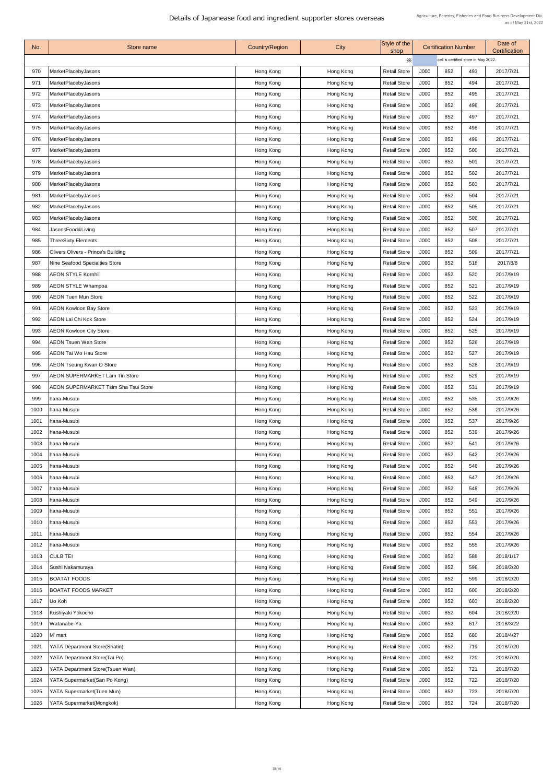| No.  | Store name                                 | <b>Country/Region</b> | <b>City</b> | Style of the<br>shop | <b>Certification Number</b> |                                      |     | Date of<br>Certification |  |
|------|--------------------------------------------|-----------------------|-------------|----------------------|-----------------------------|--------------------------------------|-----|--------------------------|--|
|      |                                            |                       |             | $\times$             |                             | cell is certified store in May 2022. |     |                          |  |
| 970  | MarketPlacebyJasons                        | Hong Kong             | Hong Kong   | <b>Retail Store</b>  | J000                        | 852                                  | 493 | 2017/7/21                |  |
| 971  | MarketPlacebyJasons                        | Hong Kong             | Hong Kong   | <b>Retail Store</b>  | J000                        | 852                                  | 494 | 2017/7/21                |  |
| 972  | MarketPlacebyJasons                        | Hong Kong             | Hong Kong   | <b>Retail Store</b>  | J000                        | 852                                  | 495 | 2017/7/21                |  |
| 973  | <b>MarketPlacebyJasons</b>                 | Hong Kong             | Hong Kong   | <b>Retail Store</b>  | J000                        | 852                                  | 496 | 2017/7/21                |  |
| 974  | MarketPlacebyJasons                        | Hong Kong             | Hong Kong   | <b>Retail Store</b>  | J000                        | 852                                  | 497 | 2017/7/21                |  |
| 975  | <b>MarketPlacebyJasons</b>                 | Hong Kong             | Hong Kong   | <b>Retail Store</b>  | J000                        | 852                                  | 498 | 2017/7/21                |  |
| 976  | MarketPlacebyJasons                        | Hong Kong             | Hong Kong   | <b>Retail Store</b>  | J000                        | 852                                  | 499 | 2017/7/21                |  |
| 977  | MarketPlacebyJasons                        | Hong Kong             | Hong Kong   | <b>Retail Store</b>  | J000                        | 852                                  | 500 | 2017/7/21                |  |
| 978  | <b>MarketPlacebyJasons</b>                 | Hong Kong             | Hong Kong   | <b>Retail Store</b>  | J000                        | 852                                  | 501 | 2017/7/21                |  |
| 979  | MarketPlacebyJasons                        | Hong Kong             | Hong Kong   | <b>Retail Store</b>  | J000                        | 852                                  | 502 | 2017/7/21                |  |
| 980  | MarketPlacebyJasons                        | Hong Kong             | Hong Kong   | <b>Retail Store</b>  | J000                        | 852                                  | 503 | 2017/7/21                |  |
| 981  | MarketPlacebyJasons                        | Hong Kong             | Hong Kong   | <b>Retail Store</b>  | J000                        | 852                                  | 504 | 2017/7/21                |  |
| 982  | MarketPlacebyJasons                        | Hong Kong             | Hong Kong   | <b>Retail Store</b>  | J000                        | 852                                  | 505 | 2017/7/21                |  |
| 983  | MarketPlacebyJasons                        |                       |             | <b>Retail Store</b>  | J000                        | 852                                  | 506 | 2017/7/21                |  |
| 984  | JasonsFood&Living                          | Hong Kong             | Hong Kong   | <b>Retail Store</b>  | J000                        | 852                                  | 507 | 2017/7/21                |  |
|      |                                            | Hong Kong             | Hong Kong   |                      |                             |                                      |     |                          |  |
| 985  | <b>ThreeSixty Elements</b>                 | Hong Kong             | Hong Kong   | <b>Retail Store</b>  | J000                        | 852                                  | 508 | 2017/7/21                |  |
| 986  | <b>Olivers Olivers - Prince's Building</b> | Hong Kong             | Hong Kong   | <b>Retail Store</b>  | J000                        | 852                                  | 509 | 2017/7/21                |  |
| 987  | Nine Seafood Specialties Store             | Hong Kong             | Hong Kong   | <b>Retail Store</b>  | J000                        | 852                                  | 518 | 2017/8/8                 |  |
| 988  | <b>AEON STYLE Kornhill</b>                 | Hong Kong             | Hong Kong   | <b>Retail Store</b>  | J000                        | 852                                  | 520 | 2017/9/19                |  |
| 989  | <b>AEON STYLE Whampoa</b>                  | Hong Kong             | Hong Kong   | <b>Retail Store</b>  | J000                        | 852                                  | 521 | 2017/9/19                |  |
| 990  | <b>AEON Tuen Mun Store</b>                 | Hong Kong             | Hong Kong   | <b>Retail Store</b>  | J000                        | 852                                  | 522 | 2017/9/19                |  |
| 991  | <b>AEON Kowloon Bay Store</b>              | Hong Kong             | Hong Kong   | <b>Retail Store</b>  | J000                        | 852                                  | 523 | 2017/9/19                |  |
| 992  | <b>AEON Lai Chi Kok Store</b>              | Hong Kong             | Hong Kong   | <b>Retail Store</b>  | J000                        | 852                                  | 524 | 2017/9/19                |  |
| 993  | <b>AEON Kowloon City Store</b>             | Hong Kong             | Hong Kong   | <b>Retail Store</b>  | J000                        | 852                                  | 525 | 2017/9/19                |  |
| 994  | <b>AEON Tsuen Wan Store</b>                | Hong Kong             | Hong Kong   | <b>Retail Store</b>  | J000                        | 852                                  | 526 | 2017/9/19                |  |
| 995  | <b>AEON Tai Wo Hau Store</b>               | Hong Kong             | Hong Kong   | <b>Retail Store</b>  | J000                        | 852                                  | 527 | 2017/9/19                |  |
| 996  | <b>AEON Tseung Kwan O Store</b>            | Hong Kong             | Hong Kong   | <b>Retail Store</b>  | J000                        | 852                                  | 528 | 2017/9/19                |  |
| 997  | <b>AEON SUPERMARKET Lam Tin Store</b>      | Hong Kong             | Hong Kong   | <b>Retail Store</b>  | J000                        | 852                                  | 529 | 2017/9/19                |  |
| 998  | AEON SUPERMARKET Tsim Sha Tsui Store       | Hong Kong             | Hong Kong   | <b>Retail Store</b>  | J000                        | 852                                  | 531 | 2017/9/19                |  |
| 999  | hana-Musubi                                | Hong Kong             | Hong Kong   | <b>Retail Store</b>  | J000                        | 852                                  | 535 | 2017/9/26                |  |
| 1000 | hana-Musubi                                | Hong Kong             | Hong Kong   | <b>Retail Store</b>  | J000                        | 852                                  | 536 | 2017/9/26                |  |
| 1001 | hana-Musubi                                | Hong Kong             | Hong Kong   | <b>Retail Store</b>  | J000                        | 852                                  | 537 | 2017/9/26                |  |
| 1002 | hana-Musubi                                | Hong Kong             | Hong Kong   | <b>Retail Store</b>  | J000                        | 852                                  | 539 | 2017/9/26                |  |
| 1003 | hana-Musubi                                | Hong Kong             | Hong Kong   | <b>Retail Store</b>  | J000                        | 852                                  | 541 | 2017/9/26                |  |
| 1004 | hana-Musubi                                | Hong Kong             | Hong Kong   | <b>Retail Store</b>  | J000                        | 852                                  | 542 | 2017/9/26                |  |
| 1005 | hana-Musubi                                | Hong Kong             | Hong Kong   | <b>Retail Store</b>  | J000                        | 852                                  | 546 | 2017/9/26                |  |
| 1006 | hana-Musubi                                | Hong Kong             | Hong Kong   | <b>Retail Store</b>  | J000                        | 852                                  | 547 | 2017/9/26                |  |
| 1007 | hana-Musubi                                | Hong Kong             | Hong Kong   | <b>Retail Store</b>  | J000                        | 852                                  | 548 | 2017/9/26                |  |
| 1008 | hana-Musubi                                | Hong Kong             | Hong Kong   | <b>Retail Store</b>  | J000                        | 852                                  | 549 | 2017/9/26                |  |
| 1009 | hana-Musubi                                | Hong Kong             | Hong Kong   | <b>Retail Store</b>  | J000                        | 852                                  | 551 | 2017/9/26                |  |
| 1010 | hana-Musubi                                | Hong Kong             | Hong Kong   | <b>Retail Store</b>  | J000                        | 852                                  | 553 | 2017/9/26                |  |
| 1011 | hana-Musubi                                | Hong Kong             | Hong Kong   | <b>Retail Store</b>  | J000                        | 852                                  | 554 | 2017/9/26                |  |
| 1012 | hana-Musubi                                | Hong Kong             | Hong Kong   | <b>Retail Store</b>  | J000                        | 852                                  | 555 | 2017/9/26                |  |
| 1013 | <b>CULB TEI</b>                            | Hong Kong             | Hong Kong   | <b>Retail Store</b>  | J000                        | 852                                  | 588 | 2018/1/17                |  |
| 1014 | Sushi Nakamuraya                           | Hong Kong             | Hong Kong   | <b>Retail Store</b>  | J000                        | 852                                  | 596 | 2018/2/20                |  |
| 1015 | <b>BOATAT FOODS</b>                        | Hong Kong             | Hong Kong   | <b>Retail Store</b>  | J000                        | 852                                  | 599 | 2018/2/20                |  |
| 1016 | <b>BOATAT FOODS MARKET</b>                 | Hong Kong             | Hong Kong   | <b>Retail Store</b>  | J000                        | 852                                  | 600 | 2018/2/20                |  |
| 1017 | Uo Koh                                     |                       |             | <b>Retail Store</b>  | J000                        | 852                                  | 603 | 2018/2/20                |  |
|      |                                            | Hong Kong             | Hong Kong   |                      |                             | 852                                  |     |                          |  |
| 1018 | Kushiyaki Yokocho                          | Hong Kong             | Hong Kong   | <b>Retail Store</b>  | J000                        |                                      | 604 | 2018/2/20                |  |
| 1019 | Watanabe-Ya                                | Hong Kong             | Hong Kong   | <b>Retail Store</b>  | J000                        | 852                                  | 617 | 2018/3/22                |  |
| 1020 | M' mart                                    | Hong Kong             | Hong Kong   | <b>Retail Store</b>  | J000                        | 852                                  | 680 | 2018/4/27                |  |
| 1021 | YATA Department Store(Shatin)              | Hong Kong             | Hong Kong   | <b>Retail Store</b>  | J000                        | 852                                  | 719 | 2018/7/20                |  |
| 1022 | YATA Department Store(Tai Po)              | Hong Kong             | Hong Kong   | <b>Retail Store</b>  | J000                        | 852                                  | 720 | 2018/7/20                |  |
| 1023 | YATA Department Store(Tsuen Wan)           | Hong Kong             | Hong Kong   | <b>Retail Store</b>  | J000                        | 852                                  | 721 | 2018/7/20                |  |
| 1024 | YATA Supermarket(San Po Kong)              | Hong Kong             | Hong Kong   | <b>Retail Store</b>  | J000                        | 852                                  | 722 | 2018/7/20                |  |
|      | 1025   YATA Supermarket (Tuen Mun)         | Hong Kong             | Hong Kong   | <b>Retail Store</b>  | J000                        | 852                                  | 723 | 2018/7/20                |  |
| 1026 | YATA Supermarket(Mongkok)                  | Hong Kong             | Hong Kong   | <b>Retail Store</b>  | J000                        | 852                                  | 724 | 2018/7/20                |  |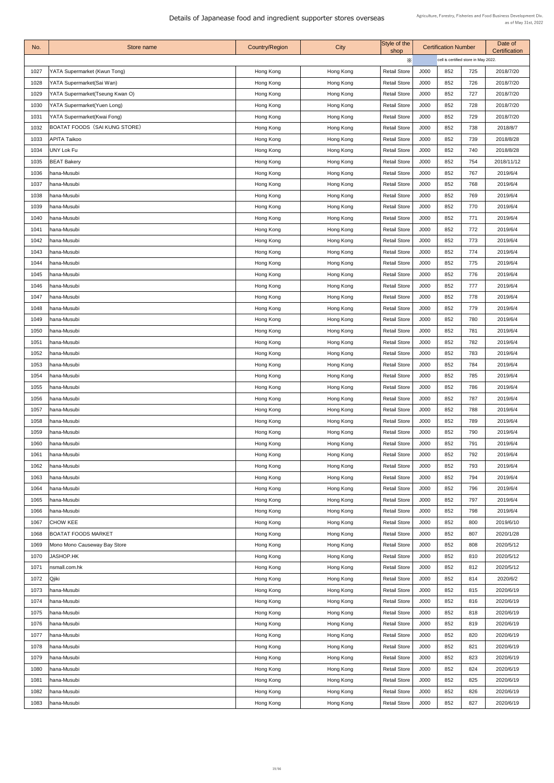| No.  | Store name                         | <b>Country/Region</b> | City      | Style of the        |      | <b>Certification Number</b> |                                      | Date of<br>Certification |  |
|------|------------------------------------|-----------------------|-----------|---------------------|------|-----------------------------|--------------------------------------|--------------------------|--|
|      |                                    |                       |           | shop<br>Х           |      |                             | cell is certified store in May 2022. |                          |  |
| 1027 | YATA Supermarket (Kwun Tong)       | Hong Kong             | Hong Kong | <b>Retail Store</b> | J000 | 852                         | 725                                  | 2018/7/20                |  |
| 1028 | YATA Supermarket(Sai Wan)          | Hong Kong             | Hong Kong | <b>Retail Store</b> | J000 | 852                         | 726                                  | 2018/7/20                |  |
|      |                                    |                       |           | <b>Retail Store</b> | J000 | 852                         | 727                                  | 2018/7/20                |  |
| 1029 | YATA Supermarket(Tseung Kwan O)    | Hong Kong             | Hong Kong |                     |      |                             |                                      |                          |  |
| 1030 | <b>YATA Supermarket(Yuen Long)</b> | Hong Kong             | Hong Kong | <b>Retail Store</b> | J000 | 852                         | 728                                  | 2018/7/20                |  |
| 1031 | YATA Supermarket(Kwai Fong)        | Hong Kong             | Hong Kong | <b>Retail Store</b> | J000 | 852                         | 729                                  | 2018/7/20                |  |
| 1032 | BOATAT FOODS (SAI KUNG STORE)      | Hong Kong             | Hong Kong | <b>Retail Store</b> | J000 | 852                         | 738                                  | 2018/8/7                 |  |
| 1033 | <b>APITA Taikoo</b>                | Hong Kong             | Hong Kong | <b>Retail Store</b> | J000 | 852                         | 739                                  | 2018/8/28                |  |
| 1034 | UNY Lok Fu                         | Hong Kong             | Hong Kong | <b>Retail Store</b> | J000 | 852                         | 740                                  | 2018/8/28                |  |
| 1035 | <b>BEAT Bakery</b>                 | Hong Kong             | Hong Kong | <b>Retail Store</b> | J000 | 852                         | 754                                  | 2018/11/12               |  |
| 1036 | hana-Musubi                        | Hong Kong             | Hong Kong | <b>Retail Store</b> | J000 | 852                         | 767                                  | 2019/6/4                 |  |
| 1037 | hana-Musubi                        | Hong Kong             | Hong Kong | <b>Retail Store</b> | J000 | 852                         | 768                                  | 2019/6/4                 |  |
| 1038 | hana-Musubi                        | Hong Kong             | Hong Kong | <b>Retail Store</b> | J000 | 852                         | 769                                  | 2019/6/4                 |  |
| 1039 | hana-Musubi                        | Hong Kong             | Hong Kong | <b>Retail Store</b> | J000 | 852                         | 770                                  | 2019/6/4                 |  |
| 1040 | hana-Musubi                        | Hong Kong             | Hong Kong | <b>Retail Store</b> | J000 | 852                         | 771                                  | 2019/6/4                 |  |
| 1041 | hana-Musubi                        | Hong Kong             | Hong Kong | <b>Retail Store</b> | J000 | 852                         | 772                                  | 2019/6/4                 |  |
| 1042 | hana-Musubi                        | Hong Kong             | Hong Kong | <b>Retail Store</b> | J000 | 852                         | 773                                  | 2019/6/4                 |  |
| 1043 | hana-Musubi                        | Hong Kong             | Hong Kong | <b>Retail Store</b> | J000 | 852                         | 774                                  | 2019/6/4                 |  |
| 1044 | hana-Musubi                        | Hong Kong             | Hong Kong | <b>Retail Store</b> | J000 | 852                         | 775                                  | 2019/6/4                 |  |
| 1045 | hana-Musubi                        | Hong Kong             | Hong Kong | <b>Retail Store</b> | J000 | 852                         | 776                                  | 2019/6/4                 |  |
| 1046 | hana-Musubi                        | Hong Kong             | Hong Kong | <b>Retail Store</b> | J000 | 852                         | 777                                  | 2019/6/4                 |  |
| 1047 | hana-Musubi                        | Hong Kong             | Hong Kong | <b>Retail Store</b> | J000 | 852                         | 778                                  | 2019/6/4                 |  |
| 1048 | hana-Musubi                        | Hong Kong             | Hong Kong | <b>Retail Store</b> | J000 | 852                         | 779                                  | 2019/6/4                 |  |
| 1049 | hana-Musubi                        | Hong Kong             | Hong Kong | <b>Retail Store</b> | J000 | 852                         | 780                                  | 2019/6/4                 |  |
| 1050 | hana-Musubi                        | Hong Kong             | Hong Kong | <b>Retail Store</b> | J000 | 852                         | 781                                  | 2019/6/4                 |  |
| 1051 | hana-Musubi                        | Hong Kong             | Hong Kong | <b>Retail Store</b> | J000 | 852                         | 782                                  | 2019/6/4                 |  |
| 1052 | hana-Musubi                        | Hong Kong             | Hong Kong | <b>Retail Store</b> | J000 | 852                         | 783                                  | 2019/6/4                 |  |
|      | 1053   hana-Musubi                 | Hong Kong             | Hong Kong | <b>Retail Store</b> | J000 | 852                         | 784                                  | 2019/6/4                 |  |
| 1054 | hana-Musubi                        | Hong Kong             | Hong Kong | <b>Retail Store</b> | J000 | 852                         | 785                                  | 2019/6/4                 |  |
| 1055 | hana-Musubi                        | Hong Kong             | Hong Kong | <b>Retail Store</b> | J000 | 852                         | 786                                  | 2019/6/4                 |  |
| 1056 | hana-Musubi                        | Hong Kong             | Hong Kong | <b>Retail Store</b> | J000 | 852                         | 787                                  | 2019/6/4                 |  |
| 1057 | hana-Musubi                        | Hong Kong             | Hong Kong | <b>Retail Store</b> | J000 | 852                         | 788                                  | 2019/6/4                 |  |
| 1058 | hana-Musubi                        |                       | Hong Kong | <b>Retail Store</b> | J000 | 852                         | 789                                  | 2019/6/4                 |  |
|      |                                    | Hong Kong             |           |                     |      | 852                         |                                      |                          |  |
| 1059 | hana-Musubi                        | Hong Kong             | Hong Kong | <b>Retail Store</b> | J000 |                             | 790                                  | 2019/6/4                 |  |
| 1060 | hana-Musubi                        | Hong Kong             | Hong Kong | <b>Retail Store</b> | J000 | 852                         | 791                                  | 2019/6/4                 |  |
| 1061 | hana-Musubi                        | Hong Kong             | Hong Kong | <b>Retail Store</b> | J000 | 852                         | 792                                  | 2019/6/4                 |  |
| 1062 | hana-Musubi                        | Hong Kong             | Hong Kong | <b>Retail Store</b> | J000 | 852                         | 793                                  | 2019/6/4                 |  |
| 1063 | hana-Musubi                        | Hong Kong             | Hong Kong | <b>Retail Store</b> | J000 | 852                         | 794                                  | 2019/6/4                 |  |
| 1064 | hana-Musubi                        | Hong Kong             | Hong Kong | <b>Retail Store</b> | J000 | 852                         | 796                                  | 2019/6/4                 |  |
| 1065 | hana-Musubi                        | Hong Kong             | Hong Kong | <b>Retail Store</b> | J000 | 852                         | 797                                  | 2019/6/4                 |  |
| 1066 | hana-Musubi                        | Hong Kong             | Hong Kong | <b>Retail Store</b> | J000 | 852                         | 798                                  | 2019/6/4                 |  |
| 1067 | <b>CHOW KEE</b>                    | Hong Kong             | Hong Kong | <b>Retail Store</b> | J000 | 852                         | 800                                  | 2019/6/10                |  |
| 1068 | <b>BOATAT FOODS MARKET</b>         | Hong Kong             | Hong Kong | <b>Retail Store</b> | J000 | 852                         | 807                                  | 2020/1/28                |  |
| 1069 | Mono Mono Causeway Bay Store       | Hong Kong             | Hong Kong | <b>Retail Store</b> | J000 | 852                         | 808                                  | 2020/5/12                |  |
| 1070 | JASHOP.HK                          | Hong Kong             | Hong Kong | <b>Retail Store</b> | J000 | 852                         | 810                                  | 2020/5/12                |  |
| 1071 | nsmall.com.hk                      | Hong Kong             | Hong Kong | <b>Retail Store</b> | J000 | 852                         | 812                                  | 2020/5/12                |  |
| 1072 | <b>Qjiki</b>                       | Hong Kong             | Hong Kong | <b>Retail Store</b> | J000 | 852                         | 814                                  | 2020/6/2                 |  |
| 1073 | hana-Musubi                        | Hong Kong             | Hong Kong | <b>Retail Store</b> | J000 | 852                         | 815                                  | 2020/6/19                |  |
| 1074 | hana-Musubi                        | Hong Kong             | Hong Kong | <b>Retail Store</b> | J000 | 852                         | 816                                  | 2020/6/19                |  |
| 1075 | hana-Musubi                        | Hong Kong             | Hong Kong | <b>Retail Store</b> | J000 | 852                         | 818                                  | 2020/6/19                |  |
| 1076 | hana-Musubi                        | Hong Kong             | Hong Kong | <b>Retail Store</b> | J000 | 852                         | 819                                  | 2020/6/19                |  |
| 1077 | hana-Musubi                        | Hong Kong             | Hong Kong | <b>Retail Store</b> | J000 | 852                         | 820                                  | 2020/6/19                |  |
| 1078 | hana-Musubi                        | Hong Kong             | Hong Kong | <b>Retail Store</b> | J000 | 852                         | 821                                  | 2020/6/19                |  |
| 1079 | hana-Musubi                        | Hong Kong             | Hong Kong | <b>Retail Store</b> | J000 | 852                         | 823                                  | 2020/6/19                |  |
| 1080 | hana-Musubi                        | Hong Kong             | Hong Kong | <b>Retail Store</b> | J000 | 852                         | 824                                  | 2020/6/19                |  |
| 1081 | hana-Musubi                        | Hong Kong             | Hong Kong | <b>Retail Store</b> | J000 | 852                         | 825                                  | 2020/6/19                |  |
|      | 1082   hana-Musubi                 | Hong Kong             | Hong Kong | <b>Retail Store</b> | J000 | 852                         | 826                                  | 2020/6/19                |  |
|      |                                    |                       |           |                     |      |                             |                                      |                          |  |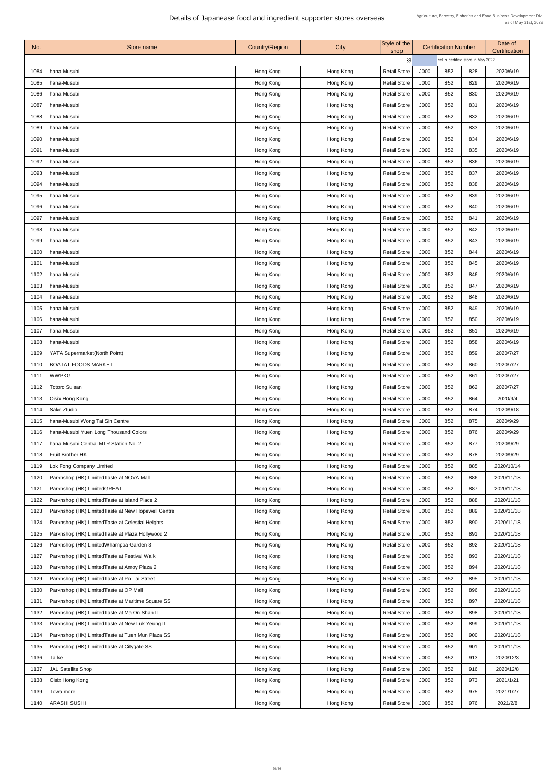| No.          | Store name                                          | <b>Country/Region</b> | <b>City</b> | Style of the<br>shop                       | <b>Certification Number</b> |                                      |            | Date of<br><b>Certification</b> |
|--------------|-----------------------------------------------------|-----------------------|-------------|--------------------------------------------|-----------------------------|--------------------------------------|------------|---------------------------------|
|              |                                                     |                       |             | Х                                          |                             | cell is certified store in May 2022. |            |                                 |
| 1084         | hana-Musubi                                         | Hong Kong             | Hong Kong   | <b>Retail Store</b>                        | J000                        | 852                                  | 828        | 2020/6/19                       |
| 1085         | hana-Musubi                                         | Hong Kong             | Hong Kong   | <b>Retail Store</b>                        | J000                        | 852                                  | 829        | 2020/6/19                       |
| 1086         | hana-Musubi                                         | Hong Kong             | Hong Kong   | <b>Retail Store</b>                        | J000                        | 852                                  | 830        | 2020/6/19                       |
| 1087         | hana-Musubi                                         | Hong Kong             | Hong Kong   | <b>Retail Store</b>                        | J000                        | 852                                  | 831        | 2020/6/19                       |
| 1088         | hana-Musubi                                         | Hong Kong             | Hong Kong   | <b>Retail Store</b>                        | J000                        | 852                                  | 832        | 2020/6/19                       |
| 1089         | hana-Musubi                                         | Hong Kong             | Hong Kong   | <b>Retail Store</b>                        | J000                        | 852                                  | 833        | 2020/6/19                       |
| 1090         | hana-Musubi                                         | Hong Kong             | Hong Kong   | <b>Retail Store</b>                        | J000                        | 852                                  | 834        | 2020/6/19                       |
| 1091         | hana-Musubi                                         | Hong Kong             | Hong Kong   | <b>Retail Store</b>                        | J000                        | 852                                  | 835        | 2020/6/19                       |
| 1092         | hana-Musubi                                         | Hong Kong             | Hong Kong   | <b>Retail Store</b>                        | J000                        | 852                                  | 836        | 2020/6/19                       |
| 1093         | hana-Musubi                                         | Hong Kong             | Hong Kong   | <b>Retail Store</b>                        | J000                        | 852                                  | 837        | 2020/6/19                       |
| 1094         | hana-Musubi                                         | Hong Kong             | Hong Kong   | <b>Retail Store</b>                        | J000                        | 852                                  | 838        | 2020/6/19                       |
| 1095         | hana-Musubi                                         | Hong Kong             | Hong Kong   | <b>Retail Store</b>                        | J000                        | 852                                  | 839        | 2020/6/19                       |
| 1096         | hana-Musubi                                         | Hong Kong             | Hong Kong   | <b>Retail Store</b>                        | J000                        | 852                                  | 840        | 2020/6/19                       |
| 1097         | hana-Musubi                                         | Hong Kong             | Hong Kong   | <b>Retail Store</b>                        | J000                        | 852                                  | 841        | 2020/6/19                       |
| 1098         | hana-Musubi                                         | Hong Kong             | Hong Kong   | <b>Retail Store</b>                        | J000                        | 852                                  | 842        | 2020/6/19                       |
| 1099         | hana-Musubi                                         | Hong Kong             | Hong Kong   | <b>Retail Store</b>                        | J000                        | 852                                  | 843        | 2020/6/19                       |
| 1100         | hana-Musubi                                         | Hong Kong             | Hong Kong   | <b>Retail Store</b>                        | J000                        | 852                                  | 844        | 2020/6/19                       |
| 1101         | hana-Musubi                                         | Hong Kong             | Hong Kong   | <b>Retail Store</b>                        | J000                        | 852                                  | 845        | 2020/6/19                       |
| 1102         | hana-Musubi                                         | Hong Kong             | Hong Kong   | <b>Retail Store</b>                        | J000                        | 852                                  | 846        | 2020/6/19                       |
| 1103         | hana-Musubi                                         | Hong Kong             | Hong Kong   | <b>Retail Store</b>                        | J000                        | 852                                  | 847        | 2020/6/19                       |
| 1104         | hana-Musubi                                         | Hong Kong             | Hong Kong   | <b>Retail Store</b>                        | J000                        | 852                                  | 848        | 2020/6/19                       |
| 1105         | hana-Musubi                                         | Hong Kong             | Hong Kong   | <b>Retail Store</b>                        | J000                        | 852                                  | 849        | 2020/6/19                       |
| 1106         | hana-Musubi                                         | Hong Kong             | Hong Kong   | <b>Retail Store</b>                        | J000                        | 852                                  | 850        | 2020/6/19                       |
| 1107         | hana-Musubi                                         | Hong Kong             | Hong Kong   | <b>Retail Store</b>                        | J000                        | 852                                  | 851        | 2020/6/19                       |
| 1108         | hana-Musubi                                         | Hong Kong             | Hong Kong   | <b>Retail Store</b>                        | J000                        | 852                                  | 858        | 2020/6/19                       |
| 1109         | <b>YATA Supermarket(North Point)</b>                | Hong Kong             | Hong Kong   | <b>Retail Store</b>                        | J000                        | 852                                  | 859        | 2020/7/27                       |
|              | 1110   BOATAT FOODS MARKET                          | Hong Kong             | Hong Kong   | <b>Retail Store</b>                        | J000                        | 852                                  | 860        | 2020/7/27                       |
| 1111         | <b>WWPKG</b>                                        | Hong Kong             | Hong Kong   | <b>Retail Store</b>                        | J000                        | 852                                  | 861        | 2020/7/27                       |
| 1112         | <b>Totoro Suisan</b>                                | Hong Kong             | Hong Kong   | <b>Retail Store</b>                        | J000                        | 852                                  | 862        | 2020/7/27                       |
| 1113         | Oisix Hong Kong                                     | Hong Kong             | Hong Kong   | <b>Retail Store</b>                        | J000                        | 852                                  | 864        | 2020/9/4                        |
| 1114         | Sake Ztudio                                         | Hong Kong             | Hong Kong   | <b>Retail Store</b>                        | J000                        | 852                                  | 874        | 2020/9/18                       |
| 1115         | hana-Musubi Wong Tai Sin Centre                     | Hong Kong             | Hong Kong   | <b>Retail Store</b>                        | J000                        | 852                                  | 875        | 2020/9/29                       |
| 1116         | hana-Musubi Yuen Long Thousand Colors               | Hong Kong             | Hong Kong   | <b>Retail Store</b>                        | J000                        | 852                                  | 876        | 2020/9/29                       |
| 1117         | hana-Musubi Central MTR Station No. 2               |                       | Hong Kong   | <b>Retail Store</b>                        | J000                        | 852                                  | 877        |                                 |
| 1118         | <b>Fruit Brother HK</b>                             | Hong Kong             |             | <b>Retail Store</b>                        | J000                        | 852                                  | 878        | 2020/9/29<br>2020/9/29          |
|              |                                                     | Hong Kong             | Hong Kong   | <b>Retail Store</b>                        | J000                        | 852                                  | 885        | 2020/10/14                      |
| 1119         | Lok Fong Company Limited                            | Hong Kong             | Hong Kong   |                                            |                             | 852                                  | 886        |                                 |
| 1120         | Parknshop (HK) LimitedTaste at NOVA Mall            | Hong Kong             | Hong Kong   | <b>Retail Store</b>                        | J000                        | 852                                  | 887        | 2020/11/18                      |
| 1121         | Parknshop (HK) LimitedGREAT                         | Hong Kong             | Hong Kong   | <b>Retail Store</b>                        | J000                        |                                      |            | 2020/11/18                      |
| 1122<br>1123 | Parknshop (HK) Limited Taste at Island Place 2      | Hong Kong             | Hong Kong   | <b>Retail Store</b><br><b>Retail Store</b> | J000<br>J000                | 852<br>852                           | 888<br>889 | 2020/11/18<br>2020/11/18        |
|              | Parknshop (HK) Limited Taste at New Hopewell Centre | Hong Kong             | Hong Kong   |                                            |                             |                                      |            |                                 |
| 1124         | Parknshop (HK) Limited Taste at Celestial Heights   | Hong Kong             | Hong Kong   | <b>Retail Store</b>                        | J000                        | 852                                  | 890        | 2020/11/18                      |
| 1125         | Parknshop (HK) Limited Taste at Plaza Hollywood 2   | Hong Kong             | Hong Kong   | <b>Retail Store</b>                        | J000                        | 852                                  | 891        | 2020/11/18                      |
| 1126         | Parknshop (HK) LimitedWhampoa Garden 3              | Hong Kong             | Hong Kong   | <b>Retail Store</b>                        | J000                        | 852                                  | 892        | 2020/11/18                      |
| 1127         | Parknshop (HK) Limited Taste at Festival Walk       | Hong Kong             | Hong Kong   | <b>Retail Store</b>                        | J000                        | 852                                  | 893        | 2020/11/18                      |
| 1128         | Parknshop (HK) Limited Taste at Amoy Plaza 2        | Hong Kong             | Hong Kong   | <b>Retail Store</b>                        | J000                        | 852                                  | 894        | 2020/11/18                      |
| 1129         | Parknshop (HK) Limited Taste at Po Tai Street       | Hong Kong             | Hong Kong   | <b>Retail Store</b>                        | J000                        | 852                                  | 895        | 2020/11/18                      |
| 1130         | Parknshop (HK) Limited Taste at OP Mall             | Hong Kong             | Hong Kong   | <b>Retail Store</b>                        | J000                        | 852                                  | 896        | 2020/11/18                      |
| 1131         | Parknshop (HK) Limited Taste at Maritime Square SS  | Hong Kong             | Hong Kong   | <b>Retail Store</b>                        | J000                        | 852                                  | 897        | 2020/11/18                      |
| 1132         | Parknshop (HK) LimitedTaste at Ma On Shan II        | Hong Kong             | Hong Kong   | <b>Retail Store</b>                        | J000                        | 852                                  | 898        | 2020/11/18                      |
| 1133         | Parknshop (HK) Limited Taste at New Luk Yeung II    | Hong Kong             | Hong Kong   | <b>Retail Store</b>                        | J000                        | 852                                  | 899        | 2020/11/18                      |
| 1134         | Parknshop (HK) Limited Taste at Tuen Mun Plaza SS   | Hong Kong             | Hong Kong   | <b>Retail Store</b>                        | J000                        | 852                                  | 900        | 2020/11/18                      |
| 1135         | Parknshop (HK) Limited Taste at Citygate SS         | Hong Kong             | Hong Kong   | <b>Retail Store</b>                        | J000                        | 852                                  | 901        | 2020/11/18                      |
| 1136         | Ta-ke                                               | Hong Kong             | Hong Kong   | <b>Retail Store</b>                        | J000                        | 852                                  | 913        | 2020/12/3                       |
| 1137         | JAL Satellite Shop                                  | Hong Kong             | Hong Kong   | <b>Retail Store</b>                        | J000                        | 852                                  | 916        | 2020/12/8                       |
| 1138         | Oisix Hong Kong                                     | Hong Kong             | Hong Kong   | <b>Retail Store</b>                        | J000                        | 852                                  | 973        | 2021/1/21                       |
| 1139         | Towa more                                           | Hong Kong             | Hong Kong   | <b>Retail Store</b>                        | J000                        | 852                                  | 975        | 2021/1/27                       |
| 1140         | <b>ARASHI SUSHI</b>                                 | Hong Kong             | Hong Kong   | <b>Retail Store</b>                        | J000                        | 852                                  | 976        | 2021/2/8                        |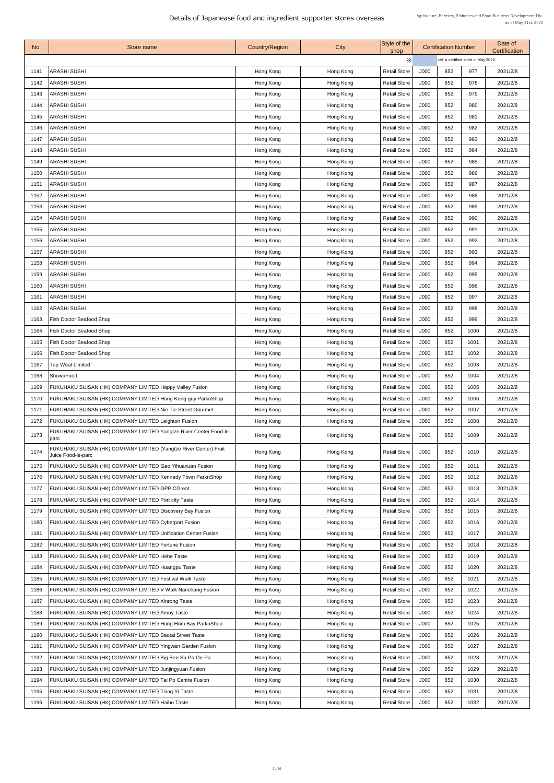| No.  | Store name                                                                 | <b>Country/Region</b> | City      | Style of the<br>shop |             | <b>Certification Number</b>          |      | Date of<br><b>Certification</b> |  |
|------|----------------------------------------------------------------------------|-----------------------|-----------|----------------------|-------------|--------------------------------------|------|---------------------------------|--|
|      |                                                                            |                       |           | X                    |             | cell is certified store in May 2022. |      |                                 |  |
| 1141 | ARASHI SUSHI                                                               | Hong Kong             | Hong Kong | <b>Retail Store</b>  | J000        | 852                                  | 977  | 2021/2/8                        |  |
| 1142 | <b>ARASHI SUSHI</b>                                                        | Hong Kong             | Hong Kong | <b>Retail Store</b>  | J000        | 852                                  | 978  | 2021/2/8                        |  |
| 1143 | <b>ARASHI SUSHI</b>                                                        | Hong Kong             | Hong Kong | <b>Retail Store</b>  | J000        | 852                                  | 979  | 2021/2/8                        |  |
| 1144 | <b>ARASHI SUSHI</b>                                                        | Hong Kong             | Hong Kong | <b>Retail Store</b>  | J000        | 852                                  | 980  | 2021/2/8                        |  |
| 1145 | <b>ARASHI SUSHI</b>                                                        | Hong Kong             | Hong Kong | <b>Retail Store</b>  | J000        | 852                                  | 981  | 2021/2/8                        |  |
| 1146 | <b>ARASHI SUSHI</b>                                                        | Hong Kong             | Hong Kong | <b>Retail Store</b>  | J000        | 852                                  | 982  | 2021/2/8                        |  |
| 1147 | <b>ARASHI SUSHI</b>                                                        | Hong Kong             | Hong Kong | <b>Retail Store</b>  | J000        | 852                                  | 983  | 2021/2/8                        |  |
| 1148 | <b>ARASHI SUSHI</b>                                                        | Hong Kong             | Hong Kong | <b>Retail Store</b>  | J000        | 852                                  | 984  | 2021/2/8                        |  |
| 1149 | <b>ARASHI SUSHI</b>                                                        | Hong Kong             | Hong Kong | <b>Retail Store</b>  | J000        | 852                                  | 985  | 2021/2/8                        |  |
| 1150 | <b>ARASHI SUSHI</b>                                                        | Hong Kong             | Hong Kong | <b>Retail Store</b>  | J000        | 852                                  | 986  | 2021/2/8                        |  |
| 1151 | ARASHI SUSHI                                                               | Hong Kong             | Hong Kong | <b>Retail Store</b>  | J000        | 852                                  | 987  | 2021/2/8                        |  |
| 1152 | <b>ARASHI SUSHI</b>                                                        | Hong Kong             | Hong Kong | <b>Retail Store</b>  | J000        | 852                                  | 988  | 2021/2/8                        |  |
| 1153 | <b>ARASHI SUSHI</b>                                                        | Hong Kong             | Hong Kong | <b>Retail Store</b>  | <b>J000</b> | 852                                  | 989  | 2021/2/8                        |  |
| 1154 | ARASHI SUSHI                                                               | Hong Kong             | Hong Kong | <b>Retail Store</b>  | J000        | 852                                  | 990  | 2021/2/8                        |  |
| 1155 | <b>ARASHI SUSHI</b>                                                        | Hong Kong             | Hong Kong | <b>Retail Store</b>  | J000        | 852                                  | 991  | 2021/2/8                        |  |
| 1156 | <b>ARASHI SUSHI</b>                                                        | Hong Kong             | Hong Kong | <b>Retail Store</b>  | J000        | 852                                  | 992  | 2021/2/8                        |  |
| 1157 | ARASHI SUSHI                                                               | Hong Kong             | Hong Kong | <b>Retail Store</b>  | J000        | 852                                  | 993  | 2021/2/8                        |  |
| 1158 | ARASHI SUSHI                                                               | Hong Kong             | Hong Kong | <b>Retail Store</b>  | J000        | 852                                  | 994  | 2021/2/8                        |  |
| 1159 | <b>ARASHI SUSHI</b>                                                        | Hong Kong             | Hong Kong | <b>Retail Store</b>  | J000        | 852                                  | 995  | 2021/2/8                        |  |
| 1160 | ARASHI SUSHI                                                               | Hong Kong             | Hong Kong | <b>Retail Store</b>  | J000        | 852                                  | 996  | 2021/2/8                        |  |
| 1161 | <b>ARASHI SUSHI</b>                                                        | Hong Kong             | Hong Kong | <b>Retail Store</b>  | J000        | 852                                  | 997  | 2021/2/8                        |  |
| 1162 | ARASHI SUSHI                                                               | Hong Kong             | Hong Kong | <b>Retail Store</b>  | J000        | 852                                  | 998  | 2021/2/8                        |  |
| 1163 | <b>Fish Doctor Seafood Shop</b>                                            | Hong Kong             | Hong Kong | <b>Retail Store</b>  | J000        | 852                                  | 999  | 2021/2/8                        |  |
| 1164 | <b>Fish Doctor Seafood Shop</b>                                            | Hong Kong             | Hong Kong | <b>Retail Store</b>  | J000        | 852                                  | 1000 | 2021/2/8                        |  |
| 1165 | <b>Fish Doctor Seafood Shop</b>                                            | Hong Kong             | Hong Kong | <b>Retail Store</b>  | J000        | 852                                  | 1001 | 2021/2/8                        |  |
| 1166 | <b>Fish Doctor Seafood Shop</b>                                            | Hong Kong             | Hong Kong | <b>Retail Store</b>  | J000        | 852                                  | 1002 | 2021/2/8                        |  |
| 1167 | <b>Top Weal Limited</b>                                                    | Hong Kong             | Hong Kong | <b>Retail Store</b>  | J000        | 852                                  | 1003 | 2021/2/8                        |  |
| 1168 | ShowaFood                                                                  | Hong Kong             | Hong Kong | <b>Retail Store</b>  | J000        | 852                                  | 1004 | 2021/2/8                        |  |
| 1169 | FUKUHAKU SUISAN (HK) COMPANY LIMITED Happy Valley Fusion                   | Hong Kong             | Hong Kong | <b>Retail Store</b>  | J000        | 852                                  | 1005 | 2021/2/8                        |  |
| 1170 | FUKUHAKU SUISAN (HK) COMPANY LIMITED Hong Kong guy ParknShop               | Hong Kong             | Hong Kong | <b>Retail Store</b>  | J000        | 852                                  | 1006 | 2021/2/8                        |  |
| 1171 | FUKUHAKU SUISAN (HK) COMPANY LIMITED Nie Tie Street Gourmet                | Hong Kong             | Hong Kong | <b>Retail Store</b>  | J000        | 852                                  | 1007 | 2021/2/8                        |  |
| 1172 | FUKUHAKU SUISAN (HK) COMPANY LIMITED Leighton Fusion                       | Hong Kong             | Hong Kong | <b>Retail Store</b>  | J000        | 852                                  | 1008 | 2021/2/8                        |  |
| 1173 | FUKUHAKU SUISAN (HK) COMPANY LIMITED Yangtze River Center Food-le-<br>parc | Hong Kong             | Hong Kong | <b>Retail Store</b>  | J000        | 852                                  | 1009 | 2021/2/8                        |  |
|      | FUKUHAKU SUISAN (HK) COMPANY LIMITED (Yangtze River Center) Fruit          |                       |           |                      |             |                                      |      |                                 |  |
| 1174 | Juice Food-le-parc                                                         | Hong Kong             | Hong Kong | <b>Retail Store</b>  | J000        | 852                                  | 1010 | 2021/2/8                        |  |
| 1175 | FUKUHAKU SUISAN (HK) COMPANY LIMITED Gao Yihuaxuan Fusion                  | Hong Kong             | Hong Kong | <b>Retail Store</b>  | J000        | 852                                  | 1011 | 2021/2/8                        |  |
| 1176 | FUKUHAKU SUISAN (HK) COMPANY LIMITED Kennedy Town ParknShop                | Hong Kong             | Hong Kong | <b>Retail Store</b>  | J000        | 852                                  | 1012 | 2021/2/8                        |  |
| 1177 | FUKUHAKU SUISAN (HK) COMPANY LIMITED GPP.CGreat                            | Hong Kong             | Hong Kong | <b>Retail Store</b>  | J000        | 852                                  | 1013 | 2021/2/8                        |  |
| 1178 | FUKUHAKU SUISAN (HK) COMPANY LIMITED Port city Taste                       | Hong Kong             | Hong Kong | <b>Retail Store</b>  | J000        | 852                                  | 1014 | 2021/2/8                        |  |
| 1179 | FUKUHAKU SUISAN (HK) COMPANY LIMITED Discovery Bay Fusion                  | Hong Kong             | Hong Kong | <b>Retail Store</b>  | J000        | 852                                  | 1015 | 2021/2/8                        |  |
| 1180 | FUKUHAKU SUISAN (HK) COMPANY LIMITED Cyberport Fusion                      | Hong Kong             | Hong Kong | <b>Retail Store</b>  | J000        | 852                                  | 1016 | 2021/2/8                        |  |
| 1181 | FUKUHAKU SUISAN (HK) COMPANY LIMITED Unification Center Fusion             | Hong Kong             | Hong Kong | <b>Retail Store</b>  | <b>J000</b> | 852                                  | 1017 | 2021/2/8                        |  |
| 1182 | FUKUHAKU SUISAN (HK) COMPANY LIMITED Fortune Fusion                        | Hong Kong             | Hong Kong | <b>Retail Store</b>  | J000        | 852                                  | 1018 | 2021/2/8                        |  |
| 1183 | FUKUHAKU SUISAN (HK) COMPANY LIMITED Hehe Taste                            | Hong Kong             | Hong Kong | <b>Retail Store</b>  | J000        | 852                                  | 1019 | 2021/2/8                        |  |
| 1184 | FUKUHAKU SUISAN (HK) COMPANY LIMITED Huangpu Taste                         | Hong Kong             | Hong Kong | <b>Retail Store</b>  | J000        | 852                                  | 1020 | 2021/2/8                        |  |
| 1185 | FUKUHAKU SUISAN (HK) COMPANY LIMITED Festival Walk Taste                   | Hong Kong             | Hong Kong | <b>Retail Store</b>  | J000        | 852                                  | 1021 | 2021/2/8                        |  |
| 1186 | FUKUHAKU SUISAN (HK) COMPANY LIMITED V Walk Nanchang Fusion                | Hong Kong             | Hong Kong | <b>Retail Store</b>  | J000        | 852                                  | 1022 | 2021/2/8                        |  |
| 1187 | FUKUHAKU SUISAN (HK) COMPANY LIMITED Xinrong Taste                         | Hong Kong             | Hong Kong | <b>Retail Store</b>  | J000        | 852                                  | 1023 | 2021/2/8                        |  |
| 1188 | FUKUHAKU SUISAN (HK) COMPANY LIMITED Amoy Taste                            | Hong Kong             | Hong Kong | <b>Retail Store</b>  | J000        | 852                                  | 1024 | 2021/2/8                        |  |
| 1189 | FUKUHAKU SUISAN (HK) COMPANY LIMITED Hung Hom Bay ParknShop                | Hong Kong             | Hong Kong | <b>Retail Store</b>  | J000        | 852                                  | 1025 | 2021/2/8                        |  |
| 1190 | FUKUHAKU SUISAN (HK) COMPANY LIMITED Baotai Street Taste                   | Hong Kong             | Hong Kong | <b>Retail Store</b>  | J000        | 852                                  | 1026 | 2021/2/8                        |  |
| 1191 | FUKUHAKU SUISAN (HK) COMPANY LIMITED Yingwan Garden Fusion                 | Hong Kong             | Hong Kong | <b>Retail Store</b>  | J000        | 852                                  | 1027 | 2021/2/8                        |  |
| 1192 | FUKUHAKU SUISAN (HK) COMPANY LIMITED Big Ben Su-Pa-De-Pa                   | Hong Kong             | Hong Kong | <b>Retail Store</b>  | J000        | 852                                  | 1028 | 2021/2/8                        |  |
| 1193 | FUKUHAKU SUISAN (HK) COMPANY LIMITED Junjingyuan Fusion                    | Hong Kong             | Hong Kong | <b>Retail Store</b>  | J000        | 852                                  | 1029 | 2021/2/8                        |  |
| 1194 | FUKUHAKU SUISAN (HK) COMPANY LIMITED Tai Po Centre Fusion                  | Hong Kong             | Hong Kong | <b>Retail Store</b>  | J000        | 852                                  | 1030 | 2021/2/8                        |  |
|      | 1195   FUKUHAKU SUISAN (HK) COMPANY LIMITED Tsing Yi Taste                 | Hong Kong             | Hong Kong | <b>Retail Store</b>  | J000        | 852                                  | 1031 | 2021/2/8                        |  |
| 1196 | FUKUHAKU SUISAN (HK) COMPANY LIMITED Haibo Taste                           | Hong Kong             | Hong Kong | <b>Retail Store</b>  | J000        | 852                                  | 1032 | 2021/2/8                        |  |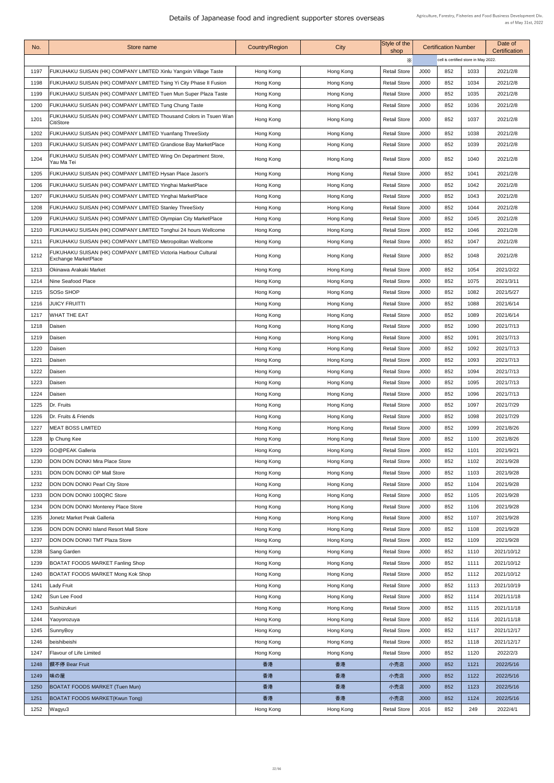| No.  | Store name                                                                                    | <b>Country/Region</b>  | City      | Style of the<br>shop | <b>Certification Number</b> |                                      | Date of<br>Certification |            |
|------|-----------------------------------------------------------------------------------------------|------------------------|-----------|----------------------|-----------------------------|--------------------------------------|--------------------------|------------|
|      |                                                                                               |                        |           | Х                    |                             | cell is certified store in May 2022. |                          |            |
| 1197 | FUKUHAKU SUISAN (HK) COMPANY LIMITED Xinlu Yangxin Village Taste                              | Hong Kong              | Hong Kong | <b>Retail Store</b>  | J000                        | 852                                  | 1033                     | 2021/2/8   |
| 1198 | FUKUHAKU SUISAN (HK) COMPANY LIMITED Tsing Yi City Phase II Fusion                            | Hong Kong              | Hong Kong | <b>Retail Store</b>  | J000                        | 852                                  | 1034                     | 2021/2/8   |
| 1199 | FUKUHAKU SUISAN (HK) COMPANY LIMITED Tuen Mun Super Plaza Taste                               | Hong Kong              | Hong Kong | <b>Retail Store</b>  | J000                        | 852                                  | 1035                     | 2021/2/8   |
| 1200 | FUKUHAKU SUISAN (HK) COMPANY LIMITED Tung Chung Taste                                         | Hong Kong              | Hong Kong | <b>Retail Store</b>  | J000                        | 852                                  | 1036                     | 2021/2/8   |
| 1201 | <b>FUKUHAKU SUISAN (HK) COMPANY LIMITED Thousand Colors in Tsuen Wan</b>                      | Hong Kong              | Hong Kong | <b>Retail Store</b>  | J000                        | 852                                  | 1037                     | 2021/2/8   |
| 1202 | <b>CitiStore</b><br>FUKUHAKU SUISAN (HK) COMPANY LIMITED Yuanfang ThreeSixty                  |                        | Hong Kong | <b>Retail Store</b>  | J000                        | 852                                  | 1038                     | 2021/2/8   |
| 1203 | FUKUHAKU SUISAN (HK) COMPANY LIMITED Grandiose Bay MarketPlace                                | Hong Kong<br>Hong Kong | Hong Kong | <b>Retail Store</b>  | J000                        | 852                                  | 1039                     | 2021/2/8   |
|      | FUKUHAKU SUISAN (HK) COMPANY LIMITED Wing On Department Store,                                |                        |           |                      |                             |                                      |                          |            |
| 1204 | Yau Ma Tei                                                                                    | Hong Kong              | Hong Kong | <b>Retail Store</b>  | J000                        | 852                                  | 1040                     | 2021/2/8   |
| 1205 | FUKUHAKU SUISAN (HK) COMPANY LIMITED Hysan Place Jason's                                      | Hong Kong              | Hong Kong | <b>Retail Store</b>  | J000                        | 852                                  | 1041                     | 2021/2/8   |
| 1206 | FUKUHAKU SUISAN (HK) COMPANY LIMITED Yinghai MarketPlace                                      | Hong Kong              | Hong Kong | <b>Retail Store</b>  | J000                        | 852                                  | 1042                     | 2021/2/8   |
| 1207 | FUKUHAKU SUISAN (HK) COMPANY LIMITED Yinghai MarketPlace                                      | Hong Kong              | Hong Kong | <b>Retail Store</b>  | J000                        | 852                                  | 1043                     | 2021/2/8   |
| 1208 | <b>FUKUHAKU SUISAN (HK) COMPANY LIMITED Stanley ThreeSixty</b>                                | Hong Kong              | Hong Kong | <b>Retail Store</b>  | J000                        | 852                                  | 1044                     | 2021/2/8   |
| 1209 | FUKUHAKU SUISAN (HK) COMPANY LIMITED Olympian City MarketPlace                                | Hong Kong              | Hong Kong | <b>Retail Store</b>  | J000                        | 852                                  | 1045                     | 2021/2/8   |
| 1210 | FUKUHAKU SUISAN (HK) COMPANY LIMITED Tonghui 24 hours Wellcome                                | Hong Kong              | Hong Kong | <b>Retail Store</b>  | J000                        | 852                                  | 1046                     | 2021/2/8   |
| 1211 | <b>FUKUHAKU SUISAN (HK) COMPANY LIMITED Metropolitan Wellcome</b>                             | Hong Kong              | Hong Kong | <b>Retail Store</b>  | J000                        | 852                                  | 1047                     | 2021/2/8   |
| 1212 | FUKUHAKU SUISAN (HK) COMPANY LIMITED Victoria Harbour Cultural<br><b>Exchange MarketPlace</b> | Hong Kong              | Hong Kong | <b>Retail Store</b>  | J000                        | 852                                  | 1048                     | 2021/2/8   |
| 1213 | <b>Okinawa Arakaki Market</b>                                                                 | Hong Kong              | Hong Kong | <b>Retail Store</b>  | J000                        | 852                                  | 1054                     | 2021/2/22  |
| 1214 | Nine Seafood Place                                                                            | Hong Kong              | Hong Kong | <b>Retail Store</b>  | J000                        | 852                                  | 1075                     | 2021/3/11  |
| 1215 | <b>SOSo SHOP</b>                                                                              | Hong Kong              | Hong Kong | <b>Retail Store</b>  | J000                        | 852                                  | 1082                     | 2021/5/27  |
| 1216 | <b>JUICY FRUITTI</b>                                                                          | Hong Kong              | Hong Kong | <b>Retail Store</b>  | J000                        | 852                                  | 1088                     | 2021/6/14  |
| 1217 | <b>WHAT THE EAT</b>                                                                           | Hong Kong              | Hong Kong | <b>Retail Store</b>  | J000                        | 852                                  | 1089                     | 2021/6/14  |
| 1218 | Daisen                                                                                        | Hong Kong              | Hong Kong | <b>Retail Store</b>  | J000                        | 852                                  | 1090                     | 2021/7/13  |
| 1219 | Daisen                                                                                        | Hong Kong              | Hong Kong | <b>Retail Store</b>  | J000                        | 852                                  | 1091                     | 2021/7/13  |
| 1220 | Daisen                                                                                        | Hong Kong              | Hong Kong | <b>Retail Store</b>  | J000                        | 852                                  | 1092                     | 2021/7/13  |
| 1221 | Daisen                                                                                        | Hong Kong              | Hong Kong | <b>Retail Store</b>  | J000                        | 852                                  | 1093                     | 2021/7/13  |
| 1222 | Daisen                                                                                        | Hong Kong              | Hong Kong | <b>Retail Store</b>  | J000                        | 852                                  | 1094                     | 2021/7/13  |
| 1223 | Daisen                                                                                        | Hong Kong              | Hong Kong | <b>Retail Store</b>  | J000                        | 852                                  | 1095                     | 2021/7/13  |
| 1224 | Daisen                                                                                        | Hong Kong              | Hong Kong | <b>Retail Store</b>  | J000                        | 852                                  | 1096                     | 2021/7/13  |
| 1225 | Dr. Fruits                                                                                    | Hong Kong              | Hong Kong | <b>Retail Store</b>  | J000                        | 852                                  | 1097                     | 2021/7/29  |
| 1226 | Dr. Fruits & Friends                                                                          | Hong Kong              | Hong Kong | <b>Retail Store</b>  | J000                        | 852                                  | 1098                     | 2021/7/29  |
| 1227 | <b>IMEAT BOSS LIMITED</b>                                                                     | Hong Kong              | Hong Kong | <b>Retail Store</b>  | J000                        | 852                                  | 1099                     | 2021/8/26  |
| 1228 | Ip Chung Kee                                                                                  | Hong Kong              | Hong Kong | <b>Retail Store</b>  | J000                        | 852                                  | 1100                     | 2021/8/26  |
| 1229 | <b>GO@PEAK Galleria</b>                                                                       | Hong Kong              | Hong Kong | <b>Retail Store</b>  | J000                        | 852                                  | 1101                     | 2021/9/21  |
| 1230 | <b>DON DON DONKI Mira Place Store</b>                                                         | Hong Kong              | Hong Kong | <b>Retail Store</b>  | J000                        | 852                                  | 1102                     | 2021/9/28  |
| 1231 | <b>DON DON DONKI OP Mall Store</b>                                                            | Hong Kong              | Hong Kong | <b>Retail Store</b>  | J000                        | 852                                  | 1103                     | 2021/9/28  |
| 1232 | <b>DON DON DONKI Pearl City Store</b>                                                         | Hong Kong              | Hong Kong | <b>Retail Store</b>  | J000                        | 852                                  | 1104                     | 2021/9/28  |
| 1233 | <b>DON DON DONKI 100QRC Store</b>                                                             | Hong Kong              | Hong Kong | <b>Retail Store</b>  | J000                        | 852                                  | 1105                     | 2021/9/28  |
| 1234 | <b>DON DON DONKI Monterey Place Store</b>                                                     | Hong Kong              | Hong Kong | <b>Retail Store</b>  | J000                        | 852                                  | 1106                     | 2021/9/28  |
| 1235 | Jonetz Market Peak Galleria                                                                   | Hong Kong              | Hong Kong | <b>Retail Store</b>  | J000                        | 852                                  | 1107                     | 2021/9/28  |
| 1236 | <b>DON DON DONKI Island Resort Mall Store</b>                                                 | Hong Kong              | Hong Kong | <b>Retail Store</b>  | J000                        | 852                                  | 1108                     | 2021/9/28  |
| 1237 | <b>DON DON DONKI TMT Plaza Store</b>                                                          | Hong Kong              | Hong Kong | <b>Retail Store</b>  | J000                        | 852                                  | 1109                     | 2021/9/28  |
| 1238 | <b>Sang Garden</b>                                                                            | Hong Kong              | Hong Kong | <b>Retail Store</b>  | J000                        | 852                                  | 1110                     | 2021/10/12 |
| 1239 | <b>BOATAT FOODS MARKET Fanling Shop</b>                                                       | Hong Kong              | Hong Kong | <b>Retail Store</b>  | J000                        | 852                                  | 1111                     | 2021/10/12 |
| 1240 | <b>BOATAT FOODS MARKET Mong Kok Shop</b>                                                      | Hong Kong              | Hong Kong | <b>Retail Store</b>  | J000                        | 852                                  | 1112                     | 2021/10/12 |
| 1241 | Lady Fruit                                                                                    | Hong Kong              | Hong Kong | <b>Retail Store</b>  | J000                        | 852                                  | 1113                     | 2021/10/19 |
| 1242 | Sun Lee Food                                                                                  | Hong Kong              | Hong Kong | <b>Retail Store</b>  | J000                        | 852                                  | 1114                     | 2021/11/18 |
| 1243 | Sushizukuri                                                                                   | Hong Kong              | Hong Kong | <b>Retail Store</b>  | J000                        | 852                                  | 1115                     | 2021/11/18 |
| 1244 | Yaoyorozuya                                                                                   | Hong Kong              | Hong Kong | <b>Retail Store</b>  | J000                        | 852                                  | 1116                     | 2021/11/18 |
| 1245 | SunnyBoy                                                                                      | Hong Kong              | Hong Kong | <b>Retail Store</b>  | J000                        | 852                                  | 1117                     | 2021/12/17 |
| 1246 | beishibeishi                                                                                  | Hong Kong              | Hong Kong | <b>Retail Store</b>  | J000                        | 852                                  | 1118                     | 2021/12/17 |
| 1247 | <b>Flavour of Life Limited</b>                                                                | Hong Kong              | Hong Kong | <b>Retail Store</b>  | J000                        | 852                                  | 1120                     | 2022/2/3   |
| 1248 | 饌不停 Bear Fruit                                                                                | 香港                     | 香港        | 小売店                  | J000                        | 852                                  | 1121                     | 2022/5/16  |
| 1249 | 味の屋                                                                                           | 香港                     | 香港        | 小売店                  | J000                        | 852                                  | 1122                     | 2022/5/16  |
| 1250 | <b>BOATAT FOODS MARKET (Tuen Mun)</b>                                                         | 香港                     | 香港        | 小売店                  | J000                        | 852                                  | 1123                     | 2022/5/16  |
| 1251 | <b>BOATAT FOODS MARKET(Kwun Tong)</b>                                                         | 香港                     | 香港        | 小売店                  | J000                        | 852                                  | 1124                     | 2022/5/16  |
| 1252 | Wagyu3                                                                                        | Hong Kong              | Hong Kong | <b>Retail Store</b>  | J016                        | 852                                  | 249                      | 2022/4/1   |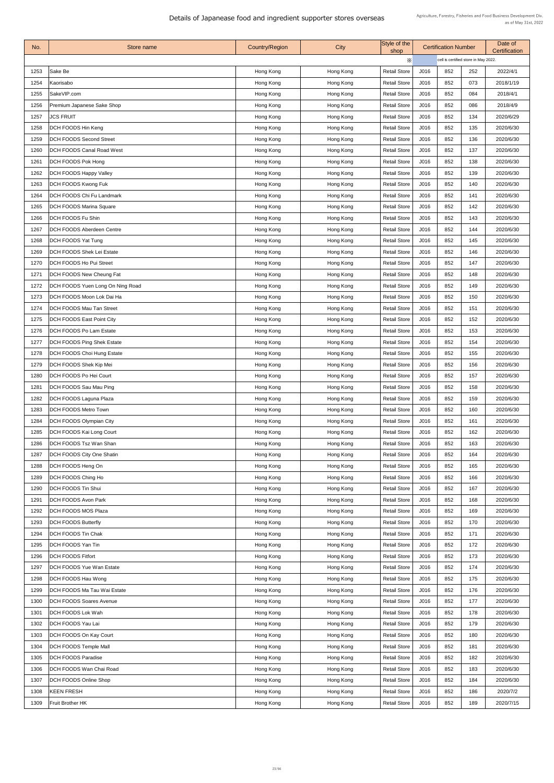| No.  | Store name                              | <b>Country/Region</b> | <b>City</b> | Style of the<br>shop |      | <b>Certification Number</b>          |     | Date of<br><b>Certification</b> |
|------|-----------------------------------------|-----------------------|-------------|----------------------|------|--------------------------------------|-----|---------------------------------|
|      |                                         |                       |             | X                    |      | cell is certified store in May 2022. |     |                                 |
| 1253 | Sake Be                                 | Hong Kong             | Hong Kong   | <b>Retail Store</b>  | J016 | 852                                  | 252 | 2022/4/1                        |
| 1254 | Kaorisabo                               | Hong Kong             | Hong Kong   | <b>Retail Store</b>  | J016 | 852                                  | 073 | 2018/1/19                       |
| 1255 | SakeVIP.com                             | Hong Kong             | Hong Kong   | <b>Retail Store</b>  | J016 | 852                                  | 084 | 2018/4/1                        |
| 1256 | Premium Japanese Sake Shop              | Hong Kong             | Hong Kong   | <b>Retail Store</b>  | J016 | 852                                  | 086 | 2018/4/9                        |
| 1257 | <b>JCS FRUIT</b>                        | Hong Kong             | Hong Kong   | <b>Retail Store</b>  | J016 | 852                                  | 134 | 2020/6/29                       |
| 1258 | <b>DCH FOODS Hin Keng</b>               | Hong Kong             | Hong Kong   | <b>Retail Store</b>  | J016 | 852                                  | 135 | 2020/6/30                       |
| 1259 | <b>DCH FOODS Second Street</b>          | Hong Kong             | Hong Kong   | <b>Retail Store</b>  | J016 | 852                                  | 136 | 2020/6/30                       |
| 1260 | <b>DCH FOODS Canal Road West</b>        | Hong Kong             | Hong Kong   | <b>Retail Store</b>  | J016 | 852                                  | 137 | 2020/6/30                       |
| 1261 | <b>DCH FOODS Pok Hong</b>               | Hong Kong             | Hong Kong   | <b>Retail Store</b>  | J016 | 852                                  | 138 | 2020/6/30                       |
| 1262 | <b>DCH FOODS Happy Valley</b>           | Hong Kong             | Hong Kong   | <b>Retail Store</b>  | J016 | 852                                  | 139 | 2020/6/30                       |
| 1263 | <b>DCH FOODS Kwong Fuk</b>              | Hong Kong             | Hong Kong   | <b>Retail Store</b>  | J016 | 852                                  | 140 | 2020/6/30                       |
| 1264 | <b>DCH FOODS Chi Fu Landmark</b>        | Hong Kong             | Hong Kong   | <b>Retail Store</b>  | J016 | 852                                  | 141 | 2020/6/30                       |
| 1265 | <b>DCH FOODS Marina Square</b>          | Hong Kong             | Hong Kong   | <b>Retail Store</b>  | J016 | 852                                  | 142 | 2020/6/30                       |
| 1266 | <b>DCH FOODS Fu Shin</b>                | Hong Kong             | Hong Kong   | <b>Retail Store</b>  | J016 | 852                                  | 143 | 2020/6/30                       |
| 1267 | <b>DCH FOODS Aberdeen Centre</b>        | Hong Kong             | Hong Kong   | <b>Retail Store</b>  | J016 | 852                                  | 144 | 2020/6/30                       |
| 1268 | <b>DCH FOODS Yat Tung</b>               | Hong Kong             | Hong Kong   | <b>Retail Store</b>  | J016 | 852                                  | 145 | 2020/6/30                       |
| 1269 | <b>DCH FOODS Shek Lei Estate</b>        | Hong Kong             | Hong Kong   | <b>Retail Store</b>  | J016 | 852                                  | 146 | 2020/6/30                       |
| 1270 | <b>DCH FOODS Ho Pui Street</b>          | Hong Kong             | Hong Kong   | <b>Retail Store</b>  | J016 | 852                                  | 147 | 2020/6/30                       |
| 1271 | <b>DCH FOODS New Cheung Fat</b>         | Hong Kong             | Hong Kong   | <b>Retail Store</b>  | J016 | 852                                  | 148 | 2020/6/30                       |
| 1272 | <b>DCH FOODS Yuen Long On Ning Road</b> | Hong Kong             | Hong Kong   | <b>Retail Store</b>  | J016 | 852                                  | 149 | 2020/6/30                       |
| 1273 | <b>DCH FOODS Moon Lok Dai Ha</b>        | Hong Kong             | Hong Kong   | <b>Retail Store</b>  | J016 | 852                                  | 150 | 2020/6/30                       |
| 1274 | <b>DCH FOODS Mau Tan Street</b>         | Hong Kong             | Hong Kong   | <b>Retail Store</b>  | J016 | 852                                  | 151 | 2020/6/30                       |
| 1275 | <b>DCH FOODS East Point City</b>        | Hong Kong             | Hong Kong   | <b>Retail Store</b>  | J016 | 852                                  | 152 | 2020/6/30                       |
| 1276 | <b>DCH FOODS Po Lam Estate</b>          |                       |             | <b>Retail Store</b>  | J016 | 852                                  | 153 | 2020/6/30                       |
|      |                                         | Hong Kong             | Hong Kong   |                      |      |                                      |     |                                 |
| 1277 | <b>DCH FOODS Ping Shek Estate</b>       | Hong Kong             | Hong Kong   | <b>Retail Store</b>  | J016 | 852                                  | 154 | 2020/6/30                       |
| 1278 | <b>DCH FOODS Choi Hung Estate</b>       | Hong Kong             | Hong Kong   | <b>Retail Store</b>  | J016 | 852                                  | 155 | 2020/6/30                       |
| 1279 | <b>DCH FOODS Shek Kip Mei</b>           | Hong Kong             | Hong Kong   | <b>Retail Store</b>  | J016 | 852                                  | 156 | 2020/6/30                       |
| 1280 | <b>DCH FOODS Po Hei Court</b>           | Hong Kong             | Hong Kong   | <b>Retail Store</b>  | J016 | 852                                  | 157 | 2020/6/30                       |
| 1281 | <b>DCH FOODS Sau Mau Ping</b>           | Hong Kong             | Hong Kong   | <b>Retail Store</b>  | J016 | 852                                  | 158 | 2020/6/30                       |
| 1282 | <b>DCH FOODS Laguna Plaza</b>           | Hong Kong             | Hong Kong   | <b>Retail Store</b>  | J016 | 852                                  | 159 | 2020/6/30                       |
| 1283 | <b>DCH FOODS Metro Town</b>             | Hong Kong             | Hong Kong   | <b>Retail Store</b>  | J016 | 852                                  | 160 | 2020/6/30                       |
| 1284 | <b>DCH FOODS Olympian City</b>          | Hong Kong             | Hong Kong   | <b>Retail Store</b>  | J016 | 852                                  | 161 | 2020/6/30                       |
| 1285 | <b>DCH FOODS Kai Long Court</b>         | Hong Kong             | Hong Kong   | <b>Retail Store</b>  | J016 | 852                                  | 162 | 2020/6/30                       |
| 1286 | <b>DCH FOODS Tsz Wan Shan</b>           | Hong Kong             | Hong Kong   | <b>Retail Store</b>  | J016 | 852                                  | 163 | 2020/6/30                       |
| 1287 | <b>DCH FOODS City One Shatin</b>        | Hong Kong             | Hong Kong   | <b>Retail Store</b>  | J016 | 852                                  | 164 | 2020/6/30                       |
| 1288 | <b>DCH FOODS Heng On</b>                | Hong Kong             | Hong Kong   | <b>Retail Store</b>  | J016 | 852                                  | 165 | 2020/6/30                       |
| 1289 | <b>DCH FOODS Ching Ho</b>               | Hong Kong             | Hong Kong   | <b>Retail Store</b>  | J016 | 852                                  | 166 | 2020/6/30                       |
| 1290 | DCH FOODS Tin Shui                      | Hong Kong             | Hong Kong   | <b>Retail Store</b>  | J016 | 852                                  | 167 | 2020/6/30                       |
| 1291 | <b>DCH FOODS Avon Park</b>              | Hong Kong             | Hong Kong   | <b>Retail Store</b>  | J016 | 852                                  | 168 | 2020/6/30                       |
| 1292 | <b>DCH FOODS MOS Plaza</b>              | Hong Kong             | Hong Kong   | <b>Retail Store</b>  | J016 | 852                                  | 169 | 2020/6/30                       |
| 1293 | <b>DCH FOODS Butterfly</b>              | Hong Kong             | Hong Kong   | <b>Retail Store</b>  | J016 | 852                                  | 170 | 2020/6/30                       |
| 1294 | <b>DCH FOODS Tin Chak</b>               | Hong Kong             | Hong Kong   | <b>Retail Store</b>  | J016 | 852                                  | 171 | 2020/6/30                       |
| 1295 | <b>DCH FOODS Yan Tin</b>                | Hong Kong             | Hong Kong   | <b>Retail Store</b>  | J016 | 852                                  | 172 | 2020/6/30                       |
| 1296 | <b>DCH FOODS Fitfort</b>                | Hong Kong             | Hong Kong   | <b>Retail Store</b>  | J016 | 852                                  | 173 | 2020/6/30                       |
| 1297 | <b>DCH FOODS Yue Wan Estate</b>         | Hong Kong             | Hong Kong   | <b>Retail Store</b>  | J016 | 852                                  | 174 | 2020/6/30                       |
| 1298 | DCH FOODS Hau Wong                      | Hong Kong             | Hong Kong   | <b>Retail Store</b>  | J016 | 852                                  | 175 | 2020/6/30                       |
| 1299 | <b>DCH FOODS Ma Tau Wai Estate</b>      | Hong Kong             | Hong Kong   | <b>Retail Store</b>  | J016 | 852                                  | 176 | 2020/6/30                       |
| 1300 | <b>DCH FOODS Soares Avenue</b>          | Hong Kong             | Hong Kong   | <b>Retail Store</b>  | J016 | 852                                  | 177 | 2020/6/30                       |
| 1301 | <b>DCH FOODS Lok Wah</b>                | Hong Kong             | Hong Kong   | <b>Retail Store</b>  | J016 | 852                                  | 178 | 2020/6/30                       |
| 1302 | <b>DCH FOODS Yau Lai</b>                | Hong Kong             | Hong Kong   | <b>Retail Store</b>  | J016 | 852                                  | 179 | 2020/6/30                       |
| 1303 | <b>DCH FOODS On Kay Court</b>           | Hong Kong             | Hong Kong   | <b>Retail Store</b>  | J016 | 852                                  | 180 | 2020/6/30                       |
| 1304 | <b>DCH FOODS Temple Mall</b>            | Hong Kong             | Hong Kong   | <b>Retail Store</b>  | J016 | 852                                  | 181 | 2020/6/30                       |
| 1305 | <b>DCH FOODS Paradise</b>               | Hong Kong             | Hong Kong   | <b>Retail Store</b>  | J016 | 852                                  | 182 | 2020/6/30                       |
| 1306 | <b>DCH FOODS Wan Chai Road</b>          | Hong Kong             | Hong Kong   | <b>Retail Store</b>  | J016 | 852                                  | 183 | 2020/6/30                       |
| 1307 | <b>DCH FOODS Online Shop</b>            | Hong Kong             | Hong Kong   | <b>Retail Store</b>  | J016 | 852                                  | 184 | 2020/6/30                       |
| 1308 | <b>KEEN FRESH</b>                       | Hong Kong             | Hong Kong   | <b>Retail Store</b>  | J016 | 852                                  | 186 | 2020/7/2                        |
| 1309 | <b>Fruit Brother HK</b>                 | Hong Kong             | Hong Kong   | <b>Retail Store</b>  | J016 | 852                                  | 189 | 2020/7/15                       |
|      |                                         |                       |             |                      |      |                                      |     |                                 |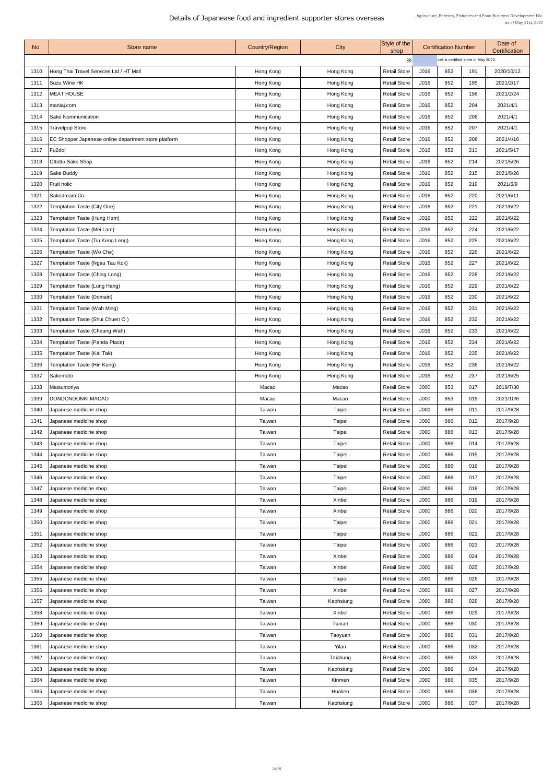| No.  | Store name                                           | <b>Country/Region</b> | City          | Style of the<br>shop |      | <b>Certification Number</b>          |     | Date of<br>Certification |  |
|------|------------------------------------------------------|-----------------------|---------------|----------------------|------|--------------------------------------|-----|--------------------------|--|
|      |                                                      |                       |               | X                    |      | cell is certified store in May 2022. |     |                          |  |
| 1310 | Hong Thai Travel Services Ltd / HT Mall              | Hong Kong             | Hong Kong     | <b>Retail Store</b>  | J016 | 852                                  | 191 | 2020/10/12               |  |
| 1311 | Suzu Wine HK                                         | Hong Kong             | Hong Kong     | <b>Retail Store</b>  | J016 | 852                                  | 195 | 2021/2/17                |  |
| 1312 | <b>MEAT HOUSE</b>                                    | Hong Kong             | Hong Kong     | <b>Retail Store</b>  | J016 | 852                                  | 196 | 2021/2/24                |  |
| 1313 | maniaj.com                                           | Hong Kong             | Hong Kong     | <b>Retail Store</b>  | J016 | 852                                  | 204 | 2021/4/1                 |  |
| 1314 | <b>Sake Nommunication</b>                            | Hong Kong             | Hong Kong     | <b>Retail Store</b>  | J016 | 852                                  | 206 | 2021/4/1                 |  |
| 1315 | <b>Travelpop Store</b>                               | Hong Kong             | Hong Kong     | <b>Retail Store</b>  | J016 | 852                                  | 207 | 2021/4/1                 |  |
| 1316 | EC Shopper Japanese online department store platform | Hong Kong             | Hong Kong     | <b>Retail Store</b>  | J016 | 852                                  | 208 | 2021/4/16                |  |
| 1317 | Fu <sub>2doi</sub>                                   | Hong Kong             | Hong Kong     | <b>Retail Store</b>  | J016 | 852                                  | 213 | 2021/5/17                |  |
| 1318 | Ottotto Sake Shop                                    | Hong Kong             | Hong Kong     | <b>Retail Store</b>  | J016 | 852                                  | 214 | 2021/5/26                |  |
| 1319 | Sake Buddy                                           | Hong Kong             | Hong Kong     | <b>Retail Store</b>  | J016 | 852                                  | 215 | 2021/5/26                |  |
| 1320 | <b>Fruit holic</b>                                   | Hong Kong             | Hong Kong     | <b>Retail Store</b>  | J016 | 852                                  | 219 | 2021/6/9                 |  |
| 1321 | Sakedream Co.                                        | Hong Kong             | Hong Kong     | <b>Retail Store</b>  | J016 | 852                                  | 220 | 2021/6/11                |  |
| 1322 | <b>Temptation Taste (City One)</b>                   | Hong Kong             | Hong Kong     | <b>Retail Store</b>  | J016 | 852                                  | 221 | 2021/6/22                |  |
| 1323 | Temptation Taste (Hung Hom)                          | Hong Kong             | Hong Kong     | <b>Retail Store</b>  | J016 | 852                                  | 222 | 2021/6/22                |  |
| 1324 | Temptation Taste (Mei Lam)                           | Hong Kong             | Hong Kong     | <b>Retail Store</b>  | J016 | 852                                  | 224 | 2021/6/22                |  |
| 1325 | <b>Temptation Taste (Tiu Keng Leng)</b>              | Hong Kong             | Hong Kong     | <b>Retail Store</b>  | J016 | 852                                  | 225 | 2021/6/22                |  |
| 1326 | Temptation Taste (Wo Che)                            | Hong Kong             | Hong Kong     | <b>Retail Store</b>  | J016 | 852                                  | 226 | 2021/6/22                |  |
| 1327 | <b>Temptation Taste (Ngau Tau Kok)</b>               | Hong Kong             | Hong Kong     | <b>Retail Store</b>  | J016 | 852                                  | 227 | 2021/6/22                |  |
| 1328 | <b>Temptation Taste (Ching Long)</b>                 | Hong Kong             | Hong Kong     | <b>Retail Store</b>  | J016 | 852                                  | 228 | 2021/6/22                |  |
| 1329 | <b>Temptation Taste (Lung Hang)</b>                  | Hong Kong             | Hong Kong     | <b>Retail Store</b>  | J016 | 852                                  | 229 | 2021/6/22                |  |
| 1330 | <b>Temptation Taste (Domain)</b>                     | Hong Kong             | Hong Kong     | <b>Retail Store</b>  | J016 | 852                                  | 230 | 2021/6/22                |  |
| 1331 | <b>Temptation Taste (Wah Ming)</b>                   | Hong Kong             | Hong Kong     | <b>Retail Store</b>  | J016 | 852                                  | 231 | 2021/6/22                |  |
| 1332 | Temptation Taste (Shui Chuen O)                      | Hong Kong             | Hong Kong     | <b>Retail Store</b>  | J016 | 852                                  | 232 | 2021/6/22                |  |
| 1333 | <b>Temptation Taste (Cheung Wah)</b>                 | Hong Kong             | Hong Kong     | <b>Retail Store</b>  | J016 | 852                                  | 233 | 2021/6/22                |  |
| 1334 | <b>Temptation Taste (Panda Place)</b>                | Hong Kong             | Hong Kong     | <b>Retail Store</b>  | J016 | 852                                  | 234 | 2021/6/22                |  |
| 1335 | <b>Temptation Taste (Kai Tak)</b>                    | Hong Kong             | Hong Kong     | <b>Retail Store</b>  | J016 | 852                                  | 235 | 2021/6/22                |  |
| 1336 | <b>Temptation Taste (Hin Keng)</b>                   | Hong Kong             | Hong Kong     | <b>Retail Store</b>  | J016 | 852                                  | 236 | 2021/6/22                |  |
| 1337 | Sakemoto                                             | Hong Kong             | Hong Kong     | <b>Retail Store</b>  | J016 | 852                                  | 237 | 2021/6/25                |  |
| 1338 | Matsumoriya                                          | Macao                 | Macao         | <b>Retail Store</b>  | J000 | 853                                  | 017 | 2019/7/30                |  |
| 1339 | DONDONDONKI MACAO                                    | Macao                 | Macao         | <b>Retail Store</b>  | J000 | 853                                  | 019 | 2021/10/6                |  |
| 1340 | Japanese medicine shop                               | Taiwan                | <b>Taipei</b> | <b>Retail Store</b>  | J000 | 886                                  | 011 | 2017/9/28                |  |
| 1341 | Japanese medicine shop                               | Taiwan                | <b>Taipei</b> | <b>Retail Store</b>  | J000 | 886                                  | 012 | 2017/9/28                |  |
| 1342 | Japanese medicine shop                               | Taiwan                | <b>Taipei</b> | <b>Retail Store</b>  | J000 | 886                                  | 013 | 2017/9/28                |  |
| 1343 | Japanese medicine shop                               | Taiwan                | <b>Taipei</b> | <b>Retail Store</b>  | J000 | 886                                  | 014 | 2017/9/28                |  |
| 1344 | Japanese medicine shop                               | Taiwan                | <b>Taipei</b> | <b>Retail Store</b>  | J000 | 886                                  | 015 | 2017/9/28                |  |
| 1345 | Japanese medicine shop                               | Taiwan                | <b>Taipei</b> | <b>Retail Store</b>  | J000 | 886                                  | 016 | 2017/9/28                |  |
| 1346 | Japanese medicine shop                               | Taiwan                | <b>Taipei</b> | <b>Retail Store</b>  | J000 | 886                                  | 017 | 2017/9/28                |  |
| 1347 | Japanese medicine shop                               | Taiwan                | <b>Taipei</b> | <b>Retail Store</b>  | J000 | 886                                  | 018 | 2017/9/28                |  |
| 1348 | Japanese medicine shop                               | Taiwan                | Xinbei        | <b>Retail Store</b>  | J000 | 886                                  | 019 | 2017/9/28                |  |
| 1349 | Japanese medicine shop                               | Taiwan                | Xinbei        | <b>Retail Store</b>  | J000 | 886                                  | 020 | 2017/9/28                |  |
| 1350 | Japanese medicine shop                               | Taiwan                | <b>Taipei</b> | <b>Retail Store</b>  | J000 | 886                                  | 021 | 2017/9/28                |  |
| 1351 | Japanese medicine shop                               | Taiwan                | <b>Taipei</b> | <b>Retail Store</b>  | J000 | 886                                  | 022 | 2017/9/28                |  |
| 1352 | Japanese medicine shop                               | Taiwan                | <b>Taipei</b> | <b>Retail Store</b>  | J000 | 886                                  | 023 | 2017/9/28                |  |
| 1353 | Japanese medicine shop                               | Taiwan                | Xinbei        | <b>Retail Store</b>  | J000 | 886                                  | 024 | 2017/9/28                |  |
| 1354 | Japanese medicine shop                               | Taiwan                | Xinbei        | <b>Retail Store</b>  | J000 | 886                                  | 025 | 2017/9/28                |  |
| 1355 | Japanese medicine shop                               | Taiwan                | <b>Taipei</b> | <b>Retail Store</b>  | J000 | 886                                  | 026 | 2017/9/28                |  |
| 1356 | Japanese medicine shop                               | Taiwan                | Xinbei        | <b>Retail Store</b>  | J000 | 886                                  | 027 | 2017/9/28                |  |
| 1357 | Japanese medicine shop                               | Taiwan                | Kaohsiung     | <b>Retail Store</b>  | J000 | 886                                  | 028 | 2017/9/28                |  |
| 1358 | Japanese medicine shop                               | Taiwan                | Xinbei        | <b>Retail Store</b>  | J000 | 886                                  | 029 | 2017/9/28                |  |
| 1359 | Japanese medicine shop                               | Taiwan                | Tainan        | <b>Retail Store</b>  | J000 | 886                                  | 030 | 2017/9/28                |  |
| 1360 | Japanese medicine shop                               | Taiwan                | Taoyuan       | <b>Retail Store</b>  | J000 | 886                                  | 031 | 2017/9/28                |  |
| 1361 | Japanese medicine shop                               | Taiwan                | Yilan         | <b>Retail Store</b>  | J000 | 886                                  | 032 | 2017/9/28                |  |
| 1362 | Japanese medicine shop                               | Taiwan                | Taichung      | <b>Retail Store</b>  | J000 | 886                                  | 033 | 2017/9/28                |  |
| 1363 | Japanese medicine shop                               | Taiwan                | Kaohsiung     | <b>Retail Store</b>  | J000 | 886                                  | 034 | 2017/9/28                |  |
| 1364 | Japanese medicine shop                               | Taiwan                | Kinmen        | <b>Retail Store</b>  | J000 | 886                                  | 035 | 2017/9/28                |  |
| 1365 | Japanese medicine shop                               | Taiwan                | Hualien       | <b>Retail Store</b>  | J000 | 886                                  | 036 | 2017/9/28                |  |
| 1366 | Japanese medicine shop                               | Taiwan                | Kaohsiung     | <b>Retail Store</b>  | J000 | 886                                  | 037 | 2017/9/28                |  |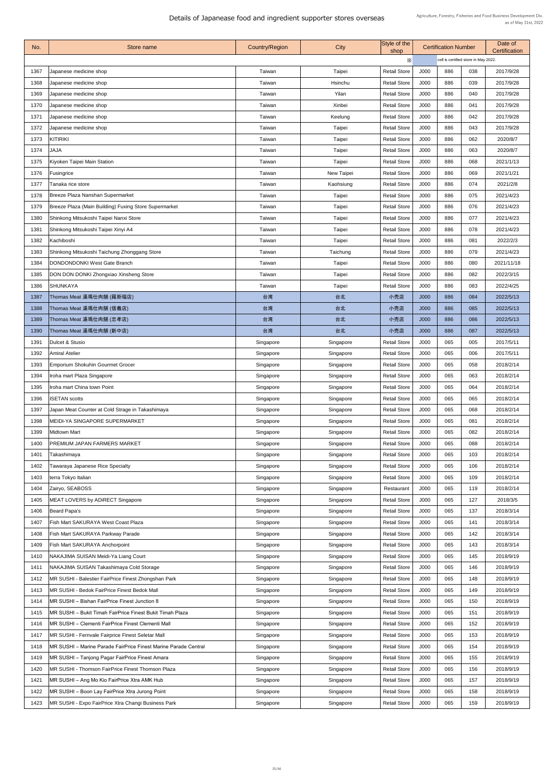| No.  | Store name                                                      | <b>Country/Region</b> | City          | Style of the<br>shop |             | <b>Certification Number</b>          |     | Date of<br>Certification |  |
|------|-----------------------------------------------------------------|-----------------------|---------------|----------------------|-------------|--------------------------------------|-----|--------------------------|--|
|      |                                                                 |                       |               | Х                    |             | cell is certified store in May 2022. |     |                          |  |
| 1367 | Japanese medicine shop                                          | Taiwan                | <b>Taipei</b> | <b>Retail Store</b>  | J000        | 886                                  | 038 | 2017/9/28                |  |
| 1368 | Japanese medicine shop                                          | Taiwan                | Hsinchu       | <b>Retail Store</b>  | <b>J000</b> | 886                                  | 039 | 2017/9/28                |  |
| 1369 | Japanese medicine shop                                          | Taiwan                | Yilan         | <b>Retail Store</b>  | J000        | 886                                  | 040 | 2017/9/28                |  |
| 1370 | Japanese medicine shop                                          | Taiwan                | Xinbei        | <b>Retail Store</b>  | J000        | 886                                  | 041 | 2017/9/28                |  |
| 1371 | Japanese medicine shop                                          | Taiwan                | Keelung       | <b>Retail Store</b>  | J000        | 886                                  | 042 | 2017/9/28                |  |
| 1372 | Japanese medicine shop                                          | Taiwan                | <b>Taipei</b> | <b>Retail Store</b>  | J000        | 886                                  | 043 | 2017/9/28                |  |
| 1373 | <b>KITIRIKI</b>                                                 | Taiwan                | <b>Taipei</b> | <b>Retail Store</b>  | J000        | 886                                  | 062 | 2020/8/7                 |  |
| 1374 | <b>JAJA</b>                                                     | Taiwan                | <b>Taipei</b> | <b>Retail Store</b>  | J000        | 886                                  | 063 | 2020/8/7                 |  |
| 1375 | Kiyoken Taipei Main Station                                     | Taiwan                | <b>Taipei</b> | <b>Retail Store</b>  | J000        | 886                                  | 068 | 2021/1/13                |  |
| 1376 | Fusingrice                                                      | Taiwan                | New Taipei    | <b>Retail Store</b>  | J000        | 886                                  | 069 | 2021/1/21                |  |
| 1377 | Tanaka rice store                                               | Taiwan                | Kaohsiung     | <b>Retail Store</b>  | J000        | 886                                  | 074 | 2021/2/8                 |  |
| 1378 | Breeze Plaza Nanshan Supermarket                                | Taiwan                | <b>Taipei</b> | <b>Retail Store</b>  | J000        | 886                                  | 075 | 2021/4/23                |  |
| 1379 | Breeze Plaza (Main Building) Fuxing Store Supermarket           | Taiwan                | <b>Taipei</b> | <b>Retail Store</b>  | <b>J000</b> | 886                                  | 076 | 2021/4/23                |  |
| 1380 | Shinkong Mitsukoshi Taipei Nanxi Store                          | Taiwan                | <b>Taipei</b> | <b>Retail Store</b>  | J000        | 886                                  | 077 | 2021/4/23                |  |
| 1381 | Shinkong Mitsukoshi Taipei Xinyi A4                             | Taiwan                | <b>Taipei</b> | <b>Retail Store</b>  | J000        | 886                                  | 078 | 2021/4/23                |  |
| 1382 | Kachiboshi                                                      | Taiwan                | <b>Taipei</b> | <b>Retail Store</b>  | <b>J000</b> | 886                                  | 081 | 2022/2/3                 |  |
| 1383 | Shinkong Mitsukoshi Taichung Zhonggang Store                    | Taiwan                | Taichung      | <b>Retail Store</b>  | J000        | 886                                  | 079 | 2021/4/23                |  |
| 1384 | <b>DONDONDONKI West Gate Branch</b>                             | Taiwan                | <b>Taipei</b> | <b>Retail Store</b>  | J000        | 886                                  | 080 | 2021/11/18               |  |
| 1385 | <b>DON DON DONKI Zhongxiao Xinsheng Store</b>                   | Taiwan                | <b>Taipei</b> | <b>Retail Store</b>  | J000        | 886                                  | 082 | 2022/3/15                |  |
| 1386 | <b>SHUNKAYA</b>                                                 | Taiwan                | <b>Taipei</b> | <b>Retail Store</b>  | <b>J000</b> | 886                                  | 083 | 2022/4/25                |  |
| 1387 | Thomas Meat 湯瑪仕肉舖 (羅斯福店)                                        | 台湾                    | 台北            | 小売店                  | J000        | 886                                  | 084 | 2022/5/13                |  |
| 1388 | Thomas Meat 湯瑪仕肉舖 (信義店)                                         | 台湾                    | 台北            | 小売店                  | J000        | 886                                  | 085 | 2022/5/13                |  |
| 1389 | Thomas Meat 湯瑪仕肉舖 (忠孝店)                                         | 台湾                    | 台北            | 小売店                  | J000        | 886                                  | 086 | 2022/5/13                |  |
| 1390 | Thomas Meat 湯瑪仕肉舖 (新中店)                                         | 台湾                    | 台北            | 小売店                  | J000        | 886                                  | 087 | 2022/5/13                |  |
| 1391 | Dulcet & Stusio                                                 | Singapore             | Singapore     | <b>Retail Store</b>  | J000        | 065                                  | 005 | 2017/5/11                |  |
| 1392 | <b>Amiral Atelier</b>                                           | Singapore             | Singapore     | <b>Retail Store</b>  | J000        | 065                                  | 006 | 2017/5/11                |  |
| 1393 | <b>Emporium Shokuhin Gourmet Grocer</b>                         | Singapore             | Singapore     | <b>Retail Store</b>  | J000        | 065                                  | 058 | 2018/2/14                |  |
| 1394 | Iroha mart Plaza Singapore                                      | Singapore             | Singapore     | <b>Retail Store</b>  | J000        | 065                                  | 063 | 2018/2/14                |  |
| 1395 | Iroha mart China town Point                                     | Singapore             | Singapore     | <b>Retail Store</b>  | J000        | 065                                  | 064 | 2018/2/14                |  |
| 1396 | <b>ISETAN scotts</b>                                            | Singapore             | Singapore     | <b>Retail Store</b>  | J000        | 065                                  | 065 | 2018/2/14                |  |
| 1397 | Japan Meat Counter at Cold Strage in Takashimaya                | Singapore             | Singapore     | <b>Retail Store</b>  | J000        | 065                                  | 068 | 2018/2/14                |  |
| 1398 | MEIDI-YA SINGAPORE SUPERMARKET                                  | Singapore             | Singapore     | <b>Retail Store</b>  | J000        | 065                                  | 081 | 2018/2/14                |  |
| 1399 | <b>Midtown Mart</b>                                             | Singapore             | Singapore     | <b>Retail Store</b>  | J000        | 065                                  | 082 | 2018/2/14                |  |
| 1400 | PREMIUM JAPAN FARMERS MARKET                                    | Singapore             | Singapore     | <b>Retail Store</b>  | J000        | 065                                  | 088 | 2018/2/14                |  |
| 1401 | Takashimaya                                                     | Singapore             | Singapore     | <b>Retail Store</b>  | J000        | 065                                  | 103 | 2018/2/14                |  |
| 1402 | Tawaraya Japanese Rice Specialty                                | Singapore             | Singapore     | <b>Retail Store</b>  | J000        | 065                                  | 106 | 2018/2/14                |  |
| 1403 | terra Tokyo Italian                                             | Singapore             | Singapore     | <b>Retail Store</b>  | J000        | 065                                  | 109 | 2018/2/14                |  |
| 1404 | Zairyo, SEABOSS                                                 | Singapore             | Singapore     | Restaurant           | <b>J000</b> | 065                                  | 119 | 2018/2/14                |  |
| 1405 | <b>MEAT LOVERS by ADIRECT Singapore</b>                         | Singapore             | Singapore     | <b>Retail Store</b>  | J000        | 065                                  | 127 | 2018/3/5                 |  |
| 1406 | Beard Papa's                                                    | Singapore             | Singapore     | <b>Retail Store</b>  | J000        | 065                                  | 137 | 2018/3/14                |  |
| 1407 | <b>Fish Mart SAKURAYA West Coast Plaza</b>                      | Singapore             | Singapore     | <b>Retail Store</b>  | J000        | 065                                  | 141 | 2018/3/14                |  |
| 1408 | Fish Mart SAKURAYA Parkway Parade                               | Singapore             | Singapore     | <b>Retail Store</b>  | <b>J000</b> | 065                                  | 142 | 2018/3/14                |  |
| 1409 | Fish Mart SAKURAYA Anchorpoint                                  | Singapore             | Singapore     | <b>Retail Store</b>  | <b>J000</b> | 065                                  | 143 | 2018/3/14                |  |
| 1410 | NAKAJIMA SUISAN Meidi-Ya Liang Court                            | Singapore             | Singapore     | <b>Retail Store</b>  | J000        | 065                                  | 145 | 2018/9/19                |  |
| 1411 | NAKAJIMA SUISAN Takashimaya Cold Storage                        | Singapore             | Singapore     | <b>Retail Store</b>  | <b>J000</b> | 065                                  | 146 | 2018/9/19                |  |
| 1412 | MR SUSHI - Balestier FairPrice Finest Zhongshan Park            | Singapore             | Singapore     | <b>Retail Store</b>  | J000        | 065                                  | 148 | 2018/9/19                |  |
| 1413 | MR SUSHI - Bedok FairPrice Finest Bedok Mall                    | Singapore             | Singapore     | <b>Retail Store</b>  | <b>J000</b> | 065                                  | 149 | 2018/9/19                |  |
| 1414 | MR SUSHI - Bishan FairPrice Finest Junction 8                   | Singapore             | Singapore     | <b>Retail Store</b>  | J000        | 065                                  | 150 | 2018/9/19                |  |
| 1415 | MR SUSHI - Bukit Timah FairPrice Finest Bukit Timah Plaza       | Singapore             | Singapore     | <b>Retail Store</b>  | <b>J000</b> | 065                                  | 151 | 2018/9/19                |  |
| 1416 | MR SUSHI - Clementi FairPrice Finest Clementi Mall              | Singapore             | Singapore     | <b>Retail Store</b>  | J000        | 065                                  | 152 | 2018/9/19                |  |
| 1417 | MR SUSHI - Fernvale Fairprice Finest Seletar Mall               | Singapore             | Singapore     | <b>Retail Store</b>  | <b>J000</b> | 065                                  | 153 | 2018/9/19                |  |
| 1418 | MR SUSHI – Marine Parade FairPrice Finest Marine Parade Central | Singapore             | Singapore     | <b>Retail Store</b>  | J000        | 065                                  | 154 | 2018/9/19                |  |
| 1419 | MR SUSHI - Tanjong Pagar FairPrice Finest Amara                 | Singapore             | Singapore     | <b>Retail Store</b>  | J000        | 065                                  | 155 | 2018/9/19                |  |
| 1420 | MR SUSHI - Thomson FairPrice Finest Thomson Plaza               | Singapore             | Singapore     | <b>Retail Store</b>  | <b>J000</b> | 065                                  | 156 | 2018/9/19                |  |
| 1421 | MR SUSHI - Ang Mo Kio FairPrice Xtra AMK Hub                    | Singapore             | Singapore     | <b>Retail Store</b>  | J000        | 065                                  | 157 | 2018/9/19                |  |
| 1422 | MR SUSHI – Boon Lay FairPrice Xtra Jurong Point                 | Singapore             | Singapore     | <b>Retail Store</b>  | J000        | 065                                  | 158 | 2018/9/19                |  |
| 1423 | MR SUSHI - Expo FairPrice Xtra Changi Business Park             | Singapore             | Singapore     | <b>Retail Store</b>  | J000        | 065                                  | 159 | 2018/9/19                |  |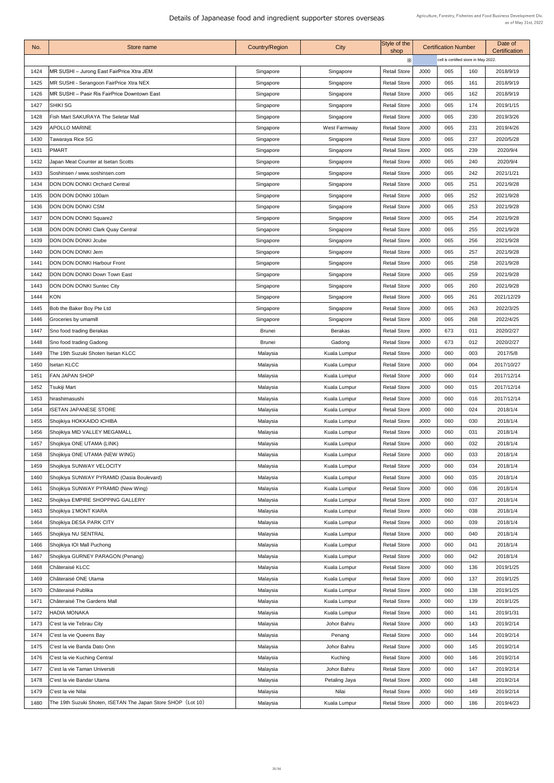| No.  | Store name                                                   | <b>Country/Region</b> | City                | Style of the<br>shop |      | <b>Certification Number</b>          |     | Date of<br><b>Certification</b> |  |
|------|--------------------------------------------------------------|-----------------------|---------------------|----------------------|------|--------------------------------------|-----|---------------------------------|--|
|      |                                                              |                       |                     | Х                    |      | cell is certified store in May 2022. |     |                                 |  |
| 1424 | MR SUSHI - Jurong East FairPrice Xtra JEM                    | Singapore             | Singapore           | <b>Retail Store</b>  | J000 | 065                                  | 160 | 2018/9/19                       |  |
| 1425 | MR SUSHI - Serangoon FairPrice Xtra NEX                      | Singapore             | Singapore           | <b>Retail Store</b>  | J000 | 065                                  | 161 | 2018/9/19                       |  |
| 1426 | MR SUSHI - Pasir Ris FairPrice Downtown East                 | Singapore             | Singapore           | <b>Retail Store</b>  | J000 | 065                                  | 162 | 2018/9/19                       |  |
| 1427 | SHIKI SG                                                     | Singapore             | Singapore           | <b>Retail Store</b>  | J000 | 065                                  | 174 | 2019/1/15                       |  |
| 1428 | <b>Fish Mart SAKURAYA The Seletar Mall</b>                   | Singapore             | Singapore           | <b>Retail Store</b>  | J000 | 065                                  | 230 | 2019/3/26                       |  |
| 1429 | <b>APOLLO MARINE</b>                                         | Singapore             | <b>West Farmway</b> | <b>Retail Store</b>  | J000 | 065                                  | 231 | 2019/4/26                       |  |
| 1430 | <b>Tawaraya Rice SG</b>                                      | Singapore             | Singapore           | <b>Retail Store</b>  | J000 | 065                                  | 237 | 2020/5/28                       |  |
| 1431 | <b>PMART</b>                                                 | Singapore             | Singapore           | <b>Retail Store</b>  | J000 | 065                                  | 239 | 2020/9/4                        |  |
| 1432 | Japan Meat Counter at Isetan Scotts                          | Singapore             | Singapore           | <b>Retail Store</b>  | J000 | 065                                  | 240 | 2020/9/4                        |  |
| 1433 | Soshinsen / www.soshinsen.com                                | Singapore             | Singapore           | <b>Retail Store</b>  | J000 | 065                                  | 242 | 2021/1/21                       |  |
| 1434 | <b>DON DON DONKI Orchard Central</b>                         | Singapore             | Singapore           | <b>Retail Store</b>  | J000 | 065                                  | 251 | 2021/9/28                       |  |
| 1435 | DON DON DONKI 100am                                          | Singapore             | Singapore           | <b>Retail Store</b>  | J000 | 065                                  | 252 | 2021/9/28                       |  |
| 1436 | <b>DON DON DONKI CSM</b>                                     | Singapore             | Singapore           | <b>Retail Store</b>  | J000 | 065                                  | 253 | 2021/9/28                       |  |
| 1437 | <b>DON DON DONKI Square2</b>                                 | Singapore             | Singapore           | <b>Retail Store</b>  | J000 | 065                                  | 254 | 2021/9/28                       |  |
| 1438 | <b>DON DON DONKI Clark Quay Central</b>                      | Singapore             | Singapore           | <b>Retail Store</b>  | J000 | 065                                  | 255 | 2021/9/28                       |  |
| 1439 | DON DON DONKI Joube                                          | Singapore             | Singapore           | <b>Retail Store</b>  | J000 | 065                                  | 256 | 2021/9/28                       |  |
| 1440 | DON DON DONKI Jem                                            | Singapore             | Singapore           | <b>Retail Store</b>  | J000 | 065                                  | 257 | 2021/9/28                       |  |
| 1441 | <b>DON DON DONKI Harbour Front</b>                           | Singapore             | Singapore           | <b>Retail Store</b>  | J000 | 065                                  | 258 | 2021/9/28                       |  |
| 1442 | <b>DON DON DONKI Down Town East</b>                          | Singapore             | Singapore           | <b>Retail Store</b>  | J000 | 065                                  | 259 | 2021/9/28                       |  |
| 1443 | <b>DON DON DONKI Suntec City</b>                             | Singapore             | Singapore           | <b>Retail Store</b>  | J000 | 065                                  | 260 | 2021/9/28                       |  |
| 1444 | <b>KON</b>                                                   | Singapore             | Singapore           | <b>Retail Store</b>  | J000 | 065                                  | 261 | 2021/12/29                      |  |
| 1445 | <b>Bob the Baker Boy Pte Ltd</b>                             | Singapore             | Singapore           | <b>Retail Store</b>  | J000 | 065                                  | 263 | 2022/3/25                       |  |
| 1446 | Groceries by umamill                                         | Singapore             | Singapore           | <b>Retail Store</b>  | J000 | 065                                  | 268 | 2022/4/25                       |  |
| 1447 | Sno food trading Berakas                                     | <b>Brunei</b>         | <b>Berakas</b>      | <b>Retail Store</b>  | J000 | 673                                  | 011 | 2020/2/27                       |  |
| 1448 | Sno food trading Gadong                                      | <b>Brunei</b>         | Gadong              | <b>Retail Store</b>  | J000 | 673                                  | 012 | 2020/2/27                       |  |
|      | The 19th Suzuki Shoten Isetan KLCC                           |                       |                     |                      | J000 | 060                                  |     |                                 |  |
| 1449 |                                                              | Malaysia              | <b>Kuala Lumpur</b> | <b>Retail Store</b>  |      |                                      | 003 | 2017/5/8                        |  |
| 1450 | <b>Isetan KLCC</b>                                           | Malaysia              | Kuala Lumpur        | <b>Retail Store</b>  | J000 | 060                                  | 004 | 2017/10/27                      |  |
| 1451 | <b>FAN JAPAN SHOP</b>                                        | Malaysia              | Kuala Lumpur        | <b>Retail Store</b>  | J000 | 060                                  | 014 | 2017/12/14                      |  |
| 1452 | Tsukiji Mart                                                 | Malaysia              | <b>Kuala Lumpur</b> | <b>Retail Store</b>  | J000 | 060                                  | 015 | 2017/12/14                      |  |
| 1453 | hirashimasushi                                               | Malaysia              | <b>Kuala Lumpur</b> | <b>Retail Store</b>  | J000 | 060                                  | 016 | 2017/12/14                      |  |
| 1454 | <b>ISETAN JAPANESE STORE</b>                                 | Malaysia              | <b>Kuala Lumpur</b> | <b>Retail Store</b>  | J000 | 060                                  | 024 | 2018/1/4                        |  |
| 1455 | Shojikiya HOKKAIDO ICHIBA                                    | Malaysia              | <b>Kuala Lumpur</b> | <b>Retail Store</b>  | J000 | 060                                  | 030 | 2018/1/4                        |  |
| 1456 | Shojikiya MID VALLEY MEGAMALL                                | Malaysia              | <b>Kuala Lumpur</b> | <b>Retail Store</b>  | J000 | 060                                  | 031 | 2018/1/4                        |  |
| 1457 | Shojikiya ONE UTAMA (LINK)                                   | Malaysia              | Kuala Lumpur        | <b>Retail Store</b>  | J000 | 060                                  | 032 | 2018/1/4                        |  |
| 1458 | Shojikiya ONE UTAMA (NEW WING)                               | Malaysia              | Kuala Lumpur        | <b>Retail Store</b>  | J000 | 060                                  | 033 | 2018/1/4                        |  |
| 1459 | Shojikiya SUNWAY VELOCITY                                    | Malaysia              | <b>Kuala Lumpur</b> | <b>Retail Store</b>  | J000 | 060                                  | 034 | 2018/1/4                        |  |
| 1460 | Shojikiya SUNWAY PYRAMID (Oasia Boulevard)                   | Malaysia              | Kuala Lumpur        | <b>Retail Store</b>  | J000 | 060                                  | 035 | 2018/1/4                        |  |
| 1461 | Shojikiya SUNWAY PYRAMID (New Wing)                          | Malaysia              | <b>Kuala Lumpur</b> | <b>Retail Store</b>  | J000 | 060                                  | 036 | 2018/1/4                        |  |
| 1462 | Shojikiya EMPIRE SHOPPING GALLERY                            | Malaysia              | Kuala Lumpur        | <b>Retail Store</b>  | J000 | 060                                  | 037 | 2018/1/4                        |  |
| 1463 | Shojikiya 1'MONT KIARA                                       | Malaysia              | Kuala Lumpur        | <b>Retail Store</b>  | J000 | 060                                  | 038 | 2018/1/4                        |  |
| 1464 | Shojikiya DESA PARK CITY                                     | Malaysia              | <b>Kuala Lumpur</b> | <b>Retail Store</b>  | J000 | 060                                  | 039 | 2018/1/4                        |  |
| 1465 | Shojikiya NU SENTRAL                                         | Malaysia              | <b>Kuala Lumpur</b> | <b>Retail Store</b>  | J000 | 060                                  | 040 | 2018/1/4                        |  |
| 1466 | Shojikiya IOI Mall Puchong                                   | Malaysia              | <b>Kuala Lumpur</b> | <b>Retail Store</b>  | J000 | 060                                  | 041 | 2018/1/4                        |  |
| 1467 | Shojikiya GURNEY PARAGON (Penang)                            | Malaysia              | <b>Kuala Lumpur</b> | <b>Retail Store</b>  | J000 | 060                                  | 042 | 2018/1/4                        |  |
| 1468 | <b>Châteraisé KLCC</b>                                       | Malaysia              | <b>Kuala Lumpur</b> | <b>Retail Store</b>  | J000 | 060                                  | 136 | 2019/1/25                       |  |
| 1469 | Châteraisé ONE Utama                                         | Malaysia              | Kuala Lumpur        | <b>Retail Store</b>  | J000 | 060                                  | 137 | 2019/1/25                       |  |
| 1470 | Châteraisé Publika                                           | Malaysia              | <b>Kuala Lumpur</b> | <b>Retail Store</b>  | J000 | 060                                  | 138 | 2019/1/25                       |  |
| 1471 | <b>Châteraisé The Gardens Mall</b>                           | Malaysia              | <b>Kuala Lumpur</b> | <b>Retail Store</b>  | J000 | 060                                  | 139 | 2019/1/25                       |  |
| 1472 | <b>HADIA MONAKA</b>                                          | Malaysia              | <b>Kuala Lumpur</b> | <b>Retail Store</b>  | J000 | 060                                  | 141 | 2019/1/31                       |  |
| 1473 | C'est la vie Tebrau City                                     | Malaysia              | Johor Bahru         | <b>Retail Store</b>  | J000 | 060                                  | 143 | 2019/2/14                       |  |
| 1474 | C'est la vie Queens Bay                                      | Malaysia              | Penang              | <b>Retail Store</b>  | J000 | 060                                  | 144 | 2019/2/14                       |  |
| 1475 | C'est la vie Banda Dato Onn                                  | Malaysia              | Johor Bahru         | <b>Retail Store</b>  | J000 | 060                                  | 145 | 2019/2/14                       |  |
| 1476 | C'est la vie Kuching Central                                 | Malaysia              | Kuching             | <b>Retail Store</b>  | J000 | 060                                  | 146 | 2019/2/14                       |  |
| 1477 | C'est la vie Taman Universiti                                | Malaysia              | Johor Bahru         | <b>Retail Store</b>  | J000 | 060                                  | 147 | 2019/2/14                       |  |
| 1478 | C'est la vie Bandar Utama                                    | Malaysia              | Petaling Jaya       | <b>Retail Store</b>  | J000 | 060                                  | 148 | 2019/2/14                       |  |
| 1479 | C'est la vie Nilai                                           | Malaysia              | Nilai               | <b>Retail Store</b>  | J000 | 060                                  | 149 | 2019/2/14                       |  |
| 1480 | The 19th Suzuki Shoten, ISETAN The Japan Store SHOP (Lot 10) | Malaysia              | <b>Kuala Lumpur</b> | <b>Retail Store</b>  | J000 | 060                                  | 186 | 2019/4/23                       |  |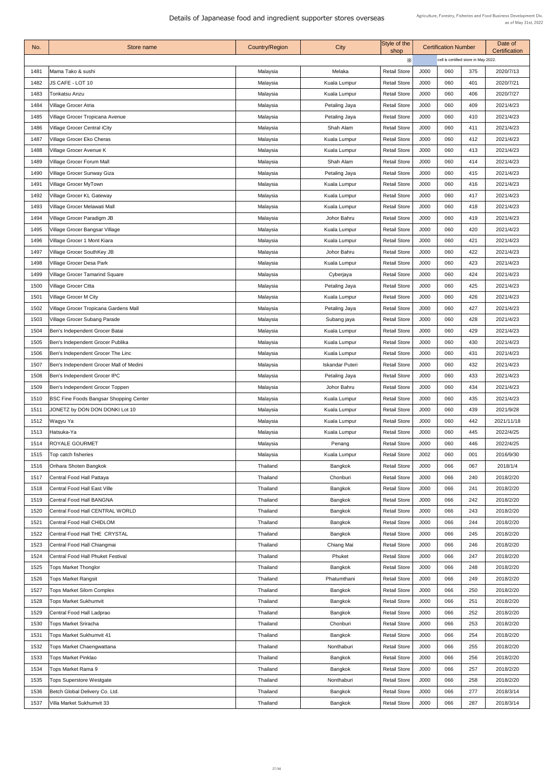| No.          | Store name                                                                | <b>Country/Region</b> | <b>City</b>                      | Style of the<br>shop                       |              | <b>Certification Number</b>          |            | Date of<br><b>Certification</b> |
|--------------|---------------------------------------------------------------------------|-----------------------|----------------------------------|--------------------------------------------|--------------|--------------------------------------|------------|---------------------------------|
|              |                                                                           |                       |                                  | X                                          |              | cell is certified store in May 2022. |            |                                 |
| 1481         | Mama Tako & sushi                                                         | Malaysia              | Melaka                           | <b>Retail Store</b>                        | J000         | 060                                  | 375        | 2020/7/13                       |
| 1482         | JS CAFE - LOT 10                                                          | Malaysia              | Kuala Lumpur                     | <b>Retail Store</b>                        | J000         | 060                                  | 401        | 2020/7/21                       |
| 1483         | Tonkatsu Anzu                                                             | Malaysia              | Kuala Lumpur                     | <b>Retail Store</b>                        | J000         | 060                                  | 406        | 2020/7/27                       |
| 1484         | Village Grocer Atria                                                      | Malaysia              | Petaling Jaya                    | <b>Retail Store</b>                        | J000         | 060                                  | 409        | 2021/4/23                       |
| 1485         | Village Grocer Tropicana Avenue                                           | Malaysia              | Petaling Jaya                    | <b>Retail Store</b>                        | J000         | 060                                  | 410        | 2021/4/23                       |
| 1486         | <b>Village Grocer Central iCity</b>                                       | Malaysia              | Shah Alam                        | <b>Retail Store</b>                        | J000         | 060                                  | 411        | 2021/4/23                       |
| 1487         | Village Grocer Eko Cheras                                                 | Malaysia              | <b>Kuala Lumpur</b>              | <b>Retail Store</b>                        | J000         | 060                                  | 412        | 2021/4/23                       |
| 1488         | Village Grocer Avenue K                                                   | Malaysia              | Kuala Lumpur                     | <b>Retail Store</b>                        | J000         | 060                                  | 413        | 2021/4/23                       |
| 1489         | <b>Village Grocer Forum Mall</b>                                          | Malaysia              | Shah Alam                        | <b>Retail Store</b>                        | J000         | 060                                  | 414        | 2021/4/23                       |
| 1490         | <b>Village Grocer Sunway Giza</b>                                         | Malaysia              | Petaling Jaya                    | <b>Retail Store</b>                        | J000         | 060                                  | 415        | 2021/4/23                       |
| 1491         | Village Grocer MyTown                                                     | Malaysia              | Kuala Lumpur                     | <b>Retail Store</b>                        | J000         | 060                                  | 416        | 2021/4/23                       |
| 1492         | <b>Village Grocer KL Gateway</b>                                          | Malaysia              | <b>Kuala Lumpur</b>              | <b>Retail Store</b>                        | J000         | 060                                  | 417        | 2021/4/23                       |
| 1493         | Village Grocer Melawati Mall                                              | Malaysia              | Kuala Lumpur                     | <b>Retail Store</b>                        | <b>J000</b>  | 060                                  | 418        | 2021/4/23                       |
| 1494         | <b>Village Grocer Paradigm JB</b>                                         | Malaysia              | Johor Bahru                      | <b>Retail Store</b>                        | J000         | 060                                  | 419        | 2021/4/23                       |
| 1495         | Village Grocer Bangsar Village                                            | Malaysia              | Kuala Lumpur                     | <b>Retail Store</b>                        | J000         | 060                                  | 420        | 2021/4/23                       |
| 1496         | Village Grocer 1 Mont Kiara                                               | Malaysia              | <b>Kuala Lumpur</b>              | <b>Retail Store</b>                        | J000         | 060                                  | 421        | 2021/4/23                       |
| 1497         | <b>Village Grocer SouthKey JB</b>                                         | Malaysia              | Johor Bahru                      | <b>Retail Store</b>                        | J000         | 060                                  | 422        | 2021/4/23                       |
| 1498         | <b>Village Grocer Desa Park</b>                                           | Malaysia              | <b>Kuala Lumpur</b>              | <b>Retail Store</b>                        | J000         | 060                                  | 423        | 2021/4/23                       |
| 1499         | <b>Village Grocer Tamarind Square</b>                                     | Malaysia              | Cyberjaya                        | <b>Retail Store</b>                        | J000         | 060                                  | 424        | 2021/4/23                       |
| 1500         | <b>Village Grocer Citta</b>                                               | Malaysia              | Petaling Jaya                    | <b>Retail Store</b>                        | J000         | 060                                  | 425        | 2021/4/23                       |
| 1501         | <b>Village Grocer M City</b>                                              | Malaysia              | <b>Kuala Lumpur</b>              | <b>Retail Store</b>                        | J000         | 060                                  | 426        | 2021/4/23                       |
| 1502         | Village Grocer Tropicana Gardens Mall                                     | Malaysia              | Petaling Jaya                    | <b>Retail Store</b>                        | J000         | 060                                  | 427        | 2021/4/23                       |
| 1503         | <b>Village Grocer Subang Parade</b>                                       | Malaysia              | Subang jaya                      | <b>Retail Store</b>                        | J000         | 060                                  | 428        | 2021/4/23                       |
| 1504         | Ben's Independent Grocer Batai                                            | Malaysia              | Kuala Lumpur                     | <b>Retail Store</b>                        | J000         | 060                                  | 429        | 2021/4/23                       |
| 1505         | Ben's Independent Grocer Publika                                          | Malaysia              | Kuala Lumpur                     | <b>Retail Store</b>                        | J000         | 060                                  | 430        | 2021/4/23                       |
| 1506         | Ben's Independent Grocer The Linc                                         | Malaysia              | <b>Kuala Lumpur</b>              | <b>Retail Store</b>                        | J000         | 060                                  | 431        | 2021/4/23                       |
| 1507         | Ben's Independent Grocer Mall of Medini                                   | Malaysia              | <b>Iskandar Puteri</b>           | <b>Retail Store</b>                        | J000         | 060                                  | 432        | 2021/4/23                       |
| 1508         | Ben's Independent Grocer IPC                                              | Malaysia              | Petaling Jaya                    | <b>Retail Store</b>                        | J000         | 060                                  | 433        | 2021/4/23                       |
| 1509         | Ben's Independent Grocer Toppen                                           | Malaysia              | Johor Bahru                      | <b>Retail Store</b>                        | J000         | 060                                  | 434        | 2021/4/23                       |
| 1510         | <b>BSC Fine Foods Bangsar Shopping Center</b>                             | Malaysia              | <b>Kuala Lumpur</b>              | <b>Retail Store</b>                        | J000         | 060                                  | 435        | 2021/4/23                       |
| 1511         | JONETZ by DON DON DONKI Lot 10                                            | Malaysia              | <b>Kuala Lumpur</b>              | <b>Retail Store</b>                        | J000         | 060                                  | 439        | 2021/9/28                       |
| 1512         | Wagyu Ya                                                                  | Malaysia              | <b>Kuala Lumpur</b>              | <b>Retail Store</b>                        | J000         | 060                                  | 442        | 2021/11/18                      |
| 1513         | Hatsuka-Ya                                                                | Malaysia              | <b>Kuala Lumpur</b>              | <b>Retail Store</b>                        | J000         | 060                                  | 445        | 2022/4/25                       |
| 1514         | <b>ROYALE GOURMET</b>                                                     | Malaysia              | Penang                           | <b>Retail Store</b>                        | J000         | 060                                  | 446        | 2022/4/25                       |
| 1515         | Top catch fisheries                                                       | Malaysia              | Kuala Lumpur                     | <b>Retail Store</b>                        | J002         | 060                                  | 001        | 2016/9/30                       |
| 1516         | <b>Orihara Shoten Bangkok</b>                                             | Thailand              | <b>Bangkok</b>                   | <b>Retail Store</b>                        | J000         | 066                                  | 067        | 2018/1/4                        |
| 1517         | Central Food Hall Pattaya                                                 | Thailand              | Chonburi                         | <b>Retail Store</b>                        | J000         | 066                                  | 240        | 2018/2/20                       |
| 1518         | <b>Central Food Hall East Ville</b>                                       | Thailand              |                                  | <b>Retail Store</b>                        | J000         | 066                                  | 241        | 2018/2/20                       |
|              |                                                                           |                       | Bangkok                          |                                            |              |                                      |            |                                 |
| 1519<br>1520 | <b>Central Food Hall BANGNA</b><br><b>Central Food Hall CENTRAL WORLD</b> | Thailand<br>Thailand  | <b>Bangkok</b><br>Bangkok        | <b>Retail Store</b><br><b>Retail Store</b> | J000<br>J000 | 066<br>066                           | 242<br>243 | 2018/2/20<br>2018/2/20          |
|              |                                                                           |                       |                                  |                                            |              |                                      |            |                                 |
| 1521<br>1522 | <b>Central Food Hall CHIDLOM</b><br><b>Central Food Hall THE CRYSTAL</b>  | Thailand<br>Thailand  | <b>Bangkok</b><br><b>Bangkok</b> | <b>Retail Store</b><br><b>Retail Store</b> | J000<br>J000 | 066<br>066                           | 244<br>245 | 2018/2/20<br>2018/2/20          |
| 1523         | Central Food Hall Chiangmai                                               | Thailand              | Chiang Mai                       | <b>Retail Store</b>                        | J000         | 066                                  | 246        | 2018/2/20                       |
|              | <b>Central Food Hall Phuket Festival</b>                                  |                       |                                  |                                            |              | 066                                  | 247        |                                 |
| 1524         |                                                                           | Thailand              | Phuket                           | <b>Retail Store</b>                        | J000         |                                      |            | 2018/2/20                       |
| 1525         | <b>Tops Market Thonglor</b>                                               | Thailand              | Bangkok                          | <b>Retail Store</b>                        | J000         | 066                                  | 248        | 2018/2/20                       |
| 1526         | <b>Tops Market Rangsit</b>                                                | Thailand              | Phatumthani                      | <b>Retail Store</b>                        | J000         | 066                                  | 249        | 2018/2/20                       |
| 1527         | <b>Tops Market Silom Complex</b>                                          | Thailand              | <b>Bangkok</b>                   | <b>Retail Store</b>                        | J000         | 066                                  | 250        | 2018/2/20                       |
| 1528         | <b>Tops Market Sukhumvit</b>                                              | <b>Thailand</b>       | <b>Bangkok</b>                   | <b>Retail Store</b>                        | J000         | 066                                  | 251        | 2018/2/20                       |
| 1529         | <b>Central Food Hall Ladprao</b>                                          | Thailand              | <b>Bangkok</b>                   | <b>Retail Store</b>                        | J000         | 066                                  | 252        | 2018/2/20                       |
| 1530         | <b>Tops Market Sriracha</b>                                               | <b>Thailand</b>       | Chonburi                         | <b>Retail Store</b>                        | J000         | 066                                  | 253        | 2018/2/20                       |
| 1531         | <b>Tops Market Sukhumvit 41</b>                                           | Thailand              | <b>Bangkok</b>                   | <b>Retail Store</b>                        | J000         | 066                                  | 254        | 2018/2/20                       |
| 1532         | <b>Tops Market Chaengwattana</b>                                          | Thailand              | Nonthaburi                       | <b>Retail Store</b>                        | J000         | 066                                  | 255        | 2018/2/20                       |
| 1533         | <b>Tops Market Pinklao</b>                                                | <b>Thailand</b>       | <b>Bangkok</b>                   | <b>Retail Store</b>                        | J000         | 066                                  | 256        | 2018/2/20                       |
| 1534         | <b>Tops Market Rama 9</b>                                                 | Thailand              | <b>Bangkok</b>                   | <b>Retail Store</b>                        | J000         | 066                                  | 257        | 2018/2/20                       |
| 1535         | <b>Tops Superstore Westgate</b>                                           | <b>Thailand</b>       | Nonthaburi                       | <b>Retail Store</b>                        | J000         | 066                                  | 258        | 2018/2/20                       |
| 1536         | Betch Global Delivery Co. Ltd.                                            | Thailand              | <b>Bangkok</b>                   | <b>Retail Store</b>                        | J000         | 066                                  | 277        | 2018/3/14                       |
| 1537         | <b>Villa Market Sukhumvit 33</b>                                          | Thailand              | <b>Bangkok</b>                   | <b>Retail Store</b>                        | J000         | 066                                  | 287        | 2018/3/14                       |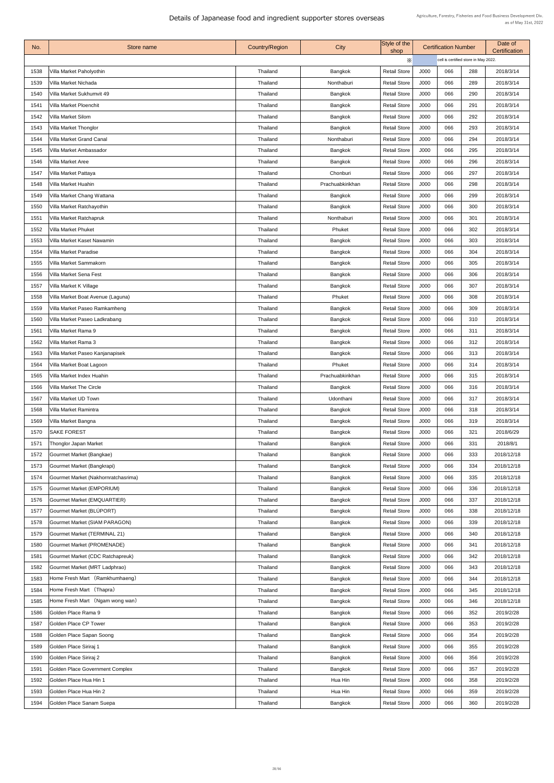| No.  | Store name                          | <b>Country/Region</b> | City             | Style of the<br>shop |                                      | <b>Certification Number</b> |     | Date of<br><b>Certification</b> |
|------|-------------------------------------|-----------------------|------------------|----------------------|--------------------------------------|-----------------------------|-----|---------------------------------|
|      |                                     |                       |                  | $\times$             | cell is certified store in May 2022. |                             |     |                                 |
| 1538 | Villa Market Paholyothin            | <b>Thailand</b>       | Bangkok          | <b>Retail Store</b>  | J000                                 | 066                         | 288 | 2018/3/14                       |
| 1539 | Villa Market Nichada                | Thailand              | Nonthaburi       | <b>Retail Store</b>  | J000                                 | 066                         | 289 | 2018/3/14                       |
| 1540 | Villa Market Sukhumvit 49           | Thailand              | Bangkok          | <b>Retail Store</b>  | J000                                 | 066                         | 290 | 2018/3/14                       |
| 1541 | <b>Villa Market Ploenchit</b>       | <b>Thailand</b>       | <b>Bangkok</b>   | <b>Retail Store</b>  | J000                                 | 066                         | 291 | 2018/3/14                       |
| 1542 | <b>Villa Market Silom</b>           | Thailand              | <b>Bangkok</b>   | <b>Retail Store</b>  | J000                                 | 066                         | 292 | 2018/3/14                       |
| 1543 | <b>Villa Market Thonglor</b>        | Thailand              | <b>Bangkok</b>   | <b>Retail Store</b>  | J000                                 | 066                         | 293 | 2018/3/14                       |
| 1544 | <b>Villa Market Grand Canal</b>     | Thailand              | Nonthaburi       | <b>Retail Store</b>  | J000                                 | 066                         | 294 | 2018/3/14                       |
| 1545 | <b>Villa Market Ambassador</b>      | Thailand              | Bangkok          | <b>Retail Store</b>  | J000                                 | 066                         | 295 | 2018/3/14                       |
| 1546 | Villa Market Aree                   | Thailand              | <b>Bangkok</b>   | <b>Retail Store</b>  | J000                                 | 066                         | 296 | 2018/3/14                       |
| 1547 | Villa Market Pattaya                | <b>Thailand</b>       | Chonburi         | <b>Retail Store</b>  | J000                                 | 066                         | 297 | 2018/3/14                       |
| 1548 | <b>Villa Market Huahin</b>          | Thailand              | Prachuabkirikhan | <b>Retail Store</b>  | J000                                 | 066                         | 298 | 2018/3/14                       |
| 1549 | Villa Market Chang Wattana          | Thailand              | Bangkok          | <b>Retail Store</b>  | J000                                 | 066                         | 299 | 2018/3/14                       |
| 1550 | Villa Market Ratchayothin           | <b>Thailand</b>       | <b>Bangkok</b>   | <b>Retail Store</b>  | J000                                 | 066                         | 300 | 2018/3/14                       |
| 1551 | <b>Villa Market Ratchapruk</b>      | <b>Thailand</b>       | Nonthaburi       | <b>Retail Store</b>  | J000                                 | 066                         | 301 | 2018/3/14                       |
| 1552 | <b>Villa Market Phuket</b>          | <b>Thailand</b>       | Phuket           | <b>Retail Store</b>  | J000                                 | 066                         | 302 | 2018/3/14                       |
| 1553 | <b>Villa Market Kaset Nawamin</b>   | Thailand              | <b>Bangkok</b>   | <b>Retail Store</b>  | J000                                 | 066                         | 303 | 2018/3/14                       |
| 1554 | <b>Villa Market Paradise</b>        | <b>Thailand</b>       | <b>Bangkok</b>   | <b>Retail Store</b>  | J000                                 | 066                         | 304 | 2018/3/14                       |
| 1555 | <b>Villa Market Sammakorn</b>       | <b>Thailand</b>       | Bangkok          | <b>Retail Store</b>  | J000                                 | 066                         | 305 | 2018/3/14                       |
| 1556 | <b>Villa Market Sena Fest</b>       | Thailand              | Bangkok          | <b>Retail Store</b>  | J000                                 | 066                         | 306 | 2018/3/14                       |
| 1557 | Villa Market K Village              | <b>Thailand</b>       | <b>Bangkok</b>   | <b>Retail Store</b>  | J000                                 | 066                         | 307 | 2018/3/14                       |
| 1558 | Villa Market Boat Avenue (Laguna)   | Thailand              | Phuket           | <b>Retail Store</b>  | J000                                 | 066                         | 308 | 2018/3/14                       |
| 1559 | Villa Market Paseo Ramkamheng       | Thailand              | Bangkok          | <b>Retail Store</b>  | J000                                 | 066                         | 309 | 2018/3/14                       |
| 1560 | Villa Market Paseo Ladkrabang       | <b>Thailand</b>       | Bangkok          | <b>Retail Store</b>  | J000                                 | 066                         | 310 | 2018/3/14                       |
| 1561 | Villa Market Rama 9                 | <b>Thailand</b>       | <b>Bangkok</b>   | <b>Retail Store</b>  | J000                                 | 066                         | 311 | 2018/3/14                       |
| 1562 | Villa Market Rama 3                 | <b>Thailand</b>       | <b>Bangkok</b>   | <b>Retail Store</b>  | J000                                 | 066                         | 312 | 2018/3/14                       |
| 1563 | Villa Market Paseo Kanjanapisek     | <b>Thailand</b>       | <b>Bangkok</b>   | <b>Retail Store</b>  | J000                                 | 066                         | 313 | 2018/3/14                       |
| 1564 | Villa Market Boat Lagoon            | Thailand              | Phuket           | <b>Retail Store</b>  | J000                                 | 066                         | 314 | 2018/3/14                       |
| 1565 | Villa Market Index Huahin           | <b>Thailand</b>       | Prachuabkirikhan | <b>Retail Store</b>  | J000                                 | 066                         | 315 | 2018/3/14                       |
| 1566 | <b>Villa Market The Circle</b>      | <b>Thailand</b>       | Bangkok          | <b>Retail Store</b>  | J000                                 | 066                         | 316 | 2018/3/14                       |
| 1567 | <b>Villa Market UD Town</b>         | <b>Thailand</b>       | Udonthani        | <b>Retail Store</b>  | J000                                 | 066                         | 317 | 2018/3/14                       |
| 1568 | Villa Market Ramintra               | <b>Thailand</b>       | <b>Bangkok</b>   | <b>Retail Store</b>  | J000                                 | 066                         | 318 | 2018/3/14                       |
| 1569 | Villa Market Bangna                 | <b>Thailand</b>       | <b>Bangkok</b>   | <b>Retail Store</b>  | J000                                 | 066                         | 319 | 2018/3/14                       |
| 1570 | <b>SAKE FOREST</b>                  | Thailand              | <b>Bangkok</b>   | <b>Retail Store</b>  | J000                                 | 066                         | 321 | 2018/6/29                       |
| 1571 | <b>Thonglor Japan Market</b>        | <b>Thailand</b>       | <b>Bangkok</b>   | <b>Retail Store</b>  | J000                                 | 066                         | 331 | 2018/8/1                        |
| 1572 | Gourmet Market (Bangkae)            | <b>Thailand</b>       | <b>Bangkok</b>   | <b>Retail Store</b>  | J000                                 | 066                         | 333 | 2018/12/18                      |
| 1573 | Gourmet Market (Bangkrapi)          | Thailand              | Bangkok          | <b>Retail Store</b>  | J000                                 | 066                         | 334 | 2018/12/18                      |
| 1574 | Gourmet Market (Nakhornratchasrima) | Thailand              | <b>Bangkok</b>   | <b>Retail Store</b>  | J000                                 | 066                         | 335 | 2018/12/18                      |
| 1575 | <b>Gourmet Market (EMPORIUM)</b>    | Thailand              | <b>Bangkok</b>   | <b>Retail Store</b>  | J000                                 | 066                         | 336 | 2018/12/18                      |
| 1576 | <b>Gourmet Market (EMQUARTIER)</b>  | <b>Thailand</b>       | Bangkok          | <b>Retail Store</b>  | J000                                 | 066                         | 337 | 2018/12/18                      |
| 1577 | Gourmet Market (BLÚPORT)            | <b>Thailand</b>       | Bangkok          | <b>Retail Store</b>  | J000                                 | 066                         | 338 | 2018/12/18                      |
| 1578 | Gourmet Market (SIAM PARAGON)       | Thailand              | <b>Bangkok</b>   | <b>Retail Store</b>  | J000                                 | 066                         | 339 | 2018/12/18                      |
| 1579 | Gourmet Market (TERMINAL 21)        | <b>Thailand</b>       | Bangkok          | <b>Retail Store</b>  | J000                                 | 066                         | 340 | 2018/12/18                      |
| 1580 | <b>Gourmet Market (PROMENADE)</b>   | Thailand              | <b>Bangkok</b>   | <b>Retail Store</b>  | J000                                 | 066                         | 341 | 2018/12/18                      |
| 1581 | Gourmet Market (CDC Ratchapreuk)    | Thailand              | <b>Bangkok</b>   | <b>Retail Store</b>  | J000                                 | 066                         | 342 | 2018/12/18                      |
| 1582 | Gourmet Market (MRT Ladphrao)       | Thailand              | <b>Bangkok</b>   | <b>Retail Store</b>  | J000                                 | 066                         | 343 | 2018/12/18                      |
| 1583 | Home Fresh Mart (Ramkhumhaeng)      | Thailand              | <b>Bangkok</b>   | <b>Retail Store</b>  | J000                                 | 066                         | 344 | 2018/12/18                      |
| 1584 | Home Fresh Mart (Thapra)            | Thailand              | <b>Bangkok</b>   | <b>Retail Store</b>  | J000                                 | 066                         | 345 | 2018/12/18                      |
| 1585 | Home Fresh Mart (Ngam wong wan)     | <b>Thailand</b>       | <b>Bangkok</b>   | <b>Retail Store</b>  | J000                                 | 066                         | 346 | 2018/12/18                      |
| 1586 | Golden Place Rama 9                 | Thailand              | Bangkok          | <b>Retail Store</b>  | J000                                 | 066                         | 352 | 2019/2/28                       |
| 1587 | Golden Place CP Tower               | Thailand              | <b>Bangkok</b>   | <b>Retail Store</b>  | J000                                 | 066                         | 353 | 2019/2/28                       |
| 1588 | Golden Place Sapan Soong            | Thailand              | <b>Bangkok</b>   | <b>Retail Store</b>  | J000                                 | 066                         | 354 | 2019/2/28                       |
| 1589 | Golden Place Siriraj 1              | Thailand              | Bangkok          | <b>Retail Store</b>  | J000                                 | 066                         | 355 | 2019/2/28                       |
| 1590 | Golden Place Siriraj 2              | <b>Thailand</b>       | Bangkok          | <b>Retail Store</b>  | J000                                 | 066                         | 356 | 2019/2/28                       |
| 1591 | Golden Place Government Complex     | <b>Thailand</b>       | <b>Bangkok</b>   | <b>Retail Store</b>  | J000                                 | 066                         | 357 | 2019/2/28                       |
| 1592 | Golden Place Hua Hin 1              | Thailand              | Hua Hin          | <b>Retail Store</b>  | J000                                 | 066                         | 358 | 2019/2/28                       |
| 1593 | Golden Place Hua Hin 2              | Thailand              | Hua Hin          | <b>Retail Store</b>  | J000                                 | 066                         | 359 | 2019/2/28                       |
| 1594 | Golden Place Sanam Suepa            | Thailand              | Bangkok          | <b>Retail Store</b>  | J000                                 | 066                         | 360 | 2019/2/28                       |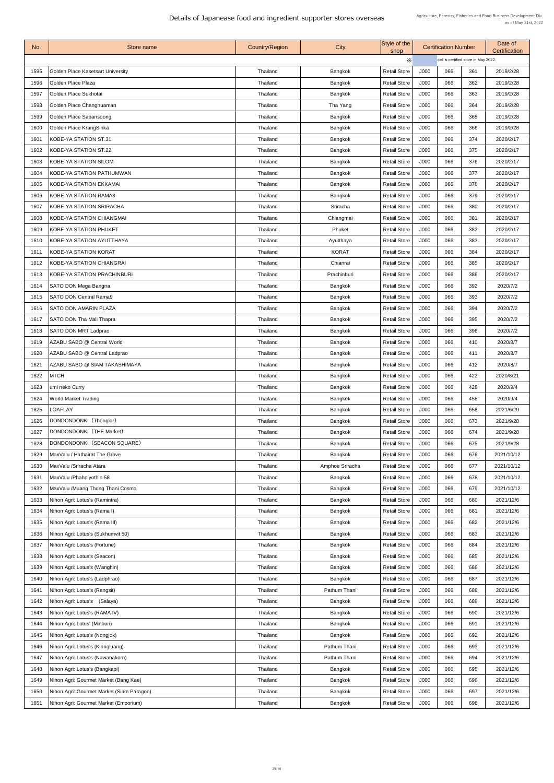| No.  | Store name                                       | <b>Country/Region</b> | City            | Style of the<br>shop |      | <b>Certification Number</b>          |     | Date of<br><b>Certification</b> |
|------|--------------------------------------------------|-----------------------|-----------------|----------------------|------|--------------------------------------|-----|---------------------------------|
|      |                                                  |                       |                 | Х                    |      | cell is certified store in May 2022. |     |                                 |
| 1595 | Golden Place Kasetsart University                | Thailand              | <b>Bangkok</b>  | <b>Retail Store</b>  | J000 | 066                                  | 361 | 2019/2/28                       |
| 1596 | Golden Place Plaza                               | Thailand              | <b>Bangkok</b>  | <b>Retail Store</b>  | J000 | 066                                  | 362 | 2019/2/28                       |
| 1597 | Golden Place Sukhotai                            | Thailand              | Bangkok         | <b>Retail Store</b>  | J000 | 066                                  | 363 | 2019/2/28                       |
| 1598 | Golden Place Changhuaman                         | Thailand              | Tha Yang        | <b>Retail Store</b>  | J000 | 066                                  | 364 | 2019/2/28                       |
| 1599 | Golden Place Sapansoong                          | Thailand              | <b>Bangkok</b>  | <b>Retail Store</b>  | J000 | 066                                  | 365 | 2019/2/28                       |
| 1600 | Golden Place KrangSinka                          | Thailand              | <b>Bangkok</b>  | <b>Retail Store</b>  | J000 | 066                                  | 366 | 2019/2/28                       |
| 1601 | <b>KOBE-YA STATION ST.31</b>                     | Thailand              | <b>Bangkok</b>  | <b>Retail Store</b>  | J000 | 066                                  | 374 | 2020/2/17                       |
| 1602 | KOBE-YA STATION ST.22                            | Thailand              | Bangkok         | <b>Retail Store</b>  | J000 | 066                                  | 375 | 2020/2/17                       |
| 1603 | KOBE-YA STATION SILOM                            | Thailand              | <b>Bangkok</b>  | <b>Retail Store</b>  | J000 | 066                                  | 376 | 2020/2/17                       |
| 1604 | <b>KOBE-YA STATION PATHUMWAN</b>                 | Thailand              | <b>Bangkok</b>  | <b>Retail Store</b>  | J000 | 066                                  | 377 | 2020/2/17                       |
| 1605 | <b>KOBE-YA STATION EKKAMAI</b>                   | Thailand              | <b>Bangkok</b>  | <b>Retail Store</b>  | J000 | 066                                  | 378 | 2020/2/17                       |
| 1606 | KOBE-YA STATION RAMA3                            | Thailand              | Bangkok         | <b>Retail Store</b>  | J000 | 066                                  | 379 | 2020/2/17                       |
| 1607 | <b>KOBE-YA STATION SRIRACHA</b>                  | Thailand              | Sriracha        | <b>Retail Store</b>  | J000 | 066                                  | 380 | 2020/2/17                       |
| 1608 | KOBE-YA STATION CHIANGMAI                        | Thailand              | Chiangmai       | <b>Retail Store</b>  | J000 | 066                                  | 381 | 2020/2/17                       |
| 1609 | <b>KOBE-YA STATION PHUKET</b>                    | <b>Thailand</b>       | Phuket          | <b>Retail Store</b>  | J000 | 066                                  | 382 | 2020/2/17                       |
| 1610 | <b>KOBE-YA STATION AYUTTHAYA</b>                 | Thailand              | Ayutthaya       | <b>Retail Store</b>  | J000 | 066                                  | 383 | 2020/2/17                       |
| 1611 | <b>KOBE-YA STATION KORAT</b>                     | Thailand              | <b>KORAT</b>    | <b>Retail Store</b>  | J000 | 066                                  | 384 | 2020/2/17                       |
| 1612 | <b>KOBE-YA STATION CHIANGRAI</b>                 | Thailand              | Chianrai        | <b>Retail Store</b>  | J000 | 066                                  | 385 | 2020/2/17                       |
| 1613 | KOBE-YA STATION PRACHINBURI                      | Thailand              | Prachinburi     | <b>Retail Store</b>  | J000 | 066                                  | 386 | 2020/2/17                       |
| 1614 | <b>SATO DON Mega Bangna</b>                      | Thailand              | <b>Bangkok</b>  | <b>Retail Store</b>  | J000 | 066                                  | 392 | 2020/7/2                        |
| 1615 | <b>SATO DON Central Rama9</b>                    | Thailand              | <b>Bangkok</b>  | <b>Retail Store</b>  | J000 | 066                                  | 393 | 2020/7/2                        |
| 1616 | <b>SATO DON AMARIN PLAZA</b>                     | Thailand              | <b>Bangkok</b>  | <b>Retail Store</b>  | J000 | 066                                  | 394 | 2020/7/2                        |
| 1617 | SATO DON Tha Mall Thapra                         | Thailand              | Bangkok         | <b>Retail Store</b>  | J000 | 066                                  | 395 | 2020/7/2                        |
| 1618 | <b>SATO DON MRT Ladprao</b>                      | Thailand              | <b>Bangkok</b>  | <b>Retail Store</b>  | J000 | 066                                  | 396 | 2020/7/2                        |
| 1619 | AZABU SABO @ Central World                       | Thailand              | <b>Bangkok</b>  | <b>Retail Store</b>  | J000 | 066                                  | 410 | 2020/8/7                        |
| 1620 | AZABU SABO @ Central Ladprao                     | <b>Thailand</b>       | <b>Bangkok</b>  | <b>Retail Store</b>  | J000 | 066                                  | 411 | 2020/8/7                        |
| 1621 | AZABU SABO @ SIAM TAKASHIMAYA                    | Thailand              | Bangkok         | <b>Retail Store</b>  | J000 | 066                                  | 412 | 2020/8/7                        |
| 1622 | <b>MTCH</b>                                      | Thailand              | <b>Bangkok</b>  | <b>Retail Store</b>  | J000 | 066                                  | 422 | 2020/8/21                       |
| 1623 | umi neko Curry                                   | Thailand              | <b>Bangkok</b>  | <b>Retail Store</b>  | J000 | 066                                  | 428 | 2020/9/4                        |
| 1624 | <b>World Market Trading</b>                      | Thailand              | <b>Bangkok</b>  | <b>Retail Store</b>  | J000 | 066                                  | 458 | 2020/9/4                        |
| 1625 | <b>LOAFLAY</b>                                   | Thailand              | <b>Bangkok</b>  | <b>Retail Store</b>  | J000 | 066                                  | 658 | 2021/6/29                       |
| 1626 | DONDONDONKI (Thonglor)                           | <b>Thailand</b>       | <b>Bangkok</b>  | <b>Retail Store</b>  | J000 | 066                                  | 673 | 2021/9/28                       |
| 1627 | DONDONDONKI (THE Market)                         | Thailand              | <b>Bangkok</b>  | <b>Retail Store</b>  | J000 | 066                                  | 674 | 2021/9/28                       |
| 1628 | DONDONDONKI (SEACON SQUARE)                      | Thailand              | Bangkok         | <b>Retail Store</b>  | J000 | 066                                  | 675 | 2021/9/28                       |
| 1629 | MaxValu / Hathairat The Grove                    | Thailand              | Bangkok         | <b>Retail Store</b>  | J000 | 066                                  | 676 | 2021/10/12                      |
| 1630 | MaxValu /Sriracha Atara                          | Thailand              | Amphoe Sriracha | <b>Retail Store</b>  | J000 | 066                                  | 677 | 2021/10/12                      |
| 1631 | MaxValu /Phaholyothin 58                         | <b>Thailand</b>       | Bangkok         | <b>Retail Store</b>  | J000 | 066                                  | 678 | 2021/10/12                      |
| 1632 | MaxValu /Muang Thong Thani Cosmo                 | Thailand              | <b>Bangkok</b>  | <b>Retail Store</b>  | J000 | 066                                  | 679 | 2021/10/12                      |
| 1633 | Nihon Agri: Lotus's (Ramintra)                   | Thailand              | <b>Bangkok</b>  | <b>Retail Store</b>  | J000 | 066                                  | 680 | 2021/12/6                       |
| 1634 | Nihon Agri: Lotus's (Rama I)                     | <b>Thailand</b>       | <b>Bangkok</b>  | <b>Retail Store</b>  | J000 | 066                                  | 681 | 2021/12/6                       |
| 1635 | Nihon Agri: Lotus's (Rama III)                   | Thailand              | <b>Bangkok</b>  | <b>Retail Store</b>  | J000 | 066                                  | 682 | 2021/12/6                       |
| 1636 | Nihon Agri: Lotus's (Sukhumvit 50)               | Thailand              | <b>Bangkok</b>  | <b>Retail Store</b>  | J000 | 066                                  | 683 | 2021/12/6                       |
| 1637 | Nihon Agri: Lotus's (Fortune)                    | <b>Thailand</b>       | <b>Bangkok</b>  | <b>Retail Store</b>  | J000 | 066                                  | 684 | 2021/12/6                       |
| 1638 | Nihon Agri: Lotus's (Seacon)                     | Thailand              | <b>Bangkok</b>  | <b>Retail Store</b>  | J000 | 066                                  | 685 | 2021/12/6                       |
| 1639 | Nihon Agri: Lotus's (Wanghin)                    | Thailand              | <b>Bangkok</b>  | <b>Retail Store</b>  | J000 | 066                                  | 686 | 2021/12/6                       |
| 1640 | Nihon Agri: Lotus's (Ladphrao)                   | Thailand              | <b>Bangkok</b>  | <b>Retail Store</b>  | J000 | 066                                  | 687 | 2021/12/6                       |
| 1641 | Nihon Agri: Lotus's (Rangsit)                    | Thailand              | Pathum Thani    | <b>Retail Store</b>  | J000 | 066                                  | 688 | 2021/12/6                       |
| 1642 | Nihon Agri: Lotus's (Salaya)                     | Thailand              | <b>Bangkok</b>  | <b>Retail Store</b>  | J000 | 066                                  | 689 | 2021/12/6                       |
| 1643 | Nihon Agri: Lotus's (RAMA IV)                    | Thailand              | <b>Bangkok</b>  | <b>Retail Store</b>  | J000 | 066                                  | 690 | 2021/12/6                       |
| 1644 | Nihon Agri: Lotus' (Minburi)                     | Thailand              | <b>Bangkok</b>  | <b>Retail Store</b>  | J000 | 066                                  | 691 | 2021/12/6                       |
| 1645 | Nihon Agri: Lotus's (Nongjok)                    | <b>Thailand</b>       | <b>Bangkok</b>  | <b>Retail Store</b>  | J000 | 066                                  | 692 | 2021/12/6                       |
| 1646 | Nihon Agri: Lotus's (Klongluang)                 | Thailand              | Pathum Thani    | <b>Retail Store</b>  | J000 | 066                                  | 693 | 2021/12/6                       |
| 1647 | Nihon Agri: Lotus's (Nawanakorn)                 | Thailand              | Pathum Thani    | <b>Retail Store</b>  | J000 | 066                                  | 694 | 2021/12/6                       |
| 1648 | Nihon Agri: Lotus's (Bangkapi)                   | Thailand              | <b>Bangkok</b>  | <b>Retail Store</b>  | J000 | 066                                  | 695 | 2021/12/6                       |
| 1649 | Nihon Agri: Gourmet Market (Bang Kae)            | Thailand              | <b>Bangkok</b>  | <b>Retail Store</b>  | J000 | 066                                  | 696 | 2021/12/6                       |
|      | 1650   Nihon Agri: Gourmet Market (Siam Paragon) | Thailand              | <b>Bangkok</b>  | <b>Retail Store</b>  | J000 | 066                                  | 697 | 2021/12/6                       |
| 1651 | Nihon Agri: Gourmet Market (Emporium)            | Thailand              | Bangkok         | <b>Retail Store</b>  | J000 | 066                                  | 698 | 2021/12/6                       |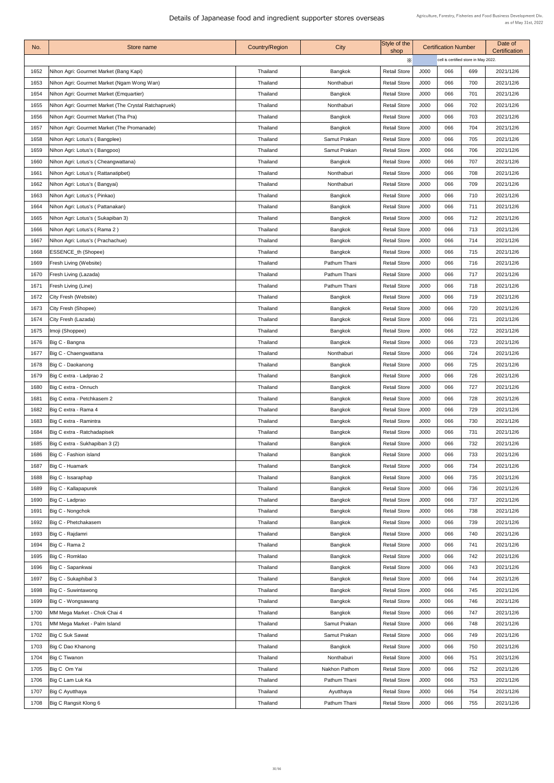| $\times$<br>cell is certified store in May 2022.<br>J000<br>Thailand<br>Bangkok<br><b>Retail Store</b><br>066<br>1652<br>Nihon Agri: Gourmet Market (Bang Kapi)<br>699<br>2021/12/6<br>066<br>Nonthaburi<br><b>Retail Store</b><br>J000<br>700<br>1653<br>Nihon Agri: Gourmet Market (Ngam Wong Wan)<br>Thailand<br>2021/12/6<br>066<br>701<br>Nihon Agri: Gourmet Market (Emquartier)<br><b>Retail Store</b><br>J000<br>2021/12/6<br>1654<br>Thailand<br>Bangkok<br>Nihon Agri: Gourmet Market (The Crystal Ratchapruek)<br><b>Retail Store</b><br>J000<br>066<br>702<br>1655<br>Thailand<br>Nonthaburi<br>2021/12/6<br>J000<br>066<br>703<br>1656<br>Nihon Agri: Gourmet Market (Tha Pra)<br>Thailand<br><b>Retail Store</b><br>2021/12/6<br>Bangkok<br>Nihon Agri: Gourmet Market (The Promanade)<br><b>Bangkok</b><br><b>Retail Store</b><br>J000<br>066<br>704<br>2021/12/6<br>1657<br>Thailand<br>Samut Prakan<br>J000<br>Nihon Agri: Lotus's (Bangplee)<br><b>Retail Store</b><br>066<br>705<br>2021/12/6<br>1658<br>Thailand<br>J000<br>066<br>Thailand<br>Samut Prakan<br><b>Retail Store</b><br>706<br>2021/12/6<br>1659<br>Nihon Agri: Lotus's (Bangpoo)<br>J000<br>066<br>Nihon Agri: Lotus's (Cheangwattana)<br>Bangkok<br><b>Retail Store</b><br>707<br>2021/12/6<br>1660<br>Thailand<br>J000<br>Nihon Agri: Lotus's (Rattanatipbet)<br>Thailand<br><b>Retail Store</b><br>066<br>708<br>1661<br>Nonthaburi<br>2021/12/6<br>J000<br>1662<br>Thailand<br><b>Retail Store</b><br>066<br>709<br>2021/12/6<br>Nihon Agri: Lotus's (Bangyai)<br>Nonthaburi<br><b>Retail Store</b><br>J000<br>066<br>1663<br>Nihon Agri: Lotus's (Pinkao)<br>Thailand<br>Bangkok<br>710<br>2021/12/6<br><b>Thailand</b><br>Bangkok<br><b>Retail Store</b><br>J000<br>066<br>2021/12/6<br>1664<br>Nihon Agri: Lotus's (Pattanakan)<br>711<br>Nihon Agri: Lotus's (Sukapiban 3)<br><b>Retail Store</b><br>J000<br>066<br>2021/12/6<br>1665<br>Thailand<br>Bangkok<br>712<br>Nihon Agri: Lotus's (Rama 2)<br>Bangkok<br><b>Retail Store</b><br>J000<br>066<br>713<br>2021/12/6<br>1666<br>Thailand<br>J000<br>1667<br>Nihon Agri: Lotus's (Prachachue)<br>Bangkok<br><b>Retail Store</b><br>066<br>714<br>Thailand<br>2021/12/6<br>Bangkok<br><b>Retail Store</b><br>J000<br>066<br>715<br>2021/12/6<br>1668<br><b>ESSENCE_th (Shopee)</b><br>Thailand<br><b>Fresh Living (Website)</b><br>Pathum Thani<br><b>Retail Store</b><br>J000<br>066<br>1669<br>Thailand<br>716<br>2021/12/6<br>J000<br>066<br>Fresh Living (Lazada)<br>Pathum Thani<br><b>Retail Store</b><br>717<br>2021/12/6<br>1670<br>Thailand<br><b>Fresh Living (Line)</b><br><b>Retail Store</b><br>J000<br>066<br>2021/12/6<br>1671<br>Thailand<br>Pathum Thani<br>718<br>J000<br>City Fresh (Website)<br>Bangkok<br><b>Retail Store</b><br>066<br>719<br>2021/12/6<br>1672<br>Thailand<br>City Fresh (Shopee)<br>Bangkok<br><b>Retail Store</b><br>J000<br>720<br>2021/12/6<br>1673<br>Thailand<br>066<br>Thailand<br>Bangkok<br><b>Retail Store</b><br>J000<br>066<br>1674<br>City Fresh (Lazada)<br>721<br>2021/12/6<br>J000<br><b>Retail Store</b><br>066<br>722<br>2021/12/6<br>1675<br>Imoji (Shoppee)<br>Thailand<br>Bangkok<br>Big C - Bangna<br>Bangkok<br><b>Retail Store</b><br>J000<br>066<br>723<br>2021/12/6<br>1676<br>Thailand<br>J000<br>066<br>1677<br>Big C - Chaengwattana<br><b>Retail Store</b><br>724<br>2021/12/6<br>Thailand<br>Nonthaburi<br>1678   Big C - Daokanong<br><b>Retail Store</b><br>J000<br>066<br>725<br>2021/12/6<br>Thailand<br>Bangkok<br>Bangkok<br>726<br>1679<br>Big C extra - Ladprao 2<br>Thailand<br><b>Retail Store</b><br>J000<br>066<br>2021/12/6<br>Big C extra - Onnuch<br>Bangkok<br>1680<br>Thailand<br><b>Retail Store</b><br>J000<br>066<br>727<br>2021/12/6<br>066<br>Bangkok<br><b>Retail Store</b><br>J000<br>728<br>2021/12/6<br>1681<br>Big C extra - Petchkasem 2<br>Thailand<br>Big C extra - Rama 4<br>Bangkok<br>066<br>1682<br>Thailand<br><b>Retail Store</b><br>J000<br>729<br>2021/12/6<br>Bangkok<br>Big C extra - Ramintra<br><b>Retail Store</b><br>J000<br>066<br>730<br>2021/12/6<br>1683<br>Thailand<br>Bangkok<br>Big C extra - Ratchadapisek<br>J000<br>Thailand<br><b>Retail Store</b><br>066<br>731<br>2021/12/6<br>1684<br>Big C extra - Sukhapiban 3 (2)<br>Bangkok<br>J000<br>066<br>732<br>1685<br>Thailand<br><b>Retail Store</b><br>2021/12/6<br>Big C - Fashion island<br>Bangkok<br>J000<br>066<br>1686<br>Thailand<br><b>Retail Store</b><br>733<br>2021/12/6<br>Big C - Huamark<br>Bangkok<br><b>Retail Store</b><br>J000<br>066<br>734<br>2021/12/6<br>1687<br>Thailand<br>Bangkok<br><b>Retail Store</b><br>J000<br>066<br>735<br>1688<br>Big C - Issaraphap<br>Thailand<br>2021/12/6<br>Bangkok<br>Thailand<br><b>Retail Store</b><br>J000<br>066<br>736<br>1689<br>Big C - Kallapapurek<br>2021/12/6<br>Big C - Ladprao<br>Bangkok<br>1690<br>Thailand<br><b>Retail Store</b><br>J000<br>066<br>737<br>2021/12/6<br>Big C - Nongchok<br>Thailand<br>Bangkok<br><b>Retail Store</b><br>J000<br>066<br>738<br>1691<br>2021/12/6<br>066<br>Big C - Phetchakasem<br>Bangkok<br><b>Retail Store</b><br>J000<br>739<br>2021/12/6<br>1692<br>Thailand<br>Big C - Rajdamri<br>Thailand<br><b>Bangkok</b><br><b>Retail Store</b><br>J000<br>066<br>2021/12/6<br>1693<br>740<br>Big C - Rama 2<br>Bangkok<br><b>Retail Store</b><br>J000<br>066<br>741<br>2021/12/6<br>1694<br><b>Thailand</b><br>Big C - Romklao<br>Bangkok<br><b>Retail Store</b><br>J000<br>066<br>742<br>2021/12/6<br>1695<br>Thailand<br>Big C - Sapankwai<br>Bangkok<br>J000<br>1696<br>Thailand<br><b>Retail Store</b><br>066<br>743<br>2021/12/6<br>Big C - Sukaphibal 3<br>Thailand<br>Bangkok<br>J000<br>066<br>2021/12/6<br>1697<br><b>Retail Store</b><br>744<br>Big C - Suwintawong<br>Bangkok<br><b>Retail Store</b><br>066<br>745<br>2021/12/6<br>1698<br>Thailand<br>J000<br>Big C - Wongsawang<br>Thailand<br>Bangkok<br><b>Retail Store</b><br>J000<br>066<br>1699<br>746<br>2021/12/6<br>MM Mega Market - Chok Chai 4<br>Bangkok<br>747<br>1700<br><b>Retail Store</b><br>J000<br>066<br>2021/12/6<br>Thailand<br>MM Mega Market - Palm Island<br>Samut Prakan<br><b>Retail Store</b><br>J000<br>2021/12/6<br>1701<br>Thailand<br>066<br>748<br><b>Big C Suk Sawat</b><br>Samut Prakan<br><b>Retail Store</b><br>J000<br>066<br>2021/12/6<br>1702<br>Thailand<br>749<br>Big C Dao Khanong<br><b>Retail Store</b><br>J000<br>066<br>1703<br>Thailand<br>Bangkok<br>750<br>2021/12/6<br>J000<br>066<br><b>Big C Tiwanon</b><br><b>Retail Store</b><br>751<br>2021/12/6<br>1704<br>Thailand<br>Nonthaburi<br>Big C Om Yai<br><b>Retail Store</b><br>J000<br>066<br>1705<br>Thailand<br>Nakhon Pathom<br>752<br>2021/12/6<br>1706<br>Big C Lam Luk Ka<br><b>Retail Store</b><br>J000<br>066<br>753<br>2021/12/6<br>Thailand<br>Pathum Thani<br>1707   Big C Ayutthaya<br><b>Retail Store</b><br>J000<br>066<br>754<br>2021/12/6<br>Thailand<br>Ayutthaya<br>Big C Rangsit Klong 6<br>J000<br>Thailand<br>Pathum Thani<br>066<br>755<br>2021/12/6<br>1708<br><b>Retail Store</b> | No. | Store name | <b>Country/Region</b> | City | Style of the<br>shop | <b>Certification Number</b> |  | Date of<br>Certification |  |
|-----------------------------------------------------------------------------------------------------------------------------------------------------------------------------------------------------------------------------------------------------------------------------------------------------------------------------------------------------------------------------------------------------------------------------------------------------------------------------------------------------------------------------------------------------------------------------------------------------------------------------------------------------------------------------------------------------------------------------------------------------------------------------------------------------------------------------------------------------------------------------------------------------------------------------------------------------------------------------------------------------------------------------------------------------------------------------------------------------------------------------------------------------------------------------------------------------------------------------------------------------------------------------------------------------------------------------------------------------------------------------------------------------------------------------------------------------------------------------------------------------------------------------------------------------------------------------------------------------------------------------------------------------------------------------------------------------------------------------------------------------------------------------------------------------------------------------------------------------------------------------------------------------------------------------------------------------------------------------------------------------------------------------------------------------------------------------------------------------------------------------------------------------------------------------------------------------------------------------------------------------------------------------------------------------------------------------------------------------------------------------------------------------------------------------------------------------------------------------------------------------------------------------------------------------------------------------------------------------------------------------------------------------------------------------------------------------------------------------------------------------------------------------------------------------------------------------------------------------------------------------------------------------------------------------------------------------------------------------------------------------------------------------------------------------------------------------------------------------------------------------------------------------------------------------------------------------------------------------------------------------------------------------------------------------------------------------------------------------------------------------------------------------------------------------------------------------------------------------------------------------------------------------------------------------------------------------------------------------------------------------------------------------------------------------------------------------------------------------------------------------------------------------------------------------------------------------------------------------------------------------------------------------------------------------------------------------------------------------------------------------------------------------------------------------------------------------------------------------------------------------------------------------------------------------------------------------------------------------------------------------------------------------------------------------------------------------------------------------------------------------------------------------------------------------------------------------------------------------------------------------------------------------------------------------------------------------------------------------------------------------------------------------------------------------------------------------------------------------------------------------------------------------------------------------------------------------------------------------------------------------------------------------------------------------------------------------------------------------------------------------------------------------------------------------------------------------------------------------------------------------------------------------------------------------------------------------------------------------------------------------------------------------------------------------------------------------------------------------------------------------------------------------------------------------------------------------------------------------------------------------------------------------------------------------------------------------------------------------------------------------------------------------------------------------------------------------------------------------------------------------------------------------------------------------------------------------------------------------------------------------------------------------------------------------------------------------------------------------------------------------------------------------------------------------------------------------------------------------------------------------------------------------------------------------------------------------------------------------------------------------------------------------------------------------------------------------------------------------------------------------------------------------------------------------------------------------------------------------------------------------------------------------------------------------------------------------------------------------------------------------------------------------------------------------------------------------------------------------------------------------------------------------------------------------------------------------------------------------------------------------------------------------------------------------------------------------------------------------------------------------------------------------------------------------------------------------------------------------------|-----|------------|-----------------------|------|----------------------|-----------------------------|--|--------------------------|--|
|                                                                                                                                                                                                                                                                                                                                                                                                                                                                                                                                                                                                                                                                                                                                                                                                                                                                                                                                                                                                                                                                                                                                                                                                                                                                                                                                                                                                                                                                                                                                                                                                                                                                                                                                                                                                                                                                                                                                                                                                                                                                                                                                                                                                                                                                                                                                                                                                                                                                                                                                                                                                                                                                                                                                                                                                                                                                                                                                                                                                                                                                                                                                                                                                                                                                                                                                                                                                                                                                                                                                                                                                                                                                                                                                                                                                                                                                                                                                                                                                                                                                                                                                                                                                                                                                                                                                                                                                                                                                                                                                                                                                                                                                                                                                                                                                                                                                                                                                                                                                                                                                                                                                                                                                                                                                                                                                                                                                                                                                                                                                                                                                                                                                                                                                                                                                                                                                                                                                                                                                                                                                                                                                                                                                                                                                                                                                                                                                                                                                                                                                                                                                                                                                                                                                                                                                                                                                                                                                                                                                                                                                                                           |     |            |                       |      |                      |                             |  |                          |  |
|                                                                                                                                                                                                                                                                                                                                                                                                                                                                                                                                                                                                                                                                                                                                                                                                                                                                                                                                                                                                                                                                                                                                                                                                                                                                                                                                                                                                                                                                                                                                                                                                                                                                                                                                                                                                                                                                                                                                                                                                                                                                                                                                                                                                                                                                                                                                                                                                                                                                                                                                                                                                                                                                                                                                                                                                                                                                                                                                                                                                                                                                                                                                                                                                                                                                                                                                                                                                                                                                                                                                                                                                                                                                                                                                                                                                                                                                                                                                                                                                                                                                                                                                                                                                                                                                                                                                                                                                                                                                                                                                                                                                                                                                                                                                                                                                                                                                                                                                                                                                                                                                                                                                                                                                                                                                                                                                                                                                                                                                                                                                                                                                                                                                                                                                                                                                                                                                                                                                                                                                                                                                                                                                                                                                                                                                                                                                                                                                                                                                                                                                                                                                                                                                                                                                                                                                                                                                                                                                                                                                                                                                                                           |     |            |                       |      |                      |                             |  |                          |  |
|                                                                                                                                                                                                                                                                                                                                                                                                                                                                                                                                                                                                                                                                                                                                                                                                                                                                                                                                                                                                                                                                                                                                                                                                                                                                                                                                                                                                                                                                                                                                                                                                                                                                                                                                                                                                                                                                                                                                                                                                                                                                                                                                                                                                                                                                                                                                                                                                                                                                                                                                                                                                                                                                                                                                                                                                                                                                                                                                                                                                                                                                                                                                                                                                                                                                                                                                                                                                                                                                                                                                                                                                                                                                                                                                                                                                                                                                                                                                                                                                                                                                                                                                                                                                                                                                                                                                                                                                                                                                                                                                                                                                                                                                                                                                                                                                                                                                                                                                                                                                                                                                                                                                                                                                                                                                                                                                                                                                                                                                                                                                                                                                                                                                                                                                                                                                                                                                                                                                                                                                                                                                                                                                                                                                                                                                                                                                                                                                                                                                                                                                                                                                                                                                                                                                                                                                                                                                                                                                                                                                                                                                                                           |     |            |                       |      |                      |                             |  |                          |  |
|                                                                                                                                                                                                                                                                                                                                                                                                                                                                                                                                                                                                                                                                                                                                                                                                                                                                                                                                                                                                                                                                                                                                                                                                                                                                                                                                                                                                                                                                                                                                                                                                                                                                                                                                                                                                                                                                                                                                                                                                                                                                                                                                                                                                                                                                                                                                                                                                                                                                                                                                                                                                                                                                                                                                                                                                                                                                                                                                                                                                                                                                                                                                                                                                                                                                                                                                                                                                                                                                                                                                                                                                                                                                                                                                                                                                                                                                                                                                                                                                                                                                                                                                                                                                                                                                                                                                                                                                                                                                                                                                                                                                                                                                                                                                                                                                                                                                                                                                                                                                                                                                                                                                                                                                                                                                                                                                                                                                                                                                                                                                                                                                                                                                                                                                                                                                                                                                                                                                                                                                                                                                                                                                                                                                                                                                                                                                                                                                                                                                                                                                                                                                                                                                                                                                                                                                                                                                                                                                                                                                                                                                                                           |     |            |                       |      |                      |                             |  |                          |  |
|                                                                                                                                                                                                                                                                                                                                                                                                                                                                                                                                                                                                                                                                                                                                                                                                                                                                                                                                                                                                                                                                                                                                                                                                                                                                                                                                                                                                                                                                                                                                                                                                                                                                                                                                                                                                                                                                                                                                                                                                                                                                                                                                                                                                                                                                                                                                                                                                                                                                                                                                                                                                                                                                                                                                                                                                                                                                                                                                                                                                                                                                                                                                                                                                                                                                                                                                                                                                                                                                                                                                                                                                                                                                                                                                                                                                                                                                                                                                                                                                                                                                                                                                                                                                                                                                                                                                                                                                                                                                                                                                                                                                                                                                                                                                                                                                                                                                                                                                                                                                                                                                                                                                                                                                                                                                                                                                                                                                                                                                                                                                                                                                                                                                                                                                                                                                                                                                                                                                                                                                                                                                                                                                                                                                                                                                                                                                                                                                                                                                                                                                                                                                                                                                                                                                                                                                                                                                                                                                                                                                                                                                                                           |     |            |                       |      |                      |                             |  |                          |  |
|                                                                                                                                                                                                                                                                                                                                                                                                                                                                                                                                                                                                                                                                                                                                                                                                                                                                                                                                                                                                                                                                                                                                                                                                                                                                                                                                                                                                                                                                                                                                                                                                                                                                                                                                                                                                                                                                                                                                                                                                                                                                                                                                                                                                                                                                                                                                                                                                                                                                                                                                                                                                                                                                                                                                                                                                                                                                                                                                                                                                                                                                                                                                                                                                                                                                                                                                                                                                                                                                                                                                                                                                                                                                                                                                                                                                                                                                                                                                                                                                                                                                                                                                                                                                                                                                                                                                                                                                                                                                                                                                                                                                                                                                                                                                                                                                                                                                                                                                                                                                                                                                                                                                                                                                                                                                                                                                                                                                                                                                                                                                                                                                                                                                                                                                                                                                                                                                                                                                                                                                                                                                                                                                                                                                                                                                                                                                                                                                                                                                                                                                                                                                                                                                                                                                                                                                                                                                                                                                                                                                                                                                                                           |     |            |                       |      |                      |                             |  |                          |  |
|                                                                                                                                                                                                                                                                                                                                                                                                                                                                                                                                                                                                                                                                                                                                                                                                                                                                                                                                                                                                                                                                                                                                                                                                                                                                                                                                                                                                                                                                                                                                                                                                                                                                                                                                                                                                                                                                                                                                                                                                                                                                                                                                                                                                                                                                                                                                                                                                                                                                                                                                                                                                                                                                                                                                                                                                                                                                                                                                                                                                                                                                                                                                                                                                                                                                                                                                                                                                                                                                                                                                                                                                                                                                                                                                                                                                                                                                                                                                                                                                                                                                                                                                                                                                                                                                                                                                                                                                                                                                                                                                                                                                                                                                                                                                                                                                                                                                                                                                                                                                                                                                                                                                                                                                                                                                                                                                                                                                                                                                                                                                                                                                                                                                                                                                                                                                                                                                                                                                                                                                                                                                                                                                                                                                                                                                                                                                                                                                                                                                                                                                                                                                                                                                                                                                                                                                                                                                                                                                                                                                                                                                                                           |     |            |                       |      |                      |                             |  |                          |  |
|                                                                                                                                                                                                                                                                                                                                                                                                                                                                                                                                                                                                                                                                                                                                                                                                                                                                                                                                                                                                                                                                                                                                                                                                                                                                                                                                                                                                                                                                                                                                                                                                                                                                                                                                                                                                                                                                                                                                                                                                                                                                                                                                                                                                                                                                                                                                                                                                                                                                                                                                                                                                                                                                                                                                                                                                                                                                                                                                                                                                                                                                                                                                                                                                                                                                                                                                                                                                                                                                                                                                                                                                                                                                                                                                                                                                                                                                                                                                                                                                                                                                                                                                                                                                                                                                                                                                                                                                                                                                                                                                                                                                                                                                                                                                                                                                                                                                                                                                                                                                                                                                                                                                                                                                                                                                                                                                                                                                                                                                                                                                                                                                                                                                                                                                                                                                                                                                                                                                                                                                                                                                                                                                                                                                                                                                                                                                                                                                                                                                                                                                                                                                                                                                                                                                                                                                                                                                                                                                                                                                                                                                                                           |     |            |                       |      |                      |                             |  |                          |  |
|                                                                                                                                                                                                                                                                                                                                                                                                                                                                                                                                                                                                                                                                                                                                                                                                                                                                                                                                                                                                                                                                                                                                                                                                                                                                                                                                                                                                                                                                                                                                                                                                                                                                                                                                                                                                                                                                                                                                                                                                                                                                                                                                                                                                                                                                                                                                                                                                                                                                                                                                                                                                                                                                                                                                                                                                                                                                                                                                                                                                                                                                                                                                                                                                                                                                                                                                                                                                                                                                                                                                                                                                                                                                                                                                                                                                                                                                                                                                                                                                                                                                                                                                                                                                                                                                                                                                                                                                                                                                                                                                                                                                                                                                                                                                                                                                                                                                                                                                                                                                                                                                                                                                                                                                                                                                                                                                                                                                                                                                                                                                                                                                                                                                                                                                                                                                                                                                                                                                                                                                                                                                                                                                                                                                                                                                                                                                                                                                                                                                                                                                                                                                                                                                                                                                                                                                                                                                                                                                                                                                                                                                                                           |     |            |                       |      |                      |                             |  |                          |  |
|                                                                                                                                                                                                                                                                                                                                                                                                                                                                                                                                                                                                                                                                                                                                                                                                                                                                                                                                                                                                                                                                                                                                                                                                                                                                                                                                                                                                                                                                                                                                                                                                                                                                                                                                                                                                                                                                                                                                                                                                                                                                                                                                                                                                                                                                                                                                                                                                                                                                                                                                                                                                                                                                                                                                                                                                                                                                                                                                                                                                                                                                                                                                                                                                                                                                                                                                                                                                                                                                                                                                                                                                                                                                                                                                                                                                                                                                                                                                                                                                                                                                                                                                                                                                                                                                                                                                                                                                                                                                                                                                                                                                                                                                                                                                                                                                                                                                                                                                                                                                                                                                                                                                                                                                                                                                                                                                                                                                                                                                                                                                                                                                                                                                                                                                                                                                                                                                                                                                                                                                                                                                                                                                                                                                                                                                                                                                                                                                                                                                                                                                                                                                                                                                                                                                                                                                                                                                                                                                                                                                                                                                                                           |     |            |                       |      |                      |                             |  |                          |  |
|                                                                                                                                                                                                                                                                                                                                                                                                                                                                                                                                                                                                                                                                                                                                                                                                                                                                                                                                                                                                                                                                                                                                                                                                                                                                                                                                                                                                                                                                                                                                                                                                                                                                                                                                                                                                                                                                                                                                                                                                                                                                                                                                                                                                                                                                                                                                                                                                                                                                                                                                                                                                                                                                                                                                                                                                                                                                                                                                                                                                                                                                                                                                                                                                                                                                                                                                                                                                                                                                                                                                                                                                                                                                                                                                                                                                                                                                                                                                                                                                                                                                                                                                                                                                                                                                                                                                                                                                                                                                                                                                                                                                                                                                                                                                                                                                                                                                                                                                                                                                                                                                                                                                                                                                                                                                                                                                                                                                                                                                                                                                                                                                                                                                                                                                                                                                                                                                                                                                                                                                                                                                                                                                                                                                                                                                                                                                                                                                                                                                                                                                                                                                                                                                                                                                                                                                                                                                                                                                                                                                                                                                                                           |     |            |                       |      |                      |                             |  |                          |  |
|                                                                                                                                                                                                                                                                                                                                                                                                                                                                                                                                                                                                                                                                                                                                                                                                                                                                                                                                                                                                                                                                                                                                                                                                                                                                                                                                                                                                                                                                                                                                                                                                                                                                                                                                                                                                                                                                                                                                                                                                                                                                                                                                                                                                                                                                                                                                                                                                                                                                                                                                                                                                                                                                                                                                                                                                                                                                                                                                                                                                                                                                                                                                                                                                                                                                                                                                                                                                                                                                                                                                                                                                                                                                                                                                                                                                                                                                                                                                                                                                                                                                                                                                                                                                                                                                                                                                                                                                                                                                                                                                                                                                                                                                                                                                                                                                                                                                                                                                                                                                                                                                                                                                                                                                                                                                                                                                                                                                                                                                                                                                                                                                                                                                                                                                                                                                                                                                                                                                                                                                                                                                                                                                                                                                                                                                                                                                                                                                                                                                                                                                                                                                                                                                                                                                                                                                                                                                                                                                                                                                                                                                                                           |     |            |                       |      |                      |                             |  |                          |  |
|                                                                                                                                                                                                                                                                                                                                                                                                                                                                                                                                                                                                                                                                                                                                                                                                                                                                                                                                                                                                                                                                                                                                                                                                                                                                                                                                                                                                                                                                                                                                                                                                                                                                                                                                                                                                                                                                                                                                                                                                                                                                                                                                                                                                                                                                                                                                                                                                                                                                                                                                                                                                                                                                                                                                                                                                                                                                                                                                                                                                                                                                                                                                                                                                                                                                                                                                                                                                                                                                                                                                                                                                                                                                                                                                                                                                                                                                                                                                                                                                                                                                                                                                                                                                                                                                                                                                                                                                                                                                                                                                                                                                                                                                                                                                                                                                                                                                                                                                                                                                                                                                                                                                                                                                                                                                                                                                                                                                                                                                                                                                                                                                                                                                                                                                                                                                                                                                                                                                                                                                                                                                                                                                                                                                                                                                                                                                                                                                                                                                                                                                                                                                                                                                                                                                                                                                                                                                                                                                                                                                                                                                                                           |     |            |                       |      |                      |                             |  |                          |  |
|                                                                                                                                                                                                                                                                                                                                                                                                                                                                                                                                                                                                                                                                                                                                                                                                                                                                                                                                                                                                                                                                                                                                                                                                                                                                                                                                                                                                                                                                                                                                                                                                                                                                                                                                                                                                                                                                                                                                                                                                                                                                                                                                                                                                                                                                                                                                                                                                                                                                                                                                                                                                                                                                                                                                                                                                                                                                                                                                                                                                                                                                                                                                                                                                                                                                                                                                                                                                                                                                                                                                                                                                                                                                                                                                                                                                                                                                                                                                                                                                                                                                                                                                                                                                                                                                                                                                                                                                                                                                                                                                                                                                                                                                                                                                                                                                                                                                                                                                                                                                                                                                                                                                                                                                                                                                                                                                                                                                                                                                                                                                                                                                                                                                                                                                                                                                                                                                                                                                                                                                                                                                                                                                                                                                                                                                                                                                                                                                                                                                                                                                                                                                                                                                                                                                                                                                                                                                                                                                                                                                                                                                                                           |     |            |                       |      |                      |                             |  |                          |  |
|                                                                                                                                                                                                                                                                                                                                                                                                                                                                                                                                                                                                                                                                                                                                                                                                                                                                                                                                                                                                                                                                                                                                                                                                                                                                                                                                                                                                                                                                                                                                                                                                                                                                                                                                                                                                                                                                                                                                                                                                                                                                                                                                                                                                                                                                                                                                                                                                                                                                                                                                                                                                                                                                                                                                                                                                                                                                                                                                                                                                                                                                                                                                                                                                                                                                                                                                                                                                                                                                                                                                                                                                                                                                                                                                                                                                                                                                                                                                                                                                                                                                                                                                                                                                                                                                                                                                                                                                                                                                                                                                                                                                                                                                                                                                                                                                                                                                                                                                                                                                                                                                                                                                                                                                                                                                                                                                                                                                                                                                                                                                                                                                                                                                                                                                                                                                                                                                                                                                                                                                                                                                                                                                                                                                                                                                                                                                                                                                                                                                                                                                                                                                                                                                                                                                                                                                                                                                                                                                                                                                                                                                                                           |     |            |                       |      |                      |                             |  |                          |  |
|                                                                                                                                                                                                                                                                                                                                                                                                                                                                                                                                                                                                                                                                                                                                                                                                                                                                                                                                                                                                                                                                                                                                                                                                                                                                                                                                                                                                                                                                                                                                                                                                                                                                                                                                                                                                                                                                                                                                                                                                                                                                                                                                                                                                                                                                                                                                                                                                                                                                                                                                                                                                                                                                                                                                                                                                                                                                                                                                                                                                                                                                                                                                                                                                                                                                                                                                                                                                                                                                                                                                                                                                                                                                                                                                                                                                                                                                                                                                                                                                                                                                                                                                                                                                                                                                                                                                                                                                                                                                                                                                                                                                                                                                                                                                                                                                                                                                                                                                                                                                                                                                                                                                                                                                                                                                                                                                                                                                                                                                                                                                                                                                                                                                                                                                                                                                                                                                                                                                                                                                                                                                                                                                                                                                                                                                                                                                                                                                                                                                                                                                                                                                                                                                                                                                                                                                                                                                                                                                                                                                                                                                                                           |     |            |                       |      |                      |                             |  |                          |  |
|                                                                                                                                                                                                                                                                                                                                                                                                                                                                                                                                                                                                                                                                                                                                                                                                                                                                                                                                                                                                                                                                                                                                                                                                                                                                                                                                                                                                                                                                                                                                                                                                                                                                                                                                                                                                                                                                                                                                                                                                                                                                                                                                                                                                                                                                                                                                                                                                                                                                                                                                                                                                                                                                                                                                                                                                                                                                                                                                                                                                                                                                                                                                                                                                                                                                                                                                                                                                                                                                                                                                                                                                                                                                                                                                                                                                                                                                                                                                                                                                                                                                                                                                                                                                                                                                                                                                                                                                                                                                                                                                                                                                                                                                                                                                                                                                                                                                                                                                                                                                                                                                                                                                                                                                                                                                                                                                                                                                                                                                                                                                                                                                                                                                                                                                                                                                                                                                                                                                                                                                                                                                                                                                                                                                                                                                                                                                                                                                                                                                                                                                                                                                                                                                                                                                                                                                                                                                                                                                                                                                                                                                                                           |     |            |                       |      |                      |                             |  |                          |  |
|                                                                                                                                                                                                                                                                                                                                                                                                                                                                                                                                                                                                                                                                                                                                                                                                                                                                                                                                                                                                                                                                                                                                                                                                                                                                                                                                                                                                                                                                                                                                                                                                                                                                                                                                                                                                                                                                                                                                                                                                                                                                                                                                                                                                                                                                                                                                                                                                                                                                                                                                                                                                                                                                                                                                                                                                                                                                                                                                                                                                                                                                                                                                                                                                                                                                                                                                                                                                                                                                                                                                                                                                                                                                                                                                                                                                                                                                                                                                                                                                                                                                                                                                                                                                                                                                                                                                                                                                                                                                                                                                                                                                                                                                                                                                                                                                                                                                                                                                                                                                                                                                                                                                                                                                                                                                                                                                                                                                                                                                                                                                                                                                                                                                                                                                                                                                                                                                                                                                                                                                                                                                                                                                                                                                                                                                                                                                                                                                                                                                                                                                                                                                                                                                                                                                                                                                                                                                                                                                                                                                                                                                                                           |     |            |                       |      |                      |                             |  |                          |  |
|                                                                                                                                                                                                                                                                                                                                                                                                                                                                                                                                                                                                                                                                                                                                                                                                                                                                                                                                                                                                                                                                                                                                                                                                                                                                                                                                                                                                                                                                                                                                                                                                                                                                                                                                                                                                                                                                                                                                                                                                                                                                                                                                                                                                                                                                                                                                                                                                                                                                                                                                                                                                                                                                                                                                                                                                                                                                                                                                                                                                                                                                                                                                                                                                                                                                                                                                                                                                                                                                                                                                                                                                                                                                                                                                                                                                                                                                                                                                                                                                                                                                                                                                                                                                                                                                                                                                                                                                                                                                                                                                                                                                                                                                                                                                                                                                                                                                                                                                                                                                                                                                                                                                                                                                                                                                                                                                                                                                                                                                                                                                                                                                                                                                                                                                                                                                                                                                                                                                                                                                                                                                                                                                                                                                                                                                                                                                                                                                                                                                                                                                                                                                                                                                                                                                                                                                                                                                                                                                                                                                                                                                                                           |     |            |                       |      |                      |                             |  |                          |  |
|                                                                                                                                                                                                                                                                                                                                                                                                                                                                                                                                                                                                                                                                                                                                                                                                                                                                                                                                                                                                                                                                                                                                                                                                                                                                                                                                                                                                                                                                                                                                                                                                                                                                                                                                                                                                                                                                                                                                                                                                                                                                                                                                                                                                                                                                                                                                                                                                                                                                                                                                                                                                                                                                                                                                                                                                                                                                                                                                                                                                                                                                                                                                                                                                                                                                                                                                                                                                                                                                                                                                                                                                                                                                                                                                                                                                                                                                                                                                                                                                                                                                                                                                                                                                                                                                                                                                                                                                                                                                                                                                                                                                                                                                                                                                                                                                                                                                                                                                                                                                                                                                                                                                                                                                                                                                                                                                                                                                                                                                                                                                                                                                                                                                                                                                                                                                                                                                                                                                                                                                                                                                                                                                                                                                                                                                                                                                                                                                                                                                                                                                                                                                                                                                                                                                                                                                                                                                                                                                                                                                                                                                                                           |     |            |                       |      |                      |                             |  |                          |  |
|                                                                                                                                                                                                                                                                                                                                                                                                                                                                                                                                                                                                                                                                                                                                                                                                                                                                                                                                                                                                                                                                                                                                                                                                                                                                                                                                                                                                                                                                                                                                                                                                                                                                                                                                                                                                                                                                                                                                                                                                                                                                                                                                                                                                                                                                                                                                                                                                                                                                                                                                                                                                                                                                                                                                                                                                                                                                                                                                                                                                                                                                                                                                                                                                                                                                                                                                                                                                                                                                                                                                                                                                                                                                                                                                                                                                                                                                                                                                                                                                                                                                                                                                                                                                                                                                                                                                                                                                                                                                                                                                                                                                                                                                                                                                                                                                                                                                                                                                                                                                                                                                                                                                                                                                                                                                                                                                                                                                                                                                                                                                                                                                                                                                                                                                                                                                                                                                                                                                                                                                                                                                                                                                                                                                                                                                                                                                                                                                                                                                                                                                                                                                                                                                                                                                                                                                                                                                                                                                                                                                                                                                                                           |     |            |                       |      |                      |                             |  |                          |  |
|                                                                                                                                                                                                                                                                                                                                                                                                                                                                                                                                                                                                                                                                                                                                                                                                                                                                                                                                                                                                                                                                                                                                                                                                                                                                                                                                                                                                                                                                                                                                                                                                                                                                                                                                                                                                                                                                                                                                                                                                                                                                                                                                                                                                                                                                                                                                                                                                                                                                                                                                                                                                                                                                                                                                                                                                                                                                                                                                                                                                                                                                                                                                                                                                                                                                                                                                                                                                                                                                                                                                                                                                                                                                                                                                                                                                                                                                                                                                                                                                                                                                                                                                                                                                                                                                                                                                                                                                                                                                                                                                                                                                                                                                                                                                                                                                                                                                                                                                                                                                                                                                                                                                                                                                                                                                                                                                                                                                                                                                                                                                                                                                                                                                                                                                                                                                                                                                                                                                                                                                                                                                                                                                                                                                                                                                                                                                                                                                                                                                                                                                                                                                                                                                                                                                                                                                                                                                                                                                                                                                                                                                                                           |     |            |                       |      |                      |                             |  |                          |  |
|                                                                                                                                                                                                                                                                                                                                                                                                                                                                                                                                                                                                                                                                                                                                                                                                                                                                                                                                                                                                                                                                                                                                                                                                                                                                                                                                                                                                                                                                                                                                                                                                                                                                                                                                                                                                                                                                                                                                                                                                                                                                                                                                                                                                                                                                                                                                                                                                                                                                                                                                                                                                                                                                                                                                                                                                                                                                                                                                                                                                                                                                                                                                                                                                                                                                                                                                                                                                                                                                                                                                                                                                                                                                                                                                                                                                                                                                                                                                                                                                                                                                                                                                                                                                                                                                                                                                                                                                                                                                                                                                                                                                                                                                                                                                                                                                                                                                                                                                                                                                                                                                                                                                                                                                                                                                                                                                                                                                                                                                                                                                                                                                                                                                                                                                                                                                                                                                                                                                                                                                                                                                                                                                                                                                                                                                                                                                                                                                                                                                                                                                                                                                                                                                                                                                                                                                                                                                                                                                                                                                                                                                                                           |     |            |                       |      |                      |                             |  |                          |  |
|                                                                                                                                                                                                                                                                                                                                                                                                                                                                                                                                                                                                                                                                                                                                                                                                                                                                                                                                                                                                                                                                                                                                                                                                                                                                                                                                                                                                                                                                                                                                                                                                                                                                                                                                                                                                                                                                                                                                                                                                                                                                                                                                                                                                                                                                                                                                                                                                                                                                                                                                                                                                                                                                                                                                                                                                                                                                                                                                                                                                                                                                                                                                                                                                                                                                                                                                                                                                                                                                                                                                                                                                                                                                                                                                                                                                                                                                                                                                                                                                                                                                                                                                                                                                                                                                                                                                                                                                                                                                                                                                                                                                                                                                                                                                                                                                                                                                                                                                                                                                                                                                                                                                                                                                                                                                                                                                                                                                                                                                                                                                                                                                                                                                                                                                                                                                                                                                                                                                                                                                                                                                                                                                                                                                                                                                                                                                                                                                                                                                                                                                                                                                                                                                                                                                                                                                                                                                                                                                                                                                                                                                                                           |     |            |                       |      |                      |                             |  |                          |  |
|                                                                                                                                                                                                                                                                                                                                                                                                                                                                                                                                                                                                                                                                                                                                                                                                                                                                                                                                                                                                                                                                                                                                                                                                                                                                                                                                                                                                                                                                                                                                                                                                                                                                                                                                                                                                                                                                                                                                                                                                                                                                                                                                                                                                                                                                                                                                                                                                                                                                                                                                                                                                                                                                                                                                                                                                                                                                                                                                                                                                                                                                                                                                                                                                                                                                                                                                                                                                                                                                                                                                                                                                                                                                                                                                                                                                                                                                                                                                                                                                                                                                                                                                                                                                                                                                                                                                                                                                                                                                                                                                                                                                                                                                                                                                                                                                                                                                                                                                                                                                                                                                                                                                                                                                                                                                                                                                                                                                                                                                                                                                                                                                                                                                                                                                                                                                                                                                                                                                                                                                                                                                                                                                                                                                                                                                                                                                                                                                                                                                                                                                                                                                                                                                                                                                                                                                                                                                                                                                                                                                                                                                                                           |     |            |                       |      |                      |                             |  |                          |  |
|                                                                                                                                                                                                                                                                                                                                                                                                                                                                                                                                                                                                                                                                                                                                                                                                                                                                                                                                                                                                                                                                                                                                                                                                                                                                                                                                                                                                                                                                                                                                                                                                                                                                                                                                                                                                                                                                                                                                                                                                                                                                                                                                                                                                                                                                                                                                                                                                                                                                                                                                                                                                                                                                                                                                                                                                                                                                                                                                                                                                                                                                                                                                                                                                                                                                                                                                                                                                                                                                                                                                                                                                                                                                                                                                                                                                                                                                                                                                                                                                                                                                                                                                                                                                                                                                                                                                                                                                                                                                                                                                                                                                                                                                                                                                                                                                                                                                                                                                                                                                                                                                                                                                                                                                                                                                                                                                                                                                                                                                                                                                                                                                                                                                                                                                                                                                                                                                                                                                                                                                                                                                                                                                                                                                                                                                                                                                                                                                                                                                                                                                                                                                                                                                                                                                                                                                                                                                                                                                                                                                                                                                                                           |     |            |                       |      |                      |                             |  |                          |  |
|                                                                                                                                                                                                                                                                                                                                                                                                                                                                                                                                                                                                                                                                                                                                                                                                                                                                                                                                                                                                                                                                                                                                                                                                                                                                                                                                                                                                                                                                                                                                                                                                                                                                                                                                                                                                                                                                                                                                                                                                                                                                                                                                                                                                                                                                                                                                                                                                                                                                                                                                                                                                                                                                                                                                                                                                                                                                                                                                                                                                                                                                                                                                                                                                                                                                                                                                                                                                                                                                                                                                                                                                                                                                                                                                                                                                                                                                                                                                                                                                                                                                                                                                                                                                                                                                                                                                                                                                                                                                                                                                                                                                                                                                                                                                                                                                                                                                                                                                                                                                                                                                                                                                                                                                                                                                                                                                                                                                                                                                                                                                                                                                                                                                                                                                                                                                                                                                                                                                                                                                                                                                                                                                                                                                                                                                                                                                                                                                                                                                                                                                                                                                                                                                                                                                                                                                                                                                                                                                                                                                                                                                                                           |     |            |                       |      |                      |                             |  |                          |  |
|                                                                                                                                                                                                                                                                                                                                                                                                                                                                                                                                                                                                                                                                                                                                                                                                                                                                                                                                                                                                                                                                                                                                                                                                                                                                                                                                                                                                                                                                                                                                                                                                                                                                                                                                                                                                                                                                                                                                                                                                                                                                                                                                                                                                                                                                                                                                                                                                                                                                                                                                                                                                                                                                                                                                                                                                                                                                                                                                                                                                                                                                                                                                                                                                                                                                                                                                                                                                                                                                                                                                                                                                                                                                                                                                                                                                                                                                                                                                                                                                                                                                                                                                                                                                                                                                                                                                                                                                                                                                                                                                                                                                                                                                                                                                                                                                                                                                                                                                                                                                                                                                                                                                                                                                                                                                                                                                                                                                                                                                                                                                                                                                                                                                                                                                                                                                                                                                                                                                                                                                                                                                                                                                                                                                                                                                                                                                                                                                                                                                                                                                                                                                                                                                                                                                                                                                                                                                                                                                                                                                                                                                                                           |     |            |                       |      |                      |                             |  |                          |  |
|                                                                                                                                                                                                                                                                                                                                                                                                                                                                                                                                                                                                                                                                                                                                                                                                                                                                                                                                                                                                                                                                                                                                                                                                                                                                                                                                                                                                                                                                                                                                                                                                                                                                                                                                                                                                                                                                                                                                                                                                                                                                                                                                                                                                                                                                                                                                                                                                                                                                                                                                                                                                                                                                                                                                                                                                                                                                                                                                                                                                                                                                                                                                                                                                                                                                                                                                                                                                                                                                                                                                                                                                                                                                                                                                                                                                                                                                                                                                                                                                                                                                                                                                                                                                                                                                                                                                                                                                                                                                                                                                                                                                                                                                                                                                                                                                                                                                                                                                                                                                                                                                                                                                                                                                                                                                                                                                                                                                                                                                                                                                                                                                                                                                                                                                                                                                                                                                                                                                                                                                                                                                                                                                                                                                                                                                                                                                                                                                                                                                                                                                                                                                                                                                                                                                                                                                                                                                                                                                                                                                                                                                                                           |     |            |                       |      |                      |                             |  |                          |  |
|                                                                                                                                                                                                                                                                                                                                                                                                                                                                                                                                                                                                                                                                                                                                                                                                                                                                                                                                                                                                                                                                                                                                                                                                                                                                                                                                                                                                                                                                                                                                                                                                                                                                                                                                                                                                                                                                                                                                                                                                                                                                                                                                                                                                                                                                                                                                                                                                                                                                                                                                                                                                                                                                                                                                                                                                                                                                                                                                                                                                                                                                                                                                                                                                                                                                                                                                                                                                                                                                                                                                                                                                                                                                                                                                                                                                                                                                                                                                                                                                                                                                                                                                                                                                                                                                                                                                                                                                                                                                                                                                                                                                                                                                                                                                                                                                                                                                                                                                                                                                                                                                                                                                                                                                                                                                                                                                                                                                                                                                                                                                                                                                                                                                                                                                                                                                                                                                                                                                                                                                                                                                                                                                                                                                                                                                                                                                                                                                                                                                                                                                                                                                                                                                                                                                                                                                                                                                                                                                                                                                                                                                                                           |     |            |                       |      |                      |                             |  |                          |  |
|                                                                                                                                                                                                                                                                                                                                                                                                                                                                                                                                                                                                                                                                                                                                                                                                                                                                                                                                                                                                                                                                                                                                                                                                                                                                                                                                                                                                                                                                                                                                                                                                                                                                                                                                                                                                                                                                                                                                                                                                                                                                                                                                                                                                                                                                                                                                                                                                                                                                                                                                                                                                                                                                                                                                                                                                                                                                                                                                                                                                                                                                                                                                                                                                                                                                                                                                                                                                                                                                                                                                                                                                                                                                                                                                                                                                                                                                                                                                                                                                                                                                                                                                                                                                                                                                                                                                                                                                                                                                                                                                                                                                                                                                                                                                                                                                                                                                                                                                                                                                                                                                                                                                                                                                                                                                                                                                                                                                                                                                                                                                                                                                                                                                                                                                                                                                                                                                                                                                                                                                                                                                                                                                                                                                                                                                                                                                                                                                                                                                                                                                                                                                                                                                                                                                                                                                                                                                                                                                                                                                                                                                                                           |     |            |                       |      |                      |                             |  |                          |  |
|                                                                                                                                                                                                                                                                                                                                                                                                                                                                                                                                                                                                                                                                                                                                                                                                                                                                                                                                                                                                                                                                                                                                                                                                                                                                                                                                                                                                                                                                                                                                                                                                                                                                                                                                                                                                                                                                                                                                                                                                                                                                                                                                                                                                                                                                                                                                                                                                                                                                                                                                                                                                                                                                                                                                                                                                                                                                                                                                                                                                                                                                                                                                                                                                                                                                                                                                                                                                                                                                                                                                                                                                                                                                                                                                                                                                                                                                                                                                                                                                                                                                                                                                                                                                                                                                                                                                                                                                                                                                                                                                                                                                                                                                                                                                                                                                                                                                                                                                                                                                                                                                                                                                                                                                                                                                                                                                                                                                                                                                                                                                                                                                                                                                                                                                                                                                                                                                                                                                                                                                                                                                                                                                                                                                                                                                                                                                                                                                                                                                                                                                                                                                                                                                                                                                                                                                                                                                                                                                                                                                                                                                                                           |     |            |                       |      |                      |                             |  |                          |  |
|                                                                                                                                                                                                                                                                                                                                                                                                                                                                                                                                                                                                                                                                                                                                                                                                                                                                                                                                                                                                                                                                                                                                                                                                                                                                                                                                                                                                                                                                                                                                                                                                                                                                                                                                                                                                                                                                                                                                                                                                                                                                                                                                                                                                                                                                                                                                                                                                                                                                                                                                                                                                                                                                                                                                                                                                                                                                                                                                                                                                                                                                                                                                                                                                                                                                                                                                                                                                                                                                                                                                                                                                                                                                                                                                                                                                                                                                                                                                                                                                                                                                                                                                                                                                                                                                                                                                                                                                                                                                                                                                                                                                                                                                                                                                                                                                                                                                                                                                                                                                                                                                                                                                                                                                                                                                                                                                                                                                                                                                                                                                                                                                                                                                                                                                                                                                                                                                                                                                                                                                                                                                                                                                                                                                                                                                                                                                                                                                                                                                                                                                                                                                                                                                                                                                                                                                                                                                                                                                                                                                                                                                                                           |     |            |                       |      |                      |                             |  |                          |  |
|                                                                                                                                                                                                                                                                                                                                                                                                                                                                                                                                                                                                                                                                                                                                                                                                                                                                                                                                                                                                                                                                                                                                                                                                                                                                                                                                                                                                                                                                                                                                                                                                                                                                                                                                                                                                                                                                                                                                                                                                                                                                                                                                                                                                                                                                                                                                                                                                                                                                                                                                                                                                                                                                                                                                                                                                                                                                                                                                                                                                                                                                                                                                                                                                                                                                                                                                                                                                                                                                                                                                                                                                                                                                                                                                                                                                                                                                                                                                                                                                                                                                                                                                                                                                                                                                                                                                                                                                                                                                                                                                                                                                                                                                                                                                                                                                                                                                                                                                                                                                                                                                                                                                                                                                                                                                                                                                                                                                                                                                                                                                                                                                                                                                                                                                                                                                                                                                                                                                                                                                                                                                                                                                                                                                                                                                                                                                                                                                                                                                                                                                                                                                                                                                                                                                                                                                                                                                                                                                                                                                                                                                                                           |     |            |                       |      |                      |                             |  |                          |  |
|                                                                                                                                                                                                                                                                                                                                                                                                                                                                                                                                                                                                                                                                                                                                                                                                                                                                                                                                                                                                                                                                                                                                                                                                                                                                                                                                                                                                                                                                                                                                                                                                                                                                                                                                                                                                                                                                                                                                                                                                                                                                                                                                                                                                                                                                                                                                                                                                                                                                                                                                                                                                                                                                                                                                                                                                                                                                                                                                                                                                                                                                                                                                                                                                                                                                                                                                                                                                                                                                                                                                                                                                                                                                                                                                                                                                                                                                                                                                                                                                                                                                                                                                                                                                                                                                                                                                                                                                                                                                                                                                                                                                                                                                                                                                                                                                                                                                                                                                                                                                                                                                                                                                                                                                                                                                                                                                                                                                                                                                                                                                                                                                                                                                                                                                                                                                                                                                                                                                                                                                                                                                                                                                                                                                                                                                                                                                                                                                                                                                                                                                                                                                                                                                                                                                                                                                                                                                                                                                                                                                                                                                                                           |     |            |                       |      |                      |                             |  |                          |  |
|                                                                                                                                                                                                                                                                                                                                                                                                                                                                                                                                                                                                                                                                                                                                                                                                                                                                                                                                                                                                                                                                                                                                                                                                                                                                                                                                                                                                                                                                                                                                                                                                                                                                                                                                                                                                                                                                                                                                                                                                                                                                                                                                                                                                                                                                                                                                                                                                                                                                                                                                                                                                                                                                                                                                                                                                                                                                                                                                                                                                                                                                                                                                                                                                                                                                                                                                                                                                                                                                                                                                                                                                                                                                                                                                                                                                                                                                                                                                                                                                                                                                                                                                                                                                                                                                                                                                                                                                                                                                                                                                                                                                                                                                                                                                                                                                                                                                                                                                                                                                                                                                                                                                                                                                                                                                                                                                                                                                                                                                                                                                                                                                                                                                                                                                                                                                                                                                                                                                                                                                                                                                                                                                                                                                                                                                                                                                                                                                                                                                                                                                                                                                                                                                                                                                                                                                                                                                                                                                                                                                                                                                                                           |     |            |                       |      |                      |                             |  |                          |  |
|                                                                                                                                                                                                                                                                                                                                                                                                                                                                                                                                                                                                                                                                                                                                                                                                                                                                                                                                                                                                                                                                                                                                                                                                                                                                                                                                                                                                                                                                                                                                                                                                                                                                                                                                                                                                                                                                                                                                                                                                                                                                                                                                                                                                                                                                                                                                                                                                                                                                                                                                                                                                                                                                                                                                                                                                                                                                                                                                                                                                                                                                                                                                                                                                                                                                                                                                                                                                                                                                                                                                                                                                                                                                                                                                                                                                                                                                                                                                                                                                                                                                                                                                                                                                                                                                                                                                                                                                                                                                                                                                                                                                                                                                                                                                                                                                                                                                                                                                                                                                                                                                                                                                                                                                                                                                                                                                                                                                                                                                                                                                                                                                                                                                                                                                                                                                                                                                                                                                                                                                                                                                                                                                                                                                                                                                                                                                                                                                                                                                                                                                                                                                                                                                                                                                                                                                                                                                                                                                                                                                                                                                                                           |     |            |                       |      |                      |                             |  |                          |  |
|                                                                                                                                                                                                                                                                                                                                                                                                                                                                                                                                                                                                                                                                                                                                                                                                                                                                                                                                                                                                                                                                                                                                                                                                                                                                                                                                                                                                                                                                                                                                                                                                                                                                                                                                                                                                                                                                                                                                                                                                                                                                                                                                                                                                                                                                                                                                                                                                                                                                                                                                                                                                                                                                                                                                                                                                                                                                                                                                                                                                                                                                                                                                                                                                                                                                                                                                                                                                                                                                                                                                                                                                                                                                                                                                                                                                                                                                                                                                                                                                                                                                                                                                                                                                                                                                                                                                                                                                                                                                                                                                                                                                                                                                                                                                                                                                                                                                                                                                                                                                                                                                                                                                                                                                                                                                                                                                                                                                                                                                                                                                                                                                                                                                                                                                                                                                                                                                                                                                                                                                                                                                                                                                                                                                                                                                                                                                                                                                                                                                                                                                                                                                                                                                                                                                                                                                                                                                                                                                                                                                                                                                                                           |     |            |                       |      |                      |                             |  |                          |  |
|                                                                                                                                                                                                                                                                                                                                                                                                                                                                                                                                                                                                                                                                                                                                                                                                                                                                                                                                                                                                                                                                                                                                                                                                                                                                                                                                                                                                                                                                                                                                                                                                                                                                                                                                                                                                                                                                                                                                                                                                                                                                                                                                                                                                                                                                                                                                                                                                                                                                                                                                                                                                                                                                                                                                                                                                                                                                                                                                                                                                                                                                                                                                                                                                                                                                                                                                                                                                                                                                                                                                                                                                                                                                                                                                                                                                                                                                                                                                                                                                                                                                                                                                                                                                                                                                                                                                                                                                                                                                                                                                                                                                                                                                                                                                                                                                                                                                                                                                                                                                                                                                                                                                                                                                                                                                                                                                                                                                                                                                                                                                                                                                                                                                                                                                                                                                                                                                                                                                                                                                                                                                                                                                                                                                                                                                                                                                                                                                                                                                                                                                                                                                                                                                                                                                                                                                                                                                                                                                                                                                                                                                                                           |     |            |                       |      |                      |                             |  |                          |  |
|                                                                                                                                                                                                                                                                                                                                                                                                                                                                                                                                                                                                                                                                                                                                                                                                                                                                                                                                                                                                                                                                                                                                                                                                                                                                                                                                                                                                                                                                                                                                                                                                                                                                                                                                                                                                                                                                                                                                                                                                                                                                                                                                                                                                                                                                                                                                                                                                                                                                                                                                                                                                                                                                                                                                                                                                                                                                                                                                                                                                                                                                                                                                                                                                                                                                                                                                                                                                                                                                                                                                                                                                                                                                                                                                                                                                                                                                                                                                                                                                                                                                                                                                                                                                                                                                                                                                                                                                                                                                                                                                                                                                                                                                                                                                                                                                                                                                                                                                                                                                                                                                                                                                                                                                                                                                                                                                                                                                                                                                                                                                                                                                                                                                                                                                                                                                                                                                                                                                                                                                                                                                                                                                                                                                                                                                                                                                                                                                                                                                                                                                                                                                                                                                                                                                                                                                                                                                                                                                                                                                                                                                                                           |     |            |                       |      |                      |                             |  |                          |  |
|                                                                                                                                                                                                                                                                                                                                                                                                                                                                                                                                                                                                                                                                                                                                                                                                                                                                                                                                                                                                                                                                                                                                                                                                                                                                                                                                                                                                                                                                                                                                                                                                                                                                                                                                                                                                                                                                                                                                                                                                                                                                                                                                                                                                                                                                                                                                                                                                                                                                                                                                                                                                                                                                                                                                                                                                                                                                                                                                                                                                                                                                                                                                                                                                                                                                                                                                                                                                                                                                                                                                                                                                                                                                                                                                                                                                                                                                                                                                                                                                                                                                                                                                                                                                                                                                                                                                                                                                                                                                                                                                                                                                                                                                                                                                                                                                                                                                                                                                                                                                                                                                                                                                                                                                                                                                                                                                                                                                                                                                                                                                                                                                                                                                                                                                                                                                                                                                                                                                                                                                                                                                                                                                                                                                                                                                                                                                                                                                                                                                                                                                                                                                                                                                                                                                                                                                                                                                                                                                                                                                                                                                                                           |     |            |                       |      |                      |                             |  |                          |  |
|                                                                                                                                                                                                                                                                                                                                                                                                                                                                                                                                                                                                                                                                                                                                                                                                                                                                                                                                                                                                                                                                                                                                                                                                                                                                                                                                                                                                                                                                                                                                                                                                                                                                                                                                                                                                                                                                                                                                                                                                                                                                                                                                                                                                                                                                                                                                                                                                                                                                                                                                                                                                                                                                                                                                                                                                                                                                                                                                                                                                                                                                                                                                                                                                                                                                                                                                                                                                                                                                                                                                                                                                                                                                                                                                                                                                                                                                                                                                                                                                                                                                                                                                                                                                                                                                                                                                                                                                                                                                                                                                                                                                                                                                                                                                                                                                                                                                                                                                                                                                                                                                                                                                                                                                                                                                                                                                                                                                                                                                                                                                                                                                                                                                                                                                                                                                                                                                                                                                                                                                                                                                                                                                                                                                                                                                                                                                                                                                                                                                                                                                                                                                                                                                                                                                                                                                                                                                                                                                                                                                                                                                                                           |     |            |                       |      |                      |                             |  |                          |  |
|                                                                                                                                                                                                                                                                                                                                                                                                                                                                                                                                                                                                                                                                                                                                                                                                                                                                                                                                                                                                                                                                                                                                                                                                                                                                                                                                                                                                                                                                                                                                                                                                                                                                                                                                                                                                                                                                                                                                                                                                                                                                                                                                                                                                                                                                                                                                                                                                                                                                                                                                                                                                                                                                                                                                                                                                                                                                                                                                                                                                                                                                                                                                                                                                                                                                                                                                                                                                                                                                                                                                                                                                                                                                                                                                                                                                                                                                                                                                                                                                                                                                                                                                                                                                                                                                                                                                                                                                                                                                                                                                                                                                                                                                                                                                                                                                                                                                                                                                                                                                                                                                                                                                                                                                                                                                                                                                                                                                                                                                                                                                                                                                                                                                                                                                                                                                                                                                                                                                                                                                                                                                                                                                                                                                                                                                                                                                                                                                                                                                                                                                                                                                                                                                                                                                                                                                                                                                                                                                                                                                                                                                                                           |     |            |                       |      |                      |                             |  |                          |  |
|                                                                                                                                                                                                                                                                                                                                                                                                                                                                                                                                                                                                                                                                                                                                                                                                                                                                                                                                                                                                                                                                                                                                                                                                                                                                                                                                                                                                                                                                                                                                                                                                                                                                                                                                                                                                                                                                                                                                                                                                                                                                                                                                                                                                                                                                                                                                                                                                                                                                                                                                                                                                                                                                                                                                                                                                                                                                                                                                                                                                                                                                                                                                                                                                                                                                                                                                                                                                                                                                                                                                                                                                                                                                                                                                                                                                                                                                                                                                                                                                                                                                                                                                                                                                                                                                                                                                                                                                                                                                                                                                                                                                                                                                                                                                                                                                                                                                                                                                                                                                                                                                                                                                                                                                                                                                                                                                                                                                                                                                                                                                                                                                                                                                                                                                                                                                                                                                                                                                                                                                                                                                                                                                                                                                                                                                                                                                                                                                                                                                                                                                                                                                                                                                                                                                                                                                                                                                                                                                                                                                                                                                                                           |     |            |                       |      |                      |                             |  |                          |  |
|                                                                                                                                                                                                                                                                                                                                                                                                                                                                                                                                                                                                                                                                                                                                                                                                                                                                                                                                                                                                                                                                                                                                                                                                                                                                                                                                                                                                                                                                                                                                                                                                                                                                                                                                                                                                                                                                                                                                                                                                                                                                                                                                                                                                                                                                                                                                                                                                                                                                                                                                                                                                                                                                                                                                                                                                                                                                                                                                                                                                                                                                                                                                                                                                                                                                                                                                                                                                                                                                                                                                                                                                                                                                                                                                                                                                                                                                                                                                                                                                                                                                                                                                                                                                                                                                                                                                                                                                                                                                                                                                                                                                                                                                                                                                                                                                                                                                                                                                                                                                                                                                                                                                                                                                                                                                                                                                                                                                                                                                                                                                                                                                                                                                                                                                                                                                                                                                                                                                                                                                                                                                                                                                                                                                                                                                                                                                                                                                                                                                                                                                                                                                                                                                                                                                                                                                                                                                                                                                                                                                                                                                                                           |     |            |                       |      |                      |                             |  |                          |  |
|                                                                                                                                                                                                                                                                                                                                                                                                                                                                                                                                                                                                                                                                                                                                                                                                                                                                                                                                                                                                                                                                                                                                                                                                                                                                                                                                                                                                                                                                                                                                                                                                                                                                                                                                                                                                                                                                                                                                                                                                                                                                                                                                                                                                                                                                                                                                                                                                                                                                                                                                                                                                                                                                                                                                                                                                                                                                                                                                                                                                                                                                                                                                                                                                                                                                                                                                                                                                                                                                                                                                                                                                                                                                                                                                                                                                                                                                                                                                                                                                                                                                                                                                                                                                                                                                                                                                                                                                                                                                                                                                                                                                                                                                                                                                                                                                                                                                                                                                                                                                                                                                                                                                                                                                                                                                                                                                                                                                                                                                                                                                                                                                                                                                                                                                                                                                                                                                                                                                                                                                                                                                                                                                                                                                                                                                                                                                                                                                                                                                                                                                                                                                                                                                                                                                                                                                                                                                                                                                                                                                                                                                                                           |     |            |                       |      |                      |                             |  |                          |  |
|                                                                                                                                                                                                                                                                                                                                                                                                                                                                                                                                                                                                                                                                                                                                                                                                                                                                                                                                                                                                                                                                                                                                                                                                                                                                                                                                                                                                                                                                                                                                                                                                                                                                                                                                                                                                                                                                                                                                                                                                                                                                                                                                                                                                                                                                                                                                                                                                                                                                                                                                                                                                                                                                                                                                                                                                                                                                                                                                                                                                                                                                                                                                                                                                                                                                                                                                                                                                                                                                                                                                                                                                                                                                                                                                                                                                                                                                                                                                                                                                                                                                                                                                                                                                                                                                                                                                                                                                                                                                                                                                                                                                                                                                                                                                                                                                                                                                                                                                                                                                                                                                                                                                                                                                                                                                                                                                                                                                                                                                                                                                                                                                                                                                                                                                                                                                                                                                                                                                                                                                                                                                                                                                                                                                                                                                                                                                                                                                                                                                                                                                                                                                                                                                                                                                                                                                                                                                                                                                                                                                                                                                                                           |     |            |                       |      |                      |                             |  |                          |  |
|                                                                                                                                                                                                                                                                                                                                                                                                                                                                                                                                                                                                                                                                                                                                                                                                                                                                                                                                                                                                                                                                                                                                                                                                                                                                                                                                                                                                                                                                                                                                                                                                                                                                                                                                                                                                                                                                                                                                                                                                                                                                                                                                                                                                                                                                                                                                                                                                                                                                                                                                                                                                                                                                                                                                                                                                                                                                                                                                                                                                                                                                                                                                                                                                                                                                                                                                                                                                                                                                                                                                                                                                                                                                                                                                                                                                                                                                                                                                                                                                                                                                                                                                                                                                                                                                                                                                                                                                                                                                                                                                                                                                                                                                                                                                                                                                                                                                                                                                                                                                                                                                                                                                                                                                                                                                                                                                                                                                                                                                                                                                                                                                                                                                                                                                                                                                                                                                                                                                                                                                                                                                                                                                                                                                                                                                                                                                                                                                                                                                                                                                                                                                                                                                                                                                                                                                                                                                                                                                                                                                                                                                                                           |     |            |                       |      |                      |                             |  |                          |  |
|                                                                                                                                                                                                                                                                                                                                                                                                                                                                                                                                                                                                                                                                                                                                                                                                                                                                                                                                                                                                                                                                                                                                                                                                                                                                                                                                                                                                                                                                                                                                                                                                                                                                                                                                                                                                                                                                                                                                                                                                                                                                                                                                                                                                                                                                                                                                                                                                                                                                                                                                                                                                                                                                                                                                                                                                                                                                                                                                                                                                                                                                                                                                                                                                                                                                                                                                                                                                                                                                                                                                                                                                                                                                                                                                                                                                                                                                                                                                                                                                                                                                                                                                                                                                                                                                                                                                                                                                                                                                                                                                                                                                                                                                                                                                                                                                                                                                                                                                                                                                                                                                                                                                                                                                                                                                                                                                                                                                                                                                                                                                                                                                                                                                                                                                                                                                                                                                                                                                                                                                                                                                                                                                                                                                                                                                                                                                                                                                                                                                                                                                                                                                                                                                                                                                                                                                                                                                                                                                                                                                                                                                                                           |     |            |                       |      |                      |                             |  |                          |  |
|                                                                                                                                                                                                                                                                                                                                                                                                                                                                                                                                                                                                                                                                                                                                                                                                                                                                                                                                                                                                                                                                                                                                                                                                                                                                                                                                                                                                                                                                                                                                                                                                                                                                                                                                                                                                                                                                                                                                                                                                                                                                                                                                                                                                                                                                                                                                                                                                                                                                                                                                                                                                                                                                                                                                                                                                                                                                                                                                                                                                                                                                                                                                                                                                                                                                                                                                                                                                                                                                                                                                                                                                                                                                                                                                                                                                                                                                                                                                                                                                                                                                                                                                                                                                                                                                                                                                                                                                                                                                                                                                                                                                                                                                                                                                                                                                                                                                                                                                                                                                                                                                                                                                                                                                                                                                                                                                                                                                                                                                                                                                                                                                                                                                                                                                                                                                                                                                                                                                                                                                                                                                                                                                                                                                                                                                                                                                                                                                                                                                                                                                                                                                                                                                                                                                                                                                                                                                                                                                                                                                                                                                                                           |     |            |                       |      |                      |                             |  |                          |  |
|                                                                                                                                                                                                                                                                                                                                                                                                                                                                                                                                                                                                                                                                                                                                                                                                                                                                                                                                                                                                                                                                                                                                                                                                                                                                                                                                                                                                                                                                                                                                                                                                                                                                                                                                                                                                                                                                                                                                                                                                                                                                                                                                                                                                                                                                                                                                                                                                                                                                                                                                                                                                                                                                                                                                                                                                                                                                                                                                                                                                                                                                                                                                                                                                                                                                                                                                                                                                                                                                                                                                                                                                                                                                                                                                                                                                                                                                                                                                                                                                                                                                                                                                                                                                                                                                                                                                                                                                                                                                                                                                                                                                                                                                                                                                                                                                                                                                                                                                                                                                                                                                                                                                                                                                                                                                                                                                                                                                                                                                                                                                                                                                                                                                                                                                                                                                                                                                                                                                                                                                                                                                                                                                                                                                                                                                                                                                                                                                                                                                                                                                                                                                                                                                                                                                                                                                                                                                                                                                                                                                                                                                                                           |     |            |                       |      |                      |                             |  |                          |  |
|                                                                                                                                                                                                                                                                                                                                                                                                                                                                                                                                                                                                                                                                                                                                                                                                                                                                                                                                                                                                                                                                                                                                                                                                                                                                                                                                                                                                                                                                                                                                                                                                                                                                                                                                                                                                                                                                                                                                                                                                                                                                                                                                                                                                                                                                                                                                                                                                                                                                                                                                                                                                                                                                                                                                                                                                                                                                                                                                                                                                                                                                                                                                                                                                                                                                                                                                                                                                                                                                                                                                                                                                                                                                                                                                                                                                                                                                                                                                                                                                                                                                                                                                                                                                                                                                                                                                                                                                                                                                                                                                                                                                                                                                                                                                                                                                                                                                                                                                                                                                                                                                                                                                                                                                                                                                                                                                                                                                                                                                                                                                                                                                                                                                                                                                                                                                                                                                                                                                                                                                                                                                                                                                                                                                                                                                                                                                                                                                                                                                                                                                                                                                                                                                                                                                                                                                                                                                                                                                                                                                                                                                                                           |     |            |                       |      |                      |                             |  |                          |  |
|                                                                                                                                                                                                                                                                                                                                                                                                                                                                                                                                                                                                                                                                                                                                                                                                                                                                                                                                                                                                                                                                                                                                                                                                                                                                                                                                                                                                                                                                                                                                                                                                                                                                                                                                                                                                                                                                                                                                                                                                                                                                                                                                                                                                                                                                                                                                                                                                                                                                                                                                                                                                                                                                                                                                                                                                                                                                                                                                                                                                                                                                                                                                                                                                                                                                                                                                                                                                                                                                                                                                                                                                                                                                                                                                                                                                                                                                                                                                                                                                                                                                                                                                                                                                                                                                                                                                                                                                                                                                                                                                                                                                                                                                                                                                                                                                                                                                                                                                                                                                                                                                                                                                                                                                                                                                                                                                                                                                                                                                                                                                                                                                                                                                                                                                                                                                                                                                                                                                                                                                                                                                                                                                                                                                                                                                                                                                                                                                                                                                                                                                                                                                                                                                                                                                                                                                                                                                                                                                                                                                                                                                                                           |     |            |                       |      |                      |                             |  |                          |  |
|                                                                                                                                                                                                                                                                                                                                                                                                                                                                                                                                                                                                                                                                                                                                                                                                                                                                                                                                                                                                                                                                                                                                                                                                                                                                                                                                                                                                                                                                                                                                                                                                                                                                                                                                                                                                                                                                                                                                                                                                                                                                                                                                                                                                                                                                                                                                                                                                                                                                                                                                                                                                                                                                                                                                                                                                                                                                                                                                                                                                                                                                                                                                                                                                                                                                                                                                                                                                                                                                                                                                                                                                                                                                                                                                                                                                                                                                                                                                                                                                                                                                                                                                                                                                                                                                                                                                                                                                                                                                                                                                                                                                                                                                                                                                                                                                                                                                                                                                                                                                                                                                                                                                                                                                                                                                                                                                                                                                                                                                                                                                                                                                                                                                                                                                                                                                                                                                                                                                                                                                                                                                                                                                                                                                                                                                                                                                                                                                                                                                                                                                                                                                                                                                                                                                                                                                                                                                                                                                                                                                                                                                                                           |     |            |                       |      |                      |                             |  |                          |  |
|                                                                                                                                                                                                                                                                                                                                                                                                                                                                                                                                                                                                                                                                                                                                                                                                                                                                                                                                                                                                                                                                                                                                                                                                                                                                                                                                                                                                                                                                                                                                                                                                                                                                                                                                                                                                                                                                                                                                                                                                                                                                                                                                                                                                                                                                                                                                                                                                                                                                                                                                                                                                                                                                                                                                                                                                                                                                                                                                                                                                                                                                                                                                                                                                                                                                                                                                                                                                                                                                                                                                                                                                                                                                                                                                                                                                                                                                                                                                                                                                                                                                                                                                                                                                                                                                                                                                                                                                                                                                                                                                                                                                                                                                                                                                                                                                                                                                                                                                                                                                                                                                                                                                                                                                                                                                                                                                                                                                                                                                                                                                                                                                                                                                                                                                                                                                                                                                                                                                                                                                                                                                                                                                                                                                                                                                                                                                                                                                                                                                                                                                                                                                                                                                                                                                                                                                                                                                                                                                                                                                                                                                                                           |     |            |                       |      |                      |                             |  |                          |  |
|                                                                                                                                                                                                                                                                                                                                                                                                                                                                                                                                                                                                                                                                                                                                                                                                                                                                                                                                                                                                                                                                                                                                                                                                                                                                                                                                                                                                                                                                                                                                                                                                                                                                                                                                                                                                                                                                                                                                                                                                                                                                                                                                                                                                                                                                                                                                                                                                                                                                                                                                                                                                                                                                                                                                                                                                                                                                                                                                                                                                                                                                                                                                                                                                                                                                                                                                                                                                                                                                                                                                                                                                                                                                                                                                                                                                                                                                                                                                                                                                                                                                                                                                                                                                                                                                                                                                                                                                                                                                                                                                                                                                                                                                                                                                                                                                                                                                                                                                                                                                                                                                                                                                                                                                                                                                                                                                                                                                                                                                                                                                                                                                                                                                                                                                                                                                                                                                                                                                                                                                                                                                                                                                                                                                                                                                                                                                                                                                                                                                                                                                                                                                                                                                                                                                                                                                                                                                                                                                                                                                                                                                                                           |     |            |                       |      |                      |                             |  |                          |  |
|                                                                                                                                                                                                                                                                                                                                                                                                                                                                                                                                                                                                                                                                                                                                                                                                                                                                                                                                                                                                                                                                                                                                                                                                                                                                                                                                                                                                                                                                                                                                                                                                                                                                                                                                                                                                                                                                                                                                                                                                                                                                                                                                                                                                                                                                                                                                                                                                                                                                                                                                                                                                                                                                                                                                                                                                                                                                                                                                                                                                                                                                                                                                                                                                                                                                                                                                                                                                                                                                                                                                                                                                                                                                                                                                                                                                                                                                                                                                                                                                                                                                                                                                                                                                                                                                                                                                                                                                                                                                                                                                                                                                                                                                                                                                                                                                                                                                                                                                                                                                                                                                                                                                                                                                                                                                                                                                                                                                                                                                                                                                                                                                                                                                                                                                                                                                                                                                                                                                                                                                                                                                                                                                                                                                                                                                                                                                                                                                                                                                                                                                                                                                                                                                                                                                                                                                                                                                                                                                                                                                                                                                                                           |     |            |                       |      |                      |                             |  |                          |  |
|                                                                                                                                                                                                                                                                                                                                                                                                                                                                                                                                                                                                                                                                                                                                                                                                                                                                                                                                                                                                                                                                                                                                                                                                                                                                                                                                                                                                                                                                                                                                                                                                                                                                                                                                                                                                                                                                                                                                                                                                                                                                                                                                                                                                                                                                                                                                                                                                                                                                                                                                                                                                                                                                                                                                                                                                                                                                                                                                                                                                                                                                                                                                                                                                                                                                                                                                                                                                                                                                                                                                                                                                                                                                                                                                                                                                                                                                                                                                                                                                                                                                                                                                                                                                                                                                                                                                                                                                                                                                                                                                                                                                                                                                                                                                                                                                                                                                                                                                                                                                                                                                                                                                                                                                                                                                                                                                                                                                                                                                                                                                                                                                                                                                                                                                                                                                                                                                                                                                                                                                                                                                                                                                                                                                                                                                                                                                                                                                                                                                                                                                                                                                                                                                                                                                                                                                                                                                                                                                                                                                                                                                                                           |     |            |                       |      |                      |                             |  |                          |  |
|                                                                                                                                                                                                                                                                                                                                                                                                                                                                                                                                                                                                                                                                                                                                                                                                                                                                                                                                                                                                                                                                                                                                                                                                                                                                                                                                                                                                                                                                                                                                                                                                                                                                                                                                                                                                                                                                                                                                                                                                                                                                                                                                                                                                                                                                                                                                                                                                                                                                                                                                                                                                                                                                                                                                                                                                                                                                                                                                                                                                                                                                                                                                                                                                                                                                                                                                                                                                                                                                                                                                                                                                                                                                                                                                                                                                                                                                                                                                                                                                                                                                                                                                                                                                                                                                                                                                                                                                                                                                                                                                                                                                                                                                                                                                                                                                                                                                                                                                                                                                                                                                                                                                                                                                                                                                                                                                                                                                                                                                                                                                                                                                                                                                                                                                                                                                                                                                                                                                                                                                                                                                                                                                                                                                                                                                                                                                                                                                                                                                                                                                                                                                                                                                                                                                                                                                                                                                                                                                                                                                                                                                                                           |     |            |                       |      |                      |                             |  |                          |  |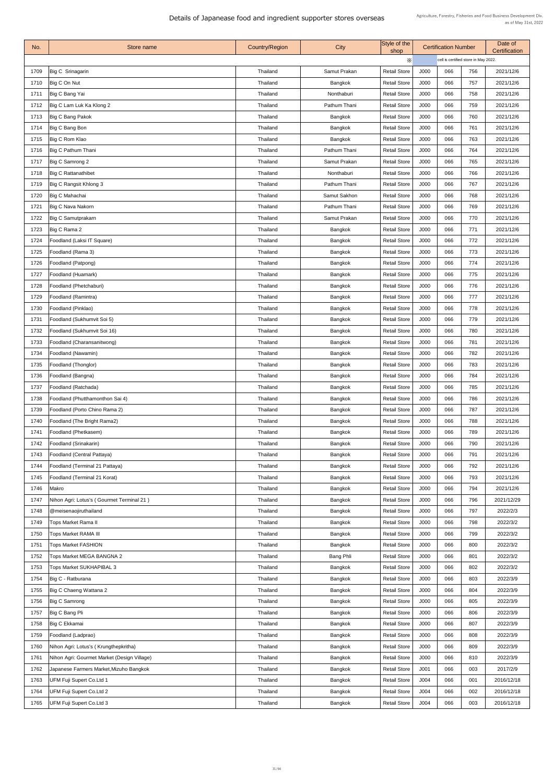| No.  | Store name                                  | <b>Country/Region</b> | City             | Style of the<br>shop |                  | <b>Certification Number</b>          | Date of<br><b>Certification</b> |            |
|------|---------------------------------------------|-----------------------|------------------|----------------------|------------------|--------------------------------------|---------------------------------|------------|
|      |                                             |                       |                  | X                    |                  | cell is certified store in May 2022. |                                 |            |
| 1709 | Big C Srinagarin                            | Thailand              | Samut Prakan     | <b>Retail Store</b>  | J000             | 066                                  | 756                             | 2021/12/6  |
| 1710 | Big C On Nut                                | Thailand              | Bangkok          | <b>Retail Store</b>  | J000             | 066                                  | 757                             | 2021/12/6  |
| 1711 | Big C Bang Yai                              | Thailand              | Nonthaburi       | <b>Retail Store</b>  | J000             | 066                                  | 758                             | 2021/12/6  |
| 1712 | Big C Lam Luk Ka Klong 2                    | Thailand              | Pathum Thani     | <b>Retail Store</b>  | J000             | 066                                  | 759                             | 2021/12/6  |
| 1713 | <b>Big C Bang Pakok</b>                     | Thailand              | Bangkok          | <b>Retail Store</b>  | J000             | 066                                  | 760                             | 2021/12/6  |
| 1714 | Big C Bang Bon                              | Thailand              | <b>Bangkok</b>   | <b>Retail Store</b>  | J000             | 066                                  | 761                             | 2021/12/6  |
| 1715 | Big C Rom Klao                              | Thailand              | Bangkok          | <b>Retail Store</b>  | J000             | 066                                  | 763                             | 2021/12/6  |
| 1716 | Big C Pathum Thani                          | Thailand              | Pathum Thani     | <b>Retail Store</b>  | J000             | 066                                  | 764                             | 2021/12/6  |
| 1717 | Big C Samrong 2                             | Thailand              | Samut Prakan     | <b>Retail Store</b>  | J000             | 066                                  | 765                             | 2021/12/6  |
| 1718 | <b>Big C Rattanathibet</b>                  | Thailand              | Nonthaburi       | <b>Retail Store</b>  | J000             | 066                                  | 766                             | 2021/12/6  |
| 1719 | Big C Rangsit Khlong 3                      | Thailand              | Pathum Thani     | <b>Retail Store</b>  | J000             | 066                                  | 767                             | 2021/12/6  |
| 1720 | Big C Mahachai                              | Thailand              | Samut Sakhon     | <b>Retail Store</b>  | J000             | 066                                  | 768                             | 2021/12/6  |
| 1721 | <b>Big C Nava Nakorn</b>                    | Thailand              | Pathum Thani     | <b>Retail Store</b>  | J000             | 066                                  | 769                             | 2021/12/6  |
| 1722 | <b>Big C Samutprakarn</b>                   | Thailand              | Samut Prakan     | <b>Retail Store</b>  | J000             | 066                                  | 770                             | 2021/12/6  |
| 1723 | Big C Rama 2                                | Thailand              | <b>Bangkok</b>   | <b>Retail Store</b>  | J000             | 066                                  | 771                             | 2021/12/6  |
| 1724 | Foodland (Laksi IT Square)                  | Thailand              | <b>Bangkok</b>   | <b>Retail Store</b>  | J000             | 066                                  | 772                             | 2021/12/6  |
| 1725 | Foodland (Rama 3)                           | Thailand              | <b>Bangkok</b>   | <b>Retail Store</b>  | J000             | 066                                  | 773                             | 2021/12/6  |
| 1726 | Foodland (Patpong)                          | Thailand              | <b>Bangkok</b>   | <b>Retail Store</b>  | J000             | 066                                  | 774                             | 2021/12/6  |
| 1727 | Foodland (Huamark)                          | Thailand              | Bangkok          | <b>Retail Store</b>  | J000             | 066                                  | 775                             | 2021/12/6  |
| 1728 | Foodland (Phetchaburi)                      | Thailand              | <b>Bangkok</b>   | <b>Retail Store</b>  | J000             | 066                                  | 776                             | 2021/12/6  |
| 1729 | Foodland (Ramintra)                         | Thailand              | <b>Bangkok</b>   | <b>Retail Store</b>  | J000             | 066                                  | 777                             | 2021/12/6  |
| 1730 | Foodland (Pinklao)                          | Thailand              | <b>Bangkok</b>   | <b>Retail Store</b>  | J000             | 066                                  | 778                             | 2021/12/6  |
| 1731 | Foodland (Sukhumvit Soi 5)                  | Thailand              | <b>Bangkok</b>   | <b>Retail Store</b>  | J000             | 066                                  | 779                             | 2021/12/6  |
| 1732 | Foodland (Sukhumvit Soi 16)                 | Thailand              | <b>Bangkok</b>   | <b>Retail Store</b>  | J000             | 066                                  | 780                             | 2021/12/6  |
| 1733 | Foodland (Charansanitwong)                  | Thailand              | <b>Bangkok</b>   | <b>Retail Store</b>  | J000             | 066                                  | 781                             | 2021/12/6  |
| 1734 | Foodland (Nawamin)                          | <b>Thailand</b>       | <b>Bangkok</b>   | <b>Retail Store</b>  | J000             | 066                                  | 782                             | 2021/12/6  |
| 1735 | <b>Foodland (Thonglor)</b>                  | Thailand              | <b>Bangkok</b>   | <b>Retail Store</b>  | J000             | 066                                  | 783                             | 2021/12/6  |
| 1736 | Foodland (Bangna)                           | Thailand              | <b>Bangkok</b>   | <b>Retail Store</b>  | J000             | 066                                  | 784                             | 2021/12/6  |
| 1737 | Foodland (Ratchada)                         | Thailand              | <b>Bangkok</b>   | <b>Retail Store</b>  | J000             | 066                                  | 785                             | 2021/12/6  |
| 1738 | Foodland (Phutthamonthon Sai 4)             | Thailand              | Bangkok          | <b>Retail Store</b>  | J000             | 066                                  | 786                             | 2021/12/6  |
| 1739 | Foodland (Porto Chino Rama 2)               | Thailand              | <b>Bangkok</b>   | <b>Retail Store</b>  | J000             | 066                                  | 787                             | 2021/12/6  |
| 1740 | Foodland (The Bright Rama2)                 | <b>Thailand</b>       | <b>Bangkok</b>   | <b>Retail Store</b>  | J000             | 066                                  | 788                             | 2021/12/6  |
| 1741 | Foodland (Phetkasem)                        | Thailand              | <b>Bangkok</b>   | <b>Retail Store</b>  | J000             | 066                                  | 789                             | 2021/12/6  |
| 1742 | Foodland (Srinakarin)                       | Thailand              | <b>Bangkok</b>   | <b>Retail Store</b>  | J000             | 066                                  | 790                             | 2021/12/6  |
| 1743 | <b>Foodland (Central Pattaya)</b>           | Thailand              | <b>Bangkok</b>   | <b>Retail Store</b>  | J000             | 066                                  | 791                             | 2021/12/6  |
| 1744 | Foodland (Terminal 21 Pattaya)              | Thailand              | <b>Bangkok</b>   | <b>Retail Store</b>  | J000             | 066                                  | 792                             | 2021/12/6  |
| 1745 | Foodland (Terminal 21 Korat)                | <b>Thailand</b>       | Bangkok          | <b>Retail Store</b>  | J000             | 066                                  | 793                             | 2021/12/6  |
| 1746 | Makro                                       | Thailand              | <b>Bangkok</b>   | <b>Retail Store</b>  | J000             | 066                                  | 794                             | 2021/12/6  |
| 1747 | Nihon Agri: Lotus's (Gourmet Terminal 21)   | Thailand              | <b>Bangkok</b>   | <b>Retail Store</b>  | J000             | 066                                  | 796                             | 2021/12/29 |
| 1748 | @meisenaojiruthailand                       | Thailand              | <b>Bangkok</b>   | <b>Retail Store</b>  | J000             | 066                                  | 797                             | 2022/2/3   |
| 1749 | <b>Tops Market Rama II</b>                  | Thailand              | <b>Bangkok</b>   | <b>Retail Store</b>  | J000             | 066                                  | 798                             | 2022/3/2   |
| 1750 | <b>Tops Market RAMA III</b>                 | Thailand              | <b>Bangkok</b>   | <b>Retail Store</b>  | J000             | 066                                  | 799                             | 2022/3/2   |
| 1751 | <b>Tops Market FASHION</b>                  | <b>Thailand</b>       | <b>Bangkok</b>   | <b>Retail Store</b>  | J000             | 066                                  | 800                             | 2022/3/2   |
| 1752 | <b>Tops Market MEGA BANGNA 2</b>            | Thailand              | <b>Bang Phli</b> | <b>Retail Store</b>  | J000             | 066                                  | 801                             | 2022/3/2   |
| 1753 | <b>Tops Market SUKHAPIBAL 3</b>             | Thailand              | <b>Bangkok</b>   | <b>Retail Store</b>  | J000             | 066                                  | 802                             | 2022/3/2   |
| 1754 | Big C - Ratburana                           | Thailand              | Bangkok          | <b>Retail Store</b>  | J000             | 066                                  | 803                             | 2022/3/9   |
| 1755 | Big C Chaeng Wattana 2                      | Thailand              | <b>Bangkok</b>   | <b>Retail Store</b>  | J000             | 066                                  | 804                             | 2022/3/9   |
| 1756 | <b>Big C Samrong</b>                        | Thailand              | <b>Bangkok</b>   | <b>Retail Store</b>  | J000             | 066                                  | 805                             | 2022/3/9   |
| 1757 | Big C Bang Pli                              | Thailand              | <b>Bangkok</b>   | <b>Retail Store</b>  | J000             | 066                                  | 806                             | 2022/3/9   |
| 1758 | Big C Ekkamai                               | Thailand              | <b>Bangkok</b>   | <b>Retail Store</b>  | J000             | 066                                  | 807                             | 2022/3/9   |
|      |                                             |                       |                  |                      |                  | 066                                  |                                 |            |
| 1759 | Foodland (Ladprao)                          | Thailand              | <b>Bangkok</b>   | <b>Retail Store</b>  | J000             |                                      | 808                             | 2022/3/9   |
| 1760 | Nihon Agri: Lotus's (Krungthepkritha)       | Thailand              | <b>Bangkok</b>   | <b>Retail Store</b>  | J000             | 066                                  | 809                             | 2022/3/9   |
| 1761 | Nihon Agri: Gourmet Market (Design Village) | <b>Thailand</b>       | Bangkok          | <b>Retail Store</b>  | J000             | 066                                  | 810                             | 2022/3/9   |
| 1762 | Japanese Farmers Market, Mizuho Bangkok     | Thailand              | <b>Bangkok</b>   | <b>Retail Store</b>  | J <sub>001</sub> | 066                                  | 003                             | 2017/2/9   |
| 1763 | <b>UFM Fuji Supert Co.Ltd 1</b>             | Thailand              | <b>Bangkok</b>   | <b>Retail Store</b>  | J004             | 066                                  | 001                             | 2016/12/18 |
| 1764 | UFM Fuji Supert Co.Ltd 2                    | Thailand              | <b>Bangkok</b>   | <b>Retail Store</b>  | J004             | 066                                  | 002                             | 2016/12/18 |
| 1765 | UFM Fuji Supert Co. Ltd 3                   | Thailand              | Bangkok          | <b>Retail Store</b>  | J004             | 066                                  | 003                             | 2016/12/18 |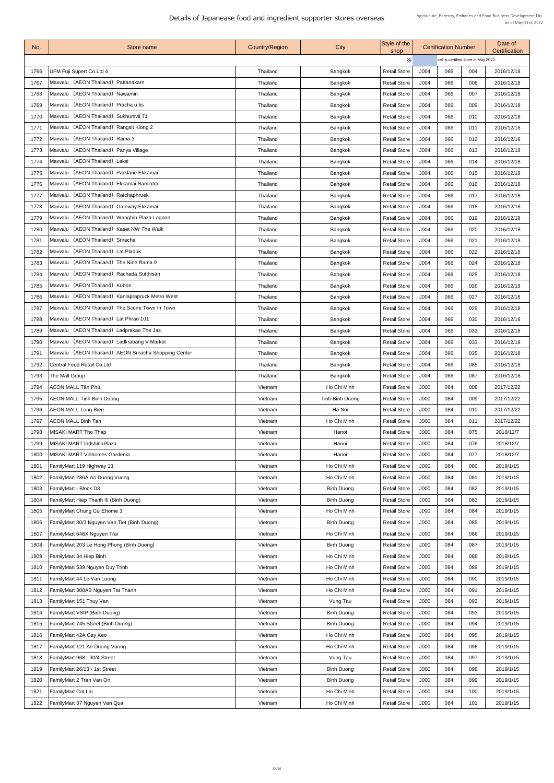| No.  | Store name                                            | <b>Country/Region</b> | City              | Style of the<br>shop |      | <b>Certification Number</b>          |     | Date of<br><b>Certification</b> |  |
|------|-------------------------------------------------------|-----------------------|-------------------|----------------------|------|--------------------------------------|-----|---------------------------------|--|
|      |                                                       |                       |                   | $\times$             |      | cell is certified store in May 2022. |     |                                 |  |
| 1766 | UFM Fuji Supert Co.Ltd 4                              | <b>Thailand</b>       | <b>Bangkok</b>    | <b>Retail Store</b>  | J004 | 066                                  | 004 | 2016/12/18                      |  |
| 1767 | Maxvalu (AEON Thailand) Pattanakarn                   | <b>Thailand</b>       | <b>Bangkok</b>    | <b>Retail Store</b>  | J004 | 066                                  | 006 | 2016/12/18                      |  |
| 1768 | Maxvalu (AEON Thailand) Nawamin                       | <b>Thailand</b>       | Bangkok           | <b>Retail Store</b>  | J004 | 066                                  | 007 | 2016/12/18                      |  |
| 1769 | Maxvalu (AEON Thailand) Pracha u tis                  | <b>Thailand</b>       | <b>Bangkok</b>    | <b>Retail Store</b>  | J004 | 066                                  | 009 | 2016/12/18                      |  |
| 1770 | Maxvalu (AEON Thailand) Sukhumvit 71                  | <b>Thailand</b>       | <b>Bangkok</b>    | <b>Retail Store</b>  | J004 | 066                                  | 010 | 2016/12/18                      |  |
| 1771 | Maxvalu (AEON Thailand) Rangsit Klong 2               | <b>Thailand</b>       | Bangkok           | <b>Retail Store</b>  | J004 | 066                                  | 011 | 2016/12/18                      |  |
| 1772 | Maxvalu (AEON Thailand) Rama 3                        | <b>Thailand</b>       | Bangkok           | <b>Retail Store</b>  | J004 | 066                                  | 012 | 2016/12/18                      |  |
| 1773 | Maxvalu (AEON Thailand) Panya Village                 | Thailand              | <b>Bangkok</b>    | <b>Retail Store</b>  | J004 | 066                                  | 013 | 2016/12/18                      |  |
| 1774 | Maxvalu (AEON Thailand) Laksi                         | <b>Thailand</b>       | <b>Bangkok</b>    | <b>Retail Store</b>  | J004 | 066                                  | 014 | 2016/12/18                      |  |
| 1775 | Maxvalu (AEON Thailand) Parklane Ekkamai              | Thailand              | <b>Bangkok</b>    | <b>Retail Store</b>  | J004 | 066                                  | 015 | 2016/12/18                      |  |
| 1776 | Maxvalu (AEON Thailand) Ekkamai Ramintra              | <b>Thailand</b>       | Bangkok           | <b>Retail Store</b>  | J004 | 066                                  | 016 | 2016/12/18                      |  |
| 1777 | Maxvalu (AEON Thailand) Ratchaphruek                  | <b>Thailand</b>       | <b>Bangkok</b>    | <b>Retail Store</b>  | J004 | 066                                  | 017 | 2016/12/18                      |  |
| 1778 | Maxvalu (AEON Thailand) Gateway Ekkamai               | <b>Thailand</b>       | <b>Bangkok</b>    | <b>Retail Store</b>  | J004 | 066                                  | 018 | 2016/12/18                      |  |
| 1779 | Maxvalu (AEON Thailand) Wanghin Plaza Lagoon          | <b>Thailand</b>       | <b>Bangkok</b>    | <b>Retail Store</b>  | J004 | 066                                  | 019 | 2016/12/18                      |  |
| 1780 | Maxvalu (AEON Thailand) Kaset NW The Walk             | <b>Thailand</b>       | <b>Bangkok</b>    | <b>Retail Store</b>  | J004 | 066                                  | 020 | 2016/12/18                      |  |
| 1781 | Maxvalu (AEON Thailand) Sriracha                      | <b>Thailand</b>       | <b>Bangkok</b>    | <b>Retail Store</b>  | J004 | 066                                  | 021 | 2016/12/18                      |  |
| 1782 | Maxvalu (AEON Thailand) Lat Pladuk                    | Thailand              | <b>Bangkok</b>    | <b>Retail Store</b>  | J004 | 066                                  | 022 | 2016/12/18                      |  |
| 1783 | Maxvalu (AEON Thailand) The Nine Rama 9               | <b>Thailand</b>       | Bangkok           | <b>Retail Store</b>  | J004 | 066                                  | 024 | 2016/12/18                      |  |
| 1784 | Maxvalu (AEON Thailand) Rachada Sutthisan             | <b>Thailand</b>       | <b>Bangkok</b>    | <b>Retail Store</b>  | J004 | 066                                  | 025 | 2016/12/18                      |  |
| 1785 | Maxvalu (AEON Thailand) Kubon                         | <b>Thailand</b>       | <b>Bangkok</b>    | <b>Retail Store</b>  | J004 | 066                                  | 026 | 2016/12/18                      |  |
| 1786 | Maxvalu (AEON Thailand) Kanlaprapruck Metro West      | <b>Thailand</b>       |                   | <b>Retail Store</b>  | J004 | 066                                  | 027 | 2016/12/18                      |  |
| 1787 | Maxvalu (AEON Thailand) The Scene Town In Town        |                       | <b>Bangkok</b>    |                      | J004 | 066                                  | 029 |                                 |  |
|      | Maxvalu (AEON Thailand) Lat Phrao 101                 | <b>Thailand</b>       | <b>Bangkok</b>    | <b>Retail Store</b>  |      | 066                                  |     | 2016/12/18                      |  |
| 1788 | Maxvalu (AEON Thailand) Ladprakao The Jas             | <b>Thailand</b>       | Bangkok           | <b>Retail Store</b>  | J004 | 066                                  | 030 | 2016/12/18                      |  |
| 1789 |                                                       | <b>Thailand</b>       | <b>Bangkok</b>    | <b>Retail Store</b>  | J004 |                                      | 032 | 2016/12/18                      |  |
| 1790 | Maxvalu (AEON Thailand) Ladkrabang V Market           | <b>Thailand</b>       | <b>Bangkok</b>    | <b>Retail Store</b>  | J004 | 066                                  | 033 | 2016/12/18                      |  |
| 1791 | Maxvalu (AEON Thailand) AEON Sriracha Shopping Center | <b>Thailand</b>       | <b>Bangkok</b>    | <b>Retail Store</b>  | J004 | 066                                  | 035 | 2016/12/18                      |  |
|      | 1792 Central Food Retail Co.Ltd                       | <b>Thailand</b>       | <b>Bangkok</b>    | <b>Retail Store</b>  | J004 | 066                                  | 085 | 2016/12/18                      |  |
| 1793 | The Mall Group                                        | <b>Thailand</b>       | Bangkok           | <b>Retail Store</b>  | J004 | 066                                  | 087 | 2016/12/18                      |  |
| 1794 | <b>AEON MALL Tân Phú</b>                              | Vietnam               | Ho Chi Minh       | <b>Retail Store</b>  | J000 | 084                                  | 008 | 2017/12/22                      |  |
| 1795 | <b>AEON MALL Tinh Binh Duong</b>                      | Vietnam               | Tinh Binh Duong   | <b>Retail Store</b>  | J000 | 084                                  | 009 | 2017/12/22                      |  |
| 1796 | <b>AEON MALL Long Bien</b>                            | Vietnam               | Ha Noi            | <b>Retail Store</b>  | J000 | 084                                  | 010 | 2017/12/22                      |  |
| 1797 | <b>AEON MALL Binh Tan</b>                             | Vietnam               | Ho Chi Minh       | <b>Retail Store</b>  | J000 | 084                                  | 011 | 2017/12/22                      |  |
| 1798 | MISAKI MART Tho Thap                                  | Vietnam               | Hanoi             | <b>Retail Store</b>  | J000 | 084                                  | 075 | 2018/12/7                       |  |
| 1799 | <b>MISAKI MART IndshinaPlaza</b>                      | Vietnam               | Hanoi             | <b>Retail Store</b>  | J000 | 084                                  | 076 | 2018/12/7                       |  |
| 1800 | <b>MISAKI MART Vinhomes Gardenia</b>                  | Vietnam               | Hanoi             | <b>Retail Store</b>  | J000 | 084                                  | 077 | 2018/12/7                       |  |
| 1801 | FamilyMart 119 Highway 13                             | Vietnam               | Ho Chi Minh       | <b>Retail Store</b>  | J000 | 084                                  | 080 | 2019/1/15                       |  |
| 1802 | FamilyMart 286A An Duong Vuong                        | Vietnam               | Ho Chi Minh       | <b>Retail Store</b>  | J000 | 084                                  | 081 | 2019/1/15                       |  |
| 1803 | <b>FamilyMart - Block D3</b>                          | Vietnam               | <b>Binh Duong</b> | <b>Retail Store</b>  | J000 | 084                                  | 082 | 2019/1/15                       |  |
| 1804 | <b>FamilyMart Hiep Thanh III (Binh Duong)</b>         | Vietnam               | <b>Binh Duong</b> | <b>Retail Store</b>  | J000 | 084                                  | 083 | 2019/1/15                       |  |
| 1805 | <b>FamilyMart Chung Cu Ehome 3</b>                    | Vietnam               | Ho Chi Minh       | <b>Retail Store</b>  | J000 | 084                                  | 084 | 2019/1/15                       |  |
| 1806 | FamilyMart 30/3 Nguyen Van Tiet (Binh Duong)          | Vietnam               | <b>Binh Duong</b> | <b>Retail Store</b>  | J000 | 084                                  | 085 | 2019/1/15                       |  |
| 1807 | FamilyMart 646X Nguyen Trai                           | Vietnam               | Ho Chi Minh       | <b>Retail Store</b>  | J000 | 084                                  | 086 | 2019/1/15                       |  |
| 1808 | FamilyMart 203 Le Hong Phong (Binh Duong)             | Vietnam               | <b>Binh Duong</b> | <b>Retail Store</b>  | J000 | 084                                  | 087 | 2019/1/15                       |  |
| 1809 | <b>FamilyMart 34 Hiep Binh</b>                        | Vietnam               | Ho Chi Minh       | <b>Retail Store</b>  | J000 | 084                                  | 088 | 2019/1/15                       |  |
| 1810 | FamilyMart 539 Nguyen Duy Trinh                       | Vietnam               | Ho Chi Minh       | <b>Retail Store</b>  | J000 | 084                                  | 089 | 2019/1/15                       |  |
| 1811 | <b>FamilyMart 44 Le Van Luong</b>                     | Vietnam               | Ho Chi Minh       | <b>Retail Store</b>  | J000 | 084                                  | 090 | 2019/1/15                       |  |
| 1812 | FamilyMart 300AB Nguyen Tat Thanh                     | Vietnam               | Ho Chi Minh       | <b>Retail Store</b>  | J000 | 084                                  | 091 | 2019/1/15                       |  |
| 1813 | FamilyMart 151 Thuy Van                               | Vietnam               | Vung Tau          | <b>Retail Store</b>  | J000 | 084                                  | 092 | 2019/1/15                       |  |
| 1814 | <b>FamilyMart VSIP (Binh Duong)</b>                   | Vietnam               | <b>Binh Duong</b> | <b>Retail Store</b>  | J000 | 084                                  | 093 | 2019/1/15                       |  |
| 1815 | <b>FamilyMart 745 Street (Binh Duong)</b>             | Vietnam               | <b>Binh Duong</b> | <b>Retail Store</b>  | J000 | 084                                  | 094 | 2019/1/15                       |  |
| 1816 | FamilyMart 42A Cay Keo                                | Vietnam               | Ho Chi Minh       | <b>Retail Store</b>  | J000 | 084                                  | 095 | 2019/1/15                       |  |
| 1817 | <b>FamilyMart 121 An Duong Vuong</b>                  | Vietnam               | Ho Chi Minh       | <b>Retail Store</b>  | J000 | 084                                  | 096 | 2019/1/15                       |  |
| 1818 | FamilyMart 968 - 30/4 Street                          | Vietnam               | Vung Tau          | <b>Retail Store</b>  | J000 | 084                                  | 097 | 2019/1/15                       |  |
| 1819 | FamilyMart 26/13 - 1st Street                         | Vietnam               | <b>Binh Duong</b> | <b>Retail Store</b>  | J000 | 084                                  | 098 | 2019/1/15                       |  |
| 1820 | <b>FamilyMart 2 Tran Van On</b>                       | Vietnam               | <b>Binh Duong</b> | <b>Retail Store</b>  | J000 | 084                                  | 099 | 2019/1/15                       |  |
| 1821 | <b>FamilyMart Cat Lai</b>                             | Vietnam               | Ho Chi Minh       | <b>Retail Store</b>  | J000 | 084                                  | 100 | 2019/1/15                       |  |
| 1822 | FamilyMart 37 Nguyen Van Qua                          | Vietnam               | Ho Chi Minh       | <b>Retail Store</b>  | J000 | 084                                  | 101 | 2019/1/15                       |  |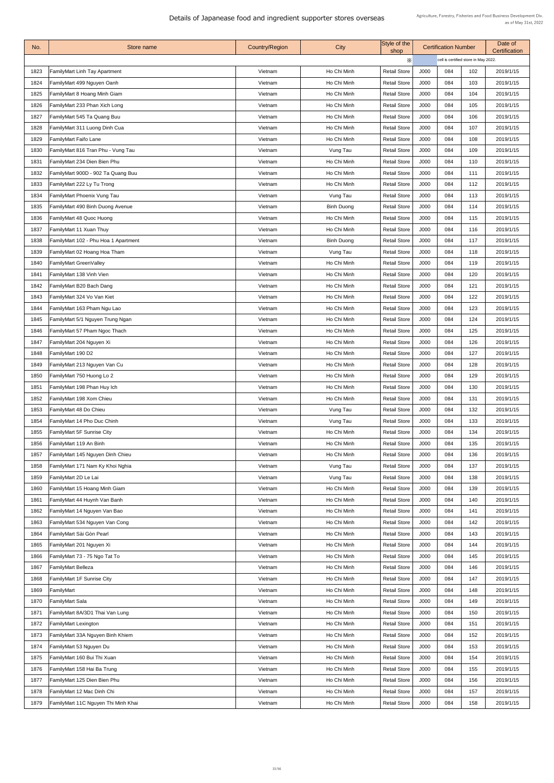| No.  | Store name                           | <b>Country/Region</b> | City              | Style of the<br>shop |             | <b>Certification Number</b>          |     | Date of<br><b>Certification</b> |  |
|------|--------------------------------------|-----------------------|-------------------|----------------------|-------------|--------------------------------------|-----|---------------------------------|--|
|      |                                      |                       |                   | X                    |             | cell is certified store in May 2022. |     |                                 |  |
| 1823 | <b>FamilyMart Linh Tay Apartment</b> | Vietnam               | Ho Chi Minh       | <b>Retail Store</b>  | J000        | 084                                  | 102 | 2019/1/15                       |  |
| 1824 | FamilyMart 499 Nguyen Oanh           | Vietnam               | Ho Chi Minh       | <b>Retail Store</b>  | J000        | 084                                  | 103 | 2019/1/15                       |  |
| 1825 | FamilyMart 8 Hoang Minh Giam         | Vietnam               | Ho Chi Minh       | <b>Retail Store</b>  | J000        | 084                                  | 104 | 2019/1/15                       |  |
| 1826 | FamilyMart 233 Phan Xich Long        | Vietnam               | Ho Chi Minh       | <b>Retail Store</b>  | J000        | 084                                  | 105 | 2019/1/15                       |  |
| 1827 | FamilyMart 545 Ta Quang Buu          | Vietnam               | Ho Chi Minh       | <b>Retail Store</b>  | J000        | 084                                  | 106 | 2019/1/15                       |  |
| 1828 | FamilyMart 311 Luong Dinh Cua        | Vietnam               | Ho Chi Minh       | <b>Retail Store</b>  | J000        | 084                                  | 107 | 2019/1/15                       |  |
| 1829 | <b>FamilyMart Faifo Lane</b>         | Vietnam               | Ho Chi Minh       | <b>Retail Store</b>  | J000        | 084                                  | 108 | 2019/1/15                       |  |
| 1830 | FamilyMart 816 Tran Phu - Vung Tau   | Vietnam               | Vung Tau          | <b>Retail Store</b>  | J000        | 084                                  | 109 | 2019/1/15                       |  |
| 1831 | FamilyMart 234 Dien Bien Phu         | Vietnam               | Ho Chi Minh       | <b>Retail Store</b>  | J000        | 084                                  | 110 | 2019/1/15                       |  |
| 1832 | FamilyMart 900D - 902 Ta Quang Buu   | Vietnam               | Ho Chi Minh       | <b>Retail Store</b>  | J000        | 084                                  | 111 | 2019/1/15                       |  |
| 1833 | FamilyMart 222 Ly Tu Trong           | Vietnam               | Ho Chi Minh       | <b>Retail Store</b>  | J000        | 084                                  | 112 | 2019/1/15                       |  |
| 1834 | FamilyMart Phoenix Vung Tau          | Vietnam               | Vung Tau          | <b>Retail Store</b>  | J000        | 084                                  | 113 | 2019/1/15                       |  |
| 1835 | FamilyMart 490 Binh Duong Avenue     | Vietnam               | <b>Binh Duong</b> | <b>Retail Store</b>  | <b>J000</b> | 084                                  | 114 | 2019/1/15                       |  |
| 1836 | FamilyMart 48 Quoc Huong             | Vietnam               | Ho Chi Minh       | <b>Retail Store</b>  | J000        | 084                                  | 115 | 2019/1/15                       |  |
| 1837 | FamilyMart 11 Xuan Thuy              | Vietnam               | Ho Chi Minh       | <b>Retail Store</b>  | J000        | 084                                  | 116 | 2019/1/15                       |  |
| 1838 | FamilyMart 102 - Phu Hoa 1 Apartment | Vietnam               | <b>Binh Duong</b> | <b>Retail Store</b>  | J000        | 084                                  | 117 | 2019/1/15                       |  |
| 1839 | FamilyMart 02 Hoang Hoa Tham         | Vietnam               | Vung Tau          | <b>Retail Store</b>  | J000        | 084                                  | 118 | 2019/1/15                       |  |
| 1840 | FamilyMart GreenValley               | Vietnam               | Ho Chi Minh       | <b>Retail Store</b>  | J000        | 084                                  | 119 | 2019/1/15                       |  |
| 1841 | <b>FamilyMart 138 Vinh Vien</b>      | Vietnam               | Ho Chi Minh       | <b>Retail Store</b>  | J000        | 084                                  | 120 | 2019/1/15                       |  |
| 1842 | FamilyMart B20 Bach Dang             | Vietnam               | Ho Chi Minh       | <b>Retail Store</b>  | J000        | 084                                  | 121 | 2019/1/15                       |  |
| 1843 | FamilyMart 324 Vo Van Kiet           | Vietnam               | Ho Chi Minh       | <b>Retail Store</b>  | J000        | 084                                  | 122 | 2019/1/15                       |  |
| 1844 | FamilyMart 163 Pham Ngu Lao          | Vietnam               | Ho Chi Minh       | <b>Retail Store</b>  | J000        | 084                                  | 123 | 2019/1/15                       |  |
| 1845 | FamilyMart 5/1 Nguyen Trung Ngan     | Vietnam               | Ho Chi Minh       | <b>Retail Store</b>  | J000        | 084                                  | 124 | 2019/1/15                       |  |
| 1846 | FamilyMart 57 Pham Ngoc Thach        | Vietnam               | Ho Chi Minh       | <b>Retail Store</b>  | J000        | 084                                  | 125 | 2019/1/15                       |  |
| 1847 | FamilyMart 204 Nguyen Xi             | Vietnam               | Ho Chi Minh       | <b>Retail Store</b>  | J000        | 084                                  | 126 | 2019/1/15                       |  |
| 1848 | FamilyMart 190 D2                    | Vietnam               | Ho Chi Minh       | <b>Retail Store</b>  | J000        | 084                                  | 127 | 2019/1/15                       |  |
| 1849 | FamilyMart 213 Nguyen Van Cu         | Vietnam               | Ho Chi Minh       | <b>Retail Store</b>  | J000        | 084                                  | 128 | 2019/1/15                       |  |
| 1850 | FamilyMart 750 Huong Lo 2            | Vietnam               | Ho Chi Minh       | <b>Retail Store</b>  | J000        | 084                                  | 129 | 2019/1/15                       |  |
| 1851 | FamilyMart 198 Phan Huy Ich          | Vietnam               | Ho Chi Minh       | <b>Retail Store</b>  | J000        | 084                                  | 130 | 2019/1/15                       |  |
| 1852 | FamilyMart 198 Xom Chieu             | Vietnam               | Ho Chi Minh       | <b>Retail Store</b>  | J000        | 084                                  | 131 | 2019/1/15                       |  |
| 1853 | FamilyMart 48 Do Chieu               | Vietnam               | Vung Tau          | <b>Retail Store</b>  | J000        | 084                                  | 132 | 2019/1/15                       |  |
| 1854 | FamilyMart 14 Pho Duc Chinh          | Vietnam               | Vung Tau          | <b>Retail Store</b>  | J000        | 084                                  | 133 | 2019/1/15                       |  |
| 1855 | <b>FamilyMart 5F Sunrise City</b>    | Vietnam               | Ho Chi Minh       | <b>Retail Store</b>  | J000        | 084                                  | 134 | 2019/1/15                       |  |
| 1856 | FamilyMart 119 An Binh               | Vietnam               | Ho Chi Minh       | <b>Retail Store</b>  | J000        | 084                                  | 135 | 2019/1/15                       |  |
| 1857 | FamilyMart 145 Nguyen Dinh Chieu     | Vietnam               | Ho Chi Minh       | <b>Retail Store</b>  | J000        | 084                                  | 136 | 2019/1/15                       |  |
| 1858 | FamilyMart 171 Nam Ky Khoi Nghia     | Vietnam               | Vung Tau          | <b>Retail Store</b>  | J000        | 084                                  | 137 | 2019/1/15                       |  |
| 1859 | FamilyMart 2D Le Lai                 | Vietnam               | Vung Tau          | <b>Retail Store</b>  | J000        | 084                                  | 138 | 2019/1/15                       |  |
| 1860 | FamilyMart 15 Hoang Minh Giam        | Vietnam               | Ho Chi Minh       | <b>Retail Store</b>  | J000        | 084                                  | 139 | 2019/1/15                       |  |
| 1861 | FamilyMart 44 Huynh Van Banh         | Vietnam               | Ho Chi Minh       | <b>Retail Store</b>  | J000        | 084                                  | 140 | 2019/1/15                       |  |
| 1862 | FamilyMart 14 Nguyen Van Bao         | Vietnam               | Ho Chi Minh       | <b>Retail Store</b>  | J000        | 084                                  | 141 | 2019/1/15                       |  |
| 1863 | FamilyMart 534 Nguyen Van Cong       | Vietnam               | Ho Chi Minh       | <b>Retail Store</b>  | J000        | 084                                  | 142 | 2019/1/15                       |  |
| 1864 | FamilyMart Sài Gòn Pearl             | Vietnam               | Ho Chi Minh       | <b>Retail Store</b>  | <b>J000</b> | 084                                  | 143 | 2019/1/15                       |  |
| 1865 | FamilyMart 201 Nguyen Xi             | Vietnam               | Ho Chi Minh       | <b>Retail Store</b>  | J000        | 084                                  | 144 | 2019/1/15                       |  |
| 1866 | FamilyMart 73 - 75 Ngo Tat To        | Vietnam               | Ho Chi Minh       | <b>Retail Store</b>  | J000        | 084                                  | 145 | 2019/1/15                       |  |
| 1867 | <b>FamilyMart Belleza</b>            | Vietnam               | Ho Chi Minh       | <b>Retail Store</b>  | J000        | 084                                  | 146 | 2019/1/15                       |  |
| 1868 | FamilyMart 1F Sunrise City           | Vietnam               | Ho Chi Minh       | <b>Retail Store</b>  | J000        | 084                                  | 147 | 2019/1/15                       |  |
| 1869 | FamilyMart                           | Vietnam               | Ho Chi Minh       | <b>Retail Store</b>  | J000        | 084                                  | 148 | 2019/1/15                       |  |
| 1870 | <b>FamilyMart Sala</b>               | Vietnam               | Ho Chi Minh       | <b>Retail Store</b>  | J000        | 084                                  | 149 | 2019/1/15                       |  |
| 1871 | FamilyMart 8A/3D1 Thai Van Lung      | Vietnam               | Ho Chi Minh       | <b>Retail Store</b>  | J000        | 084                                  | 150 | 2019/1/15                       |  |
| 1872 | <b>FamilyMart Lexington</b>          | Vietnam               | Ho Chi Minh       | <b>Retail Store</b>  | J000        | 084                                  | 151 | 2019/1/15                       |  |
| 1873 | FamilyMart 33A Nguyen Binh Khiem     | Vietnam               | Ho Chi Minh       | <b>Retail Store</b>  | J000        | 084                                  | 152 | 2019/1/15                       |  |
| 1874 | FamilyMart 53 Nguyen Du              | Vietnam               | Ho Chi Minh       | <b>Retail Store</b>  | J000        | 084                                  | 153 | 2019/1/15                       |  |
| 1875 | FamilyMart 160 Bui Thi Xuan          | Vietnam               | Ho Chi Minh       | <b>Retail Store</b>  | J000        | 084                                  | 154 | 2019/1/15                       |  |
| 1876 | FamilyMart 158 Hai Ba Trung          | Vietnam               | Ho Chi Minh       | <b>Retail Store</b>  | J000        | 084                                  | 155 | 2019/1/15                       |  |
| 1877 | FamilyMart 125 Dien Bien Phu         | Vietnam               | Ho Chi Minh       | <b>Retail Store</b>  | J000        | 084                                  | 156 | 2019/1/15                       |  |
| 1878 | <b>FamilyMart 12 Mac Dinh Chi</b>    | Vietnam               | Ho Chi Minh       | <b>Retail Store</b>  | J000        | 084                                  | 157 | 2019/1/15                       |  |
| 1879 | FamilyMart 11C Nguyen Thi Minh Khai  | Vietnam               | Ho Chi Minh       | <b>Retail Store</b>  | J000        | 084                                  | 158 | 2019/1/15                       |  |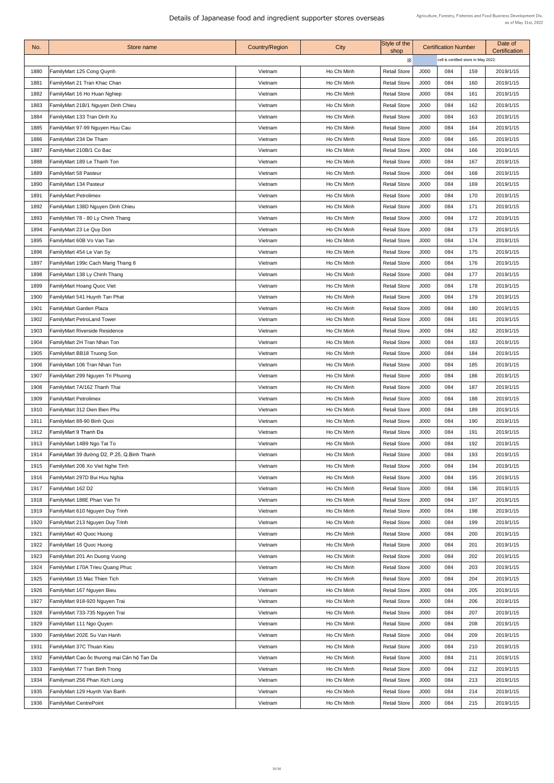| No.  | Store name                                 | <b>Country/Region</b> | City        | Style of the<br>shop |      | <b>Certification Number</b> |                                      | Date of<br><b>Certification</b> |  |
|------|--------------------------------------------|-----------------------|-------------|----------------------|------|-----------------------------|--------------------------------------|---------------------------------|--|
|      |                                            |                       |             | X                    |      |                             | cell is certified store in May 2022. |                                 |  |
| 1880 | FamilyMart 125 Cong Quynh                  | Vietnam               | Ho Chi Minh | <b>Retail Store</b>  | J000 | 084                         | 159                                  | 2019/1/15                       |  |
| 1881 | FamilyMart 21 Tran Khac Chan               | Vietnam               | Ho Chi Minh | <b>Retail Store</b>  | J000 | 084                         | 160                                  | 2019/1/15                       |  |
| 1882 | FamilyMart 16 Ho Huan Nghiep               | Vietnam               | Ho Chi Minh | <b>Retail Store</b>  | J000 | 084                         | 161                                  | 2019/1/15                       |  |
| 1883 | FamilyMart 21B/1 Nguyen Dinh Chieu         | Vietnam               | Ho Chi Minh | <b>Retail Store</b>  | J000 | 084                         | 162                                  | 2019/1/15                       |  |
| 1884 | FamilyMart 133 Tran Dinh Xu                | Vietnam               | Ho Chi Minh | <b>Retail Store</b>  | J000 | 084                         | 163                                  | 2019/1/15                       |  |
| 1885 | FamilyMart 97-99 Nguyen Huu Cau            | Vietnam               | Ho Chi Minh | <b>Retail Store</b>  | J000 | 084                         | 164                                  | 2019/1/15                       |  |
| 1886 | FamilyMart 234 De Tham                     | Vietnam               | Ho Chi Minh | <b>Retail Store</b>  | J000 | 084                         | 165                                  | 2019/1/15                       |  |
| 1887 | FamilyMart 210B/1 Co Bac                   | Vietnam               | Ho Chi Minh | <b>Retail Store</b>  | J000 | 084                         | 166                                  | 2019/1/15                       |  |
| 1888 | FamilyMart 189 Le Thanh Ton                | Vietnam               | Ho Chi Minh | <b>Retail Store</b>  | J000 | 084                         | 167                                  | 2019/1/15                       |  |
| 1889 | FamilyMart 58 Pasteur                      | Vietnam               | Ho Chi Minh | <b>Retail Store</b>  | J000 | 084                         | 168                                  | 2019/1/15                       |  |
| 1890 | FamilyMart 134 Pasteur                     | Vietnam               | Ho Chi Minh | <b>Retail Store</b>  | J000 | 084                         | 169                                  | 2019/1/15                       |  |
| 1891 | <b>FamilyMart Petrolimex</b>               | Vietnam               | Ho Chi Minh | <b>Retail Store</b>  | J000 | 084                         | 170                                  | 2019/1/15                       |  |
| 1892 | FamilyMart 138D Nguyen Dinh Chieu          | Vietnam               | Ho Chi Minh | <b>Retail Store</b>  | J000 | 084                         | 171                                  | 2019/1/15                       |  |
| 1893 | FamilyMart 78 - 80 Ly Chinh Thang          | Vietnam               | Ho Chi Minh | <b>Retail Store</b>  | J000 | 084                         | 172                                  | 2019/1/15                       |  |
| 1894 | FamilyMart 23 Le Quy Don                   | Vietnam               | Ho Chi Minh | <b>Retail Store</b>  | J000 | 084                         | 173                                  | 2019/1/15                       |  |
| 1895 | FamilyMart 60B Vo Van Tan                  | Vietnam               | Ho Chi Minh | <b>Retail Store</b>  | J000 | 084                         | 174                                  | 2019/1/15                       |  |
| 1896 | FamilyMart 454 Le Van Sy                   | Vietnam               | Ho Chi Minh | <b>Retail Store</b>  | J000 | 084                         | 175                                  | 2019/1/15                       |  |
| 1897 | FamilyMart 199c Cach Mang Thang 8          | Vietnam               | Ho Chi Minh | <b>Retail Store</b>  | J000 | 084                         | 176                                  | 2019/1/15                       |  |
| 1898 | FamilyMart 138 Ly Chinh Thang              | Vietnam               | Ho Chi Minh | <b>Retail Store</b>  | J000 | 084                         | 177                                  | 2019/1/15                       |  |
| 1899 | <b>FamilyMart Hoang Quoc Viet</b>          | Vietnam               | Ho Chi Minh | <b>Retail Store</b>  | J000 | 084                         | 178                                  | 2019/1/15                       |  |
| 1900 | FamilyMart 541 Huynh Tan Phat              | Vietnam               | Ho Chi Minh | <b>Retail Store</b>  | J000 | 084                         | 179                                  | 2019/1/15                       |  |
| 1901 | FamilyMart Garden Plaza                    | Vietnam               | Ho Chi Minh | <b>Retail Store</b>  | J000 | 084                         | 180                                  | 2019/1/15                       |  |
| 1902 | <b>FamilyMart PetroLand Tower</b>          | Vietnam               | Ho Chi Minh | <b>Retail Store</b>  | J000 | 084                         | 181                                  | 2019/1/15                       |  |
| 1903 | <b>FamilyMart Riverside Residence</b>      | Vietnam               | Ho Chi Minh | <b>Retail Store</b>  | J000 | 084                         | 182                                  | 2019/1/15                       |  |
| 1904 | FamilyMart 2H Tran Nhan Ton                | Vietnam               | Ho Chi Minh | <b>Retail Store</b>  | J000 | 084                         | 183                                  | 2019/1/15                       |  |
| 1905 | FamilyMart BB18 Truong Son                 | Vietnam               | Ho Chi Minh | <b>Retail Store</b>  | J000 | 084                         | 184                                  | 2019/1/15                       |  |
| 1906 | <b>FamilyMart 106 Tran Nhan Ton</b>        | Vietnam               | Ho Chi Minh | <b>Retail Store</b>  | J000 | 084                         | 185                                  | 2019/1/15                       |  |
| 1907 | FamilyMart 299 Nguyen Tri Phuong           | Vietnam               | Ho Chi Minh | <b>Retail Store</b>  | J000 | 084                         | 186                                  | 2019/1/15                       |  |
| 1908 | FamilyMart 7A/162 Thanh Thai               | Vietnam               | Ho Chi Minh | <b>Retail Store</b>  | J000 | 084                         | 187                                  | 2019/1/15                       |  |
| 1909 | <b>FamilyMart Petrolimex</b>               | Vietnam               | Ho Chi Minh | <b>Retail Store</b>  | J000 | 084                         | 188                                  | 2019/1/15                       |  |
| 1910 | FamilyMart 312 Dien Bien Phu               | Vietnam               | Ho Chi Minh | <b>Retail Store</b>  | J000 | 084                         | 189                                  | 2019/1/15                       |  |
| 1911 | FamilyMart 88-90 Binh Quoi                 | Vietnam               | Ho Chi Minh | <b>Retail Store</b>  | J000 | 084                         | 190                                  | 2019/1/15                       |  |
| 1912 | FamilyMart 9 Thanh Đa                      | Vietnam               | Ho Chi Minh | <b>Retail Store</b>  | J000 | 084                         | 191                                  | 2019/1/15                       |  |
| 1913 | FamilyMart 14B9 Ngo Tat To                 | Vietnam               | Ho Chi Minh | <b>Retail Store</b>  | J000 | 084                         | 192                                  | 2019/1/15                       |  |
| 1914 | FamilyMart 39 đường D2, P.25, Q.Binh Thanh | Vietnam               | Ho Chi Minh | <b>Retail Store</b>  | J000 | 084                         | 193                                  | 2019/1/15                       |  |
| 1915 | FamilyMart 206 Xo Viet Nghe Tinh           | Vietnam               | Ho Chi Minh | <b>Retail Store</b>  | J000 | 084                         | 194                                  | 2019/1/15                       |  |
| 1916 | FamilyMart 297D Bui Huu Nghia              | Vietnam               | Ho Chi Minh | <b>Retail Store</b>  | J000 | 084                         | 195                                  | 2019/1/15                       |  |
| 1917 | FamilyMart 162 D2                          | Vietnam               | Ho Chi Minh | <b>Retail Store</b>  | J000 | 084                         | 196                                  | 2019/1/15                       |  |
| 1918 | FamilyMart 188E Phan Van Tri               | Vietnam               | Ho Chi Minh | <b>Retail Store</b>  | J000 | 084                         | 197                                  | 2019/1/15                       |  |
| 1919 | FamilyMart 610 Nguyen Duy Trinh            | Vietnam               | Ho Chi Minh | <b>Retail Store</b>  | J000 | 084                         | 198                                  | 2019/1/15                       |  |
| 1920 | FamilyMart 213 Nguyen Duy Trinh            | Vietnam               | Ho Chi Minh | <b>Retail Store</b>  | J000 | 084                         | 199                                  | 2019/1/15                       |  |
| 1921 | FamilyMart 40 Quoc Huong                   | Vietnam               | Ho Chi Minh | <b>Retail Store</b>  | J000 | 084                         | 200                                  | 2019/1/15                       |  |
| 1922 | FamilyMart 16 Quoc Huong                   | Vietnam               | Ho Chi Minh | <b>Retail Store</b>  | J000 | 084                         | 201                                  | 2019/1/15                       |  |
| 1923 | FamilyMart 201 An Duong Vuong              | Vietnam               | Ho Chi Minh | <b>Retail Store</b>  | J000 | 084                         | 202                                  | 2019/1/15                       |  |
| 1924 | FamilyMart 170A Trieu Quang Phuc           | Vietnam               | Ho Chi Minh | <b>Retail Store</b>  | J000 | 084                         | 203                                  | 2019/1/15                       |  |
| 1925 | FamilyMart 15 Mac Thien Tich               | Vietnam               | Ho Chi Minh | <b>Retail Store</b>  | J000 | 084                         | 204                                  | 2019/1/15                       |  |
| 1926 | FamilyMart 167 Nguyen Bieu                 | Vietnam               | Ho Chi Minh | <b>Retail Store</b>  | J000 | 084                         | 205                                  | 2019/1/15                       |  |
| 1927 | FamilyMart 918-920 Nguyen Trai             | Vietnam               | Ho Chi Minh | <b>Retail Store</b>  | J000 | 084                         | 206                                  | 2019/1/15                       |  |
| 1928 | FamilyMart 733-735 Nguyen Trai             | Vietnam               | Ho Chi Minh | <b>Retail Store</b>  | J000 | 084                         | 207                                  | 2019/1/15                       |  |
| 1929 | FamilyMart 111 Ngo Quyen                   | Vietnam               | Ho Chi Minh | <b>Retail Store</b>  | J000 | 084                         | 208                                  | 2019/1/15                       |  |
| 1930 | FamilyMart 202E Su Van Hanh                | Vietnam               | Ho Chi Minh | <b>Retail Store</b>  | J000 | 084                         | 209                                  | 2019/1/15                       |  |
| 1931 | FamilyMart 37C Thuan Kieu                  | Vietnam               | Ho Chi Minh | <b>Retail Store</b>  | J000 | 084                         | 210                                  | 2019/1/15                       |  |
| 1932 | FamilyMart Cao ốc thương mại Căn hộ Tan Da | Vietnam               | Ho Chi Minh | <b>Retail Store</b>  | J000 | 084                         | 211                                  | 2019/1/15                       |  |
| 1933 | FamilyMart 77 Tran Binh Trong              | Vietnam               | Ho Chi Minh | <b>Retail Store</b>  | J000 | 084                         | 212                                  | 2019/1/15                       |  |
| 1934 | Familymart 256 Phan Xich Long              | Vietnam               | Ho Chi Minh | <b>Retail Store</b>  | J000 | 084                         | 213                                  | 2019/1/15                       |  |
| 1935 | FamilyMart 129 Huynh Van Banh              | Vietnam               | Ho Chi Minh | <b>Retail Store</b>  | J000 | 084                         | 214                                  | 2019/1/15                       |  |
| 1936 | <b>FamilyMart CentrePoint</b>              | Vietnam               | Ho Chi Minh | <b>Retail Store</b>  | J000 | 084                         | 215                                  | 2019/1/15                       |  |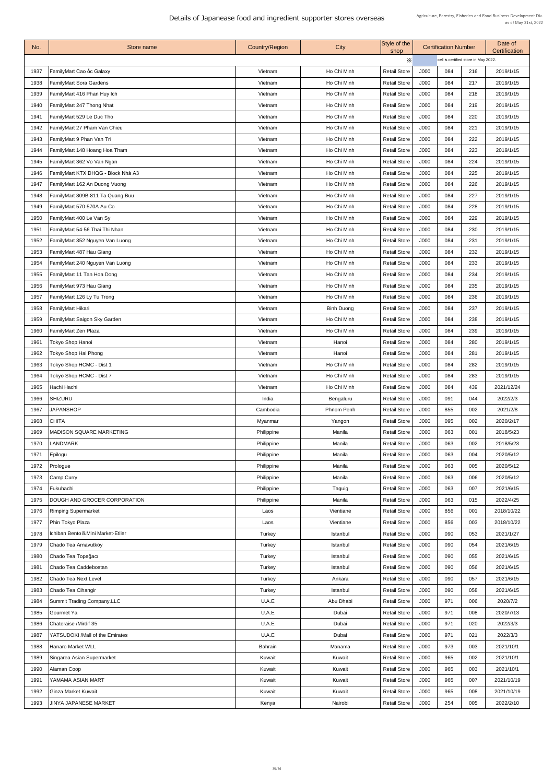| No.  | Store name                          | <b>Country/Region</b> | <b>City</b>       | Style of the<br>shop |             | <b>Certification Number</b>          |     | Date of<br>Certification |
|------|-------------------------------------|-----------------------|-------------------|----------------------|-------------|--------------------------------------|-----|--------------------------|
|      |                                     |                       |                   | $\times$             |             | cell is certified store in May 2022. |     |                          |
| 1937 | FamilyMart Cao ốc Galaxy            | Vietnam               | Ho Chi Minh       | <b>Retail Store</b>  | J000        | 084                                  | 216 | 2019/1/15                |
| 1938 | <b>FamilyMart Sora Gardens</b>      | Vietnam               | Ho Chi Minh       | <b>Retail Store</b>  | J000        | 084                                  | 217 | 2019/1/15                |
| 1939 | FamilyMart 416 Phan Huy Ich         | Vietnam               | Ho Chi Minh       | <b>Retail Store</b>  | J000        | 084                                  | 218 | 2019/1/15                |
| 1940 | FamilyMart 247 Thong Nhat           | Vietnam               | Ho Chi Minh       | <b>Retail Store</b>  | J000        | 084                                  | 219 | 2019/1/15                |
| 1941 | <b>FamilyMart 529 Le Duc Tho</b>    | Vietnam               | Ho Chi Minh       | <b>Retail Store</b>  | J000        | 084                                  | 220 | 2019/1/15                |
| 1942 | FamilyMart 27 Pham Van Chieu        | Vietnam               | Ho Chi Minh       | <b>Retail Store</b>  | J000        | 084                                  | 221 | 2019/1/15                |
| 1943 | FamilyMart 9 Phan Van Tri           | Vietnam               | Ho Chi Minh       | <b>Retail Store</b>  | J000        | 084                                  | 222 | 2019/1/15                |
| 1944 | FamilyMart 148 Hoang Hoa Tham       | Vietnam               | Ho Chi Minh       | <b>Retail Store</b>  | J000        | 084                                  | 223 | 2019/1/15                |
| 1945 | FamilyMart 362 Vo Van Ngan          | Vietnam               | Ho Chi Minh       | <b>Retail Store</b>  | J000        | 084                                  | 224 | 2019/1/15                |
| 1946 | FamilyMart KTX ĐHQG - Block Nhà A3  | Vietnam               | Ho Chi Minh       | <b>Retail Store</b>  | J000        | 084                                  | 225 | 2019/1/15                |
| 1947 | FamilyMart 162 An Duong Vuong       | Vietnam               | Ho Chi Minh       | <b>Retail Store</b>  | J000        | 084                                  | 226 | 2019/1/15                |
| 1948 | FamilyMart 809B-811 Ta Quang Buu    | Vietnam               | Ho Chi Minh       | <b>Retail Store</b>  | J000        | 084                                  | 227 | 2019/1/15                |
| 1949 | FamilyMart 570-570A Au Co           | Vietnam               | Ho Chi Minh       | <b>Retail Store</b>  | J000        | 084                                  | 228 | 2019/1/15                |
| 1950 | <b>FamilyMart 400 Le Van Sy</b>     | Vietnam               | Ho Chi Minh       | <b>Retail Store</b>  | J000        | 084                                  | 229 | 2019/1/15                |
| 1951 | FamilyMart 54-56 Thai Thi Nhan      | Vietnam               | Ho Chi Minh       | <b>Retail Store</b>  | J000        | 084                                  | 230 | 2019/1/15                |
| 1952 | FamilyMart 352 Nguyen Van Luong     | Vietnam               | Ho Chi Minh       | <b>Retail Store</b>  | J000        | 084                                  | 231 | 2019/1/15                |
| 1953 | <b>FamilyMart 487 Hau Giang</b>     | Vietnam               | Ho Chi Minh       | <b>Retail Store</b>  | J000        | 084                                  | 232 | 2019/1/15                |
| 1954 | FamilyMart 240 Nguyen Van Luong     | Vietnam               | Ho Chi Minh       | <b>Retail Store</b>  | J000        | 084                                  | 233 | 2019/1/15                |
| 1955 | <b>FamilyMart 11 Tan Hoa Dong</b>   | Vietnam               | Ho Chi Minh       | <b>Retail Store</b>  | J000        | 084                                  | 234 | 2019/1/15                |
| 1956 | FamilyMart 973 Hau Giang            | Vietnam               | Ho Chi Minh       | <b>Retail Store</b>  | J000        | 084                                  | 235 | 2019/1/15                |
| 1957 | FamilyMart 126 Ly Tu Trong          | Vietnam               | Ho Chi Minh       | <b>Retail Store</b>  | J000        | 084                                  | 236 | 2019/1/15                |
| 1958 | <b>FamilyMart Hikari</b>            | Vietnam               | <b>Binh Duong</b> | <b>Retail Store</b>  | J000        | 084                                  | 237 | 2019/1/15                |
| 1959 | <b>FamilyMart Saigon Sky Garden</b> | Vietnam               | Ho Chi Minh       | <b>Retail Store</b>  | J000        | 084                                  | 238 | 2019/1/15                |
| 1960 | FamilyMart Zen Plaza                | Vietnam               | Ho Chi Minh       | <b>Retail Store</b>  | J000        | 084                                  | 239 | 2019/1/15                |
| 1961 | <b>Tokyo Shop Hanoi</b>             | Vietnam               | Hanoi             | <b>Retail Store</b>  | J000        | 084                                  | 280 | 2019/1/15                |
| 1962 | Tokyo Shop Hai Phong                | Vietnam               | Hanoi             | <b>Retail Store</b>  | J000        | 084                                  | 281 | 2019/1/15                |
|      | 1963   Tokyo Shop HCMC - Dist 1     | Vietnam               | Ho Chi Minh       | <b>Retail Store</b>  | J000        | 084                                  | 282 | 2019/1/15                |
| 1964 | Tokyo Shop HCMC - Dist 7            | Vietnam               | Ho Chi Minh       | <b>Retail Store</b>  | J000        | 084                                  | 283 | 2019/1/15                |
| 1965 | Hachi Hachi                         | Vietnam               | Ho Chi Minh       | <b>Retail Store</b>  | J000        | 084                                  | 439 | 2021/12/24               |
| 1966 | <b>SHIZURU</b>                      | India                 | Bengaluru         | <b>Retail Store</b>  | J000        | 091                                  | 044 | 2022/2/3                 |
| 1967 | <b>JAPANSHOP</b>                    | Cambodia              | <b>Phnom Penh</b> | <b>Retail Store</b>  | J000        | 855                                  | 002 | 2021/2/8                 |
| 1968 | <b>CHITA</b>                        | <b>Myanmar</b>        | Yangon            | <b>Retail Store</b>  | J000        | 095                                  | 002 | 2020/2/17                |
| 1969 | <b>IMADISON SQUARE MARKETING</b>    | Philippine            | Manila            | <b>Retail Store</b>  | J000        | 063                                  | 001 | 2018/5/23                |
| 1970 | <b>LANDMARK</b>                     | Philippine            | Manila            | <b>Retail Store</b>  | J000        | 063                                  | 002 | 2018/5/23                |
| 1971 | Epilogu                             | Philippine            | Manila            | <b>Retail Store</b>  | J000        | 063                                  | 004 | 2020/5/12                |
| 1972 | Prologue                            | Philippine            | Manila            | <b>Retail Store</b>  | J000        | 063                                  | 005 | 2020/5/12                |
| 1973 | Camp Curry                          | Philippine            | Manila            | <b>Retail Store</b>  | J000        | 063                                  | 006 | 2020/5/12                |
| 1974 | Fukuhachi                           | Philippine            | Taguig            | <b>Retail Store</b>  | J000        | 063                                  | 007 | 2021/6/15                |
| 1975 | <b>DOUGH AND GROCER CORPORATION</b> | Philippine            | Manila            | <b>Retail Store</b>  | J000        | 063                                  | 015 | 2022/4/25                |
| 1976 | <b>Rimping Supermarket</b>          | Laos                  | Vientiane         | <b>Retail Store</b>  | J000        | 856                                  | 001 | 2018/10/22               |
| 1977 | <b>Phin Tokyo Plaza</b>             | Laos                  | Vientiane         | <b>Retail Store</b>  | J000        | 856                                  | 003 | 2018/10/22               |
| 1978 | Ichiban Bento & Mini Market-Etiler  | Turkey                | Istanbul          | <b>Retail Store</b>  | <b>J000</b> | 090                                  | 053 | 2021/1/27                |
| 1979 | Chado Tea Arnavutköy                | Turkey                | Istanbul          | <b>Retail Store</b>  | J000        | 090                                  | 054 | 2021/6/15                |
| 1980 | Chado Tea Topağacı                  | Turkey                | Istanbul          | <b>Retail Store</b>  | J000        | 090                                  | 055 | 2021/6/15                |
| 1981 | Chado Tea Caddebostan               | Turkey                | Istanbul          | <b>Retail Store</b>  | J000        | 090                                  | 056 | 2021/6/15                |
| 1982 | Chado Tea Next Level                | Turkey                | Ankara            | <b>Retail Store</b>  | J000        | 090                                  | 057 | 2021/6/15                |
| 1983 | Chado Tea Cihangir                  | Turkey                | Istanbul          | <b>Retail Store</b>  | J000        | 090                                  | 058 | 2021/6/15                |
| 1984 | Summit Trading Company.LLC          | U.A.E                 | Abu Dhabi         | <b>Retail Store</b>  | J000        | 971                                  | 006 | 2020/7/2                 |
| 1985 | Gourmet Ya                          | U.A.E                 | Dubai             | <b>Retail Store</b>  | J000        | 971                                  | 008 | 2020/7/13                |
| 1986 | Chateraise /Mirdif 35               | U.A.E                 | Dubai             | <b>Retail Store</b>  | J000        | 971                                  | 020 | 2022/3/3                 |
| 1987 | YATSUDOKI /Mall of the Emirates     | U.A.E                 | Dubai             | <b>Retail Store</b>  | J000        | 971                                  | 021 | 2022/3/3                 |
| 1988 | <b>Hanaro Market WLL</b>            | <b>Bahrain</b>        | Manama            | <b>Retail Store</b>  | J000        | 973                                  | 003 | 2021/10/1                |
| 1989 | Singarea Asian Supermarket          | Kuwait                | Kuwait            | <b>Retail Store</b>  | J000        | 965                                  | 002 | 2021/10/1                |
| 1990 | Alaman Coop                         | Kuwait                | Kuwait            | <b>Retail Store</b>  | J000        | 965                                  | 003 | 2021/10/1                |
| 1991 | YAMAMA ASIAN MART                   | Kuwait                | Kuwait            | <b>Retail Store</b>  | J000        | 965                                  | 007 | 2021/10/19               |
| 1992 | Ginza Market Kuwait                 | Kuwait                | Kuwait            | <b>Retail Store</b>  | J000        | 965                                  | 008 | 2021/10/19               |
| 1993 | <b>JINYA JAPANESE MARKET</b>        | Kenya                 | Nairobi           | <b>Retail Store</b>  | J000        | 254                                  | 005 | 2022/2/10                |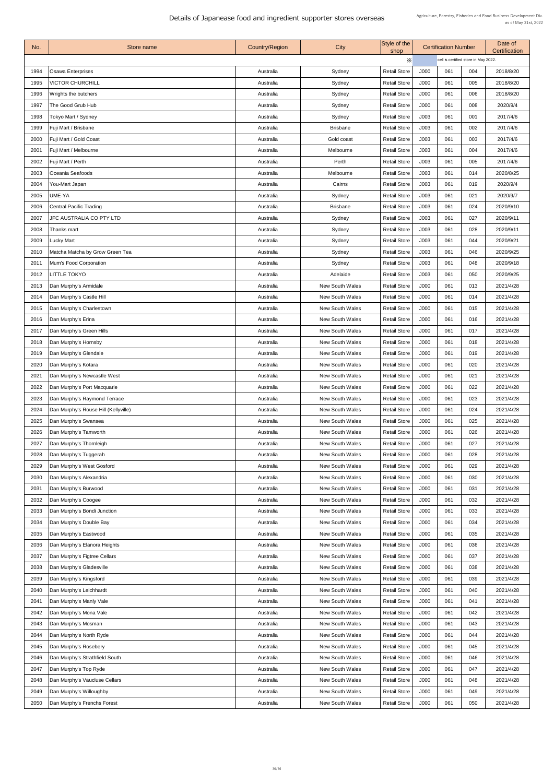| No.  | Store name                           | <b>Country/Region</b> | City                   | Style of the<br>shop |      | <b>Certification Number</b>          |     | Date of<br><b>Certification</b> |  |
|------|--------------------------------------|-----------------------|------------------------|----------------------|------|--------------------------------------|-----|---------------------------------|--|
|      |                                      |                       |                        | $\times$             |      | cell is certified store in May 2022. |     |                                 |  |
| 1994 | <b>Osawa Enterprises</b>             | Australia             | Sydney                 | <b>Retail Store</b>  | J000 | 061                                  | 004 | 2018/8/20                       |  |
| 1995 | <b>VICTOR CHURCHILL</b>              | Australia             | Sydney                 | <b>Retail Store</b>  | J000 | 061                                  | 005 | 2018/8/20                       |  |
| 1996 | Wrights the butchers                 | Australia             | Sydney                 | <b>Retail Store</b>  | J000 | 061                                  | 006 | 2018/8/20                       |  |
| 1997 | The Good Grub Hub                    | Australia             | Sydney                 | <b>Retail Store</b>  | J000 | 061                                  | 008 | 2020/9/4                        |  |
| 1998 | Tokyo Mart / Sydney                  | Australia             | Sydney                 | <b>Retail Store</b>  | J003 | 061                                  | 001 | 2017/4/6                        |  |
| 1999 | Fuji Mart / Brisbane                 | Australia             | <b>Brisbane</b>        | <b>Retail Store</b>  | J003 | 061                                  | 002 | 2017/4/6                        |  |
| 2000 | Fuji Mart / Gold Coast               | Australia             | Gold coast             | <b>Retail Store</b>  | J003 | 061                                  | 003 | 2017/4/6                        |  |
| 2001 | Fuji Mart / Melbourne                | Australia             | Melbourne              | <b>Retail Store</b>  | J003 | 061                                  | 004 | 2017/4/6                        |  |
| 2002 | Fuji Mart / Perth                    | Australia             | Perth                  | <b>Retail Store</b>  | J003 | 061                                  | 005 | 2017/4/6                        |  |
| 2003 | Oceania Seafoods                     | Australia             | Melbourne              | <b>Retail Store</b>  | J003 | 061                                  | 014 | 2020/8/25                       |  |
| 2004 | You-Mart Japan                       | Australia             | Cairns                 | <b>Retail Store</b>  | J003 | 061                                  | 019 | 2020/9/4                        |  |
| 2005 | UME-YA                               | Australia             | Sydney                 | <b>Retail Store</b>  | J003 | 061                                  | 021 | 2020/9/7                        |  |
| 2006 | <b>Central Pacific Trading</b>       | Australia             | <b>Brisbane</b>        | <b>Retail Store</b>  | J003 | 061                                  | 024 | 2020/9/10                       |  |
| 2007 | <b>JFC AUSTRALIA CO PTY LTD</b>      | Australia             | Sydney                 | <b>Retail Store</b>  | J003 | 061                                  | 027 | 2020/9/11                       |  |
| 2008 | Thanks mart                          | Australia             | Sydney                 | <b>Retail Store</b>  | J003 | 061                                  | 028 | 2020/9/11                       |  |
| 2009 | Lucky Mart                           | Australia             | Sydney                 | <b>Retail Store</b>  | J003 | 061                                  | 044 | 2020/9/21                       |  |
| 2010 | Matcha Matcha by Grow Green Tea      | Australia             | Sydney                 | <b>Retail Store</b>  | J003 | 061                                  | 046 | 2020/9/25                       |  |
| 2011 | Mum's Food Corporation               | Australia             | Sydney                 | <b>Retail Store</b>  | J003 | 061                                  | 048 | 2020/9/18                       |  |
| 2012 | <b>LITTLE TOKYO</b>                  | Australia             | Adelaide               | <b>Retail Store</b>  | J003 | 061                                  | 050 | 2020/9/25                       |  |
| 2013 | Dan Murphy's Armidale                | Australia             | <b>New South Wales</b> | <b>Retail Store</b>  | J000 | 061                                  | 013 | 2021/4/28                       |  |
| 2014 | Dan Murphy's Castle Hill             | Australia             | <b>New South Wales</b> | <b>Retail Store</b>  | J000 | 061                                  | 014 | 2021/4/28                       |  |
| 2015 | Dan Murphy's Charlestown             | Australia             | <b>New South Wales</b> | <b>Retail Store</b>  | J000 | 061                                  | 015 | 2021/4/28                       |  |
| 2016 | Dan Murphy's Erina                   | Australia             | <b>New South Wales</b> | <b>Retail Store</b>  | J000 | 061                                  | 016 | 2021/4/28                       |  |
| 2017 | Dan Murphy's Green Hills             | Australia             | <b>New South Wales</b> | <b>Retail Store</b>  | J000 | 061                                  | 017 | 2021/4/28                       |  |
| 2018 | Dan Murphy's Hornsby                 | Australia             | <b>New South Wales</b> | <b>Retail Store</b>  | J000 | 061                                  | 018 | 2021/4/28                       |  |
| 2019 | Dan Murphy's Glendale                | Australia             | <b>New South Wales</b> | <b>Retail Store</b>  | J000 | 061                                  | 019 | 2021/4/28                       |  |
| 2020 | Dan Murphy's Kotara                  | Australia             | <b>New South Wales</b> | <b>Retail Store</b>  | J000 | 061                                  | 020 | 2021/4/28                       |  |
| 2021 | Dan Murphy's Newcastle West          | Australia             | <b>New South Wales</b> | <b>Retail Store</b>  | J000 | 061                                  | 021 | 2021/4/28                       |  |
| 2022 | Dan Murphy's Port Macquarie          | Australia             | <b>New South Wales</b> | <b>Retail Store</b>  | J000 | 061                                  | 022 | 2021/4/28                       |  |
| 2023 | Dan Murphy's Raymond Terrace         | Australia             | <b>New South Wales</b> | <b>Retail Store</b>  | J000 | 061                                  | 023 | 2021/4/28                       |  |
| 2024 | Dan Murphy's Rouse Hill (Kellyville) | Australia             | <b>New South Wales</b> | <b>Retail Store</b>  | J000 | 061                                  | 024 | 2021/4/28                       |  |
| 2025 | Dan Murphy's Swansea                 | Australia             | <b>New South Wales</b> | <b>Retail Store</b>  | J000 | 061                                  | 025 | 2021/4/28                       |  |
| 2026 | Dan Murphy's Tamworth                | Australia             | <b>New South Wales</b> | <b>Retail Store</b>  | J000 | 061                                  | 026 | 2021/4/28                       |  |
| 2027 | Dan Murphy's Thornleigh              | Australia             | <b>New South Wales</b> | <b>Retail Store</b>  | J000 | 061                                  | 027 | 2021/4/28                       |  |
| 2028 | Dan Murphy's Tuggerah                | Australia             | <b>New South Wales</b> | <b>Retail Store</b>  | J000 | 061                                  | 028 | 2021/4/28                       |  |
| 2029 | Dan Murphy's West Gosford            | Australia             | <b>New South Wales</b> | <b>Retail Store</b>  | J000 | 061                                  | 029 | 2021/4/28                       |  |
| 2030 | Dan Murphy's Alexandria              | Australia             | <b>New South Wales</b> | <b>Retail Store</b>  | J000 | 061                                  | 030 | 2021/4/28                       |  |
| 2031 | Dan Murphy's Burwood                 | Australia             | <b>New South Wales</b> | <b>Retail Store</b>  | J000 | 061                                  | 031 | 2021/4/28                       |  |
| 2032 | Dan Murphy's Coogee                  | Australia             | <b>New South Wales</b> | <b>Retail Store</b>  | J000 | 061                                  | 032 | 2021/4/28                       |  |
| 2033 | Dan Murphy's Bondi Junction          | Australia             | <b>New South Wales</b> | <b>Retail Store</b>  | J000 | 061                                  | 033 | 2021/4/28                       |  |
| 2034 | Dan Murphy's Double Bay              | Australia             | <b>New South Wales</b> | <b>Retail Store</b>  | J000 | 061                                  | 034 | 2021/4/28                       |  |
| 2035 | Dan Murphy's Eastwood                | Australia             | <b>New South Wales</b> | <b>Retail Store</b>  | J000 | 061                                  | 035 | 2021/4/28                       |  |
| 2036 | Dan Murphy's Elanora Heights         | Australia             | <b>New South Wales</b> | <b>Retail Store</b>  | J000 | 061                                  | 036 | 2021/4/28                       |  |
| 2037 | Dan Murphy's Figtree Cellars         | Australia             | <b>New South Wales</b> | <b>Retail Store</b>  | J000 | 061                                  | 037 | 2021/4/28                       |  |
| 2038 | Dan Murphy's Gladesville             | Australia             | <b>New South Wales</b> | <b>Retail Store</b>  | J000 | 061                                  | 038 | 2021/4/28                       |  |
| 2039 | Dan Murphy's Kingsford               | Australia             | <b>New South Wales</b> | <b>Retail Store</b>  | J000 | 061                                  | 039 | 2021/4/28                       |  |
| 2040 | Dan Murphy's Leichhardt              | Australia             | <b>New South Wales</b> | <b>Retail Store</b>  | J000 | 061                                  | 040 | 2021/4/28                       |  |
| 2041 | Dan Murphy's Manly Vale              | Australia             | <b>New South Wales</b> | <b>Retail Store</b>  | J000 | 061                                  | 041 | 2021/4/28                       |  |
| 2042 | Dan Murphy's Mona Vale               | Australia             | <b>New South Wales</b> | <b>Retail Store</b>  | J000 | 061                                  | 042 | 2021/4/28                       |  |
| 2043 | Dan Murphy's Mosman                  | Australia             | <b>New South Wales</b> | <b>Retail Store</b>  | J000 | 061                                  | 043 | 2021/4/28                       |  |
| 2044 | Dan Murphy's North Ryde              | Australia             | <b>New South Wales</b> | <b>Retail Store</b>  | J000 | 061                                  | 044 | 2021/4/28                       |  |
| 2045 | Dan Murphy's Rosebery                | Australia             | <b>New South Wales</b> | <b>Retail Store</b>  | J000 | 061                                  | 045 | 2021/4/28                       |  |
| 2046 | Dan Murphy's Strathfield South       | Australia             | <b>New South Wales</b> | <b>Retail Store</b>  | J000 | 061                                  | 046 | 2021/4/28                       |  |
| 2047 | Dan Murphy's Top Ryde                | Australia             | <b>New South Wales</b> | <b>Retail Store</b>  | J000 | 061                                  | 047 | 2021/4/28                       |  |
| 2048 | Dan Murphy's Vaucluse Cellars        | Australia             | <b>New South Wales</b> | <b>Retail Store</b>  | J000 | 061                                  | 048 | 2021/4/28                       |  |
| 2049 | Dan Murphy's Willoughby              | Australia             | <b>New South Wales</b> | <b>Retail Store</b>  | J000 | 061                                  | 049 | 2021/4/28                       |  |
| 2050 | Dan Murphy's Frenchs Forest          | Australia             | <b>New South Wales</b> | <b>Retail Store</b>  | J000 | 061                                  | 050 | 2021/4/28                       |  |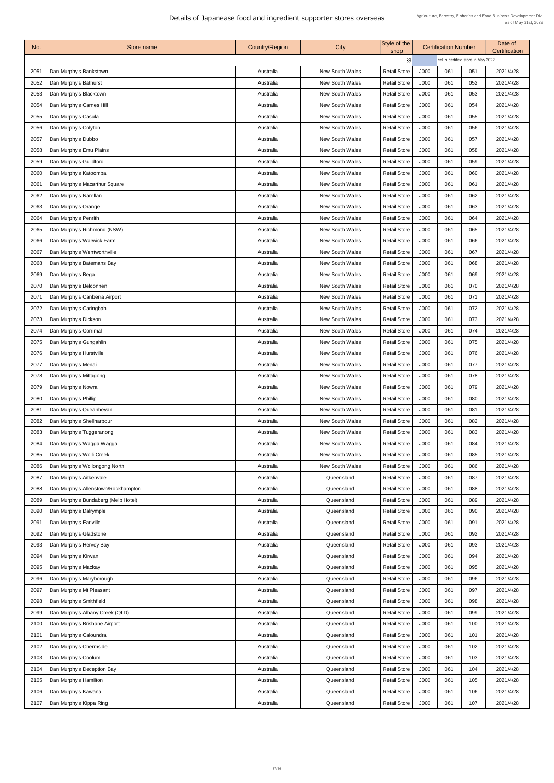| No.  | Store name                          | <b>Country/Region</b> | City                   | Style of the<br>shop |             | <b>Certification Number</b>          |     | Date of<br><b>Certification</b> |
|------|-------------------------------------|-----------------------|------------------------|----------------------|-------------|--------------------------------------|-----|---------------------------------|
|      |                                     |                       |                        | $\times$             |             | cell is certified store in May 2022. |     |                                 |
| 2051 | Dan Murphy's Bankstown              | Australia             | <b>New South Wales</b> | <b>Retail Store</b>  | J000        | 061                                  | 051 | 2021/4/28                       |
| 2052 | Dan Murphy's Bathurst               | Australia             | <b>New South Wales</b> | <b>Retail Store</b>  | J000        | 061                                  | 052 | 2021/4/28                       |
| 2053 | Dan Murphy's Blacktown              | Australia             | <b>New South Wales</b> | <b>Retail Store</b>  | J000        | 061                                  | 053 | 2021/4/28                       |
| 2054 | Dan Murphy's Carnes Hill            | Australia             | <b>New South Wales</b> | <b>Retail Store</b>  | J000        | 061                                  | 054 | 2021/4/28                       |
| 2055 | Dan Murphy's Casula                 | Australia             | <b>New South Wales</b> | <b>Retail Store</b>  | J000        | 061                                  | 055 | 2021/4/28                       |
| 2056 | Dan Murphy's Colyton                | Australia             | <b>New South Wales</b> | <b>Retail Store</b>  | J000        | 061                                  | 056 | 2021/4/28                       |
| 2057 | Dan Murphy's Dubbo                  | Australia             | <b>New South Wales</b> | <b>Retail Store</b>  | J000        | 061                                  | 057 | 2021/4/28                       |
| 2058 | Dan Murphy's Emu Plains             | Australia             | <b>New South Wales</b> | <b>Retail Store</b>  | J000        | 061                                  | 058 | 2021/4/28                       |
| 2059 | Dan Murphy's Guildford              | Australia             | <b>New South Wales</b> | <b>Retail Store</b>  | J000        | 061                                  | 059 | 2021/4/28                       |
| 2060 | Dan Murphy's Katoomba               | Australia             | <b>New South Wales</b> | <b>Retail Store</b>  | J000        | 061                                  | 060 | 2021/4/28                       |
| 2061 | Dan Murphy's Macarthur Square       | Australia             | <b>New South Wales</b> | <b>Retail Store</b>  | J000        | 061                                  | 061 | 2021/4/28                       |
| 2062 | Dan Murphy's Narellan               | Australia             | <b>New South Wales</b> | <b>Retail Store</b>  | J000        | 061                                  | 062 | 2021/4/28                       |
| 2063 | Dan Murphy's Orange                 | Australia             | <b>New South Wales</b> | <b>Retail Store</b>  | <b>J000</b> | 061                                  | 063 | 2021/4/28                       |
| 2064 | Dan Murphy's Penrith                | Australia             | <b>New South Wales</b> | <b>Retail Store</b>  | J000        | 061                                  | 064 | 2021/4/28                       |
| 2065 | Dan Murphy's Richmond (NSW)         | Australia             | <b>New South Wales</b> | <b>Retail Store</b>  | J000        | 061                                  | 065 | 2021/4/28                       |
| 2066 | Dan Murphy's Warwick Farm           | Australia             | <b>New South Wales</b> | <b>Retail Store</b>  | J000        | 061                                  | 066 | 2021/4/28                       |
| 2067 | Dan Murphy's Wentworthville         | Australia             | <b>New South Wales</b> | <b>Retail Store</b>  | J000        | 061                                  | 067 | 2021/4/28                       |
| 2068 | Dan Murphy's Batemans Bay           | Australia             | <b>New South Wales</b> | <b>Retail Store</b>  | J000        | 061                                  | 068 | 2021/4/28                       |
| 2069 | Dan Murphy's Bega                   | Australia             | <b>New South Wales</b> | <b>Retail Store</b>  | J000        | 061                                  | 069 | 2021/4/28                       |
| 2070 | Dan Murphy's Belconnen              | Australia             | <b>New South Wales</b> | <b>Retail Store</b>  | J000        | 061                                  | 070 | 2021/4/28                       |
| 2071 | Dan Murphy's Canberra Airport       | Australia             | <b>New South Wales</b> | <b>Retail Store</b>  | J000        | 061                                  | 071 | 2021/4/28                       |
| 2072 | Dan Murphy's Caringbah              | Australia             | <b>New South Wales</b> | <b>Retail Store</b>  | J000        | 061                                  | 072 | 2021/4/28                       |
| 2073 | Dan Murphy's Dickson                | Australia             | <b>New South Wales</b> | <b>Retail Store</b>  | J000        | 061                                  | 073 | 2021/4/28                       |
| 2074 | Dan Murphy's Corrimal               | Australia             | <b>New South Wales</b> | <b>Retail Store</b>  | J000        | 061                                  | 074 | 2021/4/28                       |
| 2075 | Dan Murphy's Gungahlin              | Australia             | <b>New South Wales</b> | <b>Retail Store</b>  | J000        | 061                                  | 075 | 2021/4/28                       |
| 2076 | Dan Murphy's Hurstville             | Australia             | <b>New South Wales</b> | <b>Retail Store</b>  | J000        | 061                                  | 076 | 2021/4/28                       |
| 2077 | Dan Murphy's Menai                  | Australia             | <b>New South Wales</b> | <b>Retail Store</b>  | J000        | 061                                  | 077 | 2021/4/28                       |
| 2078 | Dan Murphy's Mittagong              | Australia             | <b>New South Wales</b> | <b>Retail Store</b>  | J000        | 061                                  | 078 | 2021/4/28                       |
| 2079 | Dan Murphy's Nowra                  | Australia             | <b>New South Wales</b> | <b>Retail Store</b>  | J000        | 061                                  | 079 | 2021/4/28                       |
| 2080 | Dan Murphy's Phillip                | Australia             | <b>New South Wales</b> | <b>Retail Store</b>  | J000        | 061                                  | 080 | 2021/4/28                       |
| 2081 | Dan Murphy's Queanbeyan             | Australia             | <b>New South Wales</b> | <b>Retail Store</b>  | J000        | 061                                  | 081 | 2021/4/28                       |
| 2082 | Dan Murphy's Shellharbour           | Australia             | <b>New South Wales</b> | <b>Retail Store</b>  | J000        | 061                                  | 082 | 2021/4/28                       |
| 2083 | Dan Murphy's Tuggeranong            | Australia             | <b>New South Wales</b> | <b>Retail Store</b>  | J000        | 061                                  | 083 | 2021/4/28                       |
| 2084 | Dan Murphy's Wagga Wagga            | Australia             | <b>New South Wales</b> | <b>Retail Store</b>  | J000        | 061                                  | 084 | 2021/4/28                       |
| 2085 | Dan Murphy's Wolli Creek            | Australia             | <b>New South Wales</b> | <b>Retail Store</b>  | J000        | 061                                  | 085 | 2021/4/28                       |
| 2086 | Dan Murphy's Wollongong North       | Australia             | <b>New South Wales</b> | <b>Retail Store</b>  | J000        | 061                                  | 086 | 2021/4/28                       |
| 2087 | Dan Murphy's Aitkenvale             | Australia             | Queensland             | <b>Retail Store</b>  | J000        | 061                                  | 087 | 2021/4/28                       |
| 2088 | Dan Murphy's Allenstown/Rockhampton | Australia             | Queensland             | <b>Retail Store</b>  | J000        | 061                                  | 088 | 2021/4/28                       |
| 2089 | Dan Murphy's Bundaberg (Melb Hotel) | Australia             | Queensland             | <b>Retail Store</b>  | J000        | 061                                  | 089 | 2021/4/28                       |
| 2090 | Dan Murphy's Dalrymple              | Australia             | Queensland             | <b>Retail Store</b>  | J000        | 061                                  | 090 | 2021/4/28                       |
| 2091 | Dan Murphy's Earlville              | Australia             | Queensland             | <b>Retail Store</b>  | J000        | 061                                  | 091 | 2021/4/28                       |
| 2092 | Dan Murphy's Gladstone              | Australia             | Queensland             | <b>Retail Store</b>  | J000        | 061                                  | 092 | 2021/4/28                       |
| 2093 | Dan Murphy's Hervey Bay             | Australia             | Queensland             | <b>Retail Store</b>  | J000        | 061                                  | 093 | 2021/4/28                       |
| 2094 | Dan Murphy's Kirwan                 | Australia             | Queensland             | <b>Retail Store</b>  | J000        | 061                                  | 094 | 2021/4/28                       |
| 2095 | Dan Murphy's Mackay                 | Australia             | Queensland             | <b>Retail Store</b>  | J000        | 061                                  | 095 | 2021/4/28                       |
| 2096 | Dan Murphy's Maryborough            | Australia             | Queensland             | <b>Retail Store</b>  | J000        | 061                                  | 096 | 2021/4/28                       |
| 2097 | Dan Murphy's Mt Pleasant            | Australia             | Queensland             | <b>Retail Store</b>  | J000        | 061                                  | 097 | 2021/4/28                       |
| 2098 | Dan Murphy's Smithfield             | Australia             | Queensland             | <b>Retail Store</b>  | J000        | 061                                  | 098 | 2021/4/28                       |
| 2099 | Dan Murphy's Albany Creek (QLD)     | Australia             | Queensland             | <b>Retail Store</b>  | J000        | 061                                  | 099 | 2021/4/28                       |
| 2100 | Dan Murphy's Brisbane Airport       | Australia             | Queensland             | <b>Retail Store</b>  | J000        | 061                                  | 100 | 2021/4/28                       |
| 2101 | Dan Murphy's Caloundra              | Australia             | Queensland             | <b>Retail Store</b>  | J000        | 061                                  | 101 | 2021/4/28                       |
| 2102 | Dan Murphy's Chermside              | Australia             | Queensland             | <b>Retail Store</b>  | J000        | 061                                  | 102 | 2021/4/28                       |
| 2103 | Dan Murphy's Coolum                 | Australia             | Queensland             | <b>Retail Store</b>  | J000        | 061                                  | 103 | 2021/4/28                       |
| 2104 | Dan Murphy's Deception Bay          | Australia             | Queensland             | <b>Retail Store</b>  | J000        | 061                                  | 104 | 2021/4/28                       |
| 2105 | Dan Murphy's Hamilton               | Australia             | Queensland             | <b>Retail Store</b>  | J000        | 061                                  | 105 | 2021/4/28                       |
| 2106 | Dan Murphy's Kawana                 | Australia             | Queensland             | <b>Retail Store</b>  | J000        | 061                                  | 106 | 2021/4/28                       |
| 2107 | Dan Murphy's Kippa Ring             | Australia             | Queensland             | <b>Retail Store</b>  | J000        | 061                                  | 107 | 2021/4/28                       |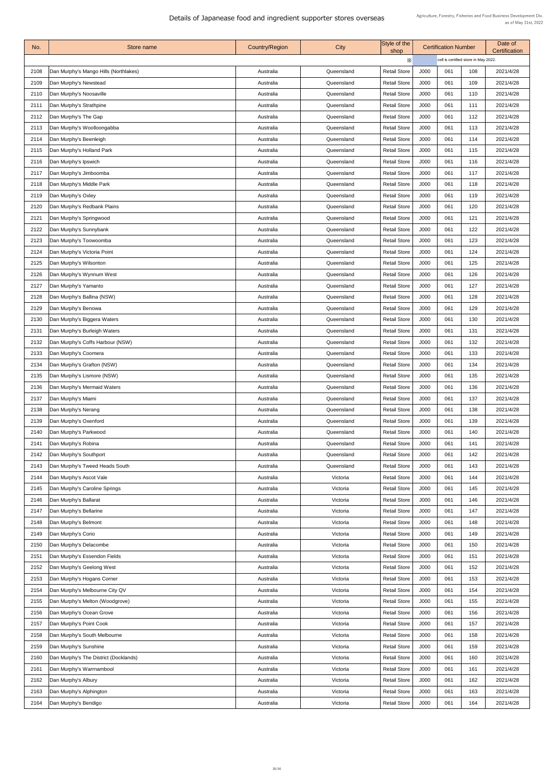| No.  | Store name                            | <b>Country/Region</b> | City       | Style of the<br>shop |             | <b>Certification Number</b>          |     | Date of<br><b>Certification</b> |
|------|---------------------------------------|-----------------------|------------|----------------------|-------------|--------------------------------------|-----|---------------------------------|
|      |                                       |                       |            | $\times$             |             | cell is certified store in May 2022. |     |                                 |
| 2108 | Dan Murphy's Mango Hills (Northlakes) | Australia             | Queensland | <b>Retail Store</b>  | J000        | 061                                  | 108 | 2021/4/28                       |
| 2109 | Dan Murphy's Newstead                 | Australia             | Queensland | <b>Retail Store</b>  | J000        | 061                                  | 109 | 2021/4/28                       |
| 2110 | Dan Murphy's Noosaville               | Australia             | Queensland | <b>Retail Store</b>  | J000        | 061                                  | 110 | 2021/4/28                       |
| 2111 | Dan Murphy's Strathpine               | Australia             | Queensland | <b>Retail Store</b>  | J000        | 061                                  | 111 | 2021/4/28                       |
| 2112 | Dan Murphy's The Gap                  | Australia             | Queensland | <b>Retail Store</b>  | J000        | 061                                  | 112 | 2021/4/28                       |
| 2113 | Dan Murphy's Woolloongabba            | Australia             | Queensland | <b>Retail Store</b>  | J000        | 061                                  | 113 | 2021/4/28                       |
| 2114 | Dan Murphy's Beenleigh                | Australia             | Queensland | <b>Retail Store</b>  | J000        | 061                                  | 114 | 2021/4/28                       |
| 2115 | Dan Murphy's Holland Park             | Australia             | Queensland | <b>Retail Store</b>  | J000        | 061                                  | 115 | 2021/4/28                       |
| 2116 | Dan Murphy's Ipswich                  | Australia             | Queensland | <b>Retail Store</b>  | J000        | 061                                  | 116 | 2021/4/28                       |
| 2117 | Dan Murphy's Jimboomba                | Australia             | Queensland | <b>Retail Store</b>  | J000        | 061                                  | 117 | 2021/4/28                       |
| 2118 | Dan Murphy's Middle Park              | Australia             | Queensland | <b>Retail Store</b>  | J000        | 061                                  | 118 | 2021/4/28                       |
| 2119 | Dan Murphy's Oxley                    | Australia             | Queensland | <b>Retail Store</b>  | J000        | 061                                  | 119 | 2021/4/28                       |
| 2120 | Dan Murphy's Redbank Plains           | Australia             | Queensland | <b>Retail Store</b>  | <b>J000</b> | 061                                  | 120 | 2021/4/28                       |
| 2121 | Dan Murphy's Springwood               | Australia             | Queensland | <b>Retail Store</b>  | J000        | 061                                  | 121 | 2021/4/28                       |
| 2122 | Dan Murphy's Sunnybank                | Australia             | Queensland | <b>Retail Store</b>  | J000        | 061                                  | 122 | 2021/4/28                       |
| 2123 | Dan Murphy's Toowoomba                | Australia             | Queensland | <b>Retail Store</b>  | J000        | 061                                  | 123 | 2021/4/28                       |
| 2124 | Dan Murphy's Victoria Point           | Australia             | Queensland | <b>Retail Store</b>  | J000        | 061                                  | 124 | 2021/4/28                       |
| 2125 | Dan Murphy's Wilsonton                | Australia             | Queensland | <b>Retail Store</b>  | J000        | 061                                  | 125 | 2021/4/28                       |
| 2126 | Dan Murphy's Wynnum West              | Australia             | Queensland | <b>Retail Store</b>  | J000        | 061                                  | 126 | 2021/4/28                       |
| 2127 | Dan Murphy's Yamanto                  | Australia             | Queensland | <b>Retail Store</b>  | J000        | 061                                  | 127 | 2021/4/28                       |
| 2128 | Dan Murphy's Ballina (NSW)            | Australia             | Queensland | <b>Retail Store</b>  | J000        | 061                                  | 128 | 2021/4/28                       |
| 2129 | Dan Murphy's Benowa                   | Australia             | Queensland | <b>Retail Store</b>  | J000        | 061                                  | 129 | 2021/4/28                       |
| 2130 | Dan Murphy's Biggera Waters           | Australia             | Queensland | <b>Retail Store</b>  | J000        | 061                                  | 130 | 2021/4/28                       |
| 2131 | Dan Murphy's Burleigh Waters          | Australia             | Queensland | <b>Retail Store</b>  | J000        | 061                                  | 131 | 2021/4/28                       |
| 2132 | Dan Murphy's Coffs Harbour (NSW)      | Australia             | Queensland | <b>Retail Store</b>  | J000        | 061                                  | 132 | 2021/4/28                       |
| 2133 | Dan Murphy's Coomera                  | Australia             | Queensland | <b>Retail Store</b>  | J000        | 061                                  | 133 | 2021/4/28                       |
| 2134 | Dan Murphy's Grafton (NSW)            | Australia             | Queensland | <b>Retail Store</b>  | J000        | 061                                  | 134 | 2021/4/28                       |
| 2135 | Dan Murphy's Lismore (NSW)            | Australia             | Queensland | <b>Retail Store</b>  | J000        | 061                                  | 135 | 2021/4/28                       |
| 2136 | Dan Murphy's Mermaid Waters           | Australia             | Queensland | <b>Retail Store</b>  | J000        | 061                                  | 136 | 2021/4/28                       |
| 2137 | Dan Murphy's Miami                    | Australia             | Queensland | <b>Retail Store</b>  | J000        | 061                                  | 137 | 2021/4/28                       |
| 2138 | Dan Murphy's Nerang                   | Australia             | Queensland | <b>Retail Store</b>  | J000        | 061                                  | 138 | 2021/4/28                       |
| 2139 | Dan Murphy's Oxenford                 | Australia             | Queensland | <b>Retail Store</b>  | J000        | 061                                  | 139 | 2021/4/28                       |
| 2140 | Dan Murphy's Parkwood                 | Australia             | Queensland | <b>Retail Store</b>  | J000        | 061                                  | 140 | 2021/4/28                       |
| 2141 | Dan Murphy's Robina                   | Australia             | Queensland | <b>Retail Store</b>  | J000        | 061                                  | 141 | 2021/4/28                       |
| 2142 | Dan Murphy's Southport                | Australia             | Queensland | <b>Retail Store</b>  | J000        | 061                                  | 142 | 2021/4/28                       |
| 2143 | Dan Murphy's Tweed Heads South        | Australia             | Queensland | <b>Retail Store</b>  | J000        | 061                                  | 143 | 2021/4/28                       |
| 2144 | Dan Murphy's Ascot Vale               | Australia             | Victoria   | <b>Retail Store</b>  | J000        | 061                                  | 144 | 2021/4/28                       |
| 2145 | Dan Murphy's Caroline Springs         | Australia             | Victoria   | <b>Retail Store</b>  | J000        | 061                                  | 145 | 2021/4/28                       |
| 2146 | Dan Murphy's Ballarat                 | Australia             | Victoria   | <b>Retail Store</b>  | J000        | 061                                  | 146 | 2021/4/28                       |
| 2147 | Dan Murphy's Bellarine                | Australia             | Victoria   | <b>Retail Store</b>  | J000        | 061                                  | 147 | 2021/4/28                       |
| 2148 | Dan Murphy's Belmont                  | Australia             | Victoria   | <b>Retail Store</b>  | J000        | 061                                  | 148 | 2021/4/28                       |
| 2149 | Dan Murphy's Corio                    | Australia             | Victoria   | <b>Retail Store</b>  | J000        | 061                                  | 149 | 2021/4/28                       |
| 2150 | Dan Murphy's Delacombe                | Australia             | Victoria   | <b>Retail Store</b>  | J000        | 061                                  | 150 | 2021/4/28                       |
| 2151 | Dan Murphy's Essendon Fields          | Australia             | Victoria   | <b>Retail Store</b>  | J000        | 061                                  | 151 | 2021/4/28                       |
| 2152 | Dan Murphy's Geelong West             | Australia             | Victoria   | <b>Retail Store</b>  | J000        | 061                                  | 152 | 2021/4/28                       |
| 2153 | Dan Murphy's Hogans Corner            | Australia             | Victoria   | <b>Retail Store</b>  | J000        | 061                                  | 153 | 2021/4/28                       |
| 2154 | Dan Murphy's Melbourne City QV        | Australia             | Victoria   | <b>Retail Store</b>  | J000        | 061                                  | 154 | 2021/4/28                       |
| 2155 | Dan Murphy's Melton (Woodgrove)       | Australia             | Victoria   | <b>Retail Store</b>  | J000        | 061                                  | 155 | 2021/4/28                       |
| 2156 | Dan Murphy's Ocean Grove              | Australia             | Victoria   | <b>Retail Store</b>  | J000        | 061                                  | 156 | 2021/4/28                       |
| 2157 | Dan Murphy's Point Cook               | Australia             | Victoria   | <b>Retail Store</b>  | J000        | 061                                  | 157 | 2021/4/28                       |
| 2158 | Dan Murphy's South Melbourne          | Australia             | Victoria   | <b>Retail Store</b>  | J000        | 061                                  | 158 | 2021/4/28                       |
| 2159 | Dan Murphy's Sunshine                 | Australia             | Victoria   | <b>Retail Store</b>  | J000        | 061                                  | 159 | 2021/4/28                       |
| 2160 | Dan Murphy's The District (Docklands) | Australia             | Victoria   | <b>Retail Store</b>  | J000        | 061                                  | 160 | 2021/4/28                       |
| 2161 | Dan Murphy's Warrnambool              | Australia             | Victoria   | <b>Retail Store</b>  | J000        | 061                                  | 161 | 2021/4/28                       |
| 2162 | Dan Murphy's Albury                   | Australia             | Victoria   | <b>Retail Store</b>  | J000        | 061                                  | 162 | 2021/4/28                       |
| 2163 | Dan Murphy's Alphington               | Australia             | Victoria   | <b>Retail Store</b>  | J000        | 061                                  | 163 | 2021/4/28                       |
| 2164 | Dan Murphy's Bendigo                  | Australia             | Victoria   | <b>Retail Store</b>  | J000        | 061                                  | 164 | 2021/4/28                       |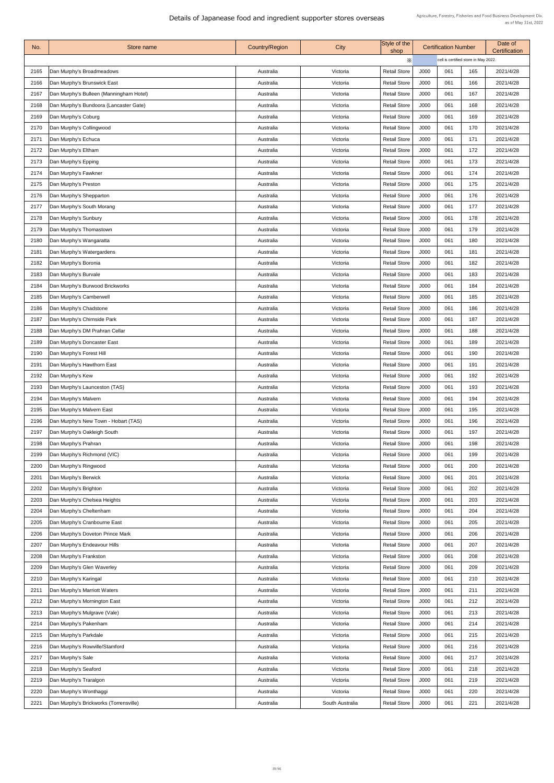| No.  | Store name                              | <b>Country/Region</b> | City            | Style of the<br>shop |      | <b>Certification Number</b>          |     | Date of<br><b>Certification</b> |
|------|-----------------------------------------|-----------------------|-----------------|----------------------|------|--------------------------------------|-----|---------------------------------|
|      |                                         |                       |                 | $\times$             |      | cell is certified store in May 2022. |     |                                 |
| 2165 | Dan Murphy's Broadmeadows               | Australia             | Victoria        | <b>Retail Store</b>  | J000 | 061                                  | 165 | 2021/4/28                       |
| 2166 | Dan Murphy's Brunswick East             | Australia             | Victoria        | <b>Retail Store</b>  | J000 | 061                                  | 166 | 2021/4/28                       |
| 2167 | Dan Murphy's Bulleen (Manningham Hotel) | Australia             | Victoria        | <b>Retail Store</b>  | J000 | 061                                  | 167 | 2021/4/28                       |
| 2168 | Dan Murphy's Bundoora (Lancaster Gate)  | Australia             | Victoria        | <b>Retail Store</b>  | J000 | 061                                  | 168 | 2021/4/28                       |
| 2169 | Dan Murphy's Coburg                     | Australia             | Victoria        | <b>Retail Store</b>  | J000 | 061                                  | 169 | 2021/4/28                       |
| 2170 | Dan Murphy's Collingwood                | Australia             | Victoria        | <b>Retail Store</b>  | J000 | 061                                  | 170 | 2021/4/28                       |
| 2171 | Dan Murphy's Echuca                     | Australia             | Victoria        | <b>Retail Store</b>  | J000 | 061                                  | 171 | 2021/4/28                       |
| 2172 | Dan Murphy's Eltham                     | Australia             | Victoria        | <b>Retail Store</b>  | J000 | 061                                  | 172 | 2021/4/28                       |
| 2173 | Dan Murphy's Epping                     | Australia             | Victoria        | <b>Retail Store</b>  | J000 | 061                                  | 173 | 2021/4/28                       |
| 2174 | Dan Murphy's Fawkner                    | Australia             | Victoria        | <b>Retail Store</b>  | J000 | 061                                  | 174 | 2021/4/28                       |
| 2175 | Dan Murphy's Preston                    | Australia             | Victoria        | <b>Retail Store</b>  | J000 | 061                                  | 175 | 2021/4/28                       |
| 2176 | Dan Murphy's Shepparton                 | Australia             | Victoria        | <b>Retail Store</b>  | J000 | 061                                  | 176 | 2021/4/28                       |
| 2177 | Dan Murphy's South Morang               | Australia             | Victoria        | <b>Retail Store</b>  | J000 | 061                                  | 177 | 2021/4/28                       |
| 2178 | Dan Murphy's Sunbury                    | Australia             | Victoria        | <b>Retail Store</b>  | J000 | 061                                  | 178 | 2021/4/28                       |
| 2179 | Dan Murphy's Thomastown                 | Australia             | Victoria        | <b>Retail Store</b>  | J000 | 061                                  | 179 | 2021/4/28                       |
| 2180 | Dan Murphy's Wangaratta                 | Australia             | Victoria        | <b>Retail Store</b>  | J000 | 061                                  | 180 | 2021/4/28                       |
| 2181 | Dan Murphy's Watergardens               | Australia             | Victoria        | <b>Retail Store</b>  | J000 | 061                                  | 181 | 2021/4/28                       |
| 2182 | Dan Murphy's Boronia                    | Australia             | Victoria        | <b>Retail Store</b>  | J000 | 061                                  | 182 | 2021/4/28                       |
| 2183 | Dan Murphy's Burvale                    | Australia             | Victoria        | <b>Retail Store</b>  | J000 | 061                                  | 183 | 2021/4/28                       |
| 2184 | Dan Murphy's Burwood Brickworks         | Australia             | Victoria        | <b>Retail Store</b>  | J000 | 061                                  | 184 | 2021/4/28                       |
| 2185 | Dan Murphy's Camberwell                 | Australia             | Victoria        | <b>Retail Store</b>  | J000 | 061                                  | 185 | 2021/4/28                       |
| 2186 | Dan Murphy's Chadstone                  | Australia             | Victoria        | <b>Retail Store</b>  | J000 | 061                                  | 186 | 2021/4/28                       |
| 2187 | Dan Murphy's Chirnside Park             | Australia             | Victoria        | <b>Retail Store</b>  | J000 | 061                                  | 187 | 2021/4/28                       |
| 2188 | Dan Murphy's DM Prahran Cellar          | Australia             | Victoria        | <b>Retail Store</b>  | J000 | 061                                  | 188 | 2021/4/28                       |
| 2189 | Dan Murphy's Doncaster East             | Australia             | Victoria        | <b>Retail Store</b>  | J000 | 061                                  | 189 | 2021/4/28                       |
| 2190 | Dan Murphy's Forest Hill                | Australia             | Victoria        | <b>Retail Store</b>  | J000 | 061                                  | 190 | 2021/4/28                       |
| 2191 | Dan Murphy's Hawthorn East              | Australia             | Victoria        | <b>Retail Store</b>  | J000 | 061                                  | 191 | 2021/4/28                       |
| 2192 | Dan Murphy's Kew                        | Australia             | Victoria        | <b>Retail Store</b>  | J000 | 061                                  | 192 | 2021/4/28                       |
| 2193 | Dan Murphy's Launceston (TAS)           | Australia             | Victoria        | <b>Retail Store</b>  | J000 | 061                                  | 193 | 2021/4/28                       |
| 2194 | Dan Murphy's Malvern                    | Australia             | Victoria        | <b>Retail Store</b>  | J000 | 061                                  | 194 | 2021/4/28                       |
| 2195 | Dan Murphy's Malvern East               | Australia             | Victoria        | <b>Retail Store</b>  | J000 | 061                                  | 195 | 2021/4/28                       |
| 2196 | Dan Murphy's New Town - Hobart (TAS)    | Australia             | Victoria        | <b>Retail Store</b>  | J000 | 061                                  | 196 | 2021/4/28                       |
| 2197 | Dan Murphy's Oakleigh South             | Australia             | Victoria        | <b>Retail Store</b>  | J000 | 061                                  | 197 | 2021/4/28                       |
| 2198 | Dan Murphy's Prahran                    | Australia             | Victoria        | <b>Retail Store</b>  | J000 | 061                                  | 198 | 2021/4/28                       |
| 2199 | Dan Murphy's Richmond (VIC)             | Australia             | Victoria        | <b>Retail Store</b>  | J000 | 061                                  | 199 | 2021/4/28                       |
| 2200 | Dan Murphy's Ringwood                   | Australia             | Victoria        | <b>Retail Store</b>  | J000 | 061                                  | 200 | 2021/4/28                       |
| 2201 | Dan Murphy's Berwick                    | Australia             | Victoria        | <b>Retail Store</b>  | J000 | 061                                  | 201 | 2021/4/28                       |
| 2202 | Dan Murphy's Brighton                   | Australia             | Victoria        | <b>Retail Store</b>  | J000 | 061                                  | 202 | 2021/4/28                       |
| 2203 | Dan Murphy's Chelsea Heights            | Australia             | Victoria        | <b>Retail Store</b>  | J000 | 061                                  | 203 | 2021/4/28                       |
| 2204 | Dan Murphy's Cheltenham                 | Australia             | Victoria        | <b>Retail Store</b>  | J000 | 061                                  | 204 | 2021/4/28                       |
| 2205 | Dan Murphy's Cranbourne East            | Australia             | Victoria        | <b>Retail Store</b>  | J000 | 061                                  | 205 | 2021/4/28                       |
| 2206 | Dan Murphy's Doveton Prince Mark        | Australia             | Victoria        | <b>Retail Store</b>  | J000 | 061                                  | 206 | 2021/4/28                       |
| 2207 | Dan Murphy's Endeavour Hills            | Australia             | Victoria        | <b>Retail Store</b>  | J000 | 061                                  | 207 | 2021/4/28                       |
| 2208 | Dan Murphy's Frankston                  | Australia             | Victoria        | <b>Retail Store</b>  | J000 | 061                                  | 208 | 2021/4/28                       |
| 2209 | Dan Murphy's Glen Waverley              | Australia             | Victoria        | <b>Retail Store</b>  | J000 | 061                                  | 209 | 2021/4/28                       |
| 2210 | Dan Murphy's Karingal                   | Australia             | Victoria        | <b>Retail Store</b>  | J000 | 061                                  | 210 | 2021/4/28                       |
| 2211 | Dan Murphy's Marriott Waters            | Australia             | Victoria        | <b>Retail Store</b>  | J000 | 061                                  | 211 | 2021/4/28                       |
| 2212 | Dan Murphy's Mornington East            | Australia             | Victoria        | <b>Retail Store</b>  | J000 | 061                                  | 212 | 2021/4/28                       |
| 2213 | Dan Murphy's Mulgrave (Vale)            | Australia             | Victoria        | <b>Retail Store</b>  | J000 | 061                                  | 213 | 2021/4/28                       |
| 2214 | Dan Murphy's Pakenham                   | Australia             | Victoria        | <b>Retail Store</b>  | J000 | 061                                  | 214 | 2021/4/28                       |
| 2215 | Dan Murphy's Parkdale                   | Australia             | Victoria        | <b>Retail Store</b>  | J000 | 061                                  | 215 | 2021/4/28                       |
| 2216 | Dan Murphy's Rowville/Stamford          | Australia             | Victoria        | <b>Retail Store</b>  | J000 | 061                                  | 216 | 2021/4/28                       |
| 2217 | Dan Murphy's Sale                       | Australia             | Victoria        | <b>Retail Store</b>  | J000 | 061                                  | 217 | 2021/4/28                       |
| 2218 | Dan Murphy's Seaford                    | Australia             | Victoria        | <b>Retail Store</b>  | J000 | 061                                  | 218 | 2021/4/28                       |
| 2219 | Dan Murphy's Traralgon                  | Australia             | Victoria        | <b>Retail Store</b>  | J000 | 061                                  | 219 | 2021/4/28                       |
| 2220 | Dan Murphy's Wonthaggi                  | Australia             | Victoria        | <b>Retail Store</b>  | J000 | 061                                  | 220 | 2021/4/28                       |
| 2221 | Dan Murphy's Brickworks (Torrensville)  | Australia             | South Australia | <b>Retail Store</b>  | J000 | 061                                  | 221 | 2021/4/28                       |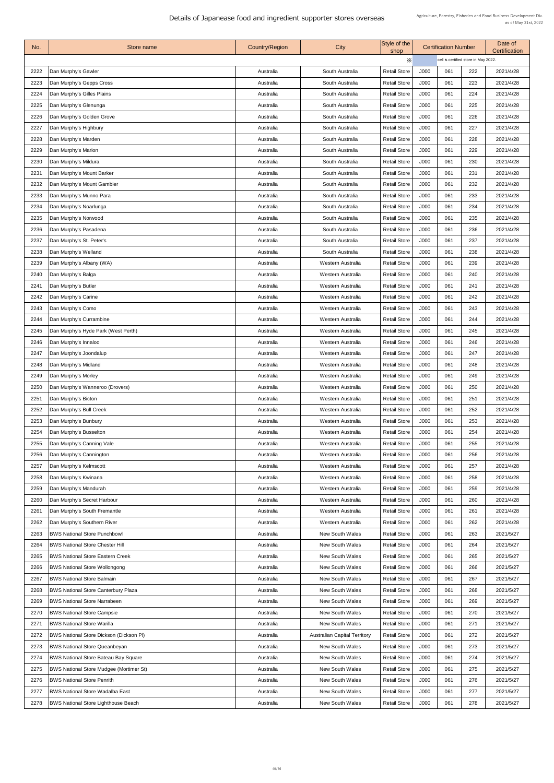| No.  | Store name                                     | <b>Country/Region</b> | City                                | Style of the<br>shop |             | <b>Certification Number</b>          |     | Date of<br><b>Certification</b> |
|------|------------------------------------------------|-----------------------|-------------------------------------|----------------------|-------------|--------------------------------------|-----|---------------------------------|
|      |                                                |                       |                                     | X                    |             | cell is certified store in May 2022. |     |                                 |
| 2222 | Dan Murphy's Gawler                            | Australia             | South Australia                     | <b>Retail Store</b>  | J000        | 061                                  | 222 | 2021/4/28                       |
| 2223 | Dan Murphy's Gepps Cross                       | Australia             | South Australia                     | <b>Retail Store</b>  | J000        | 061                                  | 223 | 2021/4/28                       |
| 2224 | Dan Murphy's Gilles Plains                     | Australia             | South Australia                     | <b>Retail Store</b>  | J000        | 061                                  | 224 | 2021/4/28                       |
| 2225 | Dan Murphy's Glenunga                          | Australia             | South Australia                     | <b>Retail Store</b>  | J000        | 061                                  | 225 | 2021/4/28                       |
| 2226 | Dan Murphy's Golden Grove                      | Australia             | South Australia                     | <b>Retail Store</b>  | J000        | 061                                  | 226 | 2021/4/28                       |
| 2227 | Dan Murphy's Highbury                          | Australia             | South Australia                     | <b>Retail Store</b>  | J000        | 061                                  | 227 | 2021/4/28                       |
| 2228 | Dan Murphy's Marden                            | Australia             | South Australia                     | <b>Retail Store</b>  | J000        | 061                                  | 228 | 2021/4/28                       |
| 2229 | Dan Murphy's Marion                            | Australia             | South Australia                     | <b>Retail Store</b>  | J000        | 061                                  | 229 | 2021/4/28                       |
| 2230 | Dan Murphy's Mildura                           | Australia             | South Australia                     | <b>Retail Store</b>  | J000        | 061                                  | 230 | 2021/4/28                       |
| 2231 | Dan Murphy's Mount Barker                      | Australia             | South Australia                     | <b>Retail Store</b>  | J000        | 061                                  | 231 | 2021/4/28                       |
| 2232 | Dan Murphy's Mount Gambier                     | Australia             | South Australia                     | <b>Retail Store</b>  | J000        | 061                                  | 232 | 2021/4/28                       |
| 2233 | Dan Murphy's Munno Para                        | Australia             | South Australia                     | <b>Retail Store</b>  | J000        | 061                                  | 233 | 2021/4/28                       |
| 2234 | Dan Murphy's Noarlunga                         | Australia             | South Australia                     | <b>Retail Store</b>  | <b>J000</b> | 061                                  | 234 | 2021/4/28                       |
| 2235 | Dan Murphy's Norwood                           | Australia             | South Australia                     | <b>Retail Store</b>  | J000        | 061                                  | 235 | 2021/4/28                       |
| 2236 | Dan Murphy's Pasadena                          | Australia             | South Australia                     | <b>Retail Store</b>  | J000        | 061                                  | 236 | 2021/4/28                       |
| 2237 | Dan Murphy's St. Peter's                       | Australia             | South Australia                     | <b>Retail Store</b>  | J000        | 061                                  | 237 | 2021/4/28                       |
| 2238 | Dan Murphy's Welland                           | Australia             | South Australia                     | <b>Retail Store</b>  | J000        | 061                                  | 238 | 2021/4/28                       |
| 2239 | Dan Murphy's Albany (WA)                       | Australia             | <b>Western Australia</b>            | <b>Retail Store</b>  | J000        | 061                                  | 239 | 2021/4/28                       |
| 2240 | Dan Murphy's Balga                             | Australia             | Western Australia                   | <b>Retail Store</b>  | J000        | 061                                  | 240 | 2021/4/28                       |
| 2241 | Dan Murphy's Butler                            | Australia             | Western Australia                   | <b>Retail Store</b>  | J000        | 061                                  | 241 | 2021/4/28                       |
| 2242 | Dan Murphy's Carine                            | Australia             | Western Australia                   | <b>Retail Store</b>  | J000        | 061                                  | 242 | 2021/4/28                       |
| 2243 | Dan Murphy's Como                              | Australia             | Western Australia                   | <b>Retail Store</b>  | J000        | 061                                  | 243 | 2021/4/28                       |
| 2244 | Dan Murphy's Currambine                        | Australia             | Western Australia                   | <b>Retail Store</b>  | J000        | 061                                  | 244 | 2021/4/28                       |
| 2245 | Dan Murphy's Hyde Park (West Perth)            | Australia             | Western Australia                   | <b>Retail Store</b>  | J000        | 061                                  | 245 | 2021/4/28                       |
| 2246 | Dan Murphy's Innaloo                           | Australia             | Western Australia                   | <b>Retail Store</b>  | J000        | 061                                  | 246 | 2021/4/28                       |
|      |                                                |                       |                                     |                      | J000        | 061                                  | 247 |                                 |
| 2247 | Dan Murphy's Joondalup                         | Australia             | <b>Western Australia</b>            | <b>Retail Store</b>  |             |                                      |     | 2021/4/28                       |
| 2248 | Dan Murphy's Midland                           | Australia             | Western Australia                   | <b>Retail Store</b>  | J000        | 061                                  | 248 | 2021/4/28                       |
| 2249 | Dan Murphy's Morley                            | Australia             | Western Australia                   | <b>Retail Store</b>  | J000        | 061                                  | 249 | 2021/4/28                       |
| 2250 | Dan Murphy's Wanneroo (Drovers)                | Australia             | Western Australia                   | <b>Retail Store</b>  | J000        | 061                                  | 250 | 2021/4/28                       |
| 2251 | Dan Murphy's Bicton                            | Australia             | Western Australia                   | <b>Retail Store</b>  | J000        | 061                                  | 251 | 2021/4/28                       |
| 2252 | Dan Murphy's Bull Creek                        | Australia             | Western Australia                   | <b>Retail Store</b>  | J000        | 061                                  | 252 | 2021/4/28                       |
| 2253 | Dan Murphy's Bunbury                           | Australia             | Western Australia                   | <b>Retail Store</b>  | J000        | 061                                  | 253 | 2021/4/28                       |
| 2254 | Dan Murphy's Busselton                         | Australia             | Western Australia                   | <b>Retail Store</b>  | J000        | 061                                  | 254 | 2021/4/28                       |
| 2255 | Dan Murphy's Canning Vale                      | Australia             | Western Australia                   | <b>Retail Store</b>  | J000        | 061                                  | 255 | 2021/4/28                       |
| 2256 | Dan Murphy's Cannington                        | Australia             | Western Australia                   | <b>Retail Store</b>  | J000        | 061                                  | 256 | 2021/4/28                       |
| 2257 | Dan Murphy's Kelmscott                         | Australia             | Western Australia                   | <b>Retail Store</b>  | J000        | 061                                  | 257 | 2021/4/28                       |
| 2258 | Dan Murphy's Kwinana                           | Australia             | Western Australia                   | <b>Retail Store</b>  | J000        | 061                                  | 258 | 2021/4/28                       |
| 2259 | Dan Murphy's Mandurah                          | Australia             | Western Australia                   | <b>Retail Store</b>  | J000        | 061                                  | 259 | 2021/4/28                       |
| 2260 | Dan Murphy's Secret Harbour                    | Australia             | Western Australia                   | <b>Retail Store</b>  | J000        | 061                                  | 260 | 2021/4/28                       |
| 2261 | Dan Murphy's South Fremantle                   | Australia             | Western Australia                   | <b>Retail Store</b>  | J000        | 061                                  | 261 | 2021/4/28                       |
| 2262 | Dan Murphy's Southern River                    | Australia             | Western Australia                   | <b>Retail Store</b>  | J000        | 061                                  | 262 | 2021/4/28                       |
| 2263 | <b>BWS National Store Punchbowl</b>            | Australia             | <b>New South Wales</b>              | <b>Retail Store</b>  | <b>J000</b> | 061                                  | 263 | 2021/5/27                       |
| 2264 | <b>BWS National Store Chester Hill</b>         | Australia             | <b>New South Wales</b>              | <b>Retail Store</b>  | <b>J000</b> | 061                                  | 264 | 2021/5/27                       |
| 2265 | <b>BWS National Store Eastern Creek</b>        | Australia             | <b>New South Wales</b>              | <b>Retail Store</b>  | J000        | 061                                  | 265 | 2021/5/27                       |
| 2266 | <b>BWS National Store Wollongong</b>           | Australia             | <b>New South Wales</b>              | <b>Retail Store</b>  | J000        | 061                                  | 266 | 2021/5/27                       |
| 2267 | <b>BWS National Store Balmain</b>              | Australia             | <b>New South Wales</b>              | <b>Retail Store</b>  | J000        | 061                                  | 267 | 2021/5/27                       |
| 2268 | <b>BWS National Store Canterbury Plaza</b>     | Australia             | <b>New South Wales</b>              | <b>Retail Store</b>  | J000        | 061                                  | 268 | 2021/5/27                       |
| 2269 | <b>BWS National Store Narrabeen</b>            | Australia             | <b>New South Wales</b>              | <b>Retail Store</b>  | J000        | 061                                  | 269 | 2021/5/27                       |
| 2270 | <b>BWS National Store Campsie</b>              | Australia             | <b>New South Wales</b>              | <b>Retail Store</b>  | J000        | 061                                  | 270 | 2021/5/27                       |
| 2271 | <b>BWS National Store Warilla</b>              | Australia             | <b>New South Wales</b>              | <b>Retail Store</b>  | J000        | 061                                  | 271 | 2021/5/27                       |
| 2272 | <b>BWS National Store Dickson (Dickson PI)</b> | Australia             | <b>Australian Capital Territory</b> | <b>Retail Store</b>  | J000        | 061                                  | 272 | 2021/5/27                       |
| 2273 | <b>BWS National Store Queanbeyan</b>           | Australia             | <b>New South Wales</b>              | <b>Retail Store</b>  | J000        | 061                                  | 273 | 2021/5/27                       |
| 2274 | <b>BWS National Store Bateau Bay Square</b>    | Australia             | <b>New South Wales</b>              | <b>Retail Store</b>  | J000        | 061                                  | 274 | 2021/5/27                       |
| 2275 | <b>BWS National Store Mudgee (Mortimer St)</b> | Australia             | <b>New South Wales</b>              | <b>Retail Store</b>  | J000        | 061                                  | 275 | 2021/5/27                       |
| 2276 | <b>BWS National Store Penrith</b>              | Australia             | <b>New South Wales</b>              | <b>Retail Store</b>  | J000        | 061                                  | 276 | 2021/5/27                       |
| 2277 | <b>BWS National Store Wadalba East</b>         | Australia             | <b>New South Wales</b>              | <b>Retail Store</b>  | J000        | 061                                  | 277 | 2021/5/27                       |
| 2278 | <b>BWS National Store Lighthouse Beach</b>     | Australia             | <b>New South Wales</b>              | <b>Retail Store</b>  | J000        | 061                                  | 278 | 2021/5/27                       |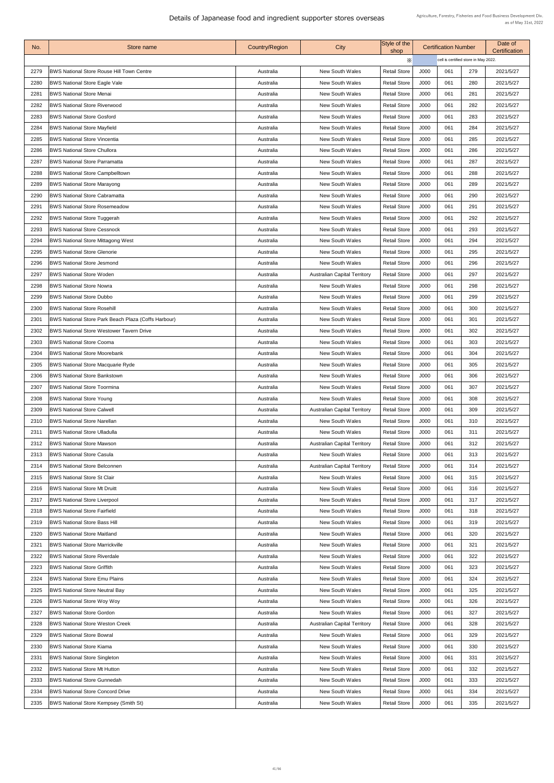| No.          | Store name                                                                 | <b>Country/Region</b>  | City                                             | Style of the<br>shop                       |              | <b>Certification Number</b> |                                      | Date of<br><b>Certification</b> |
|--------------|----------------------------------------------------------------------------|------------------------|--------------------------------------------------|--------------------------------------------|--------------|-----------------------------|--------------------------------------|---------------------------------|
|              |                                                                            |                        |                                                  | $\times$                                   |              |                             | cell is certified store in May 2022. |                                 |
| 2279         | <b>BWS National Store Rouse Hill Town Centre</b>                           | Australia              | <b>New South Wales</b>                           | <b>Retail Store</b>                        | J000         | 061                         | 279                                  | 2021/5/27                       |
| 2280         | <b>BWS National Store Eagle Vale</b>                                       | Australia              | <b>New South Wales</b>                           | <b>Retail Store</b>                        | J000         | 061                         | 280                                  | 2021/5/27                       |
| 2281         | <b>BWS National Store Menai</b>                                            | Australia              | <b>New South Wales</b>                           | <b>Retail Store</b>                        | J000         | 061                         | 281                                  | 2021/5/27                       |
| 2282         | <b>BWS National Store Riverwood</b>                                        | Australia              | <b>New South Wales</b>                           | <b>Retail Store</b>                        | J000         | 061                         | 282                                  | 2021/5/27                       |
| 2283         | <b>BWS National Store Gosford</b>                                          | Australia              | <b>New South Wales</b>                           | <b>Retail Store</b>                        | J000         | 061                         | 283                                  | 2021/5/27                       |
| 2284         | <b>BWS National Store Mayfield</b>                                         | Australia              | <b>New South Wales</b>                           | <b>Retail Store</b>                        | J000         | 061                         | 284                                  | 2021/5/27                       |
| 2285         | <b>BWS National Store Vincentia</b>                                        | Australia              | <b>New South Wales</b>                           | <b>Retail Store</b>                        | J000         | 061                         | 285                                  | 2021/5/27                       |
| 2286         | <b>BWS National Store Chullora</b>                                         | Australia              | <b>New South Wales</b>                           | <b>Retail Store</b>                        | J000         | 061                         | 286                                  | 2021/5/27                       |
| 2287         | <b>BWS National Store Parramatta</b>                                       | Australia              | <b>New South Wales</b>                           | <b>Retail Store</b>                        | J000         | 061                         | 287                                  | 2021/5/27                       |
| 2288         | <b>BWS National Store Campbelltown</b>                                     | Australia              | <b>New South Wales</b>                           | <b>Retail Store</b>                        | J000         | 061                         | 288                                  | 2021/5/27                       |
| 2289         | <b>BWS National Store Marayong</b>                                         | Australia              | <b>New South Wales</b>                           | <b>Retail Store</b>                        | J000         | 061                         | 289                                  | 2021/5/27                       |
| 2290         | <b>BWS National Store Cabramatta</b>                                       | Australia              | <b>New South Wales</b>                           | <b>Retail Store</b>                        | J000         | 061                         | 290                                  | 2021/5/27                       |
| 2291         | <b>BWS National Store Rosemeadow</b>                                       | Australia              | <b>New South Wales</b>                           | <b>Retail Store</b>                        | J000         | 061                         | 291                                  | 2021/5/27                       |
| 2292         | <b>BWS National Store Tuggerah</b>                                         | Australia              | <b>New South Wales</b>                           | <b>Retail Store</b>                        | J000         | 061                         | 292                                  | 2021/5/27                       |
| 2293         | <b>BWS National Store Cessnock</b>                                         | Australia              | <b>New South Wales</b>                           | <b>Retail Store</b>                        | J000         | 061                         | 293                                  | 2021/5/27                       |
| 2294         | <b>BWS National Store Mittagong West</b>                                   | Australia              | <b>New South Wales</b>                           | <b>Retail Store</b>                        | J000         | 061                         | 294                                  | 2021/5/27                       |
| 2295         | <b>BWS National Store Glenorie</b>                                         | Australia              | <b>New South Wales</b>                           | <b>Retail Store</b>                        | J000         | 061                         | 295                                  | 2021/5/27                       |
| 2296         | <b>BWS National Store Jesmond</b>                                          | Australia              | <b>New South Wales</b>                           | <b>Retail Store</b>                        | J000         | 061                         | 296                                  | 2021/5/27                       |
| 2297         | <b>BWS National Store Woden</b>                                            | Australia              | <b>Australian Capital Territory</b>              | <b>Retail Store</b>                        | J000         | 061                         | 297                                  | 2021/5/27                       |
| 2298         | <b>BWS National Store Nowra</b>                                            | Australia              | <b>New South Wales</b>                           | <b>Retail Store</b>                        | J000         | 061                         | 298                                  | 2021/5/27                       |
| 2299         | <b>BWS National Store Dubbo</b>                                            | Australia              | <b>New South Wales</b>                           | <b>Retail Store</b>                        | J000         | 061                         | 299                                  | 2021/5/27                       |
| 2300         | <b>BWS National Store Rosehill</b>                                         | Australia              | <b>New South Wales</b>                           | <b>Retail Store</b>                        | J000         | 061                         | 300                                  | 2021/5/27                       |
| 2301         | <b>BWS National Store Park Beach Plaza (Coffs Harbour)</b>                 | Australia              | <b>New South Wales</b>                           | <b>Retail Store</b>                        | J000         | 061                         | 301                                  | 2021/5/27                       |
| 2302         | <b>BWS National Store Westower Tavern Drive</b>                            | Australia              | <b>New South Wales</b>                           | <b>Retail Store</b>                        | J000         | 061                         | 302                                  | 2021/5/27                       |
| 2303         | <b>BWS National Store Cooma</b>                                            | Australia              | <b>New South Wales</b>                           | <b>Retail Store</b>                        | J000         | 061                         | 303                                  | 2021/5/27                       |
| 2304         | <b>BWS National Store Moorebank</b>                                        | Australia              | <b>New South Wales</b>                           | <b>Retail Store</b>                        | J000         | 061                         | 304                                  | 2021/5/27                       |
|              | 2305   BWS National Store Macquarie Ryde                                   | Australia              | <b>New South Wales</b>                           | <b>Retail Store</b>                        | J000         | 061                         | 305                                  | 2021/5/27                       |
| 2306         | <b>BWS National Store Bankstown</b>                                        | Australia              | <b>New South Wales</b>                           | <b>Retail Store</b>                        | J000         | 061                         | 306                                  | 2021/5/27                       |
| 2307         | <b>BWS National Store Toormina</b>                                         | Australia              | <b>New South Wales</b>                           | <b>Retail Store</b>                        | J000         | 061                         | 307                                  | 2021/5/27                       |
| 2308         | <b>BWS National Store Young</b>                                            | Australia              | <b>New South Wales</b>                           | <b>Retail Store</b>                        | J000         | 061                         | 308                                  | 2021/5/27                       |
| 2309         | <b>BWS National Store Calwell</b>                                          | Australia              | <b>Australian Capital Territory</b>              | <b>Retail Store</b>                        | J000         | 061                         | 309                                  | 2021/5/27                       |
| 2310         | <b>BWS National Store Narellan</b>                                         | Australia              | <b>New South Wales</b>                           | <b>Retail Store</b>                        | J000         | 061                         | 310                                  | 2021/5/27                       |
| 2311         | <b>BWS National Store Ulladulla</b>                                        | Australia              | <b>New South Wales</b>                           | <b>Retail Store</b>                        | J000         | 061                         | 311                                  | 2021/5/27                       |
| 2312         | <b>BWS National Store Mawson</b>                                           | Australia              | <b>Australian Capital Territory</b>              | <b>Retail Store</b>                        | J000         | 061                         | 312                                  | 2021/5/27                       |
| 2313         | <b>BWS National Store Casula</b>                                           | Australia              | <b>New South Wales</b>                           | <b>Retail Store</b>                        | J000         | 061                         | 313                                  | 2021/5/27                       |
| 2314         | <b>BWS National Store Belconnen</b>                                        | Australia              | <b>Australian Capital Territory</b>              | <b>Retail Store</b>                        | J000         | 061                         | 314                                  | 2021/5/27                       |
| 2315         | <b>BWS National Store St Clair</b>                                         | Australia              | <b>New South Wales</b>                           | <b>Retail Store</b>                        | J000         | 061                         | 315                                  | 2021/5/27                       |
| 2316         | <b>BWS National Store Mt Druitt</b>                                        | Australia              | <b>New South Wales</b>                           | <b>Retail Store</b>                        | J000         | 061                         | 316                                  | 2021/5/27                       |
|              | <b>BWS National Store Liverpool</b>                                        |                        | <b>New South Wales</b>                           | <b>Retail Store</b>                        | J000         | 061                         | 317                                  |                                 |
| 2317         |                                                                            | Australia              |                                                  |                                            |              |                             |                                      | 2021/5/27                       |
| 2318         | <b>BWS National Store Fairfield</b><br><b>BWS National Store Bass Hill</b> | Australia              | <b>New South Wales</b><br><b>New South Wales</b> | <b>Retail Store</b>                        | J000<br>J000 | 061<br>061                  | 318<br>319                           | 2021/5/27                       |
| 2319         | <b>IBWS National Store Maitland</b>                                        | Australia<br>Australia | <b>New South Wales</b>                           | <b>Retail Store</b><br><b>Retail Store</b> | J000         | 061                         | 320                                  | 2021/5/27<br>2021/5/27          |
| 2320<br>2321 | <b>BWS National Store Marrickville</b>                                     |                        | <b>New South Wales</b>                           | <b>Retail Store</b>                        | J000         | 061                         | 321                                  |                                 |
|              | <b>BWS National Store Riverdale</b>                                        | Australia              |                                                  |                                            | J000         | 061                         |                                      | 2021/5/27                       |
| 2322<br>2323 | <b>BWS National Store Griffith</b>                                         | Australia              | <b>New South Wales</b><br><b>New South Wales</b> | <b>Retail Store</b><br><b>Retail Store</b> | J000         | 061                         | 322<br>323                           | 2021/5/27                       |
|              |                                                                            | Australia              |                                                  |                                            |              |                             |                                      | 2021/5/27                       |
| 2324         | <b>BWS National Store Emu Plains</b>                                       | Australia              | <b>New South Wales</b>                           | <b>Retail Store</b>                        | J000         | 061                         | 324                                  | 2021/5/27                       |
| 2325         | <b>BWS National Store Neutral Bay</b>                                      | Australia              | <b>New South Wales</b>                           | <b>Retail Store</b>                        | J000         | 061                         | 325                                  | 2021/5/27                       |
| 2326         | <b>BWS National Store Woy Woy</b>                                          | Australia              | <b>New South Wales</b>                           | <b>Retail Store</b>                        | J000         | 061                         | 326                                  | 2021/5/27                       |
| 2327         | <b>BWS National Store Gordon</b>                                           | Australia              | <b>New South Wales</b>                           | <b>Retail Store</b>                        | J000         | 061                         | 327                                  | 2021/5/27                       |
| 2328         | <b>BWS National Store Weston Creek</b>                                     | Australia              | <b>Australian Capital Territory</b>              | <b>Retail Store</b>                        | J000         | 061                         | 328                                  | 2021/5/27                       |
| 2329         | <b>BWS National Store Bowral</b>                                           | Australia              | <b>New South Wales</b>                           | <b>Retail Store</b>                        | J000         | 061                         | 329                                  | 2021/5/27                       |
| 2330         | <b>BWS National Store Kiama</b>                                            | Australia              | <b>New South Wales</b>                           | <b>Retail Store</b>                        | J000         | 061                         | 330                                  | 2021/5/27                       |
| 2331         | <b>BWS National Store Singleton</b>                                        | Australia              | <b>New South Wales</b>                           | <b>Retail Store</b>                        | J000         | 061                         | 331                                  | 2021/5/27                       |
| 2332         | <b>BWS National Store Mt Hutton</b>                                        | Australia              | <b>New South Wales</b>                           | <b>Retail Store</b>                        | J000         | 061                         | 332                                  | 2021/5/27                       |
| 2333         | <b>BWS National Store Gunnedah</b>                                         | Australia              | <b>New South Wales</b>                           | <b>Retail Store</b>                        | J000         | 061                         | 333                                  | 2021/5/27                       |
| 2334         | <b>BWS National Store Concord Drive</b>                                    | Australia              | <b>New South Wales</b>                           | <b>Retail Store</b>                        | J000         | 061                         | 334                                  | 2021/5/27                       |
| 2335         | <b>BWS National Store Kempsey (Smith St)</b>                               | Australia              | <b>New South Wales</b>                           | <b>Retail Store</b>                        | J000         | 061                         | 335                                  | 2021/5/27                       |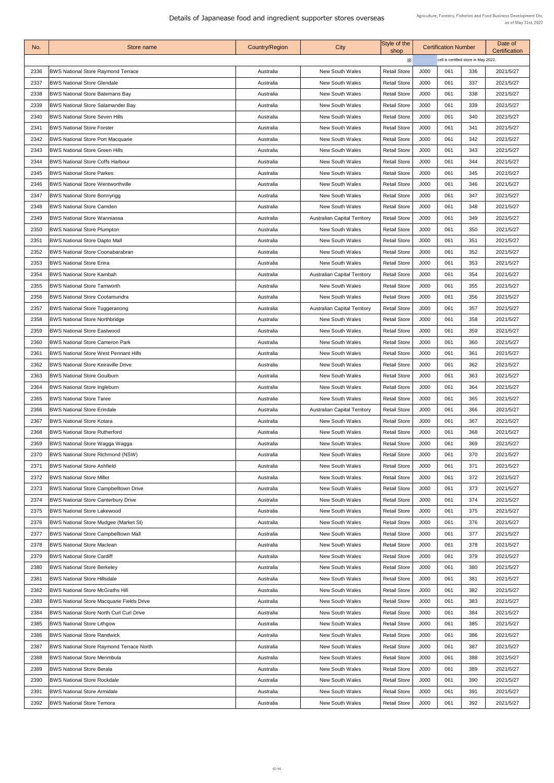| No.  | Store name                                       | <b>Country/Region</b> | <b>City</b>                         | Style of the<br>shop |      | <b>Certification Number</b>          |     | Date of<br><b>Certification</b> |
|------|--------------------------------------------------|-----------------------|-------------------------------------|----------------------|------|--------------------------------------|-----|---------------------------------|
|      |                                                  |                       |                                     | $\times$             |      | cell is certified store in May 2022. |     |                                 |
| 2336 | <b>BWS National Store Raymond Terrace</b>        | Australia             | <b>New South Wales</b>              | <b>Retail Store</b>  | J000 | 061                                  | 336 | 2021/5/27                       |
| 2337 | <b>BWS National Store Glendale</b>               | Australia             | <b>New South Wales</b>              | <b>Retail Store</b>  | J000 | 061                                  | 337 | 2021/5/27                       |
| 2338 | <b>BWS National Store Batemans Bay</b>           | Australia             | <b>New South Wales</b>              | <b>Retail Store</b>  | J000 | 061                                  | 338 | 2021/5/27                       |
| 2339 | <b>BWS National Store Salamander Bay</b>         | Australia             | <b>New South Wales</b>              | <b>Retail Store</b>  | J000 | 061                                  | 339 | 2021/5/27                       |
| 2340 | <b>BWS National Store Seven Hills</b>            | Australia             | <b>New South Wales</b>              | <b>Retail Store</b>  | J000 | 061                                  | 340 | 2021/5/27                       |
| 2341 | <b>BWS National Store Forster</b>                | Australia             | <b>New South Wales</b>              | <b>Retail Store</b>  | J000 | 061                                  | 341 | 2021/5/27                       |
| 2342 | <b>BWS National Store Port Macquarie</b>         | Australia             | <b>New South Wales</b>              | <b>Retail Store</b>  | J000 | 061                                  | 342 | 2021/5/27                       |
| 2343 | <b>BWS National Store Green Hills</b>            | Australia             | <b>New South Wales</b>              | <b>Retail Store</b>  | J000 | 061                                  | 343 | 2021/5/27                       |
| 2344 | <b>BWS National Store Coffs Harbour</b>          | Australia             | <b>New South Wales</b>              | <b>Retail Store</b>  | J000 | 061                                  | 344 | 2021/5/27                       |
| 2345 | <b>BWS National Store Parkes</b>                 | Australia             | <b>New South Wales</b>              | <b>Retail Store</b>  | J000 | 061                                  | 345 | 2021/5/27                       |
| 2346 | <b>BWS National Store Wentworthville</b>         | Australia             | <b>New South Wales</b>              | <b>Retail Store</b>  | J000 | 061                                  | 346 | 2021/5/27                       |
| 2347 | <b>BWS National Store Bonnyrigg</b>              | Australia             | <b>New South Wales</b>              | <b>Retail Store</b>  | J000 | 061                                  | 347 | 2021/5/27                       |
| 2348 | <b>BWS National Store Camden</b>                 | Australia             | <b>New South Wales</b>              | <b>Retail Store</b>  | J000 | 061                                  | 348 | 2021/5/27                       |
| 2349 | <b>BWS National Store Wanniassa</b>              | Australia             | <b>Australian Capital Territory</b> | <b>Retail Store</b>  | J000 | 061                                  | 349 | 2021/5/27                       |
| 2350 | <b>BWS National Store Plumpton</b>               | Australia             | <b>New South Wales</b>              | <b>Retail Store</b>  | J000 | 061                                  | 350 | 2021/5/27                       |
| 2351 | <b>BWS National Store Dapto Mall</b>             | Australia             | <b>New South Wales</b>              | <b>Retail Store</b>  | J000 | 061                                  | 351 | 2021/5/27                       |
| 2352 | <b>BWS National Store Coonabarabran</b>          | Australia             | <b>New South Wales</b>              | <b>Retail Store</b>  | J000 | 061                                  | 352 | 2021/5/27                       |
| 2353 | <b>BWS National Store Erina</b>                  | Australia             | <b>New South Wales</b>              | <b>Retail Store</b>  | J000 | 061                                  | 353 | 2021/5/27                       |
| 2354 | <b>BWS National Store Kambah</b>                 | Australia             | <b>Australian Capital Territory</b> | <b>Retail Store</b>  | J000 | 061                                  | 354 | 2021/5/27                       |
| 2355 | <b>BWS National Store Tamworth</b>               | Australia             | <b>New South Wales</b>              | <b>Retail Store</b>  | J000 | 061                                  | 355 | 2021/5/27                       |
| 2356 | <b>BWS National Store Cootamundra</b>            | Australia             | <b>New South Wales</b>              | <b>Retail Store</b>  | J000 | 061                                  | 356 | 2021/5/27                       |
| 2357 | <b>BWS National Store Tuggeranong</b>            | Australia             | <b>Australian Capital Territory</b> | <b>Retail Store</b>  | J000 | 061                                  | 357 | 2021/5/27                       |
| 2358 | <b>BWS National Store Northbridge</b>            | Australia             | <b>New South Wales</b>              | <b>Retail Store</b>  | J000 | 061                                  | 358 | 2021/5/27                       |
| 2359 | <b>BWS National Store Eastwood</b>               | Australia             | <b>New South Wales</b>              | <b>Retail Store</b>  | J000 | 061                                  | 359 | 2021/5/27                       |
| 2360 | <b>BWS National Store Cameron Park</b>           | Australia             | <b>New South Wales</b>              | <b>Retail Store</b>  | J000 | 061                                  | 360 | 2021/5/27                       |
| 2361 | <b>BWS National Store West Pennant Hills</b>     | Australia             | <b>New South Wales</b>              | <b>Retail Store</b>  | J000 | 061                                  | 361 | 2021/5/27                       |
| 2362 | <b>BWS National Store Keiraville Drive</b>       | Australia             | <b>New South Wales</b>              | <b>Retail Store</b>  | J000 | 061                                  | 362 | 2021/5/27                       |
| 2363 | <b>BWS National Store Goulburn</b>               | Australia             | <b>New South Wales</b>              | <b>Retail Store</b>  | J000 | 061                                  | 363 | 2021/5/27                       |
| 2364 | <b>BWS National Store Ingleburn</b>              | Australia             | <b>New South Wales</b>              | <b>Retail Store</b>  | J000 | 061                                  | 364 | 2021/5/27                       |
| 2365 | <b>BWS National Store Taree</b>                  | Australia             | <b>New South Wales</b>              | <b>Retail Store</b>  | J000 | 061                                  | 365 | 2021/5/27                       |
| 2366 | <b>BWS National Store Erindale</b>               | Australia             | <b>Australian Capital Territory</b> | <b>Retail Store</b>  | J000 | 061                                  | 366 | 2021/5/27                       |
| 2367 | <b>BWS National Store Kotara</b>                 | Australia             | <b>New South Wales</b>              | <b>Retail Store</b>  | J000 | 061                                  | 367 | 2021/5/27                       |
| 2368 | <b>BWS National Store Rutherford</b>             | Australia             | <b>New South Wales</b>              | <b>Retail Store</b>  | J000 | 061                                  | 368 | 2021/5/27                       |
| 2369 | BWS National Store Wagga Wagga                   | Australia             | <b>New South Wales</b>              | <b>Retail Store</b>  | J000 | 061                                  | 369 | 2021/5/27                       |
| 2370 | <b>BWS National Store Richmond (NSW)</b>         | Australia             | <b>New South Wales</b>              | <b>Retail Store</b>  | J000 | 061                                  | 370 | 2021/5/27                       |
| 2371 | <b>BWS National Store Ashfield</b>               | Australia             | <b>New South Wales</b>              | <b>Retail Store</b>  | J000 | 061                                  | 371 | 2021/5/27                       |
| 2372 | <b>BWS National Store Miller</b>                 | Australia             | <b>New South Wales</b>              | <b>Retail Store</b>  | J000 | 061                                  | 372 | 2021/5/27                       |
| 2373 | BWS National Store Campbelltown Drive            | Australia             | <b>New South Wales</b>              | <b>Retail Store</b>  | J000 | 061                                  | 373 | 2021/5/27                       |
| 2374 | <b>BWS National Store Canterbury Drive</b>       | Australia             | <b>New South Wales</b>              | <b>Retail Store</b>  | J000 | 061                                  | 374 | 2021/5/27                       |
| 2375 | <b>BWS National Store Lakewood</b>               | Australia             | <b>New South Wales</b>              | <b>Retail Store</b>  | J000 | 061                                  | 375 | 2021/5/27                       |
| 2376 | <b>BWS National Store Mudgee (Market St)</b>     | Australia             | <b>New South Wales</b>              | <b>Retail Store</b>  | J000 | 061                                  | 376 | 2021/5/27                       |
| 2377 | <b>BWS National Store Campbelltown Mall</b>      | Australia             | <b>New South Wales</b>              | <b>Retail Store</b>  | J000 | 061                                  | 377 | 2021/5/27                       |
| 2378 | <b>BWS National Store Maclean</b>                | Australia             | <b>New South Wales</b>              | <b>Retail Store</b>  | J000 | 061                                  | 378 | 2021/5/27                       |
| 2379 | <b>BWS National Store Cardiff</b>                | Australia             | <b>New South Wales</b>              | <b>Retail Store</b>  | J000 | 061                                  | 379 | 2021/5/27                       |
| 2380 | <b>BWS National Store Berkeley</b>               | Australia             | <b>New South Wales</b>              | <b>Retail Store</b>  | J000 | 061                                  | 380 | 2021/5/27                       |
| 238' | <b>BWS National Store Hillsdale</b>              | Australia             | <b>New South Wales</b>              | <b>Retail Store</b>  | J000 | 061                                  | 381 | 2021/5/27                       |
| 2382 | <b>BWS National Store McGraths Hill</b>          | Australia             | <b>New South Wales</b>              | <b>Retail Store</b>  | J000 | 061                                  | 382 | 2021/5/27                       |
| 2383 | <b>BWS National Store Macquarie Fields Drive</b> | Australia             | <b>New South Wales</b>              | <b>Retail Store</b>  | J000 | 061                                  | 383 | 2021/5/27                       |
| 2384 | <b>BWS National Store North Curl Curl Drive</b>  | Australia             | <b>New South Wales</b>              | <b>Retail Store</b>  | J000 | 061                                  | 384 | 2021/5/27                       |
| 2385 | <b>BWS National Store Lithgow</b>                | Australia             | <b>New South Wales</b>              | <b>Retail Store</b>  | J000 | 061                                  | 385 | 2021/5/27                       |
| 2386 | <b>BWS National Store Randwick</b>               | Australia             | <b>New South Wales</b>              | <b>Retail Store</b>  | J000 | 061                                  | 386 | 2021/5/27                       |
| 2387 | <b>BWS National Store Raymond Terrace North</b>  | Australia             | <b>New South Wales</b>              | <b>Retail Store</b>  | J000 | 061                                  | 387 | 2021/5/27                       |
| 2388 | <b>BWS National Store Merimbula</b>              | Australia             | <b>New South Wales</b>              | <b>Retail Store</b>  | J000 | 061                                  | 388 | 2021/5/27                       |
| 2389 | <b>BWS National Store Berala</b>                 | Australia             | <b>New South Wales</b>              | <b>Retail Store</b>  | J000 | 061                                  | 389 | 2021/5/27                       |
| 2390 | <b>BWS National Store Rockdale</b>               | Australia             | <b>New South Wales</b>              | <b>Retail Store</b>  | J000 | 061                                  | 390 | 2021/5/27                       |
| 2391 | <b>BWS National Store Armidale</b>               | Australia             | <b>New South Wales</b>              | <b>Retail Store</b>  | J000 | 061                                  | 391 | 2021/5/27                       |
| 2392 | <b>BWS National Store Temoral</b>                | Australia             | <b>New South Wales</b>              | <b>Retail Store</b>  | J000 | 061                                  | 392 | 2021/5/27                       |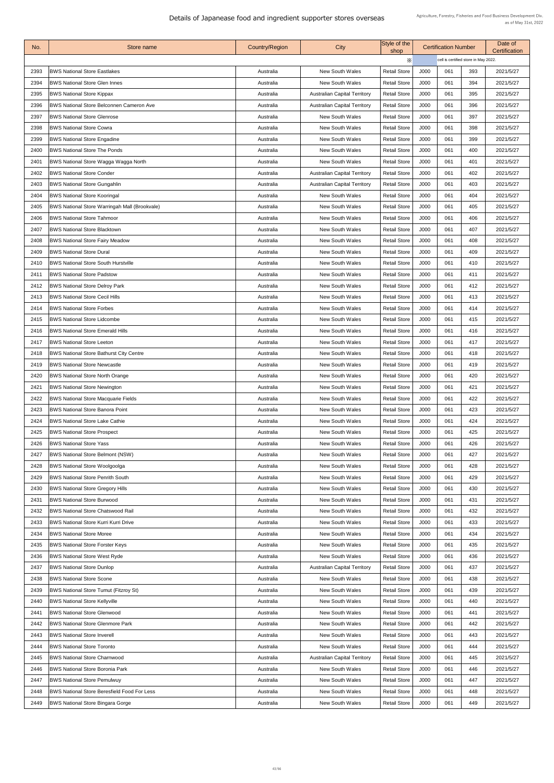| No.  | Store name                                           | <b>Country/Region</b> | City                                | Style of the<br>shop |      | <b>Certification Number</b>          |     | Date of<br><b>Certification</b> |
|------|------------------------------------------------------|-----------------------|-------------------------------------|----------------------|------|--------------------------------------|-----|---------------------------------|
|      |                                                      |                       |                                     | Х                    |      | cell is certified store in May 2022. |     |                                 |
| 2393 | <b>BWS National Store Eastlakes</b>                  | Australia             | <b>New South Wales</b>              | <b>Retail Store</b>  | J000 | 061                                  | 393 | 2021/5/27                       |
| 2394 | <b>BWS National Store Glen Innes</b>                 | Australia             | <b>New South Wales</b>              | <b>Retail Store</b>  | J000 | 061                                  | 394 | 2021/5/27                       |
| 2395 | <b>BWS National Store Kippax</b>                     | Australia             | <b>Australian Capital Territory</b> | <b>Retail Store</b>  | J000 | 061                                  | 395 | 2021/5/27                       |
| 2396 | <b>BWS National Store Belconnen Cameron Ave</b>      | Australia             | <b>Australian Capital Territory</b> | <b>Retail Store</b>  | J000 | 061                                  | 396 | 2021/5/27                       |
| 2397 | <b>BWS National Store Glenrose</b>                   | Australia             | <b>New South Wales</b>              | <b>Retail Store</b>  | J000 | 061                                  | 397 | 2021/5/27                       |
| 2398 | <b>BWS National Store Cowra</b>                      | Australia             | <b>New South Wales</b>              | <b>Retail Store</b>  | J000 | 061                                  | 398 | 2021/5/27                       |
| 2399 | <b>BWS National Store Engadine</b>                   | Australia             | <b>New South Wales</b>              | <b>Retail Store</b>  | J000 | 061                                  | 399 | 2021/5/27                       |
| 2400 | <b>BWS National Store The Ponds</b>                  | Australia             | <b>New South Wales</b>              | <b>Retail Store</b>  | J000 | 061                                  | 400 | 2021/5/27                       |
| 240' | <b>BWS National Store Wagga Wagga North</b>          | Australia             | <b>New South Wales</b>              | <b>Retail Store</b>  | J000 | 061                                  | 401 | 2021/5/27                       |
| 2402 | <b>BWS National Store Conder</b>                     | Australia             | <b>Australian Capital Territory</b> | <b>Retail Store</b>  | J000 | 061                                  | 402 | 2021/5/27                       |
| 2403 | <b>BWS National Store Gungahlin</b>                  | Australia             | <b>Australian Capital Territory</b> | <b>Retail Store</b>  | J000 | 061                                  | 403 | 2021/5/27                       |
| 2404 | <b>BWS National Store Kooringal</b>                  | Australia             | <b>New South Wales</b>              | <b>Retail Store</b>  | J000 | 061                                  | 404 | 2021/5/27                       |
| 2405 | <b>BWS National Store Warringah Mall (Brookvale)</b> | Australia             | <b>New South Wales</b>              | <b>Retail Store</b>  | J000 | 061                                  | 405 | 2021/5/27                       |
| 2406 | <b>BWS National Store Tahmoor</b>                    | Australia             | <b>New South Wales</b>              | <b>Retail Store</b>  | J000 | 061                                  | 406 | 2021/5/27                       |
| 2407 | <b>BWS National Store Blacktown</b>                  | Australia             | <b>New South Wales</b>              | <b>Retail Store</b>  | J000 | 061                                  | 407 | 2021/5/27                       |
| 2408 | <b>BWS National Store Fairy Meadow</b>               | Australia             | <b>New South Wales</b>              | <b>Retail Store</b>  | J000 | 061                                  | 408 | 2021/5/27                       |
| 2409 | <b>BWS National Store Dural</b>                      | Australia             | <b>New South Wales</b>              | <b>Retail Store</b>  | J000 | 061                                  | 409 | 2021/5/27                       |
| 2410 | <b>BWS National Store South Hurstville</b>           | Australia             | <b>New South Wales</b>              | <b>Retail Store</b>  | J000 | 061                                  | 410 | 2021/5/27                       |
| 2411 | <b>BWS National Store Padstow</b>                    | Australia             | <b>New South Wales</b>              | <b>Retail Store</b>  | J000 | 061                                  | 411 | 2021/5/27                       |
| 2412 | <b>BWS National Store Delroy Park</b>                | Australia             | <b>New South Wales</b>              | <b>Retail Store</b>  | J000 | 061                                  | 412 | 2021/5/27                       |
| 2413 | <b>BWS National Store Cecil Hills</b>                | Australia             | <b>New South Wales</b>              | <b>Retail Store</b>  | J000 | 061                                  | 413 | 2021/5/27                       |
| 2414 | <b>BWS National Store Forbes</b>                     | Australia             | <b>New South Wales</b>              | <b>Retail Store</b>  | J000 | 061                                  | 414 | 2021/5/27                       |
| 2415 | <b>BWS National Store Lidcombe</b>                   | Australia             | <b>New South Wales</b>              | <b>Retail Store</b>  | J000 | 061                                  | 415 | 2021/5/27                       |
| 2416 | <b>BWS National Store Emerald Hills</b>              | Australia             | <b>New South Wales</b>              | <b>Retail Store</b>  | J000 | 061                                  | 416 | 2021/5/27                       |
| 2417 | <b>BWS National Store Leeton</b>                     | Australia             | <b>New South Wales</b>              | <b>Retail Store</b>  | J000 | 061                                  | 417 | 2021/5/27                       |
| 2418 | <b>BWS National Store Bathurst City Centre</b>       | Australia             | <b>New South Wales</b>              | <b>Retail Store</b>  | J000 | 061                                  | 418 | 2021/5/27                       |
| 2419 | <b>BWS National Store Newcastle</b>                  | Australia             | <b>New South Wales</b>              | <b>Retail Store</b>  | J000 | 061                                  | 419 | 2021/5/27                       |
| 2420 | <b>BWS National Store North Orange</b>               | Australia             | <b>New South Wales</b>              | <b>Retail Store</b>  | J000 | 061                                  | 420 | 2021/5/27                       |
| 2421 | <b>BWS National Store Newington</b>                  | Australia             | <b>New South Wales</b>              | <b>Retail Store</b>  | J000 | 061                                  | 421 | 2021/5/27                       |
| 2422 | <b>BWS National Store Macquarie Fields</b>           | Australia             | <b>New South Wales</b>              | <b>Retail Store</b>  | J000 | 061                                  | 422 | 2021/5/27                       |
| 2423 | <b>BWS National Store Banora Point</b>               | Australia             | <b>New South Wales</b>              | <b>Retail Store</b>  | J000 | 061                                  | 423 | 2021/5/27                       |
| 2424 | <b>BWS National Store Lake Cathie</b>                | Australia             | <b>New South Wales</b>              | <b>Retail Store</b>  | J000 | 061                                  | 424 | 2021/5/27                       |
| 2425 | <b>BWS National Store Prospect</b>                   | Australia             | <b>New South Wales</b>              | <b>Retail Store</b>  | J000 | 061                                  | 425 | 2021/5/27                       |
| 2426 | <b>BWS National Store Yass</b>                       | Australia             | <b>New South Wales</b>              | <b>Retail Store</b>  | J000 | 061                                  | 426 | 2021/5/27                       |
| 2427 | <b>BWS National Store Belmont (NSW)</b>              | Australia             | <b>New South Wales</b>              | <b>Retail Store</b>  | J000 | 061                                  | 427 | 2021/5/27                       |
| 2428 | <b>BWS National Store Woolgoolga</b>                 | Australia             | <b>New South Wales</b>              | <b>Retail Store</b>  | J000 | 061                                  | 428 | 2021/5/27                       |
| 2429 | <b>BWS National Store Penrith South</b>              | Australia             | <b>New South Wales</b>              | <b>Retail Store</b>  | J000 | 061                                  | 429 | 2021/5/27                       |
| 2430 | <b>BWS National Store Gregory Hills</b>              | Australia             | <b>New South Wales</b>              | <b>Retail Store</b>  | J000 | 061                                  | 430 | 2021/5/27                       |
| 2431 | <b>BWS National Store Burwood</b>                    | Australia             | <b>New South Wales</b>              | <b>Retail Store</b>  | J000 | 061                                  | 431 | 2021/5/27                       |
| 2432 | <b>BWS National Store Chatswood Rail</b>             | Australia             | <b>New South Wales</b>              | <b>Retail Store</b>  | J000 | 061                                  | 432 | 2021/5/27                       |
| 2433 | <b>BWS National Store Kurri Kurri Drive</b>          | Australia             | <b>New South Wales</b>              | <b>Retail Store</b>  | J000 | 061                                  | 433 | 2021/5/27                       |
| 2434 | <b>BWS National Store Moree</b>                      | Australia             | <b>New South Wales</b>              | <b>Retail Store</b>  | J000 | 061                                  | 434 | 2021/5/27                       |
| 2435 | <b>BWS National Store Forster Keys</b>               | Australia             | <b>New South Wales</b>              | <b>Retail Store</b>  | J000 | 061                                  | 435 | 2021/5/27                       |
| 2436 | <b>BWS National Store West Ryde</b>                  | Australia             | <b>New South Wales</b>              | <b>Retail Store</b>  | J000 | 061                                  | 436 | 2021/5/27                       |
| 2437 | <b>BWS National Store Dunlop</b>                     | Australia             | <b>Australian Capital Territory</b> | <b>Retail Store</b>  | J000 | 061                                  | 437 | 2021/5/27                       |
| 2438 | <b>BWS National Store Scone</b>                      | Australia             | <b>New South Wales</b>              | <b>Retail Store</b>  | J000 | 061                                  | 438 | 2021/5/27                       |
| 2439 | <b>BWS National Store Tumut (Fitzroy St)</b>         | Australia             | <b>New South Wales</b>              | <b>Retail Store</b>  | J000 | 061                                  | 439 | 2021/5/27                       |
| 2440 | <b>BWS National Store Kellyville</b>                 | Australia             | <b>New South Wales</b>              | <b>Retail Store</b>  | J000 | 061                                  | 440 | 2021/5/27                       |
| 2441 | <b>BWS National Store Glenwood</b>                   | Australia             | <b>New South Wales</b>              | <b>Retail Store</b>  | J000 | 061                                  | 441 | 2021/5/27                       |
| 2442 | <b>BWS National Store Glenmore Park</b>              | Australia             | <b>New South Wales</b>              | <b>Retail Store</b>  | J000 | 061                                  | 442 | 2021/5/27                       |
| 2443 | <b>BWS National Store Inverell</b>                   | Australia             | <b>New South Wales</b>              | <b>Retail Store</b>  | J000 | 061                                  | 443 | 2021/5/27                       |
| 2444 | <b>BWS National Store Toronto</b>                    | Australia             | <b>New South Wales</b>              | <b>Retail Store</b>  | J000 | 061                                  | 444 | 2021/5/27                       |
| 2445 | <b>BWS National Store Charnwood</b>                  | Australia             | <b>Australian Capital Territory</b> | <b>Retail Store</b>  | J000 | 061                                  | 445 | 2021/5/27                       |
| 2446 | <b>BWS National Store Boronia Park</b>               | Australia             | <b>New South Wales</b>              | <b>Retail Store</b>  | J000 | 061                                  | 446 | 2021/5/27                       |
| 2447 | <b>BWS National Store Pemulwuy</b>                   | Australia             | <b>New South Wales</b>              | <b>Retail Store</b>  | J000 | 061                                  | 447 | 2021/5/27                       |
| 2448 | <b>BWS National Store Beresfield Food For Less</b>   | Australia             | <b>New South Wales</b>              | <b>Retail Store</b>  | J000 | 061                                  | 448 | 2021/5/27                       |
| 2449 | <b>BWS National Store Bingara Gorge</b>              | Australia             | <b>New South Wales</b>              | <b>Retail Store</b>  | J000 | 061                                  | 449 | 2021/5/27                       |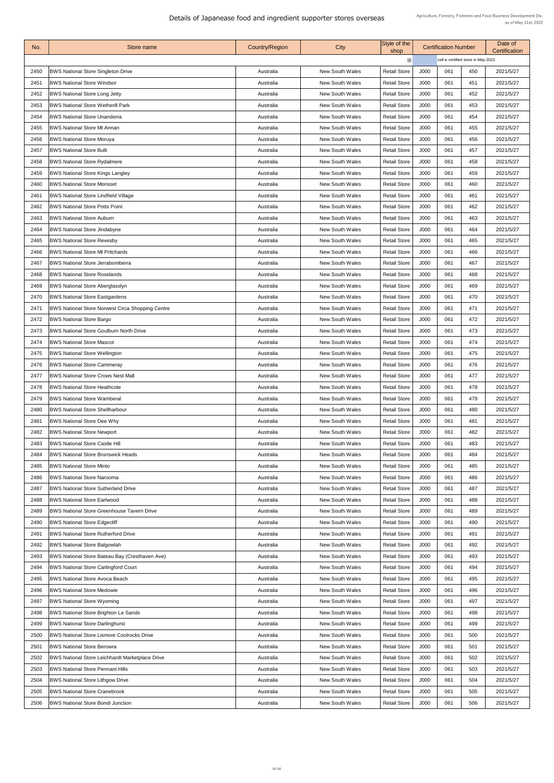| No.  | Store name                                              | Country/Region | <b>City</b>            | Style of the<br>shop |      | <b>Certification Number</b>          |     | Date of<br><b>Certification</b> |
|------|---------------------------------------------------------|----------------|------------------------|----------------------|------|--------------------------------------|-----|---------------------------------|
|      |                                                         |                |                        | $\times$             |      | cell is certified store in May 2022. |     |                                 |
| 2450 | <b>BWS National Store Singleton Drive</b>               | Australia      | <b>New South Wales</b> | <b>Retail Store</b>  | J000 | 061                                  | 450 | 2021/5/27                       |
| 2451 | <b>BWS National Store Windsor</b>                       | Australia      | <b>New South Wales</b> | <b>Retail Store</b>  | J000 | 061                                  | 451 | 2021/5/27                       |
| 2452 | <b>BWS National Store Long Jetty</b>                    | Australia      | <b>New South Wales</b> | <b>Retail Store</b>  | J000 | 061                                  | 452 | 2021/5/27                       |
| 2453 | <b>BWS National Store Wetherill Park</b>                | Australia      | <b>New South Wales</b> | <b>Retail Store</b>  | J000 | 061                                  | 453 | 2021/5/27                       |
| 2454 | <b>BWS National Store Unanderra</b>                     | Australia      | <b>New South Wales</b> | <b>Retail Store</b>  | J000 | 061                                  | 454 | 2021/5/27                       |
| 2455 | <b>BWS National Store Mt Annan</b>                      | Australia      | <b>New South Wales</b> | <b>Retail Store</b>  | J000 | 061                                  | 455 | 2021/5/27                       |
| 2456 | <b>BWS National Store Moruya</b>                        | Australia      | <b>New South Wales</b> | <b>Retail Store</b>  | J000 | 061                                  | 456 | 2021/5/27                       |
| 2457 | <b>BWS National Store Bulli</b>                         | Australia      | <b>New South Wales</b> | <b>Retail Store</b>  | J000 | 061                                  | 457 | 2021/5/27                       |
| 2458 | <b>BWS National Store Rydalmere</b>                     | Australia      | <b>New South Wales</b> | <b>Retail Store</b>  | J000 | 061                                  | 458 | 2021/5/27                       |
| 2459 | <b>BWS National Store Kings Langley</b>                 | Australia      | <b>New South Wales</b> | <b>Retail Store</b>  | J000 | 061                                  | 459 | 2021/5/27                       |
| 2460 | <b>BWS National Store Morisset</b>                      | Australia      | <b>New South Wales</b> | <b>Retail Store</b>  | J000 | 061                                  | 460 | 2021/5/27                       |
| 2461 | <b>BWS National Store Lindfield Village</b>             | Australia      | <b>New South Wales</b> | <b>Retail Store</b>  | J000 | 061                                  | 461 | 2021/5/27                       |
| 2462 | <b>BWS National Store Potts Point</b>                   | Australia      | <b>New South Wales</b> | <b>Retail Store</b>  | J000 | 061                                  | 462 | 2021/5/27                       |
| 2463 | <b>BWS National Store Auburn</b>                        | Australia      | <b>New South Wales</b> | <b>Retail Store</b>  | J000 | 061                                  | 463 | 2021/5/27                       |
| 2464 | <b>BWS National Store Jindabyne</b>                     | Australia      | <b>New South Wales</b> | <b>Retail Store</b>  | J000 | 061                                  | 464 | 2021/5/27                       |
| 2465 | <b>BWS National Store Revesby</b>                       | Australia      | <b>New South Wales</b> | <b>Retail Store</b>  | J000 | 061                                  | 465 | 2021/5/27                       |
| 2466 | <b>BWS National Store Mt Pritchards</b>                 | Australia      | <b>New South Wales</b> | <b>Retail Store</b>  | J000 | 061                                  | 466 | 2021/5/27                       |
| 2467 | <b>BWS National Store Jerrabomberra</b>                 | Australia      | <b>New South Wales</b> | <b>Retail Store</b>  | J000 | 061                                  | 467 | 2021/5/27                       |
| 2468 | <b>BWS National Store Roselands</b>                     | Australia      | <b>New South Wales</b> | <b>Retail Store</b>  | J000 | 061                                  | 468 | 2021/5/27                       |
| 2469 | <b>BWS National Store Aberglasslyn</b>                  | Australia      | <b>New South Wales</b> | <b>Retail Store</b>  | J000 | 061                                  | 469 | 2021/5/27                       |
| 2470 | <b>BWS National Store Eastgardens</b>                   | Australia      | <b>New South Wales</b> | <b>Retail Store</b>  | J000 | 061                                  | 470 | 2021/5/27                       |
| 2471 | <b>BWS National Store Norwest Circa Shopping Centre</b> | Australia      | <b>New South Wales</b> | <b>Retail Store</b>  | J000 | 061                                  | 471 | 2021/5/27                       |
| 2472 | <b>BWS National Store Bargo</b>                         | Australia      | <b>New South Wales</b> | <b>Retail Store</b>  | J000 | 061                                  | 472 | 2021/5/27                       |
| 2473 | <b>BWS National Store Goulburn North Drive</b>          | Australia      | <b>New South Wales</b> | <b>Retail Store</b>  | J000 | 061                                  | 473 | 2021/5/27                       |
| 2474 | <b>BWS National Store Mascot</b>                        | Australia      | <b>New South Wales</b> | <b>Retail Store</b>  | J000 | 061                                  | 474 | 2021/5/27                       |
| 2475 | <b>BWS National Store Wellington</b>                    | Australia      | <b>New South Wales</b> | <b>Retail Store</b>  | J000 | 061                                  | 475 | 2021/5/27                       |
| 2476 | <b>BWS National Store Cammeray</b>                      | Australia      | <b>New South Wales</b> | <b>Retail Store</b>  | J000 | 061                                  | 476 | 2021/5/27                       |
| 2477 | <b>BWS National Store Crows Nest Mall</b>               | Australia      | <b>New South Wales</b> | <b>Retail Store</b>  | J000 | 061                                  | 477 | 2021/5/27                       |
| 2478 | <b>BWS National Store Heathcote</b>                     | Australia      | <b>New South Wales</b> | <b>Retail Store</b>  | J000 | 061                                  | 478 | 2021/5/27                       |
| 2479 | <b>BWS National Store Wamberal</b>                      | Australia      | <b>New South Wales</b> | <b>Retail Store</b>  | J000 | 061                                  | 479 | 2021/5/27                       |
| 2480 | <b>BWS National Store Shellharbour</b>                  | Australia      | <b>New South Wales</b> | <b>Retail Store</b>  | J000 | 061                                  | 480 | 2021/5/27                       |
| 2481 | <b>BWS National Store Dee Why</b>                       | Australia      | <b>New South Wales</b> | <b>Retail Store</b>  | J000 | 061                                  | 481 | 2021/5/27                       |
| 2482 | <b>BWS National Store Newport</b>                       | Australia      | <b>New South Wales</b> | <b>Retail Store</b>  | J000 | 061                                  | 482 | 2021/5/27                       |
| 2483 | <b>BWS National Store Castle Hill</b>                   | Australia      | <b>New South Wales</b> | <b>Retail Store</b>  | J000 | 061                                  | 483 | 2021/5/27                       |
| 2484 | <b>BWS National Store Brunswick Heads</b>               | Australia      | <b>New South Wales</b> | <b>Retail Store</b>  | J000 | 061                                  | 484 | 2021/5/27                       |
| 2485 | <b>BWS National Store Minto</b>                         | Australia      | <b>New South Wales</b> | <b>Retail Store</b>  | J000 | 061                                  | 485 | 2021/5/27                       |
| 2486 | <b>BWS National Store Narooma</b>                       | Australia      | <b>New South Wales</b> | <b>Retail Store</b>  | J000 | 061                                  | 486 | 2021/5/27                       |
| 2487 | <b>BWS National Store Sutherland Drive</b>              | Australia      | <b>New South Wales</b> | <b>Retail Store</b>  | J000 | 061                                  | 487 | 2021/5/27                       |
| 2488 | <b>BWS National Store Earlwood</b>                      | Australia      | <b>New South Wales</b> | <b>Retail Store</b>  | J000 | 061                                  | 488 | 2021/5/27                       |
| 2489 | <b>BWS National Store Greenhouse Tavern Drive</b>       | Australia      | <b>New South Wales</b> | <b>Retail Store</b>  | J000 | 061                                  | 489 | 2021/5/27                       |
| 2490 | <b>BWS National Store Edgecliff</b>                     | Australia      | <b>New South Wales</b> | <b>Retail Store</b>  | J000 | 061                                  | 490 | 2021/5/27                       |
| 2491 | <b>BWS National Store Rutherford Drive</b>              | Australia      | <b>New South Wales</b> | <b>Retail Store</b>  | J000 | 061                                  | 491 | 2021/5/27                       |
| 2492 | <b>BWS National Store Balgowlah</b>                     | Australia      | <b>New South Wales</b> | <b>Retail Store</b>  | J000 | 061                                  | 492 | 2021/5/27                       |
| 2493 | <b>BWS National Store Bateau Bay (Cresthaven Ave)</b>   | Australia      | <b>New South Wales</b> | <b>Retail Store</b>  | J000 | 061                                  | 493 | 2021/5/27                       |
| 2494 | <b>BWS National Store Carlingford Court</b>             | Australia      | <b>New South Wales</b> | <b>Retail Store</b>  | J000 | 061                                  | 494 | 2021/5/27                       |
| 2495 | <b>BWS National Store Avoca Beach</b>                   | Australia      | <b>New South Wales</b> | <b>Retail Store</b>  | J000 | 061                                  | 495 | 2021/5/27                       |
| 2496 | <b>BWS National Store Medowie</b>                       | Australia      | <b>New South Wales</b> | <b>Retail Store</b>  | J000 | 061                                  | 496 | 2021/5/27                       |
| 2497 | <b>BWS National Store Wyoming</b>                       | Australia      | <b>New South Wales</b> | <b>Retail Store</b>  | J000 | 061                                  | 497 | 2021/5/27                       |
| 2498 | <b>BWS National Store Brighton Le Sands</b>             | Australia      | <b>New South Wales</b> | <b>Retail Store</b>  | J000 | 061                                  | 498 | 2021/5/27                       |
| 2499 | <b>BWS National Store Darlinghurst</b>                  | Australia      | <b>New South Wales</b> | <b>Retail Store</b>  | J000 | 061                                  | 499 | 2021/5/27                       |
| 2500 | <b>BWS National Store Lismore Coolrocks Drive</b>       | Australia      | <b>New South Wales</b> | <b>Retail Store</b>  | J000 | 061                                  | 500 | 2021/5/27                       |
| 2501 | <b>BWS National Store Berowra</b>                       | Australia      | <b>New South Wales</b> | <b>Retail Store</b>  | J000 | 061                                  | 501 | 2021/5/27                       |
| 2502 | <b>BWS National Store Leichhardt Marketplace Drive</b>  | Australia      | <b>New South Wales</b> | <b>Retail Store</b>  | J000 | 061                                  | 502 | 2021/5/27                       |
| 2503 | <b>BWS National Store Pennant Hills</b>                 | Australia      | <b>New South Wales</b> | <b>Retail Store</b>  | J000 | 061                                  | 503 | 2021/5/27                       |
| 2504 | <b>BWS National Store Lithgow Drive</b>                 | Australia      | <b>New South Wales</b> | <b>Retail Store</b>  | J000 | 061                                  | 504 | 2021/5/27                       |
| 2505 | <b>BWS National Store Cranebrook</b>                    | Australia      | <b>New South Wales</b> | <b>Retail Store</b>  | J000 | 061                                  | 505 | 2021/5/27                       |
| 2506 | <b>BWS National Store Bondi Junction</b>                | Australia      | <b>New South Wales</b> | <b>Retail Store</b>  | J000 | 061                                  | 506 | 2021/5/27                       |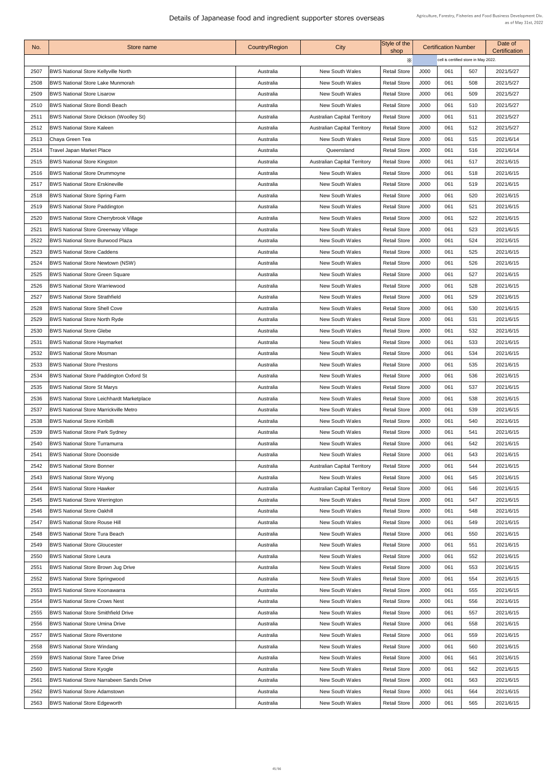| No.  | Store name                                       | <b>Country/Region</b> | City                                | Style of the<br>shop |      | <b>Certification Number</b>          |     | Date of<br><b>Certification</b> |
|------|--------------------------------------------------|-----------------------|-------------------------------------|----------------------|------|--------------------------------------|-----|---------------------------------|
|      |                                                  |                       |                                     | $\times$             |      | cell is certified store in May 2022. |     |                                 |
| 2507 | <b>BWS National Store Kellyville North</b>       | Australia             | <b>New South Wales</b>              | <b>Retail Store</b>  | J000 | 061                                  | 507 | 2021/5/27                       |
| 2508 | <b>BWS National Store Lake Munmorah</b>          | Australia             | <b>New South Wales</b>              | <b>Retail Store</b>  | J000 | 061                                  | 508 | 2021/5/27                       |
| 2509 | <b>BWS National Store Lisarow</b>                | Australia             | <b>New South Wales</b>              | <b>Retail Store</b>  | J000 | 061                                  | 509 | 2021/5/27                       |
| 2510 | <b>BWS National Store Bondi Beach</b>            | Australia             | <b>New South Wales</b>              | <b>Retail Store</b>  | J000 | 061                                  | 510 | 2021/5/27                       |
| 2511 | <b>BWS National Store Dickson (Woolley St)</b>   | Australia             | <b>Australian Capital Territory</b> | <b>Retail Store</b>  | J000 | 061                                  | 511 | 2021/5/27                       |
| 2512 | <b>BWS National Store Kaleen</b>                 | Australia             | <b>Australian Capital Territory</b> | <b>Retail Store</b>  | J000 | 061                                  | 512 | 2021/5/27                       |
| 2513 | Chaya Green Tea                                  | Australia             | <b>New South Wales</b>              | <b>Retail Store</b>  | J000 | 061                                  | 515 | 2021/6/14                       |
| 2514 | <b>Travel Japan Market Place</b>                 | Australia             | Queensland                          | <b>Retail Store</b>  | J000 | 061                                  | 516 | 2021/6/14                       |
| 2515 | <b>BWS National Store Kingston</b>               | Australia             | <b>Australian Capital Territory</b> | <b>Retail Store</b>  | J000 | 061                                  | 517 | 2021/6/15                       |
| 2516 | <b>BWS National Store Drummoyne</b>              | Australia             | <b>New South Wales</b>              | <b>Retail Store</b>  | J000 | 061                                  | 518 | 2021/6/15                       |
| 2517 | <b>BWS National Store Erskineville</b>           | Australia             | <b>New South Wales</b>              | <b>Retail Store</b>  | J000 | 061                                  | 519 | 2021/6/15                       |
| 2518 | <b>BWS National Store Spring Farm</b>            | Australia             | <b>New South Wales</b>              | <b>Retail Store</b>  | J000 | 061                                  | 520 | 2021/6/15                       |
| 2519 | <b>BWS National Store Paddington</b>             | Australia             | <b>New South Wales</b>              | <b>Retail Store</b>  | J000 | 061                                  | 521 | 2021/6/15                       |
| 2520 | <b>BWS National Store Cherrybrook Village</b>    | Australia             | <b>New South Wales</b>              | <b>Retail Store</b>  | J000 | 061                                  | 522 | 2021/6/15                       |
| 2521 | <b>BWS National Store Greenway Village</b>       | Australia             | <b>New South Wales</b>              | <b>Retail Store</b>  | J000 | 061                                  | 523 | 2021/6/15                       |
| 2522 | <b>BWS National Store Burwood Plaza</b>          | Australia             | <b>New South Wales</b>              | <b>Retail Store</b>  | J000 | 061                                  | 524 | 2021/6/15                       |
| 2523 | <b>BWS National Store Caddens</b>                | Australia             | <b>New South Wales</b>              | <b>Retail Store</b>  | J000 | 061                                  | 525 | 2021/6/15                       |
| 2524 | <b>BWS National Store Newtown (NSW)</b>          | Australia             | <b>New South Wales</b>              | <b>Retail Store</b>  | J000 | 061                                  | 526 | 2021/6/15                       |
| 2525 | <b>BWS National Store Green Square</b>           | Australia             | <b>New South Wales</b>              | <b>Retail Store</b>  | J000 | 061                                  | 527 | 2021/6/15                       |
| 2526 | <b>BWS National Store Warriewood</b>             | Australia             | <b>New South Wales</b>              | <b>Retail Store</b>  | J000 | 061                                  | 528 | 2021/6/15                       |
| 2527 | <b>BWS National Store Strathfield</b>            | Australia             | <b>New South Wales</b>              | <b>Retail Store</b>  | J000 | 061                                  | 529 | 2021/6/15                       |
| 2528 | <b>BWS National Store Shell Cove</b>             | Australia             | <b>New South Wales</b>              | <b>Retail Store</b>  | J000 | 061                                  | 530 | 2021/6/15                       |
| 2529 | <b>BWS National Store North Ryde</b>             | Australia             | <b>New South Wales</b>              | <b>Retail Store</b>  | J000 | 061                                  | 531 | 2021/6/15                       |
| 2530 | <b>BWS National Store Glebe</b>                  | Australia             | <b>New South Wales</b>              | <b>Retail Store</b>  | J000 | 061                                  | 532 | 2021/6/15                       |
| 2531 | <b>BWS National Store Haymarket</b>              | Australia             | <b>New South Wales</b>              | <b>Retail Store</b>  | J000 | 061                                  | 533 | 2021/6/15                       |
| 2532 | <b>BWS National Store Mosman</b>                 | Australia             | <b>New South Wales</b>              | <b>Retail Store</b>  | J000 | 061                                  | 534 | 2021/6/15                       |
| 2533 | <b>BWS National Store Prestons</b>               | Australia             | <b>New South Wales</b>              | <b>Retail Store</b>  | J000 | 061                                  | 535 | 2021/6/15                       |
| 2534 | <b>BWS National Store Paddington Oxford St</b>   | Australia             | <b>New South Wales</b>              | <b>Retail Store</b>  | J000 | 061                                  | 536 | 2021/6/15                       |
| 2535 | <b>BWS National Store St Marys</b>               | Australia             | <b>New South Wales</b>              | <b>Retail Store</b>  | J000 | 061                                  | 537 | 2021/6/15                       |
| 2536 | <b>BWS National Store Leichhardt Marketplace</b> | Australia             | <b>New South Wales</b>              | <b>Retail Store</b>  | J000 | 061                                  | 538 | 2021/6/15                       |
| 2537 | <b>BWS National Store Marrickville Metro</b>     | Australia             | <b>New South Wales</b>              | <b>Retail Store</b>  | J000 | 061                                  | 539 | 2021/6/15                       |
| 2538 | <b>BWS National Store Kirribilli</b>             | Australia             | <b>New South Wales</b>              | <b>Retail Store</b>  | J000 | 061                                  | 540 | 2021/6/15                       |
| 2539 | <b>BWS National Store Park Sydney</b>            | Australia             | <b>New South Wales</b>              | <b>Retail Store</b>  | J000 | 061                                  | 541 | 2021/6/15                       |
| 2540 | <b>BWS National Store Turramurra</b>             | Australia             | <b>New South Wales</b>              | <b>Retail Store</b>  | J000 | 061                                  | 542 | 2021/6/15                       |
| 2541 | <b>BWS National Store Doonside</b>               | Australia             | <b>New South Wales</b>              | <b>Retail Store</b>  | J000 | 061                                  | 543 | 2021/6/15                       |
| 2542 | <b>BWS National Store Bonner</b>                 | Australia             | <b>Australian Capital Territory</b> | <b>Retail Store</b>  | J000 | 061                                  | 544 | 2021/6/15                       |
| 2543 | <b>BWS National Store Wyong</b>                  | Australia             | <b>New South Wales</b>              | <b>Retail Store</b>  | J000 | 061                                  | 545 | 2021/6/15                       |
| 2544 | <b>BWS National Store Hawker</b>                 | Australia             | <b>Australian Capital Territory</b> | <b>Retail Store</b>  | J000 | 061                                  | 546 | 2021/6/15                       |
| 2545 | <b>BWS National Store Werrington</b>             | Australia             | <b>New South Wales</b>              | <b>Retail Store</b>  | J000 | 061                                  | 547 | 2021/6/15                       |
| 2546 | <b>BWS National Store Oakhill</b>                | Australia             | <b>New South Wales</b>              | <b>Retail Store</b>  | J000 | 061                                  | 548 | 2021/6/15                       |
| 2547 | <b>BWS National Store Rouse Hill</b>             | Australia             | <b>New South Wales</b>              | <b>Retail Store</b>  | J000 | 061                                  | 549 | 2021/6/15                       |
| 2548 | <b>BWS National Store Tura Beach</b>             | Australia             | <b>New South Wales</b>              | <b>Retail Store</b>  | J000 | 061                                  | 550 | 2021/6/15                       |
| 2549 | <b>BWS National Store Gloucester</b>             | Australia             | <b>New South Wales</b>              | <b>Retail Store</b>  | J000 | 061                                  | 551 | 2021/6/15                       |
| 2550 | <b>BWS National Store Leura</b>                  | Australia             | <b>New South Wales</b>              | <b>Retail Store</b>  | J000 | 061                                  | 552 | 2021/6/15                       |
| 2551 | <b>BWS National Store Brown Jug Drive</b>        | Australia             | <b>New South Wales</b>              | <b>Retail Store</b>  | J000 | 061                                  | 553 | 2021/6/15                       |
| 2552 | <b>BWS National Store Springwood</b>             | Australia             | <b>New South Wales</b>              | <b>Retail Store</b>  | J000 | 061                                  | 554 | 2021/6/15                       |
| 2553 | <b>BWS National Store Koonawarra</b>             | Australia             | <b>New South Wales</b>              | <b>Retail Store</b>  | J000 | 061                                  | 555 | 2021/6/15                       |
| 2554 | <b>BWS National Store Crows Nest</b>             | Australia             | <b>New South Wales</b>              | <b>Retail Store</b>  | J000 | 061                                  | 556 | 2021/6/15                       |
| 2555 | <b>BWS National Store Smithfield Drive</b>       | Australia             | <b>New South Wales</b>              | <b>Retail Store</b>  | J000 | 061                                  | 557 | 2021/6/15                       |
| 2556 | <b>BWS National Store Umina Drive</b>            | Australia             | <b>New South Wales</b>              | <b>Retail Store</b>  | J000 | 061                                  | 558 | 2021/6/15                       |
| 2557 | <b>BWS National Store Riverstone</b>             | Australia             | <b>New South Wales</b>              | <b>Retail Store</b>  | J000 | 061                                  | 559 | 2021/6/15                       |
| 2558 | <b>BWS National Store Windang</b>                | Australia             | <b>New South Wales</b>              | <b>Retail Store</b>  | J000 | 061                                  | 560 | 2021/6/15                       |
| 2559 | <b>BWS National Store Taree Drive</b>            | Australia             | <b>New South Wales</b>              | <b>Retail Store</b>  | J000 | 061                                  | 561 | 2021/6/15                       |
| 2560 | <b>BWS National Store Kyogle</b>                 | Australia             | <b>New South Wales</b>              | <b>Retail Store</b>  | J000 | 061                                  | 562 | 2021/6/15                       |
| 2561 | <b>BWS National Store Narrabeen Sands Drive</b>  | Australia             | <b>New South Wales</b>              | <b>Retail Store</b>  | J000 | 061                                  | 563 | 2021/6/15                       |
| 2562 | <b>BWS National Store Adamstown</b>              | Australia             | <b>New South Wales</b>              | <b>Retail Store</b>  | J000 | 061                                  | 564 | 2021/6/15                       |
| 2563 | <b>BWS National Store Edgeworth</b>              | Australia             | <b>New South Wales</b>              | <b>Retail Store</b>  | J000 | 061                                  | 565 | 2021/6/15                       |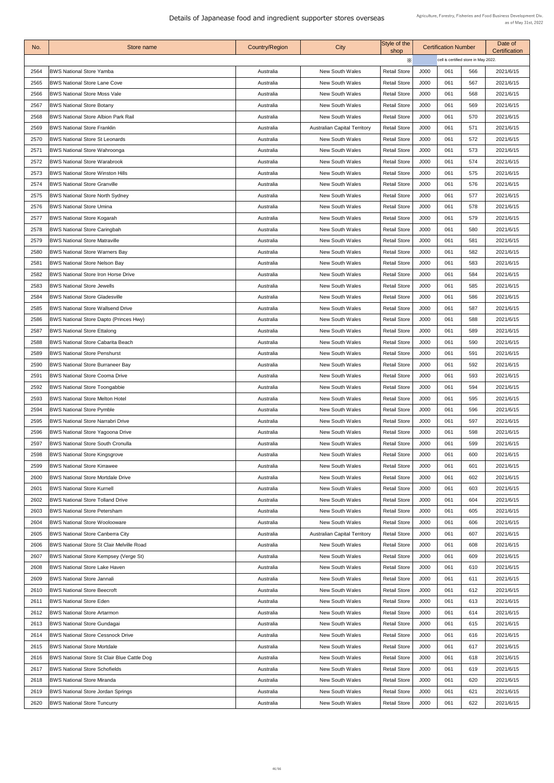| No.  | Store name                                         | <b>Country/Region</b> | City                                | Style of the<br>shop |      | <b>Certification Number</b>          |     | Date of<br><b>Certification</b> |
|------|----------------------------------------------------|-----------------------|-------------------------------------|----------------------|------|--------------------------------------|-----|---------------------------------|
|      |                                                    |                       |                                     | X                    |      | cell is certified store in May 2022. |     |                                 |
| 2564 | <b>BWS National Store Yamba</b>                    | Australia             | <b>New South Wales</b>              | <b>Retail Store</b>  | J000 | 061                                  | 566 | 2021/6/15                       |
| 2565 | <b>BWS National Store Lane Cove</b>                | Australia             | <b>New South Wales</b>              | <b>Retail Store</b>  | J000 | 061                                  | 567 | 2021/6/15                       |
| 2566 | <b>BWS National Store Moss Vale</b>                | Australia             | <b>New South Wales</b>              | <b>Retail Store</b>  | J000 | 061                                  | 568 | 2021/6/15                       |
| 2567 | <b>BWS National Store Botany</b>                   | Australia             | <b>New South Wales</b>              | <b>Retail Store</b>  | J000 | 061                                  | 569 | 2021/6/15                       |
| 2568 | <b>BWS National Store Albion Park Rail</b>         | Australia             | <b>New South Wales</b>              | <b>Retail Store</b>  | J000 | 061                                  | 570 | 2021/6/15                       |
| 2569 | <b>BWS National Store Franklin</b>                 | Australia             | <b>Australian Capital Territory</b> | <b>Retail Store</b>  | J000 | 061                                  | 571 | 2021/6/15                       |
| 2570 | <b>BWS National Store St Leonards</b>              | Australia             | <b>New South Wales</b>              | <b>Retail Store</b>  | J000 | 061                                  | 572 | 2021/6/15                       |
| 257' | <b>BWS National Store Wahroonga</b>                | Australia             | <b>New South Wales</b>              | <b>Retail Store</b>  | J000 | 061                                  | 573 | 2021/6/15                       |
| 2572 | <b>BWS National Store Warabrook</b>                | Australia             | <b>New South Wales</b>              | <b>Retail Store</b>  | J000 | 061                                  | 574 | 2021/6/15                       |
| 2573 | <b>BWS National Store Winston Hills</b>            | Australia             | <b>New South Wales</b>              | <b>Retail Store</b>  | J000 | 061                                  | 575 | 2021/6/15                       |
| 2574 | <b>BWS National Store Granville</b>                | Australia             | <b>New South Wales</b>              | <b>Retail Store</b>  | J000 | 061                                  | 576 | 2021/6/15                       |
| 2575 | <b>BWS National Store North Sydney</b>             | Australia             | <b>New South Wales</b>              | <b>Retail Store</b>  | J000 | 061                                  | 577 | 2021/6/15                       |
| 2576 | <b>BWS National Store Umina</b>                    | Australia             | <b>New South Wales</b>              | <b>Retail Store</b>  | J000 | 061                                  | 578 | 2021/6/15                       |
| 2577 | <b>BWS National Store Kogarah</b>                  | Australia             | <b>New South Wales</b>              | <b>Retail Store</b>  | J000 | 061                                  | 579 | 2021/6/15                       |
| 2578 | <b>BWS National Store Caringbah</b>                | Australia             | <b>New South Wales</b>              | <b>Retail Store</b>  | J000 | 061                                  | 580 | 2021/6/15                       |
| 2579 | <b>BWS National Store Matraville</b>               | Australia             | <b>New South Wales</b>              | <b>Retail Store</b>  | J000 | 061                                  | 581 | 2021/6/15                       |
| 2580 | <b>BWS National Store Warners Bay</b>              | Australia             | <b>New South Wales</b>              | <b>Retail Store</b>  | J000 | 061                                  | 582 | 2021/6/15                       |
| 2581 | <b>BWS National Store Nelson Bay</b>               | Australia             | <b>New South Wales</b>              | <b>Retail Store</b>  | J000 | 061                                  | 583 | 2021/6/15                       |
| 2582 | <b>BWS National Store Iron Horse Drive</b>         | Australia             | <b>New South Wales</b>              | <b>Retail Store</b>  | J000 | 061                                  | 584 | 2021/6/15                       |
| 2583 | <b>BWS National Store Jewells</b>                  | Australia             | <b>New South Wales</b>              | <b>Retail Store</b>  | J000 | 061                                  | 585 | 2021/6/15                       |
| 2584 | <b>BWS National Store Gladesville</b>              | Australia             | <b>New South Wales</b>              | <b>Retail Store</b>  | J000 | 061                                  | 586 | 2021/6/15                       |
| 2585 | <b>BWS National Store Wallsend Drive</b>           | Australia             | <b>New South Wales</b>              | <b>Retail Store</b>  | J000 | 061                                  | 587 | 2021/6/15                       |
| 2586 | <b>BWS National Store Dapto (Princes Hwy)</b>      | Australia             | <b>New South Wales</b>              | <b>Retail Store</b>  | J000 | 061                                  | 588 | 2021/6/15                       |
| 2587 | <b>BWS National Store Ettalong</b>                 | Australia             | <b>New South Wales</b>              | <b>Retail Store</b>  | J000 | 061                                  | 589 | 2021/6/15                       |
| 2588 | <b>BWS National Store Cabarita Beach</b>           | Australia             | <b>New South Wales</b>              | <b>Retail Store</b>  | J000 | 061                                  | 590 | 2021/6/15                       |
| 2589 | <b>BWS National Store Penshurst</b>                | Australia             | <b>New South Wales</b>              | <b>Retail Store</b>  | J000 | 061                                  | 591 | 2021/6/15                       |
| 2590 | <b>BWS National Store Burraneer Bay</b>            | Australia             | <b>New South Wales</b>              | <b>Retail Store</b>  | J000 | 061                                  | 592 | 2021/6/15                       |
| 2591 | <b>IBWS National Store Cooma Drive</b>             | Australia             | <b>New South Wales</b>              | <b>Retail Store</b>  | J000 | 061                                  | 593 | 2021/6/15                       |
| 2592 | <b>BWS National Store Toongabbie</b>               | Australia             | <b>New South Wales</b>              | <b>Retail Store</b>  | J000 | 061                                  | 594 | 2021/6/15                       |
| 2593 | <b>BWS National Store Melton Hotel</b>             | Australia             | <b>New South Wales</b>              | <b>Retail Store</b>  | J000 | 061                                  | 595 | 2021/6/15                       |
| 2594 | <b>BWS National Store Pymble</b>                   | Australia             | <b>New South Wales</b>              | <b>Retail Store</b>  | J000 | 061                                  | 596 | 2021/6/15                       |
| 2595 | <b>BWS National Store Narrabri Drive</b>           | Australia             | <b>New South Wales</b>              | <b>Retail Store</b>  | J000 | 061                                  | 597 | 2021/6/15                       |
| 2596 | <b>BWS National Store Yagoona Drive</b>            | Australia             | <b>New South Wales</b>              | <b>Retail Store</b>  | J000 | 061                                  | 598 | 2021/6/15                       |
| 2597 | <b>BWS National Store South Cronulla</b>           | Australia             | <b>New South Wales</b>              | <b>Retail Store</b>  | J000 | 061                                  | 599 | 2021/6/15                       |
| 2598 | <b>BWS National Store Kingsgrove</b>               | Australia             | <b>New South Wales</b>              | <b>Retail Store</b>  | J000 | 061                                  | 600 | 2021/6/15                       |
| 2599 | <b>BWS National Store Kirrawee</b>                 | Australia             | <b>New South Wales</b>              | <b>Retail Store</b>  | J000 | 061                                  | 601 | 2021/6/15                       |
| 2600 | <b>BWS National Store Mortdale Drive</b>           | Australia             | <b>New South Wales</b>              | <b>Retail Store</b>  | J000 | 061                                  | 602 | 2021/6/15                       |
| 2601 | <b>BWS National Store Kurnell</b>                  | Australia             | <b>New South Wales</b>              | <b>Retail Store</b>  | J000 | 061                                  | 603 | 2021/6/15                       |
| 2602 | <b>BWS National Store Tolland Drive</b>            | Australia             | <b>New South Wales</b>              | <b>Retail Store</b>  | J000 | 061                                  | 604 | 2021/6/15                       |
| 2603 | <b>BWS National Store Petersham</b>                | Australia             | <b>New South Wales</b>              | <b>Retail Store</b>  | J000 | 061                                  | 605 | 2021/6/15                       |
| 2604 | <b>BWS National Store Woolooware</b>               | Australia             | <b>New South Wales</b>              | <b>Retail Store</b>  | J000 | 061                                  | 606 | 2021/6/15                       |
| 2605 | <b>BWS National Store Canberra City</b>            | Australia             | <b>Australian Capital Territory</b> | <b>Retail Store</b>  | J000 | 061                                  | 607 | 2021/6/15                       |
| 2606 | <b>BWS National Store St Clair Melville Road</b>   | Australia             | <b>New South Wales</b>              | <b>Retail Store</b>  | J000 | 061                                  | 608 | 2021/6/15                       |
| 2607 | <b>BWS National Store Kempsey (Verge St)</b>       | Australia             | <b>New South Wales</b>              | <b>Retail Store</b>  | J000 | 061                                  | 609 | 2021/6/15                       |
| 2608 | <b>BWS National Store Lake Haven</b>               | Australia             | <b>New South Wales</b>              | <b>Retail Store</b>  | J000 | 061                                  | 610 | 2021/6/15                       |
| 2609 | <b>BWS National Store Jannali</b>                  | Australia             | <b>New South Wales</b>              | <b>Retail Store</b>  | J000 | 061                                  | 611 | 2021/6/15                       |
| 2610 | <b>BWS National Store Beecroft</b>                 | Australia             | <b>New South Wales</b>              | <b>Retail Store</b>  | J000 | 061                                  | 612 | 2021/6/15                       |
| 2611 | <b>BWS National Store Eden</b>                     | Australia             | <b>New South Wales</b>              | <b>Retail Store</b>  | J000 | 061                                  | 613 | 2021/6/15                       |
| 2612 | <b>BWS National Store Artarmon</b>                 | Australia             | <b>New South Wales</b>              | <b>Retail Store</b>  | J000 | 061                                  | 614 | 2021/6/15                       |
| 2613 | <b>BWS National Store Gundagai</b>                 | Australia             | <b>New South Wales</b>              | <b>Retail Store</b>  | J000 | 061                                  | 615 | 2021/6/15                       |
| 2614 | <b>BWS National Store Cessnock Drive</b>           | Australia             | <b>New South Wales</b>              | <b>Retail Store</b>  | J000 | 061                                  | 616 | 2021/6/15                       |
| 2615 | <b>BWS National Store Mortdale</b>                 | Australia             | <b>New South Wales</b>              | <b>Retail Store</b>  | J000 | 061                                  | 617 | 2021/6/15                       |
| 2616 | <b>BWS National Store St Clair Blue Cattle Dog</b> | Australia             | <b>New South Wales</b>              | <b>Retail Store</b>  | J000 | 061                                  | 618 | 2021/6/15                       |
| 2617 | <b>BWS National Store Schofields</b>               | Australia             | <b>New South Wales</b>              | <b>Retail Store</b>  | J000 | 061                                  | 619 | 2021/6/15                       |
| 2618 | <b>BWS National Store Miranda</b>                  | Australia             | <b>New South Wales</b>              | <b>Retail Store</b>  | J000 | 061                                  | 620 | 2021/6/15                       |
| 2619 | <b>BWS National Store Jordan Springs</b>           | Australia             | <b>New South Wales</b>              | <b>Retail Store</b>  | J000 | 061                                  | 621 | 2021/6/15                       |
| 2620 | <b>BWS National Store Tuncurry</b>                 | Australia             | <b>New South Wales</b>              | <b>Retail Store</b>  | J000 | 061                                  | 622 | 2021/6/15                       |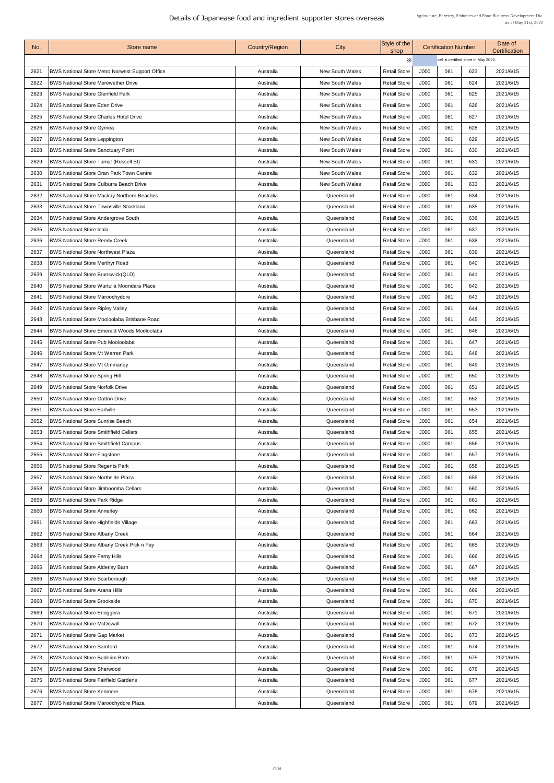| X<br>cell is certified store in May 2022.<br>J000<br>2621<br><b>BWS National Store Metro Norwest Support Office</b><br><b>Retail Store</b><br>061<br>623<br>2021/6/15<br><b>New South Wales</b><br>Australia<br><b>BWS National Store Merewether Drive</b><br><b>Retail Store</b><br>J000<br>061<br>2622<br><b>New South Wales</b><br>624<br>2021/6/15<br>Australia<br><b>Retail Store</b><br>J000<br>061<br>2623<br><b>BWS National Store Glenfield Park</b><br>625<br><b>New South Wales</b><br>2021/6/15<br>Australia<br>J000<br><b>BWS National Store Eden Drive</b><br><b>Retail Store</b><br>061<br>626<br>2021/6/15<br>2624<br><b>New South Wales</b><br>Australia<br>J000<br><b>BWS National Store Charles Hotel Drive</b><br><b>Retail Store</b><br>061<br>627<br>2625<br><b>New South Wales</b><br>2021/6/15<br>Australia<br><b>Retail Store</b><br>J000<br>2626<br><b>BWS National Store Gymea</b><br><b>New South Wales</b><br>061<br>628<br>2021/6/15<br>Australia<br><b>BWS National Store Leppington</b><br><b>Retail Store</b><br>J000<br>2627<br><b>New South Wales</b><br>061<br>629<br>2021/6/15<br>Australia<br>J000<br>061<br>2628<br><b>BWS National Store Sanctuary Point</b><br><b>Retail Store</b><br>630<br>2021/6/15<br><b>New South Wales</b><br>Australia<br><b>BWS National Store Tumut (Russell St)</b><br><b>Retail Store</b><br>J000<br>061<br>631<br>2629<br><b>New South Wales</b><br>2021/6/15<br>Australia<br>J000<br><b>BWS National Store Oran Park Town Centre</b><br><b>Retail Store</b><br>061<br>632<br>2630<br><b>New South Wales</b><br>2021/6/15<br>Australia<br>J000<br>2631<br><b>BWS National Store Culburra Beach Drive</b><br><b>Retail Store</b><br>061<br>633<br>2021/6/15<br><b>New South Wales</b><br>Australia<br><b>Retail Store</b><br>J000<br>2632<br><b>BWS National Store Mackay Northern Beaches</b><br>061<br>634<br>2021/6/15<br>Queensland<br>Australia<br><b>Retail Store</b><br>J000<br>2021/6/15<br>2633<br><b>BWS National Store Townsville Stockland</b><br>061<br>635<br>Australia<br>Queensland<br><b>BWS National Store Andergrove South</b><br><b>Retail Store</b><br>J000<br>061<br>2634<br>636<br>2021/6/15<br>Australia<br>Queensland<br><b>BWS National Store Inala</b><br><b>Retail Store</b><br>J000<br>637<br>2635<br>061<br>2021/6/15<br>Queensland<br>Australia<br><b>BWS National Store Reedy Creek</b><br><b>Retail Store</b><br>J000<br>061<br>2636<br>638<br>2021/6/15<br>Queensland<br>Australia<br><b>BWS National Store Northwest Plaza</b><br><b>Retail Store</b><br>J000<br>2637<br>061<br>639<br>2021/6/15<br>Queensland<br>Australia<br><b>Retail Store</b><br>J000<br>2638<br><b>BWS National Store Merthyr Road</b><br>061<br>640<br>2021/6/15<br>Australia<br>Queensland<br>2639<br><b>BWS National Store Brunswick (QLD)</b><br><b>Retail Store</b><br>J000<br>061<br>641<br>2021/6/15<br>Australia<br>Queensland<br><b>BWS National Store Wurtulla Moondara Place</b><br><b>Retail Store</b><br>J000<br>061<br>642<br>2640<br>2021/6/15<br>Queensland<br>Australia<br><b>BWS National Store Maroochydore</b><br><b>Retail Store</b><br>J000<br>061<br>643<br>2641<br>2021/6/15<br>Australia<br>Queensland<br><b>BWS National Store Ripley Valley</b><br><b>Retail Store</b><br>J000<br>2642<br>061<br>644<br>2021/6/15<br>Queensland<br>Australia<br><b>BWS National Store Mooloolaba Brisbane Road</b><br><b>Retail Store</b><br>J000<br>2643<br>061<br>645<br>2021/6/15<br>Australia<br>Queensland<br><b>Retail Store</b><br>J000<br>061<br>2644<br><b>BWS National Store Emerald Woods Mooloolaba</b><br>646<br>2021/6/15<br>Queensland<br>Australia<br><b>BWS National Store Pub Mooloolaba</b><br><b>Retail Store</b><br>J000<br>061<br>647<br>2645<br>2021/6/15<br>Australia<br>Queensland<br><b>BWS National Store Mt Warren Park</b><br><b>Retail Store</b><br>J000<br>061<br>2646<br>648<br>2021/6/15<br>Queensland<br>Australia<br><b>Retail Store</b><br>J000<br>649<br>2647<br><b>BWS National Store Mt Ommaney</b><br>061<br>2021/6/15<br>Queensland<br>Australia<br><b>BWS National Store Spring Hill</b><br>J000<br>2648<br><b>Retail Store</b><br>061<br>650<br>2021/6/15<br>Australia<br>Queensland<br><b>BWS National Store Norfolk Drive</b><br>J000<br>2649<br><b>Retail Store</b><br>061<br>2021/6/15<br>651<br>Australia<br>Queensland<br>J000<br><b>BWS National Store Gatton Drive</b><br><b>Retail Store</b><br>061<br>652<br>2021/6/15<br>2650<br>Australia<br>Queensland<br><b>BWS National Store Earlville</b><br><b>Retail Store</b><br>J000<br>061<br>653<br>2021/6/15<br>2651<br>Queensland<br>Australia<br><b>BWS National Store Sunrise Beach</b><br><b>Retail Store</b><br>J000<br>061<br>2652<br>654<br>2021/6/15<br>Queensland<br>Australia<br>2653<br><b>BWS National Store Smithfield Cellars</b><br><b>Retail Store</b><br>J000<br>655<br>061<br>2021/6/15<br>Queensland<br>Australia<br><b>BWS National Store Smithfield Campus</b><br><b>Retail Store</b><br>J000<br>2654<br>061<br>656<br>2021/6/15<br>Australia<br>Queensland<br>J000<br>2655<br><b>BWS National Store Flagstone</b><br><b>Retail Store</b><br>061<br>657<br>2021/6/15<br>Australia<br>Queensland<br><b>BWS National Store Regents Park</b><br><b>Retail Store</b><br>J000<br>2656<br>061<br>658<br>2021/6/15<br>Queensland<br>Australia<br>J000<br>2657<br><b>BWS National Store Northside Plaza</b><br><b>Retail Store</b><br>061<br>659<br>2021/6/15<br>Queensland<br>Australia<br>J000<br><b>BWS National Store Jimboomba Cellars</b><br><b>Retail Store</b><br>061<br>660<br>2021/6/15<br>2658<br>Queensland<br>Australia<br><b>BWS National Store Park Ridge</b><br><b>Retail Store</b><br>J000<br>2659<br>061<br>661<br>2021/6/15<br>Queensland<br>Australia<br>J000<br>2660<br><b>BWS National Store Annerley</b><br><b>Retail Store</b><br>061<br>662<br>2021/6/15<br>Australia<br>Queensland<br><b>BWS National Store Highfields Village</b><br><b>Retail Store</b><br>J000<br>061<br>663<br>2021/6/15<br>2661<br>Australia<br>Queensland<br><b>BWS National Store Albany Creek</b><br><b>Retail Store</b><br>2021/6/15<br>2662<br>J000<br>061<br>664<br>Queensland<br>Australia<br><b>BWS National Store Albany Creek Pick n Pay</b><br><b>Retail Store</b><br>J000<br>061<br>2663<br>665<br>2021/6/15<br>Australia<br>Queensland<br><b>BWS National Store Ferny Hills</b><br><b>Retail Store</b><br>J000<br>2664<br>061<br>666<br>2021/6/15<br>Queensland<br>Australia<br><b>BWS National Store Alderley Barn</b><br>J000<br>2665<br><b>Retail Store</b><br>061<br>667<br>2021/6/15<br>Australia<br>Queensland<br><b>Retail Store</b><br>J000<br>2666<br><b>BWS National Store Scarborough</b><br>061<br>668<br>2021/6/15<br>Queensland<br>Australia<br><b>BWS National Store Arana Hills</b><br><b>Retail Store</b><br>2667<br>J000<br>061<br>669<br>2021/6/15<br>Queensland<br>Australia<br>J000<br><b>Retail Store</b><br>061<br>670<br>2021/6/15<br>2668<br><b>BWS National Store Brookside</b><br>Australia<br>Queensland<br><b>BWS National Store Enoggera</b><br><b>Retail Store</b><br>J000<br>2669<br>061<br>671<br>2021/6/15<br>Queensland<br>Australia<br><b>BWS National Store McDowall</b><br><b>Retail Store</b><br>J000<br>2670<br>061<br>672<br>2021/6/15<br>Queensland<br>Australia<br>267'<br><b>BWS National Store Gap Market</b><br><b>Retail Store</b><br>J000<br>061<br>673<br>2021/6/15<br>Australia<br>Queensland<br><b>BWS National Store Samford</b><br><b>Retail Store</b><br>J000<br>061<br>2672<br>674<br>2021/6/15<br>Australia<br>Queensland<br><b>Retail Store</b><br>J000<br>061<br>2673<br><b>BWS National Store Buderim Barn</b><br>675<br>2021/6/15<br>Queensland<br>Australia<br><b>BWS National Store Sherwood</b><br><b>Retail Store</b><br>J000<br>2674<br>Queensland<br>061<br>676<br>2021/6/15<br>Australia<br><b>BWS National Store Fairfield Gardens</b><br><b>Retail Store</b><br>J000<br>061<br>677<br>2675<br>2021/6/15<br>Queensland<br>Australia<br>J000<br>678<br>2021/6/15<br>2676<br><b>BWS National Store Kenmore</b><br>Queensland<br><b>Retail Store</b><br>061<br>Australia<br>J000<br>2677<br>BWS National Store Maroochydore Plaza<br><b>Retail Store</b><br>061<br>679<br>2021/6/15<br>Queensland<br>Australia | No. | Store name | <b>Country/Region</b> | City | Style of the<br>shop | <b>Certification Number</b> |  | Date of<br><b>Certification</b> |
|-----------------------------------------------------------------------------------------------------------------------------------------------------------------------------------------------------------------------------------------------------------------------------------------------------------------------------------------------------------------------------------------------------------------------------------------------------------------------------------------------------------------------------------------------------------------------------------------------------------------------------------------------------------------------------------------------------------------------------------------------------------------------------------------------------------------------------------------------------------------------------------------------------------------------------------------------------------------------------------------------------------------------------------------------------------------------------------------------------------------------------------------------------------------------------------------------------------------------------------------------------------------------------------------------------------------------------------------------------------------------------------------------------------------------------------------------------------------------------------------------------------------------------------------------------------------------------------------------------------------------------------------------------------------------------------------------------------------------------------------------------------------------------------------------------------------------------------------------------------------------------------------------------------------------------------------------------------------------------------------------------------------------------------------------------------------------------------------------------------------------------------------------------------------------------------------------------------------------------------------------------------------------------------------------------------------------------------------------------------------------------------------------------------------------------------------------------------------------------------------------------------------------------------------------------------------------------------------------------------------------------------------------------------------------------------------------------------------------------------------------------------------------------------------------------------------------------------------------------------------------------------------------------------------------------------------------------------------------------------------------------------------------------------------------------------------------------------------------------------------------------------------------------------------------------------------------------------------------------------------------------------------------------------------------------------------------------------------------------------------------------------------------------------------------------------------------------------------------------------------------------------------------------------------------------------------------------------------------------------------------------------------------------------------------------------------------------------------------------------------------------------------------------------------------------------------------------------------------------------------------------------------------------------------------------------------------------------------------------------------------------------------------------------------------------------------------------------------------------------------------------------------------------------------------------------------------------------------------------------------------------------------------------------------------------------------------------------------------------------------------------------------------------------------------------------------------------------------------------------------------------------------------------------------------------------------------------------------------------------------------------------------------------------------------------------------------------------------------------------------------------------------------------------------------------------------------------------------------------------------------------------------------------------------------------------------------------------------------------------------------------------------------------------------------------------------------------------------------------------------------------------------------------------------------------------------------------------------------------------------------------------------------------------------------------------------------------------------------------------------------------------------------------------------------------------------------------------------------------------------------------------------------------------------------------------------------------------------------------------------------------------------------------------------------------------------------------------------------------------------------------------------------------------------------------------------------------------------------------------------------------------------------------------------------------------------------------------------------------------------------------------------------------------------------------------------------------------------------------------------------------------------------------------------------------------------------------------------------------------------------------------------------------------------------------------------------------------------------------------------------------------------------------------------------------------------------------------------------------------------------------------------------------------------------------------------------------------------------------------------------------------------------------------------------------------------------------------------------------------------------------------------------------------------------------------------------------------------------------------------------------------------------------------------------------------------------------------------------------------------------------------------------------------------------------------------------------------------------------------------------------------------------------------------------------------------------------------------------------------------------------------------------------------------------------------------------------------------------------------------------------------------------------------------------------------------------------------------------------------------------------------------------------------------------------------------------------------------------------------------------------------------------------------------------------------------------------------------------------------------------------------------------------------------------------------------------------------------------------------------------------------------------------------------------------------------------------------------------------------------------------------------------------------------------------------------------------------------------------------------------------------------------------------------------------------------------------------------------------------------------------------------------------------------------------|-----|------------|-----------------------|------|----------------------|-----------------------------|--|---------------------------------|
|                                                                                                                                                                                                                                                                                                                                                                                                                                                                                                                                                                                                                                                                                                                                                                                                                                                                                                                                                                                                                                                                                                                                                                                                                                                                                                                                                                                                                                                                                                                                                                                                                                                                                                                                                                                                                                                                                                                                                                                                                                                                                                                                                                                                                                                                                                                                                                                                                                                                                                                                                                                                                                                                                                                                                                                                                                                                                                                                                                                                                                                                                                                                                                                                                                                                                                                                                                                                                                                                                                                                                                                                                                                                                                                                                                                                                                                                                                                                                                                                                                                                                                                                                                                                                                                                                                                                                                                                                                                                                                                                                                                                                                                                                                                                                                                                                                                                                                                                                                                                                                                                                                                                                                                                                                                                                                                                                                                                                                                                                                                                                                                                                                                                                                                                                                                                                                                                                                                                                                                                                                                                                                                                                                                                                                                                                                                                                                                                                                                                                                                                                                                                                                                                                                                                                                                                                                                                                                                                                                                                                                                                                                                                                                                                                                                                                                                                                                                                                                                                                                                                                                                                                                                                                                                                                                                                                                                                                                                                                                                                                                                                                                                                                                                                                                                                                                     |     |            |                       |      |                      |                             |  |                                 |
|                                                                                                                                                                                                                                                                                                                                                                                                                                                                                                                                                                                                                                                                                                                                                                                                                                                                                                                                                                                                                                                                                                                                                                                                                                                                                                                                                                                                                                                                                                                                                                                                                                                                                                                                                                                                                                                                                                                                                                                                                                                                                                                                                                                                                                                                                                                                                                                                                                                                                                                                                                                                                                                                                                                                                                                                                                                                                                                                                                                                                                                                                                                                                                                                                                                                                                                                                                                                                                                                                                                                                                                                                                                                                                                                                                                                                                                                                                                                                                                                                                                                                                                                                                                                                                                                                                                                                                                                                                                                                                                                                                                                                                                                                                                                                                                                                                                                                                                                                                                                                                                                                                                                                                                                                                                                                                                                                                                                                                                                                                                                                                                                                                                                                                                                                                                                                                                                                                                                                                                                                                                                                                                                                                                                                                                                                                                                                                                                                                                                                                                                                                                                                                                                                                                                                                                                                                                                                                                                                                                                                                                                                                                                                                                                                                                                                                                                                                                                                                                                                                                                                                                                                                                                                                                                                                                                                                                                                                                                                                                                                                                                                                                                                                                                                                                                                                     |     |            |                       |      |                      |                             |  |                                 |
|                                                                                                                                                                                                                                                                                                                                                                                                                                                                                                                                                                                                                                                                                                                                                                                                                                                                                                                                                                                                                                                                                                                                                                                                                                                                                                                                                                                                                                                                                                                                                                                                                                                                                                                                                                                                                                                                                                                                                                                                                                                                                                                                                                                                                                                                                                                                                                                                                                                                                                                                                                                                                                                                                                                                                                                                                                                                                                                                                                                                                                                                                                                                                                                                                                                                                                                                                                                                                                                                                                                                                                                                                                                                                                                                                                                                                                                                                                                                                                                                                                                                                                                                                                                                                                                                                                                                                                                                                                                                                                                                                                                                                                                                                                                                                                                                                                                                                                                                                                                                                                                                                                                                                                                                                                                                                                                                                                                                                                                                                                                                                                                                                                                                                                                                                                                                                                                                                                                                                                                                                                                                                                                                                                                                                                                                                                                                                                                                                                                                                                                                                                                                                                                                                                                                                                                                                                                                                                                                                                                                                                                                                                                                                                                                                                                                                                                                                                                                                                                                                                                                                                                                                                                                                                                                                                                                                                                                                                                                                                                                                                                                                                                                                                                                                                                                                                     |     |            |                       |      |                      |                             |  |                                 |
|                                                                                                                                                                                                                                                                                                                                                                                                                                                                                                                                                                                                                                                                                                                                                                                                                                                                                                                                                                                                                                                                                                                                                                                                                                                                                                                                                                                                                                                                                                                                                                                                                                                                                                                                                                                                                                                                                                                                                                                                                                                                                                                                                                                                                                                                                                                                                                                                                                                                                                                                                                                                                                                                                                                                                                                                                                                                                                                                                                                                                                                                                                                                                                                                                                                                                                                                                                                                                                                                                                                                                                                                                                                                                                                                                                                                                                                                                                                                                                                                                                                                                                                                                                                                                                                                                                                                                                                                                                                                                                                                                                                                                                                                                                                                                                                                                                                                                                                                                                                                                                                                                                                                                                                                                                                                                                                                                                                                                                                                                                                                                                                                                                                                                                                                                                                                                                                                                                                                                                                                                                                                                                                                                                                                                                                                                                                                                                                                                                                                                                                                                                                                                                                                                                                                                                                                                                                                                                                                                                                                                                                                                                                                                                                                                                                                                                                                                                                                                                                                                                                                                                                                                                                                                                                                                                                                                                                                                                                                                                                                                                                                                                                                                                                                                                                                                                     |     |            |                       |      |                      |                             |  |                                 |
|                                                                                                                                                                                                                                                                                                                                                                                                                                                                                                                                                                                                                                                                                                                                                                                                                                                                                                                                                                                                                                                                                                                                                                                                                                                                                                                                                                                                                                                                                                                                                                                                                                                                                                                                                                                                                                                                                                                                                                                                                                                                                                                                                                                                                                                                                                                                                                                                                                                                                                                                                                                                                                                                                                                                                                                                                                                                                                                                                                                                                                                                                                                                                                                                                                                                                                                                                                                                                                                                                                                                                                                                                                                                                                                                                                                                                                                                                                                                                                                                                                                                                                                                                                                                                                                                                                                                                                                                                                                                                                                                                                                                                                                                                                                                                                                                                                                                                                                                                                                                                                                                                                                                                                                                                                                                                                                                                                                                                                                                                                                                                                                                                                                                                                                                                                                                                                                                                                                                                                                                                                                                                                                                                                                                                                                                                                                                                                                                                                                                                                                                                                                                                                                                                                                                                                                                                                                                                                                                                                                                                                                                                                                                                                                                                                                                                                                                                                                                                                                                                                                                                                                                                                                                                                                                                                                                                                                                                                                                                                                                                                                                                                                                                                                                                                                                                                     |     |            |                       |      |                      |                             |  |                                 |
|                                                                                                                                                                                                                                                                                                                                                                                                                                                                                                                                                                                                                                                                                                                                                                                                                                                                                                                                                                                                                                                                                                                                                                                                                                                                                                                                                                                                                                                                                                                                                                                                                                                                                                                                                                                                                                                                                                                                                                                                                                                                                                                                                                                                                                                                                                                                                                                                                                                                                                                                                                                                                                                                                                                                                                                                                                                                                                                                                                                                                                                                                                                                                                                                                                                                                                                                                                                                                                                                                                                                                                                                                                                                                                                                                                                                                                                                                                                                                                                                                                                                                                                                                                                                                                                                                                                                                                                                                                                                                                                                                                                                                                                                                                                                                                                                                                                                                                                                                                                                                                                                                                                                                                                                                                                                                                                                                                                                                                                                                                                                                                                                                                                                                                                                                                                                                                                                                                                                                                                                                                                                                                                                                                                                                                                                                                                                                                                                                                                                                                                                                                                                                                                                                                                                                                                                                                                                                                                                                                                                                                                                                                                                                                                                                                                                                                                                                                                                                                                                                                                                                                                                                                                                                                                                                                                                                                                                                                                                                                                                                                                                                                                                                                                                                                                                                                     |     |            |                       |      |                      |                             |  |                                 |
|                                                                                                                                                                                                                                                                                                                                                                                                                                                                                                                                                                                                                                                                                                                                                                                                                                                                                                                                                                                                                                                                                                                                                                                                                                                                                                                                                                                                                                                                                                                                                                                                                                                                                                                                                                                                                                                                                                                                                                                                                                                                                                                                                                                                                                                                                                                                                                                                                                                                                                                                                                                                                                                                                                                                                                                                                                                                                                                                                                                                                                                                                                                                                                                                                                                                                                                                                                                                                                                                                                                                                                                                                                                                                                                                                                                                                                                                                                                                                                                                                                                                                                                                                                                                                                                                                                                                                                                                                                                                                                                                                                                                                                                                                                                                                                                                                                                                                                                                                                                                                                                                                                                                                                                                                                                                                                                                                                                                                                                                                                                                                                                                                                                                                                                                                                                                                                                                                                                                                                                                                                                                                                                                                                                                                                                                                                                                                                                                                                                                                                                                                                                                                                                                                                                                                                                                                                                                                                                                                                                                                                                                                                                                                                                                                                                                                                                                                                                                                                                                                                                                                                                                                                                                                                                                                                                                                                                                                                                                                                                                                                                                                                                                                                                                                                                                                                     |     |            |                       |      |                      |                             |  |                                 |
|                                                                                                                                                                                                                                                                                                                                                                                                                                                                                                                                                                                                                                                                                                                                                                                                                                                                                                                                                                                                                                                                                                                                                                                                                                                                                                                                                                                                                                                                                                                                                                                                                                                                                                                                                                                                                                                                                                                                                                                                                                                                                                                                                                                                                                                                                                                                                                                                                                                                                                                                                                                                                                                                                                                                                                                                                                                                                                                                                                                                                                                                                                                                                                                                                                                                                                                                                                                                                                                                                                                                                                                                                                                                                                                                                                                                                                                                                                                                                                                                                                                                                                                                                                                                                                                                                                                                                                                                                                                                                                                                                                                                                                                                                                                                                                                                                                                                                                                                                                                                                                                                                                                                                                                                                                                                                                                                                                                                                                                                                                                                                                                                                                                                                                                                                                                                                                                                                                                                                                                                                                                                                                                                                                                                                                                                                                                                                                                                                                                                                                                                                                                                                                                                                                                                                                                                                                                                                                                                                                                                                                                                                                                                                                                                                                                                                                                                                                                                                                                                                                                                                                                                                                                                                                                                                                                                                                                                                                                                                                                                                                                                                                                                                                                                                                                                                                     |     |            |                       |      |                      |                             |  |                                 |
|                                                                                                                                                                                                                                                                                                                                                                                                                                                                                                                                                                                                                                                                                                                                                                                                                                                                                                                                                                                                                                                                                                                                                                                                                                                                                                                                                                                                                                                                                                                                                                                                                                                                                                                                                                                                                                                                                                                                                                                                                                                                                                                                                                                                                                                                                                                                                                                                                                                                                                                                                                                                                                                                                                                                                                                                                                                                                                                                                                                                                                                                                                                                                                                                                                                                                                                                                                                                                                                                                                                                                                                                                                                                                                                                                                                                                                                                                                                                                                                                                                                                                                                                                                                                                                                                                                                                                                                                                                                                                                                                                                                                                                                                                                                                                                                                                                                                                                                                                                                                                                                                                                                                                                                                                                                                                                                                                                                                                                                                                                                                                                                                                                                                                                                                                                                                                                                                                                                                                                                                                                                                                                                                                                                                                                                                                                                                                                                                                                                                                                                                                                                                                                                                                                                                                                                                                                                                                                                                                                                                                                                                                                                                                                                                                                                                                                                                                                                                                                                                                                                                                                                                                                                                                                                                                                                                                                                                                                                                                                                                                                                                                                                                                                                                                                                                                                     |     |            |                       |      |                      |                             |  |                                 |
|                                                                                                                                                                                                                                                                                                                                                                                                                                                                                                                                                                                                                                                                                                                                                                                                                                                                                                                                                                                                                                                                                                                                                                                                                                                                                                                                                                                                                                                                                                                                                                                                                                                                                                                                                                                                                                                                                                                                                                                                                                                                                                                                                                                                                                                                                                                                                                                                                                                                                                                                                                                                                                                                                                                                                                                                                                                                                                                                                                                                                                                                                                                                                                                                                                                                                                                                                                                                                                                                                                                                                                                                                                                                                                                                                                                                                                                                                                                                                                                                                                                                                                                                                                                                                                                                                                                                                                                                                                                                                                                                                                                                                                                                                                                                                                                                                                                                                                                                                                                                                                                                                                                                                                                                                                                                                                                                                                                                                                                                                                                                                                                                                                                                                                                                                                                                                                                                                                                                                                                                                                                                                                                                                                                                                                                                                                                                                                                                                                                                                                                                                                                                                                                                                                                                                                                                                                                                                                                                                                                                                                                                                                                                                                                                                                                                                                                                                                                                                                                                                                                                                                                                                                                                                                                                                                                                                                                                                                                                                                                                                                                                                                                                                                                                                                                                                                     |     |            |                       |      |                      |                             |  |                                 |
|                                                                                                                                                                                                                                                                                                                                                                                                                                                                                                                                                                                                                                                                                                                                                                                                                                                                                                                                                                                                                                                                                                                                                                                                                                                                                                                                                                                                                                                                                                                                                                                                                                                                                                                                                                                                                                                                                                                                                                                                                                                                                                                                                                                                                                                                                                                                                                                                                                                                                                                                                                                                                                                                                                                                                                                                                                                                                                                                                                                                                                                                                                                                                                                                                                                                                                                                                                                                                                                                                                                                                                                                                                                                                                                                                                                                                                                                                                                                                                                                                                                                                                                                                                                                                                                                                                                                                                                                                                                                                                                                                                                                                                                                                                                                                                                                                                                                                                                                                                                                                                                                                                                                                                                                                                                                                                                                                                                                                                                                                                                                                                                                                                                                                                                                                                                                                                                                                                                                                                                                                                                                                                                                                                                                                                                                                                                                                                                                                                                                                                                                                                                                                                                                                                                                                                                                                                                                                                                                                                                                                                                                                                                                                                                                                                                                                                                                                                                                                                                                                                                                                                                                                                                                                                                                                                                                                                                                                                                                                                                                                                                                                                                                                                                                                                                                                                     |     |            |                       |      |                      |                             |  |                                 |
|                                                                                                                                                                                                                                                                                                                                                                                                                                                                                                                                                                                                                                                                                                                                                                                                                                                                                                                                                                                                                                                                                                                                                                                                                                                                                                                                                                                                                                                                                                                                                                                                                                                                                                                                                                                                                                                                                                                                                                                                                                                                                                                                                                                                                                                                                                                                                                                                                                                                                                                                                                                                                                                                                                                                                                                                                                                                                                                                                                                                                                                                                                                                                                                                                                                                                                                                                                                                                                                                                                                                                                                                                                                                                                                                                                                                                                                                                                                                                                                                                                                                                                                                                                                                                                                                                                                                                                                                                                                                                                                                                                                                                                                                                                                                                                                                                                                                                                                                                                                                                                                                                                                                                                                                                                                                                                                                                                                                                                                                                                                                                                                                                                                                                                                                                                                                                                                                                                                                                                                                                                                                                                                                                                                                                                                                                                                                                                                                                                                                                                                                                                                                                                                                                                                                                                                                                                                                                                                                                                                                                                                                                                                                                                                                                                                                                                                                                                                                                                                                                                                                                                                                                                                                                                                                                                                                                                                                                                                                                                                                                                                                                                                                                                                                                                                                                                     |     |            |                       |      |                      |                             |  |                                 |
|                                                                                                                                                                                                                                                                                                                                                                                                                                                                                                                                                                                                                                                                                                                                                                                                                                                                                                                                                                                                                                                                                                                                                                                                                                                                                                                                                                                                                                                                                                                                                                                                                                                                                                                                                                                                                                                                                                                                                                                                                                                                                                                                                                                                                                                                                                                                                                                                                                                                                                                                                                                                                                                                                                                                                                                                                                                                                                                                                                                                                                                                                                                                                                                                                                                                                                                                                                                                                                                                                                                                                                                                                                                                                                                                                                                                                                                                                                                                                                                                                                                                                                                                                                                                                                                                                                                                                                                                                                                                                                                                                                                                                                                                                                                                                                                                                                                                                                                                                                                                                                                                                                                                                                                                                                                                                                                                                                                                                                                                                                                                                                                                                                                                                                                                                                                                                                                                                                                                                                                                                                                                                                                                                                                                                                                                                                                                                                                                                                                                                                                                                                                                                                                                                                                                                                                                                                                                                                                                                                                                                                                                                                                                                                                                                                                                                                                                                                                                                                                                                                                                                                                                                                                                                                                                                                                                                                                                                                                                                                                                                                                                                                                                                                                                                                                                                                     |     |            |                       |      |                      |                             |  |                                 |
|                                                                                                                                                                                                                                                                                                                                                                                                                                                                                                                                                                                                                                                                                                                                                                                                                                                                                                                                                                                                                                                                                                                                                                                                                                                                                                                                                                                                                                                                                                                                                                                                                                                                                                                                                                                                                                                                                                                                                                                                                                                                                                                                                                                                                                                                                                                                                                                                                                                                                                                                                                                                                                                                                                                                                                                                                                                                                                                                                                                                                                                                                                                                                                                                                                                                                                                                                                                                                                                                                                                                                                                                                                                                                                                                                                                                                                                                                                                                                                                                                                                                                                                                                                                                                                                                                                                                                                                                                                                                                                                                                                                                                                                                                                                                                                                                                                                                                                                                                                                                                                                                                                                                                                                                                                                                                                                                                                                                                                                                                                                                                                                                                                                                                                                                                                                                                                                                                                                                                                                                                                                                                                                                                                                                                                                                                                                                                                                                                                                                                                                                                                                                                                                                                                                                                                                                                                                                                                                                                                                                                                                                                                                                                                                                                                                                                                                                                                                                                                                                                                                                                                                                                                                                                                                                                                                                                                                                                                                                                                                                                                                                                                                                                                                                                                                                                                     |     |            |                       |      |                      |                             |  |                                 |
|                                                                                                                                                                                                                                                                                                                                                                                                                                                                                                                                                                                                                                                                                                                                                                                                                                                                                                                                                                                                                                                                                                                                                                                                                                                                                                                                                                                                                                                                                                                                                                                                                                                                                                                                                                                                                                                                                                                                                                                                                                                                                                                                                                                                                                                                                                                                                                                                                                                                                                                                                                                                                                                                                                                                                                                                                                                                                                                                                                                                                                                                                                                                                                                                                                                                                                                                                                                                                                                                                                                                                                                                                                                                                                                                                                                                                                                                                                                                                                                                                                                                                                                                                                                                                                                                                                                                                                                                                                                                                                                                                                                                                                                                                                                                                                                                                                                                                                                                                                                                                                                                                                                                                                                                                                                                                                                                                                                                                                                                                                                                                                                                                                                                                                                                                                                                                                                                                                                                                                                                                                                                                                                                                                                                                                                                                                                                                                                                                                                                                                                                                                                                                                                                                                                                                                                                                                                                                                                                                                                                                                                                                                                                                                                                                                                                                                                                                                                                                                                                                                                                                                                                                                                                                                                                                                                                                                                                                                                                                                                                                                                                                                                                                                                                                                                                                                     |     |            |                       |      |                      |                             |  |                                 |
|                                                                                                                                                                                                                                                                                                                                                                                                                                                                                                                                                                                                                                                                                                                                                                                                                                                                                                                                                                                                                                                                                                                                                                                                                                                                                                                                                                                                                                                                                                                                                                                                                                                                                                                                                                                                                                                                                                                                                                                                                                                                                                                                                                                                                                                                                                                                                                                                                                                                                                                                                                                                                                                                                                                                                                                                                                                                                                                                                                                                                                                                                                                                                                                                                                                                                                                                                                                                                                                                                                                                                                                                                                                                                                                                                                                                                                                                                                                                                                                                                                                                                                                                                                                                                                                                                                                                                                                                                                                                                                                                                                                                                                                                                                                                                                                                                                                                                                                                                                                                                                                                                                                                                                                                                                                                                                                                                                                                                                                                                                                                                                                                                                                                                                                                                                                                                                                                                                                                                                                                                                                                                                                                                                                                                                                                                                                                                                                                                                                                                                                                                                                                                                                                                                                                                                                                                                                                                                                                                                                                                                                                                                                                                                                                                                                                                                                                                                                                                                                                                                                                                                                                                                                                                                                                                                                                                                                                                                                                                                                                                                                                                                                                                                                                                                                                                                     |     |            |                       |      |                      |                             |  |                                 |
|                                                                                                                                                                                                                                                                                                                                                                                                                                                                                                                                                                                                                                                                                                                                                                                                                                                                                                                                                                                                                                                                                                                                                                                                                                                                                                                                                                                                                                                                                                                                                                                                                                                                                                                                                                                                                                                                                                                                                                                                                                                                                                                                                                                                                                                                                                                                                                                                                                                                                                                                                                                                                                                                                                                                                                                                                                                                                                                                                                                                                                                                                                                                                                                                                                                                                                                                                                                                                                                                                                                                                                                                                                                                                                                                                                                                                                                                                                                                                                                                                                                                                                                                                                                                                                                                                                                                                                                                                                                                                                                                                                                                                                                                                                                                                                                                                                                                                                                                                                                                                                                                                                                                                                                                                                                                                                                                                                                                                                                                                                                                                                                                                                                                                                                                                                                                                                                                                                                                                                                                                                                                                                                                                                                                                                                                                                                                                                                                                                                                                                                                                                                                                                                                                                                                                                                                                                                                                                                                                                                                                                                                                                                                                                                                                                                                                                                                                                                                                                                                                                                                                                                                                                                                                                                                                                                                                                                                                                                                                                                                                                                                                                                                                                                                                                                                                                     |     |            |                       |      |                      |                             |  |                                 |
|                                                                                                                                                                                                                                                                                                                                                                                                                                                                                                                                                                                                                                                                                                                                                                                                                                                                                                                                                                                                                                                                                                                                                                                                                                                                                                                                                                                                                                                                                                                                                                                                                                                                                                                                                                                                                                                                                                                                                                                                                                                                                                                                                                                                                                                                                                                                                                                                                                                                                                                                                                                                                                                                                                                                                                                                                                                                                                                                                                                                                                                                                                                                                                                                                                                                                                                                                                                                                                                                                                                                                                                                                                                                                                                                                                                                                                                                                                                                                                                                                                                                                                                                                                                                                                                                                                                                                                                                                                                                                                                                                                                                                                                                                                                                                                                                                                                                                                                                                                                                                                                                                                                                                                                                                                                                                                                                                                                                                                                                                                                                                                                                                                                                                                                                                                                                                                                                                                                                                                                                                                                                                                                                                                                                                                                                                                                                                                                                                                                                                                                                                                                                                                                                                                                                                                                                                                                                                                                                                                                                                                                                                                                                                                                                                                                                                                                                                                                                                                                                                                                                                                                                                                                                                                                                                                                                                                                                                                                                                                                                                                                                                                                                                                                                                                                                                                     |     |            |                       |      |                      |                             |  |                                 |
|                                                                                                                                                                                                                                                                                                                                                                                                                                                                                                                                                                                                                                                                                                                                                                                                                                                                                                                                                                                                                                                                                                                                                                                                                                                                                                                                                                                                                                                                                                                                                                                                                                                                                                                                                                                                                                                                                                                                                                                                                                                                                                                                                                                                                                                                                                                                                                                                                                                                                                                                                                                                                                                                                                                                                                                                                                                                                                                                                                                                                                                                                                                                                                                                                                                                                                                                                                                                                                                                                                                                                                                                                                                                                                                                                                                                                                                                                                                                                                                                                                                                                                                                                                                                                                                                                                                                                                                                                                                                                                                                                                                                                                                                                                                                                                                                                                                                                                                                                                                                                                                                                                                                                                                                                                                                                                                                                                                                                                                                                                                                                                                                                                                                                                                                                                                                                                                                                                                                                                                                                                                                                                                                                                                                                                                                                                                                                                                                                                                                                                                                                                                                                                                                                                                                                                                                                                                                                                                                                                                                                                                                                                                                                                                                                                                                                                                                                                                                                                                                                                                                                                                                                                                                                                                                                                                                                                                                                                                                                                                                                                                                                                                                                                                                                                                                                                     |     |            |                       |      |                      |                             |  |                                 |
|                                                                                                                                                                                                                                                                                                                                                                                                                                                                                                                                                                                                                                                                                                                                                                                                                                                                                                                                                                                                                                                                                                                                                                                                                                                                                                                                                                                                                                                                                                                                                                                                                                                                                                                                                                                                                                                                                                                                                                                                                                                                                                                                                                                                                                                                                                                                                                                                                                                                                                                                                                                                                                                                                                                                                                                                                                                                                                                                                                                                                                                                                                                                                                                                                                                                                                                                                                                                                                                                                                                                                                                                                                                                                                                                                                                                                                                                                                                                                                                                                                                                                                                                                                                                                                                                                                                                                                                                                                                                                                                                                                                                                                                                                                                                                                                                                                                                                                                                                                                                                                                                                                                                                                                                                                                                                                                                                                                                                                                                                                                                                                                                                                                                                                                                                                                                                                                                                                                                                                                                                                                                                                                                                                                                                                                                                                                                                                                                                                                                                                                                                                                                                                                                                                                                                                                                                                                                                                                                                                                                                                                                                                                                                                                                                                                                                                                                                                                                                                                                                                                                                                                                                                                                                                                                                                                                                                                                                                                                                                                                                                                                                                                                                                                                                                                                                                     |     |            |                       |      |                      |                             |  |                                 |
|                                                                                                                                                                                                                                                                                                                                                                                                                                                                                                                                                                                                                                                                                                                                                                                                                                                                                                                                                                                                                                                                                                                                                                                                                                                                                                                                                                                                                                                                                                                                                                                                                                                                                                                                                                                                                                                                                                                                                                                                                                                                                                                                                                                                                                                                                                                                                                                                                                                                                                                                                                                                                                                                                                                                                                                                                                                                                                                                                                                                                                                                                                                                                                                                                                                                                                                                                                                                                                                                                                                                                                                                                                                                                                                                                                                                                                                                                                                                                                                                                                                                                                                                                                                                                                                                                                                                                                                                                                                                                                                                                                                                                                                                                                                                                                                                                                                                                                                                                                                                                                                                                                                                                                                                                                                                                                                                                                                                                                                                                                                                                                                                                                                                                                                                                                                                                                                                                                                                                                                                                                                                                                                                                                                                                                                                                                                                                                                                                                                                                                                                                                                                                                                                                                                                                                                                                                                                                                                                                                                                                                                                                                                                                                                                                                                                                                                                                                                                                                                                                                                                                                                                                                                                                                                                                                                                                                                                                                                                                                                                                                                                                                                                                                                                                                                                                                     |     |            |                       |      |                      |                             |  |                                 |
|                                                                                                                                                                                                                                                                                                                                                                                                                                                                                                                                                                                                                                                                                                                                                                                                                                                                                                                                                                                                                                                                                                                                                                                                                                                                                                                                                                                                                                                                                                                                                                                                                                                                                                                                                                                                                                                                                                                                                                                                                                                                                                                                                                                                                                                                                                                                                                                                                                                                                                                                                                                                                                                                                                                                                                                                                                                                                                                                                                                                                                                                                                                                                                                                                                                                                                                                                                                                                                                                                                                                                                                                                                                                                                                                                                                                                                                                                                                                                                                                                                                                                                                                                                                                                                                                                                                                                                                                                                                                                                                                                                                                                                                                                                                                                                                                                                                                                                                                                                                                                                                                                                                                                                                                                                                                                                                                                                                                                                                                                                                                                                                                                                                                                                                                                                                                                                                                                                                                                                                                                                                                                                                                                                                                                                                                                                                                                                                                                                                                                                                                                                                                                                                                                                                                                                                                                                                                                                                                                                                                                                                                                                                                                                                                                                                                                                                                                                                                                                                                                                                                                                                                                                                                                                                                                                                                                                                                                                                                                                                                                                                                                                                                                                                                                                                                                                     |     |            |                       |      |                      |                             |  |                                 |
|                                                                                                                                                                                                                                                                                                                                                                                                                                                                                                                                                                                                                                                                                                                                                                                                                                                                                                                                                                                                                                                                                                                                                                                                                                                                                                                                                                                                                                                                                                                                                                                                                                                                                                                                                                                                                                                                                                                                                                                                                                                                                                                                                                                                                                                                                                                                                                                                                                                                                                                                                                                                                                                                                                                                                                                                                                                                                                                                                                                                                                                                                                                                                                                                                                                                                                                                                                                                                                                                                                                                                                                                                                                                                                                                                                                                                                                                                                                                                                                                                                                                                                                                                                                                                                                                                                                                                                                                                                                                                                                                                                                                                                                                                                                                                                                                                                                                                                                                                                                                                                                                                                                                                                                                                                                                                                                                                                                                                                                                                                                                                                                                                                                                                                                                                                                                                                                                                                                                                                                                                                                                                                                                                                                                                                                                                                                                                                                                                                                                                                                                                                                                                                                                                                                                                                                                                                                                                                                                                                                                                                                                                                                                                                                                                                                                                                                                                                                                                                                                                                                                                                                                                                                                                                                                                                                                                                                                                                                                                                                                                                                                                                                                                                                                                                                                                                     |     |            |                       |      |                      |                             |  |                                 |
|                                                                                                                                                                                                                                                                                                                                                                                                                                                                                                                                                                                                                                                                                                                                                                                                                                                                                                                                                                                                                                                                                                                                                                                                                                                                                                                                                                                                                                                                                                                                                                                                                                                                                                                                                                                                                                                                                                                                                                                                                                                                                                                                                                                                                                                                                                                                                                                                                                                                                                                                                                                                                                                                                                                                                                                                                                                                                                                                                                                                                                                                                                                                                                                                                                                                                                                                                                                                                                                                                                                                                                                                                                                                                                                                                                                                                                                                                                                                                                                                                                                                                                                                                                                                                                                                                                                                                                                                                                                                                                                                                                                                                                                                                                                                                                                                                                                                                                                                                                                                                                                                                                                                                                                                                                                                                                                                                                                                                                                                                                                                                                                                                                                                                                                                                                                                                                                                                                                                                                                                                                                                                                                                                                                                                                                                                                                                                                                                                                                                                                                                                                                                                                                                                                                                                                                                                                                                                                                                                                                                                                                                                                                                                                                                                                                                                                                                                                                                                                                                                                                                                                                                                                                                                                                                                                                                                                                                                                                                                                                                                                                                                                                                                                                                                                                                                                     |     |            |                       |      |                      |                             |  |                                 |
|                                                                                                                                                                                                                                                                                                                                                                                                                                                                                                                                                                                                                                                                                                                                                                                                                                                                                                                                                                                                                                                                                                                                                                                                                                                                                                                                                                                                                                                                                                                                                                                                                                                                                                                                                                                                                                                                                                                                                                                                                                                                                                                                                                                                                                                                                                                                                                                                                                                                                                                                                                                                                                                                                                                                                                                                                                                                                                                                                                                                                                                                                                                                                                                                                                                                                                                                                                                                                                                                                                                                                                                                                                                                                                                                                                                                                                                                                                                                                                                                                                                                                                                                                                                                                                                                                                                                                                                                                                                                                                                                                                                                                                                                                                                                                                                                                                                                                                                                                                                                                                                                                                                                                                                                                                                                                                                                                                                                                                                                                                                                                                                                                                                                                                                                                                                                                                                                                                                                                                                                                                                                                                                                                                                                                                                                                                                                                                                                                                                                                                                                                                                                                                                                                                                                                                                                                                                                                                                                                                                                                                                                                                                                                                                                                                                                                                                                                                                                                                                                                                                                                                                                                                                                                                                                                                                                                                                                                                                                                                                                                                                                                                                                                                                                                                                                                                     |     |            |                       |      |                      |                             |  |                                 |
|                                                                                                                                                                                                                                                                                                                                                                                                                                                                                                                                                                                                                                                                                                                                                                                                                                                                                                                                                                                                                                                                                                                                                                                                                                                                                                                                                                                                                                                                                                                                                                                                                                                                                                                                                                                                                                                                                                                                                                                                                                                                                                                                                                                                                                                                                                                                                                                                                                                                                                                                                                                                                                                                                                                                                                                                                                                                                                                                                                                                                                                                                                                                                                                                                                                                                                                                                                                                                                                                                                                                                                                                                                                                                                                                                                                                                                                                                                                                                                                                                                                                                                                                                                                                                                                                                                                                                                                                                                                                                                                                                                                                                                                                                                                                                                                                                                                                                                                                                                                                                                                                                                                                                                                                                                                                                                                                                                                                                                                                                                                                                                                                                                                                                                                                                                                                                                                                                                                                                                                                                                                                                                                                                                                                                                                                                                                                                                                                                                                                                                                                                                                                                                                                                                                                                                                                                                                                                                                                                                                                                                                                                                                                                                                                                                                                                                                                                                                                                                                                                                                                                                                                                                                                                                                                                                                                                                                                                                                                                                                                                                                                                                                                                                                                                                                                                                     |     |            |                       |      |                      |                             |  |                                 |
|                                                                                                                                                                                                                                                                                                                                                                                                                                                                                                                                                                                                                                                                                                                                                                                                                                                                                                                                                                                                                                                                                                                                                                                                                                                                                                                                                                                                                                                                                                                                                                                                                                                                                                                                                                                                                                                                                                                                                                                                                                                                                                                                                                                                                                                                                                                                                                                                                                                                                                                                                                                                                                                                                                                                                                                                                                                                                                                                                                                                                                                                                                                                                                                                                                                                                                                                                                                                                                                                                                                                                                                                                                                                                                                                                                                                                                                                                                                                                                                                                                                                                                                                                                                                                                                                                                                                                                                                                                                                                                                                                                                                                                                                                                                                                                                                                                                                                                                                                                                                                                                                                                                                                                                                                                                                                                                                                                                                                                                                                                                                                                                                                                                                                                                                                                                                                                                                                                                                                                                                                                                                                                                                                                                                                                                                                                                                                                                                                                                                                                                                                                                                                                                                                                                                                                                                                                                                                                                                                                                                                                                                                                                                                                                                                                                                                                                                                                                                                                                                                                                                                                                                                                                                                                                                                                                                                                                                                                                                                                                                                                                                                                                                                                                                                                                                                                     |     |            |                       |      |                      |                             |  |                                 |
|                                                                                                                                                                                                                                                                                                                                                                                                                                                                                                                                                                                                                                                                                                                                                                                                                                                                                                                                                                                                                                                                                                                                                                                                                                                                                                                                                                                                                                                                                                                                                                                                                                                                                                                                                                                                                                                                                                                                                                                                                                                                                                                                                                                                                                                                                                                                                                                                                                                                                                                                                                                                                                                                                                                                                                                                                                                                                                                                                                                                                                                                                                                                                                                                                                                                                                                                                                                                                                                                                                                                                                                                                                                                                                                                                                                                                                                                                                                                                                                                                                                                                                                                                                                                                                                                                                                                                                                                                                                                                                                                                                                                                                                                                                                                                                                                                                                                                                                                                                                                                                                                                                                                                                                                                                                                                                                                                                                                                                                                                                                                                                                                                                                                                                                                                                                                                                                                                                                                                                                                                                                                                                                                                                                                                                                                                                                                                                                                                                                                                                                                                                                                                                                                                                                                                                                                                                                                                                                                                                                                                                                                                                                                                                                                                                                                                                                                                                                                                                                                                                                                                                                                                                                                                                                                                                                                                                                                                                                                                                                                                                                                                                                                                                                                                                                                                                     |     |            |                       |      |                      |                             |  |                                 |
|                                                                                                                                                                                                                                                                                                                                                                                                                                                                                                                                                                                                                                                                                                                                                                                                                                                                                                                                                                                                                                                                                                                                                                                                                                                                                                                                                                                                                                                                                                                                                                                                                                                                                                                                                                                                                                                                                                                                                                                                                                                                                                                                                                                                                                                                                                                                                                                                                                                                                                                                                                                                                                                                                                                                                                                                                                                                                                                                                                                                                                                                                                                                                                                                                                                                                                                                                                                                                                                                                                                                                                                                                                                                                                                                                                                                                                                                                                                                                                                                                                                                                                                                                                                                                                                                                                                                                                                                                                                                                                                                                                                                                                                                                                                                                                                                                                                                                                                                                                                                                                                                                                                                                                                                                                                                                                                                                                                                                                                                                                                                                                                                                                                                                                                                                                                                                                                                                                                                                                                                                                                                                                                                                                                                                                                                                                                                                                                                                                                                                                                                                                                                                                                                                                                                                                                                                                                                                                                                                                                                                                                                                                                                                                                                                                                                                                                                                                                                                                                                                                                                                                                                                                                                                                                                                                                                                                                                                                                                                                                                                                                                                                                                                                                                                                                                                                     |     |            |                       |      |                      |                             |  |                                 |
|                                                                                                                                                                                                                                                                                                                                                                                                                                                                                                                                                                                                                                                                                                                                                                                                                                                                                                                                                                                                                                                                                                                                                                                                                                                                                                                                                                                                                                                                                                                                                                                                                                                                                                                                                                                                                                                                                                                                                                                                                                                                                                                                                                                                                                                                                                                                                                                                                                                                                                                                                                                                                                                                                                                                                                                                                                                                                                                                                                                                                                                                                                                                                                                                                                                                                                                                                                                                                                                                                                                                                                                                                                                                                                                                                                                                                                                                                                                                                                                                                                                                                                                                                                                                                                                                                                                                                                                                                                                                                                                                                                                                                                                                                                                                                                                                                                                                                                                                                                                                                                                                                                                                                                                                                                                                                                                                                                                                                                                                                                                                                                                                                                                                                                                                                                                                                                                                                                                                                                                                                                                                                                                                                                                                                                                                                                                                                                                                                                                                                                                                                                                                                                                                                                                                                                                                                                                                                                                                                                                                                                                                                                                                                                                                                                                                                                                                                                                                                                                                                                                                                                                                                                                                                                                                                                                                                                                                                                                                                                                                                                                                                                                                                                                                                                                                                                     |     |            |                       |      |                      |                             |  |                                 |
|                                                                                                                                                                                                                                                                                                                                                                                                                                                                                                                                                                                                                                                                                                                                                                                                                                                                                                                                                                                                                                                                                                                                                                                                                                                                                                                                                                                                                                                                                                                                                                                                                                                                                                                                                                                                                                                                                                                                                                                                                                                                                                                                                                                                                                                                                                                                                                                                                                                                                                                                                                                                                                                                                                                                                                                                                                                                                                                                                                                                                                                                                                                                                                                                                                                                                                                                                                                                                                                                                                                                                                                                                                                                                                                                                                                                                                                                                                                                                                                                                                                                                                                                                                                                                                                                                                                                                                                                                                                                                                                                                                                                                                                                                                                                                                                                                                                                                                                                                                                                                                                                                                                                                                                                                                                                                                                                                                                                                                                                                                                                                                                                                                                                                                                                                                                                                                                                                                                                                                                                                                                                                                                                                                                                                                                                                                                                                                                                                                                                                                                                                                                                                                                                                                                                                                                                                                                                                                                                                                                                                                                                                                                                                                                                                                                                                                                                                                                                                                                                                                                                                                                                                                                                                                                                                                                                                                                                                                                                                                                                                                                                                                                                                                                                                                                                                                     |     |            |                       |      |                      |                             |  |                                 |
|                                                                                                                                                                                                                                                                                                                                                                                                                                                                                                                                                                                                                                                                                                                                                                                                                                                                                                                                                                                                                                                                                                                                                                                                                                                                                                                                                                                                                                                                                                                                                                                                                                                                                                                                                                                                                                                                                                                                                                                                                                                                                                                                                                                                                                                                                                                                                                                                                                                                                                                                                                                                                                                                                                                                                                                                                                                                                                                                                                                                                                                                                                                                                                                                                                                                                                                                                                                                                                                                                                                                                                                                                                                                                                                                                                                                                                                                                                                                                                                                                                                                                                                                                                                                                                                                                                                                                                                                                                                                                                                                                                                                                                                                                                                                                                                                                                                                                                                                                                                                                                                                                                                                                                                                                                                                                                                                                                                                                                                                                                                                                                                                                                                                                                                                                                                                                                                                                                                                                                                                                                                                                                                                                                                                                                                                                                                                                                                                                                                                                                                                                                                                                                                                                                                                                                                                                                                                                                                                                                                                                                                                                                                                                                                                                                                                                                                                                                                                                                                                                                                                                                                                                                                                                                                                                                                                                                                                                                                                                                                                                                                                                                                                                                                                                                                                                                     |     |            |                       |      |                      |                             |  |                                 |
|                                                                                                                                                                                                                                                                                                                                                                                                                                                                                                                                                                                                                                                                                                                                                                                                                                                                                                                                                                                                                                                                                                                                                                                                                                                                                                                                                                                                                                                                                                                                                                                                                                                                                                                                                                                                                                                                                                                                                                                                                                                                                                                                                                                                                                                                                                                                                                                                                                                                                                                                                                                                                                                                                                                                                                                                                                                                                                                                                                                                                                                                                                                                                                                                                                                                                                                                                                                                                                                                                                                                                                                                                                                                                                                                                                                                                                                                                                                                                                                                                                                                                                                                                                                                                                                                                                                                                                                                                                                                                                                                                                                                                                                                                                                                                                                                                                                                                                                                                                                                                                                                                                                                                                                                                                                                                                                                                                                                                                                                                                                                                                                                                                                                                                                                                                                                                                                                                                                                                                                                                                                                                                                                                                                                                                                                                                                                                                                                                                                                                                                                                                                                                                                                                                                                                                                                                                                                                                                                                                                                                                                                                                                                                                                                                                                                                                                                                                                                                                                                                                                                                                                                                                                                                                                                                                                                                                                                                                                                                                                                                                                                                                                                                                                                                                                                                                     |     |            |                       |      |                      |                             |  |                                 |
|                                                                                                                                                                                                                                                                                                                                                                                                                                                                                                                                                                                                                                                                                                                                                                                                                                                                                                                                                                                                                                                                                                                                                                                                                                                                                                                                                                                                                                                                                                                                                                                                                                                                                                                                                                                                                                                                                                                                                                                                                                                                                                                                                                                                                                                                                                                                                                                                                                                                                                                                                                                                                                                                                                                                                                                                                                                                                                                                                                                                                                                                                                                                                                                                                                                                                                                                                                                                                                                                                                                                                                                                                                                                                                                                                                                                                                                                                                                                                                                                                                                                                                                                                                                                                                                                                                                                                                                                                                                                                                                                                                                                                                                                                                                                                                                                                                                                                                                                                                                                                                                                                                                                                                                                                                                                                                                                                                                                                                                                                                                                                                                                                                                                                                                                                                                                                                                                                                                                                                                                                                                                                                                                                                                                                                                                                                                                                                                                                                                                                                                                                                                                                                                                                                                                                                                                                                                                                                                                                                                                                                                                                                                                                                                                                                                                                                                                                                                                                                                                                                                                                                                                                                                                                                                                                                                                                                                                                                                                                                                                                                                                                                                                                                                                                                                                                                     |     |            |                       |      |                      |                             |  |                                 |
|                                                                                                                                                                                                                                                                                                                                                                                                                                                                                                                                                                                                                                                                                                                                                                                                                                                                                                                                                                                                                                                                                                                                                                                                                                                                                                                                                                                                                                                                                                                                                                                                                                                                                                                                                                                                                                                                                                                                                                                                                                                                                                                                                                                                                                                                                                                                                                                                                                                                                                                                                                                                                                                                                                                                                                                                                                                                                                                                                                                                                                                                                                                                                                                                                                                                                                                                                                                                                                                                                                                                                                                                                                                                                                                                                                                                                                                                                                                                                                                                                                                                                                                                                                                                                                                                                                                                                                                                                                                                                                                                                                                                                                                                                                                                                                                                                                                                                                                                                                                                                                                                                                                                                                                                                                                                                                                                                                                                                                                                                                                                                                                                                                                                                                                                                                                                                                                                                                                                                                                                                                                                                                                                                                                                                                                                                                                                                                                                                                                                                                                                                                                                                                                                                                                                                                                                                                                                                                                                                                                                                                                                                                                                                                                                                                                                                                                                                                                                                                                                                                                                                                                                                                                                                                                                                                                                                                                                                                                                                                                                                                                                                                                                                                                                                                                                                                     |     |            |                       |      |                      |                             |  |                                 |
|                                                                                                                                                                                                                                                                                                                                                                                                                                                                                                                                                                                                                                                                                                                                                                                                                                                                                                                                                                                                                                                                                                                                                                                                                                                                                                                                                                                                                                                                                                                                                                                                                                                                                                                                                                                                                                                                                                                                                                                                                                                                                                                                                                                                                                                                                                                                                                                                                                                                                                                                                                                                                                                                                                                                                                                                                                                                                                                                                                                                                                                                                                                                                                                                                                                                                                                                                                                                                                                                                                                                                                                                                                                                                                                                                                                                                                                                                                                                                                                                                                                                                                                                                                                                                                                                                                                                                                                                                                                                                                                                                                                                                                                                                                                                                                                                                                                                                                                                                                                                                                                                                                                                                                                                                                                                                                                                                                                                                                                                                                                                                                                                                                                                                                                                                                                                                                                                                                                                                                                                                                                                                                                                                                                                                                                                                                                                                                                                                                                                                                                                                                                                                                                                                                                                                                                                                                                                                                                                                                                                                                                                                                                                                                                                                                                                                                                                                                                                                                                                                                                                                                                                                                                                                                                                                                                                                                                                                                                                                                                                                                                                                                                                                                                                                                                                                                     |     |            |                       |      |                      |                             |  |                                 |
|                                                                                                                                                                                                                                                                                                                                                                                                                                                                                                                                                                                                                                                                                                                                                                                                                                                                                                                                                                                                                                                                                                                                                                                                                                                                                                                                                                                                                                                                                                                                                                                                                                                                                                                                                                                                                                                                                                                                                                                                                                                                                                                                                                                                                                                                                                                                                                                                                                                                                                                                                                                                                                                                                                                                                                                                                                                                                                                                                                                                                                                                                                                                                                                                                                                                                                                                                                                                                                                                                                                                                                                                                                                                                                                                                                                                                                                                                                                                                                                                                                                                                                                                                                                                                                                                                                                                                                                                                                                                                                                                                                                                                                                                                                                                                                                                                                                                                                                                                                                                                                                                                                                                                                                                                                                                                                                                                                                                                                                                                                                                                                                                                                                                                                                                                                                                                                                                                                                                                                                                                                                                                                                                                                                                                                                                                                                                                                                                                                                                                                                                                                                                                                                                                                                                                                                                                                                                                                                                                                                                                                                                                                                                                                                                                                                                                                                                                                                                                                                                                                                                                                                                                                                                                                                                                                                                                                                                                                                                                                                                                                                                                                                                                                                                                                                                                                     |     |            |                       |      |                      |                             |  |                                 |
|                                                                                                                                                                                                                                                                                                                                                                                                                                                                                                                                                                                                                                                                                                                                                                                                                                                                                                                                                                                                                                                                                                                                                                                                                                                                                                                                                                                                                                                                                                                                                                                                                                                                                                                                                                                                                                                                                                                                                                                                                                                                                                                                                                                                                                                                                                                                                                                                                                                                                                                                                                                                                                                                                                                                                                                                                                                                                                                                                                                                                                                                                                                                                                                                                                                                                                                                                                                                                                                                                                                                                                                                                                                                                                                                                                                                                                                                                                                                                                                                                                                                                                                                                                                                                                                                                                                                                                                                                                                                                                                                                                                                                                                                                                                                                                                                                                                                                                                                                                                                                                                                                                                                                                                                                                                                                                                                                                                                                                                                                                                                                                                                                                                                                                                                                                                                                                                                                                                                                                                                                                                                                                                                                                                                                                                                                                                                                                                                                                                                                                                                                                                                                                                                                                                                                                                                                                                                                                                                                                                                                                                                                                                                                                                                                                                                                                                                                                                                                                                                                                                                                                                                                                                                                                                                                                                                                                                                                                                                                                                                                                                                                                                                                                                                                                                                                                     |     |            |                       |      |                      |                             |  |                                 |
|                                                                                                                                                                                                                                                                                                                                                                                                                                                                                                                                                                                                                                                                                                                                                                                                                                                                                                                                                                                                                                                                                                                                                                                                                                                                                                                                                                                                                                                                                                                                                                                                                                                                                                                                                                                                                                                                                                                                                                                                                                                                                                                                                                                                                                                                                                                                                                                                                                                                                                                                                                                                                                                                                                                                                                                                                                                                                                                                                                                                                                                                                                                                                                                                                                                                                                                                                                                                                                                                                                                                                                                                                                                                                                                                                                                                                                                                                                                                                                                                                                                                                                                                                                                                                                                                                                                                                                                                                                                                                                                                                                                                                                                                                                                                                                                                                                                                                                                                                                                                                                                                                                                                                                                                                                                                                                                                                                                                                                                                                                                                                                                                                                                                                                                                                                                                                                                                                                                                                                                                                                                                                                                                                                                                                                                                                                                                                                                                                                                                                                                                                                                                                                                                                                                                                                                                                                                                                                                                                                                                                                                                                                                                                                                                                                                                                                                                                                                                                                                                                                                                                                                                                                                                                                                                                                                                                                                                                                                                                                                                                                                                                                                                                                                                                                                                                                     |     |            |                       |      |                      |                             |  |                                 |
|                                                                                                                                                                                                                                                                                                                                                                                                                                                                                                                                                                                                                                                                                                                                                                                                                                                                                                                                                                                                                                                                                                                                                                                                                                                                                                                                                                                                                                                                                                                                                                                                                                                                                                                                                                                                                                                                                                                                                                                                                                                                                                                                                                                                                                                                                                                                                                                                                                                                                                                                                                                                                                                                                                                                                                                                                                                                                                                                                                                                                                                                                                                                                                                                                                                                                                                                                                                                                                                                                                                                                                                                                                                                                                                                                                                                                                                                                                                                                                                                                                                                                                                                                                                                                                                                                                                                                                                                                                                                                                                                                                                                                                                                                                                                                                                                                                                                                                                                                                                                                                                                                                                                                                                                                                                                                                                                                                                                                                                                                                                                                                                                                                                                                                                                                                                                                                                                                                                                                                                                                                                                                                                                                                                                                                                                                                                                                                                                                                                                                                                                                                                                                                                                                                                                                                                                                                                                                                                                                                                                                                                                                                                                                                                                                                                                                                                                                                                                                                                                                                                                                                                                                                                                                                                                                                                                                                                                                                                                                                                                                                                                                                                                                                                                                                                                                                     |     |            |                       |      |                      |                             |  |                                 |
|                                                                                                                                                                                                                                                                                                                                                                                                                                                                                                                                                                                                                                                                                                                                                                                                                                                                                                                                                                                                                                                                                                                                                                                                                                                                                                                                                                                                                                                                                                                                                                                                                                                                                                                                                                                                                                                                                                                                                                                                                                                                                                                                                                                                                                                                                                                                                                                                                                                                                                                                                                                                                                                                                                                                                                                                                                                                                                                                                                                                                                                                                                                                                                                                                                                                                                                                                                                                                                                                                                                                                                                                                                                                                                                                                                                                                                                                                                                                                                                                                                                                                                                                                                                                                                                                                                                                                                                                                                                                                                                                                                                                                                                                                                                                                                                                                                                                                                                                                                                                                                                                                                                                                                                                                                                                                                                                                                                                                                                                                                                                                                                                                                                                                                                                                                                                                                                                                                                                                                                                                                                                                                                                                                                                                                                                                                                                                                                                                                                                                                                                                                                                                                                                                                                                                                                                                                                                                                                                                                                                                                                                                                                                                                                                                                                                                                                                                                                                                                                                                                                                                                                                                                                                                                                                                                                                                                                                                                                                                                                                                                                                                                                                                                                                                                                                                                     |     |            |                       |      |                      |                             |  |                                 |
|                                                                                                                                                                                                                                                                                                                                                                                                                                                                                                                                                                                                                                                                                                                                                                                                                                                                                                                                                                                                                                                                                                                                                                                                                                                                                                                                                                                                                                                                                                                                                                                                                                                                                                                                                                                                                                                                                                                                                                                                                                                                                                                                                                                                                                                                                                                                                                                                                                                                                                                                                                                                                                                                                                                                                                                                                                                                                                                                                                                                                                                                                                                                                                                                                                                                                                                                                                                                                                                                                                                                                                                                                                                                                                                                                                                                                                                                                                                                                                                                                                                                                                                                                                                                                                                                                                                                                                                                                                                                                                                                                                                                                                                                                                                                                                                                                                                                                                                                                                                                                                                                                                                                                                                                                                                                                                                                                                                                                                                                                                                                                                                                                                                                                                                                                                                                                                                                                                                                                                                                                                                                                                                                                                                                                                                                                                                                                                                                                                                                                                                                                                                                                                                                                                                                                                                                                                                                                                                                                                                                                                                                                                                                                                                                                                                                                                                                                                                                                                                                                                                                                                                                                                                                                                                                                                                                                                                                                                                                                                                                                                                                                                                                                                                                                                                                                                     |     |            |                       |      |                      |                             |  |                                 |
|                                                                                                                                                                                                                                                                                                                                                                                                                                                                                                                                                                                                                                                                                                                                                                                                                                                                                                                                                                                                                                                                                                                                                                                                                                                                                                                                                                                                                                                                                                                                                                                                                                                                                                                                                                                                                                                                                                                                                                                                                                                                                                                                                                                                                                                                                                                                                                                                                                                                                                                                                                                                                                                                                                                                                                                                                                                                                                                                                                                                                                                                                                                                                                                                                                                                                                                                                                                                                                                                                                                                                                                                                                                                                                                                                                                                                                                                                                                                                                                                                                                                                                                                                                                                                                                                                                                                                                                                                                                                                                                                                                                                                                                                                                                                                                                                                                                                                                                                                                                                                                                                                                                                                                                                                                                                                                                                                                                                                                                                                                                                                                                                                                                                                                                                                                                                                                                                                                                                                                                                                                                                                                                                                                                                                                                                                                                                                                                                                                                                                                                                                                                                                                                                                                                                                                                                                                                                                                                                                                                                                                                                                                                                                                                                                                                                                                                                                                                                                                                                                                                                                                                                                                                                                                                                                                                                                                                                                                                                                                                                                                                                                                                                                                                                                                                                                                     |     |            |                       |      |                      |                             |  |                                 |
|                                                                                                                                                                                                                                                                                                                                                                                                                                                                                                                                                                                                                                                                                                                                                                                                                                                                                                                                                                                                                                                                                                                                                                                                                                                                                                                                                                                                                                                                                                                                                                                                                                                                                                                                                                                                                                                                                                                                                                                                                                                                                                                                                                                                                                                                                                                                                                                                                                                                                                                                                                                                                                                                                                                                                                                                                                                                                                                                                                                                                                                                                                                                                                                                                                                                                                                                                                                                                                                                                                                                                                                                                                                                                                                                                                                                                                                                                                                                                                                                                                                                                                                                                                                                                                                                                                                                                                                                                                                                                                                                                                                                                                                                                                                                                                                                                                                                                                                                                                                                                                                                                                                                                                                                                                                                                                                                                                                                                                                                                                                                                                                                                                                                                                                                                                                                                                                                                                                                                                                                                                                                                                                                                                                                                                                                                                                                                                                                                                                                                                                                                                                                                                                                                                                                                                                                                                                                                                                                                                                                                                                                                                                                                                                                                                                                                                                                                                                                                                                                                                                                                                                                                                                                                                                                                                                                                                                                                                                                                                                                                                                                                                                                                                                                                                                                                                     |     |            |                       |      |                      |                             |  |                                 |
|                                                                                                                                                                                                                                                                                                                                                                                                                                                                                                                                                                                                                                                                                                                                                                                                                                                                                                                                                                                                                                                                                                                                                                                                                                                                                                                                                                                                                                                                                                                                                                                                                                                                                                                                                                                                                                                                                                                                                                                                                                                                                                                                                                                                                                                                                                                                                                                                                                                                                                                                                                                                                                                                                                                                                                                                                                                                                                                                                                                                                                                                                                                                                                                                                                                                                                                                                                                                                                                                                                                                                                                                                                                                                                                                                                                                                                                                                                                                                                                                                                                                                                                                                                                                                                                                                                                                                                                                                                                                                                                                                                                                                                                                                                                                                                                                                                                                                                                                                                                                                                                                                                                                                                                                                                                                                                                                                                                                                                                                                                                                                                                                                                                                                                                                                                                                                                                                                                                                                                                                                                                                                                                                                                                                                                                                                                                                                                                                                                                                                                                                                                                                                                                                                                                                                                                                                                                                                                                                                                                                                                                                                                                                                                                                                                                                                                                                                                                                                                                                                                                                                                                                                                                                                                                                                                                                                                                                                                                                                                                                                                                                                                                                                                                                                                                                                                     |     |            |                       |      |                      |                             |  |                                 |
|                                                                                                                                                                                                                                                                                                                                                                                                                                                                                                                                                                                                                                                                                                                                                                                                                                                                                                                                                                                                                                                                                                                                                                                                                                                                                                                                                                                                                                                                                                                                                                                                                                                                                                                                                                                                                                                                                                                                                                                                                                                                                                                                                                                                                                                                                                                                                                                                                                                                                                                                                                                                                                                                                                                                                                                                                                                                                                                                                                                                                                                                                                                                                                                                                                                                                                                                                                                                                                                                                                                                                                                                                                                                                                                                                                                                                                                                                                                                                                                                                                                                                                                                                                                                                                                                                                                                                                                                                                                                                                                                                                                                                                                                                                                                                                                                                                                                                                                                                                                                                                                                                                                                                                                                                                                                                                                                                                                                                                                                                                                                                                                                                                                                                                                                                                                                                                                                                                                                                                                                                                                                                                                                                                                                                                                                                                                                                                                                                                                                                                                                                                                                                                                                                                                                                                                                                                                                                                                                                                                                                                                                                                                                                                                                                                                                                                                                                                                                                                                                                                                                                                                                                                                                                                                                                                                                                                                                                                                                                                                                                                                                                                                                                                                                                                                                                                     |     |            |                       |      |                      |                             |  |                                 |
|                                                                                                                                                                                                                                                                                                                                                                                                                                                                                                                                                                                                                                                                                                                                                                                                                                                                                                                                                                                                                                                                                                                                                                                                                                                                                                                                                                                                                                                                                                                                                                                                                                                                                                                                                                                                                                                                                                                                                                                                                                                                                                                                                                                                                                                                                                                                                                                                                                                                                                                                                                                                                                                                                                                                                                                                                                                                                                                                                                                                                                                                                                                                                                                                                                                                                                                                                                                                                                                                                                                                                                                                                                                                                                                                                                                                                                                                                                                                                                                                                                                                                                                                                                                                                                                                                                                                                                                                                                                                                                                                                                                                                                                                                                                                                                                                                                                                                                                                                                                                                                                                                                                                                                                                                                                                                                                                                                                                                                                                                                                                                                                                                                                                                                                                                                                                                                                                                                                                                                                                                                                                                                                                                                                                                                                                                                                                                                                                                                                                                                                                                                                                                                                                                                                                                                                                                                                                                                                                                                                                                                                                                                                                                                                                                                                                                                                                                                                                                                                                                                                                                                                                                                                                                                                                                                                                                                                                                                                                                                                                                                                                                                                                                                                                                                                                                                     |     |            |                       |      |                      |                             |  |                                 |
|                                                                                                                                                                                                                                                                                                                                                                                                                                                                                                                                                                                                                                                                                                                                                                                                                                                                                                                                                                                                                                                                                                                                                                                                                                                                                                                                                                                                                                                                                                                                                                                                                                                                                                                                                                                                                                                                                                                                                                                                                                                                                                                                                                                                                                                                                                                                                                                                                                                                                                                                                                                                                                                                                                                                                                                                                                                                                                                                                                                                                                                                                                                                                                                                                                                                                                                                                                                                                                                                                                                                                                                                                                                                                                                                                                                                                                                                                                                                                                                                                                                                                                                                                                                                                                                                                                                                                                                                                                                                                                                                                                                                                                                                                                                                                                                                                                                                                                                                                                                                                                                                                                                                                                                                                                                                                                                                                                                                                                                                                                                                                                                                                                                                                                                                                                                                                                                                                                                                                                                                                                                                                                                                                                                                                                                                                                                                                                                                                                                                                                                                                                                                                                                                                                                                                                                                                                                                                                                                                                                                                                                                                                                                                                                                                                                                                                                                                                                                                                                                                                                                                                                                                                                                                                                                                                                                                                                                                                                                                                                                                                                                                                                                                                                                                                                                                                     |     |            |                       |      |                      |                             |  |                                 |
|                                                                                                                                                                                                                                                                                                                                                                                                                                                                                                                                                                                                                                                                                                                                                                                                                                                                                                                                                                                                                                                                                                                                                                                                                                                                                                                                                                                                                                                                                                                                                                                                                                                                                                                                                                                                                                                                                                                                                                                                                                                                                                                                                                                                                                                                                                                                                                                                                                                                                                                                                                                                                                                                                                                                                                                                                                                                                                                                                                                                                                                                                                                                                                                                                                                                                                                                                                                                                                                                                                                                                                                                                                                                                                                                                                                                                                                                                                                                                                                                                                                                                                                                                                                                                                                                                                                                                                                                                                                                                                                                                                                                                                                                                                                                                                                                                                                                                                                                                                                                                                                                                                                                                                                                                                                                                                                                                                                                                                                                                                                                                                                                                                                                                                                                                                                                                                                                                                                                                                                                                                                                                                                                                                                                                                                                                                                                                                                                                                                                                                                                                                                                                                                                                                                                                                                                                                                                                                                                                                                                                                                                                                                                                                                                                                                                                                                                                                                                                                                                                                                                                                                                                                                                                                                                                                                                                                                                                                                                                                                                                                                                                                                                                                                                                                                                                                     |     |            |                       |      |                      |                             |  |                                 |
|                                                                                                                                                                                                                                                                                                                                                                                                                                                                                                                                                                                                                                                                                                                                                                                                                                                                                                                                                                                                                                                                                                                                                                                                                                                                                                                                                                                                                                                                                                                                                                                                                                                                                                                                                                                                                                                                                                                                                                                                                                                                                                                                                                                                                                                                                                                                                                                                                                                                                                                                                                                                                                                                                                                                                                                                                                                                                                                                                                                                                                                                                                                                                                                                                                                                                                                                                                                                                                                                                                                                                                                                                                                                                                                                                                                                                                                                                                                                                                                                                                                                                                                                                                                                                                                                                                                                                                                                                                                                                                                                                                                                                                                                                                                                                                                                                                                                                                                                                                                                                                                                                                                                                                                                                                                                                                                                                                                                                                                                                                                                                                                                                                                                                                                                                                                                                                                                                                                                                                                                                                                                                                                                                                                                                                                                                                                                                                                                                                                                                                                                                                                                                                                                                                                                                                                                                                                                                                                                                                                                                                                                                                                                                                                                                                                                                                                                                                                                                                                                                                                                                                                                                                                                                                                                                                                                                                                                                                                                                                                                                                                                                                                                                                                                                                                                                                     |     |            |                       |      |                      |                             |  |                                 |
|                                                                                                                                                                                                                                                                                                                                                                                                                                                                                                                                                                                                                                                                                                                                                                                                                                                                                                                                                                                                                                                                                                                                                                                                                                                                                                                                                                                                                                                                                                                                                                                                                                                                                                                                                                                                                                                                                                                                                                                                                                                                                                                                                                                                                                                                                                                                                                                                                                                                                                                                                                                                                                                                                                                                                                                                                                                                                                                                                                                                                                                                                                                                                                                                                                                                                                                                                                                                                                                                                                                                                                                                                                                                                                                                                                                                                                                                                                                                                                                                                                                                                                                                                                                                                                                                                                                                                                                                                                                                                                                                                                                                                                                                                                                                                                                                                                                                                                                                                                                                                                                                                                                                                                                                                                                                                                                                                                                                                                                                                                                                                                                                                                                                                                                                                                                                                                                                                                                                                                                                                                                                                                                                                                                                                                                                                                                                                                                                                                                                                                                                                                                                                                                                                                                                                                                                                                                                                                                                                                                                                                                                                                                                                                                                                                                                                                                                                                                                                                                                                                                                                                                                                                                                                                                                                                                                                                                                                                                                                                                                                                                                                                                                                                                                                                                                                                     |     |            |                       |      |                      |                             |  |                                 |
|                                                                                                                                                                                                                                                                                                                                                                                                                                                                                                                                                                                                                                                                                                                                                                                                                                                                                                                                                                                                                                                                                                                                                                                                                                                                                                                                                                                                                                                                                                                                                                                                                                                                                                                                                                                                                                                                                                                                                                                                                                                                                                                                                                                                                                                                                                                                                                                                                                                                                                                                                                                                                                                                                                                                                                                                                                                                                                                                                                                                                                                                                                                                                                                                                                                                                                                                                                                                                                                                                                                                                                                                                                                                                                                                                                                                                                                                                                                                                                                                                                                                                                                                                                                                                                                                                                                                                                                                                                                                                                                                                                                                                                                                                                                                                                                                                                                                                                                                                                                                                                                                                                                                                                                                                                                                                                                                                                                                                                                                                                                                                                                                                                                                                                                                                                                                                                                                                                                                                                                                                                                                                                                                                                                                                                                                                                                                                                                                                                                                                                                                                                                                                                                                                                                                                                                                                                                                                                                                                                                                                                                                                                                                                                                                                                                                                                                                                                                                                                                                                                                                                                                                                                                                                                                                                                                                                                                                                                                                                                                                                                                                                                                                                                                                                                                                                                     |     |            |                       |      |                      |                             |  |                                 |
|                                                                                                                                                                                                                                                                                                                                                                                                                                                                                                                                                                                                                                                                                                                                                                                                                                                                                                                                                                                                                                                                                                                                                                                                                                                                                                                                                                                                                                                                                                                                                                                                                                                                                                                                                                                                                                                                                                                                                                                                                                                                                                                                                                                                                                                                                                                                                                                                                                                                                                                                                                                                                                                                                                                                                                                                                                                                                                                                                                                                                                                                                                                                                                                                                                                                                                                                                                                                                                                                                                                                                                                                                                                                                                                                                                                                                                                                                                                                                                                                                                                                                                                                                                                                                                                                                                                                                                                                                                                                                                                                                                                                                                                                                                                                                                                                                                                                                                                                                                                                                                                                                                                                                                                                                                                                                                                                                                                                                                                                                                                                                                                                                                                                                                                                                                                                                                                                                                                                                                                                                                                                                                                                                                                                                                                                                                                                                                                                                                                                                                                                                                                                                                                                                                                                                                                                                                                                                                                                                                                                                                                                                                                                                                                                                                                                                                                                                                                                                                                                                                                                                                                                                                                                                                                                                                                                                                                                                                                                                                                                                                                                                                                                                                                                                                                                                                     |     |            |                       |      |                      |                             |  |                                 |
|                                                                                                                                                                                                                                                                                                                                                                                                                                                                                                                                                                                                                                                                                                                                                                                                                                                                                                                                                                                                                                                                                                                                                                                                                                                                                                                                                                                                                                                                                                                                                                                                                                                                                                                                                                                                                                                                                                                                                                                                                                                                                                                                                                                                                                                                                                                                                                                                                                                                                                                                                                                                                                                                                                                                                                                                                                                                                                                                                                                                                                                                                                                                                                                                                                                                                                                                                                                                                                                                                                                                                                                                                                                                                                                                                                                                                                                                                                                                                                                                                                                                                                                                                                                                                                                                                                                                                                                                                                                                                                                                                                                                                                                                                                                                                                                                                                                                                                                                                                                                                                                                                                                                                                                                                                                                                                                                                                                                                                                                                                                                                                                                                                                                                                                                                                                                                                                                                                                                                                                                                                                                                                                                                                                                                                                                                                                                                                                                                                                                                                                                                                                                                                                                                                                                                                                                                                                                                                                                                                                                                                                                                                                                                                                                                                                                                                                                                                                                                                                                                                                                                                                                                                                                                                                                                                                                                                                                                                                                                                                                                                                                                                                                                                                                                                                                                                     |     |            |                       |      |                      |                             |  |                                 |
|                                                                                                                                                                                                                                                                                                                                                                                                                                                                                                                                                                                                                                                                                                                                                                                                                                                                                                                                                                                                                                                                                                                                                                                                                                                                                                                                                                                                                                                                                                                                                                                                                                                                                                                                                                                                                                                                                                                                                                                                                                                                                                                                                                                                                                                                                                                                                                                                                                                                                                                                                                                                                                                                                                                                                                                                                                                                                                                                                                                                                                                                                                                                                                                                                                                                                                                                                                                                                                                                                                                                                                                                                                                                                                                                                                                                                                                                                                                                                                                                                                                                                                                                                                                                                                                                                                                                                                                                                                                                                                                                                                                                                                                                                                                                                                                                                                                                                                                                                                                                                                                                                                                                                                                                                                                                                                                                                                                                                                                                                                                                                                                                                                                                                                                                                                                                                                                                                                                                                                                                                                                                                                                                                                                                                                                                                                                                                                                                                                                                                                                                                                                                                                                                                                                                                                                                                                                                                                                                                                                                                                                                                                                                                                                                                                                                                                                                                                                                                                                                                                                                                                                                                                                                                                                                                                                                                                                                                                                                                                                                                                                                                                                                                                                                                                                                                                     |     |            |                       |      |                      |                             |  |                                 |
|                                                                                                                                                                                                                                                                                                                                                                                                                                                                                                                                                                                                                                                                                                                                                                                                                                                                                                                                                                                                                                                                                                                                                                                                                                                                                                                                                                                                                                                                                                                                                                                                                                                                                                                                                                                                                                                                                                                                                                                                                                                                                                                                                                                                                                                                                                                                                                                                                                                                                                                                                                                                                                                                                                                                                                                                                                                                                                                                                                                                                                                                                                                                                                                                                                                                                                                                                                                                                                                                                                                                                                                                                                                                                                                                                                                                                                                                                                                                                                                                                                                                                                                                                                                                                                                                                                                                                                                                                                                                                                                                                                                                                                                                                                                                                                                                                                                                                                                                                                                                                                                                                                                                                                                                                                                                                                                                                                                                                                                                                                                                                                                                                                                                                                                                                                                                                                                                                                                                                                                                                                                                                                                                                                                                                                                                                                                                                                                                                                                                                                                                                                                                                                                                                                                                                                                                                                                                                                                                                                                                                                                                                                                                                                                                                                                                                                                                                                                                                                                                                                                                                                                                                                                                                                                                                                                                                                                                                                                                                                                                                                                                                                                                                                                                                                                                                                     |     |            |                       |      |                      |                             |  |                                 |
|                                                                                                                                                                                                                                                                                                                                                                                                                                                                                                                                                                                                                                                                                                                                                                                                                                                                                                                                                                                                                                                                                                                                                                                                                                                                                                                                                                                                                                                                                                                                                                                                                                                                                                                                                                                                                                                                                                                                                                                                                                                                                                                                                                                                                                                                                                                                                                                                                                                                                                                                                                                                                                                                                                                                                                                                                                                                                                                                                                                                                                                                                                                                                                                                                                                                                                                                                                                                                                                                                                                                                                                                                                                                                                                                                                                                                                                                                                                                                                                                                                                                                                                                                                                                                                                                                                                                                                                                                                                                                                                                                                                                                                                                                                                                                                                                                                                                                                                                                                                                                                                                                                                                                                                                                                                                                                                                                                                                                                                                                                                                                                                                                                                                                                                                                                                                                                                                                                                                                                                                                                                                                                                                                                                                                                                                                                                                                                                                                                                                                                                                                                                                                                                                                                                                                                                                                                                                                                                                                                                                                                                                                                                                                                                                                                                                                                                                                                                                                                                                                                                                                                                                                                                                                                                                                                                                                                                                                                                                                                                                                                                                                                                                                                                                                                                                                                     |     |            |                       |      |                      |                             |  |                                 |
|                                                                                                                                                                                                                                                                                                                                                                                                                                                                                                                                                                                                                                                                                                                                                                                                                                                                                                                                                                                                                                                                                                                                                                                                                                                                                                                                                                                                                                                                                                                                                                                                                                                                                                                                                                                                                                                                                                                                                                                                                                                                                                                                                                                                                                                                                                                                                                                                                                                                                                                                                                                                                                                                                                                                                                                                                                                                                                                                                                                                                                                                                                                                                                                                                                                                                                                                                                                                                                                                                                                                                                                                                                                                                                                                                                                                                                                                                                                                                                                                                                                                                                                                                                                                                                                                                                                                                                                                                                                                                                                                                                                                                                                                                                                                                                                                                                                                                                                                                                                                                                                                                                                                                                                                                                                                                                                                                                                                                                                                                                                                                                                                                                                                                                                                                                                                                                                                                                                                                                                                                                                                                                                                                                                                                                                                                                                                                                                                                                                                                                                                                                                                                                                                                                                                                                                                                                                                                                                                                                                                                                                                                                                                                                                                                                                                                                                                                                                                                                                                                                                                                                                                                                                                                                                                                                                                                                                                                                                                                                                                                                                                                                                                                                                                                                                                                                     |     |            |                       |      |                      |                             |  |                                 |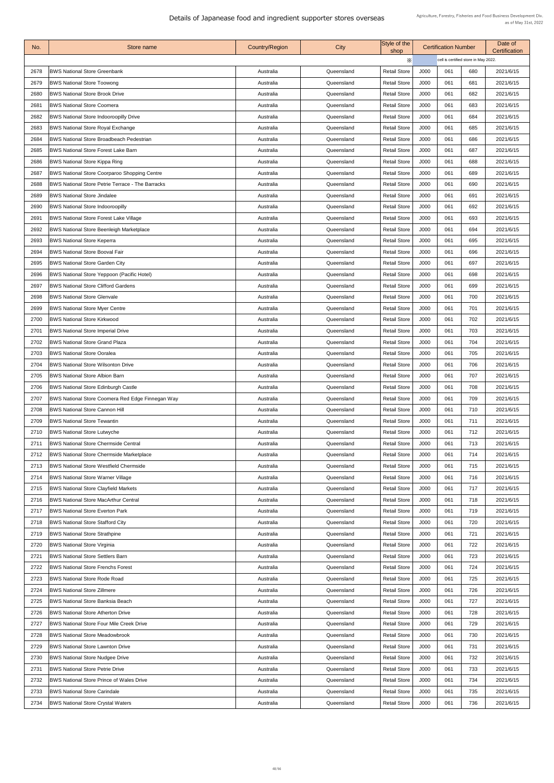| No.  | Store name                                              | <b>Country/Region</b> | City       | Style of the<br>shop |      | <b>Certification Number</b>          |     | Date of<br><b>Certification</b> |
|------|---------------------------------------------------------|-----------------------|------------|----------------------|------|--------------------------------------|-----|---------------------------------|
|      |                                                         |                       |            | $\times$             |      | cell is certified store in May 2022. |     |                                 |
| 2678 | <b>BWS National Store Greenbank</b>                     | Australia             | Queensland | <b>Retail Store</b>  | J000 | 061                                  | 680 | 2021/6/15                       |
| 2679 | <b>BWS National Store Toowong</b>                       | Australia             | Queensland | <b>Retail Store</b>  | J000 | 061                                  | 681 | 2021/6/15                       |
| 2680 | <b>BWS National Store Brook Drive</b>                   | Australia             | Queensland | <b>Retail Store</b>  | J000 | 061                                  | 682 | 2021/6/15                       |
| 2681 | <b>BWS National Store Coomera</b>                       | Australia             | Queensland | <b>Retail Store</b>  | J000 | 061                                  | 683 | 2021/6/15                       |
| 2682 | <b>BWS National Store Indooroopilly Drive</b>           | Australia             | Queensland | <b>Retail Store</b>  | J000 | 061                                  | 684 | 2021/6/15                       |
| 2683 | <b>BWS National Store Royal Exchange</b>                | Australia             | Queensland | <b>Retail Store</b>  | J000 | 061                                  | 685 | 2021/6/15                       |
| 2684 | <b>BWS National Store Broadbeach Pedestrian</b>         | Australia             | Queensland | <b>Retail Store</b>  | J000 | 061                                  | 686 | 2021/6/15                       |
| 2685 | <b>BWS National Store Forest Lake Barn</b>              | Australia             | Queensland | <b>Retail Store</b>  | J000 | 061                                  | 687 | 2021/6/15                       |
| 2686 | <b>BWS National Store Kippa Ring</b>                    | Australia             | Queensland | <b>Retail Store</b>  | J000 | 061                                  | 688 | 2021/6/15                       |
| 2687 | <b>BWS National Store Coorparoo Shopping Centre</b>     | Australia             | Queensland | <b>Retail Store</b>  | J000 | 061                                  | 689 | 2021/6/15                       |
| 2688 | <b>BWS National Store Petrie Terrace - The Barracks</b> | Australia             | Queensland | <b>Retail Store</b>  | J000 | 061                                  | 690 | 2021/6/15                       |
| 2689 | <b>BWS National Store Jindalee</b>                      | Australia             | Queensland | <b>Retail Store</b>  | J000 | 061                                  | 691 | 2021/6/15                       |
| 2690 | <b>BWS National Store Indooroopilly</b>                 | Australia             | Queensland | <b>Retail Store</b>  | J000 | 061                                  | 692 | 2021/6/15                       |
| 2691 | <b>BWS National Store Forest Lake Village</b>           | Australia             | Queensland | <b>Retail Store</b>  | J000 | 061                                  | 693 | 2021/6/15                       |
| 2692 | <b>BWS National Store Beenleigh Marketplace</b>         | Australia             | Queensland | <b>Retail Store</b>  | J000 | 061                                  | 694 | 2021/6/15                       |
| 2693 | <b>BWS National Store Keperra</b>                       | Australia             | Queensland | <b>Retail Store</b>  | J000 | 061                                  | 695 | 2021/6/15                       |
| 2694 | <b>BWS National Store Booval Fair</b>                   | Australia             | Queensland | <b>Retail Store</b>  | J000 | 061                                  | 696 | 2021/6/15                       |
| 2695 | <b>BWS National Store Garden City</b>                   | Australia             | Queensland | <b>Retail Store</b>  | J000 | 061                                  | 697 | 2021/6/15                       |
| 2696 | <b>BWS National Store Yeppoon (Pacific Hotel)</b>       | Australia             | Queensland | <b>Retail Store</b>  | J000 | 061                                  | 698 | 2021/6/15                       |
| 2697 | <b>BWS National Store Clifford Gardens</b>              | Australia             | Queensland | <b>Retail Store</b>  | J000 | 061                                  | 699 | 2021/6/15                       |
| 2698 | <b>BWS National Store Glenvale</b>                      | Australia             | Queensland | <b>Retail Store</b>  | J000 | 061                                  | 700 | 2021/6/15                       |
| 2699 | <b>BWS National Store Myer Centre</b>                   | Australia             | Queensland | <b>Retail Store</b>  | J000 | 061                                  | 701 | 2021/6/15                       |
| 2700 | <b>BWS National Store Kirkwood</b>                      | Australia             | Queensland | <b>Retail Store</b>  | J000 | 061                                  | 702 | 2021/6/15                       |
| 2701 | <b>BWS National Store Imperial Drive</b>                | Australia             | Queensland | <b>Retail Store</b>  | J000 | 061                                  | 703 | 2021/6/15                       |
| 2702 | <b>BWS National Store Grand Plaza</b>                   | Australia             | Queensland | <b>Retail Store</b>  | J000 | 061                                  | 704 | 2021/6/15                       |
| 2703 | <b>BWS National Store Ooralea</b>                       | Australia             | Queensland | <b>Retail Store</b>  | J000 | 061                                  | 705 | 2021/6/15                       |
| 2704 | <b>BWS National Store Wilsonton Drive</b>               | Australia             | Queensland | <b>Retail Store</b>  | J000 | 061                                  | 706 | 2021/6/15                       |
| 2705 | <b>BWS National Store Albion Barn</b>                   | Australia             | Queensland | <b>Retail Store</b>  | J000 | 061                                  | 707 | 2021/6/15                       |
| 2706 | <b>BWS National Store Edinburgh Castle</b>              | Australia             | Queensland | <b>Retail Store</b>  | J000 | 061                                  | 708 | 2021/6/15                       |
| 2707 | BWS National Store Coomera Red Edge Finnegan Way        | Australia             | Queensland | <b>Retail Store</b>  | J000 | 061                                  | 709 | 2021/6/15                       |
| 2708 | <b>BWS National Store Cannon Hill</b>                   | Australia             | Queensland | <b>Retail Store</b>  | J000 | 061                                  | 710 | 2021/6/15                       |
| 2709 | <b>BWS National Store Tewantin</b>                      | Australia             | Queensland | <b>Retail Store</b>  | J000 | 061                                  | 711 | 2021/6/15                       |
| 2710 | <b>BWS National Store Lutwyche</b>                      | Australia             | Queensland | <b>Retail Store</b>  | J000 | 061                                  | 712 | 2021/6/15                       |
| 2711 | <b>BWS National Store Chermside Central</b>             | Australia             | Queensland | <b>Retail Store</b>  | J000 | 061                                  | 713 | 2021/6/15                       |
| 2712 | <b>BWS National Store Chermside Marketplace</b>         | Australia             | Queensland | <b>Retail Store</b>  | J000 | 061                                  | 714 | 2021/6/15                       |
| 2713 | <b>BWS National Store Westfield Chermside</b>           | Australia             | Queensland | <b>Retail Store</b>  | J000 | 061                                  | 715 | 2021/6/15                       |
| 2714 | <b>BWS National Store Warner Village</b>                | Australia             | Queensland | <b>Retail Store</b>  | J000 | 061                                  | 716 | 2021/6/15                       |
| 2715 | <b>BWS National Store Clayfield Markets</b>             | Australia             | Queensland | <b>Retail Store</b>  | J000 | 061                                  | 717 | 2021/6/15                       |
| 2716 | <b>BWS National Store MacArthur Central</b>             | Australia             | Queensland | <b>Retail Store</b>  | J000 | 061                                  | 718 | 2021/6/15                       |
| 2717 | <b>BWS National Store Everton Park</b>                  | Australia             | Queensland | <b>Retail Store</b>  | J000 | 061                                  | 719 | 2021/6/15                       |
| 2718 | <b>BWS National Store Stafford City</b>                 | Australia             | Queensland | <b>Retail Store</b>  | J000 | 061                                  | 720 | 2021/6/15                       |
| 2719 | <b>BWS National Store Strathpine</b>                    | Australia             | Queensland | <b>Retail Store</b>  | J000 | 061                                  | 721 | 2021/6/15                       |
| 2720 | <b>BWS National Store Virginia</b>                      | Australia             | Queensland | <b>Retail Store</b>  | J000 | 061                                  | 722 | 2021/6/15                       |
| 2721 | <b>BWS National Store Settlers Barn</b>                 | Australia             | Queensland | <b>Retail Store</b>  | J000 | 061                                  | 723 | 2021/6/15                       |
| 2722 | <b>BWS National Store Frenchs Forest</b>                | Australia             | Queensland | <b>Retail Store</b>  | J000 | 061                                  | 724 | 2021/6/15                       |
| 2723 | <b>BWS National Store Rode Road</b>                     | Australia             | Queensland | <b>Retail Store</b>  | J000 | 061                                  | 725 | 2021/6/15                       |
| 2724 | <b>BWS National Store Zillmere</b>                      | Australia             | Queensland | <b>Retail Store</b>  | J000 | 061                                  | 726 | 2021/6/15                       |
| 2725 | <b>BWS National Store Banksia Beach</b>                 | Australia             | Queensland | <b>Retail Store</b>  | J000 | 061                                  | 727 | 2021/6/15                       |
| 2726 | <b>BWS National Store Atherton Drive</b>                | Australia             | Queensland | <b>Retail Store</b>  | J000 | 061                                  | 728 | 2021/6/15                       |
| 2727 | <b>BWS National Store Four Mile Creek Drive</b>         | Australia             | Queensland | <b>Retail Store</b>  | J000 | 061                                  | 729 | 2021/6/15                       |
| 2728 | <b>BWS National Store Meadowbrook</b>                   | Australia             | Queensland | <b>Retail Store</b>  | J000 | 061                                  | 730 | 2021/6/15                       |
| 2729 | <b>BWS National Store Lawnton Drive</b>                 | Australia             | Queensland | <b>Retail Store</b>  | J000 | 061                                  | 731 | 2021/6/15                       |
| 2730 | <b>BWS National Store Nudgee Drive</b>                  | Australia             | Queensland | <b>Retail Store</b>  | J000 | 061                                  | 732 | 2021/6/15                       |
| 2731 | <b>BWS National Store Petrie Drive</b>                  | Australia             | Queensland | <b>Retail Store</b>  | J000 | 061                                  | 733 | 2021/6/15                       |
| 2732 | <b>BWS National Store Prince of Wales Drive</b>         | Australia             | Queensland | <b>Retail Store</b>  | J000 | 061                                  | 734 | 2021/6/15                       |
| 2733 | <b>BWS National Store Carindale</b>                     | Australia             | Queensland | <b>Retail Store</b>  | J000 | 061                                  | 735 | 2021/6/15                       |
| 2734 | <b>BWS National Store Crystal Waters</b>                | Australia             | Queensland | <b>Retail Store</b>  | J000 | 061                                  | 736 | 2021/6/15                       |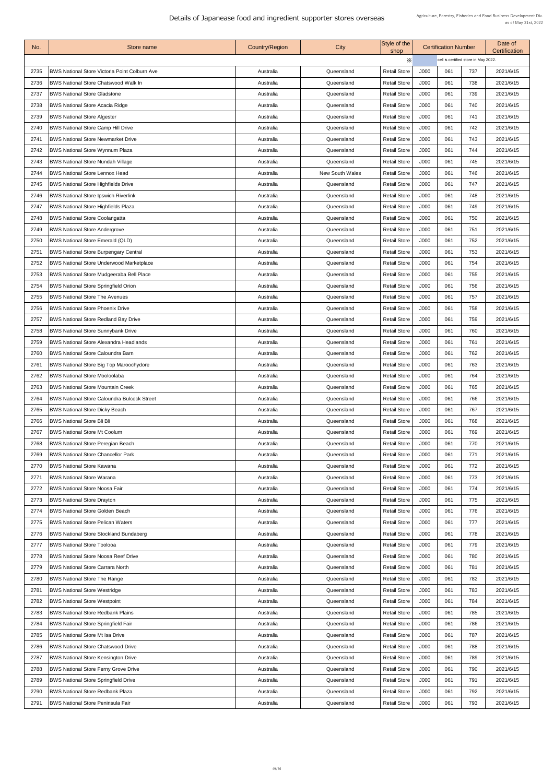| No.  | Store name                                           | <b>Country/Region</b> | City                   | Style of the<br>shop |      | <b>Certification Number</b>          |     | Date of<br><b>Certification</b> |
|------|------------------------------------------------------|-----------------------|------------------------|----------------------|------|--------------------------------------|-----|---------------------------------|
|      |                                                      |                       |                        | Х                    |      | cell is certified store in May 2022. |     |                                 |
| 2735 | <b>BWS National Store Victoria Point Colburn Ave</b> | Australia             | Queensland             | <b>Retail Store</b>  | J000 | 061                                  | 737 | 2021/6/15                       |
| 2736 | <b>BWS National Store Chatswood Walk In</b>          | Australia             | Queensland             | <b>Retail Store</b>  | J000 | 061                                  | 738 | 2021/6/15                       |
| 2737 | <b>BWS National Store Gladstone</b>                  | Australia             | Queensland             | <b>Retail Store</b>  | J000 | 061                                  | 739 | 2021/6/15                       |
| 2738 | <b>BWS National Store Acacia Ridge</b>               | Australia             | Queensland             | <b>Retail Store</b>  | J000 | 061                                  | 740 | 2021/6/15                       |
| 2739 | <b>BWS National Store Algester</b>                   | Australia             | Queensland             | <b>Retail Store</b>  | J000 | 061                                  | 741 | 2021/6/15                       |
| 2740 | <b>BWS National Store Camp Hill Drive</b>            | Australia             | Queensland             | <b>Retail Store</b>  | J000 | 061                                  | 742 | 2021/6/15                       |
| 2741 | <b>BWS National Store Newmarket Drive</b>            | Australia             | Queensland             | <b>Retail Store</b>  | J000 | 061                                  | 743 | 2021/6/15                       |
| 2742 | <b>BWS National Store Wynnum Plaza</b>               | Australia             | Queensland             | <b>Retail Store</b>  | J000 | 061                                  | 744 | 2021/6/15                       |
| 2743 | <b>BWS National Store Nundah Village</b>             | Australia             | Queensland             | <b>Retail Store</b>  | J000 | 061                                  | 745 | 2021/6/15                       |
| 2744 | <b>BWS National Store Lennox Head</b>                | Australia             | <b>New South Wales</b> | <b>Retail Store</b>  | J000 | 061                                  | 746 | 2021/6/15                       |
| 2745 | <b>BWS National Store Highfields Drive</b>           | Australia             | Queensland             | <b>Retail Store</b>  | J000 | 061                                  | 747 | 2021/6/15                       |
| 2746 | <b>BWS National Store Ipswich Riverlink</b>          | Australia             | Queensland             | <b>Retail Store</b>  | J000 | 061                                  | 748 | 2021/6/15                       |
| 2747 | <b>BWS National Store Highfields Plaza</b>           | Australia             | Queensland             | <b>Retail Store</b>  | J000 | 061                                  | 749 | 2021/6/15                       |
| 2748 | <b>BWS National Store Coolangatta</b>                | Australia             | Queensland             | <b>Retail Store</b>  | J000 | 061                                  | 750 | 2021/6/15                       |
| 2749 | <b>BWS National Store Andergrove</b>                 | Australia             | Queensland             | <b>Retail Store</b>  | J000 | 061                                  | 751 | 2021/6/15                       |
| 2750 | <b>BWS National Store Emerald (QLD)</b>              | Australia             | Queensland             | <b>Retail Store</b>  | J000 | 061                                  | 752 | 2021/6/15                       |
| 2751 | <b>BWS National Store Burpengary Central</b>         | Australia             | Queensland             | <b>Retail Store</b>  | J000 | 061                                  | 753 | 2021/6/15                       |
| 2752 | <b>BWS National Store Underwood Marketplace</b>      | Australia             | Queensland             | <b>Retail Store</b>  | J000 | 061                                  | 754 | 2021/6/15                       |
| 2753 | <b>BWS National Store Mudgeeraba Bell Place</b>      | Australia             | Queensland             | <b>Retail Store</b>  | J000 | 061                                  | 755 | 2021/6/15                       |
| 2754 | <b>BWS National Store Springfield Orion</b>          | Australia             | Queensland             | <b>Retail Store</b>  | J000 | 061                                  | 756 | 2021/6/15                       |
| 2755 | <b>BWS National Store The Avenues</b>                | Australia             | Queensland             | <b>Retail Store</b>  | J000 | 061                                  | 757 | 2021/6/15                       |
| 2756 | <b>BWS National Store Phoenix Drive</b>              | Australia             | Queensland             | <b>Retail Store</b>  | J000 | 061                                  | 758 | 2021/6/15                       |
| 2757 | <b>BWS National Store Redland Bay Drive</b>          | Australia             | Queensland             | <b>Retail Store</b>  | J000 | 061                                  | 759 | 2021/6/15                       |
| 2758 | <b>BWS National Store Sunnybank Drive</b>            | Australia             | Queensland             | <b>Retail Store</b>  | J000 | 061                                  | 760 | 2021/6/15                       |
| 2759 | <b>BWS National Store Alexandra Headlands</b>        | Australia             | Queensland             | <b>Retail Store</b>  | J000 | 061                                  | 761 | 2021/6/15                       |
| 2760 | <b>BWS National Store Caloundra Barn</b>             | Australia             | Queensland             | <b>Retail Store</b>  | J000 | 061                                  | 762 | 2021/6/15                       |
| 2761 | <b>BWS National Store Big Top Maroochydore</b>       | Australia             | Queensland             | <b>Retail Store</b>  | J000 | 061                                  | 763 | 2021/6/15                       |
| 2762 | <b>BWS National Store Mooloolaba</b>                 | Australia             | Queensland             | <b>Retail Store</b>  | J000 | 061                                  | 764 | 2021/6/15                       |
| 2763 | <b>BWS National Store Mountain Creek</b>             | Australia             | Queensland             | <b>Retail Store</b>  | J000 | 061                                  | 765 | 2021/6/15                       |
| 2764 | <b>BWS National Store Caloundra Bulcock Street</b>   | Australia             | Queensland             | <b>Retail Store</b>  | J000 | 061                                  | 766 | 2021/6/15                       |
| 2765 | <b>BWS National Store Dicky Beach</b>                | Australia             | Queensland             | <b>Retail Store</b>  | J000 | 061                                  | 767 | 2021/6/15                       |
| 2766 | <b>BWS National Store Bli Bli</b>                    | Australia             | Queensland             | <b>Retail Store</b>  | J000 | 061                                  | 768 | 2021/6/15                       |
| 2767 | <b>BWS National Store Mt Coolum</b>                  | Australia             | Queensland             | <b>Retail Store</b>  | J000 | 061                                  | 769 | 2021/6/15                       |
| 2768 | <b>BWS National Store Peregian Beach</b>             | Australia             | Queensland             | <b>Retail Store</b>  | J000 | 061                                  | 770 | 2021/6/15                       |
| 2769 | <b>BWS National Store Chancellor Park</b>            | Australia             | Queensland             | <b>Retail Store</b>  | J000 | 061                                  | 771 | 2021/6/15                       |
| 2770 | <b>BWS National Store Kawana</b>                     | Australia             | Queensland             | <b>Retail Store</b>  | J000 | 061                                  | 772 | 2021/6/15                       |
| 2771 | <b>BWS National Store Warana</b>                     | Australia             | Queensland             | <b>Retail Store</b>  | J000 | 061                                  | 773 | 2021/6/15                       |
| 2772 | <b>BWS National Store Noosa Fair</b>                 | Australia             | Queensland             | <b>Retail Store</b>  | J000 | 061                                  | 774 | 2021/6/15                       |
| 2773 | <b>BWS National Store Drayton</b>                    | Australia             | Queensland             | <b>Retail Store</b>  | J000 | 061                                  | 775 | 2021/6/15                       |
| 2774 | <b>BWS National Store Golden Beach</b>               | Australia             | Queensland             | <b>Retail Store</b>  | J000 | 061                                  | 776 | 2021/6/15                       |
| 2775 | <b>BWS National Store Pelican Waters</b>             | Australia             | Queensland             | <b>Retail Store</b>  | J000 | 061                                  | 777 | 2021/6/15                       |
| 2776 | <b>BWS National Store Stockland Bundaberg</b>        | Australia             | Queensland             | <b>Retail Store</b>  | J000 | 061                                  | 778 | 2021/6/15                       |
| 2777 | <b>BWS National Store Toolooa</b>                    | Australia             | Queensland             | <b>Retail Store</b>  | J000 | 061                                  | 779 | 2021/6/15                       |
| 2778 | <b>BWS National Store Noosa Reef Drive</b>           | Australia             | Queensland             | <b>Retail Store</b>  | J000 | 061                                  | 780 | 2021/6/15                       |
| 2779 | <b>BWS National Store Carrara North</b>              | Australia             | Queensland             | <b>Retail Store</b>  | J000 | 061                                  | 781 | 2021/6/15                       |
| 2780 | <b>BWS National Store The Range</b>                  | Australia             | Queensland             | <b>Retail Store</b>  | J000 | 061                                  | 782 | 2021/6/15                       |
| 2781 | <b>BWS National Store Westridge</b>                  | Australia             | Queensland             | <b>Retail Store</b>  | J000 | 061                                  | 783 | 2021/6/15                       |
| 2782 | <b>BWS National Store Westpoint</b>                  | Australia             | Queensland             | <b>Retail Store</b>  | J000 | 061                                  | 784 | 2021/6/15                       |
| 2783 | <b>BWS National Store Redbank Plains</b>             | Australia             | Queensland             | <b>Retail Store</b>  | J000 | 061                                  | 785 | 2021/6/15                       |
| 2784 | BWS National Store Springfield Fair                  | Australia             | Queensland             | <b>Retail Store</b>  | J000 | 061                                  | 786 | 2021/6/15                       |
| 2785 | <b>BWS National Store Mt Isa Drive</b>               | Australia             | Queensland             | <b>Retail Store</b>  | J000 | 061                                  | 787 | 2021/6/15                       |
| 2786 | <b>BWS National Store Chatswood Drive</b>            | Australia             | Queensland             | <b>Retail Store</b>  | J000 | 061                                  | 788 | 2021/6/15                       |
| 2787 | <b>BWS National Store Kensington Drive</b>           | Australia             | Queensland             | <b>Retail Store</b>  | J000 | 061                                  | 789 | 2021/6/15                       |
| 2788 | <b>BWS National Store Ferny Grove Drive</b>          | Australia             | Queensland             | <b>Retail Store</b>  | J000 | 061                                  | 790 | 2021/6/15                       |
| 2789 | <b>BWS National Store Springfield Drive</b>          | Australia             | Queensland             | <b>Retail Store</b>  | J000 | 061                                  | 791 | 2021/6/15                       |
| 2790 | <b>BWS National Store Redbank Plaza</b>              | Australia             | Queensland             | <b>Retail Store</b>  | J000 | 061                                  | 792 | 2021/6/15                       |
| 2791 | <b>BWS National Store Peninsula Fair</b>             | Australia             | Queensland             | <b>Retail Store</b>  | J000 | 061                                  | 793 | 2021/6/15                       |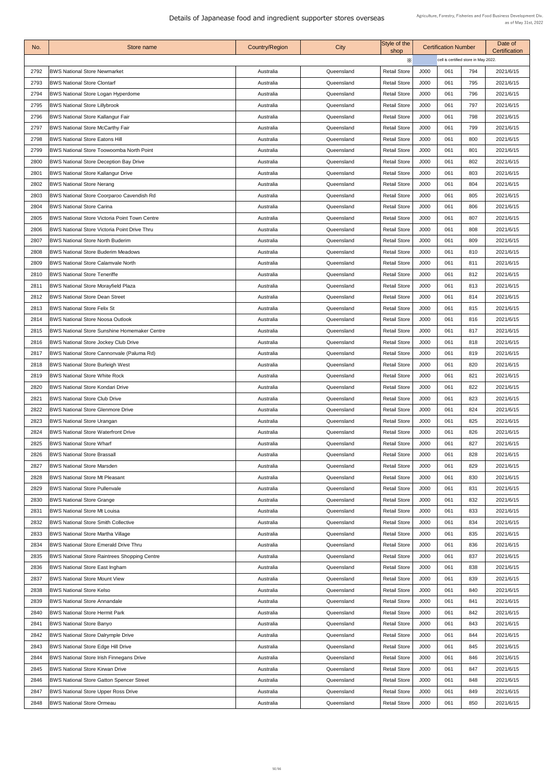| X<br>cell is certified store in May 2022.<br><b>Retail Store</b><br>J000<br>2792<br><b>BWS National Store Newmarket</b><br>061<br>2021/6/15<br>Queensland<br>794<br>Australia<br><b>BWS National Store Clontarf</b><br><b>Retail Store</b><br>J000<br>061<br>2793<br>795<br>2021/6/15<br>Queensland<br>Australia<br>J000<br>061<br><b>Retail Store</b><br>796<br>2021/6/15<br>2794<br><b>BWS National Store Logan Hyperdome</b><br>Australia<br>Queensland<br>J000<br><b>BWS National Store Lillybrook</b><br><b>Retail Store</b><br>061<br>797<br>2021/6/15<br>2795<br>Queensland<br>Australia<br><b>BWS National Store Kallangur Fair</b><br>J000<br><b>Retail Store</b><br>061<br>798<br>2796<br>2021/6/15<br>Queensland<br>Australia<br><b>BWS National Store McCarthy Fair</b><br><b>Retail Store</b><br>J000<br>799<br>2797<br>061<br>2021/6/15<br>Queensland<br>Australia<br><b>BWS National Store Eatons Hill</b><br><b>Retail Store</b><br>J000<br>061<br>2798<br>800<br>2021/6/15<br>Australia<br>Queensland<br>J000<br>061<br>2799<br><b>Retail Store</b><br>801<br>2021/6/15<br><b>BWS National Store Toowoomba North Point</b><br>Queensland<br>Australia<br><b>Retail Store</b><br>J000<br>061<br>802<br>2800<br><b>BWS National Store Deception Bay Drive</b><br>2021/6/15<br>Queensland<br>Australia<br>J000<br>061<br><b>BWS National Store Kallangur Drive</b><br><b>Retail Store</b><br>803<br>2801<br>2021/6/15<br>Queensland<br>Australia<br>J000<br>2802<br><b>BWS National Store Nerang</b><br><b>Retail Store</b><br>061<br>804<br>2021/6/15<br>Queensland<br>Australia<br><b>BWS National Store Coorparoo Cavendish Rd</b><br><b>Retail Store</b><br>J000<br>2803<br>061<br>805<br>2021/6/15<br>Queensland<br>Australia<br><b>Retail Store</b><br>2021/6/15<br>2804<br><b>BWS National Store Carina</b><br>J000<br>061<br>806<br>Australia<br>Queensland<br><b>Retail Store</b><br>J000<br>061<br>2805<br><b>BWS National Store Victoria Point Town Centre</b><br>807<br>2021/6/15<br>Queensland<br>Australia<br><b>BWS National Store Victoria Point Drive Thru</b><br><b>Retail Store</b><br>J000<br>061<br>808<br>2021/6/15<br>2806<br>Australia<br>Queensland<br><b>Retail Store</b><br>J000<br>2807<br><b>BWS National Store North Buderim</b><br>061<br>809<br>2021/6/15<br>Queensland<br>Australia<br><b>BWS National Store Buderim Meadows</b><br><b>Retail Store</b><br>J000<br>2808<br>061<br>810<br>2021/6/15<br>Queensland<br>Australia<br><b>Retail Store</b><br>J000<br>2809<br><b>BWS National Store Calamvale North</b><br>061<br>811<br>2021/6/15<br>Australia<br>Queensland<br><b>Retail Store</b><br>J000<br>061<br>812<br>2810<br><b>BWS National Store Teneriffe</b><br>2021/6/15<br>Australia<br>Queensland<br><b>BWS National Store Morayfield Plaza</b><br><b>Retail Store</b><br>J000<br>061<br>813<br>281'<br>2021/6/15<br>Queensland<br>Australia<br><b>BWS National Store Dean Street</b><br><b>Retail Store</b><br>J000<br>061<br>814<br>2812<br>2021/6/15<br>Australia<br>Queensland<br><b>BWS National Store Felix St</b><br><b>Retail Store</b><br>J000<br>2813<br>061<br>815<br>2021/6/15<br>Queensland<br>Australia<br><b>Retail Store</b><br>J000<br>816<br>2814<br><b>BWS National Store Noosa Outlook</b><br>061<br>2021/6/15<br>Australia<br>Queensland<br><b>Retail Store</b><br>J000<br>061<br>2815<br><b>BWS National Store Sunshine Homemaker Centre</b><br>817<br>2021/6/15<br>Australia<br>Queensland<br><b>BWS National Store Jockey Club Drive</b><br><b>Retail Store</b><br>J000<br>061<br>2816<br>818<br>2021/6/15<br>Australia<br>Queensland<br>BWS National Store Cannonvale (Paluma Rd)<br><b>Retail Store</b><br>J000<br>061<br>2817<br>819<br>2021/6/15<br>Queensland<br>Australia<br><b>Retail Store</b><br>J000<br><b>BWS National Store Burleigh West</b><br>061<br>820<br>2021/6/15<br>2818<br>Queensland<br>Australia<br><b>BWS National Store White Rock</b><br>2819<br><b>Retail Store</b><br>J000<br>061<br>821<br>2021/6/15<br>Queensland<br>Australia<br><b>BWS National Store Kondari Drive</b><br><b>Retail Store</b><br>J000<br>061<br>2021/6/15<br>2820<br>822<br>Australia<br>Queensland<br>J000<br>2821<br><b>BWS National Store Club Drive</b><br><b>Retail Store</b><br>061<br>823<br>2021/6/15<br>Australia<br>Queensland<br><b>BWS National Store Glenmore Drive</b><br><b>Retail Store</b><br>J000<br>061<br>2822<br>824<br>2021/6/15<br>Queensland<br>Australia<br><b>BWS National Store Urangan</b><br><b>Retail Store</b><br>J000<br>061<br>2823<br>825<br>2021/6/15<br>Australia<br>Queensland<br><b>BWS National Store Waterfront Drive</b><br><b>Retail Store</b><br>J000<br>826<br>2824<br>061<br>2021/6/15<br>Queensland<br>Australia<br><b>BWS National Store Wharf</b><br><b>Retail Store</b><br>J000<br>2825<br>061<br>827<br>2021/6/15<br>Australia<br>Queensland<br>J000<br>2826<br><b>Retail Store</b><br>061<br>828<br><b>BWS National Store Brassall</b><br>2021/6/15<br>Australia<br>Queensland<br><b>BWS National Store Marsden</b><br><b>Retail Store</b><br>J000<br>061<br>829<br>2021/6/15<br>2827<br>Queensland<br>Australia<br><b>BWS National Store Mt Pleasant</b><br><b>Retail Store</b><br>J000<br>061<br>2828<br>830<br>2021/6/15<br>Queensland<br>Australia<br><b>BWS National Store Pullenvale</b><br><b>Retail Store</b><br>J000<br>061<br>831<br>2829<br>2021/6/15<br>Queensland<br>Australia<br><b>BWS National Store Grange</b><br><b>Retail Store</b><br>2830<br>J000<br>061<br>832<br>2021/6/15<br>Queensland<br>Australia<br>2831<br><b>BWS National Store Mt Louisa</b><br><b>Retail Store</b><br>J000<br>061<br>833<br>2021/6/15<br>Australia<br>Queensland<br><b>BWS National Store Smith Collective</b><br><b>Retail Store</b><br>J000<br>061<br>2021/6/15<br>2832<br>834<br>Australia<br>Queensland<br><b>Retail Store</b><br>J000<br>061<br>2021/6/15<br>2833<br><b>BWS National Store Martha Village</b><br>835<br>Queensland<br>Australia<br><b>BWS National Store Emerald Drive Thru</b><br><b>Retail Store</b><br>J000<br>061<br>2834<br>836<br>2021/6/15<br>Queensland<br>Australia<br><b>BWS National Store Raintrees Shopping Centre</b><br><b>Retail Store</b><br>J000<br>2835<br>061<br>837<br>2021/6/15<br>Australia<br>Queensland<br><b>BWS National Store East Ingham</b><br><b>Retail Store</b><br>J000<br>838<br>2836<br>061<br>2021/6/15<br>Australia<br>Queensland<br><b>BWS National Store Mount View</b><br><b>Retail Store</b><br>J000<br>061<br>2837<br>839<br>2021/6/15<br>Australia<br>Queensland<br><b>BWS National Store Kelso</b><br><b>Retail Store</b><br>J000<br>2838<br>061<br>840<br>2021/6/15<br>Queensland<br>Australia<br>J000<br>061<br>2839<br><b>BWS National Store Annandale</b><br><b>Retail Store</b><br>841<br>2021/6/15<br>Queensland<br>Australia<br><b>BWS National Store Hermit Park</b><br><b>Retail Store</b><br>J000<br>842<br>2840<br>061<br>2021/6/15<br>Queensland<br>Australia<br><b>BWS National Store Banyo</b><br><b>Retail Store</b><br>J000<br>284'<br>061<br>843<br>2021/6/15<br>Queensland<br>Australia<br>2842<br><b>BWS National Store Dalrymple Drive</b><br><b>Retail Store</b><br>J000<br>061<br>844<br>2021/6/15<br>Australia<br>Queensland<br>2843<br><b>BWS National Store Edge Hill Drive</b><br><b>Retail Store</b><br>J000<br>061<br>845<br>2021/6/15<br>Australia<br>Queensland<br><b>BWS National Store Irish Finnegans Drive</b><br><b>Retail Store</b><br>J000<br>061<br>846<br>2844<br>2021/6/15<br>Queensland<br>Australia<br><b>BWS National Store Kirwan Drive</b><br><b>Retail Store</b><br>J000<br>847<br>2845<br>Queensland<br>061<br>2021/6/15<br>Australia<br>J000<br><b>BWS National Store Gatton Spencer Street</b><br><b>Retail Store</b><br>061<br>848<br>2021/6/15<br>2846<br>Queensland<br>Australia<br><b>Retail Store</b><br>J000<br>061<br>849<br>2021/6/15<br>2847<br><b>BWS National Store Upper Ross Drive</b><br>Queensland<br>Australia<br><b>BWS National Store Ormeau</b><br>J000<br>061<br>2848<br><b>Retail Store</b><br>850<br>2021/6/15<br>Queensland<br>Australia | No. | Store name | <b>Country/Region</b> | City | Style of the<br>shop | <b>Certification Number</b> |  | Date of<br><b>Certification</b> |
|------------------------------------------------------------------------------------------------------------------------------------------------------------------------------------------------------------------------------------------------------------------------------------------------------------------------------------------------------------------------------------------------------------------------------------------------------------------------------------------------------------------------------------------------------------------------------------------------------------------------------------------------------------------------------------------------------------------------------------------------------------------------------------------------------------------------------------------------------------------------------------------------------------------------------------------------------------------------------------------------------------------------------------------------------------------------------------------------------------------------------------------------------------------------------------------------------------------------------------------------------------------------------------------------------------------------------------------------------------------------------------------------------------------------------------------------------------------------------------------------------------------------------------------------------------------------------------------------------------------------------------------------------------------------------------------------------------------------------------------------------------------------------------------------------------------------------------------------------------------------------------------------------------------------------------------------------------------------------------------------------------------------------------------------------------------------------------------------------------------------------------------------------------------------------------------------------------------------------------------------------------------------------------------------------------------------------------------------------------------------------------------------------------------------------------------------------------------------------------------------------------------------------------------------------------------------------------------------------------------------------------------------------------------------------------------------------------------------------------------------------------------------------------------------------------------------------------------------------------------------------------------------------------------------------------------------------------------------------------------------------------------------------------------------------------------------------------------------------------------------------------------------------------------------------------------------------------------------------------------------------------------------------------------------------------------------------------------------------------------------------------------------------------------------------------------------------------------------------------------------------------------------------------------------------------------------------------------------------------------------------------------------------------------------------------------------------------------------------------------------------------------------------------------------------------------------------------------------------------------------------------------------------------------------------------------------------------------------------------------------------------------------------------------------------------------------------------------------------------------------------------------------------------------------------------------------------------------------------------------------------------------------------------------------------------------------------------------------------------------------------------------------------------------------------------------------------------------------------------------------------------------------------------------------------------------------------------------------------------------------------------------------------------------------------------------------------------------------------------------------------------------------------------------------------------------------------------------------------------------------------------------------------------------------------------------------------------------------------------------------------------------------------------------------------------------------------------------------------------------------------------------------------------------------------------------------------------------------------------------------------------------------------------------------------------------------------------------------------------------------------------------------------------------------------------------------------------------------------------------------------------------------------------------------------------------------------------------------------------------------------------------------------------------------------------------------------------------------------------------------------------------------------------------------------------------------------------------------------------------------------------------------------------------------------------------------------------------------------------------------------------------------------------------------------------------------------------------------------------------------------------------------------------------------------------------------------------------------------------------------------------------------------------------------------------------------------------------------------------------------------------------------------------------------------------------------------------------------------------------------------------------------------------------------------------------------------------------------------------------------------------------------------------------------------------------------------------------------------------------------------------------------------------------------------------------------------------------------------------------------------------------------------------------------------------------------------------------------------------------------------------------------------------------------------------------------------------------------------------------------------------------------------------------------------------------------------------------------------------------------------------------------------------------------------------------------------------------------------------------------------------------------------------------------------------------------------------------------------------------------------------------------------------------------------------------------------------------------------------------------------------------------------------------------------------------------------------------------------------------------------------------------------------------------------------------------------------------------------------------------------------------------------------------------------------------------------------------------------------------------------------------------------------------------------------------------------------------------------------------------|-----|------------|-----------------------|------|----------------------|-----------------------------|--|---------------------------------|
|                                                                                                                                                                                                                                                                                                                                                                                                                                                                                                                                                                                                                                                                                                                                                                                                                                                                                                                                                                                                                                                                                                                                                                                                                                                                                                                                                                                                                                                                                                                                                                                                                                                                                                                                                                                                                                                                                                                                                                                                                                                                                                                                                                                                                                                                                                                                                                                                                                                                                                                                                                                                                                                                                                                                                                                                                                                                                                                                                                                                                                                                                                                                                                                                                                                                                                                                                                                                                                                                                                                                                                                                                                                                                                                                                                                                                                                                                                                                                                                                                                                                                                                                                                                                                                                                                                                                                                                                                                                                                                                                                                                                                                                                                                                                                                                                                                                                                                                                                                                                                                                                                                                                                                                                                                                                                                                                                                                                                                                                                                                                                                                                                                                                                                                                                                                                                                                                                                                                                                                                                                                                                                                                                                                                                                                                                                                                                                                                                                                                                                                                                                                                                                                                                                                                                                                                                                                                                                                                                                                                                                                                                                                                                                                                                                                                                                                                                                                                                                                                                                                                                                                                                                                                                                                                                                                                                                                                                                                                                                                                                                                                                                                        |     |            |                       |      |                      |                             |  |                                 |
|                                                                                                                                                                                                                                                                                                                                                                                                                                                                                                                                                                                                                                                                                                                                                                                                                                                                                                                                                                                                                                                                                                                                                                                                                                                                                                                                                                                                                                                                                                                                                                                                                                                                                                                                                                                                                                                                                                                                                                                                                                                                                                                                                                                                                                                                                                                                                                                                                                                                                                                                                                                                                                                                                                                                                                                                                                                                                                                                                                                                                                                                                                                                                                                                                                                                                                                                                                                                                                                                                                                                                                                                                                                                                                                                                                                                                                                                                                                                                                                                                                                                                                                                                                                                                                                                                                                                                                                                                                                                                                                                                                                                                                                                                                                                                                                                                                                                                                                                                                                                                                                                                                                                                                                                                                                                                                                                                                                                                                                                                                                                                                                                                                                                                                                                                                                                                                                                                                                                                                                                                                                                                                                                                                                                                                                                                                                                                                                                                                                                                                                                                                                                                                                                                                                                                                                                                                                                                                                                                                                                                                                                                                                                                                                                                                                                                                                                                                                                                                                                                                                                                                                                                                                                                                                                                                                                                                                                                                                                                                                                                                                                                                                        |     |            |                       |      |                      |                             |  |                                 |
|                                                                                                                                                                                                                                                                                                                                                                                                                                                                                                                                                                                                                                                                                                                                                                                                                                                                                                                                                                                                                                                                                                                                                                                                                                                                                                                                                                                                                                                                                                                                                                                                                                                                                                                                                                                                                                                                                                                                                                                                                                                                                                                                                                                                                                                                                                                                                                                                                                                                                                                                                                                                                                                                                                                                                                                                                                                                                                                                                                                                                                                                                                                                                                                                                                                                                                                                                                                                                                                                                                                                                                                                                                                                                                                                                                                                                                                                                                                                                                                                                                                                                                                                                                                                                                                                                                                                                                                                                                                                                                                                                                                                                                                                                                                                                                                                                                                                                                                                                                                                                                                                                                                                                                                                                                                                                                                                                                                                                                                                                                                                                                                                                                                                                                                                                                                                                                                                                                                                                                                                                                                                                                                                                                                                                                                                                                                                                                                                                                                                                                                                                                                                                                                                                                                                                                                                                                                                                                                                                                                                                                                                                                                                                                                                                                                                                                                                                                                                                                                                                                                                                                                                                                                                                                                                                                                                                                                                                                                                                                                                                                                                                                                        |     |            |                       |      |                      |                             |  |                                 |
|                                                                                                                                                                                                                                                                                                                                                                                                                                                                                                                                                                                                                                                                                                                                                                                                                                                                                                                                                                                                                                                                                                                                                                                                                                                                                                                                                                                                                                                                                                                                                                                                                                                                                                                                                                                                                                                                                                                                                                                                                                                                                                                                                                                                                                                                                                                                                                                                                                                                                                                                                                                                                                                                                                                                                                                                                                                                                                                                                                                                                                                                                                                                                                                                                                                                                                                                                                                                                                                                                                                                                                                                                                                                                                                                                                                                                                                                                                                                                                                                                                                                                                                                                                                                                                                                                                                                                                                                                                                                                                                                                                                                                                                                                                                                                                                                                                                                                                                                                                                                                                                                                                                                                                                                                                                                                                                                                                                                                                                                                                                                                                                                                                                                                                                                                                                                                                                                                                                                                                                                                                                                                                                                                                                                                                                                                                                                                                                                                                                                                                                                                                                                                                                                                                                                                                                                                                                                                                                                                                                                                                                                                                                                                                                                                                                                                                                                                                                                                                                                                                                                                                                                                                                                                                                                                                                                                                                                                                                                                                                                                                                                                                                        |     |            |                       |      |                      |                             |  |                                 |
|                                                                                                                                                                                                                                                                                                                                                                                                                                                                                                                                                                                                                                                                                                                                                                                                                                                                                                                                                                                                                                                                                                                                                                                                                                                                                                                                                                                                                                                                                                                                                                                                                                                                                                                                                                                                                                                                                                                                                                                                                                                                                                                                                                                                                                                                                                                                                                                                                                                                                                                                                                                                                                                                                                                                                                                                                                                                                                                                                                                                                                                                                                                                                                                                                                                                                                                                                                                                                                                                                                                                                                                                                                                                                                                                                                                                                                                                                                                                                                                                                                                                                                                                                                                                                                                                                                                                                                                                                                                                                                                                                                                                                                                                                                                                                                                                                                                                                                                                                                                                                                                                                                                                                                                                                                                                                                                                                                                                                                                                                                                                                                                                                                                                                                                                                                                                                                                                                                                                                                                                                                                                                                                                                                                                                                                                                                                                                                                                                                                                                                                                                                                                                                                                                                                                                                                                                                                                                                                                                                                                                                                                                                                                                                                                                                                                                                                                                                                                                                                                                                                                                                                                                                                                                                                                                                                                                                                                                                                                                                                                                                                                                                                        |     |            |                       |      |                      |                             |  |                                 |
|                                                                                                                                                                                                                                                                                                                                                                                                                                                                                                                                                                                                                                                                                                                                                                                                                                                                                                                                                                                                                                                                                                                                                                                                                                                                                                                                                                                                                                                                                                                                                                                                                                                                                                                                                                                                                                                                                                                                                                                                                                                                                                                                                                                                                                                                                                                                                                                                                                                                                                                                                                                                                                                                                                                                                                                                                                                                                                                                                                                                                                                                                                                                                                                                                                                                                                                                                                                                                                                                                                                                                                                                                                                                                                                                                                                                                                                                                                                                                                                                                                                                                                                                                                                                                                                                                                                                                                                                                                                                                                                                                                                                                                                                                                                                                                                                                                                                                                                                                                                                                                                                                                                                                                                                                                                                                                                                                                                                                                                                                                                                                                                                                                                                                                                                                                                                                                                                                                                                                                                                                                                                                                                                                                                                                                                                                                                                                                                                                                                                                                                                                                                                                                                                                                                                                                                                                                                                                                                                                                                                                                                                                                                                                                                                                                                                                                                                                                                                                                                                                                                                                                                                                                                                                                                                                                                                                                                                                                                                                                                                                                                                                                                        |     |            |                       |      |                      |                             |  |                                 |
|                                                                                                                                                                                                                                                                                                                                                                                                                                                                                                                                                                                                                                                                                                                                                                                                                                                                                                                                                                                                                                                                                                                                                                                                                                                                                                                                                                                                                                                                                                                                                                                                                                                                                                                                                                                                                                                                                                                                                                                                                                                                                                                                                                                                                                                                                                                                                                                                                                                                                                                                                                                                                                                                                                                                                                                                                                                                                                                                                                                                                                                                                                                                                                                                                                                                                                                                                                                                                                                                                                                                                                                                                                                                                                                                                                                                                                                                                                                                                                                                                                                                                                                                                                                                                                                                                                                                                                                                                                                                                                                                                                                                                                                                                                                                                                                                                                                                                                                                                                                                                                                                                                                                                                                                                                                                                                                                                                                                                                                                                                                                                                                                                                                                                                                                                                                                                                                                                                                                                                                                                                                                                                                                                                                                                                                                                                                                                                                                                                                                                                                                                                                                                                                                                                                                                                                                                                                                                                                                                                                                                                                                                                                                                                                                                                                                                                                                                                                                                                                                                                                                                                                                                                                                                                                                                                                                                                                                                                                                                                                                                                                                                                                        |     |            |                       |      |                      |                             |  |                                 |
|                                                                                                                                                                                                                                                                                                                                                                                                                                                                                                                                                                                                                                                                                                                                                                                                                                                                                                                                                                                                                                                                                                                                                                                                                                                                                                                                                                                                                                                                                                                                                                                                                                                                                                                                                                                                                                                                                                                                                                                                                                                                                                                                                                                                                                                                                                                                                                                                                                                                                                                                                                                                                                                                                                                                                                                                                                                                                                                                                                                                                                                                                                                                                                                                                                                                                                                                                                                                                                                                                                                                                                                                                                                                                                                                                                                                                                                                                                                                                                                                                                                                                                                                                                                                                                                                                                                                                                                                                                                                                                                                                                                                                                                                                                                                                                                                                                                                                                                                                                                                                                                                                                                                                                                                                                                                                                                                                                                                                                                                                                                                                                                                                                                                                                                                                                                                                                                                                                                                                                                                                                                                                                                                                                                                                                                                                                                                                                                                                                                                                                                                                                                                                                                                                                                                                                                                                                                                                                                                                                                                                                                                                                                                                                                                                                                                                                                                                                                                                                                                                                                                                                                                                                                                                                                                                                                                                                                                                                                                                                                                                                                                                                                        |     |            |                       |      |                      |                             |  |                                 |
|                                                                                                                                                                                                                                                                                                                                                                                                                                                                                                                                                                                                                                                                                                                                                                                                                                                                                                                                                                                                                                                                                                                                                                                                                                                                                                                                                                                                                                                                                                                                                                                                                                                                                                                                                                                                                                                                                                                                                                                                                                                                                                                                                                                                                                                                                                                                                                                                                                                                                                                                                                                                                                                                                                                                                                                                                                                                                                                                                                                                                                                                                                                                                                                                                                                                                                                                                                                                                                                                                                                                                                                                                                                                                                                                                                                                                                                                                                                                                                                                                                                                                                                                                                                                                                                                                                                                                                                                                                                                                                                                                                                                                                                                                                                                                                                                                                                                                                                                                                                                                                                                                                                                                                                                                                                                                                                                                                                                                                                                                                                                                                                                                                                                                                                                                                                                                                                                                                                                                                                                                                                                                                                                                                                                                                                                                                                                                                                                                                                                                                                                                                                                                                                                                                                                                                                                                                                                                                                                                                                                                                                                                                                                                                                                                                                                                                                                                                                                                                                                                                                                                                                                                                                                                                                                                                                                                                                                                                                                                                                                                                                                                                                        |     |            |                       |      |                      |                             |  |                                 |
|                                                                                                                                                                                                                                                                                                                                                                                                                                                                                                                                                                                                                                                                                                                                                                                                                                                                                                                                                                                                                                                                                                                                                                                                                                                                                                                                                                                                                                                                                                                                                                                                                                                                                                                                                                                                                                                                                                                                                                                                                                                                                                                                                                                                                                                                                                                                                                                                                                                                                                                                                                                                                                                                                                                                                                                                                                                                                                                                                                                                                                                                                                                                                                                                                                                                                                                                                                                                                                                                                                                                                                                                                                                                                                                                                                                                                                                                                                                                                                                                                                                                                                                                                                                                                                                                                                                                                                                                                                                                                                                                                                                                                                                                                                                                                                                                                                                                                                                                                                                                                                                                                                                                                                                                                                                                                                                                                                                                                                                                                                                                                                                                                                                                                                                                                                                                                                                                                                                                                                                                                                                                                                                                                                                                                                                                                                                                                                                                                                                                                                                                                                                                                                                                                                                                                                                                                                                                                                                                                                                                                                                                                                                                                                                                                                                                                                                                                                                                                                                                                                                                                                                                                                                                                                                                                                                                                                                                                                                                                                                                                                                                                                                        |     |            |                       |      |                      |                             |  |                                 |
|                                                                                                                                                                                                                                                                                                                                                                                                                                                                                                                                                                                                                                                                                                                                                                                                                                                                                                                                                                                                                                                                                                                                                                                                                                                                                                                                                                                                                                                                                                                                                                                                                                                                                                                                                                                                                                                                                                                                                                                                                                                                                                                                                                                                                                                                                                                                                                                                                                                                                                                                                                                                                                                                                                                                                                                                                                                                                                                                                                                                                                                                                                                                                                                                                                                                                                                                                                                                                                                                                                                                                                                                                                                                                                                                                                                                                                                                                                                                                                                                                                                                                                                                                                                                                                                                                                                                                                                                                                                                                                                                                                                                                                                                                                                                                                                                                                                                                                                                                                                                                                                                                                                                                                                                                                                                                                                                                                                                                                                                                                                                                                                                                                                                                                                                                                                                                                                                                                                                                                                                                                                                                                                                                                                                                                                                                                                                                                                                                                                                                                                                                                                                                                                                                                                                                                                                                                                                                                                                                                                                                                                                                                                                                                                                                                                                                                                                                                                                                                                                                                                                                                                                                                                                                                                                                                                                                                                                                                                                                                                                                                                                                                                        |     |            |                       |      |                      |                             |  |                                 |
|                                                                                                                                                                                                                                                                                                                                                                                                                                                                                                                                                                                                                                                                                                                                                                                                                                                                                                                                                                                                                                                                                                                                                                                                                                                                                                                                                                                                                                                                                                                                                                                                                                                                                                                                                                                                                                                                                                                                                                                                                                                                                                                                                                                                                                                                                                                                                                                                                                                                                                                                                                                                                                                                                                                                                                                                                                                                                                                                                                                                                                                                                                                                                                                                                                                                                                                                                                                                                                                                                                                                                                                                                                                                                                                                                                                                                                                                                                                                                                                                                                                                                                                                                                                                                                                                                                                                                                                                                                                                                                                                                                                                                                                                                                                                                                                                                                                                                                                                                                                                                                                                                                                                                                                                                                                                                                                                                                                                                                                                                                                                                                                                                                                                                                                                                                                                                                                                                                                                                                                                                                                                                                                                                                                                                                                                                                                                                                                                                                                                                                                                                                                                                                                                                                                                                                                                                                                                                                                                                                                                                                                                                                                                                                                                                                                                                                                                                                                                                                                                                                                                                                                                                                                                                                                                                                                                                                                                                                                                                                                                                                                                                                                        |     |            |                       |      |                      |                             |  |                                 |
|                                                                                                                                                                                                                                                                                                                                                                                                                                                                                                                                                                                                                                                                                                                                                                                                                                                                                                                                                                                                                                                                                                                                                                                                                                                                                                                                                                                                                                                                                                                                                                                                                                                                                                                                                                                                                                                                                                                                                                                                                                                                                                                                                                                                                                                                                                                                                                                                                                                                                                                                                                                                                                                                                                                                                                                                                                                                                                                                                                                                                                                                                                                                                                                                                                                                                                                                                                                                                                                                                                                                                                                                                                                                                                                                                                                                                                                                                                                                                                                                                                                                                                                                                                                                                                                                                                                                                                                                                                                                                                                                                                                                                                                                                                                                                                                                                                                                                                                                                                                                                                                                                                                                                                                                                                                                                                                                                                                                                                                                                                                                                                                                                                                                                                                                                                                                                                                                                                                                                                                                                                                                                                                                                                                                                                                                                                                                                                                                                                                                                                                                                                                                                                                                                                                                                                                                                                                                                                                                                                                                                                                                                                                                                                                                                                                                                                                                                                                                                                                                                                                                                                                                                                                                                                                                                                                                                                                                                                                                                                                                                                                                                                                        |     |            |                       |      |                      |                             |  |                                 |
|                                                                                                                                                                                                                                                                                                                                                                                                                                                                                                                                                                                                                                                                                                                                                                                                                                                                                                                                                                                                                                                                                                                                                                                                                                                                                                                                                                                                                                                                                                                                                                                                                                                                                                                                                                                                                                                                                                                                                                                                                                                                                                                                                                                                                                                                                                                                                                                                                                                                                                                                                                                                                                                                                                                                                                                                                                                                                                                                                                                                                                                                                                                                                                                                                                                                                                                                                                                                                                                                                                                                                                                                                                                                                                                                                                                                                                                                                                                                                                                                                                                                                                                                                                                                                                                                                                                                                                                                                                                                                                                                                                                                                                                                                                                                                                                                                                                                                                                                                                                                                                                                                                                                                                                                                                                                                                                                                                                                                                                                                                                                                                                                                                                                                                                                                                                                                                                                                                                                                                                                                                                                                                                                                                                                                                                                                                                                                                                                                                                                                                                                                                                                                                                                                                                                                                                                                                                                                                                                                                                                                                                                                                                                                                                                                                                                                                                                                                                                                                                                                                                                                                                                                                                                                                                                                                                                                                                                                                                                                                                                                                                                                                                        |     |            |                       |      |                      |                             |  |                                 |
|                                                                                                                                                                                                                                                                                                                                                                                                                                                                                                                                                                                                                                                                                                                                                                                                                                                                                                                                                                                                                                                                                                                                                                                                                                                                                                                                                                                                                                                                                                                                                                                                                                                                                                                                                                                                                                                                                                                                                                                                                                                                                                                                                                                                                                                                                                                                                                                                                                                                                                                                                                                                                                                                                                                                                                                                                                                                                                                                                                                                                                                                                                                                                                                                                                                                                                                                                                                                                                                                                                                                                                                                                                                                                                                                                                                                                                                                                                                                                                                                                                                                                                                                                                                                                                                                                                                                                                                                                                                                                                                                                                                                                                                                                                                                                                                                                                                                                                                                                                                                                                                                                                                                                                                                                                                                                                                                                                                                                                                                                                                                                                                                                                                                                                                                                                                                                                                                                                                                                                                                                                                                                                                                                                                                                                                                                                                                                                                                                                                                                                                                                                                                                                                                                                                                                                                                                                                                                                                                                                                                                                                                                                                                                                                                                                                                                                                                                                                                                                                                                                                                                                                                                                                                                                                                                                                                                                                                                                                                                                                                                                                                                                                        |     |            |                       |      |                      |                             |  |                                 |
|                                                                                                                                                                                                                                                                                                                                                                                                                                                                                                                                                                                                                                                                                                                                                                                                                                                                                                                                                                                                                                                                                                                                                                                                                                                                                                                                                                                                                                                                                                                                                                                                                                                                                                                                                                                                                                                                                                                                                                                                                                                                                                                                                                                                                                                                                                                                                                                                                                                                                                                                                                                                                                                                                                                                                                                                                                                                                                                                                                                                                                                                                                                                                                                                                                                                                                                                                                                                                                                                                                                                                                                                                                                                                                                                                                                                                                                                                                                                                                                                                                                                                                                                                                                                                                                                                                                                                                                                                                                                                                                                                                                                                                                                                                                                                                                                                                                                                                                                                                                                                                                                                                                                                                                                                                                                                                                                                                                                                                                                                                                                                                                                                                                                                                                                                                                                                                                                                                                                                                                                                                                                                                                                                                                                                                                                                                                                                                                                                                                                                                                                                                                                                                                                                                                                                                                                                                                                                                                                                                                                                                                                                                                                                                                                                                                                                                                                                                                                                                                                                                                                                                                                                                                                                                                                                                                                                                                                                                                                                                                                                                                                                                                        |     |            |                       |      |                      |                             |  |                                 |
|                                                                                                                                                                                                                                                                                                                                                                                                                                                                                                                                                                                                                                                                                                                                                                                                                                                                                                                                                                                                                                                                                                                                                                                                                                                                                                                                                                                                                                                                                                                                                                                                                                                                                                                                                                                                                                                                                                                                                                                                                                                                                                                                                                                                                                                                                                                                                                                                                                                                                                                                                                                                                                                                                                                                                                                                                                                                                                                                                                                                                                                                                                                                                                                                                                                                                                                                                                                                                                                                                                                                                                                                                                                                                                                                                                                                                                                                                                                                                                                                                                                                                                                                                                                                                                                                                                                                                                                                                                                                                                                                                                                                                                                                                                                                                                                                                                                                                                                                                                                                                                                                                                                                                                                                                                                                                                                                                                                                                                                                                                                                                                                                                                                                                                                                                                                                                                                                                                                                                                                                                                                                                                                                                                                                                                                                                                                                                                                                                                                                                                                                                                                                                                                                                                                                                                                                                                                                                                                                                                                                                                                                                                                                                                                                                                                                                                                                                                                                                                                                                                                                                                                                                                                                                                                                                                                                                                                                                                                                                                                                                                                                                                                        |     |            |                       |      |                      |                             |  |                                 |
|                                                                                                                                                                                                                                                                                                                                                                                                                                                                                                                                                                                                                                                                                                                                                                                                                                                                                                                                                                                                                                                                                                                                                                                                                                                                                                                                                                                                                                                                                                                                                                                                                                                                                                                                                                                                                                                                                                                                                                                                                                                                                                                                                                                                                                                                                                                                                                                                                                                                                                                                                                                                                                                                                                                                                                                                                                                                                                                                                                                                                                                                                                                                                                                                                                                                                                                                                                                                                                                                                                                                                                                                                                                                                                                                                                                                                                                                                                                                                                                                                                                                                                                                                                                                                                                                                                                                                                                                                                                                                                                                                                                                                                                                                                                                                                                                                                                                                                                                                                                                                                                                                                                                                                                                                                                                                                                                                                                                                                                                                                                                                                                                                                                                                                                                                                                                                                                                                                                                                                                                                                                                                                                                                                                                                                                                                                                                                                                                                                                                                                                                                                                                                                                                                                                                                                                                                                                                                                                                                                                                                                                                                                                                                                                                                                                                                                                                                                                                                                                                                                                                                                                                                                                                                                                                                                                                                                                                                                                                                                                                                                                                                                                        |     |            |                       |      |                      |                             |  |                                 |
|                                                                                                                                                                                                                                                                                                                                                                                                                                                                                                                                                                                                                                                                                                                                                                                                                                                                                                                                                                                                                                                                                                                                                                                                                                                                                                                                                                                                                                                                                                                                                                                                                                                                                                                                                                                                                                                                                                                                                                                                                                                                                                                                                                                                                                                                                                                                                                                                                                                                                                                                                                                                                                                                                                                                                                                                                                                                                                                                                                                                                                                                                                                                                                                                                                                                                                                                                                                                                                                                                                                                                                                                                                                                                                                                                                                                                                                                                                                                                                                                                                                                                                                                                                                                                                                                                                                                                                                                                                                                                                                                                                                                                                                                                                                                                                                                                                                                                                                                                                                                                                                                                                                                                                                                                                                                                                                                                                                                                                                                                                                                                                                                                                                                                                                                                                                                                                                                                                                                                                                                                                                                                                                                                                                                                                                                                                                                                                                                                                                                                                                                                                                                                                                                                                                                                                                                                                                                                                                                                                                                                                                                                                                                                                                                                                                                                                                                                                                                                                                                                                                                                                                                                                                                                                                                                                                                                                                                                                                                                                                                                                                                                                                        |     |            |                       |      |                      |                             |  |                                 |
|                                                                                                                                                                                                                                                                                                                                                                                                                                                                                                                                                                                                                                                                                                                                                                                                                                                                                                                                                                                                                                                                                                                                                                                                                                                                                                                                                                                                                                                                                                                                                                                                                                                                                                                                                                                                                                                                                                                                                                                                                                                                                                                                                                                                                                                                                                                                                                                                                                                                                                                                                                                                                                                                                                                                                                                                                                                                                                                                                                                                                                                                                                                                                                                                                                                                                                                                                                                                                                                                                                                                                                                                                                                                                                                                                                                                                                                                                                                                                                                                                                                                                                                                                                                                                                                                                                                                                                                                                                                                                                                                                                                                                                                                                                                                                                                                                                                                                                                                                                                                                                                                                                                                                                                                                                                                                                                                                                                                                                                                                                                                                                                                                                                                                                                                                                                                                                                                                                                                                                                                                                                                                                                                                                                                                                                                                                                                                                                                                                                                                                                                                                                                                                                                                                                                                                                                                                                                                                                                                                                                                                                                                                                                                                                                                                                                                                                                                                                                                                                                                                                                                                                                                                                                                                                                                                                                                                                                                                                                                                                                                                                                                                                        |     |            |                       |      |                      |                             |  |                                 |
|                                                                                                                                                                                                                                                                                                                                                                                                                                                                                                                                                                                                                                                                                                                                                                                                                                                                                                                                                                                                                                                                                                                                                                                                                                                                                                                                                                                                                                                                                                                                                                                                                                                                                                                                                                                                                                                                                                                                                                                                                                                                                                                                                                                                                                                                                                                                                                                                                                                                                                                                                                                                                                                                                                                                                                                                                                                                                                                                                                                                                                                                                                                                                                                                                                                                                                                                                                                                                                                                                                                                                                                                                                                                                                                                                                                                                                                                                                                                                                                                                                                                                                                                                                                                                                                                                                                                                                                                                                                                                                                                                                                                                                                                                                                                                                                                                                                                                                                                                                                                                                                                                                                                                                                                                                                                                                                                                                                                                                                                                                                                                                                                                                                                                                                                                                                                                                                                                                                                                                                                                                                                                                                                                                                                                                                                                                                                                                                                                                                                                                                                                                                                                                                                                                                                                                                                                                                                                                                                                                                                                                                                                                                                                                                                                                                                                                                                                                                                                                                                                                                                                                                                                                                                                                                                                                                                                                                                                                                                                                                                                                                                                                                        |     |            |                       |      |                      |                             |  |                                 |
|                                                                                                                                                                                                                                                                                                                                                                                                                                                                                                                                                                                                                                                                                                                                                                                                                                                                                                                                                                                                                                                                                                                                                                                                                                                                                                                                                                                                                                                                                                                                                                                                                                                                                                                                                                                                                                                                                                                                                                                                                                                                                                                                                                                                                                                                                                                                                                                                                                                                                                                                                                                                                                                                                                                                                                                                                                                                                                                                                                                                                                                                                                                                                                                                                                                                                                                                                                                                                                                                                                                                                                                                                                                                                                                                                                                                                                                                                                                                                                                                                                                                                                                                                                                                                                                                                                                                                                                                                                                                                                                                                                                                                                                                                                                                                                                                                                                                                                                                                                                                                                                                                                                                                                                                                                                                                                                                                                                                                                                                                                                                                                                                                                                                                                                                                                                                                                                                                                                                                                                                                                                                                                                                                                                                                                                                                                                                                                                                                                                                                                                                                                                                                                                                                                                                                                                                                                                                                                                                                                                                                                                                                                                                                                                                                                                                                                                                                                                                                                                                                                                                                                                                                                                                                                                                                                                                                                                                                                                                                                                                                                                                                                                        |     |            |                       |      |                      |                             |  |                                 |
|                                                                                                                                                                                                                                                                                                                                                                                                                                                                                                                                                                                                                                                                                                                                                                                                                                                                                                                                                                                                                                                                                                                                                                                                                                                                                                                                                                                                                                                                                                                                                                                                                                                                                                                                                                                                                                                                                                                                                                                                                                                                                                                                                                                                                                                                                                                                                                                                                                                                                                                                                                                                                                                                                                                                                                                                                                                                                                                                                                                                                                                                                                                                                                                                                                                                                                                                                                                                                                                                                                                                                                                                                                                                                                                                                                                                                                                                                                                                                                                                                                                                                                                                                                                                                                                                                                                                                                                                                                                                                                                                                                                                                                                                                                                                                                                                                                                                                                                                                                                                                                                                                                                                                                                                                                                                                                                                                                                                                                                                                                                                                                                                                                                                                                                                                                                                                                                                                                                                                                                                                                                                                                                                                                                                                                                                                                                                                                                                                                                                                                                                                                                                                                                                                                                                                                                                                                                                                                                                                                                                                                                                                                                                                                                                                                                                                                                                                                                                                                                                                                                                                                                                                                                                                                                                                                                                                                                                                                                                                                                                                                                                                                                        |     |            |                       |      |                      |                             |  |                                 |
|                                                                                                                                                                                                                                                                                                                                                                                                                                                                                                                                                                                                                                                                                                                                                                                                                                                                                                                                                                                                                                                                                                                                                                                                                                                                                                                                                                                                                                                                                                                                                                                                                                                                                                                                                                                                                                                                                                                                                                                                                                                                                                                                                                                                                                                                                                                                                                                                                                                                                                                                                                                                                                                                                                                                                                                                                                                                                                                                                                                                                                                                                                                                                                                                                                                                                                                                                                                                                                                                                                                                                                                                                                                                                                                                                                                                                                                                                                                                                                                                                                                                                                                                                                                                                                                                                                                                                                                                                                                                                                                                                                                                                                                                                                                                                                                                                                                                                                                                                                                                                                                                                                                                                                                                                                                                                                                                                                                                                                                                                                                                                                                                                                                                                                                                                                                                                                                                                                                                                                                                                                                                                                                                                                                                                                                                                                                                                                                                                                                                                                                                                                                                                                                                                                                                                                                                                                                                                                                                                                                                                                                                                                                                                                                                                                                                                                                                                                                                                                                                                                                                                                                                                                                                                                                                                                                                                                                                                                                                                                                                                                                                                                                        |     |            |                       |      |                      |                             |  |                                 |
|                                                                                                                                                                                                                                                                                                                                                                                                                                                                                                                                                                                                                                                                                                                                                                                                                                                                                                                                                                                                                                                                                                                                                                                                                                                                                                                                                                                                                                                                                                                                                                                                                                                                                                                                                                                                                                                                                                                                                                                                                                                                                                                                                                                                                                                                                                                                                                                                                                                                                                                                                                                                                                                                                                                                                                                                                                                                                                                                                                                                                                                                                                                                                                                                                                                                                                                                                                                                                                                                                                                                                                                                                                                                                                                                                                                                                                                                                                                                                                                                                                                                                                                                                                                                                                                                                                                                                                                                                                                                                                                                                                                                                                                                                                                                                                                                                                                                                                                                                                                                                                                                                                                                                                                                                                                                                                                                                                                                                                                                                                                                                                                                                                                                                                                                                                                                                                                                                                                                                                                                                                                                                                                                                                                                                                                                                                                                                                                                                                                                                                                                                                                                                                                                                                                                                                                                                                                                                                                                                                                                                                                                                                                                                                                                                                                                                                                                                                                                                                                                                                                                                                                                                                                                                                                                                                                                                                                                                                                                                                                                                                                                                                                        |     |            |                       |      |                      |                             |  |                                 |
|                                                                                                                                                                                                                                                                                                                                                                                                                                                                                                                                                                                                                                                                                                                                                                                                                                                                                                                                                                                                                                                                                                                                                                                                                                                                                                                                                                                                                                                                                                                                                                                                                                                                                                                                                                                                                                                                                                                                                                                                                                                                                                                                                                                                                                                                                                                                                                                                                                                                                                                                                                                                                                                                                                                                                                                                                                                                                                                                                                                                                                                                                                                                                                                                                                                                                                                                                                                                                                                                                                                                                                                                                                                                                                                                                                                                                                                                                                                                                                                                                                                                                                                                                                                                                                                                                                                                                                                                                                                                                                                                                                                                                                                                                                                                                                                                                                                                                                                                                                                                                                                                                                                                                                                                                                                                                                                                                                                                                                                                                                                                                                                                                                                                                                                                                                                                                                                                                                                                                                                                                                                                                                                                                                                                                                                                                                                                                                                                                                                                                                                                                                                                                                                                                                                                                                                                                                                                                                                                                                                                                                                                                                                                                                                                                                                                                                                                                                                                                                                                                                                                                                                                                                                                                                                                                                                                                                                                                                                                                                                                                                                                                                                        |     |            |                       |      |                      |                             |  |                                 |
|                                                                                                                                                                                                                                                                                                                                                                                                                                                                                                                                                                                                                                                                                                                                                                                                                                                                                                                                                                                                                                                                                                                                                                                                                                                                                                                                                                                                                                                                                                                                                                                                                                                                                                                                                                                                                                                                                                                                                                                                                                                                                                                                                                                                                                                                                                                                                                                                                                                                                                                                                                                                                                                                                                                                                                                                                                                                                                                                                                                                                                                                                                                                                                                                                                                                                                                                                                                                                                                                                                                                                                                                                                                                                                                                                                                                                                                                                                                                                                                                                                                                                                                                                                                                                                                                                                                                                                                                                                                                                                                                                                                                                                                                                                                                                                                                                                                                                                                                                                                                                                                                                                                                                                                                                                                                                                                                                                                                                                                                                                                                                                                                                                                                                                                                                                                                                                                                                                                                                                                                                                                                                                                                                                                                                                                                                                                                                                                                                                                                                                                                                                                                                                                                                                                                                                                                                                                                                                                                                                                                                                                                                                                                                                                                                                                                                                                                                                                                                                                                                                                                                                                                                                                                                                                                                                                                                                                                                                                                                                                                                                                                                                                        |     |            |                       |      |                      |                             |  |                                 |
|                                                                                                                                                                                                                                                                                                                                                                                                                                                                                                                                                                                                                                                                                                                                                                                                                                                                                                                                                                                                                                                                                                                                                                                                                                                                                                                                                                                                                                                                                                                                                                                                                                                                                                                                                                                                                                                                                                                                                                                                                                                                                                                                                                                                                                                                                                                                                                                                                                                                                                                                                                                                                                                                                                                                                                                                                                                                                                                                                                                                                                                                                                                                                                                                                                                                                                                                                                                                                                                                                                                                                                                                                                                                                                                                                                                                                                                                                                                                                                                                                                                                                                                                                                                                                                                                                                                                                                                                                                                                                                                                                                                                                                                                                                                                                                                                                                                                                                                                                                                                                                                                                                                                                                                                                                                                                                                                                                                                                                                                                                                                                                                                                                                                                                                                                                                                                                                                                                                                                                                                                                                                                                                                                                                                                                                                                                                                                                                                                                                                                                                                                                                                                                                                                                                                                                                                                                                                                                                                                                                                                                                                                                                                                                                                                                                                                                                                                                                                                                                                                                                                                                                                                                                                                                                                                                                                                                                                                                                                                                                                                                                                                                                        |     |            |                       |      |                      |                             |  |                                 |
|                                                                                                                                                                                                                                                                                                                                                                                                                                                                                                                                                                                                                                                                                                                                                                                                                                                                                                                                                                                                                                                                                                                                                                                                                                                                                                                                                                                                                                                                                                                                                                                                                                                                                                                                                                                                                                                                                                                                                                                                                                                                                                                                                                                                                                                                                                                                                                                                                                                                                                                                                                                                                                                                                                                                                                                                                                                                                                                                                                                                                                                                                                                                                                                                                                                                                                                                                                                                                                                                                                                                                                                                                                                                                                                                                                                                                                                                                                                                                                                                                                                                                                                                                                                                                                                                                                                                                                                                                                                                                                                                                                                                                                                                                                                                                                                                                                                                                                                                                                                                                                                                                                                                                                                                                                                                                                                                                                                                                                                                                                                                                                                                                                                                                                                                                                                                                                                                                                                                                                                                                                                                                                                                                                                                                                                                                                                                                                                                                                                                                                                                                                                                                                                                                                                                                                                                                                                                                                                                                                                                                                                                                                                                                                                                                                                                                                                                                                                                                                                                                                                                                                                                                                                                                                                                                                                                                                                                                                                                                                                                                                                                                                                        |     |            |                       |      |                      |                             |  |                                 |
|                                                                                                                                                                                                                                                                                                                                                                                                                                                                                                                                                                                                                                                                                                                                                                                                                                                                                                                                                                                                                                                                                                                                                                                                                                                                                                                                                                                                                                                                                                                                                                                                                                                                                                                                                                                                                                                                                                                                                                                                                                                                                                                                                                                                                                                                                                                                                                                                                                                                                                                                                                                                                                                                                                                                                                                                                                                                                                                                                                                                                                                                                                                                                                                                                                                                                                                                                                                                                                                                                                                                                                                                                                                                                                                                                                                                                                                                                                                                                                                                                                                                                                                                                                                                                                                                                                                                                                                                                                                                                                                                                                                                                                                                                                                                                                                                                                                                                                                                                                                                                                                                                                                                                                                                                                                                                                                                                                                                                                                                                                                                                                                                                                                                                                                                                                                                                                                                                                                                                                                                                                                                                                                                                                                                                                                                                                                                                                                                                                                                                                                                                                                                                                                                                                                                                                                                                                                                                                                                                                                                                                                                                                                                                                                                                                                                                                                                                                                                                                                                                                                                                                                                                                                                                                                                                                                                                                                                                                                                                                                                                                                                                                                        |     |            |                       |      |                      |                             |  |                                 |
|                                                                                                                                                                                                                                                                                                                                                                                                                                                                                                                                                                                                                                                                                                                                                                                                                                                                                                                                                                                                                                                                                                                                                                                                                                                                                                                                                                                                                                                                                                                                                                                                                                                                                                                                                                                                                                                                                                                                                                                                                                                                                                                                                                                                                                                                                                                                                                                                                                                                                                                                                                                                                                                                                                                                                                                                                                                                                                                                                                                                                                                                                                                                                                                                                                                                                                                                                                                                                                                                                                                                                                                                                                                                                                                                                                                                                                                                                                                                                                                                                                                                                                                                                                                                                                                                                                                                                                                                                                                                                                                                                                                                                                                                                                                                                                                                                                                                                                                                                                                                                                                                                                                                                                                                                                                                                                                                                                                                                                                                                                                                                                                                                                                                                                                                                                                                                                                                                                                                                                                                                                                                                                                                                                                                                                                                                                                                                                                                                                                                                                                                                                                                                                                                                                                                                                                                                                                                                                                                                                                                                                                                                                                                                                                                                                                                                                                                                                                                                                                                                                                                                                                                                                                                                                                                                                                                                                                                                                                                                                                                                                                                                                                        |     |            |                       |      |                      |                             |  |                                 |
|                                                                                                                                                                                                                                                                                                                                                                                                                                                                                                                                                                                                                                                                                                                                                                                                                                                                                                                                                                                                                                                                                                                                                                                                                                                                                                                                                                                                                                                                                                                                                                                                                                                                                                                                                                                                                                                                                                                                                                                                                                                                                                                                                                                                                                                                                                                                                                                                                                                                                                                                                                                                                                                                                                                                                                                                                                                                                                                                                                                                                                                                                                                                                                                                                                                                                                                                                                                                                                                                                                                                                                                                                                                                                                                                                                                                                                                                                                                                                                                                                                                                                                                                                                                                                                                                                                                                                                                                                                                                                                                                                                                                                                                                                                                                                                                                                                                                                                                                                                                                                                                                                                                                                                                                                                                                                                                                                                                                                                                                                                                                                                                                                                                                                                                                                                                                                                                                                                                                                                                                                                                                                                                                                                                                                                                                                                                                                                                                                                                                                                                                                                                                                                                                                                                                                                                                                                                                                                                                                                                                                                                                                                                                                                                                                                                                                                                                                                                                                                                                                                                                                                                                                                                                                                                                                                                                                                                                                                                                                                                                                                                                                                                        |     |            |                       |      |                      |                             |  |                                 |
|                                                                                                                                                                                                                                                                                                                                                                                                                                                                                                                                                                                                                                                                                                                                                                                                                                                                                                                                                                                                                                                                                                                                                                                                                                                                                                                                                                                                                                                                                                                                                                                                                                                                                                                                                                                                                                                                                                                                                                                                                                                                                                                                                                                                                                                                                                                                                                                                                                                                                                                                                                                                                                                                                                                                                                                                                                                                                                                                                                                                                                                                                                                                                                                                                                                                                                                                                                                                                                                                                                                                                                                                                                                                                                                                                                                                                                                                                                                                                                                                                                                                                                                                                                                                                                                                                                                                                                                                                                                                                                                                                                                                                                                                                                                                                                                                                                                                                                                                                                                                                                                                                                                                                                                                                                                                                                                                                                                                                                                                                                                                                                                                                                                                                                                                                                                                                                                                                                                                                                                                                                                                                                                                                                                                                                                                                                                                                                                                                                                                                                                                                                                                                                                                                                                                                                                                                                                                                                                                                                                                                                                                                                                                                                                                                                                                                                                                                                                                                                                                                                                                                                                                                                                                                                                                                                                                                                                                                                                                                                                                                                                                                                                        |     |            |                       |      |                      |                             |  |                                 |
|                                                                                                                                                                                                                                                                                                                                                                                                                                                                                                                                                                                                                                                                                                                                                                                                                                                                                                                                                                                                                                                                                                                                                                                                                                                                                                                                                                                                                                                                                                                                                                                                                                                                                                                                                                                                                                                                                                                                                                                                                                                                                                                                                                                                                                                                                                                                                                                                                                                                                                                                                                                                                                                                                                                                                                                                                                                                                                                                                                                                                                                                                                                                                                                                                                                                                                                                                                                                                                                                                                                                                                                                                                                                                                                                                                                                                                                                                                                                                                                                                                                                                                                                                                                                                                                                                                                                                                                                                                                                                                                                                                                                                                                                                                                                                                                                                                                                                                                                                                                                                                                                                                                                                                                                                                                                                                                                                                                                                                                                                                                                                                                                                                                                                                                                                                                                                                                                                                                                                                                                                                                                                                                                                                                                                                                                                                                                                                                                                                                                                                                                                                                                                                                                                                                                                                                                                                                                                                                                                                                                                                                                                                                                                                                                                                                                                                                                                                                                                                                                                                                                                                                                                                                                                                                                                                                                                                                                                                                                                                                                                                                                                                                        |     |            |                       |      |                      |                             |  |                                 |
|                                                                                                                                                                                                                                                                                                                                                                                                                                                                                                                                                                                                                                                                                                                                                                                                                                                                                                                                                                                                                                                                                                                                                                                                                                                                                                                                                                                                                                                                                                                                                                                                                                                                                                                                                                                                                                                                                                                                                                                                                                                                                                                                                                                                                                                                                                                                                                                                                                                                                                                                                                                                                                                                                                                                                                                                                                                                                                                                                                                                                                                                                                                                                                                                                                                                                                                                                                                                                                                                                                                                                                                                                                                                                                                                                                                                                                                                                                                                                                                                                                                                                                                                                                                                                                                                                                                                                                                                                                                                                                                                                                                                                                                                                                                                                                                                                                                                                                                                                                                                                                                                                                                                                                                                                                                                                                                                                                                                                                                                                                                                                                                                                                                                                                                                                                                                                                                                                                                                                                                                                                                                                                                                                                                                                                                                                                                                                                                                                                                                                                                                                                                                                                                                                                                                                                                                                                                                                                                                                                                                                                                                                                                                                                                                                                                                                                                                                                                                                                                                                                                                                                                                                                                                                                                                                                                                                                                                                                                                                                                                                                                                                                                        |     |            |                       |      |                      |                             |  |                                 |
|                                                                                                                                                                                                                                                                                                                                                                                                                                                                                                                                                                                                                                                                                                                                                                                                                                                                                                                                                                                                                                                                                                                                                                                                                                                                                                                                                                                                                                                                                                                                                                                                                                                                                                                                                                                                                                                                                                                                                                                                                                                                                                                                                                                                                                                                                                                                                                                                                                                                                                                                                                                                                                                                                                                                                                                                                                                                                                                                                                                                                                                                                                                                                                                                                                                                                                                                                                                                                                                                                                                                                                                                                                                                                                                                                                                                                                                                                                                                                                                                                                                                                                                                                                                                                                                                                                                                                                                                                                                                                                                                                                                                                                                                                                                                                                                                                                                                                                                                                                                                                                                                                                                                                                                                                                                                                                                                                                                                                                                                                                                                                                                                                                                                                                                                                                                                                                                                                                                                                                                                                                                                                                                                                                                                                                                                                                                                                                                                                                                                                                                                                                                                                                                                                                                                                                                                                                                                                                                                                                                                                                                                                                                                                                                                                                                                                                                                                                                                                                                                                                                                                                                                                                                                                                                                                                                                                                                                                                                                                                                                                                                                                                                        |     |            |                       |      |                      |                             |  |                                 |
|                                                                                                                                                                                                                                                                                                                                                                                                                                                                                                                                                                                                                                                                                                                                                                                                                                                                                                                                                                                                                                                                                                                                                                                                                                                                                                                                                                                                                                                                                                                                                                                                                                                                                                                                                                                                                                                                                                                                                                                                                                                                                                                                                                                                                                                                                                                                                                                                                                                                                                                                                                                                                                                                                                                                                                                                                                                                                                                                                                                                                                                                                                                                                                                                                                                                                                                                                                                                                                                                                                                                                                                                                                                                                                                                                                                                                                                                                                                                                                                                                                                                                                                                                                                                                                                                                                                                                                                                                                                                                                                                                                                                                                                                                                                                                                                                                                                                                                                                                                                                                                                                                                                                                                                                                                                                                                                                                                                                                                                                                                                                                                                                                                                                                                                                                                                                                                                                                                                                                                                                                                                                                                                                                                                                                                                                                                                                                                                                                                                                                                                                                                                                                                                                                                                                                                                                                                                                                                                                                                                                                                                                                                                                                                                                                                                                                                                                                                                                                                                                                                                                                                                                                                                                                                                                                                                                                                                                                                                                                                                                                                                                                                                        |     |            |                       |      |                      |                             |  |                                 |
|                                                                                                                                                                                                                                                                                                                                                                                                                                                                                                                                                                                                                                                                                                                                                                                                                                                                                                                                                                                                                                                                                                                                                                                                                                                                                                                                                                                                                                                                                                                                                                                                                                                                                                                                                                                                                                                                                                                                                                                                                                                                                                                                                                                                                                                                                                                                                                                                                                                                                                                                                                                                                                                                                                                                                                                                                                                                                                                                                                                                                                                                                                                                                                                                                                                                                                                                                                                                                                                                                                                                                                                                                                                                                                                                                                                                                                                                                                                                                                                                                                                                                                                                                                                                                                                                                                                                                                                                                                                                                                                                                                                                                                                                                                                                                                                                                                                                                                                                                                                                                                                                                                                                                                                                                                                                                                                                                                                                                                                                                                                                                                                                                                                                                                                                                                                                                                                                                                                                                                                                                                                                                                                                                                                                                                                                                                                                                                                                                                                                                                                                                                                                                                                                                                                                                                                                                                                                                                                                                                                                                                                                                                                                                                                                                                                                                                                                                                                                                                                                                                                                                                                                                                                                                                                                                                                                                                                                                                                                                                                                                                                                                                                        |     |            |                       |      |                      |                             |  |                                 |
|                                                                                                                                                                                                                                                                                                                                                                                                                                                                                                                                                                                                                                                                                                                                                                                                                                                                                                                                                                                                                                                                                                                                                                                                                                                                                                                                                                                                                                                                                                                                                                                                                                                                                                                                                                                                                                                                                                                                                                                                                                                                                                                                                                                                                                                                                                                                                                                                                                                                                                                                                                                                                                                                                                                                                                                                                                                                                                                                                                                                                                                                                                                                                                                                                                                                                                                                                                                                                                                                                                                                                                                                                                                                                                                                                                                                                                                                                                                                                                                                                                                                                                                                                                                                                                                                                                                                                                                                                                                                                                                                                                                                                                                                                                                                                                                                                                                                                                                                                                                                                                                                                                                                                                                                                                                                                                                                                                                                                                                                                                                                                                                                                                                                                                                                                                                                                                                                                                                                                                                                                                                                                                                                                                                                                                                                                                                                                                                                                                                                                                                                                                                                                                                                                                                                                                                                                                                                                                                                                                                                                                                                                                                                                                                                                                                                                                                                                                                                                                                                                                                                                                                                                                                                                                                                                                                                                                                                                                                                                                                                                                                                                                                        |     |            |                       |      |                      |                             |  |                                 |
|                                                                                                                                                                                                                                                                                                                                                                                                                                                                                                                                                                                                                                                                                                                                                                                                                                                                                                                                                                                                                                                                                                                                                                                                                                                                                                                                                                                                                                                                                                                                                                                                                                                                                                                                                                                                                                                                                                                                                                                                                                                                                                                                                                                                                                                                                                                                                                                                                                                                                                                                                                                                                                                                                                                                                                                                                                                                                                                                                                                                                                                                                                                                                                                                                                                                                                                                                                                                                                                                                                                                                                                                                                                                                                                                                                                                                                                                                                                                                                                                                                                                                                                                                                                                                                                                                                                                                                                                                                                                                                                                                                                                                                                                                                                                                                                                                                                                                                                                                                                                                                                                                                                                                                                                                                                                                                                                                                                                                                                                                                                                                                                                                                                                                                                                                                                                                                                                                                                                                                                                                                                                                                                                                                                                                                                                                                                                                                                                                                                                                                                                                                                                                                                                                                                                                                                                                                                                                                                                                                                                                                                                                                                                                                                                                                                                                                                                                                                                                                                                                                                                                                                                                                                                                                                                                                                                                                                                                                                                                                                                                                                                                                                        |     |            |                       |      |                      |                             |  |                                 |
|                                                                                                                                                                                                                                                                                                                                                                                                                                                                                                                                                                                                                                                                                                                                                                                                                                                                                                                                                                                                                                                                                                                                                                                                                                                                                                                                                                                                                                                                                                                                                                                                                                                                                                                                                                                                                                                                                                                                                                                                                                                                                                                                                                                                                                                                                                                                                                                                                                                                                                                                                                                                                                                                                                                                                                                                                                                                                                                                                                                                                                                                                                                                                                                                                                                                                                                                                                                                                                                                                                                                                                                                                                                                                                                                                                                                                                                                                                                                                                                                                                                                                                                                                                                                                                                                                                                                                                                                                                                                                                                                                                                                                                                                                                                                                                                                                                                                                                                                                                                                                                                                                                                                                                                                                                                                                                                                                                                                                                                                                                                                                                                                                                                                                                                                                                                                                                                                                                                                                                                                                                                                                                                                                                                                                                                                                                                                                                                                                                                                                                                                                                                                                                                                                                                                                                                                                                                                                                                                                                                                                                                                                                                                                                                                                                                                                                                                                                                                                                                                                                                                                                                                                                                                                                                                                                                                                                                                                                                                                                                                                                                                                                                        |     |            |                       |      |                      |                             |  |                                 |
|                                                                                                                                                                                                                                                                                                                                                                                                                                                                                                                                                                                                                                                                                                                                                                                                                                                                                                                                                                                                                                                                                                                                                                                                                                                                                                                                                                                                                                                                                                                                                                                                                                                                                                                                                                                                                                                                                                                                                                                                                                                                                                                                                                                                                                                                                                                                                                                                                                                                                                                                                                                                                                                                                                                                                                                                                                                                                                                                                                                                                                                                                                                                                                                                                                                                                                                                                                                                                                                                                                                                                                                                                                                                                                                                                                                                                                                                                                                                                                                                                                                                                                                                                                                                                                                                                                                                                                                                                                                                                                                                                                                                                                                                                                                                                                                                                                                                                                                                                                                                                                                                                                                                                                                                                                                                                                                                                                                                                                                                                                                                                                                                                                                                                                                                                                                                                                                                                                                                                                                                                                                                                                                                                                                                                                                                                                                                                                                                                                                                                                                                                                                                                                                                                                                                                                                                                                                                                                                                                                                                                                                                                                                                                                                                                                                                                                                                                                                                                                                                                                                                                                                                                                                                                                                                                                                                                                                                                                                                                                                                                                                                                                                        |     |            |                       |      |                      |                             |  |                                 |
|                                                                                                                                                                                                                                                                                                                                                                                                                                                                                                                                                                                                                                                                                                                                                                                                                                                                                                                                                                                                                                                                                                                                                                                                                                                                                                                                                                                                                                                                                                                                                                                                                                                                                                                                                                                                                                                                                                                                                                                                                                                                                                                                                                                                                                                                                                                                                                                                                                                                                                                                                                                                                                                                                                                                                                                                                                                                                                                                                                                                                                                                                                                                                                                                                                                                                                                                                                                                                                                                                                                                                                                                                                                                                                                                                                                                                                                                                                                                                                                                                                                                                                                                                                                                                                                                                                                                                                                                                                                                                                                                                                                                                                                                                                                                                                                                                                                                                                                                                                                                                                                                                                                                                                                                                                                                                                                                                                                                                                                                                                                                                                                                                                                                                                                                                                                                                                                                                                                                                                                                                                                                                                                                                                                                                                                                                                                                                                                                                                                                                                                                                                                                                                                                                                                                                                                                                                                                                                                                                                                                                                                                                                                                                                                                                                                                                                                                                                                                                                                                                                                                                                                                                                                                                                                                                                                                                                                                                                                                                                                                                                                                                                                        |     |            |                       |      |                      |                             |  |                                 |
|                                                                                                                                                                                                                                                                                                                                                                                                                                                                                                                                                                                                                                                                                                                                                                                                                                                                                                                                                                                                                                                                                                                                                                                                                                                                                                                                                                                                                                                                                                                                                                                                                                                                                                                                                                                                                                                                                                                                                                                                                                                                                                                                                                                                                                                                                                                                                                                                                                                                                                                                                                                                                                                                                                                                                                                                                                                                                                                                                                                                                                                                                                                                                                                                                                                                                                                                                                                                                                                                                                                                                                                                                                                                                                                                                                                                                                                                                                                                                                                                                                                                                                                                                                                                                                                                                                                                                                                                                                                                                                                                                                                                                                                                                                                                                                                                                                                                                                                                                                                                                                                                                                                                                                                                                                                                                                                                                                                                                                                                                                                                                                                                                                                                                                                                                                                                                                                                                                                                                                                                                                                                                                                                                                                                                                                                                                                                                                                                                                                                                                                                                                                                                                                                                                                                                                                                                                                                                                                                                                                                                                                                                                                                                                                                                                                                                                                                                                                                                                                                                                                                                                                                                                                                                                                                                                                                                                                                                                                                                                                                                                                                                                                        |     |            |                       |      |                      |                             |  |                                 |
|                                                                                                                                                                                                                                                                                                                                                                                                                                                                                                                                                                                                                                                                                                                                                                                                                                                                                                                                                                                                                                                                                                                                                                                                                                                                                                                                                                                                                                                                                                                                                                                                                                                                                                                                                                                                                                                                                                                                                                                                                                                                                                                                                                                                                                                                                                                                                                                                                                                                                                                                                                                                                                                                                                                                                                                                                                                                                                                                                                                                                                                                                                                                                                                                                                                                                                                                                                                                                                                                                                                                                                                                                                                                                                                                                                                                                                                                                                                                                                                                                                                                                                                                                                                                                                                                                                                                                                                                                                                                                                                                                                                                                                                                                                                                                                                                                                                                                                                                                                                                                                                                                                                                                                                                                                                                                                                                                                                                                                                                                                                                                                                                                                                                                                                                                                                                                                                                                                                                                                                                                                                                                                                                                                                                                                                                                                                                                                                                                                                                                                                                                                                                                                                                                                                                                                                                                                                                                                                                                                                                                                                                                                                                                                                                                                                                                                                                                                                                                                                                                                                                                                                                                                                                                                                                                                                                                                                                                                                                                                                                                                                                                                                        |     |            |                       |      |                      |                             |  |                                 |
|                                                                                                                                                                                                                                                                                                                                                                                                                                                                                                                                                                                                                                                                                                                                                                                                                                                                                                                                                                                                                                                                                                                                                                                                                                                                                                                                                                                                                                                                                                                                                                                                                                                                                                                                                                                                                                                                                                                                                                                                                                                                                                                                                                                                                                                                                                                                                                                                                                                                                                                                                                                                                                                                                                                                                                                                                                                                                                                                                                                                                                                                                                                                                                                                                                                                                                                                                                                                                                                                                                                                                                                                                                                                                                                                                                                                                                                                                                                                                                                                                                                                                                                                                                                                                                                                                                                                                                                                                                                                                                                                                                                                                                                                                                                                                                                                                                                                                                                                                                                                                                                                                                                                                                                                                                                                                                                                                                                                                                                                                                                                                                                                                                                                                                                                                                                                                                                                                                                                                                                                                                                                                                                                                                                                                                                                                                                                                                                                                                                                                                                                                                                                                                                                                                                                                                                                                                                                                                                                                                                                                                                                                                                                                                                                                                                                                                                                                                                                                                                                                                                                                                                                                                                                                                                                                                                                                                                                                                                                                                                                                                                                                                                        |     |            |                       |      |                      |                             |  |                                 |
|                                                                                                                                                                                                                                                                                                                                                                                                                                                                                                                                                                                                                                                                                                                                                                                                                                                                                                                                                                                                                                                                                                                                                                                                                                                                                                                                                                                                                                                                                                                                                                                                                                                                                                                                                                                                                                                                                                                                                                                                                                                                                                                                                                                                                                                                                                                                                                                                                                                                                                                                                                                                                                                                                                                                                                                                                                                                                                                                                                                                                                                                                                                                                                                                                                                                                                                                                                                                                                                                                                                                                                                                                                                                                                                                                                                                                                                                                                                                                                                                                                                                                                                                                                                                                                                                                                                                                                                                                                                                                                                                                                                                                                                                                                                                                                                                                                                                                                                                                                                                                                                                                                                                                                                                                                                                                                                                                                                                                                                                                                                                                                                                                                                                                                                                                                                                                                                                                                                                                                                                                                                                                                                                                                                                                                                                                                                                                                                                                                                                                                                                                                                                                                                                                                                                                                                                                                                                                                                                                                                                                                                                                                                                                                                                                                                                                                                                                                                                                                                                                                                                                                                                                                                                                                                                                                                                                                                                                                                                                                                                                                                                                                                        |     |            |                       |      |                      |                             |  |                                 |
|                                                                                                                                                                                                                                                                                                                                                                                                                                                                                                                                                                                                                                                                                                                                                                                                                                                                                                                                                                                                                                                                                                                                                                                                                                                                                                                                                                                                                                                                                                                                                                                                                                                                                                                                                                                                                                                                                                                                                                                                                                                                                                                                                                                                                                                                                                                                                                                                                                                                                                                                                                                                                                                                                                                                                                                                                                                                                                                                                                                                                                                                                                                                                                                                                                                                                                                                                                                                                                                                                                                                                                                                                                                                                                                                                                                                                                                                                                                                                                                                                                                                                                                                                                                                                                                                                                                                                                                                                                                                                                                                                                                                                                                                                                                                                                                                                                                                                                                                                                                                                                                                                                                                                                                                                                                                                                                                                                                                                                                                                                                                                                                                                                                                                                                                                                                                                                                                                                                                                                                                                                                                                                                                                                                                                                                                                                                                                                                                                                                                                                                                                                                                                                                                                                                                                                                                                                                                                                                                                                                                                                                                                                                                                                                                                                                                                                                                                                                                                                                                                                                                                                                                                                                                                                                                                                                                                                                                                                                                                                                                                                                                                                                        |     |            |                       |      |                      |                             |  |                                 |
|                                                                                                                                                                                                                                                                                                                                                                                                                                                                                                                                                                                                                                                                                                                                                                                                                                                                                                                                                                                                                                                                                                                                                                                                                                                                                                                                                                                                                                                                                                                                                                                                                                                                                                                                                                                                                                                                                                                                                                                                                                                                                                                                                                                                                                                                                                                                                                                                                                                                                                                                                                                                                                                                                                                                                                                                                                                                                                                                                                                                                                                                                                                                                                                                                                                                                                                                                                                                                                                                                                                                                                                                                                                                                                                                                                                                                                                                                                                                                                                                                                                                                                                                                                                                                                                                                                                                                                                                                                                                                                                                                                                                                                                                                                                                                                                                                                                                                                                                                                                                                                                                                                                                                                                                                                                                                                                                                                                                                                                                                                                                                                                                                                                                                                                                                                                                                                                                                                                                                                                                                                                                                                                                                                                                                                                                                                                                                                                                                                                                                                                                                                                                                                                                                                                                                                                                                                                                                                                                                                                                                                                                                                                                                                                                                                                                                                                                                                                                                                                                                                                                                                                                                                                                                                                                                                                                                                                                                                                                                                                                                                                                                                                        |     |            |                       |      |                      |                             |  |                                 |
|                                                                                                                                                                                                                                                                                                                                                                                                                                                                                                                                                                                                                                                                                                                                                                                                                                                                                                                                                                                                                                                                                                                                                                                                                                                                                                                                                                                                                                                                                                                                                                                                                                                                                                                                                                                                                                                                                                                                                                                                                                                                                                                                                                                                                                                                                                                                                                                                                                                                                                                                                                                                                                                                                                                                                                                                                                                                                                                                                                                                                                                                                                                                                                                                                                                                                                                                                                                                                                                                                                                                                                                                                                                                                                                                                                                                                                                                                                                                                                                                                                                                                                                                                                                                                                                                                                                                                                                                                                                                                                                                                                                                                                                                                                                                                                                                                                                                                                                                                                                                                                                                                                                                                                                                                                                                                                                                                                                                                                                                                                                                                                                                                                                                                                                                                                                                                                                                                                                                                                                                                                                                                                                                                                                                                                                                                                                                                                                                                                                                                                                                                                                                                                                                                                                                                                                                                                                                                                                                                                                                                                                                                                                                                                                                                                                                                                                                                                                                                                                                                                                                                                                                                                                                                                                                                                                                                                                                                                                                                                                                                                                                                                                        |     |            |                       |      |                      |                             |  |                                 |
|                                                                                                                                                                                                                                                                                                                                                                                                                                                                                                                                                                                                                                                                                                                                                                                                                                                                                                                                                                                                                                                                                                                                                                                                                                                                                                                                                                                                                                                                                                                                                                                                                                                                                                                                                                                                                                                                                                                                                                                                                                                                                                                                                                                                                                                                                                                                                                                                                                                                                                                                                                                                                                                                                                                                                                                                                                                                                                                                                                                                                                                                                                                                                                                                                                                                                                                                                                                                                                                                                                                                                                                                                                                                                                                                                                                                                                                                                                                                                                                                                                                                                                                                                                                                                                                                                                                                                                                                                                                                                                                                                                                                                                                                                                                                                                                                                                                                                                                                                                                                                                                                                                                                                                                                                                                                                                                                                                                                                                                                                                                                                                                                                                                                                                                                                                                                                                                                                                                                                                                                                                                                                                                                                                                                                                                                                                                                                                                                                                                                                                                                                                                                                                                                                                                                                                                                                                                                                                                                                                                                                                                                                                                                                                                                                                                                                                                                                                                                                                                                                                                                                                                                                                                                                                                                                                                                                                                                                                                                                                                                                                                                                                                        |     |            |                       |      |                      |                             |  |                                 |
|                                                                                                                                                                                                                                                                                                                                                                                                                                                                                                                                                                                                                                                                                                                                                                                                                                                                                                                                                                                                                                                                                                                                                                                                                                                                                                                                                                                                                                                                                                                                                                                                                                                                                                                                                                                                                                                                                                                                                                                                                                                                                                                                                                                                                                                                                                                                                                                                                                                                                                                                                                                                                                                                                                                                                                                                                                                                                                                                                                                                                                                                                                                                                                                                                                                                                                                                                                                                                                                                                                                                                                                                                                                                                                                                                                                                                                                                                                                                                                                                                                                                                                                                                                                                                                                                                                                                                                                                                                                                                                                                                                                                                                                                                                                                                                                                                                                                                                                                                                                                                                                                                                                                                                                                                                                                                                                                                                                                                                                                                                                                                                                                                                                                                                                                                                                                                                                                                                                                                                                                                                                                                                                                                                                                                                                                                                                                                                                                                                                                                                                                                                                                                                                                                                                                                                                                                                                                                                                                                                                                                                                                                                                                                                                                                                                                                                                                                                                                                                                                                                                                                                                                                                                                                                                                                                                                                                                                                                                                                                                                                                                                                                                        |     |            |                       |      |                      |                             |  |                                 |
|                                                                                                                                                                                                                                                                                                                                                                                                                                                                                                                                                                                                                                                                                                                                                                                                                                                                                                                                                                                                                                                                                                                                                                                                                                                                                                                                                                                                                                                                                                                                                                                                                                                                                                                                                                                                                                                                                                                                                                                                                                                                                                                                                                                                                                                                                                                                                                                                                                                                                                                                                                                                                                                                                                                                                                                                                                                                                                                                                                                                                                                                                                                                                                                                                                                                                                                                                                                                                                                                                                                                                                                                                                                                                                                                                                                                                                                                                                                                                                                                                                                                                                                                                                                                                                                                                                                                                                                                                                                                                                                                                                                                                                                                                                                                                                                                                                                                                                                                                                                                                                                                                                                                                                                                                                                                                                                                                                                                                                                                                                                                                                                                                                                                                                                                                                                                                                                                                                                                                                                                                                                                                                                                                                                                                                                                                                                                                                                                                                                                                                                                                                                                                                                                                                                                                                                                                                                                                                                                                                                                                                                                                                                                                                                                                                                                                                                                                                                                                                                                                                                                                                                                                                                                                                                                                                                                                                                                                                                                                                                                                                                                                                                        |     |            |                       |      |                      |                             |  |                                 |
|                                                                                                                                                                                                                                                                                                                                                                                                                                                                                                                                                                                                                                                                                                                                                                                                                                                                                                                                                                                                                                                                                                                                                                                                                                                                                                                                                                                                                                                                                                                                                                                                                                                                                                                                                                                                                                                                                                                                                                                                                                                                                                                                                                                                                                                                                                                                                                                                                                                                                                                                                                                                                                                                                                                                                                                                                                                                                                                                                                                                                                                                                                                                                                                                                                                                                                                                                                                                                                                                                                                                                                                                                                                                                                                                                                                                                                                                                                                                                                                                                                                                                                                                                                                                                                                                                                                                                                                                                                                                                                                                                                                                                                                                                                                                                                                                                                                                                                                                                                                                                                                                                                                                                                                                                                                                                                                                                                                                                                                                                                                                                                                                                                                                                                                                                                                                                                                                                                                                                                                                                                                                                                                                                                                                                                                                                                                                                                                                                                                                                                                                                                                                                                                                                                                                                                                                                                                                                                                                                                                                                                                                                                                                                                                                                                                                                                                                                                                                                                                                                                                                                                                                                                                                                                                                                                                                                                                                                                                                                                                                                                                                                                                        |     |            |                       |      |                      |                             |  |                                 |
|                                                                                                                                                                                                                                                                                                                                                                                                                                                                                                                                                                                                                                                                                                                                                                                                                                                                                                                                                                                                                                                                                                                                                                                                                                                                                                                                                                                                                                                                                                                                                                                                                                                                                                                                                                                                                                                                                                                                                                                                                                                                                                                                                                                                                                                                                                                                                                                                                                                                                                                                                                                                                                                                                                                                                                                                                                                                                                                                                                                                                                                                                                                                                                                                                                                                                                                                                                                                                                                                                                                                                                                                                                                                                                                                                                                                                                                                                                                                                                                                                                                                                                                                                                                                                                                                                                                                                                                                                                                                                                                                                                                                                                                                                                                                                                                                                                                                                                                                                                                                                                                                                                                                                                                                                                                                                                                                                                                                                                                                                                                                                                                                                                                                                                                                                                                                                                                                                                                                                                                                                                                                                                                                                                                                                                                                                                                                                                                                                                                                                                                                                                                                                                                                                                                                                                                                                                                                                                                                                                                                                                                                                                                                                                                                                                                                                                                                                                                                                                                                                                                                                                                                                                                                                                                                                                                                                                                                                                                                                                                                                                                                                                                        |     |            |                       |      |                      |                             |  |                                 |
|                                                                                                                                                                                                                                                                                                                                                                                                                                                                                                                                                                                                                                                                                                                                                                                                                                                                                                                                                                                                                                                                                                                                                                                                                                                                                                                                                                                                                                                                                                                                                                                                                                                                                                                                                                                                                                                                                                                                                                                                                                                                                                                                                                                                                                                                                                                                                                                                                                                                                                                                                                                                                                                                                                                                                                                                                                                                                                                                                                                                                                                                                                                                                                                                                                                                                                                                                                                                                                                                                                                                                                                                                                                                                                                                                                                                                                                                                                                                                                                                                                                                                                                                                                                                                                                                                                                                                                                                                                                                                                                                                                                                                                                                                                                                                                                                                                                                                                                                                                                                                                                                                                                                                                                                                                                                                                                                                                                                                                                                                                                                                                                                                                                                                                                                                                                                                                                                                                                                                                                                                                                                                                                                                                                                                                                                                                                                                                                                                                                                                                                                                                                                                                                                                                                                                                                                                                                                                                                                                                                                                                                                                                                                                                                                                                                                                                                                                                                                                                                                                                                                                                                                                                                                                                                                                                                                                                                                                                                                                                                                                                                                                                                        |     |            |                       |      |                      |                             |  |                                 |
|                                                                                                                                                                                                                                                                                                                                                                                                                                                                                                                                                                                                                                                                                                                                                                                                                                                                                                                                                                                                                                                                                                                                                                                                                                                                                                                                                                                                                                                                                                                                                                                                                                                                                                                                                                                                                                                                                                                                                                                                                                                                                                                                                                                                                                                                                                                                                                                                                                                                                                                                                                                                                                                                                                                                                                                                                                                                                                                                                                                                                                                                                                                                                                                                                                                                                                                                                                                                                                                                                                                                                                                                                                                                                                                                                                                                                                                                                                                                                                                                                                                                                                                                                                                                                                                                                                                                                                                                                                                                                                                                                                                                                                                                                                                                                                                                                                                                                                                                                                                                                                                                                                                                                                                                                                                                                                                                                                                                                                                                                                                                                                                                                                                                                                                                                                                                                                                                                                                                                                                                                                                                                                                                                                                                                                                                                                                                                                                                                                                                                                                                                                                                                                                                                                                                                                                                                                                                                                                                                                                                                                                                                                                                                                                                                                                                                                                                                                                                                                                                                                                                                                                                                                                                                                                                                                                                                                                                                                                                                                                                                                                                                                                        |     |            |                       |      |                      |                             |  |                                 |
|                                                                                                                                                                                                                                                                                                                                                                                                                                                                                                                                                                                                                                                                                                                                                                                                                                                                                                                                                                                                                                                                                                                                                                                                                                                                                                                                                                                                                                                                                                                                                                                                                                                                                                                                                                                                                                                                                                                                                                                                                                                                                                                                                                                                                                                                                                                                                                                                                                                                                                                                                                                                                                                                                                                                                                                                                                                                                                                                                                                                                                                                                                                                                                                                                                                                                                                                                                                                                                                                                                                                                                                                                                                                                                                                                                                                                                                                                                                                                                                                                                                                                                                                                                                                                                                                                                                                                                                                                                                                                                                                                                                                                                                                                                                                                                                                                                                                                                                                                                                                                                                                                                                                                                                                                                                                                                                                                                                                                                                                                                                                                                                                                                                                                                                                                                                                                                                                                                                                                                                                                                                                                                                                                                                                                                                                                                                                                                                                                                                                                                                                                                                                                                                                                                                                                                                                                                                                                                                                                                                                                                                                                                                                                                                                                                                                                                                                                                                                                                                                                                                                                                                                                                                                                                                                                                                                                                                                                                                                                                                                                                                                                                                        |     |            |                       |      |                      |                             |  |                                 |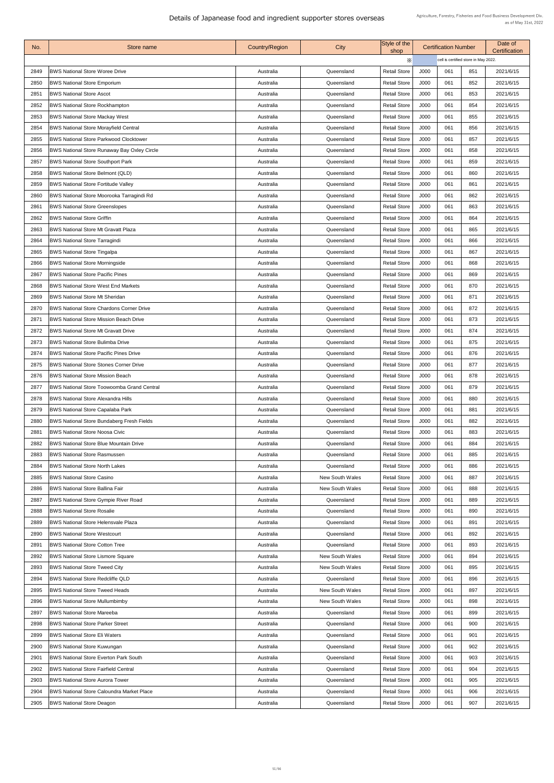| No.  | Store name                                         | <b>Country/Region</b> | City                   | Style of the<br>shop |      | <b>Certification Number</b>          |     | Date of<br><b>Certification</b> |
|------|----------------------------------------------------|-----------------------|------------------------|----------------------|------|--------------------------------------|-----|---------------------------------|
|      |                                                    |                       |                        | X                    |      | cell is certified store in May 2022. |     |                                 |
| 2849 | <b>BWS National Store Woree Drive</b>              | Australia             | Queensland             | <b>Retail Store</b>  | J000 | 061                                  | 851 | 2021/6/15                       |
| 2850 | <b>BWS National Store Emporium</b>                 | Australia             | Queensland             | <b>Retail Store</b>  | J000 | 061                                  | 852 | 2021/6/15                       |
| 285' | <b>BWS National Store Ascot</b>                    | Australia             | Queensland             | <b>Retail Store</b>  | J000 | 061                                  | 853 | 2021/6/15                       |
| 2852 | <b>BWS National Store Rockhampton</b>              | Australia             | Queensland             | <b>Retail Store</b>  | J000 | 061                                  | 854 | 2021/6/15                       |
| 2853 | <b>BWS National Store Mackay West</b>              | Australia             | Queensland             | <b>Retail Store</b>  | J000 | 061                                  | 855 | 2021/6/15                       |
| 2854 | <b>BWS National Store Morayfield Central</b>       | Australia             | Queensland             | <b>Retail Store</b>  | J000 | 061                                  | 856 | 2021/6/15                       |
| 2855 | <b>BWS National Store Parkwood Clocktower</b>      | Australia             | Queensland             | <b>Retail Store</b>  | J000 | 061                                  | 857 | 2021/6/15                       |
| 2856 | <b>BWS National Store Runaway Bay Oxley Circle</b> | Australia             | Queensland             | <b>Retail Store</b>  | J000 | 061                                  | 858 | 2021/6/15                       |
| 2857 | <b>BWS National Store Southport Park</b>           | Australia             | Queensland             | <b>Retail Store</b>  | J000 | 061                                  | 859 | 2021/6/15                       |
| 2858 | <b>BWS National Store Belmont (QLD)</b>            | Australia             | Queensland             | <b>Retail Store</b>  | J000 | 061                                  | 860 | 2021/6/15                       |
| 2859 | <b>BWS National Store Fortitude Valley</b>         | Australia             | Queensland             | <b>Retail Store</b>  | J000 | 061                                  | 861 | 2021/6/15                       |
| 2860 | BWS National Store Moorooka Tarragindi Rd          | Australia             | Queensland             | <b>Retail Store</b>  | J000 | 061                                  | 862 | 2021/6/15                       |
| 286' | <b>BWS National Store Greenslopes</b>              | Australia             | Queensland             | <b>Retail Store</b>  | J000 | 061                                  | 863 | 2021/6/15                       |
| 2862 | <b>BWS National Store Griffin</b>                  | Australia             | Queensland             | <b>Retail Store</b>  | J000 | 061                                  | 864 | 2021/6/15                       |
| 2863 | <b>BWS National Store Mt Gravatt Plaza</b>         | Australia             | Queensland             | <b>Retail Store</b>  | J000 | 061                                  | 865 | 2021/6/15                       |
| 2864 | <b>BWS National Store Tarragindi</b>               | Australia             | Queensland             | <b>Retail Store</b>  | J000 | 061                                  | 866 | 2021/6/15                       |
| 2865 | <b>BWS National Store Tingalpa</b>                 | Australia             | Queensland             | <b>Retail Store</b>  | J000 | 061                                  | 867 | 2021/6/15                       |
| 2866 | <b>BWS National Store Morningside</b>              | Australia             | Queensland             | <b>Retail Store</b>  | J000 | 061                                  | 868 | 2021/6/15                       |
| 2867 | <b>BWS National Store Pacific Pines</b>            | Australia             | Queensland             | <b>Retail Store</b>  | J000 | 061                                  | 869 | 2021/6/15                       |
| 2868 | <b>BWS National Store West End Markets</b>         | Australia             | Queensland             | <b>Retail Store</b>  | J000 | 061                                  | 870 | 2021/6/15                       |
| 2869 | <b>BWS National Store Mt Sheridan</b>              | Australia             | Queensland             | <b>Retail Store</b>  | J000 | 061                                  | 871 | 2021/6/15                       |
| 2870 | <b>BWS National Store Chardons Corner Drive</b>    | Australia             | Queensland             | <b>Retail Store</b>  | J000 | 061                                  | 872 | 2021/6/15                       |
| 287' | <b>BWS National Store Mission Beach Drive</b>      | Australia             | Queensland             | <b>Retail Store</b>  | J000 | 061                                  | 873 | 2021/6/15                       |
| 2872 | <b>BWS National Store Mt Gravatt Drive</b>         | Australia             | Queensland             | <b>Retail Store</b>  | J000 | 061                                  | 874 | 2021/6/15                       |
| 2873 | <b>BWS National Store Bulimba Drive</b>            | Australia             | Queensland             | <b>Retail Store</b>  | J000 | 061                                  | 875 | 2021/6/15                       |
| 2874 | <b>BWS National Store Pacific Pines Drive</b>      | Australia             | Queensland             | <b>Retail Store</b>  | J000 | 061                                  | 876 | 2021/6/15                       |
| 2875 | <b>BWS National Store Stones Corner Drive</b>      | Australia             | Queensland             | <b>Retail Store</b>  | J000 | 061                                  | 877 | 2021/6/15                       |
| 2876 | <b>BWS National Store Mission Beach</b>            | Australia             | Queensland             | <b>Retail Store</b>  | J000 | 061                                  | 878 | 2021/6/15                       |
| 2877 | <b>BWS National Store Toowoomba Grand Central</b>  | Australia             | Queensland             | <b>Retail Store</b>  | J000 | 061                                  | 879 | 2021/6/15                       |
| 2878 | <b>BWS National Store Alexandra Hills</b>          | Australia             | Queensland             | <b>Retail Store</b>  | J000 | 061                                  | 880 | 2021/6/15                       |
| 2879 | <b>BWS National Store Capalaba Park</b>            | Australia             | Queensland             | <b>Retail Store</b>  | J000 | 061                                  | 881 | 2021/6/15                       |
| 2880 | <b>BWS National Store Bundaberg Fresh Fields</b>   | Australia             | Queensland             | <b>Retail Store</b>  | J000 | 061                                  | 882 | 2021/6/15                       |
| 2881 | <b>BWS National Store Noosa Civic</b>              | Australia             | Queensland             | <b>Retail Store</b>  | J000 | 061                                  | 883 | 2021/6/15                       |
| 2882 | <b>BWS National Store Blue Mountain Drive</b>      | Australia             | Queensland             | <b>Retail Store</b>  | J000 | 061                                  | 884 | 2021/6/15                       |
| 2883 | <b>BWS National Store Rasmussen</b>                | Australia             | Queensland             | <b>Retail Store</b>  | J000 | 061                                  | 885 | 2021/6/15                       |
| 2884 | <b>BWS National Store North Lakes</b>              | Australia             | Queensland             | <b>Retail Store</b>  | J000 | 061                                  | 886 | 2021/6/15                       |
| 2885 | <b>BWS National Store Casino</b>                   | Australia             | <b>New South Wales</b> | <b>Retail Store</b>  | J000 | 061                                  | 887 | 2021/6/15                       |
| 2886 | <b>BWS National Store Ballina Fair</b>             | Australia             | <b>New South Wales</b> | <b>Retail Store</b>  | J000 | 061                                  | 888 | 2021/6/15                       |
| 2887 | BWS National Store Gympie River Road               | Australia             | Queensland             | <b>Retail Store</b>  | J000 | 061                                  | 889 | 2021/6/15                       |
| 2888 | <b>BWS National Store Rosalie</b>                  | Australia             | Queensland             | <b>Retail Store</b>  | J000 | 061                                  | 890 | 2021/6/15                       |
| 2889 | <b>BWS National Store Helensvale Plaza</b>         | Australia             | Queensland             | <b>Retail Store</b>  | J000 | 061                                  | 891 | 2021/6/15                       |
| 2890 | <b>BWS National Store Westcourt</b>                | Australia             | Queensland             | <b>Retail Store</b>  | J000 | 061                                  | 892 | 2021/6/15                       |
| 2891 | <b>BWS National Store Cotton Tree</b>              | Australia             | Queensland             | <b>Retail Store</b>  | J000 | 061                                  | 893 | 2021/6/15                       |
| 2892 | <b>BWS National Store Lismore Square</b>           | Australia             | <b>New South Wales</b> | <b>Retail Store</b>  | J000 | 061                                  | 894 | 2021/6/15                       |
| 2893 | <b>BWS National Store Tweed City</b>               | Australia             | <b>New South Wales</b> | <b>Retail Store</b>  | J000 | 061                                  | 895 | 2021/6/15                       |
| 2894 | <b>BWS National Store Redcliffe QLD</b>            | Australia             | Queensland             | <b>Retail Store</b>  | J000 | 061                                  | 896 | 2021/6/15                       |
| 2895 | <b>BWS National Store Tweed Heads</b>              | Australia             | <b>New South Wales</b> | <b>Retail Store</b>  | J000 | 061                                  | 897 | 2021/6/15                       |
| 2896 | <b>BWS National Store Mullumbimby</b>              | Australia             | <b>New South Wales</b> | <b>Retail Store</b>  | J000 | 061                                  | 898 | 2021/6/15                       |
| 2897 | <b>BWS National Store Mareeba</b>                  | Australia             | Queensland             | <b>Retail Store</b>  | J000 | 061                                  | 899 | 2021/6/15                       |
| 2898 | <b>BWS National Store Parker Street</b>            | Australia             | Queensland             | <b>Retail Store</b>  | J000 | 061                                  | 900 | 2021/6/15                       |
| 2899 | <b>BWS National Store Eli Waters</b>               | Australia             | Queensland             | <b>Retail Store</b>  | J000 | 061                                  | 901 | 2021/6/15                       |
| 2900 | <b>BWS National Store Kuwungan</b>                 | Australia             | Queensland             | <b>Retail Store</b>  | J000 | 061                                  | 902 | 2021/6/15                       |
| 2901 | <b>BWS National Store Everton Park South</b>       | Australia             | Queensland             | <b>Retail Store</b>  | J000 | 061                                  | 903 | 2021/6/15                       |
| 2902 | <b>BWS National Store Fairfield Central</b>        | Australia             | Queensland             | <b>Retail Store</b>  | J000 | 061                                  | 904 | 2021/6/15                       |
| 2903 | <b>BWS National Store Aurora Tower</b>             | Australia             | Queensland             | <b>Retail Store</b>  | J000 | 061                                  | 905 | 2021/6/15                       |
|      |                                                    |                       |                        |                      |      |                                      |     |                                 |
| 2904 | <b>BWS National Store Caloundra Market Place</b>   | Australia             | Queensland             | <b>Retail Store</b>  | J000 | 061                                  | 906 | 2021/6/15                       |
| 2905 | <b>BWS National Store Deagon</b>                   | Australia             | Queensland             | <b>Retail Store</b>  | J000 | 061                                  | 907 | 2021/6/15                       |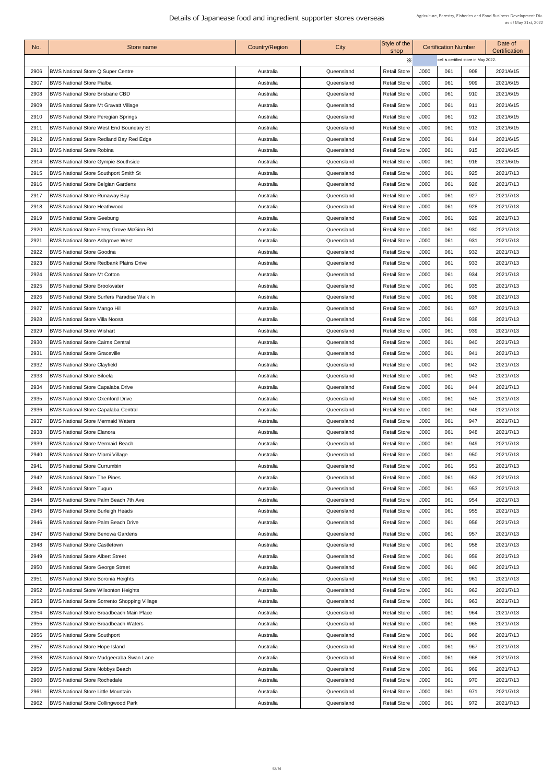| No.  | Store name                                          | <b>Country/Region</b> | City       | Style of the<br>shop |      | <b>Certification Number</b>          |     | Date of<br>Certification |
|------|-----------------------------------------------------|-----------------------|------------|----------------------|------|--------------------------------------|-----|--------------------------|
|      |                                                     |                       |            | Х                    |      | cell is certified store in May 2022. |     |                          |
| 2906 | <b>BWS National Store Q Super Centre</b>            | Australia             | Queensland | <b>Retail Store</b>  | J000 | 061                                  | 908 | 2021/6/15                |
| 2907 | <b>BWS National Store Pialba</b>                    | Australia             | Queensland | <b>Retail Store</b>  | J000 | 061                                  | 909 | 2021/6/15                |
| 2908 | <b>BWS National Store Brisbane CBD</b>              | Australia             | Queensland | <b>Retail Store</b>  | J000 | 061                                  | 910 | 2021/6/15                |
| 2909 | <b>BWS National Store Mt Gravatt Village</b>        | Australia             | Queensland | <b>Retail Store</b>  | J000 | 061                                  | 911 | 2021/6/15                |
| 2910 | <b>BWS National Store Peregian Springs</b>          | Australia             | Queensland | <b>Retail Store</b>  | J000 | 061                                  | 912 | 2021/6/15                |
| 2911 | <b>BWS National Store West End Boundary St</b>      | Australia             | Queensland | <b>Retail Store</b>  | J000 | 061                                  | 913 | 2021/6/15                |
| 2912 | <b>BWS National Store Redland Bay Red Edge</b>      | Australia             | Queensland | <b>Retail Store</b>  | J000 | 061                                  | 914 | 2021/6/15                |
| 2913 | <b>BWS National Store Robina</b>                    | Australia             | Queensland | <b>Retail Store</b>  | J000 | 061                                  | 915 | 2021/6/15                |
| 2914 | <b>BWS National Store Gympie Southside</b>          | Australia             | Queensland | <b>Retail Store</b>  | J000 | 061                                  | 916 | 2021/6/15                |
| 2915 | <b>BWS National Store Southport Smith St</b>        | Australia             | Queensland | <b>Retail Store</b>  | J000 | 061                                  | 925 | 2021/7/13                |
| 2916 | <b>BWS National Store Belgian Gardens</b>           | Australia             | Queensland | <b>Retail Store</b>  | J000 | 061                                  | 926 | 2021/7/13                |
| 2917 | <b>BWS National Store Runaway Bay</b>               | Australia             | Queensland | <b>Retail Store</b>  | J000 | 061                                  | 927 | 2021/7/13                |
| 2918 | <b>BWS National Store Heathwood</b>                 | Australia             | Queensland | <b>Retail Store</b>  | J000 | 061                                  | 928 | 2021/7/13                |
| 2919 | <b>BWS National Store Geebung</b>                   | Australia             | Queensland | <b>Retail Store</b>  | J000 | 061                                  | 929 | 2021/7/13                |
| 2920 | BWS National Store Ferny Grove McGinn Rd            | Australia             | Queensland | <b>Retail Store</b>  | J000 | 061                                  | 930 | 2021/7/13                |
| 2921 | <b>BWS National Store Ashgrove West</b>             | Australia             | Queensland | <b>Retail Store</b>  | J000 | 061                                  | 931 | 2021/7/13                |
| 2922 | <b>BWS National Store Goodna</b>                    | Australia             | Queensland | <b>Retail Store</b>  | J000 | 061                                  | 932 | 2021/7/13                |
| 2923 | <b>BWS National Store Redbank Plains Drive</b>      | Australia             | Queensland | <b>Retail Store</b>  | J000 | 061                                  | 933 | 2021/7/13                |
| 2924 | <b>BWS National Store Mt Cotton</b>                 | Australia             | Queensland | <b>Retail Store</b>  | J000 | 061                                  | 934 | 2021/7/13                |
| 2925 | <b>BWS National Store Brookwater</b>                | Australia             | Queensland | <b>Retail Store</b>  | J000 | 061                                  | 935 | 2021/7/13                |
| 2926 | <b>BWS National Store Surfers Paradise Walk In</b>  | Australia             | Queensland | <b>Retail Store</b>  | J000 | 061                                  | 936 | 2021/7/13                |
| 2927 | <b>BWS National Store Mango Hill</b>                | Australia             | Queensland | <b>Retail Store</b>  | J000 | 061                                  | 937 | 2021/7/13                |
| 2928 | <b>BWS National Store Villa Noosa</b>               | Australia             | Queensland | <b>Retail Store</b>  | J000 | 061                                  | 938 | 2021/7/13                |
| 2929 | <b>BWS National Store Wishart</b>                   | Australia             | Queensland | <b>Retail Store</b>  | J000 | 061                                  | 939 | 2021/7/13                |
| 2930 | <b>BWS National Store Cairns Central</b>            | Australia             | Queensland | <b>Retail Store</b>  | J000 | 061                                  | 940 | 2021/7/13                |
| 2931 | <b>BWS National Store Graceville</b>                | Australia             | Queensland | <b>Retail Store</b>  | J000 | 061                                  | 941 | 2021/7/13                |
| 2932 | <b>BWS National Store Clayfield</b>                 | Australia             | Queensland | <b>Retail Store</b>  | J000 | 061                                  | 942 | 2021/7/13                |
| 2933 | <b>BWS National Store Biloela</b>                   | Australia             | Queensland | <b>Retail Store</b>  | J000 | 061                                  | 943 | 2021/7/13                |
| 2934 | <b>BWS National Store Capalaba Drive</b>            | Australia             | Queensland | <b>Retail Store</b>  | J000 | 061                                  | 944 | 2021/7/13                |
| 2935 | <b>BWS National Store Oxenford Drive</b>            | Australia             | Queensland | <b>Retail Store</b>  | J000 | 061                                  | 945 | 2021/7/13                |
| 2936 | <b>BWS National Store Capalaba Central</b>          | Australia             | Queensland | <b>Retail Store</b>  | J000 | 061                                  | 946 | 2021/7/13                |
| 2937 | <b>BWS National Store Mermaid Waters</b>            | Australia             | Queensland | <b>Retail Store</b>  | J000 | 061                                  | 947 | 2021/7/13                |
| 2938 | <b>BWS National Store Elanora</b>                   | Australia             | Queensland | <b>Retail Store</b>  | J000 | 061                                  | 948 | 2021/7/13                |
| 2939 | <b>BWS National Store Mermaid Beach</b>             | Australia             | Queensland | <b>Retail Store</b>  | J000 | 061                                  | 949 | 2021/7/13                |
| 2940 | <b>BWS National Store Miami Village</b>             | Australia             | Queensland | <b>Retail Store</b>  | J000 | 061                                  | 950 | 2021/7/13                |
| 2941 | <b>BWS National Store Currumbin</b>                 | Australia             | Queensland | <b>Retail Store</b>  | J000 | 061                                  | 951 | 2021/7/13                |
| 2942 | <b>BWS National Store The Pines</b>                 | Australia             | Queensland | <b>Retail Store</b>  | J000 | 061                                  | 952 | 2021/7/13                |
| 2943 | <b>BWS National Store Tugun</b>                     | Australia             | Queensland | <b>Retail Store</b>  | J000 | 061                                  | 953 | 2021/7/13                |
| 2944 | <b>BWS National Store Palm Beach 7th Ave</b>        | Australia             | Queensland | <b>Retail Store</b>  | J000 | 061                                  | 954 | 2021/7/13                |
| 2945 | <b>BWS National Store Burleigh Heads</b>            | Australia             | Queensland | <b>Retail Store</b>  | J000 | 061                                  | 955 | 2021/7/13                |
| 2946 | <b>BWS National Store Palm Beach Drive</b>          | Australia             | Queensland | <b>Retail Store</b>  | J000 | 061                                  | 956 | 2021/7/13                |
| 2947 | <b>BWS National Store Benowa Gardens</b>            | Australia             | Queensland | <b>Retail Store</b>  | J000 | 061                                  | 957 | 2021/7/13                |
| 2948 | <b>BWS National Store Castletown</b>                | Australia             | Queensland | <b>Retail Store</b>  | J000 | 061                                  | 958 | 2021/7/13                |
| 2949 | <b>BWS National Store Albert Street</b>             | Australia             | Queensland | <b>Retail Store</b>  | J000 | 061                                  | 959 | 2021/7/13                |
| 2950 | <b>BWS National Store George Street</b>             | Australia             | Queensland | <b>Retail Store</b>  | J000 | 061                                  | 960 | 2021/7/13                |
| 295' | <b>BWS National Store Boronia Heights</b>           | Australia             | Queensland | <b>Retail Store</b>  | J000 | 061                                  | 961 | 2021/7/13                |
| 2952 | <b>BWS National Store Wilsonton Heights</b>         | Australia             | Queensland | <b>Retail Store</b>  | J000 | 061                                  | 962 | 2021/7/13                |
| 2953 | <b>BWS National Store Sorrento Shopping Village</b> | Australia             | Queensland | <b>Retail Store</b>  | J000 | 061                                  | 963 | 2021/7/13                |
| 2954 | BWS National Store Broadbeach Main Place            | Australia             | Queensland | <b>Retail Store</b>  | J000 | 061                                  | 964 | 2021/7/13                |
| 2955 | <b>BWS National Store Broadbeach Waters</b>         | Australia             | Queensland | <b>Retail Store</b>  | J000 | 061                                  | 965 | 2021/7/13                |
| 2956 | <b>BWS National Store Southport</b>                 | Australia             | Queensland | <b>Retail Store</b>  | J000 | 061                                  | 966 | 2021/7/13                |
| 2957 | <b>BWS National Store Hope Island</b>               | Australia             | Queensland | <b>Retail Store</b>  | J000 | 061                                  | 967 | 2021/7/13                |
| 2958 | <b>BWS National Store Mudgeeraba Swan Lane</b>      | Australia             | Queensland | <b>Retail Store</b>  | J000 | 061                                  | 968 | 2021/7/13                |
| 2959 | <b>BWS National Store Nobbys Beach</b>              | Australia             | Queensland | <b>Retail Store</b>  | J000 | 061                                  | 969 | 2021/7/13                |
| 2960 | <b>BWS National Store Rochedale</b>                 | Australia             | Queensland | <b>Retail Store</b>  | J000 | 061                                  | 970 | 2021/7/13                |
| 2961 | <b>BWS National Store Little Mountain</b>           | Australia             | Queensland | <b>Retail Store</b>  | J000 | 061                                  | 971 | 2021/7/13                |
| 2962 | <b>BWS National Store Collingwood Park</b>          | Australia             | Queensland | <b>Retail Store</b>  | J000 | 061                                  | 972 | 2021/7/13                |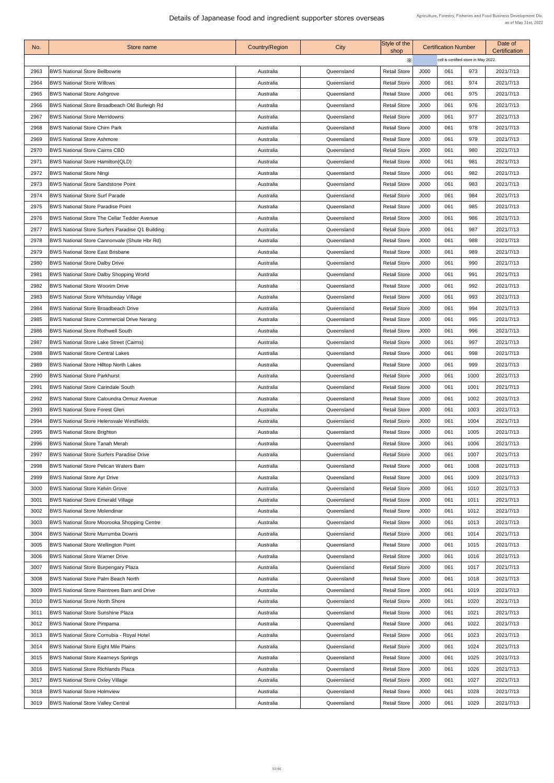| No.  | <b>Store name</b>                                      | <b>Country/Region</b> | City       | Style of the<br>shop |      | <b>Certification Number</b>          |      | Date of<br><b>Certification</b> |  |
|------|--------------------------------------------------------|-----------------------|------------|----------------------|------|--------------------------------------|------|---------------------------------|--|
|      |                                                        |                       |            | X                    |      | cell is certified store in May 2022. |      |                                 |  |
| 2963 | <b>BWS National Store Bellbowrie</b>                   | Australia             | Queensland | <b>Retail Store</b>  | J000 | 061                                  | 973  | 2021/7/13                       |  |
| 2964 | <b>BWS National Store Willows</b>                      | Australia             | Queensland | <b>Retail Store</b>  | J000 | 061                                  | 974  | 2021/7/13                       |  |
| 2965 | <b>BWS National Store Ashgrove</b>                     | Australia             | Queensland | <b>Retail Store</b>  | J000 | 061                                  | 975  | 2021/7/13                       |  |
| 2966 | <b>BWS National Store Broadbeach Old Burleigh Rd</b>   | Australia             | Queensland | <b>Retail Store</b>  | J000 | 061                                  | 976  | 2021/7/13                       |  |
| 2967 | <b>BWS National Store Merridowns</b>                   | Australia             | Queensland | <b>Retail Store</b>  | J000 | 061                                  | 977  | 2021/7/13                       |  |
| 2968 | <b>BWS National Store Chirn Park</b>                   | Australia             | Queensland | <b>Retail Store</b>  | J000 | 061                                  | 978  | 2021/7/13                       |  |
| 2969 | <b>BWS National Store Ashmore</b>                      | Australia             | Queensland | <b>Retail Store</b>  | J000 | 061                                  | 979  | 2021/7/13                       |  |
| 2970 | <b>BWS National Store Cairns CBD</b>                   | Australia             | Queensland | <b>Retail Store</b>  | J000 | 061                                  | 980  | 2021/7/13                       |  |
| 2971 | <b>BWS National Store Hamilton (QLD)</b>               | Australia             | Queensland | <b>Retail Store</b>  | J000 | 061                                  | 981  | 2021/7/13                       |  |
| 2972 | <b>BWS National Store Ningi</b>                        | Australia             | Queensland | <b>Retail Store</b>  | J000 | 061                                  | 982  | 2021/7/13                       |  |
| 2973 | <b>BWS National Store Sandstone Point</b>              | Australia             | Queensland | <b>Retail Store</b>  | J000 | 061                                  | 983  | 2021/7/13                       |  |
| 2974 | <b>BWS National Store Surf Parade</b>                  | Australia             | Queensland | <b>Retail Store</b>  | J000 | 061                                  | 984  | 2021/7/13                       |  |
| 2975 | <b>IBWS National Store Paradise Point</b>              | Australia             | Queensland | <b>Retail Store</b>  | J000 | 061                                  | 985  | 2021/7/13                       |  |
| 2976 | <b>BWS National Store The Cellar Tedder Avenue</b>     | Australia             | Queensland | <b>Retail Store</b>  | J000 | 061                                  | 986  | 2021/7/13                       |  |
| 2977 | <b>BWS National Store Surfers Paradise Q1 Building</b> | Australia             | Queensland | <b>Retail Store</b>  | J000 | 061                                  | 987  | 2021/7/13                       |  |
| 2978 | <b>BWS National Store Cannonvale (Shute Hbr Rd)</b>    | Australia             | Queensland | <b>Retail Store</b>  | J000 | 061                                  | 988  | 2021/7/13                       |  |
| 2979 | <b>BWS National Store East Brisbane</b>                | Australia             | Queensland | <b>Retail Store</b>  | J000 | 061                                  | 989  | 2021/7/13                       |  |
| 2980 | <b>BWS National Store Dalby Drive</b>                  | Australia             | Queensland | <b>Retail Store</b>  | J000 | 061                                  | 990  | 2021/7/13                       |  |
| 2981 | <b>BWS National Store Dalby Shopping World</b>         | Australia             | Queensland | <b>Retail Store</b>  | J000 | 061                                  | 991  | 2021/7/13                       |  |
| 2982 | <b>BWS National Store Woorim Drive</b>                 | Australia             | Queensland | <b>Retail Store</b>  | J000 | 061                                  | 992  | 2021/7/13                       |  |
| 2983 | <b>BWS National Store Whitsunday Village</b>           | Australia             | Queensland | <b>Retail Store</b>  | J000 | 061                                  | 993  | 2021/7/13                       |  |
| 2984 | <b>BWS National Store Broadbeach Drive</b>             | Australia             | Queensland | <b>Retail Store</b>  | J000 | 061                                  | 994  | 2021/7/13                       |  |
| 2985 | <b>BWS National Store Commercial Drive Nerang</b>      | Australia             | Queensland | <b>Retail Store</b>  | J000 | 061                                  | 995  | 2021/7/13                       |  |
| 2986 | <b>BWS National Store Rothwell South</b>               | Australia             | Queensland | <b>Retail Store</b>  | J000 | 061                                  | 996  | 2021/7/13                       |  |
| 2987 | <b>BWS National Store Lake Street (Cairns)</b>         | Australia             | Queensland | <b>Retail Store</b>  | J000 | 061                                  | 997  | 2021/7/13                       |  |
| 2988 | <b>BWS National Store Central Lakes</b>                | Australia             | Queensland | <b>Retail Store</b>  | J000 | 061                                  | 998  | 2021/7/13                       |  |
| 2989 | <b>BWS National Store Hilltop North Lakes</b>          | Australia             | Queensland | <b>Retail Store</b>  | J000 | 061                                  | 999  | 2021/7/13                       |  |
| 2990 | <b>BWS National Store Parkhurst</b>                    | Australia             | Queensland | <b>Retail Store</b>  | J000 | 061                                  | 1000 | 2021/7/13                       |  |
| 2991 | <b>BWS National Store Carindale South</b>              | Australia             | Queensland | <b>Retail Store</b>  | J000 | 061                                  | 1001 | 2021/7/13                       |  |
| 2992 | <b>BWS National Store Caloundra Ormuz Avenue</b>       | Australia             | Queensland | <b>Retail Store</b>  | J000 | 061                                  | 1002 | 2021/7/13                       |  |
| 2993 | <b>BWS National Store Forest Glen</b>                  | Australia             | Queensland | <b>Retail Store</b>  | J000 | 061                                  | 1003 | 2021/7/13                       |  |
| 2994 | <b>BWS National Store Helensvale Westfields</b>        | Australia             | Queensland | <b>Retail Store</b>  | J000 | 061                                  | 1004 | 2021/7/13                       |  |
| 2995 | <b>BWS National Store Brighton</b>                     | Australia             | Queensland | <b>Retail Store</b>  | J000 | 061                                  | 1005 | 2021/7/13                       |  |
| 2996 | <b>BWS National Store Tanah Merah</b>                  | Australia             | Queensland | <b>Retail Store</b>  | J000 | 061                                  | 1006 | 2021/7/13                       |  |
| 2997 | <b>BWS National Store Surfers Paradise Drive</b>       | Australia             | Queensland | <b>Retail Store</b>  | J000 | 061                                  | 1007 | 2021/7/13                       |  |
| 2998 | <b>BWS National Store Pelican Waters Barn</b>          | Australia             | Queensland | <b>Retail Store</b>  | J000 | 061                                  | 1008 | 2021/7/13                       |  |
| 2999 | <b>BWS National Store Ayr Drive</b>                    | Australia             | Queensland | <b>Retail Store</b>  | J000 | 061                                  | 1009 | 2021/7/13                       |  |
| 3000 | <b>BWS National Store Kelvin Grove</b>                 | Australia             | Queensland | <b>Retail Store</b>  | J000 | 061                                  | 1010 | 2021/7/13                       |  |
| 3001 | <b>BWS National Store Emerald Village</b>              | Australia             | Queensland | <b>Retail Store</b>  | J000 | 061                                  | 1011 | 2021/7/13                       |  |
| 3002 | <b>BWS National Store Molendinar</b>                   | Australia             | Queensland | <b>Retail Store</b>  | J000 | 061                                  | 1012 | 2021/7/13                       |  |
| 3003 | BWS National Store Moorooka Shopping Centre            | Australia             | Queensland | <b>Retail Store</b>  | J000 | 061                                  | 1013 | 2021/7/13                       |  |
| 3004 | <b>BWS National Store Murrumba Downs</b>               | Australia             | Queensland | <b>Retail Store</b>  | J000 | 061                                  | 1014 | 2021/7/13                       |  |
| 3005 | <b>BWS National Store Wellington Point</b>             | Australia             | Queensland | <b>Retail Store</b>  | J000 | 061                                  | 1015 | 2021/7/13                       |  |
| 3006 | <b>BWS National Store Warner Drive</b>                 | Australia             | Queensland | <b>Retail Store</b>  | J000 | 061                                  | 1016 | 2021/7/13                       |  |
| 3007 | <b>BWS National Store Burpengary Plaza</b>             | Australia             | Queensland | <b>Retail Store</b>  | J000 | 061                                  | 1017 | 2021/7/13                       |  |
| 3008 | <b>BWS National Store Palm Beach North</b>             | Australia             | Queensland | <b>Retail Store</b>  | J000 | 061                                  | 1018 | 2021/7/13                       |  |
| 3009 | <b>BWS National Store Raintrees Barn and Drive</b>     | Australia             | Queensland | <b>Retail Store</b>  | J000 | 061                                  | 1019 | 2021/7/13                       |  |
| 3010 | <b>BWS National Store North Shore</b>                  | Australia             | Queensland | <b>Retail Store</b>  | J000 | 061                                  | 1020 | 2021/7/13                       |  |
| 3011 | <b>BWS National Store Sunshine Plaza</b>               | Australia             | Queensland | <b>Retail Store</b>  | J000 | 061                                  | 1021 | 2021/7/13                       |  |
| 3012 | <b>BWS National Store Pimpama</b>                      | Australia             | Queensland | <b>Retail Store</b>  | J000 | 061                                  | 1022 | 2021/7/13                       |  |
| 3013 | <b>BWS National Store Cornubia - Royal Hotel</b>       | Australia             | Queensland | <b>Retail Store</b>  | J000 | 061                                  | 1023 | 2021/7/13                       |  |
| 3014 | <b>BWS National Store Eight Mile Plains</b>            | Australia             | Queensland | <b>Retail Store</b>  | J000 | 061                                  | 1024 | 2021/7/13                       |  |
| 3015 | <b>BWS National Store Kearneys Springs</b>             | Australia             | Queensland | <b>Retail Store</b>  | J000 | 061                                  | 1025 | 2021/7/13                       |  |
| 3016 | <b>BWS National Store Richlands Plaza</b>              | Australia             | Queensland | <b>Retail Store</b>  | J000 | 061                                  | 1026 | 2021/7/13                       |  |
| 3017 | <b>BWS National Store Oxley Village</b>                | Australia             | Queensland | <b>Retail Store</b>  | J000 | 061                                  | 1027 | 2021/7/13                       |  |
| 3018 | <b>BWS National Store Holmview</b>                     | Australia             | Queensland | <b>Retail Store</b>  | J000 | 061                                  | 1028 | 2021/7/13                       |  |
| 3019 | <b>BWS National Store Valley Central</b>               | Australia             | Queensland | <b>Retail Store</b>  | J000 | 061                                  | 1029 | 2021/7/13                       |  |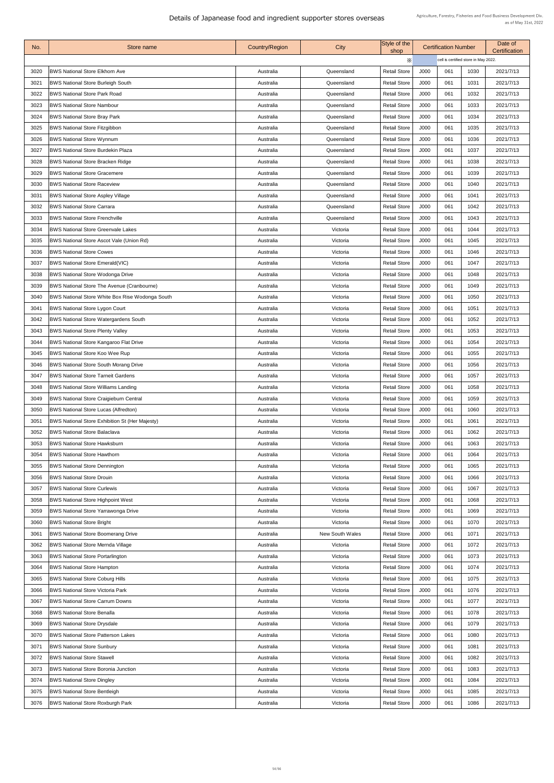| No.  | Store name                                             | <b>Country/Region</b> | City                   | Style of the<br>shop |      | <b>Certification Number</b>          |      | Date of<br><b>Certification</b> |
|------|--------------------------------------------------------|-----------------------|------------------------|----------------------|------|--------------------------------------|------|---------------------------------|
|      |                                                        |                       |                        | X                    |      | cell is certified store in May 2022. |      |                                 |
| 3020 | <b>BWS National Store Elkhorn Ave</b>                  | Australia             | Queensland             | <b>Retail Store</b>  | J000 | 061                                  | 1030 | 2021/7/13                       |
| 3021 | <b>BWS National Store Burleigh South</b>               | Australia             | Queensland             | <b>Retail Store</b>  | J000 | 061                                  | 1031 | 2021/7/13                       |
| 3022 | <b>BWS National Store Park Road</b>                    | Australia             | Queensland             | <b>Retail Store</b>  | J000 | 061                                  | 1032 | 2021/7/13                       |
| 3023 | <b>BWS National Store Nambour</b>                      | Australia             | Queensland             | <b>Retail Store</b>  | J000 | 061                                  | 1033 | 2021/7/13                       |
| 3024 | <b>BWS National Store Bray Park</b>                    | Australia             | Queensland             | <b>Retail Store</b>  | J000 | 061                                  | 1034 | 2021/7/13                       |
| 3025 | <b>BWS National Store Fitzgibbon</b>                   | Australia             | Queensland             | <b>Retail Store</b>  | J000 | 061                                  | 1035 | 2021/7/13                       |
| 3026 | <b>BWS National Store Wynnum</b>                       | Australia             | Queensland             | <b>Retail Store</b>  | J000 | 061                                  | 1036 | 2021/7/13                       |
| 3027 | <b>BWS National Store Burdekin Plaza</b>               | Australia             | Queensland             | <b>Retail Store</b>  | J000 | 061                                  | 1037 | 2021/7/13                       |
| 3028 | <b>BWS National Store Bracken Ridge</b>                | Australia             | Queensland             | <b>Retail Store</b>  | J000 | 061                                  | 1038 | 2021/7/13                       |
| 3029 | <b>BWS National Store Gracemere</b>                    | Australia             | Queensland             | <b>Retail Store</b>  | J000 | 061                                  | 1039 | 2021/7/13                       |
| 3030 | <b>BWS National Store Raceview</b>                     | Australia             | Queensland             | <b>Retail Store</b>  | J000 | 061                                  | 1040 | 2021/7/13                       |
| 3031 | <b>BWS National Store Aspley Village</b>               | Australia             | Queensland             | <b>Retail Store</b>  | J000 | 061                                  | 1041 | 2021/7/13                       |
| 3032 | <b>BWS National Store Carrara</b>                      | Australia             | Queensland             | <b>Retail Store</b>  | J000 | 061                                  | 1042 | 2021/7/13                       |
| 3033 | <b>BWS National Store Frenchville</b>                  | Australia             | Queensland             | <b>Retail Store</b>  | J000 | 061                                  | 1043 | 2021/7/13                       |
| 3034 | <b>BWS National Store Greenvale Lakes</b>              | Australia             | Victoria               | <b>Retail Store</b>  | J000 | 061                                  | 1044 | 2021/7/13                       |
| 3035 | BWS National Store Ascot Vale (Union Rd)               | Australia             | Victoria               | <b>Retail Store</b>  | J000 | 061                                  | 1045 | 2021/7/13                       |
| 3036 | <b>BWS National Store Cowes</b>                        | Australia             | Victoria               | <b>Retail Store</b>  | J000 | 061                                  | 1046 | 2021/7/13                       |
| 3037 | <b>BWS National Store Emerald (VIC)</b>                | Australia             | Victoria               | <b>Retail Store</b>  | J000 | 061                                  | 1047 | 2021/7/13                       |
| 3038 | <b>BWS National Store Wodonga Drive</b>                | Australia             | Victoria               | <b>Retail Store</b>  | J000 | 061                                  | 1048 | 2021/7/13                       |
| 3039 | <b>BWS National Store The Avenue (Cranbourne)</b>      | Australia             | Victoria               | <b>Retail Store</b>  | J000 | 061                                  | 1049 | 2021/7/13                       |
| 3040 | <b>BWS National Store White Box Rise Wodonga South</b> | Australia             | Victoria               | <b>Retail Store</b>  | J000 | 061                                  | 1050 | 2021/7/13                       |
| 3041 | <b>BWS National Store Lygon Court</b>                  | Australia             | Victoria               | <b>Retail Store</b>  | J000 | 061                                  | 1051 | 2021/7/13                       |
| 3042 | <b>BWS National Store Watergardens South</b>           | Australia             | Victoria               | <b>Retail Store</b>  | J000 | 061                                  | 1052 | 2021/7/13                       |
| 3043 | <b>BWS National Store Plenty Valley</b>                | Australia             | Victoria               | <b>Retail Store</b>  | J000 | 061                                  | 1053 | 2021/7/13                       |
| 3044 | <b>BWS National Store Kangaroo Flat Drive</b>          | Australia             | Victoria               | <b>Retail Store</b>  | J000 | 061                                  | 1054 | 2021/7/13                       |
| 3045 | <b>BWS National Store Koo Wee Rup</b>                  | Australia             | Victoria               | <b>Retail Store</b>  | J000 | 061                                  | 1055 | 2021/7/13                       |
| 3046 | <b>BWS National Store South Morang Drive</b>           | Australia             | Victoria               | <b>Retail Store</b>  | J000 | 061                                  | 1056 | 2021/7/13                       |
| 3047 | <b>BWS National Store Tarneit Gardens</b>              | Australia             | Victoria               | <b>Retail Store</b>  | J000 | 061                                  | 1057 | 2021/7/13                       |
| 3048 | <b>BWS National Store Williams Landing</b>             | Australia             | Victoria               | <b>Retail Store</b>  | J000 | 061                                  | 1058 | 2021/7/13                       |
| 3049 | <b>BWS National Store Craigieburn Central</b>          | Australia             | Victoria               | <b>Retail Store</b>  | J000 | 061                                  | 1059 | 2021/7/13                       |
| 3050 | <b>BWS National Store Lucas (Alfredton)</b>            | Australia             | Victoria               | <b>Retail Store</b>  | J000 | 061                                  | 1060 | 2021/7/13                       |
| 3051 | <b>BWS National Store Exhibition St (Her Majesty)</b>  | Australia             | Victoria               | <b>Retail Store</b>  | J000 | 061                                  | 1061 | 2021/7/13                       |
| 3052 | <b>BWS National Store Balaclava</b>                    | Australia             | Victoria               | <b>Retail Store</b>  | J000 | 061                                  | 1062 | 2021/7/13                       |
| 3053 | <b>BWS National Store Hawksburn</b>                    | Australia             | Victoria               | <b>Retail Store</b>  | J000 | 061                                  | 1063 | 2021/7/13                       |
| 3054 | <b>BWS National Store Hawthorn</b>                     | Australia             | Victoria               | <b>Retail Store</b>  | J000 | 061                                  | 1064 | 2021/7/13                       |
|      |                                                        |                       |                        |                      |      | 061                                  |      |                                 |
| 3055 | <b>BWS National Store Dennington</b>                   | Australia             | Victoria               | <b>Retail Store</b>  | J000 |                                      | 1065 | 2021/7/13                       |
| 3056 | <b>BWS National Store Drouin</b>                       | Australia             | Victoria               | <b>Retail Store</b>  | J000 | 061                                  | 1066 | 2021/7/13                       |
| 3057 | <b>BWS National Store Curlewis</b>                     | Australia             | Victoria               | <b>Retail Store</b>  | J000 | 061                                  | 1067 | 2021/7/13                       |
| 3058 | <b>BWS National Store Highpoint West</b>               | Australia             | Victoria               | <b>Retail Store</b>  | J000 | 061                                  | 1068 | 2021/7/13                       |
| 3059 | <b>BWS National Store Yarrawonga Drive</b>             | Australia             | Victoria               | <b>Retail Store</b>  | J000 | 061                                  | 1069 | 2021/7/13                       |
| 3060 | <b>BWS National Store Bright</b>                       | Australia             | Victoria               | <b>Retail Store</b>  | J000 | 061                                  | 1070 | 2021/7/13                       |
| 3061 | <b>BWS National Store Boomerang Drive</b>              | Australia             | <b>New South Wales</b> | <b>Retail Store</b>  | J000 | 061                                  | 1071 | 2021/7/13                       |
| 3062 | <b>BWS National Store Mernda Village</b>               | Australia             | Victoria               | <b>Retail Store</b>  | J000 | 061                                  | 1072 | 2021/7/13                       |
| 3063 | <b>BWS National Store Portarlington</b>                | Australia             | Victoria               | <b>Retail Store</b>  | J000 | 061                                  | 1073 | 2021/7/13                       |
| 3064 | <b>BWS National Store Hampton</b>                      | Australia             | Victoria               | <b>Retail Store</b>  | J000 | 061                                  | 1074 | 2021/7/13                       |
| 3065 | <b>BWS National Store Coburg Hills</b>                 | Australia             | Victoria               | <b>Retail Store</b>  | J000 | 061                                  | 1075 | 2021/7/13                       |
| 3066 | <b>BWS National Store Victoria Park</b>                | Australia             | Victoria               | <b>Retail Store</b>  | J000 | 061                                  | 1076 | 2021/7/13                       |
| 3067 | <b>BWS National Store Carrum Downs</b>                 | Australia             | Victoria               | <b>Retail Store</b>  | J000 | 061                                  | 1077 | 2021/7/13                       |
| 3068 | <b>BWS National Store Benalla</b>                      | Australia             | Victoria               | <b>Retail Store</b>  | J000 | 061                                  | 1078 | 2021/7/13                       |
| 3069 | <b>BWS National Store Drysdale</b>                     | Australia             | Victoria               | <b>Retail Store</b>  | J000 | 061                                  | 1079 | 2021/7/13                       |
| 3070 | <b>BWS National Store Patterson Lakes</b>              | Australia             | Victoria               | <b>Retail Store</b>  | J000 | 061                                  | 1080 | 2021/7/13                       |
| 3071 | <b>BWS National Store Sunbury</b>                      | Australia             | Victoria               | <b>Retail Store</b>  | J000 | 061                                  | 1081 | 2021/7/13                       |
| 3072 | <b>BWS National Store Stawell</b>                      | Australia             | Victoria               | <b>Retail Store</b>  | J000 | 061                                  | 1082 | 2021/7/13                       |
| 3073 | <b>BWS National Store Boronia Junction</b>             | Australia             | Victoria               | <b>Retail Store</b>  | J000 | 061                                  | 1083 | 2021/7/13                       |
| 3074 | <b>BWS National Store Dingley</b>                      | Australia             | Victoria               | <b>Retail Store</b>  | J000 | 061                                  | 1084 | 2021/7/13                       |
| 3075 | <b>BWS National Store Bentleigh</b>                    | Australia             | Victoria               | <b>Retail Store</b>  | J000 | 061                                  | 1085 | 2021/7/13                       |
| 3076 | <b>BWS National Store Roxburgh Park</b>                | Australia             | Victoria               | <b>Retail Store</b>  | J000 | 061                                  | 1086 | 2021/7/13                       |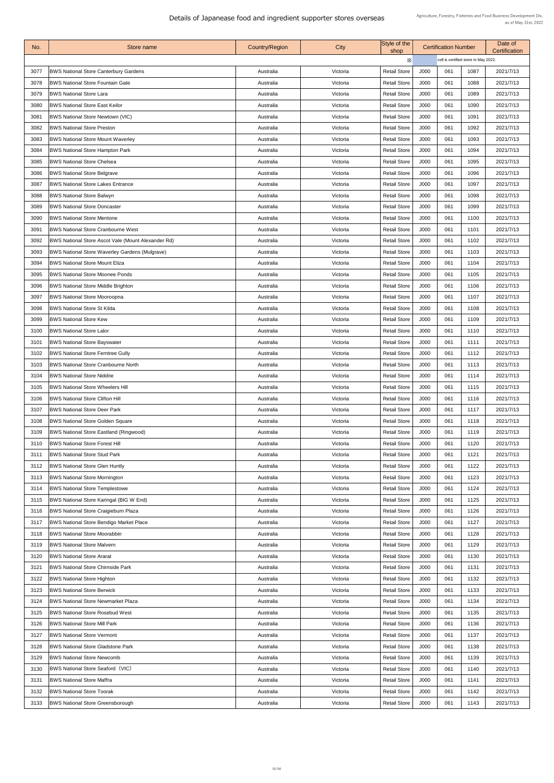| No.  | Store name                                                | <b>Country/Region</b> | <b>City</b> | Style of the<br>shop |      | <b>Certification Number</b>          |      | Date of<br>Certification |
|------|-----------------------------------------------------------|-----------------------|-------------|----------------------|------|--------------------------------------|------|--------------------------|
|      |                                                           |                       |             | $\times$             |      | cell is certified store in May 2022. |      |                          |
| 3077 | <b>BWS National Store Canterbury Gardens</b>              | Australia             | Victoria    | <b>Retail Store</b>  | J000 | 061                                  | 1087 | 2021/7/13                |
| 3078 | <b>BWS National Store Fountain Gate</b>                   | Australia             | Victoria    | <b>Retail Store</b>  | J000 | 061                                  | 1088 | 2021/7/13                |
| 3079 | <b>BWS National Store Lara</b>                            | Australia             | Victoria    | <b>Retail Store</b>  | J000 | 061                                  | 1089 | 2021/7/13                |
| 3080 | <b>BWS National Store East Keilor</b>                     | Australia             | Victoria    | <b>Retail Store</b>  | J000 | 061                                  | 1090 | 2021/7/13                |
| 3081 | <b>BWS National Store Newtown (VIC)</b>                   | Australia             | Victoria    | <b>Retail Store</b>  | J000 | 061                                  | 1091 | 2021/7/13                |
| 3082 | <b>BWS National Store Preston</b>                         | Australia             | Victoria    | <b>Retail Store</b>  | J000 | 061                                  | 1092 | 2021/7/13                |
| 3083 | <b>BWS National Store Mount Waverley</b>                  | Australia             | Victoria    | <b>Retail Store</b>  | J000 | 061                                  | 1093 | 2021/7/13                |
| 3084 | <b>BWS National Store Hampton Park</b>                    | Australia             | Victoria    | <b>Retail Store</b>  | J000 | 061                                  | 1094 | 2021/7/13                |
| 3085 | <b>BWS National Store Chelsea</b>                         | Australia             | Victoria    | <b>Retail Store</b>  | J000 | 061                                  | 1095 | 2021/7/13                |
| 3086 | <b>BWS National Store Belgrave</b>                        | Australia             | Victoria    | <b>Retail Store</b>  | J000 | 061                                  | 1096 | 2021/7/13                |
| 3087 | <b>BWS National Store Lakes Entrance</b>                  | Australia             | Victoria    | <b>Retail Store</b>  | J000 | 061                                  | 1097 | 2021/7/13                |
| 3088 | <b>BWS National Store Balwyn</b>                          | Australia             | Victoria    | <b>Retail Store</b>  | J000 | 061                                  | 1098 | 2021/7/13                |
| 3089 | <b>BWS National Store Doncaster</b>                       | Australia             | Victoria    | <b>Retail Store</b>  | J000 | 061                                  | 1099 | 2021/7/13                |
| 3090 | <b>BWS National Store Mentone</b>                         | Australia             | Victoria    | <b>Retail Store</b>  | J000 | 061                                  | 1100 | 2021/7/13                |
| 3091 | <b>BWS National Store Cranbourne West</b>                 | Australia             | Victoria    | <b>Retail Store</b>  | J000 | 061                                  | 1101 | 2021/7/13                |
| 3092 | <b>BWS National Store Ascot Vale (Mount Alexander Rd)</b> | Australia             | Victoria    | <b>Retail Store</b>  | J000 | 061                                  | 1102 | 2021/7/13                |
| 3093 | <b>BWS National Store Waverley Gardens (Mulgrave)</b>     | Australia             | Victoria    | <b>Retail Store</b>  | J000 | 061                                  | 1103 | 2021/7/13                |
| 3094 | <b>BWS National Store Mount Eliza</b>                     | Australia             | Victoria    | <b>Retail Store</b>  | J000 | 061                                  | 1104 | 2021/7/13                |
| 3095 | <b>BWS National Store Moonee Ponds</b>                    | Australia             | Victoria    | <b>Retail Store</b>  | J000 | 061                                  | 1105 | 2021/7/13                |
| 3096 | <b>BWS National Store Middle Brighton</b>                 | Australia             | Victoria    | <b>Retail Store</b>  | J000 | 061                                  | 1106 | 2021/7/13                |
| 3097 | <b>BWS National Store Mooroopna</b>                       | Australia             | Victoria    | <b>Retail Store</b>  | J000 | 061                                  | 1107 | 2021/7/13                |
| 3098 | <b>BWS National Store St Kilda</b>                        | Australia             | Victoria    | <b>Retail Store</b>  | J000 | 061                                  | 1108 | 2021/7/13                |
| 3099 | <b>BWS National Store Kew</b>                             | Australia             | Victoria    | <b>Retail Store</b>  | J000 | 061                                  | 1109 | 2021/7/13                |
| 3100 | <b>BWS National Store Lalor</b>                           | Australia             | Victoria    | <b>Retail Store</b>  | J000 | 061                                  | 1110 | 2021/7/13                |
| 3101 | <b>BWS National Store Bayswater</b>                       | Australia             | Victoria    | <b>Retail Store</b>  | J000 | 061                                  | 1111 | 2021/7/13                |
| 3102 | <b>BWS National Store Ferntree Gully</b>                  | Australia             | Victoria    | <b>Retail Store</b>  | J000 | 061                                  | 1112 | 2021/7/13                |
| 3103 | <b>BWS National Store Cranbourne North</b>                | Australia             | Victoria    | <b>Retail Store</b>  | J000 | 061                                  | 1113 | 2021/7/13                |
| 3104 | <b>BWS National Store Niddrie</b>                         | Australia             | Victoria    | <b>Retail Store</b>  | J000 | 061                                  | 1114 | 2021/7/13                |
| 3105 | <b>BWS National Store Wheelers Hill</b>                   | Australia             | Victoria    | <b>Retail Store</b>  | J000 | 061                                  | 1115 | 2021/7/13                |
| 3106 | <b>BWS National Store Clifton Hill</b>                    | Australia             | Victoria    | <b>Retail Store</b>  | J000 | 061                                  | 1116 | 2021/7/13                |
| 3107 | <b>BWS National Store Deer Park</b>                       | Australia             | Victoria    | <b>Retail Store</b>  | J000 | 061                                  | 1117 | 2021/7/13                |
| 3108 | <b>BWS National Store Golden Square</b>                   | Australia             | Victoria    | <b>Retail Store</b>  | J000 | 061                                  | 1118 | 2021/7/13                |
| 3109 | <b>BWS National Store Eastland (Ringwood)</b>             | Australia             | Victoria    | <b>Retail Store</b>  | J000 | 061                                  | 1119 | 2021/7/13                |
| 3110 | <b>BWS National Store Forest Hill</b>                     | Australia             | Victoria    | <b>Retail Store</b>  | J000 | 061                                  | 1120 | 2021/7/13                |
| 3111 | <b>BWS National Store Stud Park</b>                       | Australia             | Victoria    | <b>Retail Store</b>  | J000 | 061                                  | 1121 | 2021/7/13                |
| 3112 | <b>BWS National Store Glen Huntly</b>                     | Australia             | Victoria    | <b>Retail Store</b>  | J000 | 061                                  | 1122 | 2021/7/13                |
| 3113 | <b>BWS National Store Mornington</b>                      | Australia             | Victoria    | <b>Retail Store</b>  | J000 | 061                                  | 1123 | 2021/7/13                |
| 3114 | <b>BWS National Store Templestowe</b>                     | Australia             | Victoria    | <b>Retail Store</b>  | J000 | 061                                  | 1124 | 2021/7/13                |
| 3115 | <b>BWS National Store Karingal (BIG W End)</b>            | Australia             | Victoria    | <b>Retail Store</b>  | J000 | 061                                  | 1125 | 2021/7/13                |
| 3116 | <b>BWS National Store Craigieburn Plaza</b>               | Australia             | Victoria    | <b>Retail Store</b>  | J000 | 061                                  | 1126 | 2021/7/13                |
| 3117 | <b>BWS National Store Bendigo Market Place</b>            | Australia             | Victoria    | <b>Retail Store</b>  | J000 | 061                                  | 1127 | 2021/7/13                |
| 3118 | <b>BWS National Store Moorabbin</b>                       | Australia             | Victoria    | <b>Retail Store</b>  | J000 | 061                                  | 1128 | 2021/7/13                |
| 3119 | <b>BWS National Store Malvern</b>                         | Australia             | Victoria    | <b>Retail Store</b>  | J000 | 061                                  | 1129 | 2021/7/13                |
| 3120 | <b>BWS National Store Ararat</b>                          | Australia             | Victoria    | <b>Retail Store</b>  | J000 | 061                                  | 1130 | 2021/7/13                |
| 3121 | <b>BWS National Store Chirnside Park</b>                  | Australia             | Victoria    | <b>Retail Store</b>  | J000 | 061                                  | 1131 | 2021/7/13                |
| 3122 | <b>BWS National Store Highton</b>                         | Australia             | Victoria    | <b>Retail Store</b>  | J000 | 061                                  | 1132 | 2021/7/13                |
| 3123 | <b>BWS National Store Berwick</b>                         | Australia             | Victoria    | <b>Retail Store</b>  | J000 | 061                                  | 1133 | 2021/7/13                |
| 3124 | <b>BWS National Store Newmarket Plaza</b>                 | Australia             | Victoria    | <b>Retail Store</b>  | J000 | 061                                  | 1134 | 2021/7/13                |
| 3125 | <b>BWS National Store Rosebud West</b>                    | Australia             | Victoria    | <b>Retail Store</b>  | J000 | 061                                  | 1135 | 2021/7/13                |
| 3126 | <b>BWS National Store Mill Park</b>                       | Australia             | Victoria    | <b>Retail Store</b>  | J000 | 061                                  | 1136 | 2021/7/13                |
| 3127 | <b>BWS National Store Vermont</b>                         | Australia             | Victoria    | <b>Retail Store</b>  | J000 | 061                                  | 1137 | 2021/7/13                |
| 3128 | <b>BWS National Store Gladstone Park</b>                  | Australia             | Victoria    | <b>Retail Store</b>  | J000 | 061                                  | 1138 | 2021/7/13                |
| 3129 | <b>BWS National Store Newcomb</b>                         | Australia             | Victoria    | <b>Retail Store</b>  | J000 | 061                                  | 1139 | 2021/7/13                |
| 3130 | <b>BWS National Store Seaford (VIC)</b>                   | Australia             | Victoria    | <b>Retail Store</b>  | J000 | 061                                  | 1140 | 2021/7/13                |
| 3131 | <b>BWS National Store Maffra</b>                          | Australia             | Victoria    | <b>Retail Store</b>  | J000 | 061                                  | 1141 | 2021/7/13                |
| 3132 | <b>BWS National Store Toorak</b>                          | Australia             | Victoria    | <b>Retail Store</b>  | J000 | 061                                  | 1142 | 2021/7/13                |
| 3133 | <b>BWS National Store Greensborough</b>                   | Australia             | Victoria    | <b>Retail Store</b>  | J000 | 061                                  | 1143 | 2021/7/13                |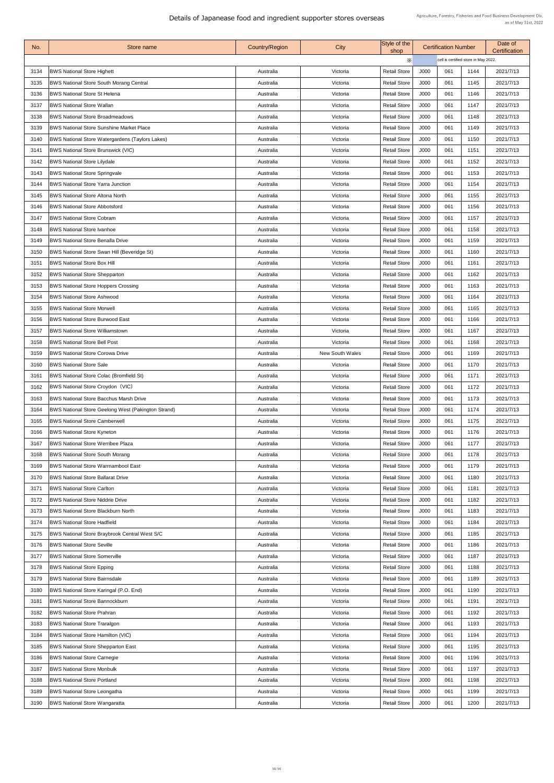| No.  | Store name                                                | <b>Country/Region</b> | City                   | Style of the<br>shop |      | <b>Certification Number</b>          |      | Date of<br>Certification |
|------|-----------------------------------------------------------|-----------------------|------------------------|----------------------|------|--------------------------------------|------|--------------------------|
|      |                                                           |                       |                        | $\times$             |      | cell is certified store in May 2022. |      |                          |
| 3134 | <b>BWS National Store Highett</b>                         | Australia             | Victoria               | <b>Retail Store</b>  | J000 | 061                                  | 1144 | 2021/7/13                |
| 3135 | <b>BWS National Store South Morang Central</b>            | Australia             | Victoria               | <b>Retail Store</b>  | J000 | 061                                  | 1145 | 2021/7/13                |
| 3136 | <b>BWS National Store St Helena</b>                       | Australia             | Victoria               | <b>Retail Store</b>  | J000 | 061                                  | 1146 | 2021/7/13                |
| 3137 | <b>BWS National Store Wallan</b>                          | Australia             | Victoria               | <b>Retail Store</b>  | J000 | 061                                  | 1147 | 2021/7/13                |
| 3138 | <b>BWS National Store Broadmeadows</b>                    | Australia             | Victoria               | <b>Retail Store</b>  | J000 | 061                                  | 1148 | 2021/7/13                |
| 3139 | <b>BWS National Store Sunshine Market Place</b>           | Australia             | Victoria               | <b>Retail Store</b>  | J000 | 061                                  | 1149 | 2021/7/13                |
| 3140 | <b>BWS National Store Watergardens (Taylors Lakes)</b>    | Australia             | Victoria               | <b>Retail Store</b>  | J000 | 061                                  | 1150 | 2021/7/13                |
| 3141 | <b>BWS National Store Brunswick (VIC)</b>                 | Australia             | Victoria               | <b>Retail Store</b>  | J000 | 061                                  | 1151 | 2021/7/13                |
| 3142 | <b>BWS National Store Lilydale</b>                        | Australia             | Victoria               | <b>Retail Store</b>  | J000 | 061                                  | 1152 | 2021/7/13                |
| 3143 | <b>BWS National Store Springvale</b>                      | Australia             | Victoria               | <b>Retail Store</b>  | J000 | 061                                  | 1153 | 2021/7/13                |
| 3144 | <b>BWS National Store Yarra Junction</b>                  | Australia             | Victoria               | <b>Retail Store</b>  | J000 | 061                                  | 1154 | 2021/7/13                |
| 3145 | <b>BWS National Store Altona North</b>                    | Australia             | Victoria               | <b>Retail Store</b>  | J000 | 061                                  | 1155 | 2021/7/13                |
| 3146 | <b>BWS National Store Abbotsford</b>                      | Australia             | Victoria               | <b>Retail Store</b>  | J000 | 061                                  | 1156 | 2021/7/13                |
| 3147 | <b>BWS National Store Cobram</b>                          | Australia             | Victoria               | <b>Retail Store</b>  | J000 | 061                                  | 1157 | 2021/7/13                |
| 3148 | <b>BWS National Store Ivanhoe</b>                         | Australia             | Victoria               | <b>Retail Store</b>  | J000 | 061                                  | 1158 | 2021/7/13                |
| 3149 | <b>BWS National Store Benalla Drive</b>                   | Australia             | Victoria               | <b>Retail Store</b>  | J000 | 061                                  | 1159 | 2021/7/13                |
| 3150 | <b>BWS National Store Swan Hill (Beveridge St)</b>        | Australia             | Victoria               | <b>Retail Store</b>  | J000 | 061                                  | 1160 | 2021/7/13                |
| 3151 | <b>BWS National Store Box Hill</b>                        | Australia             | Victoria               | <b>Retail Store</b>  | J000 | 061                                  | 1161 | 2021/7/13                |
| 3152 | <b>BWS National Store Shepparton</b>                      | Australia             | Victoria               | <b>Retail Store</b>  | J000 | 061                                  | 1162 | 2021/7/13                |
| 3153 | <b>BWS National Store Hoppers Crossing</b>                | Australia             | Victoria               | <b>Retail Store</b>  | J000 | 061                                  | 1163 | 2021/7/13                |
| 3154 | <b>BWS National Store Ashwood</b>                         | Australia             | Victoria               | <b>Retail Store</b>  | J000 | 061                                  | 1164 | 2021/7/13                |
| 3155 | <b>BWS National Store Morwell</b>                         | Australia             | Victoria               | <b>Retail Store</b>  | J000 | 061                                  | 1165 | 2021/7/13                |
| 3156 | <b>BWS National Store Burwood East</b>                    | Australia             | Victoria               | <b>Retail Store</b>  | J000 | 061                                  | 1166 | 2021/7/13                |
| 3157 | <b>BWS National Store Williamstown</b>                    | Australia             | Victoria               | <b>Retail Store</b>  | J000 | 061                                  | 1167 | 2021/7/13                |
| 3158 | <b>BWS National Store Bell Post</b>                       | Australia             | Victoria               | <b>Retail Store</b>  | J000 | 061                                  | 1168 | 2021/7/13                |
|      | <b>BWS National Store Corowa Drive</b>                    |                       |                        |                      |      |                                      |      |                          |
| 3159 |                                                           | Australia             | <b>New South Wales</b> | <b>Retail Store</b>  | J000 | 061                                  | 1169 | 2021/7/13                |
| 3160 | <b>BWS National Store Sale</b>                            | Australia             | Victoria               | <b>Retail Store</b>  | J000 | 061                                  | 1170 | 2021/7/13                |
| 3161 | <b>BWS National Store Colac (Bromfield St)</b>            | Australia             | Victoria               | <b>Retail Store</b>  | J000 | 061                                  | 1171 | 2021/7/13                |
| 3162 | <b>BWS National Store Croydon (VIC)</b>                   | Australia             | Victoria               | <b>Retail Store</b>  | J000 | 061                                  | 1172 | 2021/7/13                |
| 3163 | <b>BWS National Store Bacchus Marsh Drive</b>             | Australia             | Victoria               | <b>Retail Store</b>  | J000 | 061                                  | 1173 | 2021/7/13                |
| 3164 | <b>BWS National Store Geelong West (Pakington Strand)</b> | Australia             | Victoria               | <b>Retail Store</b>  | J000 | 061                                  | 1174 | 2021/7/13                |
| 3165 | <b>BWS National Store Camberwell</b>                      | Australia             | Victoria               | <b>Retail Store</b>  | J000 | 061                                  | 1175 | 2021/7/13                |
| 3166 | <b>BWS National Store Kyneton</b>                         | Australia             | Victoria               | <b>Retail Store</b>  | J000 | 061                                  | 1176 | 2021/7/13                |
| 3167 | <b>BWS National Store Werribee Plaza</b>                  | Australia             | Victoria               | <b>Retail Store</b>  | J000 | 061                                  | 1177 | 2021/7/13                |
| 3168 | <b>BWS National Store South Morang</b>                    | Australia             | Victoria               | <b>Retail Store</b>  | J000 | 061                                  | 1178 | 2021/7/13                |
| 3169 | <b>BWS National Store Warrnambool East</b>                | Australia             | Victoria               | <b>Retail Store</b>  | J000 | 061                                  | 1179 | 2021/7/13                |
| 3170 | <b>BWS National Store Ballarat Drive</b>                  | Australia             | Victoria               | <b>Retail Store</b>  | J000 | 061                                  | 1180 | 2021/7/13                |
| 3171 | <b>BWS National Store Carlton</b>                         | Australia             | Victoria               | <b>Retail Store</b>  | J000 | 061                                  | 1181 | 2021/7/13                |
| 3172 | <b>BWS National Store Niddrie Drive</b>                   | Australia             | Victoria               | <b>Retail Store</b>  | J000 | 061                                  | 1182 | 2021/7/13                |
| 3173 | <b>BWS National Store Blackburn North</b>                 | Australia             | Victoria               | <b>Retail Store</b>  | J000 | 061                                  | 1183 | 2021/7/13                |
| 3174 | <b>BWS National Store Hadfield</b>                        | Australia             | Victoria               | <b>Retail Store</b>  | J000 | 061                                  | 1184 | 2021/7/13                |
| 3175 | <b>BWS National Store Braybrook Central West S/C</b>      | Australia             | Victoria               | <b>Retail Store</b>  | J000 | 061                                  | 1185 | 2021/7/13                |
| 3176 | <b>BWS National Store Seville</b>                         | Australia             | Victoria               | <b>Retail Store</b>  | J000 | 061                                  | 1186 | 2021/7/13                |
| 3177 | <b>BWS National Store Somerville</b>                      | Australia             | Victoria               | <b>Retail Store</b>  | J000 | 061                                  | 1187 | 2021/7/13                |
| 3178 | <b>BWS National Store Epping</b>                          | Australia             | Victoria               | <b>Retail Store</b>  | J000 | 061                                  | 1188 | 2021/7/13                |
| 3179 | <b>BWS National Store Bairnsdale</b>                      | Australia             | Victoria               | <b>Retail Store</b>  | J000 | 061                                  | 1189 | 2021/7/13                |
| 3180 | <b>BWS National Store Karingal (P.O. End)</b>             | Australia             | Victoria               | <b>Retail Store</b>  | J000 | 061                                  | 1190 | 2021/7/13                |
| 3181 | <b>BWS National Store Bannockburn</b>                     | Australia             | Victoria               | <b>Retail Store</b>  | J000 | 061                                  | 1191 | 2021/7/13                |
| 3182 | <b>BWS National Store Prahran</b>                         | Australia             | Victoria               | <b>Retail Store</b>  | J000 | 061                                  | 1192 | 2021/7/13                |
| 3183 | <b>BWS National Store Traralgon</b>                       | Australia             | Victoria               | <b>Retail Store</b>  | J000 | 061                                  | 1193 | 2021/7/13                |
| 3184 | <b>BWS National Store Hamilton (VIC)</b>                  | Australia             | Victoria               | <b>Retail Store</b>  | J000 | 061                                  | 1194 | 2021/7/13                |
| 3185 | <b>BWS National Store Shepparton East</b>                 | Australia             | Victoria               | <b>Retail Store</b>  | J000 | 061                                  | 1195 | 2021/7/13                |
| 3186 | <b>BWS National Store Carnegie</b>                        | Australia             | Victoria               | <b>Retail Store</b>  | J000 | 061                                  | 1196 | 2021/7/13                |
| 3187 | <b>BWS National Store Monbulk</b>                         | Australia             | Victoria               | <b>Retail Store</b>  | J000 | 061                                  | 1197 | 2021/7/13                |
| 3188 | <b>BWS National Store Portland</b>                        | Australia             | Victoria               | <b>Retail Store</b>  | J000 | 061                                  | 1198 | 2021/7/13                |
| 3189 | <b>BWS National Store Leongatha</b>                       | Australia             | Victoria               | <b>Retail Store</b>  | J000 | 061                                  | 1199 | 2021/7/13                |
| 3190 | <b>BWS National Store Wangaratta</b>                      | Australia             | Victoria               | <b>Retail Store</b>  | J000 | 061                                  | 1200 | 2021/7/13                |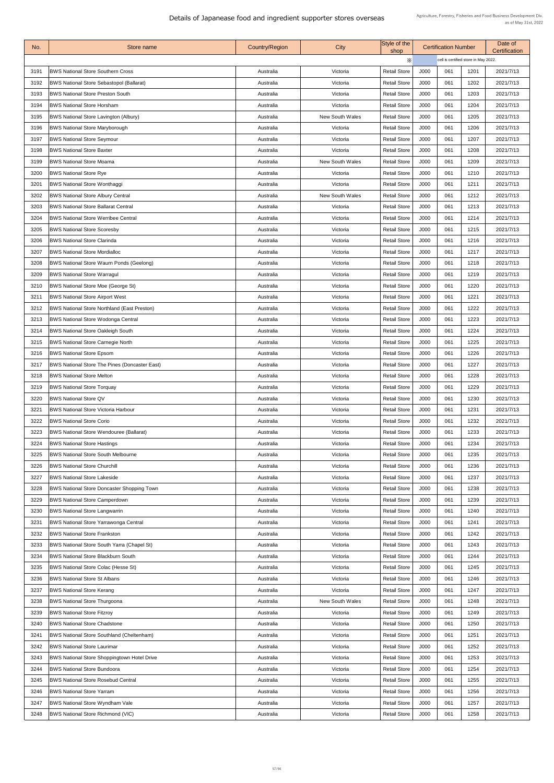| No.  | Store name                                           | <b>Country/Region</b> | City                   | Style of the<br>shop |      | <b>Certification Number</b>          |      | Date of<br><b>Certification</b> |
|------|------------------------------------------------------|-----------------------|------------------------|----------------------|------|--------------------------------------|------|---------------------------------|
|      |                                                      |                       |                        | X                    |      | cell is certified store in May 2022. |      |                                 |
| 3191 | <b>BWS National Store Southern Cross</b>             | Australia             | Victoria               | <b>Retail Store</b>  | J000 | 061                                  | 1201 | 2021/7/13                       |
| 3192 | <b>BWS National Store Sebastopol (Ballarat)</b>      | Australia             | Victoria               | <b>Retail Store</b>  | J000 | 061                                  | 1202 | 2021/7/13                       |
| 3193 | <b>BWS National Store Preston South</b>              | Australia             | Victoria               | <b>Retail Store</b>  | J000 | 061                                  | 1203 | 2021/7/13                       |
| 3194 | <b>BWS National Store Horsham</b>                    | Australia             | Victoria               | <b>Retail Store</b>  | J000 | 061                                  | 1204 | 2021/7/13                       |
| 3195 | <b>BWS National Store Lavington (Albury)</b>         | Australia             | <b>New South Wales</b> | <b>Retail Store</b>  | J000 | 061                                  | 1205 | 2021/7/13                       |
| 3196 | <b>BWS National Store Maryborough</b>                | Australia             | Victoria               | <b>Retail Store</b>  | J000 | 061                                  | 1206 | 2021/7/13                       |
| 3197 | <b>BWS National Store Seymour</b>                    | Australia             | Victoria               | <b>Retail Store</b>  | J000 | 061                                  | 1207 | 2021/7/13                       |
| 3198 | <b>BWS National Store Baxter</b>                     | Australia             | Victoria               | <b>Retail Store</b>  | J000 | 061                                  | 1208 | 2021/7/13                       |
| 3199 | <b>BWS National Store Moama</b>                      | Australia             | <b>New South Wales</b> | <b>Retail Store</b>  | J000 | 061                                  | 1209 | 2021/7/13                       |
| 3200 | <b>BWS National Store Rye</b>                        | Australia             | Victoria               | <b>Retail Store</b>  | J000 | 061                                  | 1210 | 2021/7/13                       |
|      |                                                      |                       |                        | <b>Retail Store</b>  | J000 | 061                                  | 1211 |                                 |
| 3201 | <b>BWS National Store Wonthaggi</b>                  | Australia             | Victoria               |                      |      |                                      |      | 2021/7/13                       |
| 3202 | <b>BWS National Store Albury Central</b>             | Australia             | <b>New South Wales</b> | <b>Retail Store</b>  | J000 | 061                                  | 1212 | 2021/7/13                       |
| 3203 | <b>BWS National Store Ballarat Central</b>           | Australia             | Victoria               | <b>Retail Store</b>  | J000 | 061                                  | 1213 | 2021/7/13                       |
| 3204 | <b>BWS National Store Werribee Central</b>           | Australia             | Victoria               | <b>Retail Store</b>  | J000 | 061                                  | 1214 | 2021/7/13                       |
| 3205 | <b>BWS National Store Scoresby</b>                   | Australia             | Victoria               | <b>Retail Store</b>  | J000 | 061                                  | 1215 | 2021/7/13                       |
| 3206 | <b>BWS National Store Clarinda</b>                   | Australia             | Victoria               | <b>Retail Store</b>  | J000 | 061                                  | 1216 | 2021/7/13                       |
| 3207 | <b>BWS National Store Mordialloc</b>                 | Australia             | Victoria               | <b>Retail Store</b>  | J000 | 061                                  | 1217 | 2021/7/13                       |
| 3208 | <b>BWS National Store Waurn Ponds (Geelong)</b>      | Australia             | Victoria               | <b>Retail Store</b>  | J000 | 061                                  | 1218 | 2021/7/13                       |
| 3209 | <b>BWS National Store Warragul</b>                   | Australia             | Victoria               | <b>Retail Store</b>  | J000 | 061                                  | 1219 | 2021/7/13                       |
| 3210 | <b>BWS National Store Moe (George St)</b>            | Australia             | Victoria               | <b>Retail Store</b>  | J000 | 061                                  | 1220 | 2021/7/13                       |
| 3211 | <b>BWS National Store Airport West</b>               | Australia             | Victoria               | <b>Retail Store</b>  | J000 | 061                                  | 1221 | 2021/7/13                       |
| 3212 | <b>BWS National Store Northland (East Preston)</b>   | Australia             | Victoria               | <b>Retail Store</b>  | J000 | 061                                  | 1222 | 2021/7/13                       |
| 3213 | <b>BWS National Store Wodonga Central</b>            | Australia             | Victoria               | <b>Retail Store</b>  | J000 | 061                                  | 1223 | 2021/7/13                       |
| 3214 | <b>BWS National Store Oakleigh South</b>             | Australia             | Victoria               | <b>Retail Store</b>  | J000 | 061                                  | 1224 | 2021/7/13                       |
| 3215 | <b>BWS National Store Carnegie North</b>             | Australia             | Victoria               | <b>Retail Store</b>  | J000 | 061                                  | 1225 | 2021/7/13                       |
| 3216 | <b>BWS National Store Epsom</b>                      | Australia             | Victoria               | <b>Retail Store</b>  | J000 | 061                                  | 1226 | 2021/7/13                       |
| 3217 | <b>BWS National Store The Pines (Doncaster East)</b> | Australia             | Victoria               | <b>Retail Store</b>  | J000 | 061                                  | 1227 | 2021/7/13                       |
| 3218 | <b>BWS National Store Melton</b>                     | Australia             | Victoria               | <b>Retail Store</b>  | J000 | 061                                  | 1228 | 2021/7/13                       |
| 3219 | <b>BWS National Store Torquay</b>                    | Australia             | Victoria               | <b>Retail Store</b>  | J000 | 061                                  | 1229 | 2021/7/13                       |
| 3220 | <b>BWS National Store QV</b>                         | Australia             | Victoria               | <b>Retail Store</b>  | J000 | 061                                  | 1230 | 2021/7/13                       |
| 3221 | <b>BWS National Store Victoria Harbour</b>           | Australia             | Victoria               | <b>Retail Store</b>  | J000 | 061                                  | 1231 | 2021/7/13                       |
| 3222 | <b>BWS National Store Corio</b>                      | Australia             | Victoria               | <b>Retail Store</b>  | J000 | 061                                  | 1232 | 2021/7/13                       |
| 3223 | <b>BWS National Store Wendouree (Ballarat)</b>       | Australia             | Victoria               | <b>Retail Store</b>  | J000 | 061                                  | 1233 | 2021/7/13                       |
| 3224 | <b>BWS National Store Hastings</b>                   | Australia             | Victoria               | <b>Retail Store</b>  | J000 | 061                                  | 1234 | 2021/7/13                       |
| 3225 | <b>BWS National Store South Melbourne</b>            | Australia             | Victoria               | <b>Retail Store</b>  | J000 | 061                                  | 1235 | 2021/7/13                       |
| 3226 | <b>BWS National Store Churchill</b>                  | Australia             | Victoria               | <b>Retail Store</b>  | J000 | 061                                  | 1236 | 2021/7/13                       |
| 3227 | <b>BWS National Store Lakeside</b>                   | Australia             | Victoria               | <b>Retail Store</b>  | J000 | 061                                  | 1237 | 2021/7/13                       |
| 3228 | <b>BWS National Store Doncaster Shopping Town</b>    | Australia             | Victoria               | <b>Retail Store</b>  | J000 | 061                                  | 1238 | 2021/7/13                       |
| 3229 | <b>BWS National Store Camperdown</b>                 | Australia             | Victoria               | <b>Retail Store</b>  | J000 | 061                                  | 1239 | 2021/7/13                       |
| 3230 | <b>BWS National Store Langwarrin</b>                 | Australia             | Victoria               | <b>Retail Store</b>  | J000 | 061                                  | 1240 | 2021/7/13                       |
| 3231 | <b>BWS National Store Yarrawonga Central</b>         | Australia             | Victoria               | <b>Retail Store</b>  | J000 | 061                                  | 1241 | 2021/7/13                       |
| 3232 | <b>BWS National Store Frankston</b>                  | Australia             | Victoria               | <b>Retail Store</b>  | J000 | 061                                  | 1242 | 2021/7/13                       |
| 3233 | <b>BWS National Store South Yarra (Chapel St)</b>    | Australia             | Victoria               | <b>Retail Store</b>  | J000 | 061                                  | 1243 | 2021/7/13                       |
| 3234 | <b>BWS National Store Blackburn South</b>            | Australia             | Victoria               | <b>Retail Store</b>  | J000 | 061                                  | 1244 | 2021/7/13                       |
| 3235 | <b>BWS National Store Colac (Hesse St)</b>           | Australia             | Victoria               | <b>Retail Store</b>  | J000 | 061                                  | 1245 | 2021/7/13                       |
| 3236 | <b>BWS National Store St Albans</b>                  | Australia             | Victoria               | <b>Retail Store</b>  | J000 | 061                                  | 1246 | 2021/7/13                       |
| 3237 | <b>BWS National Store Kerang</b>                     | Australia             | Victoria               | <b>Retail Store</b>  | J000 | 061                                  | 1247 | 2021/7/13                       |
| 3238 | <b>BWS National Store Thurgoona</b>                  | Australia             | <b>New South Wales</b> | <b>Retail Store</b>  | J000 | 061                                  | 1248 | 2021/7/13                       |
|      |                                                      |                       |                        |                      |      | 061                                  |      |                                 |
| 3239 | <b>BWS National Store Fitzroy</b>                    | Australia             | Victoria               | <b>Retail Store</b>  | J000 |                                      | 1249 | 2021/7/13                       |
| 3240 | <b>BWS National Store Chadstone</b>                  | Australia             | Victoria               | <b>Retail Store</b>  | J000 | 061                                  | 1250 | 2021/7/13                       |
| 3241 | <b>BWS National Store Southland (Cheltenham)</b>     | Australia             | Victoria               | <b>Retail Store</b>  | J000 | 061                                  | 1251 | 2021/7/13                       |
| 3242 | <b>BWS National Store Laurimar</b>                   | Australia             | Victoria               | <b>Retail Store</b>  | J000 | 061                                  | 1252 | 2021/7/13                       |
| 3243 | <b>BWS National Store Shoppingtown Hotel Drive</b>   | Australia             | Victoria               | <b>Retail Store</b>  | J000 | 061                                  | 1253 | 2021/7/13                       |
| 3244 | <b>BWS National Store Bundoora</b>                   | Australia             | Victoria               | <b>Retail Store</b>  | J000 | 061                                  | 1254 | 2021/7/13                       |
| 3245 | <b>BWS National Store Rosebud Central</b>            | Australia             | Victoria               | <b>Retail Store</b>  | J000 | 061                                  | 1255 | 2021/7/13                       |
| 3246 | <b>BWS National Store Yarram</b>                     | Australia             | Victoria               | <b>Retail Store</b>  | J000 | 061                                  | 1256 | 2021/7/13                       |
| 3247 | <b>BWS National Store Wyndham Vale</b>               | Australia             | Victoria               | <b>Retail Store</b>  | J000 | 061                                  | 1257 | 2021/7/13                       |
| 3248 | <b>BWS National Store Richmond (VIC)</b>             | Australia             | Victoria               | <b>Retail Store</b>  | J000 | 061                                  | 1258 | 2021/7/13                       |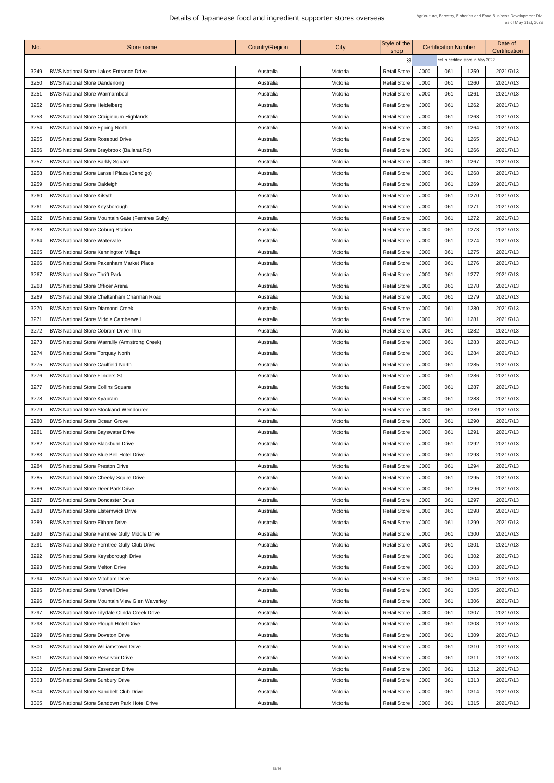| No.          | Store name                                                                               | <b>Country/Region</b>  | City                 | Style of the<br>shop                       |              | <b>Certification Number</b>          |              | Date of<br>Certification |
|--------------|------------------------------------------------------------------------------------------|------------------------|----------------------|--------------------------------------------|--------------|--------------------------------------|--------------|--------------------------|
|              |                                                                                          |                        |                      | X                                          |              | cell is certified store in May 2022. |              |                          |
| 3249         | <b>BWS National Store Lakes Entrance Drive</b>                                           | Australia              | Victoria             | <b>Retail Store</b>                        | J000         | 061                                  | 1259         | 2021/7/13                |
| 3250         | <b>BWS National Store Dandenong</b>                                                      | Australia              | Victoria             | <b>Retail Store</b>                        | J000         | 061                                  | 1260         | 2021/7/13                |
| 325'         | <b>BWS National Store Warrnambool</b>                                                    | Australia              | Victoria             | <b>Retail Store</b>                        | J000         | 061                                  | 1261         | 2021/7/13                |
| 3252         | <b>BWS National Store Heidelberg</b>                                                     | Australia              | Victoria             | <b>Retail Store</b>                        | J000         | 061                                  | 1262         | 2021/7/13                |
| 3253         | <b>BWS National Store Craigieburn Highlands</b>                                          | Australia              | Victoria             | <b>Retail Store</b>                        | J000         | 061                                  | 1263         | 2021/7/13                |
| 3254         | <b>BWS National Store Epping North</b>                                                   | Australia              | Victoria             | <b>Retail Store</b>                        | J000         | 061                                  | 1264         | 2021/7/13                |
| 3255         | <b>BWS National Store Rosebud Drive</b>                                                  | Australia              | Victoria             | <b>Retail Store</b>                        | J000         | 061                                  | 1265         | 2021/7/13                |
| 3256         | <b>BWS National Store Braybrook (Ballarat Rd)</b>                                        | Australia              | Victoria             | <b>Retail Store</b>                        | J000         | 061                                  | 1266         | 2021/7/13                |
| 3257         | <b>BWS National Store Barkly Square</b>                                                  | Australia              | Victoria             | <b>Retail Store</b>                        | J000         | 061                                  | 1267         | 2021/7/13                |
| 3258         | <b>BWS National Store Lansell Plaza (Bendigo)</b>                                        | Australia              | Victoria             | <b>Retail Store</b>                        | J000         | 061                                  | 1268         | 2021/7/13                |
| 3259         | <b>BWS National Store Oakleigh</b>                                                       | Australia              | Victoria             | <b>Retail Store</b>                        | J000         | 061                                  | 1269         | 2021/7/13                |
| 3260         | <b>BWS National Store Kilsyth</b>                                                        | Australia              | Victoria             | <b>Retail Store</b>                        | J000         | 061                                  | 1270         | 2021/7/13                |
| 3261         | <b>BWS National Store Keysborough</b>                                                    | Australia              | Victoria             | <b>Retail Store</b>                        | J000         | 061                                  | 1271         | 2021/7/13                |
| 3262         | <b>BWS National Store Mountain Gate (Ferntree Gully)</b>                                 | Australia              | Victoria             | <b>Retail Store</b>                        | J000         | 061                                  | 1272         | 2021/7/13                |
| 3263         | <b>BWS National Store Coburg Station</b>                                                 | Australia              | Victoria             | <b>Retail Store</b>                        | J000         | 061                                  | 1273         | 2021/7/13                |
|              | <b>BWS National Store Watervale</b>                                                      |                        |                      |                                            | J000         | 061                                  | 1274         |                          |
| 3264<br>3265 |                                                                                          | Australia              | Victoria             | <b>Retail Store</b><br><b>Retail Store</b> | J000         | 061                                  | 1275         | 2021/7/13<br>2021/7/13   |
|              | <b>BWS National Store Kennington Village</b>                                             | Australia              | Victoria             |                                            |              | 061                                  |              |                          |
| 3266<br>3267 | <b>BWS National Store Pakenham Market Place</b><br><b>BWS National Store Thrift Park</b> | Australia<br>Australia | Victoria<br>Victoria | <b>Retail Store</b><br><b>Retail Store</b> | J000<br>J000 | 061                                  | 1276<br>1277 | 2021/7/13<br>2021/7/13   |
|              |                                                                                          |                        |                      |                                            |              |                                      |              |                          |
| 3268         | <b>BWS National Store Officer Arena</b>                                                  | Australia              | Victoria             | <b>Retail Store</b>                        | J000         | 061                                  | 1278         | 2021/7/13                |
| 3269         | <b>BWS National Store Cheltenham Charman Road</b>                                        | Australia              | Victoria             | <b>Retail Store</b>                        | J000         | 061                                  | 1279         | 2021/7/13                |
| 3270         | <b>BWS National Store Diamond Creek</b>                                                  | Australia              | Victoria             | <b>Retail Store</b>                        | J000         | 061                                  | 1280         | 2021/7/13                |
| 3271         | <b>BWS National Store Middle Camberwell</b>                                              | Australia              | Victoria             | <b>Retail Store</b>                        | J000         | 061                                  | 1281         | 2021/7/13                |
| 3272         | <b>BWS National Store Cobram Drive Thru</b>                                              | Australia              | Victoria             | <b>Retail Store</b>                        | J000         | 061                                  | 1282         | 2021/7/13                |
| 3273         | <b>BWS National Store Warralily (Armstrong Creek)</b>                                    | Australia              | Victoria             | <b>Retail Store</b>                        | J000         | 061                                  | 1283         | 2021/7/13                |
| 3274         | <b>BWS National Store Torquay North</b>                                                  | Australia              | Victoria             | <b>Retail Store</b>                        | J000         | 061                                  | 1284         | 2021/7/13                |
| 3275         | <b>BWS National Store Caulfield North</b>                                                | Australia              | Victoria             | <b>Retail Store</b>                        | J000         | 061                                  | 1285         | 2021/7/13                |
| 3276         | <b>BWS National Store Flinders St</b>                                                    | Australia              | Victoria             | <b>Retail Store</b>                        | J000         | 061                                  | 1286         | 2021/7/13                |
| 3277         | <b>BWS National Store Collins Square</b>                                                 | Australia              | Victoria             | <b>Retail Store</b>                        | J000         | 061                                  | 1287         | 2021/7/13                |
| 3278         | <b>BWS National Store Kyabram</b>                                                        | Australia              | Victoria             | <b>Retail Store</b>                        | J000         | 061                                  | 1288         | 2021/7/13                |
| 3279         | <b>BWS National Store Stockland Wendouree</b>                                            | Australia              | Victoria             | <b>Retail Store</b>                        | J000         | 061                                  | 1289         | 2021/7/13                |
| 3280         | <b>BWS National Store Ocean Grove</b>                                                    | Australia              | Victoria             | <b>Retail Store</b>                        | J000         | 061                                  | 1290         | 2021/7/13                |
| 3281         | <b>BWS National Store Bayswater Drive</b>                                                | Australia              | Victoria             | <b>Retail Store</b>                        | J000         | 061                                  | 1291         | 2021/7/13                |
| 3282         | <b>BWS National Store Blackburn Drive</b>                                                | Australia              | Victoria             | <b>Retail Store</b>                        | J000         | 061                                  | 1292         | 2021/7/13                |
| 3283         | <b>BWS National Store Blue Bell Hotel Drive</b>                                          | Australia              | Victoria             | <b>Retail Store</b>                        | J000         | 061                                  | 1293         | 2021/7/13                |
| 3284         | <b>BWS National Store Preston Drive</b>                                                  | Australia              | Victoria             | <b>Retail Store</b>                        | J000         | 061                                  | 1294         | 2021/7/13                |
| 3285         | <b>BWS National Store Cheeky Squire Drive</b>                                            | Australia              | Victoria             | <b>Retail Store</b>                        | J000         | 061                                  | 1295         | 2021/7/13                |
| 3286         | <b>BWS National Store Deer Park Drive</b>                                                | Australia              | Victoria             | <b>Retail Store</b>                        | J000         | 061                                  | 1296         | 2021/7/13                |
| 3287         | <b>BWS National Store Doncaster Drive</b>                                                | Australia              | Victoria             | <b>Retail Store</b>                        | J000         | 061                                  | 1297         | 2021/7/13                |
| 3288         | <b>BWS National Store Elsternwick Drive</b>                                              | Australia              | Victoria             | <b>Retail Store</b>                        | J000         | 061                                  | 1298         | 2021/7/13                |
| 3289         | <b>BWS National Store Eltham Drive</b>                                                   | Australia              | Victoria             | <b>Retail Store</b>                        | J000         | 061                                  | 1299         | 2021/7/13                |
| 3290         | <b>BWS National Store Ferntree Gully Middle Drive</b>                                    | Australia              | Victoria             | <b>Retail Store</b>                        | J000         | 061                                  | 1300         | 2021/7/13                |
| 3291         | <b>BWS National Store Ferntree Gully Club Drive</b>                                      | Australia              | Victoria             | <b>Retail Store</b>                        | J000         | 061                                  | 1301         | 2021/7/13                |
| 3292         | <b>BWS National Store Keysborough Drive</b>                                              | Australia              | Victoria             | <b>Retail Store</b>                        | J000         | 061                                  | 1302         | 2021/7/13                |
| 3293         | <b>BWS National Store Melton Drive</b>                                                   | Australia              | Victoria             | <b>Retail Store</b>                        | J000         | 061                                  | 1303         | 2021/7/13                |
| 3294         | <b>BWS National Store Mitcham Drive</b>                                                  | Australia              | Victoria             | <b>Retail Store</b>                        | J000         | 061                                  | 1304         | 2021/7/13                |
| 3295         | <b>BWS National Store Morwell Drive</b>                                                  | Australia              | Victoria             | <b>Retail Store</b>                        | J000         | 061                                  | 1305         | 2021/7/13                |
| 3296         | <b>BWS National Store Mountain View Glen Waverley</b>                                    | Australia              | Victoria             | <b>Retail Store</b>                        | J000         | 061                                  | 1306         | 2021/7/13                |
| 3297         | <b>BWS National Store Lilydale Olinda Creek Drive</b>                                    | Australia              | Victoria             | <b>Retail Store</b>                        | J000         | 061                                  | 1307         | 2021/7/13                |
| 3298         | <b>BWS National Store Plough Hotel Drive</b>                                             | Australia              | Victoria             | <b>Retail Store</b>                        | J000         | 061                                  | 1308         | 2021/7/13                |
| 3299         | <b>BWS National Store Doveton Drive</b>                                                  | Australia              | Victoria             | <b>Retail Store</b>                        | J000         | 061                                  | 1309         | 2021/7/13                |
| 3300         | <b>BWS National Store Williamstown Drive</b>                                             | Australia              | Victoria             | <b>Retail Store</b>                        | J000         | 061                                  | 1310         | 2021/7/13                |
| 3301         | <b>BWS National Store Reservoir Drive</b>                                                | Australia              | Victoria             | <b>Retail Store</b>                        | J000         | 061                                  | 1311         | 2021/7/13                |
| 3302         | <b>BWS National Store Essendon Drive</b>                                                 | Australia              | Victoria             | <b>Retail Store</b>                        | J000         | 061                                  | 1312         | 2021/7/13                |
| 3303         | <b>BWS National Store Sunbury Drive</b>                                                  | Australia              | Victoria             | <b>Retail Store</b>                        | J000         | 061                                  | 1313         | 2021/7/13                |
| 3304         | <b>BWS National Store Sandbelt Club Drive</b>                                            | Australia              | Victoria             | <b>Retail Store</b>                        | J000         | 061                                  | 1314         | 2021/7/13                |
| 3305         | <b>BWS National Store Sandown Park Hotel Drive</b>                                       | Australia              | Victoria             | <b>Retail Store</b>                        | J000         | 061                                  | 1315         | 2021/7/13                |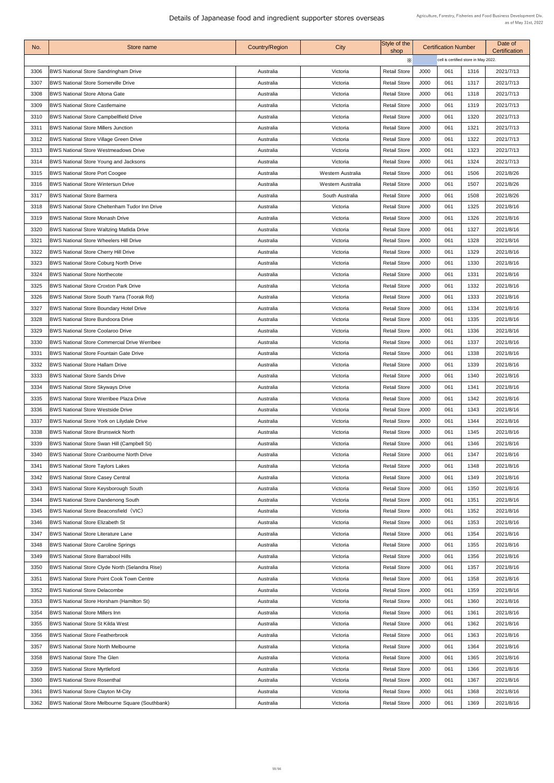| No.  | Store name                                             | <b>Country/Region</b> | City                     | Style of the<br>shop |      | <b>Certification Number</b>          |      | Date of<br><b>Certification</b> |
|------|--------------------------------------------------------|-----------------------|--------------------------|----------------------|------|--------------------------------------|------|---------------------------------|
|      |                                                        |                       |                          | X                    |      | cell is certified store in May 2022. |      |                                 |
| 3306 | <b>BWS National Store Sandringham Drive</b>            | Australia             | Victoria                 | <b>Retail Store</b>  | J000 | 061                                  | 1316 | 2021/7/13                       |
| 3307 | <b>BWS National Store Somerville Drive</b>             | Australia             | Victoria                 | <b>Retail Store</b>  | J000 | 061                                  | 1317 | 2021/7/13                       |
| 3308 | <b>BWS National Store Altona Gate</b>                  | Australia             | Victoria                 | <b>Retail Store</b>  | J000 | 061                                  | 1318 | 2021/7/13                       |
| 3309 | <b>BWS National Store Castlemaine</b>                  | Australia             | Victoria                 | <b>Retail Store</b>  | J000 | 061                                  | 1319 | 2021/7/13                       |
| 3310 | <b>BWS National Store Campbellfield Drive</b>          | Australia             | Victoria                 | <b>Retail Store</b>  | J000 | 061                                  | 1320 | 2021/7/13                       |
| 3311 | <b>BWS National Store Millers Junction</b>             | Australia             | Victoria                 | <b>Retail Store</b>  | J000 | 061                                  | 1321 | 2021/7/13                       |
| 3312 | <b>BWS National Store Village Green Drive</b>          | Australia             | Victoria                 | <b>Retail Store</b>  | J000 | 061                                  | 1322 | 2021/7/13                       |
| 3313 | <b>BWS National Store Westmeadows Drive</b>            | Australia             | Victoria                 | <b>Retail Store</b>  | J000 | 061                                  | 1323 | 2021/7/13                       |
| 3314 | <b>BWS National Store Young and Jacksons</b>           | Australia             | Victoria                 | <b>Retail Store</b>  | J000 | 061                                  | 1324 | 2021/7/13                       |
| 3315 | <b>BWS National Store Port Coogee</b>                  | Australia             | <b>Western Australia</b> | <b>Retail Store</b>  | J000 | 061                                  | 1506 | 2021/8/26                       |
| 3316 | <b>BWS National Store Wintersun Drive</b>              | Australia             | <b>Western Australia</b> | <b>Retail Store</b>  | J000 | 061                                  | 1507 | 2021/8/26                       |
| 3317 | <b>BWS National Store Barmera</b>                      | Australia             | South Australia          | <b>Retail Store</b>  | J000 | 061                                  | 1508 | 2021/8/26                       |
| 3318 | <b>BWS National Store Cheltenham Tudor Inn Drive</b>   | Australia             | Victoria                 | <b>Retail Store</b>  | J000 | 061                                  | 1325 | 2021/8/16                       |
| 3319 | <b>BWS National Store Monash Drive</b>                 | Australia             | Victoria                 | <b>Retail Store</b>  | J000 | 061                                  | 1326 | 2021/8/16                       |
| 3320 | <b>BWS National Store Waltzing Matlida Drive</b>       | Australia             | Victoria                 | <b>Retail Store</b>  | J000 | 061                                  | 1327 | 2021/8/16                       |
| 3321 | <b>BWS National Store Wheelers Hill Drive</b>          | Australia             | Victoria                 | <b>Retail Store</b>  | J000 | 061                                  | 1328 | 2021/8/16                       |
| 3322 | <b>BWS National Store Cherry Hill Drive</b>            | Australia             | Victoria                 | <b>Retail Store</b>  | J000 | 061                                  | 1329 | 2021/8/16                       |
| 3323 | <b>BWS National Store Coburg North Drive</b>           | Australia             | Victoria                 | <b>Retail Store</b>  | J000 | 061                                  | 1330 | 2021/8/16                       |
| 3324 | <b>BWS National Store Northecote</b>                   | Australia             | Victoria                 | <b>Retail Store</b>  | J000 | 061                                  | 1331 | 2021/8/16                       |
| 3325 | <b>BWS National Store Croxton Park Drive</b>           | Australia             | Victoria                 | <b>Retail Store</b>  | J000 | 061                                  | 1332 | 2021/8/16                       |
| 3326 | <b>BWS National Store South Yarra (Toorak Rd)</b>      | Australia             | Victoria                 | <b>Retail Store</b>  | J000 | 061                                  | 1333 | 2021/8/16                       |
| 3327 | <b>BWS National Store Boundary Hotel Drive</b>         | Australia             | Victoria                 | <b>Retail Store</b>  | J000 | 061                                  | 1334 | 2021/8/16                       |
| 3328 | <b>BWS National Store Bundoora Drive</b>               | Australia             | Victoria                 | <b>Retail Store</b>  | J000 | 061                                  | 1335 | 2021/8/16                       |
| 3329 | <b>BWS National Store Coolaroo Drive</b>               | Australia             | Victoria                 | <b>Retail Store</b>  | J000 | 061                                  | 1336 | 2021/8/16                       |
| 3330 | <b>BWS National Store Commercial Drive Werribee</b>    | Australia             | Victoria                 | <b>Retail Store</b>  | J000 | 061                                  | 1337 | 2021/8/16                       |
| 3331 | <b>BWS National Store Fountain Gate Drive</b>          |                       |                          | <b>Retail Store</b>  | J000 | 061                                  | 1338 |                                 |
|      |                                                        | Australia             | Victoria                 |                      |      |                                      |      | 2021/8/16                       |
| 3332 | <b>BWS National Store Hallam Drive</b>                 | Australia             | Victoria                 | <b>Retail Store</b>  | J000 | 061                                  | 1339 | 2021/8/16                       |
| 3333 | <b>BWS National Store Sands Drive</b>                  | Australia             | Victoria                 | <b>Retail Store</b>  | J000 | 061                                  | 1340 | 2021/8/16                       |
| 3334 | <b>BWS National Store Skyways Drive</b>                | Australia             | Victoria                 | <b>Retail Store</b>  | J000 | 061                                  | 1341 | 2021/8/16                       |
| 3335 | <b>BWS National Store Werribee Plaza Drive</b>         | Australia             | Victoria                 | <b>Retail Store</b>  | J000 | 061                                  | 1342 | 2021/8/16                       |
| 3336 | <b>BWS National Store Westside Drive</b>               | Australia             | Victoria                 | <b>Retail Store</b>  | J000 | 061                                  | 1343 | 2021/8/16                       |
| 3337 | <b>BWS National Store York on Lilydale Drive</b>       | Australia             | Victoria                 | <b>Retail Store</b>  | J000 | 061                                  | 1344 | 2021/8/16                       |
| 3338 | <b>BWS National Store Brunswick North</b>              | Australia             | Victoria                 | <b>Retail Store</b>  | J000 | 061                                  | 1345 | 2021/8/16                       |
| 3339 | <b>BWS National Store Swan Hill (Campbell St)</b>      | Australia             | Victoria                 | <b>Retail Store</b>  | J000 | 061                                  | 1346 | 2021/8/16                       |
| 3340 | <b>BWS National Store Cranbourne North Drive</b>       | Australia             | Victoria                 | <b>Retail Store</b>  | J000 | 061                                  | 1347 | 2021/8/16                       |
| 3341 | <b>BWS National Store Taylors Lakes</b>                | Australia             | Victoria                 | <b>Retail Store</b>  | J000 | 061                                  | 1348 | 2021/8/16                       |
| 3342 | <b>BWS National Store Casey Central</b>                | Australia             | Victoria                 | <b>Retail Store</b>  | J000 | 061                                  | 1349 | 2021/8/16                       |
| 3343 | <b>BWS National Store Keysborough South</b>            | Australia             | Victoria                 | <b>Retail Store</b>  | J000 | 061                                  | 1350 | 2021/8/16                       |
| 3344 | <b>BWS National Store Dandenong South</b>              | Australia             | Victoria                 | <b>Retail Store</b>  | J000 | 061                                  | 1351 | 2021/8/16                       |
| 3345 | <b>BWS National Store Beaconsfield (VIC)</b>           | Australia             | Victoria                 | <b>Retail Store</b>  | J000 | 061                                  | 1352 | 2021/8/16                       |
| 3346 | <b>BWS National Store Elizabeth St</b>                 | Australia             | Victoria                 | <b>Retail Store</b>  | J000 | 061                                  | 1353 | 2021/8/16                       |
| 3347 | <b>BWS National Store Literature Lane</b>              | Australia             | Victoria                 | <b>Retail Store</b>  | J000 | 061                                  | 1354 | 2021/8/16                       |
| 3348 | <b>BWS National Store Caroline Springs</b>             | Australia             | Victoria                 | <b>Retail Store</b>  | J000 | 061                                  | 1355 | 2021/8/16                       |
| 3349 | <b>BWS National Store Barrabool Hills</b>              | Australia             | Victoria                 | <b>Retail Store</b>  | J000 | 061                                  | 1356 | 2021/8/16                       |
| 3350 | <b>BWS National Store Clyde North (Selandra Rise)</b>  | Australia             | Victoria                 | <b>Retail Store</b>  | J000 | 061                                  | 1357 | 2021/8/16                       |
| 3351 | <b>BWS National Store Point Cook Town Centre</b>       | Australia             | Victoria                 | <b>Retail Store</b>  | J000 | 061                                  | 1358 | 2021/8/16                       |
| 3352 | <b>BWS National Store Delacombe</b>                    | Australia             | Victoria                 | <b>Retail Store</b>  | J000 | 061                                  | 1359 | 2021/8/16                       |
| 3353 | <b>BWS National Store Horsham (Hamilton St)</b>        | Australia             | Victoria                 | <b>Retail Store</b>  | J000 | 061                                  | 1360 | 2021/8/16                       |
| 3354 | <b>BWS National Store Millers Inn</b>                  | Australia             | Victoria                 | <b>Retail Store</b>  | J000 | 061                                  | 1361 | 2021/8/16                       |
| 3355 | <b>BWS National Store St Kilda West</b>                | Australia             | Victoria                 | <b>Retail Store</b>  | J000 | 061                                  | 1362 | 2021/8/16                       |
| 3356 | <b>BWS National Store Featherbrook</b>                 | Australia             | Victoria                 | <b>Retail Store</b>  | J000 | 061                                  | 1363 | 2021/8/16                       |
| 3357 | <b>BWS National Store North Melbourne</b>              | Australia             | Victoria                 | <b>Retail Store</b>  | J000 | 061                                  | 1364 | 2021/8/16                       |
| 3358 | <b>BWS National Store The Glen</b>                     | Australia             | Victoria                 | <b>Retail Store</b>  | J000 | 061                                  | 1365 | 2021/8/16                       |
| 3359 | <b>BWS National Store Myrtleford</b>                   | Australia             | Victoria                 | <b>Retail Store</b>  | J000 | 061                                  | 1366 | 2021/8/16                       |
| 3360 | <b>BWS National Store Rosenthal</b>                    | Australia             | Victoria                 | <b>Retail Store</b>  | J000 | 061                                  | 1367 | 2021/8/16                       |
| 3361 | <b>BWS National Store Clayton M-City</b>               | Australia             | Victoria                 | <b>Retail Store</b>  | J000 | 061                                  | 1368 | 2021/8/16                       |
| 3362 | <b>BWS National Store Melbourne Square (Southbank)</b> | Australia             | Victoria                 | <b>Retail Store</b>  | J000 | 061                                  | 1369 | 2021/8/16                       |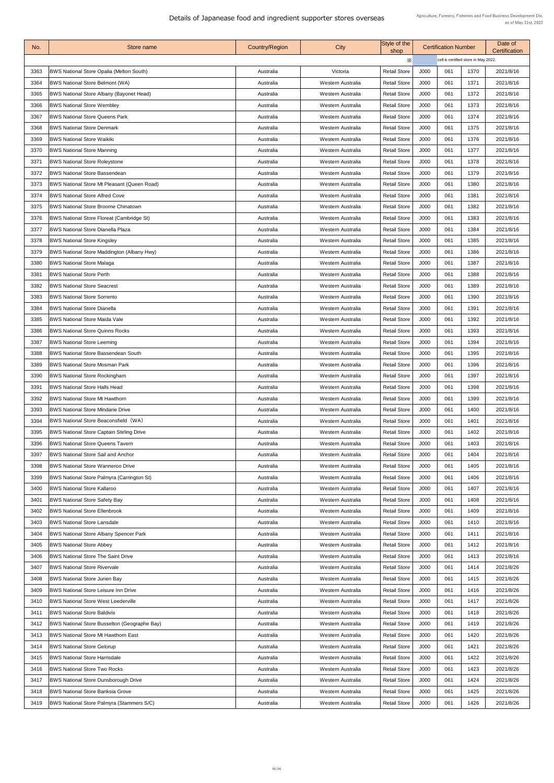| No.  | Store name                                          | Country/Region | City                     | Style of the<br>shop |             | <b>Certification Number</b>          |      | Date of<br><b>Certification</b> |
|------|-----------------------------------------------------|----------------|--------------------------|----------------------|-------------|--------------------------------------|------|---------------------------------|
|      |                                                     |                |                          | X                    |             | cell is certified store in May 2022. |      |                                 |
| 3363 | <b>BWS National Store Opalia (Melton South)</b>     | Australia      | Victoria                 | <b>Retail Store</b>  | <b>J000</b> | 061                                  | 1370 | 2021/8/16                       |
| 3364 | <b>BWS National Store Belmont (WA)</b>              | Australia      | Western Australia        | <b>Retail Store</b>  | J000        | 061                                  | 1371 | 2021/8/16                       |
| 3365 | <b>BWS National Store Albany (Bayonet Head)</b>     | Australia      | Western Australia        | <b>Retail Store</b>  | <b>J000</b> | 061                                  | 1372 | 2021/8/16                       |
| 3366 | <b>BWS National Store Wembley</b>                   | Australia      | Western Australia        | <b>Retail Store</b>  | <b>J000</b> | 061                                  | 1373 | 2021/8/16                       |
| 3367 | <b>BWS National Store Queens Park</b>               | Australia      | Western Australia        | <b>Retail Store</b>  | J000        | 061                                  | 1374 | 2021/8/16                       |
| 3368 | <b>BWS National Store Denmark</b>                   | Australia      | Western Australia        | <b>Retail Store</b>  | J000        | 061                                  | 1375 | 2021/8/16                       |
| 3369 | <b>BWS National Store Waikiki</b>                   | Australia      | Western Australia        | <b>Retail Store</b>  | J000        | 061                                  | 1376 | 2021/8/16                       |
| 3370 | <b>BWS National Store Manning</b>                   | Australia      | Western Australia        | <b>Retail Store</b>  | <b>J000</b> | 061                                  | 1377 | 2021/8/16                       |
| 3371 | <b>BWS National Store Roleystone</b>                | Australia      | Western Australia        | <b>Retail Store</b>  | J000        | 061                                  | 1378 | 2021/8/16                       |
| 3372 | <b>BWS National Store Bassendean</b>                | Australia      | Western Australia        | <b>Retail Store</b>  | J000        | 061                                  | 1379 | 2021/8/16                       |
| 3373 | <b>BWS National Store Mt Pleasant (Queen Road)</b>  | Australia      | <b>Western Australia</b> | <b>Retail Store</b>  | <b>J000</b> | 061                                  | 1380 | 2021/8/16                       |
| 3374 | <b>BWS National Store Alfred Cove</b>               | Australia      | Western Australia        | <b>Retail Store</b>  | J000        | 061                                  | 1381 | 2021/8/16                       |
| 3375 | <b>BWS National Store Broome Chinatown</b>          | Australia      | Western Australia        | <b>Retail Store</b>  | J000        | 061                                  | 1382 | 2021/8/16                       |
| 3376 | <b>BWS National Store Floreat (Cambridge St)</b>    | Australia      | Western Australia        | <b>Retail Store</b>  | J000        | 061                                  | 1383 | 2021/8/16                       |
| 3377 | <b>BWS National Store Dianella Plaza</b>            | Australia      | Western Australia        | <b>Retail Store</b>  | J000        | 061                                  | 1384 | 2021/8/16                       |
| 3378 | <b>BWS National Store Kingsley</b>                  | Australia      | Western Australia        | <b>Retail Store</b>  | J000        | 061                                  | 1385 | 2021/8/16                       |
| 3379 | <b>BWS National Store Maddington (Albany Hwy)</b>   | Australia      | Western Australia        | <b>Retail Store</b>  | J000        | 061                                  | 1386 | 2021/8/16                       |
| 3380 | <b>BWS National Store Malaga</b>                    | Australia      | Western Australia        | <b>Retail Store</b>  | J000        | 061                                  | 1387 | 2021/8/16                       |
| 3381 | <b>BWS National Store Perth</b>                     | Australia      | Western Australia        | <b>Retail Store</b>  | J000        | 061                                  | 1388 | 2021/8/16                       |
| 3382 | <b>BWS National Store Seacrest</b>                  | Australia      | Western Australia        | <b>Retail Store</b>  | J000        | 061                                  | 1389 | 2021/8/16                       |
| 3383 | <b>BWS National Store Sorrento</b>                  | Australia      | Western Australia        | <b>Retail Store</b>  | J000        | 061                                  | 1390 | 2021/8/16                       |
| 3384 | <b>BWS National Store Dianella</b>                  | Australia      | Western Australia        | <b>Retail Store</b>  | J000        | 061                                  | 1391 | 2021/8/16                       |
| 3385 | <b>BWS National Store Maida Vale</b>                | Australia      | Western Australia        | <b>Retail Store</b>  | J000        | 061                                  | 1392 | 2021/8/16                       |
| 3386 | <b>BWS National Store Quinns Rocks</b>              | Australia      | Western Australia        | <b>Retail Store</b>  | J000        | 061                                  | 1393 | 2021/8/16                       |
| 3387 | <b>BWS National Store Leeming</b>                   | Australia      | Western Australia        | <b>Retail Store</b>  | J000        | 061                                  | 1394 | 2021/8/16                       |
| 3388 | <b>BWS National Store Bassendean South</b>          | Australia      | Western Australia        | <b>Retail Store</b>  | J000        | 061                                  | 1395 | 2021/8/16                       |
| 3389 | <b>BWS National Store Mosman Park</b>               | Australia      | Western Australia        | <b>Retail Store</b>  | J000        | 061                                  | 1396 | 2021/8/16                       |
| 3390 | <b>BWS National Store Rockingham</b>                | Australia      | Western Australia        | <b>Retail Store</b>  | J000        | 061                                  | 1397 | 2021/8/16                       |
| 3391 | <b>BWS National Store Halls Head</b>                | Australia      | Western Australia        | <b>Retail Store</b>  | J000        | 061                                  | 1398 | 2021/8/16                       |
| 3392 | <b>BWS National Store Mt Hawthorn</b>               | Australia      | Western Australia        | <b>Retail Store</b>  | J000        | 061                                  | 1399 | 2021/8/16                       |
| 3393 | <b>BWS National Store Mindarie Drive</b>            | Australia      | Western Australia        | <b>Retail Store</b>  | J000        | 061                                  | 1400 | 2021/8/16                       |
| 3394 | <b>BWS National Store Beaconsfield (WA)</b>         | Australia      | <b>Western Australia</b> | <b>Retail Store</b>  | J000        | 061                                  | 1401 | 2021/8/16                       |
| 3395 | <b>BWS National Store Captain Stirling Drive</b>    | Australia      | Western Australia        | <b>Retail Store</b>  | J000        | 061                                  | 1402 | 2021/8/16                       |
| 3396 | <b>BWS National Store Queens Tavern</b>             | Australia      | Western Australia        | <b>Retail Store</b>  | J000        | 061                                  | 1403 | 2021/8/16                       |
| 3397 | <b>BWS National Store Sail and Anchor</b>           | Australia      | Western Australia        | <b>Retail Store</b>  | J000        | 061                                  | 1404 | 2021/8/16                       |
| 3398 | <b>BWS National Store Wanneroo Drive</b>            | Australia      | Western Australia        | <b>Retail Store</b>  | J000        | 061                                  | 1405 | 2021/8/16                       |
| 3399 | <b>BWS National Store Palmyra (Carrington St)</b>   | Australia      | Western Australia        | <b>Retail Store</b>  | J000        | 061                                  | 1406 | 2021/8/16                       |
| 3400 | <b>BWS National Store Kallaroo</b>                  | Australia      | Western Australia        | <b>Retail Store</b>  | J000        | 061                                  | 1407 | 2021/8/16                       |
| 3401 | <b>BWS National Store Safety Bay</b>                | Australia      | Western Australia        | <b>Retail Store</b>  | J000        | 061                                  | 1408 | 2021/8/16                       |
| 3402 | <b>BWS National Store Ellenbrook</b>                | Australia      | Western Australia        | <b>Retail Store</b>  | J000        | 061                                  | 1409 | 2021/8/16                       |
| 3403 | <b>BWS National Store Lansdale</b>                  | Australia      | Western Australia        | <b>Retail Store</b>  | J000        | 061                                  | 1410 | 2021/8/16                       |
| 3404 | <b>BWS National Store Albany Spencer Park</b>       | Australia      | Western Australia        | <b>Retail Store</b>  | J000        | 061                                  | 1411 | 2021/8/16                       |
| 3405 | <b>BWS National Store Abbey</b>                     | Australia      | Western Australia        | <b>Retail Store</b>  | J000        | 061                                  | 1412 | 2021/8/16                       |
| 3406 | <b>BWS National Store The Saint Drive</b>           | Australia      | Western Australia        | <b>Retail Store</b>  | J000        | 061                                  | 1413 | 2021/8/16                       |
| 3407 | <b>BWS National Store Rivervale</b>                 | Australia      | Western Australia        | <b>Retail Store</b>  | J000        | 061                                  | 1414 | 2021/8/26                       |
| 3408 | <b>BWS National Store Jurien Bay</b>                | Australia      | Western Australia        | <b>Retail Store</b>  | J000        | 061                                  | 1415 | 2021/8/26                       |
| 3409 | <b>BWS National Store Leisure Inn Drive</b>         | Australia      | Western Australia        | <b>Retail Store</b>  | J000        | 061                                  | 1416 | 2021/8/26                       |
| 3410 | <b>BWS National Store West Leederville</b>          | Australia      | Western Australia        | <b>Retail Store</b>  | J000        | 061                                  | 1417 | 2021/8/26                       |
| 3411 | <b>BWS National Store Baldivis</b>                  | Australia      | Western Australia        | <b>Retail Store</b>  | J000        | 061                                  | 1418 | 2021/8/26                       |
| 3412 | <b>BWS National Store Busselton (Geographe Bay)</b> | Australia      | Western Australia        | <b>Retail Store</b>  | J000        | 061                                  | 1419 | 2021/8/26                       |
| 3413 | <b>BWS National Store Mt Hawthorn East</b>          | Australia      | Western Australia        | <b>Retail Store</b>  | J000        | 061                                  | 1420 | 2021/8/26                       |
| 3414 | <b>BWS National Store Gelorup</b>                   | Australia      | Western Australia        | <b>Retail Store</b>  | J000        | 061                                  | 1421 | 2021/8/26                       |
| 3415 | <b>BWS National Store Harrisdale</b>                | Australia      | Western Australia        | <b>Retail Store</b>  | J000        | 061                                  | 1422 | 2021/8/26                       |
| 3416 | <b>BWS National Store Two Rocks</b>                 | Australia      | Western Australia        | <b>Retail Store</b>  | J000        | 061                                  | 1423 | 2021/8/26                       |
| 3417 | <b>BWS National Store Dunsborough Drive</b>         | Australia      | Western Australia        | <b>Retail Store</b>  | J000        | 061                                  | 1424 | 2021/8/26                       |
| 3418 | <b>BWS National Store Banksia Grove</b>             | Australia      | Western Australia        | <b>Retail Store</b>  | J000        | 061                                  | 1425 | 2021/8/26                       |
| 3419 | <b>BWS National Store Palmyra (Stammers S/C)</b>    | Australia      | Western Australia        | <b>Retail Store</b>  | J000        | 061                                  | 1426 | 2021/8/26                       |
|      |                                                     |                |                          |                      |             |                                      |      |                                 |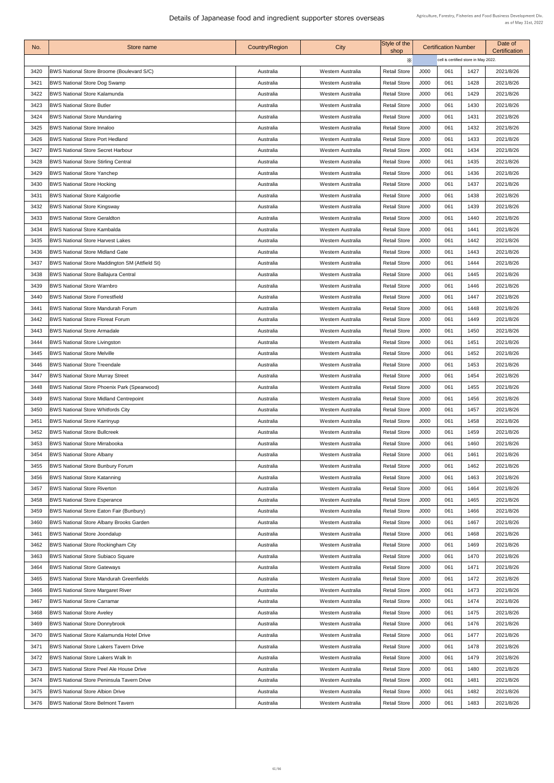| No.  | Store name                                            | Country/Region | City                     | Style of the<br>shop |             | <b>Certification Number</b>          |      | Date of<br><b>Certification</b> |
|------|-------------------------------------------------------|----------------|--------------------------|----------------------|-------------|--------------------------------------|------|---------------------------------|
|      |                                                       |                |                          | X                    |             | cell is certified store in May 2022. |      |                                 |
| 3420 | <b>BWS National Store Broome (Boulevard S/C)</b>      | Australia      | Western Australia        | <b>Retail Store</b>  | J000        | 061                                  | 1427 | 2021/8/26                       |
| 3421 | <b>BWS National Store Dog Swamp</b>                   | Australia      | Western Australia        | <b>Retail Store</b>  | <b>J000</b> | 061                                  | 1428 | 2021/8/26                       |
| 3422 | <b>BWS National Store Kalamunda</b>                   | Australia      | Western Australia        | <b>Retail Store</b>  | J000        | 061                                  | 1429 | 2021/8/26                       |
| 3423 | <b>BWS National Store Butler</b>                      | Australia      | Western Australia        | <b>Retail Store</b>  | <b>J000</b> | 061                                  | 1430 | 2021/8/26                       |
| 3424 | <b>BWS National Store Mundaring</b>                   | Australia      | Western Australia        | <b>Retail Store</b>  | J000        | 061                                  | 1431 | 2021/8/26                       |
| 3425 | <b>BWS National Store Innaloo</b>                     | Australia      | Western Australia        | <b>Retail Store</b>  | J000        | 061                                  | 1432 | 2021/8/26                       |
| 3426 | <b>BWS National Store Port Hedland</b>                | Australia      | Western Australia        | <b>Retail Store</b>  | J000        | 061                                  | 1433 | 2021/8/26                       |
| 3427 | <b>BWS National Store Secret Harbour</b>              | Australia      | Western Australia        | <b>Retail Store</b>  | J000        | 061                                  | 1434 | 2021/8/26                       |
| 3428 | <b>BWS National Store Stirling Central</b>            | Australia      | Western Australia        | <b>Retail Store</b>  | <b>J000</b> | 061                                  | 1435 | 2021/8/26                       |
| 3429 | <b>BWS National Store Yanchep</b>                     | Australia      | Western Australia        | <b>Retail Store</b>  | J000        | 061                                  | 1436 | 2021/8/26                       |
| 3430 | <b>BWS National Store Hocking</b>                     | Australia      | Western Australia        | <b>Retail Store</b>  | J000        | 061                                  | 1437 | 2021/8/26                       |
| 3431 | <b>BWS National Store Kalgoorlie</b>                  | Australia      | <b>Western Australia</b> | <b>Retail Store</b>  | J000        | 061                                  | 1438 | 2021/8/26                       |
| 3432 | <b>BWS National Store Kingsway</b>                    | Australia      | Western Australia        | <b>Retail Store</b>  | <b>J000</b> | 061                                  | 1439 | 2021/8/26                       |
| 3433 | <b>BWS National Store Geraldton</b>                   | Australia      | Western Australia        | <b>Retail Store</b>  | J000        | 061                                  | 1440 | 2021/8/26                       |
| 3434 | <b>BWS National Store Kambalda</b>                    | Australia      | Western Australia        | <b>Retail Store</b>  | J000        | 061                                  | 1441 | 2021/8/26                       |
| 3435 | <b>BWS National Store Harvest Lakes</b>               | Australia      | Western Australia        | <b>Retail Store</b>  | J000        | 061                                  | 1442 | 2021/8/26                       |
| 3436 | <b>BWS National Store Midland Gate</b>                |                | Western Australia        | <b>Retail Store</b>  | J000        | 061                                  |      | 2021/8/26                       |
|      |                                                       | Australia      |                          |                      |             | 061                                  | 1443 |                                 |
| 3437 | <b>BWS National Store Maddington SM (Attfield St)</b> | Australia      | Western Australia        | <b>Retail Store</b>  | J000        |                                      | 1444 | 2021/8/26                       |
| 3438 | <b>BWS National Store Ballajura Central</b>           | Australia      | Western Australia        | <b>Retail Store</b>  | J000        | 061                                  | 1445 | 2021/8/26                       |
| 3439 | <b>BWS National Store Warnbro</b>                     | Australia      | Western Australia        | <b>Retail Store</b>  | J000        | 061                                  | 1446 | 2021/8/26                       |
| 3440 | <b>BWS National Store Forrestfield</b>                | Australia      | Western Australia        | <b>Retail Store</b>  | J000        | 061                                  | 1447 | 2021/8/26                       |
| 3441 | <b>BWS National Store Mandurah Forum</b>              | Australia      | Western Australia        | <b>Retail Store</b>  | J000        | 061                                  | 1448 | 2021/8/26                       |
| 3442 | <b>BWS National Store Floreat Forum</b>               | Australia      | Western Australia        | <b>Retail Store</b>  | J000        | 061                                  | 1449 | 2021/8/26                       |
| 3443 | <b>BWS National Store Armadale</b>                    | Australia      | Western Australia        | <b>Retail Store</b>  | J000        | 061                                  | 1450 | 2021/8/26                       |
| 3444 | <b>BWS National Store Livingston</b>                  | Australia      | Western Australia        | <b>Retail Store</b>  | J000        | 061                                  | 1451 | 2021/8/26                       |
| 3445 | <b>BWS National Store Melville</b>                    | Australia      | Western Australia        | <b>Retail Store</b>  | J000        | 061                                  | 1452 | 2021/8/26                       |
| 3446 | <b>BWS National Store Treendale</b>                   | Australia      | Western Australia        | <b>Retail Store</b>  | J000        | 061                                  | 1453 | 2021/8/26                       |
| 3447 | <b>BWS National Store Murray Street</b>               | Australia      | Western Australia        | <b>Retail Store</b>  | J000        | 061                                  | 1454 | 2021/8/26                       |
| 3448 | <b>BWS National Store Phoenix Park (Spearwood)</b>    | Australia      | Western Australia        | <b>Retail Store</b>  | J000        | 061                                  | 1455 | 2021/8/26                       |
| 3449 | <b>BWS National Store Midland Centrepoint</b>         | Australia      | Western Australia        | <b>Retail Store</b>  | J000        | 061                                  | 1456 | 2021/8/26                       |
| 3450 | <b>BWS National Store Whitfords City</b>              | Australia      | Western Australia        | <b>Retail Store</b>  | J000        | 061                                  | 1457 | 2021/8/26                       |
| 3451 | <b>BWS National Store Karrinyup</b>                   | Australia      | Western Australia        | <b>Retail Store</b>  | J000        | 061                                  | 1458 | 2021/8/26                       |
| 3452 | <b>BWS National Store Bullcreek</b>                   | Australia      | Western Australia        | <b>Retail Store</b>  | J000        | 061                                  | 1459 | 2021/8/26                       |
| 3453 | <b>BWS National Store Mirrabooka</b>                  | Australia      | Western Australia        | <b>Retail Store</b>  | J000        | 061                                  | 1460 | 2021/8/26                       |
| 3454 | <b>BWS National Store Albany</b>                      | Australia      | Western Australia        | <b>Retail Store</b>  | J000        | 061                                  | 1461 | 2021/8/26                       |
| 3455 | <b>BWS National Store Bunbury Forum</b>               | Australia      | Western Australia        | <b>Retail Store</b>  | J000        | 061                                  | 1462 | 2021/8/26                       |
| 3456 | <b>BWS National Store Katanning</b>                   | Australia      | Western Australia        | <b>Retail Store</b>  | J000        | 061                                  | 1463 | 2021/8/26                       |
| 3457 | <b>BWS National Store Riverton</b>                    | Australia      | Western Australia        | <b>Retail Store</b>  | J000        | 061                                  | 1464 | 2021/8/26                       |
| 3458 | <b>BWS National Store Esperance</b>                   | Australia      | Western Australia        | <b>Retail Store</b>  | J000        | 061                                  | 1465 | 2021/8/26                       |
| 3459 | <b>BWS National Store Eaton Fair (Bunbury)</b>        | Australia      | Western Australia        | <b>Retail Store</b>  | J000        | 061                                  | 1466 | 2021/8/26                       |
| 3460 | <b>BWS National Store Albany Brooks Garden</b>        | Australia      | Western Australia        | <b>Retail Store</b>  | J000        | 061                                  | 1467 | 2021/8/26                       |
| 3461 | <b>BWS National Store Joondalup</b>                   | Australia      | Western Australia        | <b>Retail Store</b>  | <b>J000</b> | 061                                  | 1468 | 2021/8/26                       |
| 3462 | <b>BWS National Store Rockingham City</b>             | Australia      | Western Australia        | <b>Retail Store</b>  | <b>J000</b> | 061                                  | 1469 | 2021/8/26                       |
| 3463 | <b>BWS National Store Subiaco Square</b>              | Australia      | Western Australia        | <b>Retail Store</b>  | J000        | 061                                  | 1470 | 2021/8/26                       |
| 3464 | <b>BWS National Store Gateways</b>                    | Australia      | Western Australia        | <b>Retail Store</b>  | J000        | 061                                  | 1471 | 2021/8/26                       |
| 3465 | <b>BWS National Store Mandurah Greenfields</b>        | Australia      | Western Australia        | <b>Retail Store</b>  | J000        | 061                                  | 1472 | 2021/8/26                       |
| 3466 | <b>BWS National Store Margaret River</b>              | Australia      | Western Australia        | <b>Retail Store</b>  | J000        | 061                                  | 1473 | 2021/8/26                       |
| 3467 | <b>BWS National Store Carramar</b>                    | Australia      | Western Australia        | <b>Retail Store</b>  | J000        | 061                                  | 1474 | 2021/8/26                       |
| 3468 | <b>BWS National Store Aveley</b>                      | Australia      | Western Australia        | <b>Retail Store</b>  | J000        | 061                                  | 1475 | 2021/8/26                       |
| 3469 | <b>BWS National Store Donnybrook</b>                  | Australia      | Western Australia        | <b>Retail Store</b>  | J000        | 061                                  | 1476 | 2021/8/26                       |
| 3470 | <b>BWS National Store Kalamunda Hotel Drive</b>       | Australia      | Western Australia        | <b>Retail Store</b>  | J000        | 061                                  | 1477 | 2021/8/26                       |
| 3471 | <b>BWS National Store Lakers Tavern Drive</b>         | Australia      | Western Australia        | <b>Retail Store</b>  | J000        | 061                                  | 1478 | 2021/8/26                       |
| 3472 | <b>BWS National Store Lakers Walk In</b>              | Australia      | Western Australia        | <b>Retail Store</b>  | J000        | 061                                  | 1479 | 2021/8/26                       |
| 3473 | <b>BWS National Store Peel Ale House Drive</b>        | Australia      | Western Australia        | <b>Retail Store</b>  | J000        | 061                                  | 1480 | 2021/8/26                       |
| 3474 | <b>BWS National Store Peninsula Tavern Drive</b>      | Australia      | <b>Western Australia</b> | <b>Retail Store</b>  | J000        | 061                                  | 1481 | 2021/8/26                       |
| 3475 | <b>BWS National Store Albion Drive</b>                |                | Western Australia        | <b>Retail Store</b>  | J000        | 061                                  | 1482 | 2021/8/26                       |
|      |                                                       | Australia      |                          |                      |             |                                      |      |                                 |
| 3476 | <b>BWS National Store Belmont Tavern</b>              | Australia      | Western Australia        | <b>Retail Store</b>  | J000        | 061                                  | 1483 | 2021/8/26                       |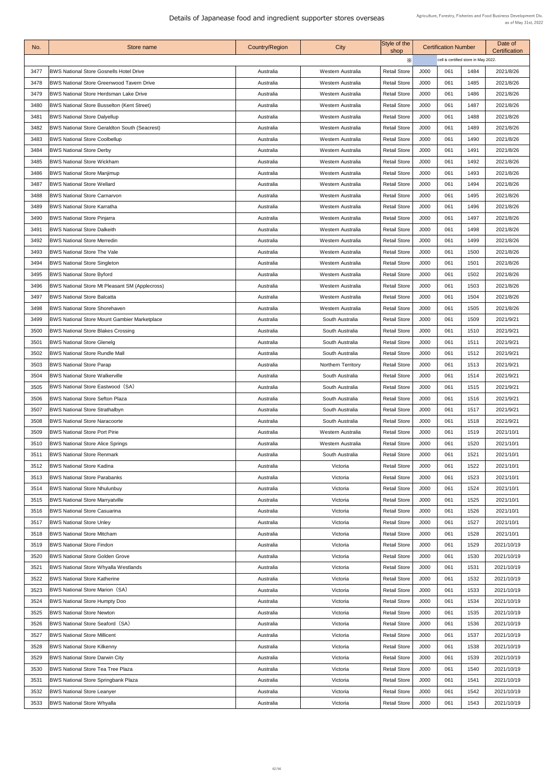| No.  | Store name                                            | <b>Country/Region</b> | City                      | Style of the<br>shop |      | <b>Certification Number</b>          |      | Date of<br><b>Certification</b> |
|------|-------------------------------------------------------|-----------------------|---------------------------|----------------------|------|--------------------------------------|------|---------------------------------|
|      |                                                       |                       |                           | X                    |      | cell is certified store in May 2022. |      |                                 |
| 3477 | <b>BWS National Store Gosnells Hotel Drive</b>        | Australia             | <b>Western Australia</b>  | <b>Retail Store</b>  | J000 | 061                                  | 1484 | 2021/8/26                       |
| 3478 | <b>BWS National Store Greenwood Tavern Drive</b>      | Australia             | Western Australia         | <b>Retail Store</b>  | J000 | 061                                  | 1485 | 2021/8/26                       |
| 3479 | <b>BWS National Store Herdsman Lake Drive</b>         | Australia             | Western Australia         | <b>Retail Store</b>  | J000 | 061                                  | 1486 | 2021/8/26                       |
| 3480 | <b>BWS National Store Busselton (Kent Street)</b>     | Australia             | <b>Western Australia</b>  | <b>Retail Store</b>  | J000 | 061                                  | 1487 | 2021/8/26                       |
| 3481 | <b>BWS National Store Dalyellup</b>                   | Australia             | Western Australia         | <b>Retail Store</b>  | J000 | 061                                  | 1488 | 2021/8/26                       |
| 3482 | <b>BWS National Store Geraldton South (Seacrest)</b>  | Australia             | Western Australia         | <b>Retail Store</b>  | J000 | 061                                  | 1489 | 2021/8/26                       |
| 3483 | <b>BWS National Store Coolbellup</b>                  | Australia             | <b>Western Australia</b>  | <b>Retail Store</b>  | J000 | 061                                  | 1490 | 2021/8/26                       |
| 3484 | <b>BWS National Store Derby</b>                       | Australia             | Western Australia         | <b>Retail Store</b>  | J000 | 061                                  | 1491 | 2021/8/26                       |
| 3485 | <b>BWS National Store Wickham</b>                     | Australia             | Western Australia         | <b>Retail Store</b>  | J000 | 061                                  | 1492 | 2021/8/26                       |
| 3486 | <b>BWS National Store Manjimup</b>                    | Australia             | Western Australia         | <b>Retail Store</b>  | J000 | 061                                  | 1493 | 2021/8/26                       |
| 3487 | <b>BWS National Store Wellard</b>                     | Australia             | Western Australia         | <b>Retail Store</b>  | J000 | 061                                  | 1494 | 2021/8/26                       |
| 3488 | <b>BWS National Store Carnarvon</b>                   | Australia             | Western Australia         | <b>Retail Store</b>  | J000 | 061                                  | 1495 | 2021/8/26                       |
| 3489 | <b>BWS National Store Karratha</b>                    | Australia             | Western Australia         | <b>Retail Store</b>  | J000 | 061                                  | 1496 | 2021/8/26                       |
| 3490 | <b>BWS National Store Pinjarra</b>                    | Australia             | Western Australia         | <b>Retail Store</b>  | J000 | 061                                  | 1497 | 2021/8/26                       |
| 3491 | <b>BWS National Store Dalkeith</b>                    | Australia             | Western Australia         | <b>Retail Store</b>  | J000 | 061                                  | 1498 | 2021/8/26                       |
| 3492 | <b>BWS National Store Merredin</b>                    | Australia             | Western Australia         | <b>Retail Store</b>  | J000 | 061                                  | 1499 | 2021/8/26                       |
| 3493 | <b>BWS National Store The Vale</b>                    | Australia             | Western Australia         | <b>Retail Store</b>  | J000 | 061                                  | 1500 | 2021/8/26                       |
| 3494 | <b>BWS National Store Singleton</b>                   | Australia             | Western Australia         | <b>Retail Store</b>  | J000 | 061                                  | 1501 | 2021/8/26                       |
| 3495 | <b>BWS National Store Byford</b>                      | Australia             | Western Australia         | <b>Retail Store</b>  | J000 | 061                                  | 1502 | 2021/8/26                       |
| 3496 | <b>BWS National Store Mt Pleasant SM (Applecross)</b> | Australia             | Western Australia         | <b>Retail Store</b>  | J000 | 061                                  | 1503 | 2021/8/26                       |
| 3497 | <b>BWS National Store Balcatta</b>                    | Australia             | Western Australia         | <b>Retail Store</b>  | J000 | 061                                  | 1504 | 2021/8/26                       |
| 3498 | <b>BWS National Store Shorehaven</b>                  | Australia             | Western Australia         | <b>Retail Store</b>  | J000 | 061                                  | 1505 | 2021/8/26                       |
| 3499 | <b>BWS National Store Mount Gambier Marketplace</b>   | Australia             | South Australia           | <b>Retail Store</b>  | J000 | 061                                  | 1509 | 2021/9/21                       |
| 3500 | <b>BWS National Store Blakes Crossing</b>             | Australia             | South Australia           | <b>Retail Store</b>  | J000 | 061                                  | 1510 | 2021/9/21                       |
| 350' | <b>BWS National Store Glenelg</b>                     | Australia             | South Australia           | <b>Retail Store</b>  | J000 | 061                                  | 1511 | 2021/9/21                       |
| 3502 | <b>BWS National Store Rundle Mall</b>                 | Australia             | South Australia           | <b>Retail Store</b>  | J000 | 061                                  | 1512 | 2021/9/21                       |
| 3503 | <b>BWS National Store Parap</b>                       | Australia             | <b>Northern Territory</b> | <b>Retail Store</b>  | J000 | 061                                  | 1513 | 2021/9/21                       |
| 3504 | <b>BWS National Store Walkerville</b>                 | Australia             | South Australia           | <b>Retail Store</b>  | J000 | 061                                  | 1514 | 2021/9/21                       |
| 3505 | <b>BWS National Store Eastwood (SA)</b>               | Australia             | South Australia           | <b>Retail Store</b>  | J000 | 061                                  | 1515 | 2021/9/21                       |
| 3506 | <b>BWS National Store Sefton Plaza</b>                | Australia             | South Australia           | <b>Retail Store</b>  | J000 | 061                                  | 1516 | 2021/9/21                       |
| 3507 | <b>BWS National Store Strathalbyn</b>                 | Australia             | South Australia           | <b>Retail Store</b>  | J000 | 061                                  | 1517 | 2021/9/21                       |
| 3508 | <b>BWS National Store Naracoorte</b>                  | Australia             | South Australia           | <b>Retail Store</b>  | J000 | 061                                  | 1518 | 2021/9/21                       |
| 3509 | <b>BWS National Store Port Pirie</b>                  | Australia             | Western Australia         | <b>Retail Store</b>  | J000 | 061                                  | 1519 | 2021/10/1                       |
| 3510 | <b>BWS National Store Alice Springs</b>               | Australia             | Western Australia         | <b>Retail Store</b>  | J000 | 061                                  | 1520 | 2021/10/1                       |
| 3511 | <b>BWS National Store Renmark</b>                     | Australia             | South Australia           | <b>Retail Store</b>  | J000 | 061                                  | 1521 | 2021/10/1                       |
|      | <b>BWS National Store Kadina</b>                      |                       |                           |                      |      |                                      |      |                                 |
| 3512 |                                                       | Australia             | Victoria                  | <b>Retail Store</b>  | J000 | 061                                  | 1522 | 2021/10/1                       |
| 3513 | <b>BWS National Store Parabanks</b>                   | Australia             | Victoria                  | <b>Retail Store</b>  | J000 | 061                                  | 1523 | 2021/10/1                       |
| 3514 | <b>BWS National Store Nhulunbuy</b>                   | Australia             | Victoria                  | <b>Retail Store</b>  | J000 | 061                                  | 1524 | 2021/10/1                       |
| 3515 | <b>BWS National Store Marryatville</b>                | Australia             | Victoria                  | <b>Retail Store</b>  | J000 | 061                                  | 1525 | 2021/10/1                       |
| 3516 | <b>BWS National Store Casuarina</b>                   | Australia             | Victoria                  | <b>Retail Store</b>  | J000 | 061                                  | 1526 | 2021/10/1                       |
| 3517 | <b>BWS National Store Unley</b>                       | Australia             | Victoria                  | <b>Retail Store</b>  | J000 | 061                                  | 1527 | 2021/10/1                       |
| 3518 | <b>BWS National Store Mitcham</b>                     | Australia             | Victoria                  | <b>Retail Store</b>  | J000 | 061                                  | 1528 | 2021/10/1                       |
| 3519 | <b>BWS National Store Findon</b>                      | Australia             | Victoria                  | <b>Retail Store</b>  | J000 | 061                                  | 1529 | 2021/10/19                      |
| 3520 | <b>BWS National Store Golden Grove</b>                | Australia             | Victoria                  | <b>Retail Store</b>  | J000 | 061                                  | 1530 | 2021/10/19                      |
| 3521 | <b>BWS National Store Whyalla Westlands</b>           | Australia             | Victoria                  | <b>Retail Store</b>  | J000 | 061                                  | 1531 | 2021/10/19                      |
| 3522 | <b>BWS National Store Katherine</b>                   | Australia             | Victoria                  | <b>Retail Store</b>  | J000 | 061                                  | 1532 | 2021/10/19                      |
| 3523 | <b>BWS National Store Marion (SA)</b>                 | Australia             | Victoria                  | <b>Retail Store</b>  | J000 | 061                                  | 1533 | 2021/10/19                      |
| 3524 | <b>BWS National Store Humpty Doo</b>                  | Australia             | Victoria                  | <b>Retail Store</b>  | J000 | 061                                  | 1534 | 2021/10/19                      |
| 3525 | <b>BWS National Store Newton</b>                      | Australia             | Victoria                  | <b>Retail Store</b>  | J000 | 061                                  | 1535 | 2021/10/19                      |
| 3526 | <b>BWS National Store Seaford (SA)</b>                | Australia             | Victoria                  | <b>Retail Store</b>  | J000 | 061                                  | 1536 | 2021/10/19                      |
| 3527 | <b>BWS National Store Millicent</b>                   | Australia             | Victoria                  | <b>Retail Store</b>  | J000 | 061                                  | 1537 | 2021/10/19                      |
| 3528 | <b>BWS National Store Kilkenny</b>                    | Australia             | Victoria                  | <b>Retail Store</b>  | J000 | 061                                  | 1538 | 2021/10/19                      |
| 3529 | <b>BWS National Store Darwin City</b>                 | Australia             | Victoria                  | <b>Retail Store</b>  | J000 | 061                                  | 1539 | 2021/10/19                      |
| 3530 | <b>BWS National Store Tea Tree Plaza</b>              | Australia             | Victoria                  | <b>Retail Store</b>  | J000 | 061                                  | 1540 | 2021/10/19                      |
| 3531 | <b>BWS National Store Springbank Plaza</b>            | Australia             | Victoria                  | <b>Retail Store</b>  | J000 | 061                                  | 1541 | 2021/10/19                      |
| 3532 | <b>BWS National Store Leanyer</b>                     | Australia             | Victoria                  | <b>Retail Store</b>  | J000 | 061                                  | 1542 | 2021/10/19                      |
| 3533 | <b>BWS National Store Whyalla</b>                     | Australia             | Victoria                  | <b>Retail Store</b>  | J000 | 061                                  | 1543 | 2021/10/19                      |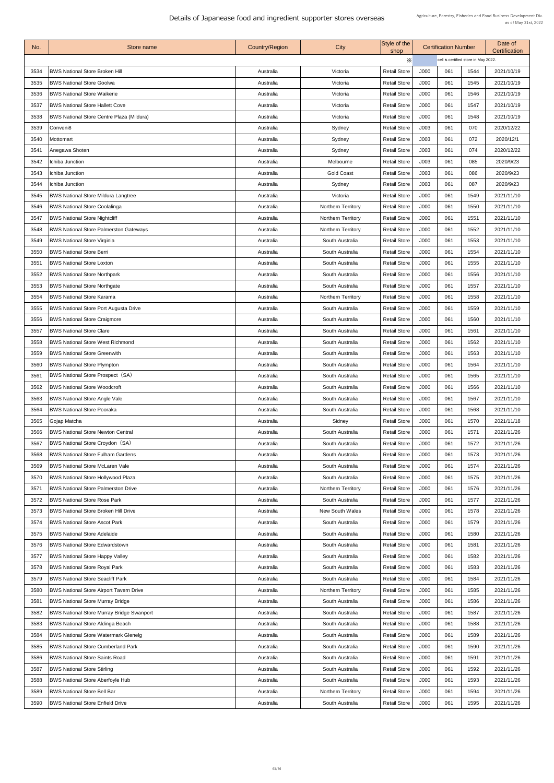| No.  | <b>Store name</b>                                | <b>Country/Region</b> | City                      | Style of the<br>shop |                                      | <b>Certification Number</b> |      | Date of<br><b>Certification</b> |  |
|------|--------------------------------------------------|-----------------------|---------------------------|----------------------|--------------------------------------|-----------------------------|------|---------------------------------|--|
|      |                                                  |                       |                           | Х                    | cell is certified store in May 2022. |                             |      |                                 |  |
| 3534 | <b>BWS National Store Broken Hill</b>            | Australia             | Victoria                  | <b>Retail Store</b>  | J000                                 | 061                         | 1544 | 2021/10/19                      |  |
| 3535 | <b>BWS National Store Goolwa</b>                 | Australia             | Victoria                  | <b>Retail Store</b>  | <b>J000</b>                          | 061                         | 1545 | 2021/10/19                      |  |
| 3536 | <b>BWS National Store Waikerie</b>               | Australia             | Victoria                  | <b>Retail Store</b>  | J000                                 | 061                         | 1546 | 2021/10/19                      |  |
| 3537 | <b>BWS National Store Hallett Cove</b>           | Australia             | Victoria                  | <b>Retail Store</b>  | J000                                 | 061                         | 1547 | 2021/10/19                      |  |
| 3538 | <b>BWS National Store Centre Plaza (Mildura)</b> | Australia             | Victoria                  | <b>Retail Store</b>  | J000                                 | 061                         | 1548 | 2021/10/19                      |  |
| 3539 | Conveni <sub>8</sub>                             | Australia             | Sydney                    | <b>Retail Store</b>  | J003                                 | 061                         | 070  | 2020/12/22                      |  |
| 3540 | Mottomart                                        | Australia             | Sydney                    | <b>Retail Store</b>  | J003                                 | 061                         | 072  | 2020/12/1                       |  |
| 3541 | Anegawa Shoten                                   | Australia             | Sydney                    | <b>Retail Store</b>  | J003                                 | 061                         | 074  | 2020/12/22                      |  |
| 3542 | Ichiba Junction                                  | Australia             | Melbourne                 | <b>Retail Store</b>  | J003                                 | 061                         | 085  | 2020/9/23                       |  |
| 3543 | Ichiba Junction                                  | Australia             | <b>Gold Coast</b>         | <b>Retail Store</b>  | J003                                 | 061                         | 086  | 2020/9/23                       |  |
| 3544 | Ichiba Junction                                  | Australia             | Sydney                    | <b>Retail Store</b>  | J003                                 | 061                         | 087  | 2020/9/23                       |  |
| 3545 | <b>BWS National Store Mildura Langtree</b>       | Australia             | Victoria                  | <b>Retail Store</b>  | J000                                 | 061                         | 1549 | 2021/11/10                      |  |
| 3546 | <b>BWS National Store Coolalinga</b>             | Australia             | <b>Northern Territory</b> | <b>Retail Store</b>  | J000                                 | 061                         | 1550 | 2021/11/10                      |  |
| 3547 | <b>BWS National Store Nightcliff</b>             | Australia             | Northern Territory        | <b>Retail Store</b>  | J000                                 | 061                         | 1551 | 2021/11/10                      |  |
| 3548 | <b>BWS National Store Palmerston Gateways</b>    | Australia             | <b>Northern Territory</b> | <b>Retail Store</b>  | <b>J000</b>                          | 061                         | 1552 | 2021/11/10                      |  |
| 3549 | <b>BWS National Store Virginia</b>               | Australia             | South Australia           | <b>Retail Store</b>  | J000                                 | 061                         | 1553 | 2021/11/10                      |  |
| 3550 | <b>BWS National Store Berri</b>                  | Australia             | South Australia           | <b>Retail Store</b>  | J000                                 | 061                         | 1554 | 2021/11/10                      |  |
| 3551 | <b>BWS National Store Loxton</b>                 | Australia             | South Australia           | <b>Retail Store</b>  | <b>J000</b>                          | 061                         | 1555 | 2021/11/10                      |  |
| 3552 | <b>BWS National Store Northpark</b>              | Australia             | South Australia           | <b>Retail Store</b>  | J000                                 | 061                         | 1556 | 2021/11/10                      |  |
| 3553 | <b>BWS National Store Northgate</b>              | Australia             | South Australia           | <b>Retail Store</b>  | <b>J000</b>                          | 061                         | 1557 | 2021/11/10                      |  |
| 3554 | <b>BWS National Store Karama</b>                 | Australia             | <b>Northern Territory</b> | <b>Retail Store</b>  | J000                                 | 061                         | 1558 | 2021/11/10                      |  |
| 3555 | <b>BWS National Store Port Augusta Drive</b>     | Australia             | South Australia           | <b>Retail Store</b>  | <b>J000</b>                          | 061                         | 1559 | 2021/11/10                      |  |
| 3556 | <b>BWS National Store Craigmore</b>              | Australia             | South Australia           | <b>Retail Store</b>  | <b>J000</b>                          | 061                         | 1560 | 2021/11/10                      |  |
| 3557 | <b>BWS National Store Clare</b>                  | Australia             | South Australia           | <b>Retail Store</b>  | <b>J000</b>                          | 061                         | 1561 | 2021/11/10                      |  |
| 3558 | <b>BWS National Store West Richmond</b>          | Australia             | South Australia           | <b>Retail Store</b>  | <b>J000</b>                          | 061                         | 1562 | 2021/11/10                      |  |
| 3559 | <b>BWS National Store Greenwith</b>              | Australia             | South Australia           | <b>Retail Store</b>  | J000                                 | 061                         | 1563 | 2021/11/10                      |  |
| 3560 | <b>BWS National Store Plympton</b>               | Australia             | South Australia           | <b>Retail Store</b>  | J000                                 | 061                         | 1564 | 2021/11/10                      |  |
| 3561 | <b>BWS National Store Prospect (SA)</b>          | Australia             | South Australia           | <b>Retail Store</b>  | <b>J000</b>                          | 061                         | 1565 | 2021/11/10                      |  |
| 3562 | <b>BWS National Store Woodcroft</b>              | Australia             | South Australia           | <b>Retail Store</b>  | <b>J000</b>                          | 061                         | 1566 | 2021/11/10                      |  |
| 3563 | <b>BWS National Store Angle Vale</b>             | Australia             | South Australia           | <b>Retail Store</b>  | <b>J000</b>                          | 061                         | 1567 | 2021/11/10                      |  |
| 3564 | <b>BWS National Store Pooraka</b>                | Australia             | South Australia           | <b>Retail Store</b>  | <b>J000</b>                          | 061                         | 1568 | 2021/11/10                      |  |
| 3565 | Gojap Matcha                                     | Australia             | Sidney                    | <b>Retail Store</b>  | J000                                 | 061                         | 1570 | 2021/11/18                      |  |
| 3566 | <b>BWS National Store Newton Central</b>         | Australia             | South Australia           | <b>Retail Store</b>  | J000                                 | 061                         | 1571 | 2021/11/26                      |  |
| 3567 | <b>BWS National Store Croydon (SA)</b>           | Australia             | South Australia           | <b>Retail Store</b>  | <b>J000</b>                          | 061                         | 1572 | 2021/11/26                      |  |
| 3568 | <b>BWS National Store Fulham Gardens</b>         | Australia             | South Australia           | <b>Retail Store</b>  | J000                                 | 061                         | 1573 | 2021/11/26                      |  |
| 3569 | <b>BWS National Store McLaren Vale</b>           | Australia             | South Australia           | <b>Retail Store</b>  | <b>J000</b>                          | 061                         | 1574 | 2021/11/26                      |  |
| 3570 | <b>BWS National Store Hollywood Plaza</b>        | Australia             | South Australia           | <b>Retail Store</b>  | J000                                 | 061                         | 1575 | 2021/11/26                      |  |
| 3571 | <b>BWS National Store Palmerston Drive</b>       | Australia             | Northern Territory        | <b>Retail Store</b>  | J000                                 | 061                         | 1576 | 2021/11/26                      |  |
| 3572 | <b>BWS National Store Rose Park</b>              | Australia             | South Australia           | <b>Retail Store</b>  | J000                                 | 061                         | 1577 | 2021/11/26                      |  |
| 3573 | <b>BWS National Store Broken Hill Drive</b>      | Australia             | <b>New South Wales</b>    | <b>Retail Store</b>  | J000                                 | 061                         | 1578 | 2021/11/26                      |  |
| 3574 | <b>BWS National Store Ascot Park</b>             | Australia             | South Australia           | <b>Retail Store</b>  | J000                                 | 061                         | 1579 | 2021/11/26                      |  |
| 3575 | <b>BWS National Store Adelaide</b>               | Australia             | South Australia           | <b>Retail Store</b>  | <b>J000</b>                          | 061                         | 1580 | 2021/11/26                      |  |
| 3576 | <b>BWS National Store Edwardstown</b>            | Australia             | South Australia           | <b>Retail Store</b>  | <b>J000</b>                          | 061                         | 1581 | 2021/11/26                      |  |
| 3577 | <b>BWS National Store Happy Valley</b>           | Australia             | South Australia           | <b>Retail Store</b>  | <b>J000</b>                          | 061                         | 1582 | 2021/11/26                      |  |
| 3578 | <b>BWS National Store Royal Park</b>             | Australia             | South Australia           | <b>Retail Store</b>  | <b>J000</b>                          | 061                         | 1583 | 2021/11/26                      |  |
| 3579 | <b>BWS National Store Seacliff Park</b>          | Australia             | South Australia           | <b>Retail Store</b>  | J000                                 | 061                         | 1584 | 2021/11/26                      |  |
| 3580 | <b>BWS National Store Airport Tavern Drive</b>   | Australia             | Northern Territory        | <b>Retail Store</b>  | <b>J000</b>                          | 061                         | 1585 | 2021/11/26                      |  |
| 3581 | <b>BWS National Store Murray Bridge</b>          | Australia             | South Australia           | <b>Retail Store</b>  | J000                                 | 061                         | 1586 | 2021/11/26                      |  |
| 3582 | <b>BWS National Store Murray Bridge Swanport</b> | Australia             | South Australia           | <b>Retail Store</b>  | J000                                 | 061                         | 1587 | 2021/11/26                      |  |
| 3583 | <b>BWS National Store Aldinga Beach</b>          | Australia             | South Australia           | <b>Retail Store</b>  | J000                                 | 061                         | 1588 | 2021/11/26                      |  |
| 3584 | <b>BWS National Store Watermark Glenelg</b>      | Australia             | South Australia           | <b>Retail Store</b>  | J000                                 | 061                         | 1589 | 2021/11/26                      |  |
| 3585 | <b>BWS National Store Cumberland Park</b>        | Australia             | South Australia           | <b>Retail Store</b>  | J000                                 | 061                         | 1590 | 2021/11/26                      |  |
| 3586 | <b>BWS National Store Saints Road</b>            | Australia             | South Australia           | <b>Retail Store</b>  | J000                                 | 061                         | 1591 | 2021/11/26                      |  |
| 3587 | <b>BWS National Store Stirling</b>               | Australia             | South Australia           | <b>Retail Store</b>  | <b>J000</b>                          | 061                         | 1592 | 2021/11/26                      |  |
| 3588 | <b>BWS National Store Aberfoyle Hub</b>          | Australia             | South Australia           | <b>Retail Store</b>  | J000                                 | 061                         | 1593 | 2021/11/26                      |  |
| 3589 | <b>BWS National Store Bell Bar</b>               | Australia             | <b>Northern Territory</b> | <b>Retail Store</b>  | J000                                 | 061                         | 1594 | 2021/11/26                      |  |
| 3590 | <b>BWS National Store Enfield Drive</b>          | Australia             | South Australia           | <b>Retail Store</b>  | J000                                 | 061                         | 1595 | 2021/11/26                      |  |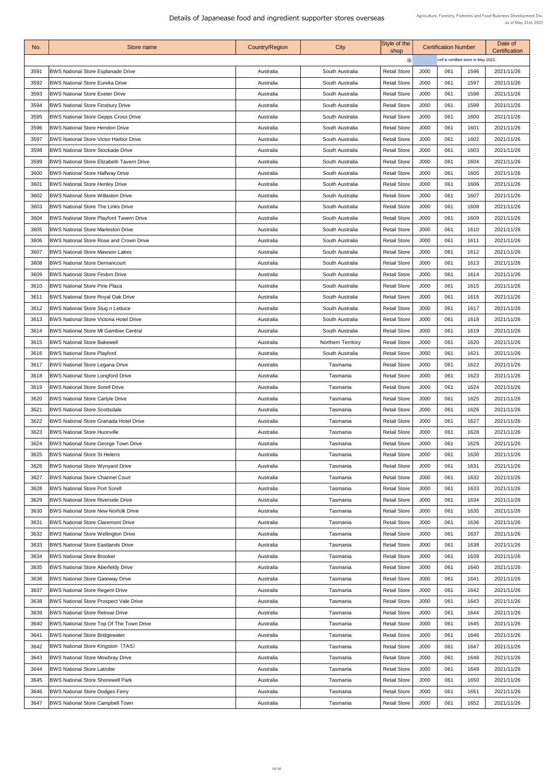| No.  | Store name                                       | <b>Country/Region</b> | City                      | Style of the<br>shop |      | <b>Certification Number</b>          |      | Date of<br>Certification |
|------|--------------------------------------------------|-----------------------|---------------------------|----------------------|------|--------------------------------------|------|--------------------------|
|      |                                                  |                       |                           | X                    |      | cell is certified store in May 2022. |      |                          |
| 3591 | <b>BWS National Store Esplanade Drive</b>        | Australia             | South Australia           | <b>Retail Store</b>  | J000 | 061                                  | 1596 | 2021/11/26               |
| 3592 | <b>BWS National Store Eureka Drive</b>           | Australia             | South Australia           | <b>Retail Store</b>  | J000 | 061                                  | 1597 | 2021/11/26               |
| 3593 | <b>BWS National Store Exeter Drive</b>           | Australia             | South Australia           | <b>Retail Store</b>  | J000 | 061                                  | 1598 | 2021/11/26               |
| 3594 | <b>BWS National Store Finsbury Drive</b>         | Australia             | South Australia           | <b>Retail Store</b>  | J000 | 061                                  | 1599 | 2021/11/26               |
| 3595 | <b>BWS National Store Gepps Cross Drive</b>      | Australia             | South Australia           | <b>Retail Store</b>  | J000 | 061                                  | 1600 | 2021/11/26               |
| 3596 | <b>BWS National Store Hendon Drive</b>           | Australia             | South Australia           | <b>Retail Store</b>  | J000 | 061                                  | 1601 | 2021/11/26               |
| 3597 | <b>BWS National Store Victor Harbor Drive</b>    | Australia             | South Australia           | <b>Retail Store</b>  | J000 | 061                                  | 1602 | 2021/11/26               |
| 3598 | <b>BWS National Store Stockade Drive</b>         | Australia             | South Australia           | <b>Retail Store</b>  | J000 | 061                                  | 1603 | 2021/11/26               |
| 3599 | <b>BWS National Store Elizabeth Tavern Drive</b> | Australia             | South Australia           | <b>Retail Store</b>  | J000 | 061                                  | 1604 | 2021/11/26               |
| 3600 | <b>BWS National Store Halfway Drive</b>          | Australia             | South Australia           | <b>Retail Store</b>  | J000 | 061                                  | 1605 | 2021/11/26               |
| 3601 | <b>BWS National Store Henley Drive</b>           | Australia             | South Australia           | <b>Retail Store</b>  | J000 | 061                                  | 1606 | 2021/11/26               |
| 3602 | <b>BWS National Store Willaston Drive</b>        | Australia             | South Australia           | <b>Retail Store</b>  | J000 | 061                                  | 1607 | 2021/11/26               |
| 3603 | <b>BWS National Store The Links Drive</b>        | Australia             | South Australia           | <b>Retail Store</b>  | J000 | 061                                  | 1608 | 2021/11/26               |
| 3604 | <b>BWS National Store Playford Tavern Drive</b>  | Australia             | South Australia           | <b>Retail Store</b>  | J000 | 061                                  | 1609 | 2021/11/26               |
| 3605 | <b>BWS National Store Marleston Drive</b>        | Australia             | South Australia           | <b>Retail Store</b>  | J000 | 061                                  | 1610 | 2021/11/26               |
| 3606 | <b>BWS National Store Rose and Crown Drive</b>   | Australia             | South Australia           | <b>Retail Store</b>  | J000 | 061                                  | 1611 | 2021/11/26               |
| 3607 | <b>BWS National Store Mawson Lakes</b>           | Australia             | South Australia           | <b>Retail Store</b>  | J000 | 061                                  | 1612 | 2021/11/26               |
| 3608 | <b>BWS National Store Dernancourt</b>            | Australia             | South Australia           | <b>Retail Store</b>  | J000 | 061                                  | 1613 | 2021/11/26               |
| 3609 | <b>BWS National Store Findon Drive</b>           | Australia             | South Australia           | <b>Retail Store</b>  | J000 | 061                                  | 1614 | 2021/11/26               |
| 3610 | <b>BWS National Store Pirie Plaza</b>            | Australia             | South Australia           | <b>Retail Store</b>  | J000 | 061                                  | 1615 | 2021/11/26               |
| 3611 | <b>BWS National Store Royal Oak Drive</b>        | Australia             | South Australia           | <b>Retail Store</b>  | J000 | 061                                  | 1616 | 2021/11/26               |
| 3612 | <b>BWS National Store Slug n Lettuce</b>         | Australia             | South Australia           | <b>Retail Store</b>  | J000 | 061                                  | 1617 | 2021/11/26               |
| 3613 | <b>BWS National Store Victoria Hotel Drive</b>   | Australia             | South Australia           | <b>Retail Store</b>  | J000 | 061                                  | 1618 | 2021/11/26               |
| 3614 | <b>BWS National Store Mt Gambier Central</b>     | Australia             | South Australia           | <b>Retail Store</b>  | J000 | 061                                  | 1619 | 2021/11/26               |
| 3615 | <b>BWS National Store Bakewell</b>               | Australia             | <b>Northern Territory</b> | <b>Retail Store</b>  | J000 | 061                                  | 1620 | 2021/11/26               |
| 3616 | <b>BWS National Store Playford</b>               | Australia             | South Australia           | <b>Retail Store</b>  | J000 | 061                                  | 1621 | 2021/11/26               |
| 3617 | <b>BWS National Store Legana Drive</b>           | Australia             | Tasmania                  | <b>Retail Store</b>  | J000 | 061                                  | 1622 | 2021/11/26               |
| 3618 | <b>BWS National Store Longford Drive</b>         | Australia             | Tasmania                  | <b>Retail Store</b>  | J000 | 061                                  | 1623 | 2021/11/26               |
| 3619 | <b>BWS National Store Sorell Drive</b>           | Australia             | Tasmania                  | <b>Retail Store</b>  | J000 | 061                                  | 1624 | 2021/11/26               |
| 3620 | <b>BWS National Store Carlyle Drive</b>          | Australia             | Tasmania                  | <b>Retail Store</b>  | J000 | 061                                  | 1625 | 2021/11/26               |
| 3621 | <b>BWS National Store Scottsdale</b>             | Australia             | Tasmania                  | <b>Retail Store</b>  | J000 | 061                                  | 1626 | 2021/11/26               |
| 3622 | <b>BWS National Store Granada Hotel Drive</b>    | Australia             | Tasmania                  | <b>Retail Store</b>  | J000 | 061                                  | 1627 | 2021/11/26               |
| 3623 | <b>BWS National Store Huonville</b>              | Australia             | Tasmania                  | <b>Retail Store</b>  | J000 | 061                                  | 1628 | 2021/11/26               |
| 3624 | <b>BWS National Store George Town Drive</b>      | Australia             | Tasmania                  | <b>Retail Store</b>  | J000 | 061                                  | 1629 | 2021/11/26               |
| 3625 | <b>BWS National Store St Helens</b>              | Australia             | Tasmania                  | <b>Retail Store</b>  | J000 | 061                                  | 1630 | 2021/11/26               |
| 3626 | <b>BWS National Store Wynyard Drive</b>          | Australia             | Tasmania                  | <b>Retail Store</b>  | J000 | 061                                  | 1631 | 2021/11/26               |
| 3627 | <b>BWS National Store Channel Court</b>          | Australia             | Tasmania                  | <b>Retail Store</b>  | J000 | 061                                  | 1632 | 2021/11/26               |
| 3628 | <b>BWS National Store Port Sorell</b>            | Australia             | Tasmania                  | <b>Retail Store</b>  | J000 | 061                                  | 1633 | 2021/11/26               |
| 3629 | <b>BWS National Store Riverside Drive</b>        | Australia             | Tasmania                  | <b>Retail Store</b>  | J000 | 061                                  | 1634 | 2021/11/26               |
| 3630 | <b>BWS National Store New Norfolk Drive</b>      | Australia             | Tasmania                  | <b>Retail Store</b>  | J000 | 061                                  | 1635 | 2021/11/26               |
| 3631 | <b>BWS National Store Claremont Drive</b>        | Australia             | Tasmania                  | <b>Retail Store</b>  | J000 | 061                                  | 1636 | 2021/11/26               |
| 3632 | <b>BWS National Store Wellington Drive</b>       | Australia             | Tasmania                  | <b>Retail Store</b>  | J000 | 061                                  | 1637 | 2021/11/26               |
| 3633 | <b>BWS National Store Eastlands Drive</b>        | Australia             | Tasmania                  | <b>Retail Store</b>  | J000 | 061                                  | 1638 | 2021/11/26               |
| 3634 | <b>BWS National Store Brooker</b>                | Australia             | Tasmania                  | <b>Retail Store</b>  | J000 | 061                                  | 1639 | 2021/11/26               |
| 3635 | <b>BWS National Store Aberfeldy Drive</b>        | Australia             | Tasmania                  | <b>Retail Store</b>  | J000 | 061                                  | 1640 | 2021/11/26               |
| 3636 | <b>BWS National Store Gateway Drive</b>          | Australia             | Tasmania                  | <b>Retail Store</b>  | J000 | 061                                  | 1641 | 2021/11/26               |
| 3637 | <b>BWS National Store Regent Drive</b>           | Australia             | Tasmania                  | <b>Retail Store</b>  | J000 | 061                                  | 1642 | 2021/11/26               |
| 3638 | <b>BWS National Store Prospect Vale Drive</b>    | Australia             | Tasmania                  | <b>Retail Store</b>  | J000 | 061                                  | 1643 | 2021/11/26               |
| 3639 | <b>BWS National Store Retreat Drive</b>          | Australia             | Tasmania                  | <b>Retail Store</b>  | J000 | 061                                  | 1644 | 2021/11/26               |
| 3640 | BWS National Store Top Of The Town Drive         | Australia             | Tasmania                  | <b>Retail Store</b>  | J000 | 061                                  | 1645 | 2021/11/26               |
| 3641 | <b>BWS National Store Bridgewater</b>            | Australia             | Tasmania                  | <b>Retail Store</b>  | J000 | 061                                  | 1646 | 2021/11/26               |
| 3642 | <b>BWS National Store Kingston (TAS)</b>         | Australia             | Tasmania                  | <b>Retail Store</b>  | J000 | 061                                  | 1647 | 2021/11/26               |
| 3643 | <b>BWS National Store Mowbray Drive</b>          | Australia             | Tasmania                  | <b>Retail Store</b>  | J000 | 061                                  | 1648 | 2021/11/26               |
| 3644 | <b>BWS National Store Latrobe</b>                | Australia             | Tasmania                  | <b>Retail Store</b>  | J000 | 061                                  | 1649 | 2021/11/26               |
| 3645 | <b>BWS National Store Shorewell Park</b>         | Australia             | Tasmania                  | <b>Retail Store</b>  | J000 | 061                                  | 1650 | 2021/11/26               |
| 3646 | <b>BWS National Store Dodges Ferry</b>           | Australia             | Tasmania                  | <b>Retail Store</b>  | J000 | 061                                  | 1651 | 2021/11/26               |
| 3647 | <b>BWS National Store Campbell Town</b>          | Australia             | Tasmania                  | <b>Retail Store</b>  | J000 | 061                                  | 1652 | 2021/11/26               |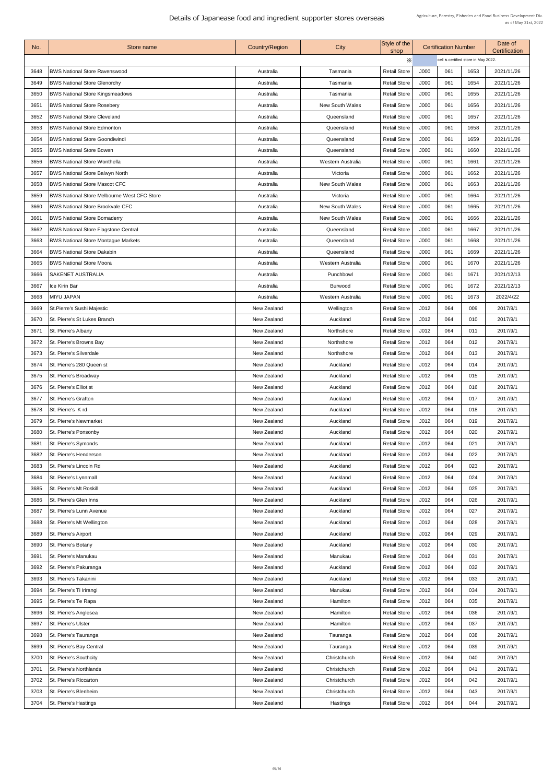| No.  | Store name                                         | <b>Country/Region</b> | City                   | Style of the<br>shop | <b>Certification Number</b> |                                      | Date of<br><b>Certification</b> |            |
|------|----------------------------------------------------|-----------------------|------------------------|----------------------|-----------------------------|--------------------------------------|---------------------------------|------------|
|      |                                                    |                       |                        | X                    |                             | cell is certified store in May 2022. |                                 |            |
| 3648 | <b>BWS National Store Ravenswood</b>               | Australia             | Tasmania               | <b>Retail Store</b>  | <b>J000</b>                 | 061                                  | 1653                            | 2021/11/26 |
| 3649 | <b>BWS National Store Glenorchy</b>                | Australia             | Tasmania               | <b>Retail Store</b>  | J000                        | 061                                  | 1654                            | 2021/11/26 |
| 3650 | <b>BWS National Store Kingsmeadows</b>             | Australia             | Tasmania               | <b>Retail Store</b>  | <b>J000</b>                 | 061                                  | 1655                            | 2021/11/26 |
| 3651 | <b>BWS National Store Rosebery</b>                 | Australia             | <b>New South Wales</b> | <b>Retail Store</b>  | J000                        | 061                                  | 1656                            | 2021/11/26 |
| 3652 | <b>BWS National Store Cleveland</b>                | Australia             | Queensland             | <b>Retail Store</b>  | J000                        | 061                                  | 1657                            | 2021/11/26 |
| 3653 | <b>BWS National Store Edmonton</b>                 | Australia             | Queensland             | <b>Retail Store</b>  | J000                        | 061                                  | 1658                            | 2021/11/26 |
| 3654 | <b>BWS National Store Goondiwindi</b>              | Australia             | Queensland             | <b>Retail Store</b>  | J000                        | 061                                  | 1659                            | 2021/11/26 |
| 3655 | <b>BWS National Store Bowen</b>                    | Australia             | Queensland             | <b>Retail Store</b>  | <b>J000</b>                 | 061                                  | 1660                            | 2021/11/26 |
| 3656 | <b>BWS National Store Wonthella</b>                | Australia             | Western Australia      | <b>Retail Store</b>  | J000                        | 061                                  | 1661                            | 2021/11/26 |
| 3657 | <b>BWS National Store Balwyn North</b>             | Australia             | Victoria               | <b>Retail Store</b>  | J000                        | 061                                  | 1662                            | 2021/11/26 |
| 3658 | <b>BWS National Store Mascot CFC</b>               | Australia             | <b>New South Wales</b> | <b>Retail Store</b>  | J000                        | 061                                  | 1663                            | 2021/11/26 |
| 3659 | <b>BWS National Store Melbourne West CFC Store</b> | Australia             | Victoria               | <b>Retail Store</b>  | J000                        | 061                                  | 1664                            | 2021/11/26 |
| 3660 | <b>BWS National Store Brookvale CFC</b>            | Australia             | <b>New South Wales</b> | <b>Retail Store</b>  | J000                        | 061                                  | 1665                            | 2021/11/26 |
| 3661 | <b>BWS National Store Bomaderry</b>                | Australia             | <b>New South Wales</b> | <b>Retail Store</b>  | J000                        | 061                                  | 1666                            | 2021/11/26 |
| 3662 | <b>BWS National Store Flagstone Central</b>        | Australia             | Queensland             | <b>Retail Store</b>  | <b>J000</b>                 | 061                                  | 1667                            | 2021/11/26 |
|      | <b>BWS National Store Montague Markets</b>         |                       | Queensland             | <b>Retail Store</b>  | J000                        | 061                                  | 1668                            | 2021/11/26 |
| 3663 | <b>BWS National Store Dakabin</b>                  | Australia             |                        |                      |                             | 061                                  |                                 |            |
| 3664 |                                                    | Australia             | Queensland             | <b>Retail Store</b>  | J000                        |                                      | 1669                            | 2021/11/26 |
| 3665 | <b>BWS National Store Moora</b>                    | Australia             | Western Australia      | <b>Retail Store</b>  | <b>J000</b>                 | 061                                  | 1670                            | 2021/11/26 |
| 3666 | <b>SAKENET AUSTRALIA</b>                           | Australia             | Punchbowl              | <b>Retail Store</b>  | J000                        | 061                                  | 1671                            | 2021/12/13 |
| 3667 | Ice Kirin Bar                                      | Australia             | <b>Burwood</b>         | <b>Retail Store</b>  | J000                        | 061                                  | 1672                            | 2021/12/13 |
| 3668 | <b>MIYU JAPAN</b>                                  | Australia             | Western Australia      | <b>Retail Store</b>  | J000                        | 061                                  | 1673                            | 2022/4/22  |
| 3669 | St. Pierre's Sushi Majestic                        | <b>New Zealand</b>    | Wellington             | <b>Retail Store</b>  | J012                        | 064                                  | 009                             | 2017/9/1   |
| 3670 | St. Pierre's St Lukes Branch                       | <b>New Zealand</b>    | Auckland               | <b>Retail Store</b>  | J012                        | 064                                  | 010                             | 2017/9/1   |
| 3671 | St. Pierre's Albany                                | <b>New Zealand</b>    | Northshore             | <b>Retail Store</b>  | J012                        | 064                                  | 011                             | 2017/9/1   |
| 3672 | St. Pierre's Browns Bay                            | <b>New Zealand</b>    | Northshore             | <b>Retail Store</b>  | J012                        | 064                                  | 012                             | 2017/9/1   |
| 3673 | St. Pierre's Silverdale                            | <b>New Zealand</b>    | Northshore             | <b>Retail Store</b>  | J012                        | 064                                  | 013                             | 2017/9/1   |
| 3674 | St. Pierre's 280 Queen st                          | New Zealand           | Auckland               | <b>Retail Store</b>  | J012                        | 064                                  | 014                             | 2017/9/1   |
| 3675 | <b>St. Pierre's Broadway</b>                       | <b>New Zealand</b>    | Auckland               | <b>Retail Store</b>  | J012                        | 064                                  | 015                             | 2017/9/1   |
| 3676 | <b>St. Pierre's Elliot st</b>                      | <b>New Zealand</b>    | Auckland               | <b>Retail Store</b>  | J012                        | 064                                  | 016                             | 2017/9/1   |
| 3677 | <b>St. Pierre's Grafton</b>                        | New Zealand           | Auckland               | <b>Retail Store</b>  | J012                        | 064                                  | 017                             | 2017/9/1   |
| 3678 | St. Pierre's K rd                                  | <b>New Zealand</b>    | Auckland               | <b>Retail Store</b>  | J012                        | 064                                  | 018                             | 2017/9/1   |
| 3679 | <b>St. Pierre's Newmarket</b>                      | New Zealand           | Auckland               | <b>Retail Store</b>  | J012                        | 064                                  | 019                             | 2017/9/1   |
| 3680 | St. Pierre's Ponsonby                              | <b>New Zealand</b>    | Auckland               | <b>Retail Store</b>  | J012                        | 064                                  | 020                             | 2017/9/1   |
| 3681 | St. Pierre's Symonds                               | <b>New Zealand</b>    | Auckland               | <b>Retail Store</b>  | J012                        | 064                                  | 021                             | 2017/9/1   |
| 3682 | St. Pierre's Henderson                             | <b>New Zealand</b>    | Auckland               | <b>Retail Store</b>  | J012                        | 064                                  | 022                             | 2017/9/1   |
| 3683 | St. Pierre's Lincoln Rd                            | New Zealand           | Auckland               | <b>Retail Store</b>  | J012                        | 064                                  | 023                             | 2017/9/1   |
| 3684 | St. Pierre's Lynnmall                              | <b>New Zealand</b>    | Auckland               | <b>Retail Store</b>  | J012                        | 064                                  | 024                             | 2017/9/1   |
| 3685 | St. Pierre's Mt Roskill                            | <b>New Zealand</b>    | Auckland               | <b>Retail Store</b>  | J012                        | 064                                  | 025                             | 2017/9/1   |
| 3686 | St. Pierre's Glen Inns                             | <b>New Zealand</b>    | Auckland               | <b>Retail Store</b>  | J012                        | 064                                  | 026                             | 2017/9/1   |
| 3687 | <b>St. Pierre's Lunn Avenue</b>                    | <b>New Zealand</b>    | Auckland               | <b>Retail Store</b>  | J012                        | 064                                  | 027                             | 2017/9/1   |
| 3688 | St. Pierre's Mt Wellington                         | <b>New Zealand</b>    | Auckland               | <b>Retail Store</b>  | J012                        | 064                                  | 028                             | 2017/9/1   |
| 3689 | <b>St. Pierre's Airport</b>                        | <b>New Zealand</b>    | Auckland               | <b>Retail Store</b>  | J012                        | 064                                  | 029                             | 2017/9/1   |
| 3690 | St. Pierre's Botany                                | <b>New Zealand</b>    | Auckland               | <b>Retail Store</b>  | J012                        | 064                                  | 030                             | 2017/9/1   |
| 3691 | <b>St. Pierre's Manukau</b>                        | <b>New Zealand</b>    | Manukau                | <b>Retail Store</b>  | J012                        | 064                                  | 031                             | 2017/9/1   |
| 3692 | St. Pierre's Pakuranga                             | <b>New Zealand</b>    | Auckland               | <b>Retail Store</b>  | J012                        | 064                                  | 032                             | 2017/9/1   |
| 3693 | <b>St. Pierre's Takanini</b>                       | <b>New Zealand</b>    | Auckland               | <b>Retail Store</b>  | J012                        | 064                                  | 033                             | 2017/9/1   |
| 3694 | St. Pierre's Ti Irirangi                           | <b>New Zealand</b>    | Manukau                | <b>Retail Store</b>  | J012                        | 064                                  | 034                             | 2017/9/1   |
| 3695 | St. Pierre's Te Rapa                               | <b>New Zealand</b>    | Hamilton               | <b>Retail Store</b>  | J012                        | 064                                  | 035                             | 2017/9/1   |
| 3696 | St. Pierre's Anglesea                              | <b>New Zealand</b>    | Hamilton               | <b>Retail Store</b>  | J012                        | 064                                  | 036                             | 2017/9/1   |
| 3697 | <b>St. Pierre's Ulster</b>                         | <b>New Zealand</b>    | Hamilton               | <b>Retail Store</b>  | J012                        | 064                                  | 037                             | 2017/9/1   |
| 3698 | St. Pierre's Tauranga                              | <b>New Zealand</b>    | Tauranga               | <b>Retail Store</b>  | J012                        | 064                                  | 038                             | 2017/9/1   |
| 3699 | St. Pierre's Bay Central                           | New Zealand           | Tauranga               | <b>Retail Store</b>  | J012                        | 064                                  | 039                             | 2017/9/1   |
| 3700 | <b>St. Pierre's Southcity</b>                      | <b>New Zealand</b>    | Christchurch           | <b>Retail Store</b>  | J012                        | 064                                  | 040                             | 2017/9/1   |
| 3701 | <b>St. Pierre's Northlands</b>                     | <b>New Zealand</b>    | Christchurch           | <b>Retail Store</b>  | J012                        | 064                                  | 041                             | 2017/9/1   |
| 3702 | <b>St. Pierre's Riccarton</b>                      | New Zealand           | Christchurch           | <b>Retail Store</b>  | J012                        | 064                                  | 042                             | 2017/9/1   |
| 3703 | St. Pierre's Blenheim                              | New Zealand           | Christchurch           | <b>Retail Store</b>  | J012                        | 064                                  | 043                             | 2017/9/1   |
| 3704 | St. Pierre's Hastings                              | New Zealand           | Hastings               | <b>Retail Store</b>  | J012                        | 064                                  | 044                             | 2017/9/1   |